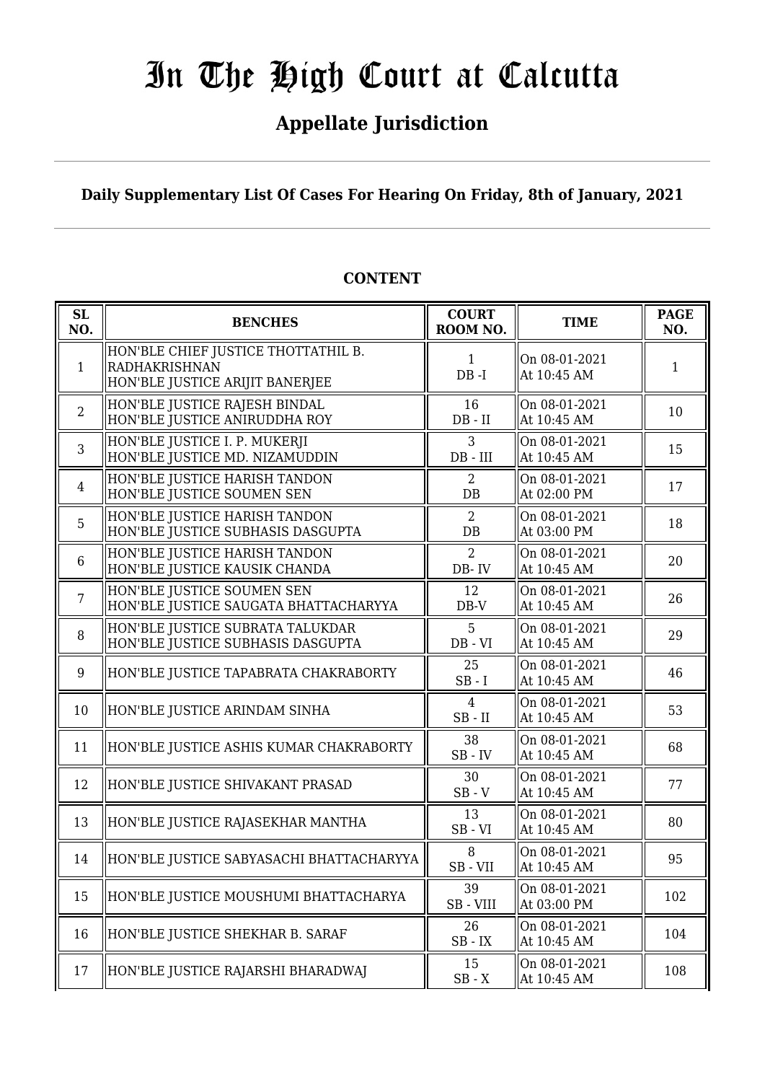## **Appellate Jurisdiction**

**Daily Supplementary List Of Cases For Hearing On Friday, 8th of January, 2021**

| SL<br>NO.      | <b>BENCHES</b>                                                                          | <b>COURT</b><br>ROOM NO.      | <b>TIME</b>                  | <b>PAGE</b><br>NO. |
|----------------|-----------------------------------------------------------------------------------------|-------------------------------|------------------------------|--------------------|
| $\mathbf{1}$   | HON'BLE CHIEF JUSTICE THOTTATHIL B.<br>RADHAKRISHNAN<br>HON'BLE JUSTICE ARIJIT BANERJEE | $\mathbf{1}$<br>$DB - I$      | On 08-01-2021<br>At 10:45 AM | $\mathbf{1}$       |
| $\overline{2}$ | HON'BLE JUSTICE RAJESH BINDAL<br>HON'BLE JUSTICE ANIRUDDHA ROY                          | 16<br>$DB - II$               | On 08-01-2021<br>At 10:45 AM | 10                 |
| 3              | HON'BLE JUSTICE I. P. MUKERJI<br>HON'BLE JUSTICE MD. NIZAMUDDIN                         | 3<br>$DB$ - $III$             | On 08-01-2021<br>At 10:45 AM | 15                 |
| $\overline{4}$ | HON'BLE JUSTICE HARISH TANDON<br>HON'BLE JUSTICE SOUMEN SEN                             | 2<br>DB                       | On 08-01-2021<br>At 02:00 PM | 17                 |
| 5              | HON'BLE JUSTICE HARISH TANDON<br>HON'BLE JUSTICE SUBHASIS DASGUPTA                      | $\overline{2}$<br>DB          | On 08-01-2021<br>At 03:00 PM | 18                 |
| 6              | HON'BLE JUSTICE HARISH TANDON<br>HON'BLE JUSTICE KAUSIK CHANDA                          | $\overline{2}$<br>DB-IV       | On 08-01-2021<br>At 10:45 AM | 20                 |
| $\overline{7}$ | HON'BLE JUSTICE SOUMEN SEN<br>HON'BLE JUSTICE SAUGATA BHATTACHARYYA                     | 12<br>DB-V                    | On 08-01-2021<br>At 10:45 AM | 26                 |
| 8              | HON'BLE JUSTICE SUBRATA TALUKDAR<br>HON'BLE JUSTICE SUBHASIS DASGUPTA                   | 5<br>$DB - VI$                | On 08-01-2021<br>At 10:45 AM | 29                 |
| 9              | HON'BLE JUSTICE TAPABRATA CHAKRABORTY                                                   | 25<br>$SB-I$                  | On 08-01-2021<br>At 10:45 AM | 46                 |
| 10             | HON'BLE JUSTICE ARINDAM SINHA                                                           | $\overline{4}$<br>$SB$ - $II$ | On 08-01-2021<br>At 10:45 AM | 53                 |
| 11             | HON'BLE JUSTICE ASHIS KUMAR CHAKRABORTY                                                 | 38<br>$SB$ - $IV$             | On 08-01-2021<br>At 10:45 AM | 68                 |
| 12             | HON'BLE JUSTICE SHIVAKANT PRASAD                                                        | 30<br>$SB - V$                | On 08-01-2021<br>At 10:45 AM | 77                 |
| 13             | HON'BLE JUSTICE RAJASEKHAR MANTHA                                                       | 13<br>$SB - VI$               | On 08-01-2021<br>At 10:45 AM | 80                 |
| 14             | HON'BLE JUSTICE SABYASACHI BHATTACHARYYA                                                | 8<br>SB-VII                   | On 08-01-2021<br>At 10:45 AM | 95                 |
| 15             | HON'BLE JUSTICE MOUSHUMI BHATTACHARYA                                                   | 39<br>SB-VIII                 | On 08-01-2021<br>At 03:00 PM | 102                |
| 16             | HON'BLE JUSTICE SHEKHAR B. SARAF                                                        | 26<br>$SB$ - $IX$             | On 08-01-2021<br>At 10:45 AM | 104                |
| 17             | HON'BLE JUSTICE RAJARSHI BHARADWAJ                                                      | 15<br>$SB - X$                | On 08-01-2021<br>At 10:45 AM | 108                |

#### **CONTENT**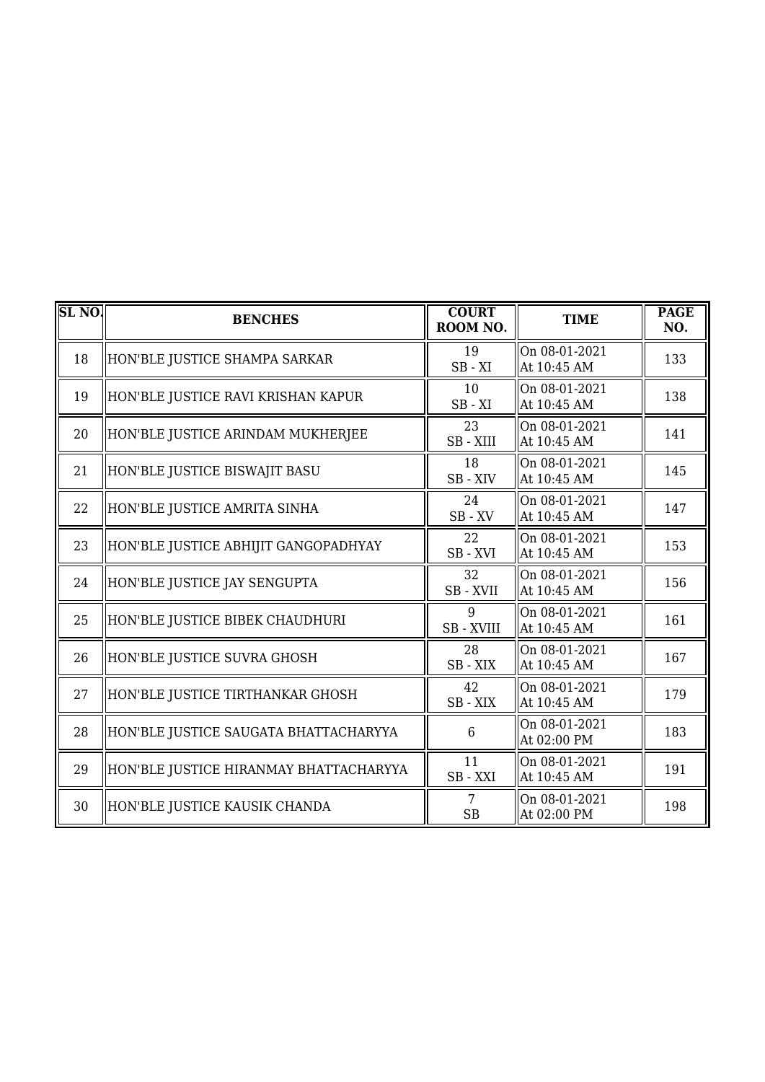| SL <sub>NO</sub> | <b>BENCHES</b>                         | <b>COURT</b><br>ROOM NO. | <b>TIME</b>                  | <b>PAGE</b><br>NO. |
|------------------|----------------------------------------|--------------------------|------------------------------|--------------------|
| 18               | HON'BLE JUSTICE SHAMPA SARKAR          | 19<br>$SB - XI$          | On 08-01-2021<br>At 10:45 AM | 133                |
| 19               | HON'BLE JUSTICE RAVI KRISHAN KAPUR     | 10<br>$SB - XI$          | On 08-01-2021<br>At 10:45 AM | 138                |
| 20               | HON'BLE JUSTICE ARINDAM MUKHERJEE      | 23<br>SB - XIII          | On 08-01-2021<br>At 10:45 AM | 141                |
| 21               | HON'BLE JUSTICE BISWAJIT BASU          | 18<br>SB-XIV             | On 08-01-2021<br>At 10:45 AM | 145                |
| 22               | HON'BLE JUSTICE AMRITA SINHA           | 24<br>$SB$ - $XV$        | On 08-01-2021<br>At 10:45 AM | 147                |
| 23               | HON'BLE JUSTICE ABHIJIT GANGOPADHYAY   | 22<br>SB-XVI             | On 08-01-2021<br>At 10:45 AM | 153                |
| 24               | HON'BLE JUSTICE JAY SENGUPTA           | 32<br>SB-XVII            | On 08-01-2021<br>At 10:45 AM | 156                |
| 25               | HON'BLE JUSTICE BIBEK CHAUDHURI        | 9<br>SB - XVIII          | On 08-01-2021<br>At 10:45 AM | 161                |
| 26               | HON'BLE JUSTICE SUVRA GHOSH            | 28<br>SB-XIX             | On 08-01-2021<br>At 10:45 AM | 167                |
| 27               | HON'BLE JUSTICE TIRTHANKAR GHOSH       | 42<br>SB-XIX             | On 08-01-2021<br>At 10:45 AM | 179                |
| 28               | HON'BLE JUSTICE SAUGATA BHATTACHARYYA  | 6                        | On 08-01-2021<br>At 02:00 PM | 183                |
| 29               | HON'BLE JUSTICE HIRANMAY BHATTACHARYYA | 11<br>SB - XXI           | On 08-01-2021<br>At 10:45 AM | 191                |
| 30               | HON'BLE JUSTICE KAUSIK CHANDA          | 7<br>SB                  | On 08-01-2021<br>At 02:00 PM | 198                |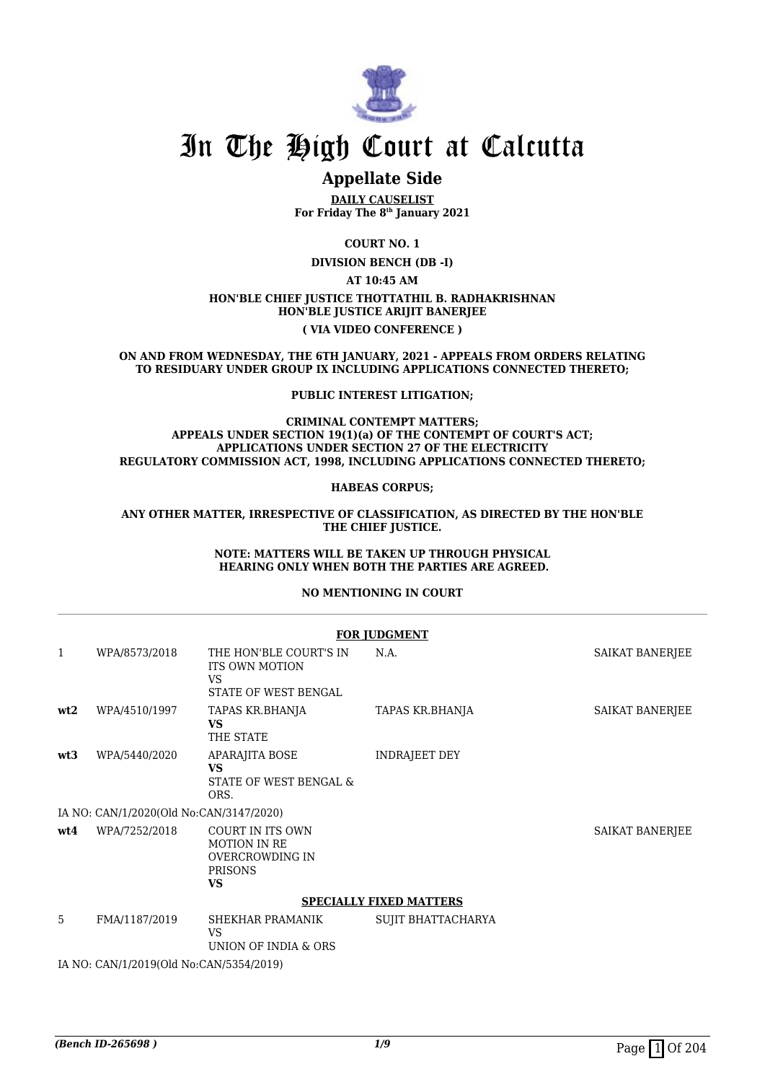

### **Appellate Side**

**DAILY CAUSELIST For Friday The 8th January 2021**

**COURT NO. 1 DIVISION BENCH (DB -I)**

**AT 10:45 AM**

#### **HON'BLE CHIEF JUSTICE THOTTATHIL B. RADHAKRISHNAN HON'BLE JUSTICE ARIJIT BANERJEE ( VIA VIDEO CONFERENCE )**

**ON AND FROM WEDNESDAY, THE 6TH JANUARY, 2021 - APPEALS FROM ORDERS RELATING TO RESIDUARY UNDER GROUP IX INCLUDING APPLICATIONS CONNECTED THERETO;**

#### **PUBLIC INTEREST LITIGATION;**

#### **CRIMINAL CONTEMPT MATTERS; APPEALS UNDER SECTION 19(1)(a) OF THE CONTEMPT OF COURT'S ACT; APPLICATIONS UNDER SECTION 27 OF THE ELECTRICITY REGULATORY COMMISSION ACT, 1998, INCLUDING APPLICATIONS CONNECTED THERETO;**

#### **HABEAS CORPUS;**

#### **ANY OTHER MATTER, IRRESPECTIVE OF CLASSIFICATION, AS DIRECTED BY THE HON'BLE THE CHIEF JUSTICE.**

#### **NOTE: MATTERS WILL BE TAKEN UP THROUGH PHYSICAL HEARING ONLY WHEN BOTH THE PARTIES ARE AGREED.**

#### **NO MENTIONING IN COURT**

|              | <b>FOR JUDGMENT</b>                     |                                                                                                  |                      |                 |  |  |
|--------------|-----------------------------------------|--------------------------------------------------------------------------------------------------|----------------------|-----------------|--|--|
| $\mathbf{1}$ | WPA/8573/2018                           | THE HON'BLE COURT'S IN<br><b>ITS OWN MOTION</b><br>VS.<br>STATE OF WEST BENGAL                   | N.A.                 | SAIKAT BANERJEE |  |  |
| wt2          | WPA/4510/1997                           | TAPAS KR.BHANJA<br><b>VS</b><br>THE STATE                                                        | TAPAS KR.BHANJA      | SAIKAT BANERJEE |  |  |
| wt3          | WPA/5440/2020                           | <b>APARAJITA BOSE</b><br><b>VS</b><br>STATE OF WEST BENGAL &<br>ORS.                             | <b>INDRAJEET DEY</b> |                 |  |  |
|              | IA NO: CAN/1/2020(Old No:CAN/3147/2020) |                                                                                                  |                      |                 |  |  |
| wt4          | WPA/7252/2018                           | <b>COURT IN ITS OWN</b><br><b>MOTION IN RE</b><br>OVERCROWDING IN<br><b>PRISONS</b><br><b>VS</b> |                      | SAIKAT BANERJEE |  |  |
|              | <b>SPECIALLY FIXED MATTERS</b>          |                                                                                                  |                      |                 |  |  |
| 5            | FMA/1187/2019                           | SHEKHAR PRAMANIK<br>VS.<br>UNION OF INDIA & ORS                                                  | SUJIT BHATTACHARYA   |                 |  |  |
|              | IA NO: CAN/1/2019(Old No:CAN/5354/2019) |                                                                                                  |                      |                 |  |  |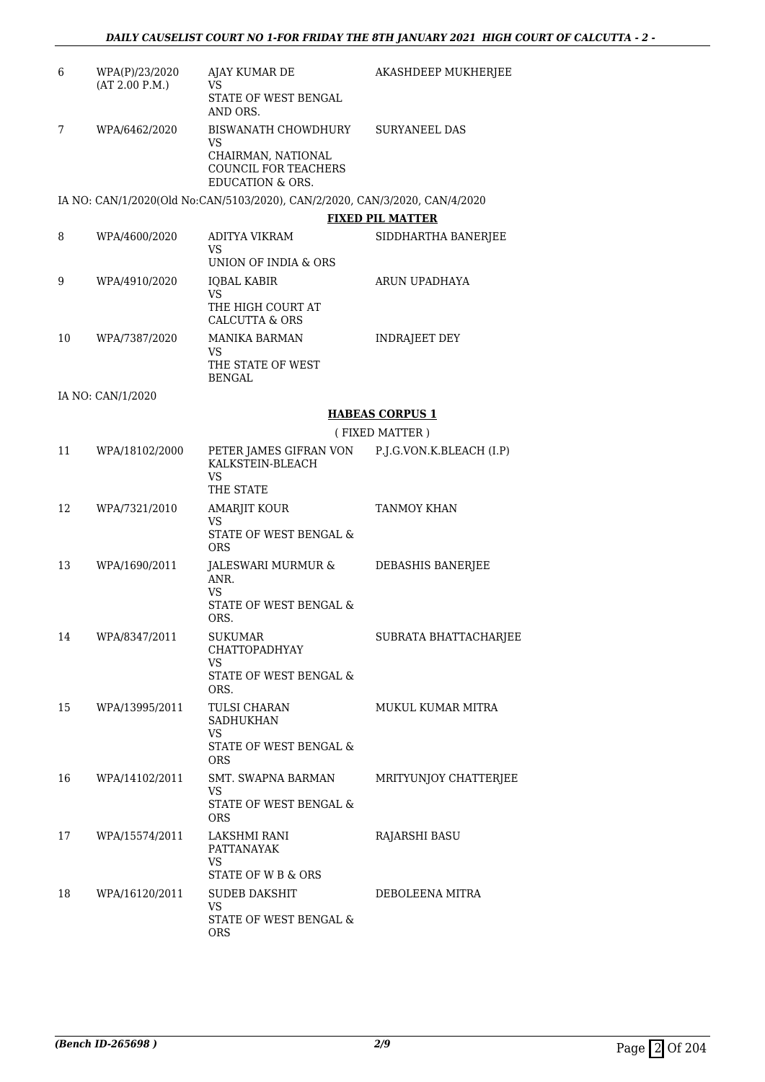| 6  | WPA(P)/23/2020<br>(AT 2.00 P.M.) | AJAY KUMAR DE<br>VS                                                                                           | AKASHDEEP MUKHERJEE      |
|----|----------------------------------|---------------------------------------------------------------------------------------------------------------|--------------------------|
|    |                                  | STATE OF WEST BENGAL<br>AND ORS.                                                                              |                          |
| 7  | WPA/6462/2020                    | BISWANATH CHOWDHURY<br>VS<br>CHAIRMAN, NATIONAL<br><b>COUNCIL FOR TEACHERS</b><br><b>EDUCATION &amp; ORS.</b> | <b>SURYANEEL DAS</b>     |
|    |                                  | IA NO: CAN/1/2020(Old No:CAN/5103/2020), CAN/2/2020, CAN/3/2020, CAN/4/2020                                   |                          |
|    |                                  |                                                                                                               | <b>FIXED PIL MATTER</b>  |
| 8  | WPA/4600/2020                    | ADITYA VIKRAM<br>VS                                                                                           | SIDDHARTHA BANERJEE      |
|    |                                  | UNION OF INDIA & ORS                                                                                          |                          |
| 9  | WPA/4910/2020                    | <b>IQBAL KABIR</b><br><b>VS</b><br>THE HIGH COURT AT<br><b>CALCUTTA &amp; ORS</b>                             | ARUN UPADHAYA            |
| 10 | WPA/7387/2020                    | <b>MANIKA BARMAN</b><br>VS.<br>THE STATE OF WEST<br><b>BENGAL</b>                                             | <b>INDRAJEET DEY</b>     |
|    | IA NO: CAN/1/2020                |                                                                                                               |                          |
|    |                                  |                                                                                                               | <b>HABEAS CORPUS 1</b>   |
|    |                                  |                                                                                                               | (FIXED MATTER)           |
| 11 | WPA/18102/2000                   | PETER JAMES GIFRAN VON<br>KALKSTEIN-BLEACH<br>VS<br>THE STATE                                                 | P.J.G.VON.K.BLEACH (I.P) |
| 12 | WPA/7321/2010                    | <b>AMARJIT KOUR</b>                                                                                           | <b>TANMOY KHAN</b>       |
|    |                                  | VS<br>STATE OF WEST BENGAL &<br><b>ORS</b>                                                                    |                          |
| 13 | WPA/1690/2011                    | JALESWARI MURMUR &<br>ANR.<br>VS                                                                              | DEBASHIS BANERJEE        |
|    |                                  | STATE OF WEST BENGAL &<br>ORS.                                                                                |                          |
| 14 | WPA/8347/2011                    | <b>SUKUMAR</b><br><b>CHATTOPADHYAY</b><br>VS                                                                  | SUBRATA BHATTACHARJEE    |
|    |                                  | STATE OF WEST BENGAL &<br>ORS.                                                                                |                          |
| 15 | WPA/13995/2011                   | TULSI CHARAN<br><b>SADHUKHAN</b><br>VS.                                                                       | <b>MUKUL KUMAR MITRA</b> |
|    |                                  | STATE OF WEST BENGAL &<br><b>ORS</b>                                                                          |                          |
| 16 | WPA/14102/2011                   | <b>SMT. SWAPNA BARMAN</b><br>VS.                                                                              | MRITYUNJOY CHATTERJEE    |
|    |                                  | STATE OF WEST BENGAL &<br><b>ORS</b>                                                                          |                          |
| 17 | WPA/15574/2011                   | LAKSHMI RANI<br>PATTANAYAK<br>VS.                                                                             | RAJARSHI BASU            |
|    |                                  | STATE OF W B & ORS                                                                                            |                          |
| 18 | WPA/16120/2011                   | <b>SUDEB DAKSHIT</b><br>VS                                                                                    | DEBOLEENA MITRA          |
|    |                                  | STATE OF WEST BENGAL &<br>ORS                                                                                 |                          |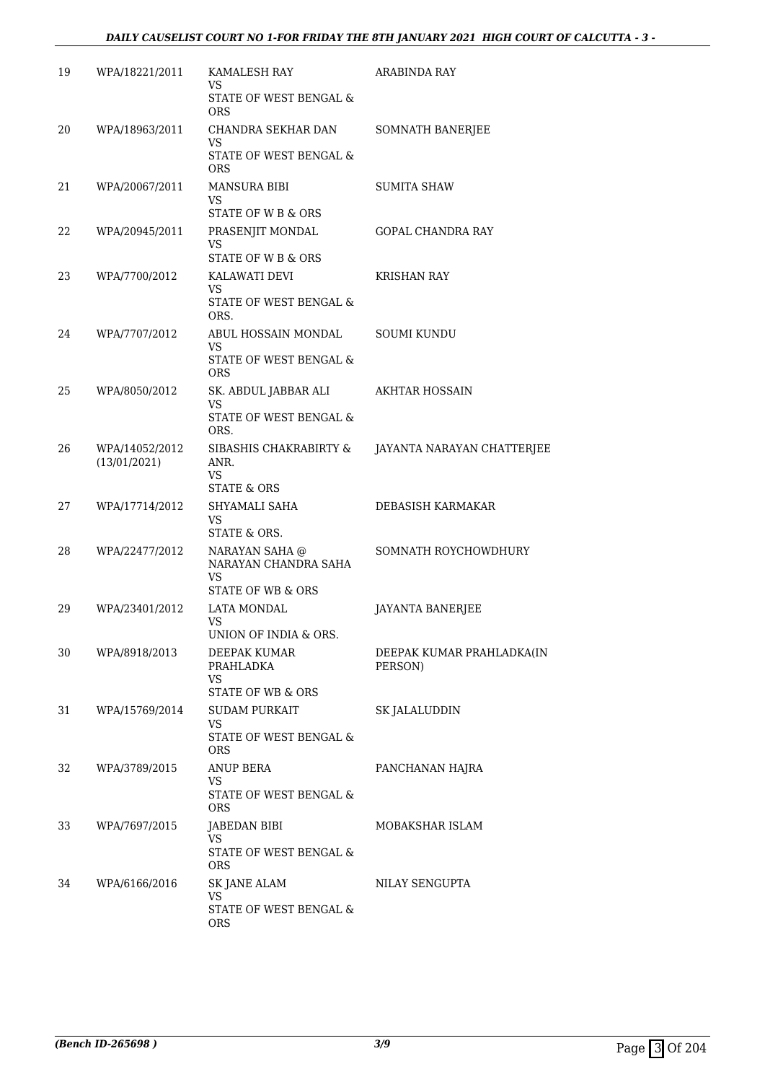| 19 | WPA/18221/2011                 | KAMALESH RAY<br>VS                                                | ARABINDA RAY                         |
|----|--------------------------------|-------------------------------------------------------------------|--------------------------------------|
|    |                                | STATE OF WEST BENGAL &<br><b>ORS</b>                              |                                      |
| 20 | WPA/18963/2011                 | CHANDRA SEKHAR DAN<br>VS                                          | <b>SOMNATH BANERJEE</b>              |
|    |                                | STATE OF WEST BENGAL &<br><b>ORS</b>                              |                                      |
| 21 | WPA/20067/2011                 | <b>MANSURA BIBI</b><br>VS<br>STATE OF W B & ORS                   | <b>SUMITA SHAW</b>                   |
| 22 | WPA/20945/2011                 | PRASENJIT MONDAL                                                  | <b>GOPAL CHANDRA RAY</b>             |
|    |                                | VS<br>STATE OF W B & ORS                                          |                                      |
| 23 | WPA/7700/2012                  | KALAWATI DEVI                                                     | <b>KRISHAN RAY</b>                   |
|    |                                | <b>VS</b><br>STATE OF WEST BENGAL &<br>ORS.                       |                                      |
| 24 | WPA/7707/2012                  | ABUL HOSSAIN MONDAL<br>VS                                         | <b>SOUMI KUNDU</b>                   |
|    |                                | STATE OF WEST BENGAL &<br><b>ORS</b>                              |                                      |
| 25 | WPA/8050/2012                  | SK. ABDUL JABBAR ALI<br>VS                                        | AKHTAR HOSSAIN                       |
|    |                                | STATE OF WEST BENGAL &<br>ORS.                                    |                                      |
| 26 | WPA/14052/2012<br>(13/01/2021) | SIBASHIS CHAKRABIRTY &<br>ANR.<br>VS                              | JAYANTA NARAYAN CHATTERJEE           |
|    |                                | <b>STATE &amp; ORS</b>                                            |                                      |
| 27 | WPA/17714/2012                 | SHYAMALI SAHA<br>VS<br>STATE & ORS.                               | DEBASISH KARMAKAR                    |
| 28 | WPA/22477/2012                 | NARAYAN SAHA @<br>NARAYAN CHANDRA SAHA<br>VS<br>STATE OF WB & ORS | SOMNATH ROYCHOWDHURY                 |
| 29 | WPA/23401/2012                 | <b>LATA MONDAL</b>                                                | JAYANTA BANERJEE                     |
|    |                                | VS<br>UNION OF INDIA & ORS.                                       |                                      |
| 30 | WPA/8918/2013                  | DEEPAK KUMAR<br>PRAHLADKA                                         | DEEPAK KUMAR PRAHLADKA(IN<br>PERSON) |
|    |                                | <b>VS</b><br>STATE OF WB & ORS                                    |                                      |
| 31 | WPA/15769/2014                 | <b>SUDAM PURKAIT</b>                                              | SK JALALUDDIN                        |
|    |                                | VS<br>STATE OF WEST BENGAL &<br><b>ORS</b>                        |                                      |
| 32 | WPA/3789/2015                  | ANUP BERA<br><b>VS</b>                                            | PANCHANAN HAJRA                      |
|    |                                | STATE OF WEST BENGAL &<br><b>ORS</b>                              |                                      |
| 33 | WPA/7697/2015                  | JABEDAN BIBI<br>VS                                                | MOBAKSHAR ISLAM                      |
|    |                                | STATE OF WEST BENGAL &<br><b>ORS</b>                              |                                      |
| 34 | WPA/6166/2016                  | <b>SK JANE ALAM</b><br><b>VS</b>                                  | NILAY SENGUPTA                       |
|    |                                | STATE OF WEST BENGAL $\&$<br><b>ORS</b>                           |                                      |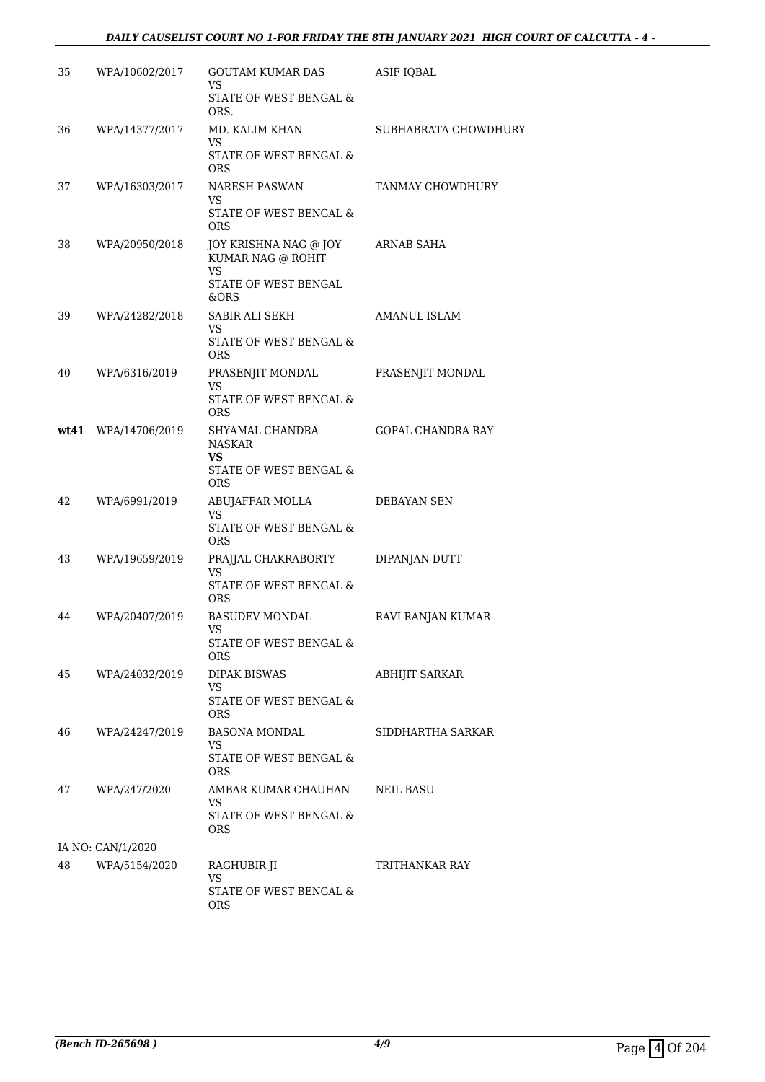#### *DAILY CAUSELIST COURT NO 1-FOR FRIDAY THE 8TH JANUARY 2021 HIGH COURT OF CALCUTTA - 4 -*

| 35 | WPA/10602/2017      | GOUTAM KUMAR DAS<br>VS                           | ASIF IQBAL               |
|----|---------------------|--------------------------------------------------|--------------------------|
|    |                     | STATE OF WEST BENGAL &<br>ORS.                   |                          |
| 36 | WPA/14377/2017      | MD. KALIM KHAN<br>VS                             | SUBHABRATA CHOWDHURY     |
|    |                     | STATE OF WEST BENGAL &<br><b>ORS</b>             |                          |
| 37 | WPA/16303/2017      | <b>NARESH PASWAN</b><br>VS                       | TANMAY CHOWDHURY         |
|    |                     | STATE OF WEST BENGAL &<br><b>ORS</b>             |                          |
| 38 | WPA/20950/2018      | JOY KRISHNA NAG @ JOY<br>KUMAR NAG @ ROHIT<br>VS | ARNAB SAHA               |
|    |                     | STATE OF WEST BENGAL<br>&ORS                     |                          |
| 39 | WPA/24282/2018      | SABIR ALI SEKH<br>VS                             | AMANUL ISLAM             |
|    |                     | STATE OF WEST BENGAL &<br><b>ORS</b>             |                          |
| 40 | WPA/6316/2019       | PRASENJIT MONDAL<br>VS                           | PRASENJIT MONDAL         |
|    |                     | STATE OF WEST BENGAL &<br><b>ORS</b>             |                          |
|    | wt41 WPA/14706/2019 | SHYAMAL CHANDRA<br><b>NASKAR</b><br>VS           | <b>GOPAL CHANDRA RAY</b> |
|    |                     | STATE OF WEST BENGAL &<br><b>ORS</b>             |                          |
| 42 | WPA/6991/2019       | ABUJAFFAR MOLLA<br>VS.                           | DEBAYAN SEN              |
|    |                     | STATE OF WEST BENGAL &<br><b>ORS</b>             |                          |
| 43 | WPA/19659/2019      | PRAJJAL CHAKRABORTY<br>VS                        | DIPANJAN DUTT            |
|    |                     | STATE OF WEST BENGAL &<br><b>ORS</b>             |                          |
| 44 | WPA/20407/2019      | <b>BASUDEV MONDAL</b><br>VS                      | RAVI RANJAN KUMAR        |
|    |                     | STATE OF WEST BENGAL &<br>ORS.                   |                          |
| 45 | WPA/24032/2019      | DIPAK BISWAS<br>VS                               | ABHIJIT SARKAR           |
|    |                     | STATE OF WEST BENGAL &<br>ORS.                   |                          |
| 46 | WPA/24247/2019      | BASONA MONDAL<br>VS.                             | SIDDHARTHA SARKAR        |
|    |                     | STATE OF WEST BENGAL &<br>ORS.                   |                          |
| 47 | WPA/247/2020        | AMBAR KUMAR CHAUHAN<br>VS.                       | <b>NEIL BASU</b>         |
|    |                     | STATE OF WEST BENGAL &<br>ORS.                   |                          |
|    | IA NO: CAN/1/2020   |                                                  |                          |
| 48 | WPA/5154/2020       | RAGHUBIR JI<br>VS.                               | TRITHANKAR RAY           |
|    |                     | STATE OF WEST BENGAL &<br>ORS                    |                          |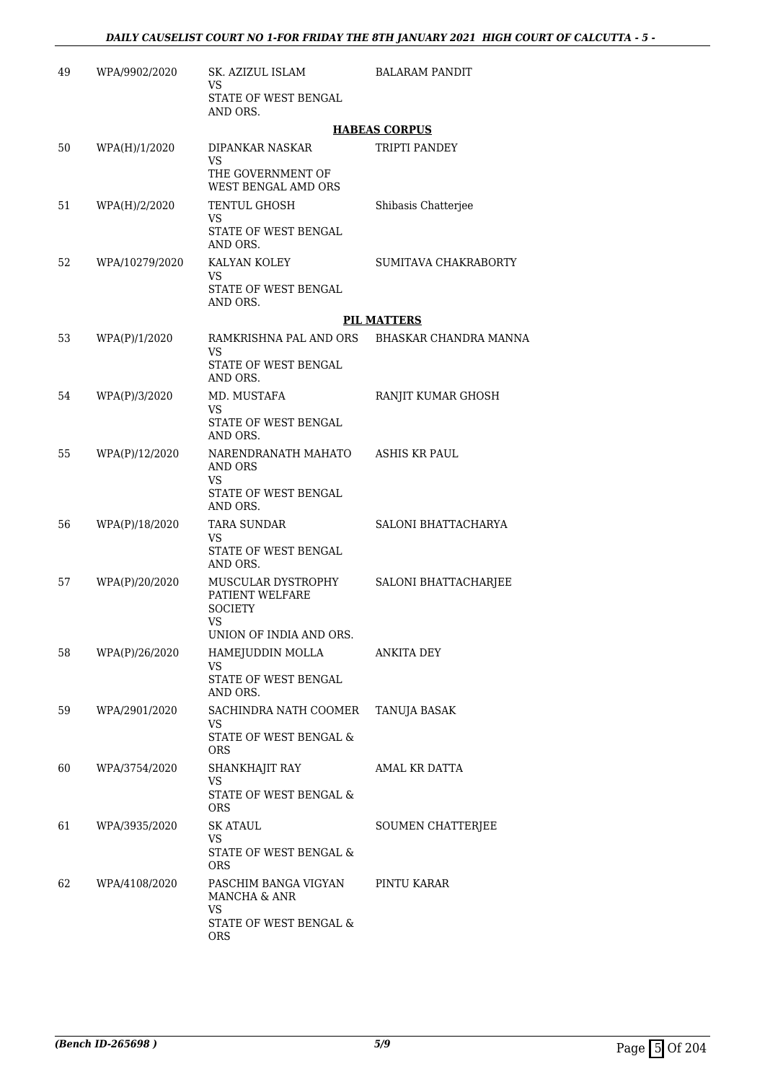| 49 | WPA/9902/2020  | SK. AZIZUL ISLAM<br>VS.                                                                         | <b>BALARAM PANDIT</b>                        |
|----|----------------|-------------------------------------------------------------------------------------------------|----------------------------------------------|
|    |                | STATE OF WEST BENGAL<br>AND ORS.                                                                |                                              |
|    |                |                                                                                                 | <b>HABEAS CORPUS</b>                         |
| 50 | WPA(H)/1/2020  | DIPANKAR NASKAR<br><b>VS</b>                                                                    | TRIPTI PANDEY                                |
|    |                | THE GOVERNMENT OF<br>WEST BENGAL AMD ORS                                                        |                                              |
| 51 | WPA(H)/2/2020  | <b>TENTUL GHOSH</b><br>VS<br>STATE OF WEST BENGAL                                               | Shibasis Chatterjee                          |
|    |                | AND ORS.                                                                                        |                                              |
| 52 | WPA/10279/2020 | KALYAN KOLEY<br>VS.<br>STATE OF WEST BENGAL                                                     | SUMITAVA CHAKRABORTY                         |
|    |                | AND ORS.                                                                                        |                                              |
|    |                |                                                                                                 | <b>PIL MATTERS</b>                           |
| 53 | WPA(P)/1/2020  | VS.<br>STATE OF WEST BENGAL<br>AND ORS.                                                         | RAMKRISHNA PAL AND ORS BHASKAR CHANDRA MANNA |
| 54 | WPA(P)/3/2020  | MD. MUSTAFA                                                                                     | RANJIT KUMAR GHOSH                           |
|    |                | VS.                                                                                             |                                              |
|    |                | STATE OF WEST BENGAL<br>AND ORS.                                                                |                                              |
| 55 | WPA(P)/12/2020 | NARENDRANATH MAHATO<br>AND ORS<br>VS                                                            | ASHIS KR PAUL                                |
|    |                | STATE OF WEST BENGAL<br>AND ORS.                                                                |                                              |
| 56 | WPA(P)/18/2020 | <b>TARA SUNDAR</b><br>VS.                                                                       | SALONI BHATTACHARYA                          |
|    |                | STATE OF WEST BENGAL<br>AND ORS.                                                                |                                              |
| 57 | WPA(P)/20/2020 | MUSCULAR DYSTROPHY<br>PATIENT WELFARE<br><b>SOCIETY</b><br><b>VS</b><br>UNION OF INDIA AND ORS. | SALONI BHATTACHARJEE                         |
| 58 | WPA(P)/26/2020 | HAMEJUDDIN MOLLA                                                                                | ANKITA DEY                                   |
|    |                | VS<br>STATE OF WEST BENGAL                                                                      |                                              |
|    |                | AND ORS.                                                                                        |                                              |
| 59 | WPA/2901/2020  | SACHINDRA NATH COOMER<br>VS.                                                                    | TANUJA BASAK                                 |
|    |                | STATE OF WEST BENGAL &<br><b>ORS</b>                                                            |                                              |
| 60 | WPA/3754/2020  | SHANKHAJIT RAY<br>VS                                                                            | AMAL KR DATTA                                |
|    |                | STATE OF WEST BENGAL &<br><b>ORS</b>                                                            |                                              |
| 61 | WPA/3935/2020  | SK ATAUL                                                                                        | SOUMEN CHATTERJEE                            |
|    |                | VS<br>STATE OF WEST BENGAL &<br><b>ORS</b>                                                      |                                              |
| 62 | WPA/4108/2020  | PASCHIM BANGA VIGYAN<br>MANCHA & ANR                                                            | PINTU KARAR                                  |
|    |                | VS<br>STATE OF WEST BENGAL &<br><b>ORS</b>                                                      |                                              |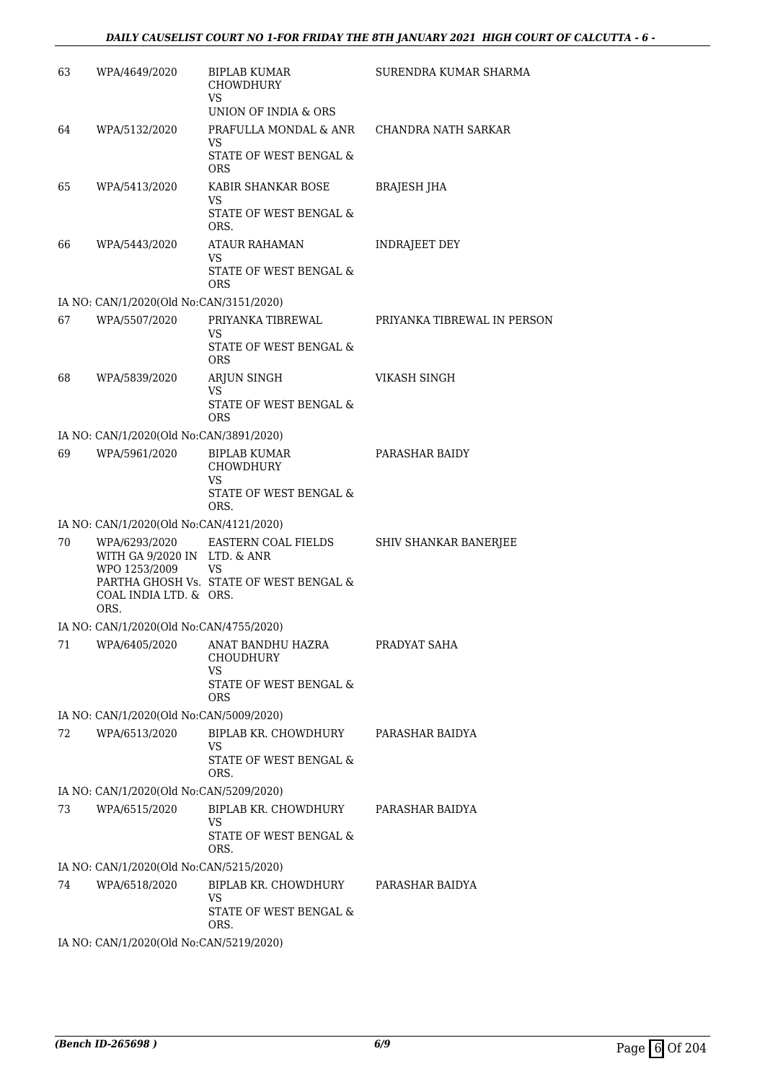#### *DAILY CAUSELIST COURT NO 1-FOR FRIDAY THE 8TH JANUARY 2021 HIGH COURT OF CALCUTTA - 6 -*

| 63 | WPA/4649/2020                                                                                    | BIPLAB KUMAR<br>CHOWDHURY<br><b>VS</b>                                   | SURENDRA KUMAR SHARMA       |
|----|--------------------------------------------------------------------------------------------------|--------------------------------------------------------------------------|-----------------------------|
|    |                                                                                                  | UNION OF INDIA & ORS                                                     |                             |
| 64 | WPA/5132/2020                                                                                    | PRAFULLA MONDAL & ANR<br><b>VS</b>                                       | CHANDRA NATH SARKAR         |
|    |                                                                                                  | STATE OF WEST BENGAL &<br><b>ORS</b>                                     |                             |
| 65 | WPA/5413/2020                                                                                    | KABIR SHANKAR BOSE<br>VS<br>STATE OF WEST BENGAL &<br>ORS.               | <b>BRAJESH JHA</b>          |
| 66 | WPA/5443/2020                                                                                    | <b>ATAUR RAHAMAN</b><br>VS<br>STATE OF WEST BENGAL &<br><b>ORS</b>       | INDRAJEET DEY               |
|    | IA NO: CAN/1/2020(Old No:CAN/3151/2020)                                                          |                                                                          |                             |
| 67 | WPA/5507/2020                                                                                    | PRIYANKA TIBREWAL<br>VS<br>STATE OF WEST BENGAL &                        | PRIYANKA TIBREWAL IN PERSON |
|    |                                                                                                  | <b>ORS</b>                                                               |                             |
| 68 | WPA/5839/2020                                                                                    | ARJUN SINGH<br>VS                                                        | <b>VIKASH SINGH</b>         |
|    |                                                                                                  | <b>STATE OF WEST BENGAL &amp;</b><br><b>ORS</b>                          |                             |
|    | IA NO: CAN/1/2020(Old No:CAN/3891/2020)                                                          |                                                                          |                             |
| 69 | WPA/5961/2020                                                                                    | <b>BIPLAB KUMAR</b><br>CHOWDHURY<br>VS<br>STATE OF WEST BENGAL &<br>ORS. | PARASHAR BAIDY              |
|    | IA NO: CAN/1/2020(Old No:CAN/4121/2020)                                                          |                                                                          |                             |
| 70 | WPA/6293/2020<br>WITH GA 9/2020 IN LTD. & ANR<br>WPO 1253/2009<br>COAL INDIA LTD. & ORS.<br>ORS. | EASTERN COAL FIELDS<br>VS<br>PARTHA GHOSH Vs. STATE OF WEST BENGAL &     | SHIV SHANKAR BANERJEE       |
|    | IA NO: CAN/1/2020(Old No:CAN/4755/2020)                                                          |                                                                          |                             |
| 71 | WPA/6405/2020                                                                                    | ANAT BANDHU HAZRA<br><b>CHOUDHURY</b><br><b>VS</b>                       | PRADYAT SAHA                |
|    |                                                                                                  | STATE OF WEST BENGAL &<br><b>ORS</b>                                     |                             |
|    | IA NO: CAN/1/2020(Old No:CAN/5009/2020)                                                          |                                                                          |                             |
| 72 | WPA/6513/2020                                                                                    | BIPLAB KR. CHOWDHURY<br>VS<br>STATE OF WEST BENGAL &                     | PARASHAR BAIDYA             |
|    |                                                                                                  | ORS.                                                                     |                             |
|    | IA NO: CAN/1/2020(Old No:CAN/5209/2020)                                                          |                                                                          |                             |
| 73 | WPA/6515/2020                                                                                    | BIPLAB KR. CHOWDHURY                                                     | PARASHAR BAIDYA             |
|    |                                                                                                  | VS<br>STATE OF WEST BENGAL &<br>ORS.                                     |                             |
|    | IA NO: CAN/1/2020(Old No:CAN/5215/2020)                                                          |                                                                          |                             |
| 74 | WPA/6518/2020                                                                                    | BIPLAB KR. CHOWDHURY                                                     | PARASHAR BAIDYA             |
|    |                                                                                                  | <b>VS</b><br>STATE OF WEST BENGAL &<br>ORS.                              |                             |
|    | IA NO: CAN/1/2020(Old No:CAN/5219/2020)                                                          |                                                                          |                             |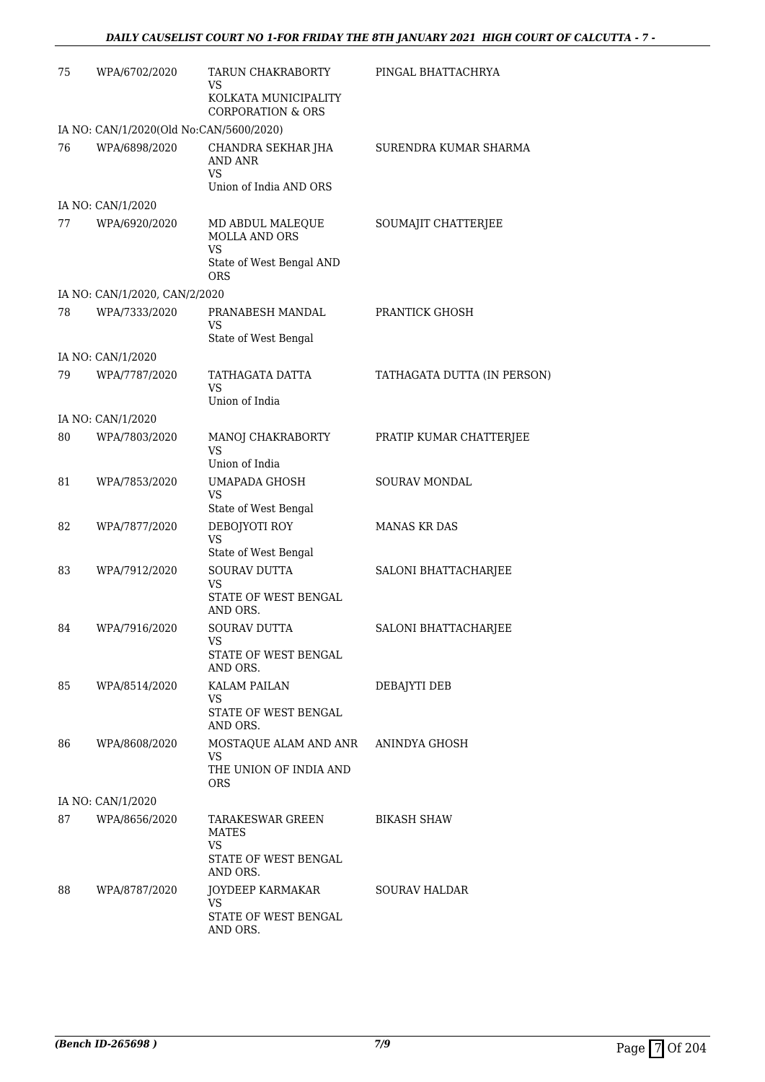| 75 | WPA/6702/2020                           | TARUN CHAKRABORTY<br>VS                                                                             | PINGAL BHATTACHRYA          |
|----|-----------------------------------------|-----------------------------------------------------------------------------------------------------|-----------------------------|
|    |                                         | KOLKATA MUNICIPALITY<br><b>CORPORATION &amp; ORS</b>                                                |                             |
|    | IA NO: CAN/1/2020(Old No:CAN/5600/2020) |                                                                                                     |                             |
| 76 | WPA/6898/2020                           | CHANDRA SEKHAR JHA<br><b>AND ANR</b><br><b>VS</b><br>Union of India AND ORS                         | SURENDRA KUMAR SHARMA       |
|    | IA NO: CAN/1/2020                       |                                                                                                     |                             |
| 77 | WPA/6920/2020                           | MD ABDUL MALEQUE<br><b>MOLLA AND ORS</b><br>VS<br>State of West Bengal AND<br><b>ORS</b>            | SOUMAJIT CHATTERJEE         |
|    | IA NO: CAN/1/2020, CAN/2/2020           |                                                                                                     |                             |
| 78 | WPA/7333/2020                           | PRANABESH MANDAL<br>VS<br>State of West Bengal                                                      | PRANTICK GHOSH              |
|    | IA NO: CAN/1/2020                       |                                                                                                     |                             |
| 79 | WPA/7787/2020                           | TATHAGATA DATTA<br>VS<br>Union of India                                                             | TATHAGATA DUTTA (IN PERSON) |
|    |                                         |                                                                                                     |                             |
| 80 | IA NO: CAN/1/2020<br>WPA/7803/2020      | MANOJ CHAKRABORTY<br><b>VS</b>                                                                      | PRATIP KUMAR CHATTERJEE     |
| 81 | WPA/7853/2020                           | Union of India<br><b>UMAPADA GHOSH</b><br><b>VS</b>                                                 | SOURAV MONDAL               |
| 82 | WPA/7877/2020                           | State of West Bengal<br>DEBOJYOTI ROY<br><b>VS</b>                                                  | <b>MANAS KR DAS</b>         |
| 83 | WPA/7912/2020                           | State of West Bengal<br><b>SOURAV DUTTA</b><br><b>VS</b><br><b>STATE OF WEST BENGAL</b><br>AND ORS. | SALONI BHATTACHARJEE        |
| 84 | WPA/7916/2020                           | SOURAV DUTTA<br>VS                                                                                  | <b>SALONI BHATTACHARJEE</b> |
|    |                                         | STATE OF WEST BENGAL<br>AND ORS.                                                                    |                             |
| 85 | WPA/8514/2020                           | <b>KALAM PAILAN</b><br>VS<br>STATE OF WEST BENGAL                                                   | DEBAJYTI DEB                |
| 86 | WPA/8608/2020                           | AND ORS.<br>MOSTAQUE ALAM AND ANR ANINDYA GHOSH<br>VS<br>THE UNION OF INDIA AND                     |                             |
|    |                                         | ORS.                                                                                                |                             |
|    | IA NO: CAN/1/2020                       |                                                                                                     |                             |
| 87 | WPA/8656/2020                           | TARAKESWAR GREEN<br><b>MATES</b><br><b>VS</b>                                                       | <b>BIKASH SHAW</b>          |
|    |                                         | STATE OF WEST BENGAL<br>AND ORS.                                                                    |                             |
| 88 | WPA/8787/2020                           | JOYDEEP KARMAKAR<br>VS<br>STATE OF WEST BENGAL                                                      | SOURAV HALDAR               |
|    |                                         | AND ORS.                                                                                            |                             |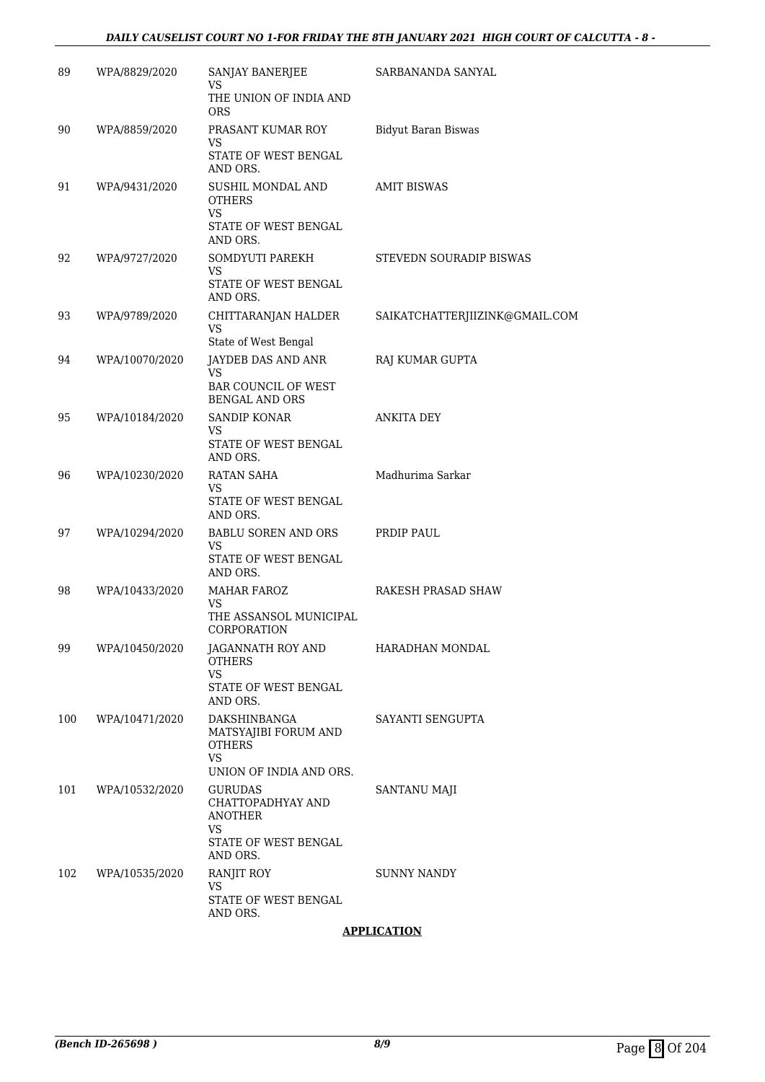#### *DAILY CAUSELIST COURT NO 1-FOR FRIDAY THE 8TH JANUARY 2021 HIGH COURT OF CALCUTTA - 8 -*

| 89  | WPA/8829/2020  | SANJAY BANERJEE<br>VS                                                               | SARBANANDA SANYAL              |
|-----|----------------|-------------------------------------------------------------------------------------|--------------------------------|
|     |                | THE UNION OF INDIA AND<br><b>ORS</b>                                                |                                |
| 90  | WPA/8859/2020  | PRASANT KUMAR ROY<br>VS                                                             | <b>Bidyut Baran Biswas</b>     |
|     |                | STATE OF WEST BENGAL<br>AND ORS.                                                    |                                |
| 91  | WPA/9431/2020  | SUSHIL MONDAL AND<br><b>OTHERS</b><br><b>VS</b><br>STATE OF WEST BENGAL<br>AND ORS. | <b>AMIT BISWAS</b>             |
| 92  | WPA/9727/2020  | SOMDYUTI PAREKH<br>VS.<br>STATE OF WEST BENGAL                                      | STEVEDN SOURADIP BISWAS        |
|     |                | AND ORS.                                                                            |                                |
| 93  | WPA/9789/2020  | CHITTARANJAN HALDER<br><b>VS</b><br>State of West Bengal                            | SAIKATCHATTERJIIZINK@GMAIL.COM |
| 94  | WPA/10070/2020 | JAYDEB DAS AND ANR                                                                  | RAJ KUMAR GUPTA                |
|     |                | <b>VS</b><br><b>BAR COUNCIL OF WEST</b><br><b>BENGAL AND ORS</b>                    |                                |
| 95  | WPA/10184/2020 | SANDIP KONAR                                                                        | <b>ANKITA DEY</b>              |
|     |                | VS<br>STATE OF WEST BENGAL<br>AND ORS.                                              |                                |
| 96  | WPA/10230/2020 | RATAN SAHA                                                                          | Madhurima Sarkar               |
|     |                | VS<br>STATE OF WEST BENGAL<br>AND ORS.                                              |                                |
| 97  | WPA/10294/2020 | BABLU SOREN AND ORS<br>VS                                                           | PRDIP PAUL                     |
|     |                | STATE OF WEST BENGAL<br>AND ORS.                                                    |                                |
| 98  | WPA/10433/2020 | <b>MAHAR FAROZ</b><br>VS.                                                           | RAKESH PRASAD SHAW             |
|     |                | THE ASSANSOL MUNICIPAL<br>CORPORATION                                               |                                |
| 99  | WPA/10450/2020 | JAGANNATH ROY AND<br><b>OTHERS</b><br><b>VS</b>                                     | HARADHAN MONDAL                |
|     |                | STATE OF WEST BENGAL<br>AND ORS.                                                    |                                |
| 100 | WPA/10471/2020 | DAKSHINBANGA<br>MATSYAJIBI FORUM AND<br><b>OTHERS</b>                               | SAYANTI SENGUPTA               |
|     |                | <b>VS</b><br>UNION OF INDIA AND ORS.                                                |                                |
| 101 | WPA/10532/2020 | <b>GURUDAS</b><br>CHATTOPADHYAY AND<br><b>ANOTHER</b><br><b>VS</b>                  | SANTANU MAJI                   |
|     |                | STATE OF WEST BENGAL<br>AND ORS.                                                    |                                |
| 102 | WPA/10535/2020 | RANJIT ROY                                                                          | SUNNY NANDY                    |
|     |                | VS<br>STATE OF WEST BENGAL<br>AND ORS.                                              |                                |
|     |                |                                                                                     | <b>APPLICATION</b>             |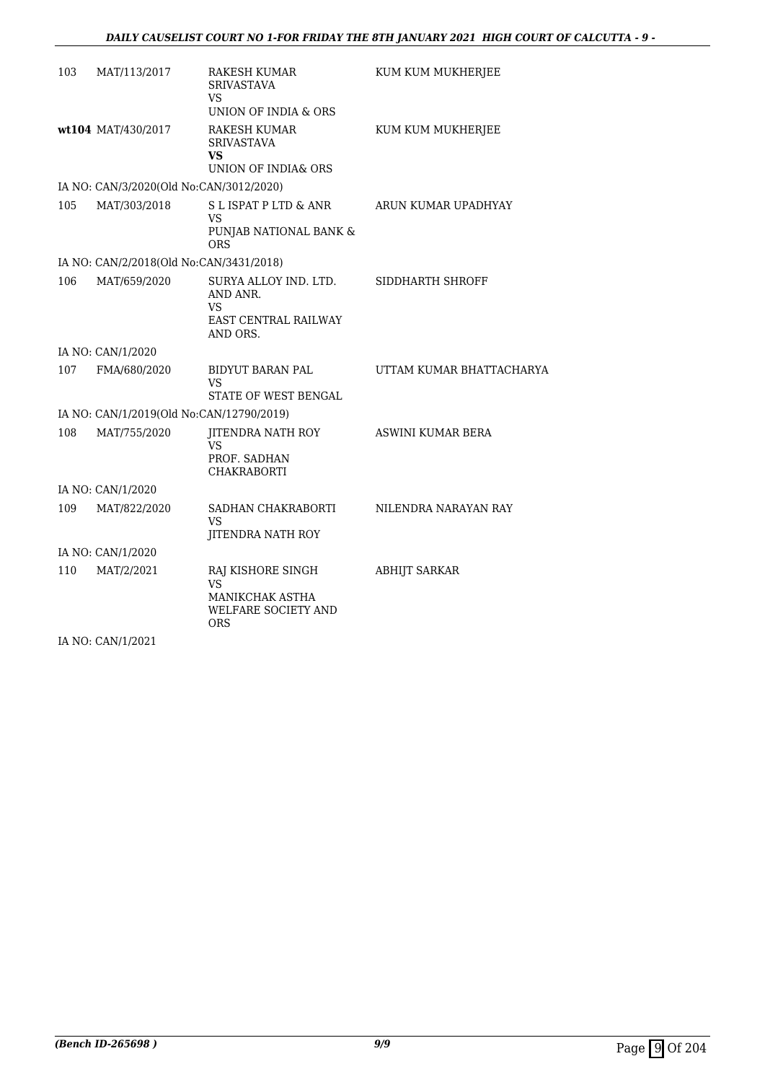| 103 | MAT/113/2017                             | RAKESH KUMAR<br><b>SRIVASTAVA</b><br>VS<br>UNION OF INDIA & ORS                                      | KUM KUM MUKHERJEE        |
|-----|------------------------------------------|------------------------------------------------------------------------------------------------------|--------------------------|
|     | wt104 MAT/430/2017                       | <b>RAKESH KUMAR</b><br><b>SRIVASTAVA</b><br>VS<br>UNION OF INDIA& ORS                                | KUM KUM MUKHERJEE        |
|     | IA NO: CAN/3/2020(Old No:CAN/3012/2020)  |                                                                                                      |                          |
| 105 | MAT/303/2018                             | S L ISPAT P LTD & ANR<br>VS<br>PUNJAB NATIONAL BANK &<br><b>ORS</b>                                  | ARUN KUMAR UPADHYAY      |
|     | IA NO: CAN/2/2018(Old No:CAN/3431/2018)  |                                                                                                      |                          |
| 106 | MAT/659/2020                             | SURYA ALLOY IND. LTD.<br>AND ANR.<br><b>VS</b><br><b>EAST CENTRAL RAILWAY</b><br>AND ORS.            | SIDDHARTH SHROFF         |
|     | IA NO: CAN/1/2020                        |                                                                                                      |                          |
| 107 | FMA/680/2020                             | BIDYUT BARAN PAL<br>VS<br>STATE OF WEST BENGAL                                                       | UTTAM KUMAR BHATTACHARYA |
|     | IA NO: CAN/1/2019(Old No:CAN/12790/2019) |                                                                                                      |                          |
| 108 | MAT/755/2020                             | JITENDRA NATH ROY<br>VS<br>PROF. SADHAN<br><b>CHAKRABORTI</b>                                        | ASWINI KUMAR BERA        |
|     | IA NO: CAN/1/2020                        |                                                                                                      |                          |
| 109 | MAT/822/2020                             | SADHAN CHAKRABORTI<br>VS<br><b>JITENDRA NATH ROY</b>                                                 | NILENDRA NARAYAN RAY     |
|     | IA NO: CAN/1/2020                        |                                                                                                      |                          |
| 110 | MAT/2/2021                               | RAJ KISHORE SINGH<br><b>VS</b><br><b>MANIKCHAK ASTHA</b><br><b>WELFARE SOCIETY AND</b><br><b>ORS</b> | <b>ABHIJT SARKAR</b>     |
|     | IA NO: CAN/1/2021                        |                                                                                                      |                          |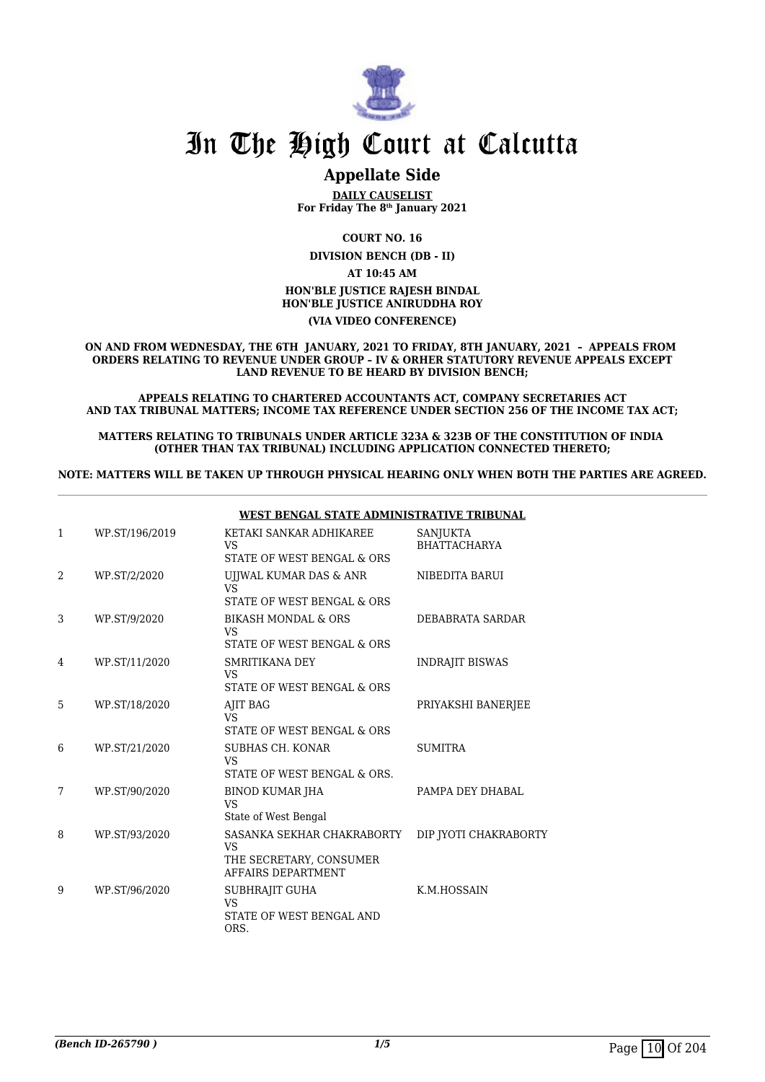

### **Appellate Side**

**DAILY CAUSELIST For Friday The 8th January 2021**

**COURT NO. 16**

**DIVISION BENCH (DB - II)**

**AT 10:45 AM**

#### **HON'BLE JUSTICE RAJESH BINDAL HON'BLE JUSTICE ANIRUDDHA ROY**

**(VIA VIDEO CONFERENCE)**

**ON AND FROM WEDNESDAY, THE 6TH JANUARY, 2021 TO FRIDAY, 8TH JANUARY, 2021 – APPEALS FROM ORDERS RELATING TO REVENUE UNDER GROUP – IV & ORHER STATUTORY REVENUE APPEALS EXCEPT LAND REVENUE TO BE HEARD BY DIVISION BENCH;**

**APPEALS RELATING TO CHARTERED ACCOUNTANTS ACT, COMPANY SECRETARIES ACT AND TAX TRIBUNAL MATTERS; INCOME TAX REFERENCE UNDER SECTION 256 OF THE INCOME TAX ACT;**

**MATTERS RELATING TO TRIBUNALS UNDER ARTICLE 323A & 323B OF THE CONSTITUTION OF INDIA (OTHER THAN TAX TRIBUNAL) INCLUDING APPLICATION CONNECTED THERETO;**

**NOTE: MATTERS WILL BE TAKEN UP THROUGH PHYSICAL HEARING ONLY WHEN BOTH THE PARTIES ARE AGREED.**

|   |                | <u>WEST BENGAL STATE ADMINISTRATIVE TRIBUNAL</u>                                         |                                        |
|---|----------------|------------------------------------------------------------------------------------------|----------------------------------------|
| 1 | WP.ST/196/2019 | KETAKI SANKAR ADHIKAREE<br>VS                                                            | <b>SANJUKTA</b><br><b>BHATTACHARYA</b> |
|   |                | STATE OF WEST BENGAL & ORS                                                               |                                        |
| 2 | WP.ST/2/2020   | UJJWAL KUMAR DAS & ANR<br><b>VS</b><br>STATE OF WEST BENGAL & ORS                        | NIBEDITA BARUI                         |
|   |                |                                                                                          |                                        |
| 3 | WP.ST/9/2020   | <b>BIKASH MONDAL &amp; ORS</b><br>VS.                                                    | DEBABRATA SARDAR                       |
|   |                | STATE OF WEST BENGAL & ORS                                                               |                                        |
| 4 | WP.ST/11/2020  | SMRITIKANA DEY<br><b>VS</b>                                                              | <b>INDRAJIT BISWAS</b>                 |
|   |                | STATE OF WEST BENGAL & ORS                                                               |                                        |
| 5 | WP.ST/18/2020  | AJIT BAG<br><b>VS</b><br>STATE OF WEST BENGAL & ORS                                      | PRIYAKSHI BANERJEE                     |
| 6 | WP.ST/21/2020  | SUBHAS CH. KONAR<br><b>VS</b><br>STATE OF WEST BENGAL & ORS.                             | <b>SUMITRA</b>                         |
| 7 | WP.ST/90/2020  | <b>BINOD KUMAR JHA</b><br><b>VS</b><br>State of West Bengal                              | PAMPA DEY DHABAL                       |
| 8 | WP.ST/93/2020  | SASANKA SEKHAR CHAKRABORTY<br><b>VS</b><br>THE SECRETARY, CONSUMER<br>AFFAIRS DEPARTMENT | DIP JYOTI CHAKRABORTY                  |
| 9 | WP.ST/96/2020  | SUBHRAJIT GUHA<br><b>VS</b><br>STATE OF WEST BENGAL AND<br>ORS.                          | K.M.HOSSAIN                            |

#### **WEST BENGAL STATE ADMINISTRATIVE TRIBUNAL**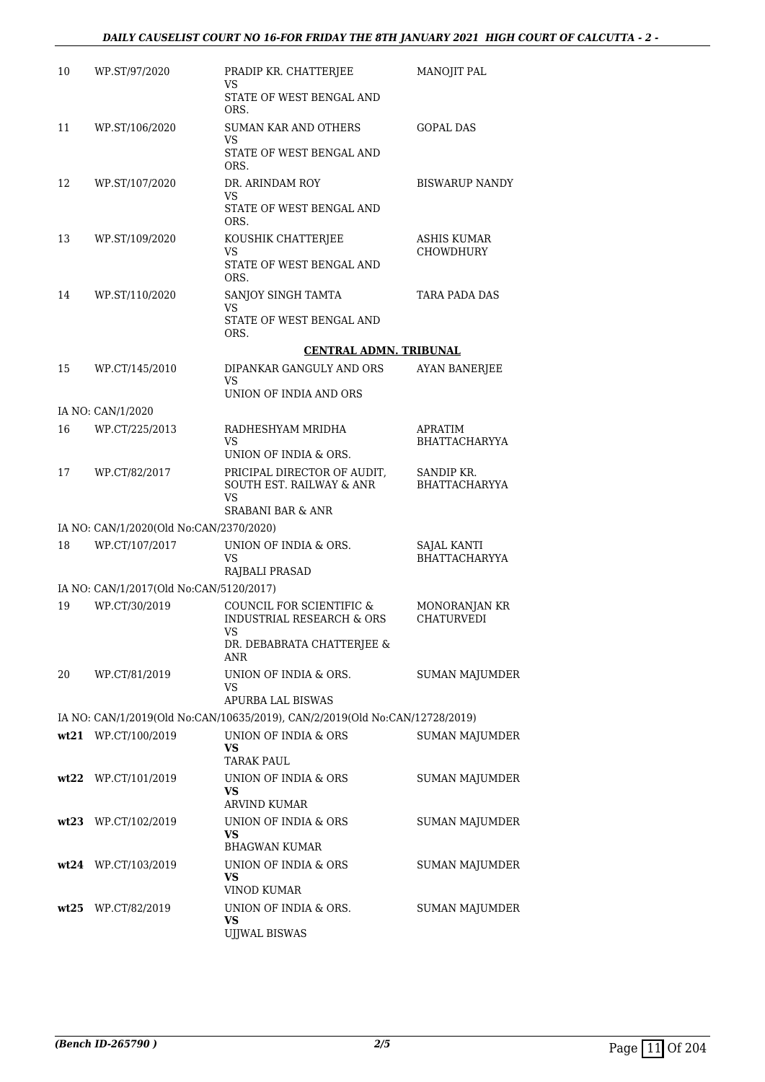| 10 | WP.ST/97/2020                           | PRADIP KR. CHATTERJEE                                                                                       | MANOJIT PAL                         |
|----|-----------------------------------------|-------------------------------------------------------------------------------------------------------------|-------------------------------------|
|    |                                         | VS<br>STATE OF WEST BENGAL AND                                                                              |                                     |
| 11 | WP.ST/106/2020                          | ORS.<br><b>SUMAN KAR AND OTHERS</b>                                                                         | <b>GOPAL DAS</b>                    |
|    |                                         | VS<br>STATE OF WEST BENGAL AND<br>ORS.                                                                      |                                     |
| 12 | WP.ST/107/2020                          | DR. ARINDAM ROY<br>VS                                                                                       | <b>BISWARUP NANDY</b>               |
|    |                                         | STATE OF WEST BENGAL AND<br>ORS.                                                                            |                                     |
| 13 | WP.ST/109/2020                          | KOUSHIK CHATTERJEE<br>VS                                                                                    | ASHIS KUMAR<br>CHOWDHURY            |
|    |                                         | STATE OF WEST BENGAL AND<br>ORS.                                                                            |                                     |
| 14 | WP.ST/110/2020                          | SANJOY SINGH TAMTA<br>VS                                                                                    | TARA PADA DAS                       |
|    |                                         | STATE OF WEST BENGAL AND<br>ORS.                                                                            |                                     |
|    |                                         | <b>CENTRAL ADMN. TRIBUNAL</b>                                                                               |                                     |
| 15 | WP.CT/145/2010                          | DIPANKAR GANGULY AND ORS                                                                                    | <b>AYAN BANERJEE</b>                |
|    |                                         | VS<br>UNION OF INDIA AND ORS                                                                                |                                     |
|    | IA NO: CAN/1/2020                       |                                                                                                             |                                     |
| 16 | WP.CT/225/2013                          | RADHESHYAM MRIDHA<br>VS                                                                                     | APRATIM<br>BHATTACHARYYA            |
|    |                                         | UNION OF INDIA & ORS.                                                                                       |                                     |
| 17 | WP.CT/82/2017                           | PRICIPAL DIRECTOR OF AUDIT,<br><b>SOUTH EST. RAILWAY &amp; ANR</b><br>VS                                    | SANDIP KR.<br><b>BHATTACHARYYA</b>  |
|    |                                         | <b>SRABANI BAR &amp; ANR</b>                                                                                |                                     |
|    | IA NO: CAN/1/2020(Old No:CAN/2370/2020) |                                                                                                             |                                     |
| 18 | WP.CT/107/2017                          | UNION OF INDIA & ORS.<br>VS                                                                                 | SAJAL KANTI<br><b>BHATTACHARYYA</b> |
|    |                                         | RAJBALI PRASAD                                                                                              |                                     |
|    | IA NO: CAN/1/2017(Old No:CAN/5120/2017) |                                                                                                             |                                     |
| 19 | WP.CT/30/2019                           | COUNCIL FOR SCIENTIFIC &<br><b>INDUSTRIAL RESEARCH &amp; ORS</b><br><b>VS</b><br>DR. DEBABRATA CHATTERJEE & | MONORANJAN KR<br><b>CHATURVEDI</b>  |
|    |                                         | ANR                                                                                                         |                                     |
| 20 | WP.CT/81/2019                           | UNION OF INDIA & ORS.<br>VS                                                                                 | SUMAN MAJUMDER                      |
|    |                                         | APURBA LAL BISWAS                                                                                           |                                     |
|    |                                         | IA NO: CAN/1/2019(Old No:CAN/10635/2019), CAN/2/2019(Old No:CAN/12728/2019)                                 |                                     |
|    | wt21 WP.CT/100/2019                     | UNION OF INDIA & ORS<br><b>VS</b><br><b>TARAK PAUL</b>                                                      | <b>SUMAN MAJUMDER</b>               |
|    | wt22 WP.CT/101/2019                     | UNION OF INDIA & ORS<br>VS                                                                                  | SUMAN MAJUMDER                      |
|    |                                         | ARVIND KUMAR                                                                                                |                                     |
|    | wt23 WP.CT/102/2019                     | UNION OF INDIA & ORS<br>VS                                                                                  | SUMAN MAJUMDER                      |
|    |                                         | <b>BHAGWAN KUMAR</b>                                                                                        |                                     |
|    | wt24 WP.CT/103/2019                     | UNION OF INDIA & ORS<br>VS<br><b>VINOD KUMAR</b>                                                            | SUMAN MAJUMDER                      |
|    | wt25 WP.CT/82/2019                      | UNION OF INDIA & ORS.                                                                                       | <b>SUMAN MAJUMDER</b>               |
|    |                                         | <b>VS</b><br>UJJWAL BISWAS                                                                                  |                                     |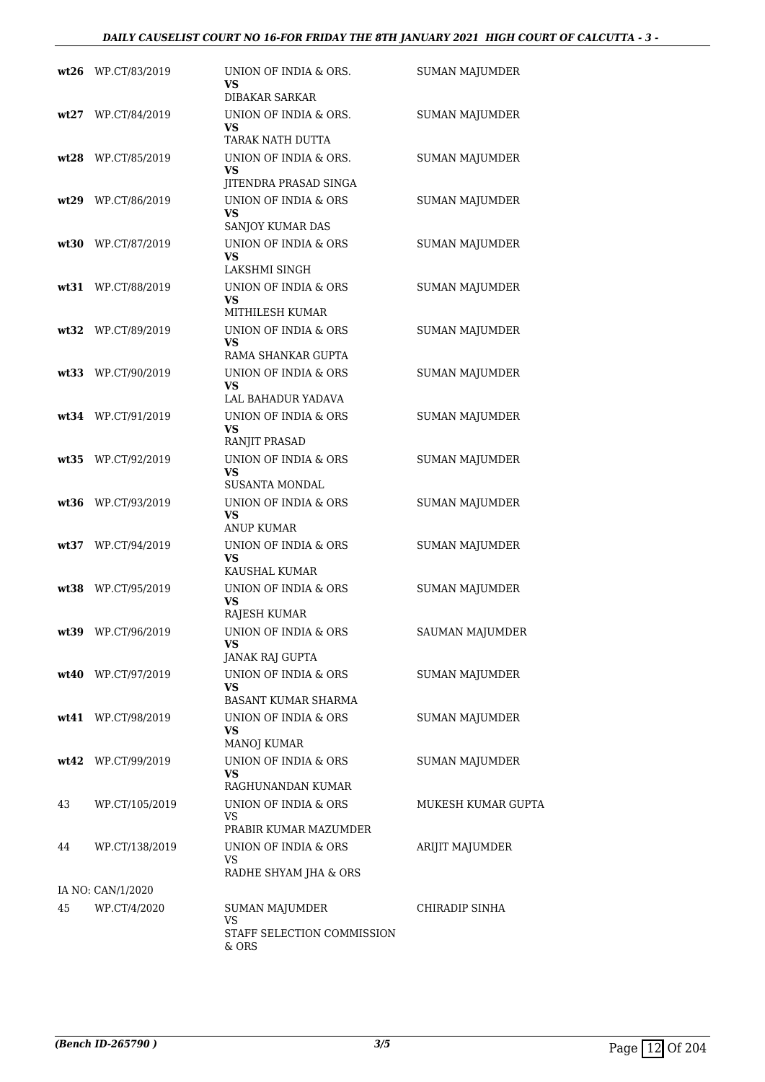|      | wt26 WP.CT/83/2019 | UNION OF INDIA & ORS.<br>VS<br>DIBAKAR SARKAR                      | <b>SUMAN MAJUMDER</b> |
|------|--------------------|--------------------------------------------------------------------|-----------------------|
|      | wt27 WP.CT/84/2019 | UNION OF INDIA & ORS.<br>VS<br>TARAK NATH DUTTA                    | <b>SUMAN MAJUMDER</b> |
|      | wt28 WP.CT/85/2019 | UNION OF INDIA & ORS.<br><b>VS</b><br>JITENDRA PRASAD SINGA        | <b>SUMAN MAJUMDER</b> |
|      | wt29 WP.CT/86/2019 | UNION OF INDIA & ORS<br>VS<br>SANJOY KUMAR DAS                     | <b>SUMAN MAJUMDER</b> |
|      | wt30 WP.CT/87/2019 | UNION OF INDIA & ORS<br>VS<br>LAKSHMI SINGH                        | <b>SUMAN MAJUMDER</b> |
|      | wt31 WP.CT/88/2019 | UNION OF INDIA & ORS<br>VS<br>MITHILESH KUMAR                      | <b>SUMAN MAJUMDER</b> |
|      | wt32 WP.CT/89/2019 | UNION OF INDIA & ORS<br><b>VS</b><br>RAMA SHANKAR GUPTA            | <b>SUMAN MAJUMDER</b> |
|      | wt33 WP.CT/90/2019 | UNION OF INDIA & ORS<br><b>VS</b><br>LAL BAHADUR YADAVA            | <b>SUMAN MAJUMDER</b> |
|      | wt34 WP.CT/91/2019 | UNION OF INDIA & ORS<br><b>VS</b><br>RANJIT PRASAD                 | <b>SUMAN MAJUMDER</b> |
| wt35 | WP.CT/92/2019      | UNION OF INDIA & ORS<br>VS<br><b>SUSANTA MONDAL</b>                | <b>SUMAN MAJUMDER</b> |
|      | wt36 WP.CT/93/2019 | UNION OF INDIA & ORS<br>VS<br><b>ANUP KUMAR</b>                    | <b>SUMAN MAJUMDER</b> |
|      | wt37 WP.CT/94/2019 | UNION OF INDIA & ORS<br>VS                                         | <b>SUMAN MAJUMDER</b> |
|      | wt38 WP.CT/95/2019 | KAUSHAL KUMAR<br>UNION OF INDIA & ORS<br><b>VS</b><br>RAJESH KUMAR | <b>SUMAN MAJUMDER</b> |
| wt39 | WP.CT/96/2019      | UNION OF INDIA & ORS<br>VS.<br>JANAK RAJ GUPTA                     | SAUMAN MAJUMDER       |
|      | wt40 WP.CT/97/2019 | UNION OF INDIA & ORS<br>VS<br><b>BASANT KUMAR SHARMA</b>           | SUMAN MAJUMDER        |
|      | wt41 WP.CT/98/2019 | UNION OF INDIA & ORS<br>VS<br>MANOJ KUMAR                          | SUMAN MAJUMDER        |
|      | wt42 WP.CT/99/2019 | UNION OF INDIA & ORS<br>VS<br>RAGHUNANDAN KUMAR                    | SUMAN MAJUMDER        |
| 43   | WP.CT/105/2019     | UNION OF INDIA & ORS<br>VS<br>PRABIR KUMAR MAZUMDER                | MUKESH KUMAR GUPTA    |
| 44   | WP.CT/138/2019     | UNION OF INDIA & ORS<br>VS.                                        | ARIJIT MAJUMDER       |
|      | IA NO: CAN/1/2020  | RADHE SHYAM JHA & ORS                                              |                       |
| 45   | WP.CT/4/2020       | SUMAN MAJUMDER<br>VS<br>STAFF SELECTION COMMISSION<br>& ORS        | CHIRADIP SINHA        |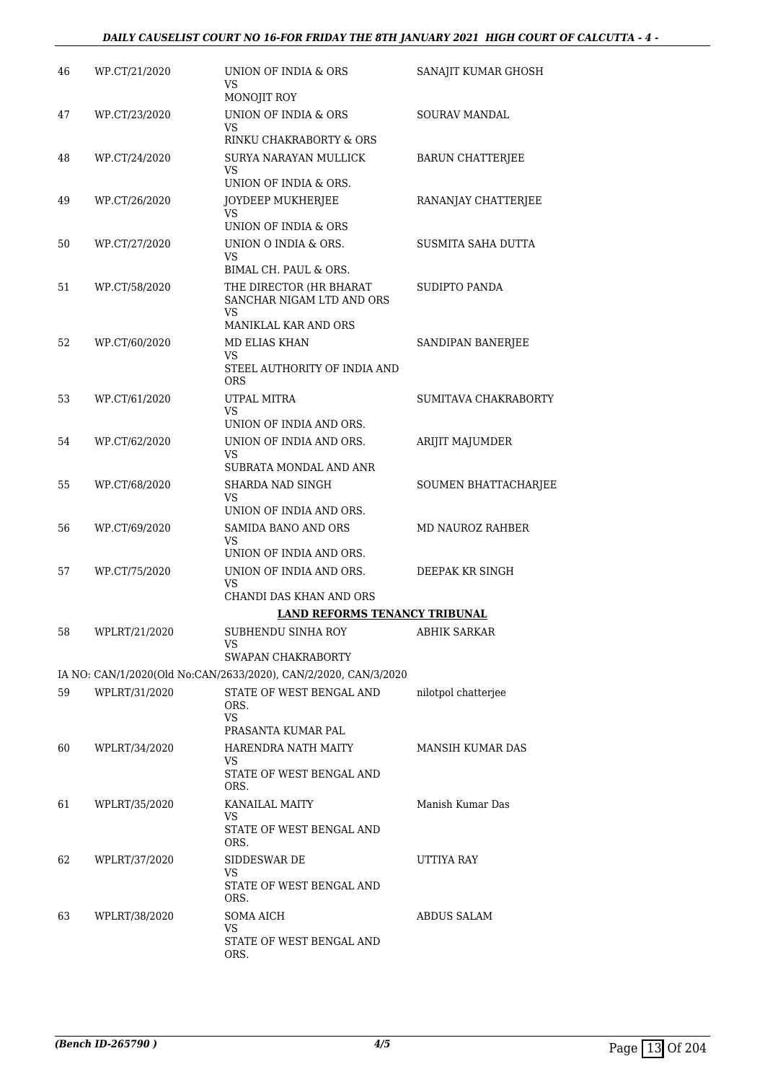| 46 | WP.CT/21/2020 | UNION OF INDIA & ORS<br><b>VS</b><br>MONOJIT ROY                                          | SANAJIT KUMAR GHOSH     |
|----|---------------|-------------------------------------------------------------------------------------------|-------------------------|
| 47 | WP.CT/23/2020 | UNION OF INDIA & ORS<br>VS<br>RINKU CHAKRABORTY & ORS                                     | SOURAV MANDAL           |
| 48 | WP.CT/24/2020 | SURYA NARAYAN MULLICK<br>VS.                                                              | <b>BARUN CHATTERJEE</b> |
| 49 | WP.CT/26/2020 | UNION OF INDIA & ORS.<br>JOYDEEP MUKHERJEE<br>VS<br>UNION OF INDIA & ORS                  | RANANJAY CHATTERJEE     |
| 50 | WP.CT/27/2020 | UNION O INDIA & ORS.<br>VS<br>BIMAL CH. PAUL & ORS.                                       | SUSMITA SAHA DUTTA      |
| 51 | WP.CT/58/2020 | THE DIRECTOR (HR BHARAT<br>SANCHAR NIGAM LTD AND ORS<br><b>VS</b><br>MANIKLAL KAR AND ORS | SUDIPTO PANDA           |
| 52 | WP.CT/60/2020 | MD ELIAS KHAN<br>VS.<br>STEEL AUTHORITY OF INDIA AND<br><b>ORS</b>                        | SANDIPAN BANERJEE       |
| 53 | WP.CT/61/2020 | UTPAL MITRA<br>VS<br>UNION OF INDIA AND ORS.                                              | SUMITAVA CHAKRABORTY    |
| 54 | WP.CT/62/2020 | UNION OF INDIA AND ORS.<br>VS<br>SUBRATA MONDAL AND ANR                                   | ARIJIT MAJUMDER         |
| 55 | WP.CT/68/2020 | SHARDA NAD SINGH<br>VS<br>UNION OF INDIA AND ORS.                                         | SOUMEN BHATTACHARJEE    |
| 56 | WP.CT/69/2020 | SAMIDA BANO AND ORS<br>VS<br>UNION OF INDIA AND ORS.                                      | <b>MD NAUROZ RAHBER</b> |
| 57 | WP.CT/75/2020 | UNION OF INDIA AND ORS.<br>VS<br>CHANDI DAS KHAN AND ORS                                  | DEEPAK KR SINGH         |
|    |               | <b>LAND REFORMS TENANCY TRIBUNAL</b>                                                      |                         |
| 58 | WPLRT/21/2020 | SUBHENDU SINHA ROY<br>VS                                                                  | <b>ABHIK SARKAR</b>     |
|    |               | SWAPAN CHAKRABORTY<br>IA NO: CAN/1/2020(Old No:CAN/2633/2020), CAN/2/2020, CAN/3/2020     |                         |
| 59 | WPLRT/31/2020 | STATE OF WEST BENGAL AND<br>ORS.<br><b>VS</b>                                             | nilotpol chatterjee     |
|    |               | PRASANTA KUMAR PAL                                                                        |                         |
| 60 | WPLRT/34/2020 | HARENDRA NATH MAITY<br>VS.<br>STATE OF WEST BENGAL AND<br>ORS.                            | MANSIH KUMAR DAS        |
| 61 | WPLRT/35/2020 | KANAILAL MAITY<br>VS.<br>STATE OF WEST BENGAL AND<br>ORS.                                 | Manish Kumar Das        |
| 62 | WPLRT/37/2020 | SIDDESWAR DE<br>VS<br>STATE OF WEST BENGAL AND<br>ORS.                                    | UTTIYA RAY              |
| 63 | WPLRT/38/2020 | <b>SOMA AICH</b><br>VS<br>STATE OF WEST BENGAL AND<br>ORS.                                | ABDUS SALAM             |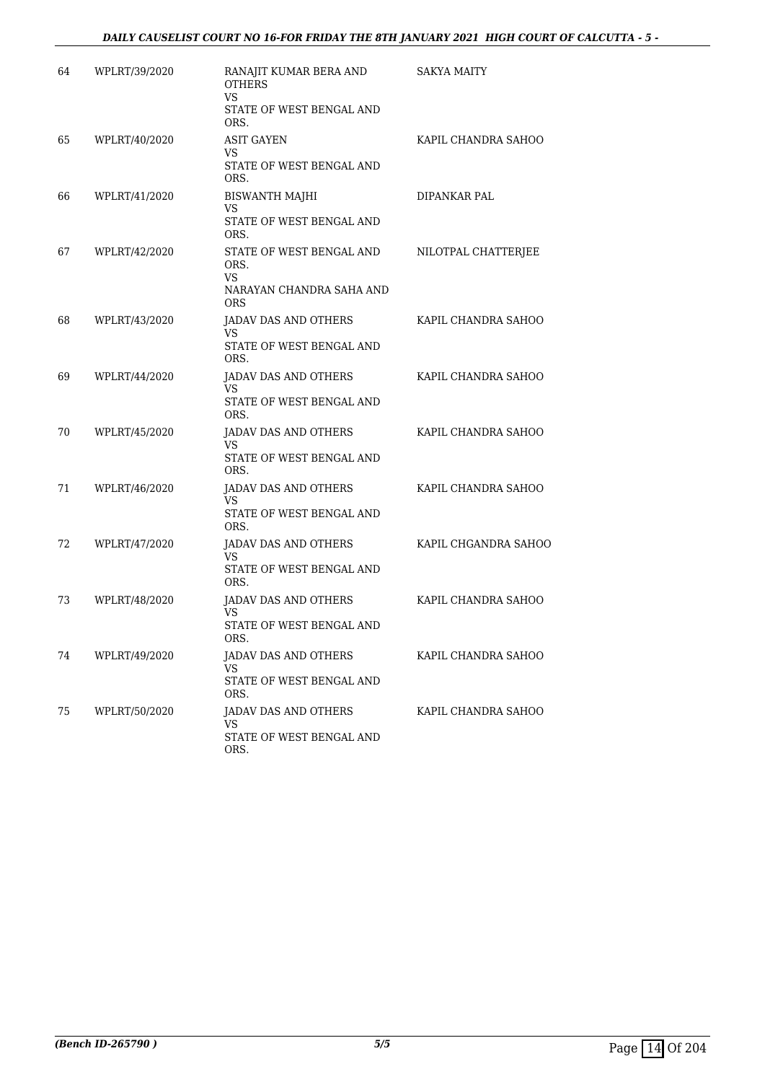| 64 | WPLRT/39/2020 | RANAJIT KUMAR BERA AND<br><b>OTHERS</b><br>VS.<br>STATE OF WEST BENGAL AND<br>ORS. | SAKYA MAITY          |
|----|---------------|------------------------------------------------------------------------------------|----------------------|
| 65 | WPLRT/40/2020 | <b>ASIT GAYEN</b><br><b>VS</b><br>STATE OF WEST BENGAL AND<br>ORS.                 | KAPIL CHANDRA SAHOO  |
| 66 | WPLRT/41/2020 | BISWANTH MAJHI<br>VS<br>STATE OF WEST BENGAL AND<br>ORS.                           | <b>DIPANKAR PAL</b>  |
| 67 | WPLRT/42/2020 | STATE OF WEST BENGAL AND<br>ORS.<br>VS<br>NARAYAN CHANDRA SAHA AND<br>ORS          | NILOTPAL CHATTERJEE  |
| 68 | WPLRT/43/2020 | JADAV DAS AND OTHERS<br>VS.<br>STATE OF WEST BENGAL AND<br>ORS.                    | KAPIL CHANDRA SAHOO  |
| 69 | WPLRT/44/2020 | JADAV DAS AND OTHERS<br>VS.<br>STATE OF WEST BENGAL AND<br>ORS.                    | KAPIL CHANDRA SAHOO  |
| 70 | WPLRT/45/2020 | <b>JADAV DAS AND OTHERS</b><br>VS.<br>STATE OF WEST BENGAL AND<br>ORS.             | KAPIL CHANDRA SAHOO  |
| 71 | WPLRT/46/2020 | JADAV DAS AND OTHERS<br>VS<br>STATE OF WEST BENGAL AND<br>ORS.                     | KAPIL CHANDRA SAHOO  |
| 72 | WPLRT/47/2020 | JADAV DAS AND OTHERS<br>VS<br>STATE OF WEST BENGAL AND<br>ORS.                     | KAPIL CHGANDRA SAHOO |
| 73 | WPLRT/48/2020 | JADAV DAS AND OTHERS<br>VS<br>STATE OF WEST BENGAL AND<br>ORS.                     | KAPIL CHANDRA SAHOO  |
| 74 | WPLRT/49/2020 | JADAV DAS AND OTHERS<br>VS<br>STATE OF WEST BENGAL AND<br>ORS.                     | KAPIL CHANDRA SAHOO  |
| 75 | WPLRT/50/2020 | JADAV DAS AND OTHERS<br>VS<br>STATE OF WEST BENGAL AND<br>ORS.                     | KAPIL CHANDRA SAHOO  |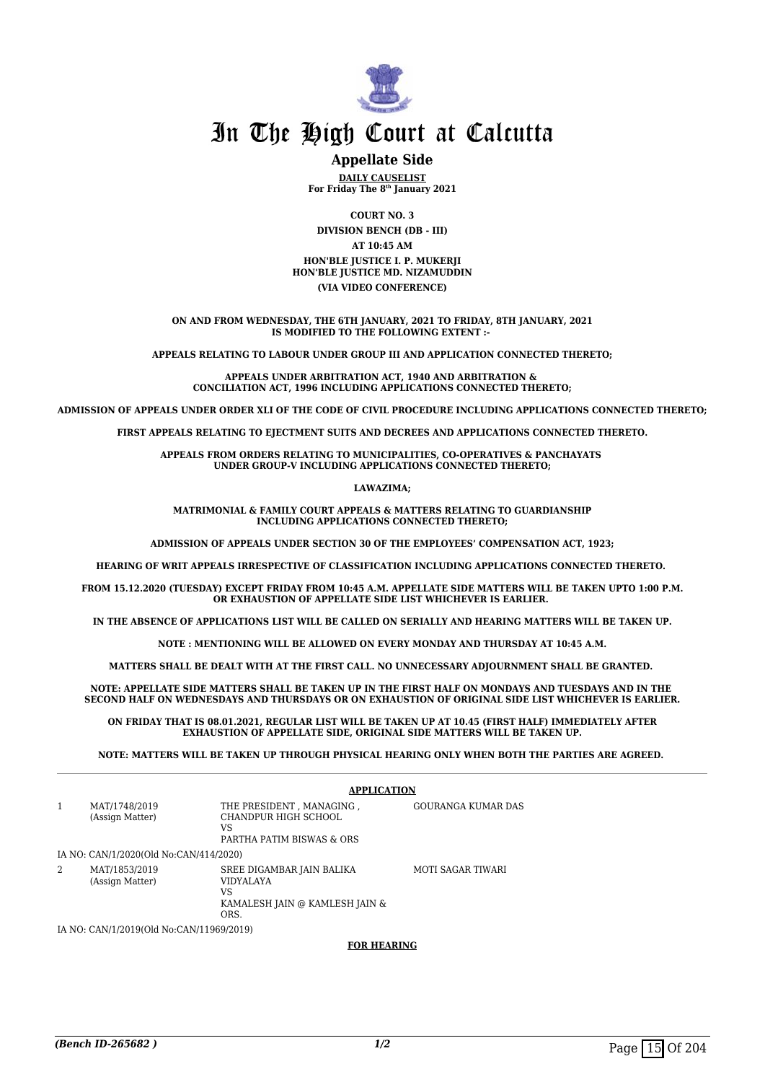

#### **Appellate Side**

**DAILY CAUSELIST For Friday The 8th January 2021**

**COURT NO. 3 DIVISION BENCH (DB - III) AT 10:45 AM HON'BLE JUSTICE I. P. MUKERJI HON'BLE JUSTICE MD. NIZAMUDDIN (VIA VIDEO CONFERENCE)**

**ON AND FROM WEDNESDAY, THE 6TH JANUARY, 2021 TO FRIDAY, 8TH JANUARY, 2021 IS MODIFIED TO THE FOLLOWING EXTENT :-** 

**APPEALS RELATING TO LABOUR UNDER GROUP III AND APPLICATION CONNECTED THERETO;**

**APPEALS UNDER ARBITRATION ACT, 1940 AND ARBITRATION & CONCILIATION ACT, 1996 INCLUDING APPLICATIONS CONNECTED THERETO;**

**ADMISSION OF APPEALS UNDER ORDER XLI OF THE CODE OF CIVIL PROCEDURE INCLUDING APPLICATIONS CONNECTED THERETO;**

FIRST APPEALS RELATING TO EIECTMENT SUITS AND DECREES AND APPLICATIONS CONNECTED THERETO.

**APPEALS FROM ORDERS RELATING TO MUNICIPALITIES, CO-OPERATIVES & PANCHAYATS UNDER GROUP-V INCLUDING APPLICATIONS CONNECTED THERETO;**

**LAWAZIMA;**

**MATRIMONIAL & FAMILY COURT APPEALS & MATTERS RELATING TO GUARDIANSHIP INCLUDING APPLICATIONS CONNECTED THERETO;**

**ADMISSION OF APPEALS UNDER SECTION 30 OF THE EMPLOYEES' COMPENSATION ACT, 1923;**

**HEARING OF WRIT APPEALS IRRESPECTIVE OF CLASSIFICATION INCLUDING APPLICATIONS CONNECTED THERETO.** 

**FROM 15.12.2020 (TUESDAY) EXCEPT FRIDAY FROM 10:45 A.M. APPELLATE SIDE MATTERS WILL BE TAKEN UPTO 1:00 P.M. OR EXHAUSTION OF APPELLATE SIDE LIST WHICHEVER IS EARLIER.** 

**IN THE ABSENCE OF APPLICATIONS LIST WILL BE CALLED ON SERIALLY AND HEARING MATTERS WILL BE TAKEN UP.**

**NOTE : MENTIONING WILL BE ALLOWED ON EVERY MONDAY AND THURSDAY AT 10:45 A.M.**

**MATTERS SHALL BE DEALT WITH AT THE FIRST CALL. NO UNNECESSARY ADJOURNMENT SHALL BE GRANTED.** 

**NOTE: APPELLATE SIDE MATTERS SHALL BE TAKEN UP IN THE FIRST HALF ON MONDAYS AND TUESDAYS AND IN THE SECOND HALF ON WEDNESDAYS AND THURSDAYS OR ON EXHAUSTION OF ORIGINAL SIDE LIST WHICHEVER IS EARLIER.**

**ON FRIDAY THAT IS 08.01.2021, REGULAR LIST WILL BE TAKEN UP AT 10.45 (FIRST HALF) IMMEDIATELY AFTER EXHAUSTION OF APPELLATE SIDE, ORIGINAL SIDE MATTERS WILL BE TAKEN UP.**

**NOTE: MATTERS WILL BE TAKEN UP THROUGH PHYSICAL HEARING ONLY WHEN BOTH THE PARTIES ARE AGREED.** 

|              |                                          | <b>APPLICATION</b>                                                                            |                    |  |
|--------------|------------------------------------------|-----------------------------------------------------------------------------------------------|--------------------|--|
| $\mathbf{1}$ | MAT/1748/2019<br>(Assign Matter)         | THE PRESIDENT, MANAGING,<br>CHANDPUR HIGH SCHOOL<br>VS<br>PARTHA PATIM BISWAS & ORS           | GOURANGA KUMAR DAS |  |
|              | IA NO: CAN/1/2020(Old No:CAN/414/2020)   |                                                                                               |                    |  |
| 2            | MAT/1853/2019<br>(Assign Matter)         | SREE DIGAMBAR JAIN BALIKA<br><b>VIDYALAYA</b><br>VS<br>KAMALESH JAIN @ KAMLESH JAIN &<br>ORS. | MOTI SAGAR TIWARI  |  |
|              | IA NO: CAN/1/2019(Old No:CAN/11969/2019) |                                                                                               |                    |  |

**FOR HEARING**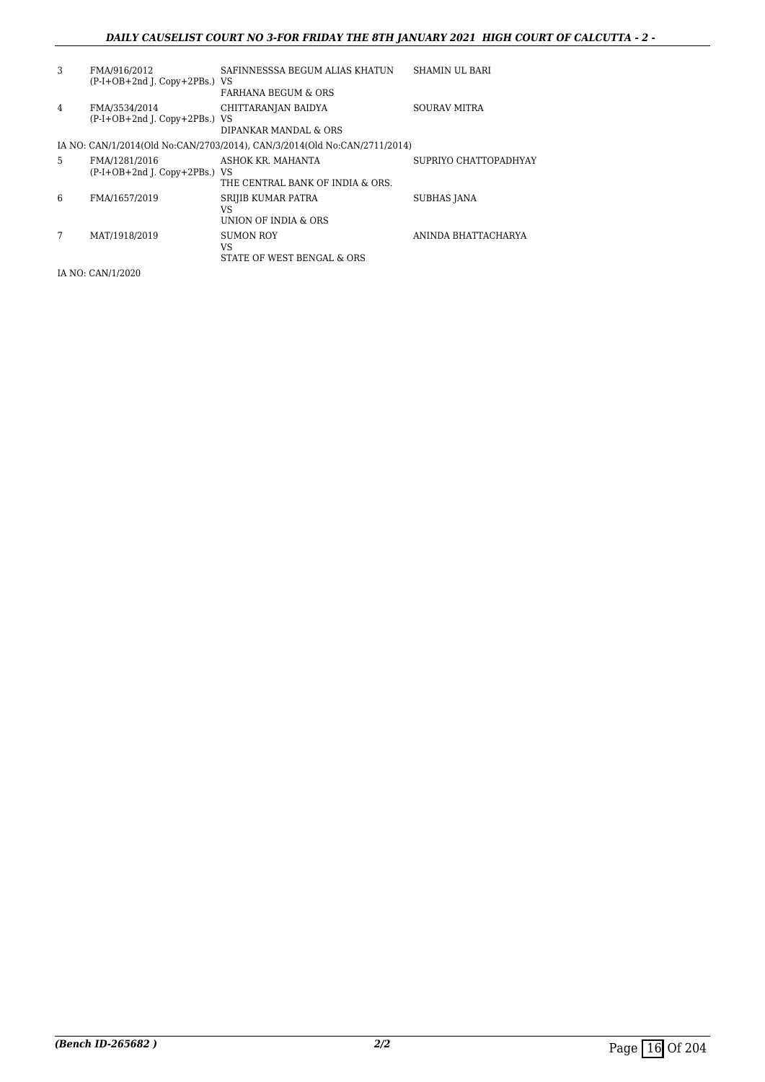#### *DAILY CAUSELIST COURT NO 3-FOR FRIDAY THE 8TH JANUARY 2021 HIGH COURT OF CALCUTTA - 2 -*

| 3 | FMA/916/2012<br>(P-I+OB+2nd J. Copy+2PBs.) VS  | SAFINNESSSA BEGUM ALIAS KHATUN<br><b>FARHANA BEGUM &amp; ORS</b>          | SHAMIN UL BARI        |
|---|------------------------------------------------|---------------------------------------------------------------------------|-----------------------|
| 4 | FMA/3534/2014<br>(P-I+OB+2nd J. Copy+2PBs.) VS | CHITTARANJAN BAIDYA<br>DIPANKAR MANDAL & ORS                              | SOURAV MITRA          |
|   |                                                | IA NO: CAN/1/2014(Old No:CAN/2703/2014), CAN/3/2014(Old No:CAN/2711/2014) |                       |
| 5 | FMA/1281/2016<br>(P-I+OB+2nd J. Copy+2PBs.) VS | ASHOK KR. MAHANTA<br>THE CENTRAL BANK OF INDIA & ORS.                     | SUPRIYO CHATTOPADHYAY |
| 6 | FMA/1657/2019                                  | SRIJIB KUMAR PATRA<br>VS<br>UNION OF INDIA & ORS                          | SUBHAS JANA           |
| 7 | MAT/1918/2019                                  | SUMON ROY<br>VS<br>STATE OF WEST BENGAL & ORS                             | ANINDA BHATTACHARYA   |
|   | IA NO: CAN/1/2020                              |                                                                           |                       |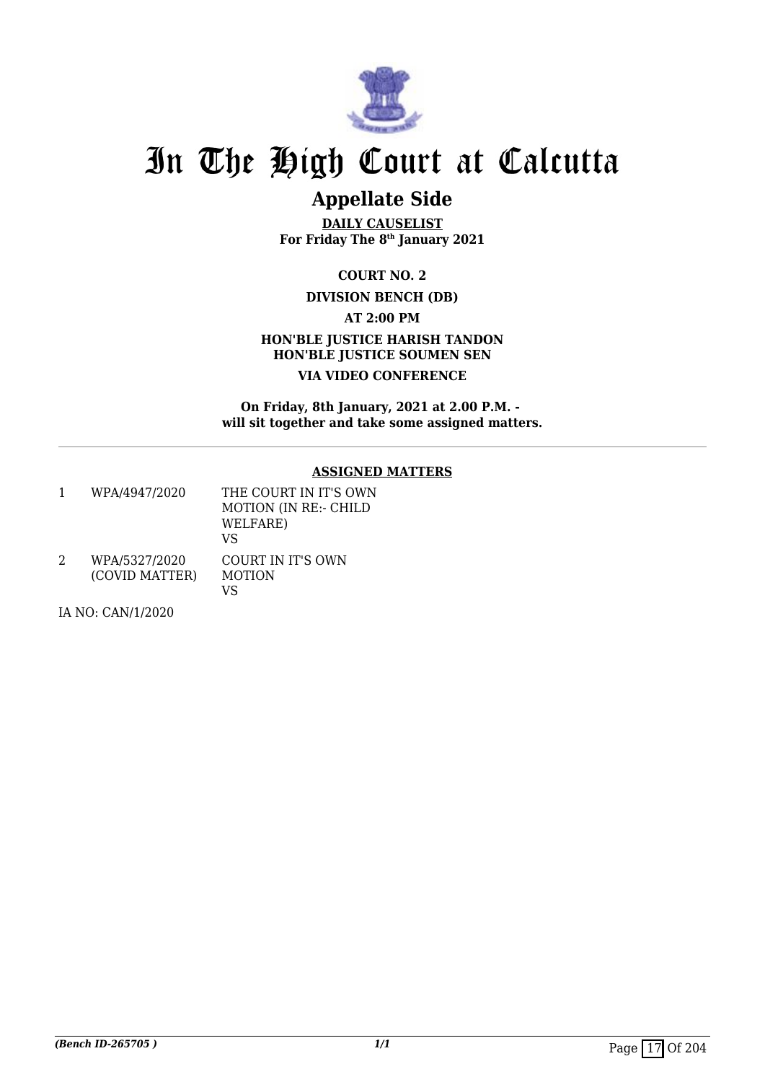

## **Appellate Side**

**DAILY CAUSELIST For Friday The 8th January 2021**

**COURT NO. 2**

#### **DIVISION BENCH (DB)**

**AT 2:00 PM**

#### **HON'BLE JUSTICE HARISH TANDON HON'BLE JUSTICE SOUMEN SEN VIA VIDEO CONFERENCE**

**On Friday, 8th January, 2021 at 2.00 P.M. will sit together and take some assigned matters.**

#### **ASSIGNED MATTERS**

1 WPA/4947/2020 THE COURT IN IT'S OWN MOTION (IN RE:- CHILD WELFARE) VS 2 WPA/5327/2020 (COVID MATTER) COURT IN IT'S OWN MOTION

VS

IA NO: CAN/1/2020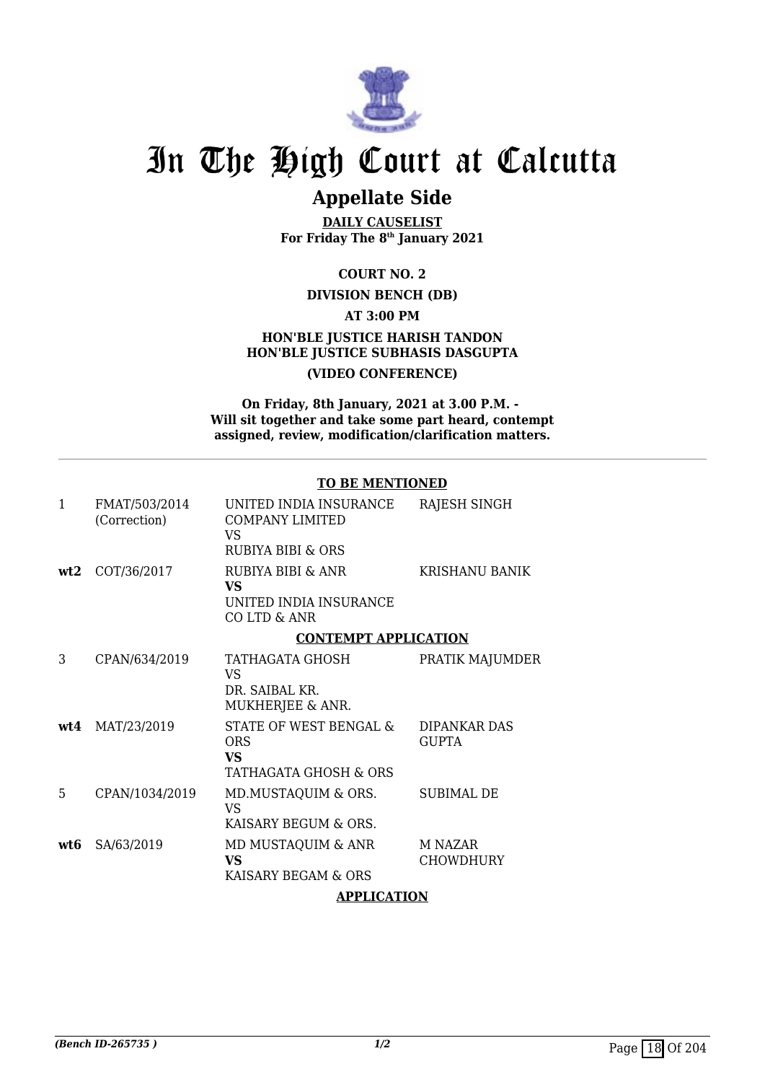

### **Appellate Side**

**DAILY CAUSELIST For Friday The 8th January 2021**

#### **COURT NO. 2**

#### **DIVISION BENCH (DB)**

#### **AT 3:00 PM**

#### **HON'BLE JUSTICE HARISH TANDON HON'BLE JUSTICE SUBHASIS DASGUPTA (VIDEO CONFERENCE)**

#### **On Friday, 8th January, 2021 at 3.00 P.M. - Will sit together and take some part heard, contempt assigned, review, modification/clarification matters.**

#### **TO BE MENTIONED**

| 1   | FMAT/503/2014<br>(Correction) | UNITED INDIA INSURANCE<br><b>COMPANY LIMITED</b><br>VS.<br><b>RUBIYA BIBI &amp; ORS</b> | RAJESH SINGH                 |
|-----|-------------------------------|-----------------------------------------------------------------------------------------|------------------------------|
| wt2 | COT/36/2017                   | RUBIYA BIBI & ANR<br>VS.<br>UNITED INDIA INSURANCE<br>CO LTD & ANR                      | KRISHANU BANIK               |
|     |                               | <b>CONTEMPT APPLICATION</b>                                                             |                              |
| 3   | CPAN/634/2019                 | TATHAGATA GHOSH<br><b>VS</b><br>DR. SAIBAL KR.<br>MUKHERJEE & ANR.                      | PRATIK MAJUMDER              |
|     | wt4 MAT/23/2019               | STATE OF WEST BENGAL &<br><b>ORS</b><br>VS<br>TATHAGATA GHOSH & ORS                     | DIPANKAR DAS<br><b>GUPTA</b> |
| 5   | CPAN/1034/2019                | MD.MUSTAQUIM & ORS.<br><b>VS</b><br>KAISARY BEGUM & ORS.                                | SUBIMAL DE                   |
| wt6 | SA/63/2019                    | MD MUSTAQUIM & ANR<br>VS<br>KAISARY BEGAM & ORS                                         | M NAZAR<br>CHOWDHURY         |
|     |                               | A DDI I <i>o</i> Atiani                                                                 |                              |

#### **APPLICATION**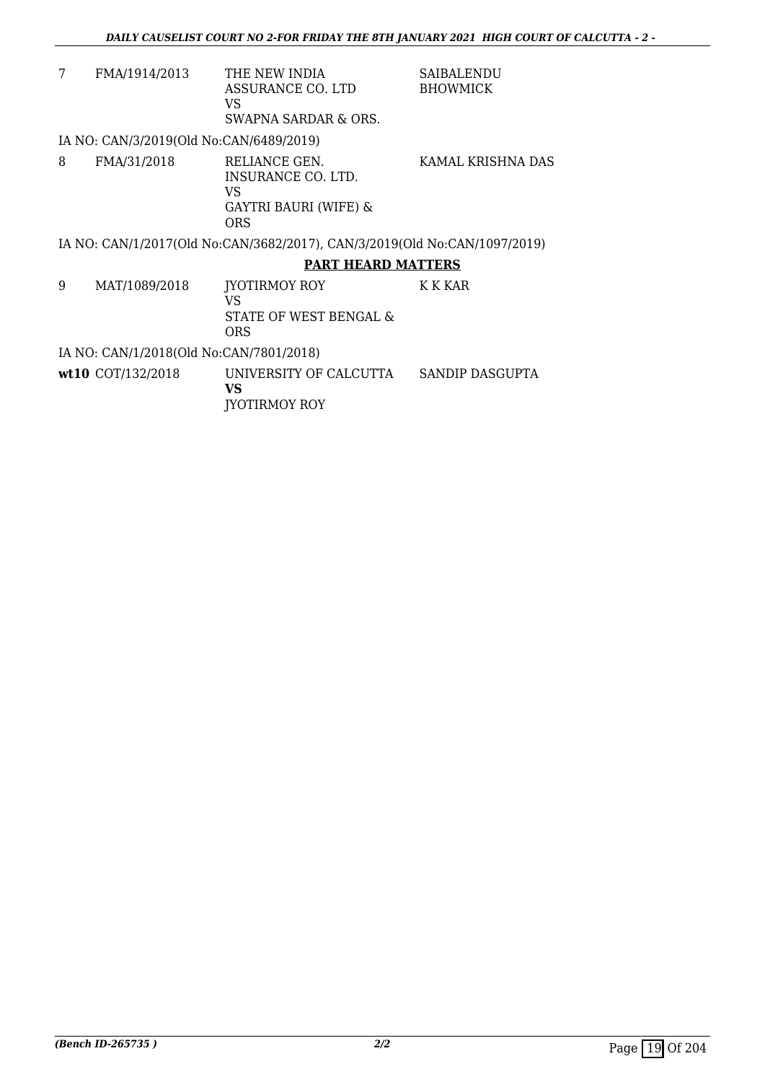| 7 | FMA/1914/2013                           | THE NEW INDIA<br>ASSURANCE CO. LTD<br>VS<br>SWAPNA SARDAR & ORS.                  | <b>SAIBALENDU</b><br><b>BHOWMICK</b> |  |  |
|---|-----------------------------------------|-----------------------------------------------------------------------------------|--------------------------------------|--|--|
|   | IA NO: CAN/3/2019(Old No:CAN/6489/2019) |                                                                                   |                                      |  |  |
| 8 | FMA/31/2018                             | RELIANCE GEN.<br>INSURANCE CO. LTD.<br>VS.<br>GAYTRI BAURI (WIFE) &<br><b>ORS</b> | KAMAL KRISHNA DAS                    |  |  |
|   |                                         | IA NO: CAN/1/2017(Old No:CAN/3682/2017), CAN/3/2019(Old No:CAN/1097/2019)         |                                      |  |  |
|   |                                         | <b>PART HEARD MATTERS</b>                                                         |                                      |  |  |
| 9 | MAT/1089/2018                           | <b>IYOTIRMOY ROY</b><br>VS<br>STATE OF WEST BENGAL &<br><b>ORS</b>                | <b>K K KAR</b>                       |  |  |
|   | IA NO: CAN/1/2018(Old No:CAN/7801/2018) |                                                                                   |                                      |  |  |
|   | $wt10$ COT/132/2018                     | UNIVERSITY OF CALCUTTA<br>VS                                                      | SANDIP DASGUPTA                      |  |  |

JYOTIRMOY ROY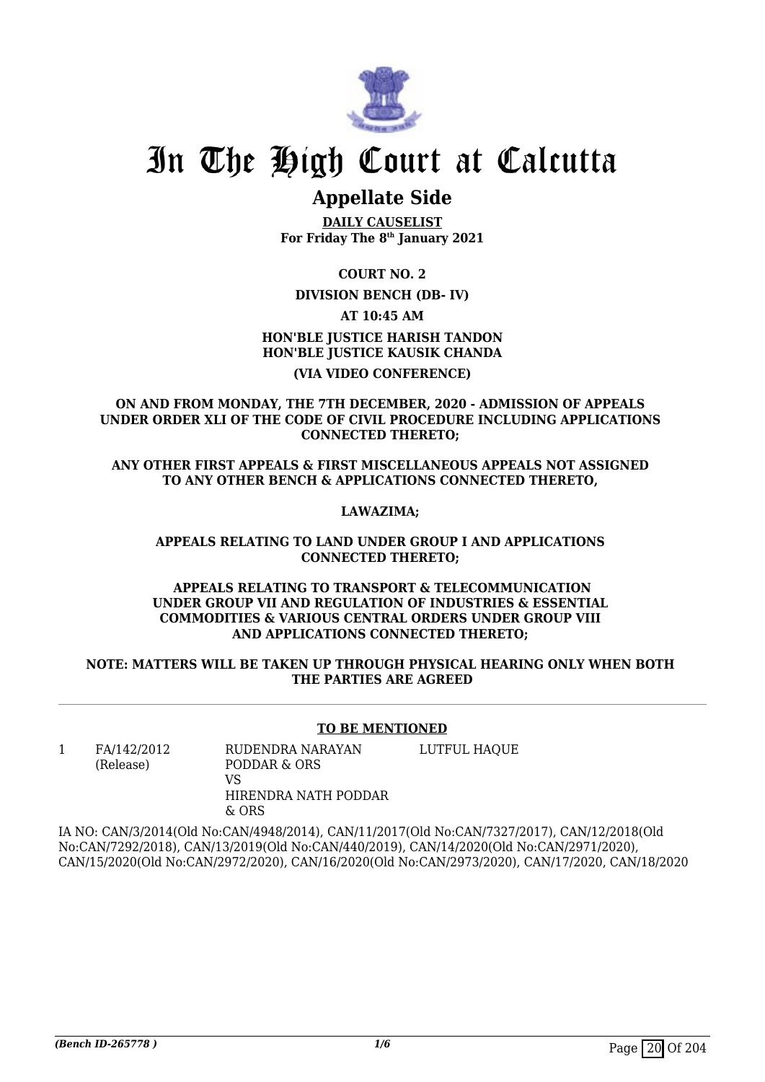

### **Appellate Side**

**DAILY CAUSELIST For Friday The 8th January 2021**

**COURT NO. 2**

#### **DIVISION BENCH (DB- IV)**

**AT 10:45 AM**

#### **HON'BLE JUSTICE HARISH TANDON HON'BLE JUSTICE KAUSIK CHANDA (VIA VIDEO CONFERENCE)**

**ON AND FROM MONDAY, THE 7TH DECEMBER, 2020 - ADMISSION OF APPEALS UNDER ORDER XLI OF THE CODE OF CIVIL PROCEDURE INCLUDING APPLICATIONS CONNECTED THERETO;** 

**ANY OTHER FIRST APPEALS & FIRST MISCELLANEOUS APPEALS NOT ASSIGNED TO ANY OTHER BENCH & APPLICATIONS CONNECTED THERETO,** 

#### **LAWAZIMA;**

#### **APPEALS RELATING TO LAND UNDER GROUP I AND APPLICATIONS CONNECTED THERETO;**

#### **APPEALS RELATING TO TRANSPORT & TELECOMMUNICATION UNDER GROUP VII AND REGULATION OF INDUSTRIES & ESSENTIAL COMMODITIES & VARIOUS CENTRAL ORDERS UNDER GROUP VIII AND APPLICATIONS CONNECTED THERETO;**

#### **NOTE: MATTERS WILL BE TAKEN UP THROUGH PHYSICAL HEARING ONLY WHEN BOTH THE PARTIES ARE AGREED**

#### **TO BE MENTIONED**

1 FA/142/2012 (Release)

RUDENDRA NARAYAN PODDAR & ORS VS HIRENDRA NATH PODDAR & ORS LUTFUL HAQUE

IA NO: CAN/3/2014(Old No:CAN/4948/2014), CAN/11/2017(Old No:CAN/7327/2017), CAN/12/2018(Old No:CAN/7292/2018), CAN/13/2019(Old No:CAN/440/2019), CAN/14/2020(Old No:CAN/2971/2020), CAN/15/2020(Old No:CAN/2972/2020), CAN/16/2020(Old No:CAN/2973/2020), CAN/17/2020, CAN/18/2020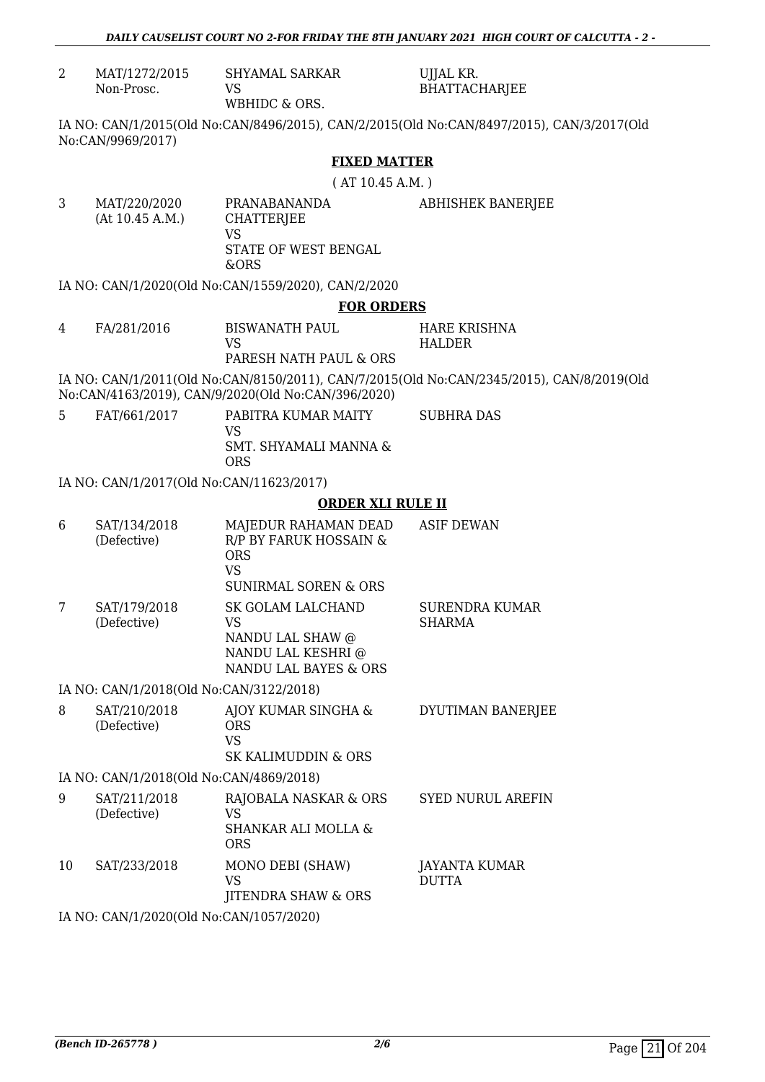| $\overline{2}$ | MAT/1272/2015<br>Non-Prosc.              | <b>SHYAMAL SARKAR</b><br>VS<br>WBHIDC & ORS.                                                                 | UJJAL KR.<br><b>BHATTACHARJEE</b>                                                         |  |
|----------------|------------------------------------------|--------------------------------------------------------------------------------------------------------------|-------------------------------------------------------------------------------------------|--|
|                | No:CAN/9969/2017)                        |                                                                                                              | IA NO: CAN/1/2015(Old No:CAN/8496/2015), CAN/2/2015(Old No:CAN/8497/2015), CAN/3/2017(Old |  |
|                |                                          | <b>FIXED MATTER</b>                                                                                          |                                                                                           |  |
|                |                                          | (AT 10.45 A.M.)                                                                                              |                                                                                           |  |
| 3              | MAT/220/2020<br>(At 10.45 A.M.)          | PRANABANANDA<br><b>CHATTERJEE</b><br><b>VS</b><br>STATE OF WEST BENGAL<br>&ORS                               | <b>ABHISHEK BANERJEE</b>                                                                  |  |
|                |                                          | IA NO: CAN/1/2020(Old No:CAN/1559/2020), CAN/2/2020                                                          |                                                                                           |  |
|                |                                          | <b>FOR ORDERS</b>                                                                                            |                                                                                           |  |
| 4              | FA/281/2016                              | <b>BISWANATH PAUL</b><br><b>VS</b><br>PARESH NATH PAUL & ORS                                                 | <b>HARE KRISHNA</b><br><b>HALDER</b>                                                      |  |
|                |                                          | No:CAN/4163/2019), CAN/9/2020(Old No:CAN/396/2020)                                                           | IA NO: CAN/1/2011(Old No:CAN/8150/2011), CAN/7/2015(Old No:CAN/2345/2015), CAN/8/2019(Old |  |
| 5              | FAT/661/2017                             | PABITRA KUMAR MAITY<br><b>VS</b><br>SMT. SHYAMALI MANNA &<br><b>ORS</b>                                      | <b>SUBHRA DAS</b>                                                                         |  |
|                | IA NO: CAN/1/2017(Old No:CAN/11623/2017) |                                                                                                              |                                                                                           |  |
|                |                                          | <b>ORDER XLI RULE II</b>                                                                                     |                                                                                           |  |
| 6              | SAT/134/2018<br>(Defective)              | MAJEDUR RAHAMAN DEAD<br>R/P BY FARUK HOSSAIN &<br><b>ORS</b><br><b>VS</b><br><b>SUNIRMAL SOREN &amp; ORS</b> | <b>ASIF DEWAN</b>                                                                         |  |
| 7              | SAT/179/2018<br>(Defective)              | SK GOLAM LALCHAND<br><b>VS</b><br>NANDU LAL SHAW @<br>NANDU LAL KESHRI @<br>NANDU LAL BAYES & ORS            | <b>SURENDRA KUMAR</b><br><b>SHARMA</b>                                                    |  |
|                | IA NO: CAN/1/2018(Old No:CAN/3122/2018)  |                                                                                                              |                                                                                           |  |
| 8              | SAT/210/2018<br>(Defective)              | AJOY KUMAR SINGHA &<br><b>ORS</b><br><b>VS</b><br><b>SK KALIMUDDIN &amp; ORS</b>                             | DYUTIMAN BANERJEE                                                                         |  |
|                | IA NO: CAN/1/2018(Old No:CAN/4869/2018)  |                                                                                                              |                                                                                           |  |
| 9              | SAT/211/2018<br>(Defective)              | RAJOBALA NASKAR & ORS<br><b>VS</b><br><b>SHANKAR ALI MOLLA &amp;</b><br><b>ORS</b>                           | <b>SYED NURUL AREFIN</b>                                                                  |  |
| 10             | SAT/233/2018                             | MONO DEBI (SHAW)<br><b>VS</b><br><b>JITENDRA SHAW &amp; ORS</b>                                              | JAYANTA KUMAR<br><b>DUTTA</b>                                                             |  |
|                | IA NO: CAN/1/2020(Old No:CAN/1057/2020)  |                                                                                                              |                                                                                           |  |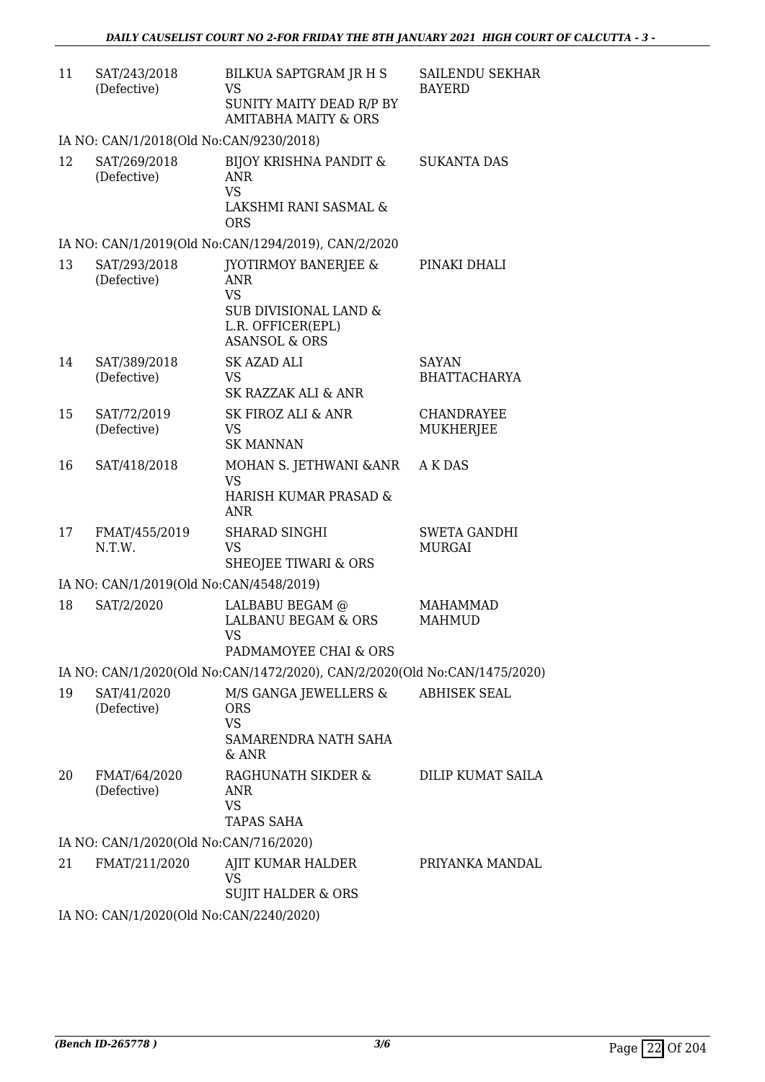| 11 | SAT/243/2018<br>(Defective)             | BILKUA SAPTGRAM JR H S<br>VS<br>SUNITY MAITY DEAD R/P BY<br><b>AMITABHA MAITY &amp; ORS</b>                                          | SAILENDU SEKHAR<br><b>BAYERD</b>      |
|----|-----------------------------------------|--------------------------------------------------------------------------------------------------------------------------------------|---------------------------------------|
|    | IA NO: CAN/1/2018(Old No:CAN/9230/2018) |                                                                                                                                      |                                       |
| 12 | SAT/269/2018<br>(Defective)             | <b>BIJOY KRISHNA PANDIT &amp;</b><br><b>ANR</b><br><b>VS</b><br>LAKSHMI RANI SASMAL &<br><b>ORS</b>                                  | <b>SUKANTA DAS</b>                    |
|    |                                         | IA NO: CAN/1/2019(Old No:CAN/1294/2019), CAN/2/2020                                                                                  |                                       |
| 13 | SAT/293/2018<br>(Defective)             | <b>JYOTIRMOY BANERJEE &amp;</b><br><b>ANR</b><br><b>VS</b><br>SUB DIVISIONAL LAND &<br>L.R. OFFICER(EPL)<br><b>ASANSOL &amp; ORS</b> | PINAKI DHALI                          |
| 14 | SAT/389/2018<br>(Defective)             | <b>SK AZAD ALI</b><br><b>VS</b><br>SK RAZZAK ALI & ANR                                                                               | SAYAN<br><b>BHATTACHARYA</b>          |
| 15 | SAT/72/2019<br>(Defective)              | <b>SK FIROZ ALI &amp; ANR</b><br><b>VS</b><br><b>SK MANNAN</b>                                                                       | <b>CHANDRAYEE</b><br><b>MUKHERJEE</b> |
| 16 | SAT/418/2018                            | MOHAN S. JETHWANI &ANR<br><b>VS</b><br>HARISH KUMAR PRASAD &<br><b>ANR</b>                                                           | A K DAS                               |
| 17 | FMAT/455/2019<br>N.T.W.                 | <b>SHARAD SINGHI</b><br><b>VS</b><br><b>SHEOJEE TIWARI &amp; ORS</b>                                                                 | <b>SWETA GANDHI</b><br><b>MURGAI</b>  |
|    | IA NO: CAN/1/2019(Old No:CAN/4548/2019) |                                                                                                                                      |                                       |
| 18 | SAT/2/2020                              | LALBABU BEGAM @<br><b>LALBANU BEGAM &amp; ORS</b><br>VS —                                                                            | <b>MAHAMMAD</b><br><b>MAHMUD</b>      |
|    |                                         | PADMAMOYEE CHAI & ORS                                                                                                                |                                       |
|    |                                         | IA NO: CAN/1/2020(Old No:CAN/1472/2020), CAN/2/2020(Old No:CAN/1475/2020)                                                            |                                       |
| 19 | SAT/41/2020<br>(Defective)              | M/S GANGA JEWELLERS &<br><b>ORS</b><br><b>VS</b><br>SAMARENDRA NATH SAHA<br>& ANR                                                    | <b>ABHISEK SEAL</b>                   |
| 20 | FMAT/64/2020<br>(Defective)             | RAGHUNATH SIKDER &<br><b>ANR</b><br><b>VS</b><br>TAPAS SAHA                                                                          | <b>DILIP KUMAT SAILA</b>              |
|    | IA NO: CAN/1/2020(Old No:CAN/716/2020)  |                                                                                                                                      |                                       |
| 21 | FMAT/211/2020                           | AJIT KUMAR HALDER<br><b>VS</b><br><b>SUJIT HALDER &amp; ORS</b>                                                                      | PRIYANKA MANDAL                       |
|    | IA NO: CAN/1/2020(Old No:CAN/2240/2020) |                                                                                                                                      |                                       |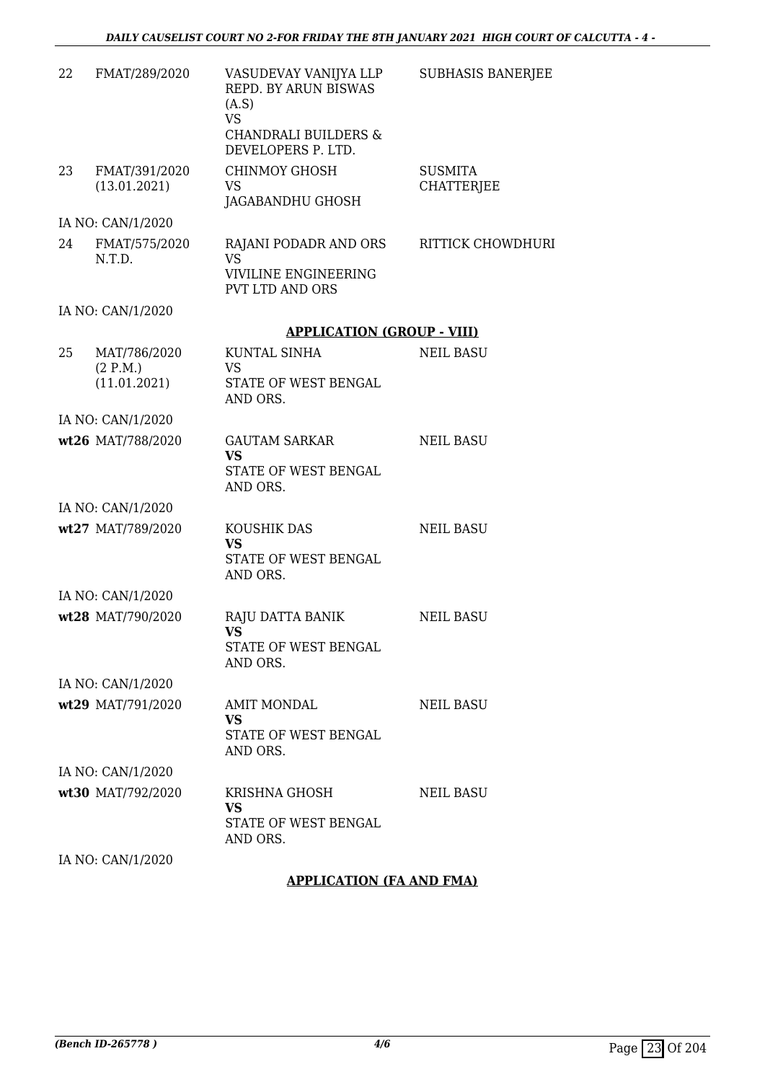| 22 | FMAT/289/2020                            | VASUDEVAY VANIJYA LLP<br><b>REPD. BY ARUN BISWAS</b><br>(A.S)<br><b>VS</b><br><b>CHANDRALI BUILDERS &amp;</b><br>DEVELOPERS P. LTD. | <b>SUBHASIS BANERJEE</b>            |
|----|------------------------------------------|-------------------------------------------------------------------------------------------------------------------------------------|-------------------------------------|
| 23 | FMAT/391/2020<br>(13.01.2021)            | <b>CHINMOY GHOSH</b><br>VS<br>JAGABANDHU GHOSH                                                                                      | <b>SUSMITA</b><br><b>CHATTERJEE</b> |
|    | IA NO: CAN/1/2020                        |                                                                                                                                     |                                     |
| 24 | FMAT/575/2020<br>N.T.D.                  | RAJANI PODADR AND ORS<br><b>VS</b><br>VIVILINE ENGINEERING<br><b>PVT LTD AND ORS</b>                                                | <b>RITTICK CHOWDHURI</b>            |
|    | IA NO: CAN/1/2020                        |                                                                                                                                     |                                     |
|    |                                          | <b>APPLICATION (GROUP - VIII)</b>                                                                                                   |                                     |
| 25 | MAT/786/2020<br>(2 P.M.)<br>(11.01.2021) | <b>KUNTAL SINHA</b><br>VS.<br>STATE OF WEST BENGAL<br>AND ORS.                                                                      | <b>NEIL BASU</b>                    |
|    | IA NO: CAN/1/2020                        |                                                                                                                                     |                                     |
|    | wt26 MAT/788/2020                        | <b>GAUTAM SARKAR</b><br><b>VS</b><br>STATE OF WEST BENGAL<br>AND ORS.                                                               | <b>NEIL BASU</b>                    |
|    | IA NO: CAN/1/2020                        |                                                                                                                                     |                                     |
|    | wt27 MAT/789/2020                        | KOUSHIK DAS<br><b>VS</b><br>STATE OF WEST BENGAL<br>AND ORS.                                                                        | <b>NEIL BASU</b>                    |
|    | IA NO: CAN/1/2020                        |                                                                                                                                     |                                     |
|    | wt28 MAT/790/2020                        | RAJU DATTA BANIK<br><b>VS</b><br>STATE OF WEST BENGAL<br>AND ORS.                                                                   | <b>NEIL BASU</b>                    |
|    | IA NO: CAN/1/2020                        |                                                                                                                                     |                                     |
|    | wt29 MAT/791/2020                        | <b>AMIT MONDAL</b><br><b>VS</b><br>STATE OF WEST BENGAL<br>AND ORS.                                                                 | <b>NEIL BASU</b>                    |
|    | IA NO: CAN/1/2020                        |                                                                                                                                     |                                     |
|    | wt30 MAT/792/2020                        | KRISHNA GHOSH<br>VS<br>STATE OF WEST BENGAL<br>AND ORS.                                                                             | <b>NEIL BASU</b>                    |
|    | IA NO: CAN/1/2020                        |                                                                                                                                     |                                     |

**APPLICATION (FA AND FMA)**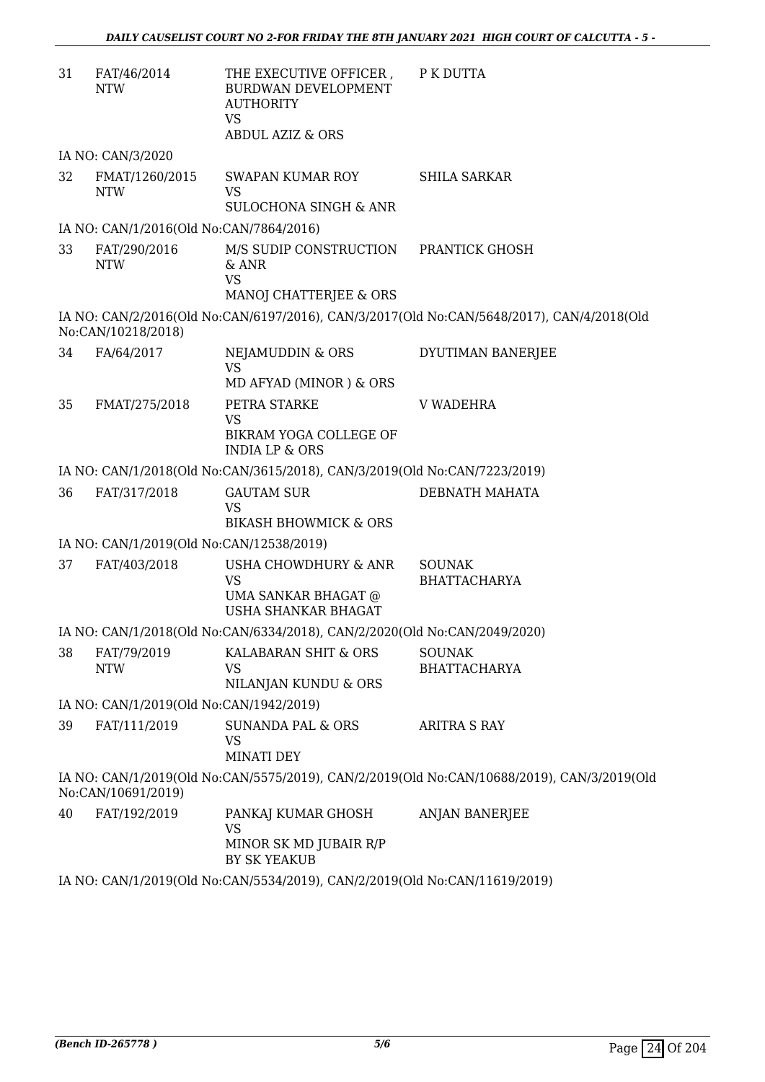| 31 | FAT/46/2014<br><b>NTW</b>                | THE EXECUTIVE OFFICER, PK DUTTA<br><b>BURDWAN DEVELOPMENT</b><br><b>AUTHORITY</b><br><b>VS</b><br><b>ABDUL AZIZ &amp; ORS</b> |                                                                                            |
|----|------------------------------------------|-------------------------------------------------------------------------------------------------------------------------------|--------------------------------------------------------------------------------------------|
|    | IA NO: CAN/3/2020                        |                                                                                                                               |                                                                                            |
| 32 | FMAT/1260/2015<br><b>NTW</b>             | SWAPAN KUMAR ROY<br><b>VS</b><br><b>SULOCHONA SINGH &amp; ANR</b>                                                             | <b>SHILA SARKAR</b>                                                                        |
|    | IA NO: CAN/1/2016(Old No:CAN/7864/2016)  |                                                                                                                               |                                                                                            |
| 33 | FAT/290/2016<br><b>NTW</b>               | M/S SUDIP CONSTRUCTION PRANTICK GHOSH<br>& ANR<br><b>VS</b>                                                                   |                                                                                            |
|    |                                          | MANOJ CHATTERJEE & ORS                                                                                                        |                                                                                            |
|    | No:CAN/10218/2018)                       |                                                                                                                               | IA NO: CAN/2/2016(Old No:CAN/6197/2016), CAN/3/2017(Old No:CAN/5648/2017), CAN/4/2018(Old  |
| 34 | FA/64/2017                               | NEJAMUDDIN & ORS<br><b>VS</b>                                                                                                 | DYUTIMAN BANERJEE                                                                          |
|    |                                          | MD AFYAD (MINOR) & ORS                                                                                                        |                                                                                            |
| 35 | FMAT/275/2018                            | PETRA STARKE<br><b>VS</b><br>BIKRAM YOGA COLLEGE OF<br><b>INDIA LP &amp; ORS</b>                                              | <b>V WADEHRA</b>                                                                           |
|    |                                          | IA NO: CAN/1/2018(Old No:CAN/3615/2018), CAN/3/2019(Old No:CAN/7223/2019)                                                     |                                                                                            |
| 36 | FAT/317/2018                             | <b>GAUTAM SUR</b>                                                                                                             | DEBNATH MAHATA                                                                             |
|    |                                          | <b>VS</b><br><b>BIKASH BHOWMICK &amp; ORS</b>                                                                                 |                                                                                            |
|    | IA NO: CAN/1/2019(Old No:CAN/12538/2019) |                                                                                                                               |                                                                                            |
| 37 | FAT/403/2018                             | USHA CHOWDHURY & ANR<br><b>VS</b><br>UMA SANKAR BHAGAT @<br><b>USHA SHANKAR BHAGAT</b>                                        | <b>SOUNAK</b><br><b>BHATTACHARYA</b>                                                       |
|    |                                          | IA NO: CAN/1/2018(Old No:CAN/6334/2018), CAN/2/2020(Old No:CAN/2049/2020)                                                     |                                                                                            |
| 38 | FAT/79/2019<br><b>NTW</b>                | KALABARAN SHIT & ORS<br><b>VS</b><br>NILANJAN KUNDU & ORS                                                                     | <b>SOUNAK</b><br><b>BHATTACHARYA</b>                                                       |
|    | IA NO: CAN/1/2019(Old No:CAN/1942/2019)  |                                                                                                                               |                                                                                            |
| 39 | FAT/111/2019                             | <b>SUNANDA PAL &amp; ORS</b><br>VS<br><b>MINATI DEY</b>                                                                       | <b>ARITRA S RAY</b>                                                                        |
|    | No:CAN/10691/2019)                       |                                                                                                                               | IA NO: CAN/1/2019(Old No:CAN/5575/2019), CAN/2/2019(Old No:CAN/10688/2019), CAN/3/2019(Old |
| 40 | FAT/192/2019                             | PANKAJ KUMAR GHOSH<br><b>VS</b><br>MINOR SK MD JUBAIR R/P<br>BY SK YEAKUB                                                     | <b>ANJAN BANERJEE</b>                                                                      |
|    |                                          | IA NO: CAN/1/2019(Old No:CAN/5534/2019), CAN/2/2019(Old No:CAN/11619/2019)                                                    |                                                                                            |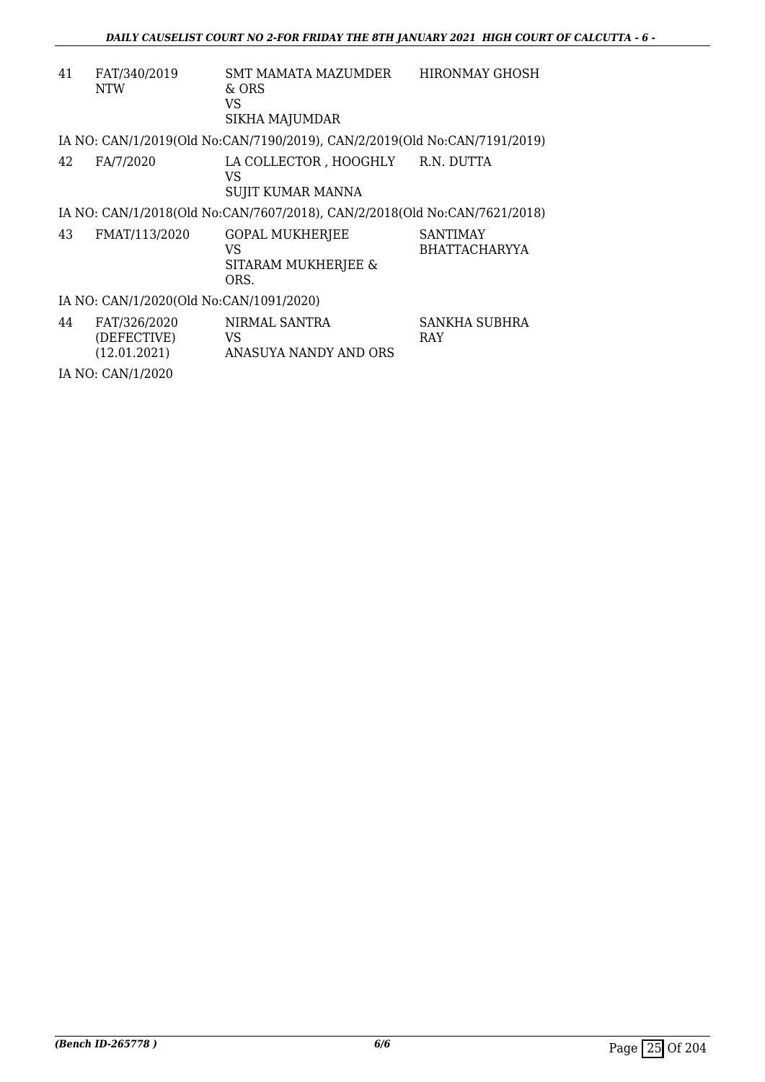| 41<br>FAT/340/2019<br><b>NTW</b>                  | SMT MAMATA MAZUMDER<br>& ORS<br>VS<br><b>SIKHA MAJUMDAR</b>               | HIRONMAY GHOSH                          |
|---------------------------------------------------|---------------------------------------------------------------------------|-----------------------------------------|
|                                                   | IA NO: CAN/1/2019(Old No:CAN/7190/2019), CAN/2/2019(Old No:CAN/7191/2019) |                                         |
| 42<br>FA/7/2020                                   | LA COLLECTOR, HOOGHLY R.N. DUTTA<br>VS<br>SUJIT KUMAR MANNA               |                                         |
|                                                   | IA NO: CAN/1/2018(Old No:CAN/7607/2018), CAN/2/2018(Old No:CAN/7621/2018) |                                         |
| 43<br>FMAT/113/2020                               | <b>GOPAL MUKHERJEE</b><br>VS.<br>SITARAM MUKHERJEE &<br>ORS.              | <b>SANTIMAY</b><br><b>BHATTACHARYYA</b> |
| IA NO: CAN/1/2020(Old No:CAN/1091/2020)           |                                                                           |                                         |
| 44<br>FAT/326/2020<br>(DEFECTIVE)<br>(12.01.2021) | NIRMAL SANTRA<br><b>VS</b><br>ANASUYA NANDY AND ORS                       | SANKHA SUBHRA<br><b>RAY</b>             |
| IA NO: CAN/1/2020                                 |                                                                           |                                         |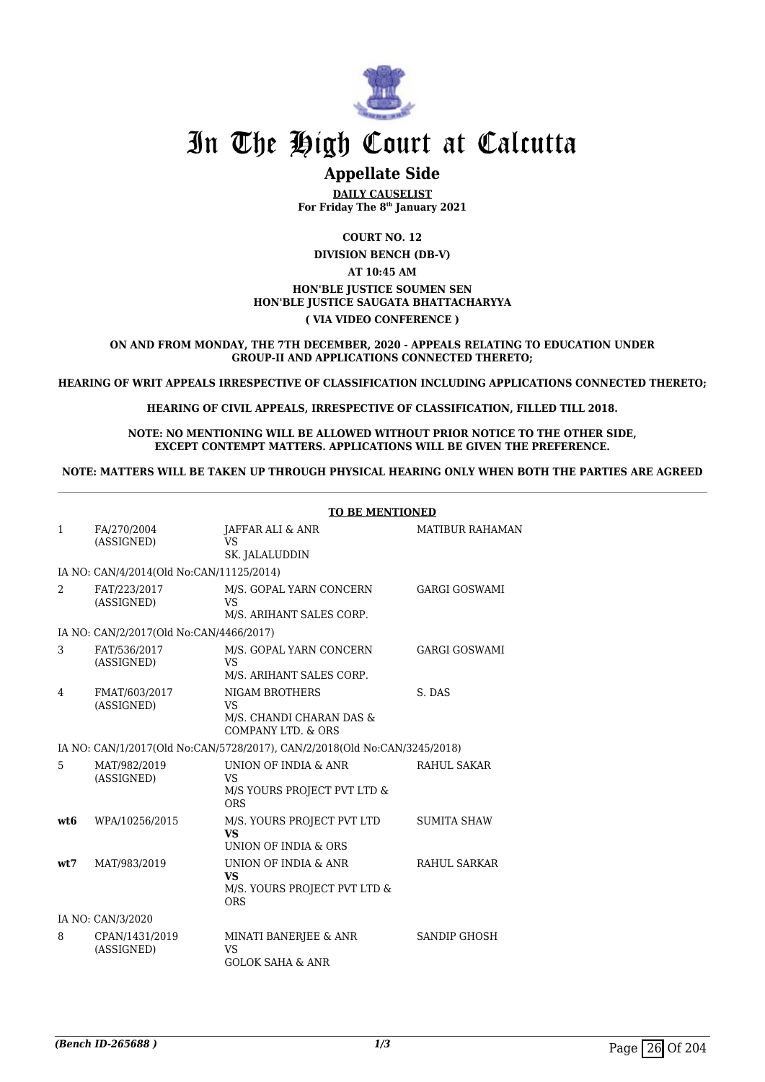

### **Appellate Side**

**DAILY CAUSELIST For Friday The 8th January 2021**

**COURT NO. 12 DIVISION BENCH (DB-V) AT 10:45 AM HON'BLE JUSTICE SOUMEN SEN HON'BLE JUSTICE SAUGATA BHATTACHARYYA ( VIA VIDEO CONFERENCE )**

**ON AND FROM MONDAY, THE 7TH DECEMBER, 2020 - APPEALS RELATING TO EDUCATION UNDER GROUP-II AND APPLICATIONS CONNECTED THERETO;**

**HEARING OF WRIT APPEALS IRRESPECTIVE OF CLASSIFICATION INCLUDING APPLICATIONS CONNECTED THERETO;**

**HEARING OF CIVIL APPEALS, IRRESPECTIVE OF CLASSIFICATION, FILLED TILL 2018.**

**NOTE: NO MENTIONING WILL BE ALLOWED WITHOUT PRIOR NOTICE TO THE OTHER SIDE, EXCEPT CONTEMPT MATTERS. APPLICATIONS WILL BE GIVEN THE PREFERENCE.**

**NOTE: MATTERS WILL BE TAKEN UP THROUGH PHYSICAL HEARING ONLY WHEN BOTH THE PARTIES ARE AGREED**

|                |                                          | <b>TO BE MENTIONED</b>                                                                   |                        |
|----------------|------------------------------------------|------------------------------------------------------------------------------------------|------------------------|
| $\mathbf{1}$   | FA/270/2004<br>(ASSIGNED)                | JAFFAR ALI & ANR<br><b>VS</b><br>SK. JALALUDDIN                                          | <b>MATIBUR RAHAMAN</b> |
|                | IA NO: CAN/4/2014(Old No:CAN/11125/2014) |                                                                                          |                        |
| $\mathfrak{D}$ | FAT/223/2017<br>(ASSIGNED)               | M/S. GOPAL YARN CONCERN<br>VS<br>M/S. ARIHANT SALES CORP.                                | <b>GARGI GOSWAMI</b>   |
|                | IA NO: CAN/2/2017(Old No:CAN/4466/2017)  |                                                                                          |                        |
| 3              | FAT/536/2017<br>(ASSIGNED)               | M/S. GOPAL YARN CONCERN<br><b>VS</b><br>M/S. ARIHANT SALES CORP.                         | <b>GARGI GOSWAMI</b>   |
| 4              | FMAT/603/2017<br>(ASSIGNED)              | NIGAM BROTHERS<br><b>VS</b><br>M/S. CHANDI CHARAN DAS &<br><b>COMPANY LTD. &amp; ORS</b> | S. DAS                 |
|                |                                          | IA NO: CAN/1/2017(Old No:CAN/5728/2017), CAN/2/2018(Old No:CAN/3245/2018)                |                        |
| 5              | MAT/982/2019<br>(ASSIGNED)               | UNION OF INDIA & ANR<br>VS<br>M/S YOURS PROJECT PVT LTD &<br><b>ORS</b>                  | <b>RAHUL SAKAR</b>     |
| wt.6           | WPA/10256/2015                           | M/S. YOURS PROJECT PVT LTD<br><b>VS</b><br>UNION OF INDIA & ORS                          | <b>SUMITA SHAW</b>     |
| wt:7           | MAT/983/2019                             | UNION OF INDIA & ANR<br><b>VS</b><br>M/S. YOURS PROJECT PVT LTD &<br><b>ORS</b>          | RAHUL SARKAR           |
|                | IA NO: CAN/3/2020                        |                                                                                          |                        |
| 8              | CPAN/1431/2019<br>(ASSIGNED)             | MINATI BANERJEE & ANR<br><b>VS</b><br><b>GOLOK SAHA &amp; ANR</b>                        | <b>SANDIP GHOSH</b>    |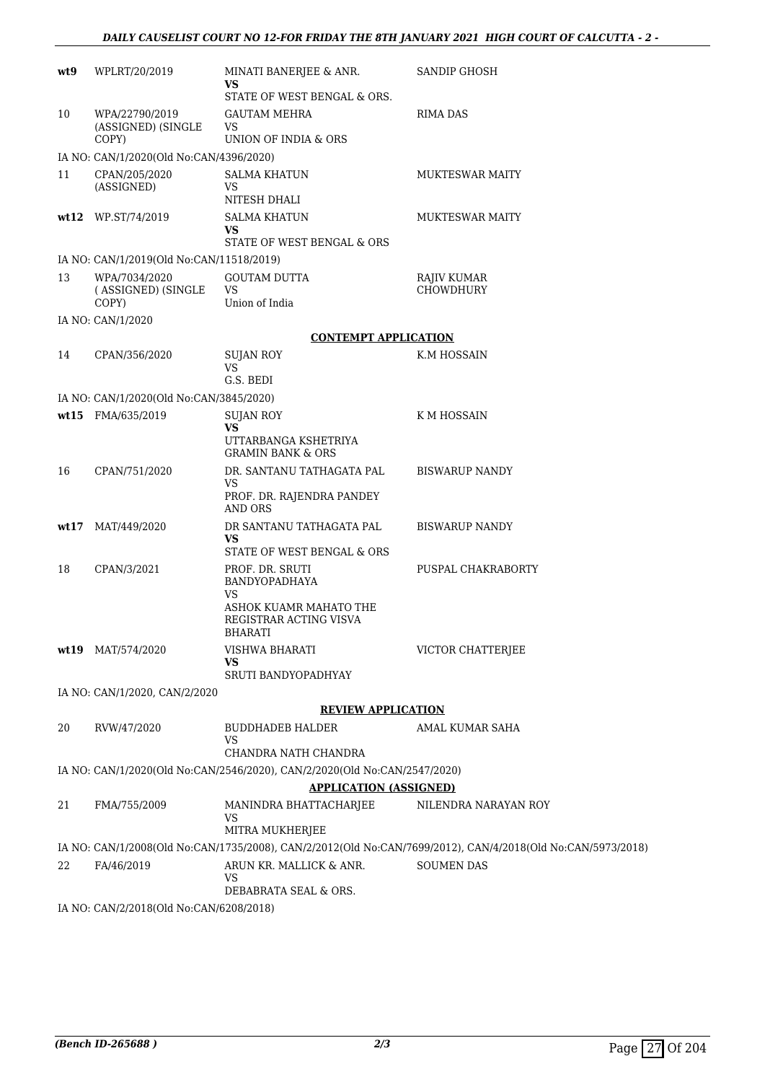| wt9  | WPLRT/20/2019                                | MINATI BANERJEE & ANR.                                                                            | <b>SANDIP GHOSH</b>                                                                                         |
|------|----------------------------------------------|---------------------------------------------------------------------------------------------------|-------------------------------------------------------------------------------------------------------------|
|      |                                              | VS<br>STATE OF WEST BENGAL & ORS.                                                                 |                                                                                                             |
| 10   | WPA/22790/2019                               | <b>GAUTAM MEHRA</b>                                                                               | RIMA DAS                                                                                                    |
|      | (ASSIGNED) (SINGLE<br>COPY)                  | <b>VS</b><br>UNION OF INDIA & ORS                                                                 |                                                                                                             |
|      | IA NO: CAN/1/2020(Old No:CAN/4396/2020)      |                                                                                                   |                                                                                                             |
| 11   | CPAN/205/2020                                | <b>SALMA KHATUN</b>                                                                               | <b>MUKTESWAR MAITY</b>                                                                                      |
|      | (ASSIGNED)                                   | <b>VS</b><br>NITESH DHALI                                                                         |                                                                                                             |
|      | wt12 WP.ST/74/2019                           | <b>SALMA KHATUN</b><br>VS                                                                         | <b>MUKTESWAR MAITY</b>                                                                                      |
|      |                                              | STATE OF WEST BENGAL & ORS                                                                        |                                                                                                             |
|      | IA NO: CAN/1/2019(Old No:CAN/11518/2019)     |                                                                                                   |                                                                                                             |
| 13   | WPA/7034/2020<br>(ASSIGNED) (SINGLE<br>COPY) | <b>GOUTAM DUTTA</b><br><b>VS</b><br>Union of India                                                | RAJIV KUMAR<br>CHOWDHURY                                                                                    |
|      | IA NO: CAN/1/2020                            |                                                                                                   |                                                                                                             |
|      |                                              | <b>CONTEMPT APPLICATION</b>                                                                       |                                                                                                             |
| 14   | CPAN/356/2020                                | SUJAN ROY                                                                                         | K.M HOSSAIN                                                                                                 |
|      |                                              | VS<br>G.S. BEDI                                                                                   |                                                                                                             |
|      | IA NO: CAN/1/2020(Old No:CAN/3845/2020)      |                                                                                                   |                                                                                                             |
|      | wt15 FMA/635/2019                            | SUJAN ROY                                                                                         | K M HOSSAIN                                                                                                 |
|      |                                              | VS<br>UTTARBANGA KSHETRIYA                                                                        |                                                                                                             |
|      |                                              | <b>GRAMIN BANK &amp; ORS</b>                                                                      |                                                                                                             |
| 16   | CPAN/751/2020                                | DR. SANTANU TATHAGATA PAL<br>VS<br>PROF. DR. RAJENDRA PANDEY<br>AND ORS                           | <b>BISWARUP NANDY</b>                                                                                       |
| wt17 | MAT/449/2020                                 | DR SANTANU TATHAGATA PAL<br>VS                                                                    | <b>BISWARUP NANDY</b>                                                                                       |
|      |                                              | STATE OF WEST BENGAL & ORS                                                                        |                                                                                                             |
| 18   | CPAN/3/2021                                  | PROF. DR. SRUTI<br>BANDYOPADHAYA<br>VS                                                            | PUSPAL CHAKRABORTY                                                                                          |
|      |                                              | ASHOK KUAMR MAHATO THE<br>REGISTRAR ACTING VISVA<br>BHARATI                                       |                                                                                                             |
|      | wt19 MAT/574/2020                            | VISHWA BHARATI                                                                                    | VICTOR CHATTERJEE                                                                                           |
|      |                                              | VS<br>SRUTI BANDYOPADHYAY                                                                         |                                                                                                             |
|      | IA NO: CAN/1/2020, CAN/2/2020                |                                                                                                   |                                                                                                             |
|      |                                              | <b>REVIEW APPLICATION</b>                                                                         |                                                                                                             |
| 20   | RVW/47/2020                                  | <b>BUDDHADEB HALDER</b>                                                                           | AMAL KUMAR SAHA                                                                                             |
|      |                                              | VS                                                                                                |                                                                                                             |
|      |                                              | CHANDRA NATH CHANDRA<br>IA NO: CAN/1/2020(Old No:CAN/2546/2020), CAN/2/2020(Old No:CAN/2547/2020) |                                                                                                             |
|      |                                              | <b>APPLICATION (ASSIGNED)</b>                                                                     |                                                                                                             |
| 21   | FMA/755/2009                                 | MANINDRA BHATTACHARJEE                                                                            | NILENDRA NARAYAN ROY                                                                                        |
|      |                                              | VS<br>MITRA MUKHERJEE                                                                             |                                                                                                             |
|      |                                              |                                                                                                   | IA NO: CAN/1/2008(Old No:CAN/1735/2008), CAN/2/2012(Old No:CAN/7699/2012), CAN/4/2018(Old No:CAN/5973/2018) |
| 22   | FA/46/2019                                   | ARUN KR. MALLICK & ANR.<br>VS                                                                     | <b>SOUMEN DAS</b>                                                                                           |
|      |                                              | DEBABRATA SEAL & ORS.                                                                             |                                                                                                             |
|      | IA NO: CAN/2/2018(Old No:CAN/6208/2018)      |                                                                                                   |                                                                                                             |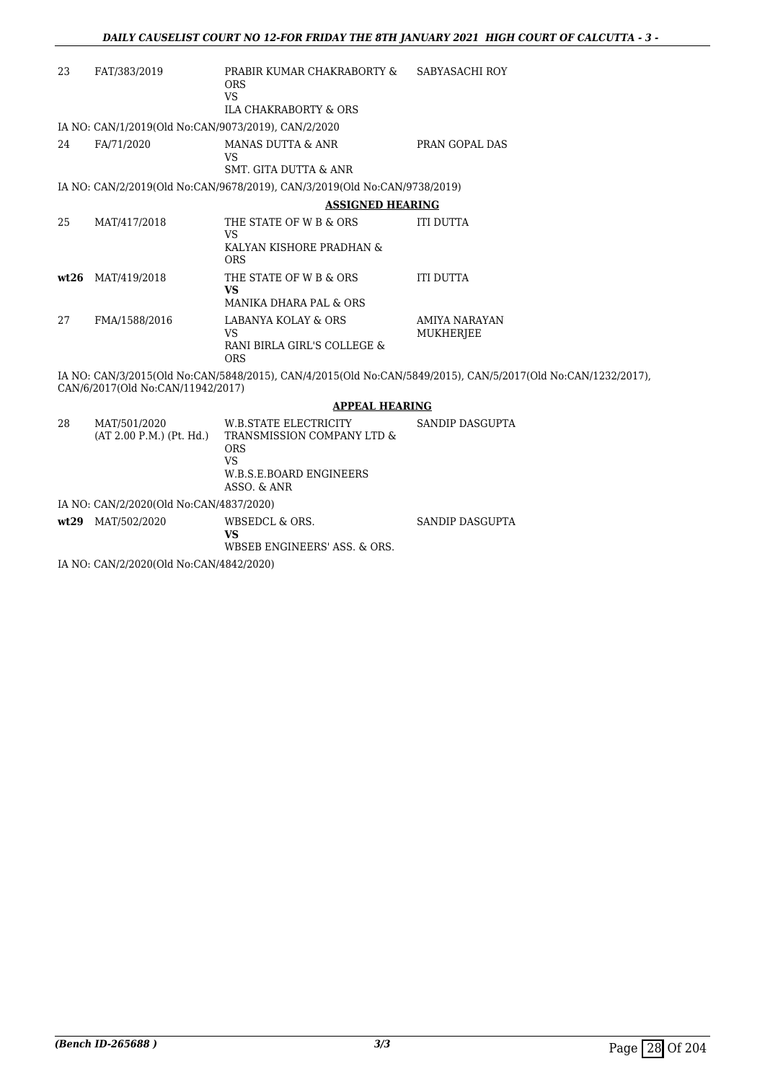| 23   | FAT/383/2019                                                                        | PRABIR KUMAR CHAKRABORTY &<br><b>ORS</b><br><b>VS</b>                     | SABYASACHI ROY                                                                                               |  |  |
|------|-------------------------------------------------------------------------------------|---------------------------------------------------------------------------|--------------------------------------------------------------------------------------------------------------|--|--|
|      |                                                                                     | <b>ILA CHAKRABORTY &amp; ORS</b>                                          |                                                                                                              |  |  |
|      | IA NO: CAN/1/2019(Old No:CAN/9073/2019), CAN/2/2020                                 |                                                                           |                                                                                                              |  |  |
| 24   | FA/71/2020                                                                          | MANAS DUTTA & ANR                                                         | PRAN GOPAL DAS                                                                                               |  |  |
|      |                                                                                     | <b>VS</b>                                                                 |                                                                                                              |  |  |
|      |                                                                                     | <b>SMT. GITA DUTTA &amp; ANR</b>                                          |                                                                                                              |  |  |
|      |                                                                                     | IA NO: CAN/2/2019(Old No:CAN/9678/2019), CAN/3/2019(Old No:CAN/9738/2019) |                                                                                                              |  |  |
|      |                                                                                     | <b>ASSIGNED HEARING</b>                                                   |                                                                                                              |  |  |
| 25   | MAT/417/2018                                                                        | THE STATE OF W B & ORS<br><b>VS</b>                                       | <b>ITI DUTTA</b>                                                                                             |  |  |
|      |                                                                                     | KALYAN KISHORE PRADHAN &<br><b>ORS</b>                                    |                                                                                                              |  |  |
| wt26 | MAT/419/2018                                                                        | THE STATE OF W B & ORS                                                    | <b>ITI DUTTA</b>                                                                                             |  |  |
|      |                                                                                     | <b>VS</b>                                                                 |                                                                                                              |  |  |
|      |                                                                                     | <b>MANIKA DHARA PAL &amp; ORS</b>                                         |                                                                                                              |  |  |
| 27   | FMA/1588/2016                                                                       | <b>LABANYA KOLAY &amp; ORS</b><br><b>VS</b>                               | <b>AMIYA NARAYAN</b>                                                                                         |  |  |
|      |                                                                                     | RANI BIRLA GIRL'S COLLEGE &                                               | <b>MUKHERJEE</b>                                                                                             |  |  |
|      |                                                                                     | <b>ORS</b>                                                                |                                                                                                              |  |  |
|      | CAN/6/2017(Old No:CAN/11942/2017)                                                   |                                                                           | IA NO: CAN/3/2015(Old No:CAN/5848/2015), CAN/4/2015(Old No:CAN/5849/2015), CAN/5/2017(Old No:CAN/1232/2017), |  |  |
|      |                                                                                     | <b>APPEAL HEARING</b>                                                     |                                                                                                              |  |  |
| 28   | MAT/501/2020                                                                        | W.B.STATE ELECTRICITY                                                     | <b>SANDIP DASGUPTA</b>                                                                                       |  |  |
|      | (AT 2.00 P.M.) (Pt. Hd.)                                                            | TRANSMISSION COMPANY LTD &                                                |                                                                                                              |  |  |
|      |                                                                                     | <b>ORS</b><br><b>VS</b>                                                   |                                                                                                              |  |  |
|      |                                                                                     | <b>W.B.S.E.BOARD ENGINEERS</b>                                            |                                                                                                              |  |  |
|      |                                                                                     | ASSO, & ANR                                                               |                                                                                                              |  |  |
|      | IA NO: CAN/2/2020(Old No:CAN/4837/2020)                                             |                                                                           |                                                                                                              |  |  |
|      | wt29 MAT/502/2020                                                                   | WBSEDCL & ORS.                                                            | <b>SANDIP DASGUPTA</b>                                                                                       |  |  |
|      |                                                                                     | <b>VS</b>                                                                 |                                                                                                              |  |  |
|      | $\overline{11}$ $\overline{10}$ $\overline{01}$ $\overline{11}$ $\overline{000000}$ | WBSEB ENGINEERS' ASS. & ORS.                                              |                                                                                                              |  |  |
|      |                                                                                     |                                                                           |                                                                                                              |  |  |

IA NO: CAN/2/2020(Old No:CAN/4842/2020)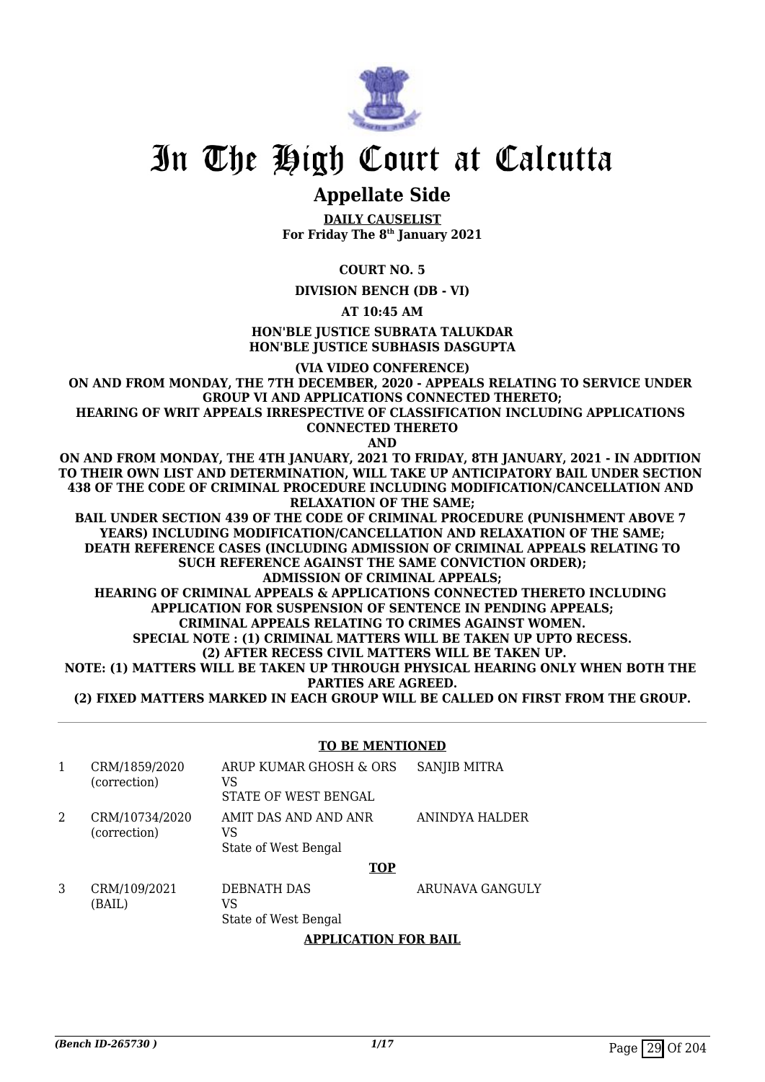

### **Appellate Side**

**DAILY CAUSELIST For Friday The 8th January 2021**

#### **COURT NO. 5**

**DIVISION BENCH (DB - VI)**

**AT 10:45 AM**

#### **HON'BLE JUSTICE SUBRATA TALUKDAR HON'BLE JUSTICE SUBHASIS DASGUPTA**

**(VIA VIDEO CONFERENCE)**

**ON AND FROM MONDAY, THE 7TH DECEMBER, 2020 - APPEALS RELATING TO SERVICE UNDER GROUP VI AND APPLICATIONS CONNECTED THERETO; HEARING OF WRIT APPEALS IRRESPECTIVE OF CLASSIFICATION INCLUDING APPLICATIONS** 

**CONNECTED THERETO**

**AND**

**ON AND FROM MONDAY, THE 4TH JANUARY, 2021 TO FRIDAY, 8TH JANUARY, 2021 - IN ADDITION TO THEIR OWN LIST AND DETERMINATION, WILL TAKE UP ANTICIPATORY BAIL UNDER SECTION 438 OF THE CODE OF CRIMINAL PROCEDURE INCLUDING MODIFICATION/CANCELLATION AND RELAXATION OF THE SAME;**

**BAIL UNDER SECTION 439 OF THE CODE OF CRIMINAL PROCEDURE (PUNISHMENT ABOVE 7 YEARS) INCLUDING MODIFICATION/CANCELLATION AND RELAXATION OF THE SAME; DEATH REFERENCE CASES (INCLUDING ADMISSION OF CRIMINAL APPEALS RELATING TO SUCH REFERENCE AGAINST THE SAME CONVICTION ORDER); ADMISSION OF CRIMINAL APPEALS; HEARING OF CRIMINAL APPEALS & APPLICATIONS CONNECTED THERETO INCLUDING APPLICATION FOR SUSPENSION OF SENTENCE IN PENDING APPEALS; CRIMINAL APPEALS RELATING TO CRIMES AGAINST WOMEN. SPECIAL NOTE : (1) CRIMINAL MATTERS WILL BE TAKEN UP UPTO RECESS. (2) AFTER RECESS CIVIL MATTERS WILL BE TAKEN UP. NOTE: (1) MATTERS WILL BE TAKEN UP THROUGH PHYSICAL HEARING ONLY WHEN BOTH THE PARTIES ARE AGREED.**

**(2) FIXED MATTERS MARKED IN EACH GROUP WILL BE CALLED ON FIRST FROM THE GROUP.**

#### **TO BE MENTIONED**

|   | CRM/1859/2020<br>(correction)  | ARUP KUMAR GHOSH & ORS<br>VS<br>STATE OF WEST BENGAL | <b>SANJIB MITRA</b>    |
|---|--------------------------------|------------------------------------------------------|------------------------|
| 2 | CRM/10734/2020<br>(correction) | AMIT DAS AND AND ANR<br>VS<br>State of West Bengal   | ANINDYA HALDER         |
|   |                                | <b>TOP</b>                                           |                        |
| 3 | CRM/109/2021<br>(BAIL)         | DEBNATH DAS<br>VS                                    | <b>ARUNAVA GANGULY</b> |

State of West Bengal

**APPLICATION FOR BAIL**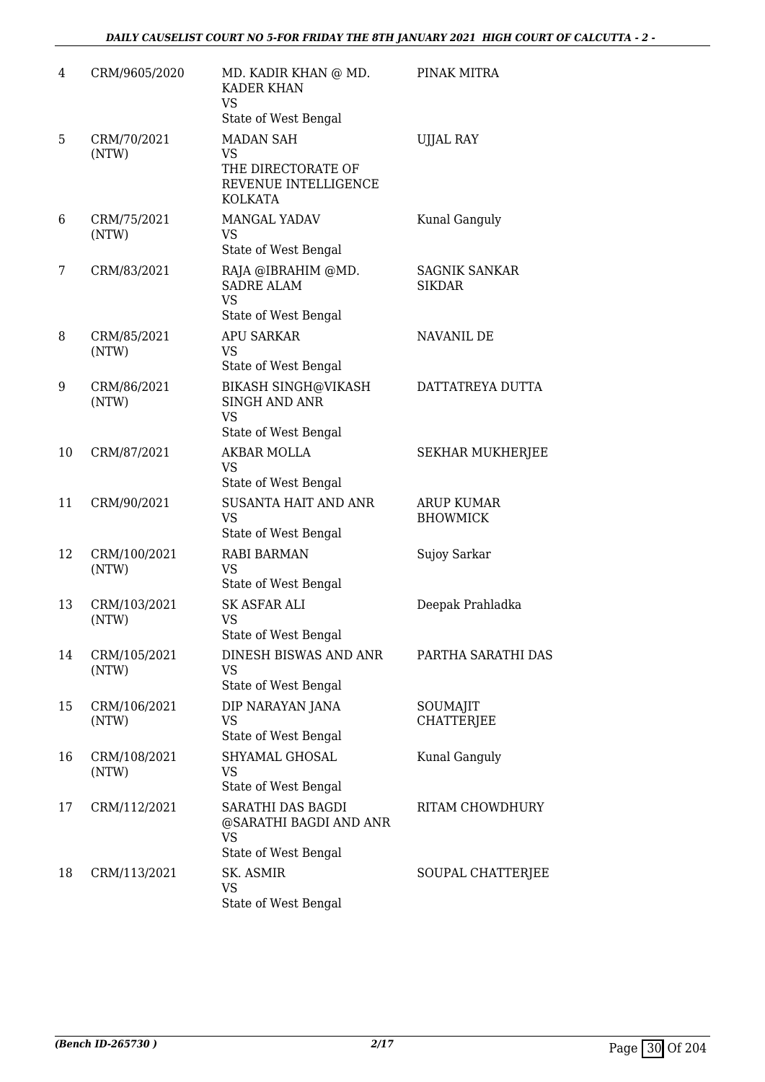| 4  | CRM/9605/2020         | MD. KADIR KHAN @ MD.<br><b>KADER KHAN</b><br><b>VS</b><br>State of West Bengal   | PINAK MITRA                           |
|----|-----------------------|----------------------------------------------------------------------------------|---------------------------------------|
| 5  | CRM/70/2021<br>(NTW)  | <b>MADAN SAH</b><br>VS<br>THE DIRECTORATE OF<br>REVENUE INTELLIGENCE<br>KOLKATA  | <b>UJJAL RAY</b>                      |
| 6  | CRM/75/2021<br>(NTW)  | MANGAL YADAV<br><b>VS</b><br>State of West Bengal                                | Kunal Ganguly                         |
| 7  | CRM/83/2021           | RAJA @IBRAHIM @MD.<br><b>SADRE ALAM</b><br><b>VS</b><br>State of West Bengal     | <b>SAGNIK SANKAR</b><br><b>SIKDAR</b> |
| 8  | CRM/85/2021<br>(NTW)  | <b>APU SARKAR</b><br>VS<br>State of West Bengal                                  | NAVANIL DE                            |
| 9  | CRM/86/2021<br>(NTW)  | BIKASH SINGH@VIKASH<br><b>SINGH AND ANR</b><br><b>VS</b><br>State of West Bengal | DATTATREYA DUTTA                      |
| 10 | CRM/87/2021           | <b>AKBAR MOLLA</b><br><b>VS</b><br>State of West Bengal                          | <b>SEKHAR MUKHERJEE</b>               |
| 11 | CRM/90/2021           | <b>SUSANTA HAIT AND ANR</b><br><b>VS</b><br>State of West Bengal                 | <b>ARUP KUMAR</b><br><b>BHOWMICK</b>  |
| 12 | CRM/100/2021<br>(NTW) | <b>RABI BARMAN</b><br>VS<br>State of West Bengal                                 | Sujoy Sarkar                          |
| 13 | CRM/103/2021<br>(NTW) | <b>SK ASFAR ALI</b><br><b>VS</b><br>State of West Bengal                         | Deepak Prahladka                      |
| 14 | CRM/105/2021<br>(NTW) | DINESH BISWAS AND ANR<br>VS<br>State of West Bengal                              | PARTHA SARATHI DAS                    |
| 15 | CRM/106/2021<br>(NTW) | DIP NARAYAN JANA<br><b>VS</b><br>State of West Bengal                            | SOUMAJIT<br><b>CHATTERJEE</b>         |
| 16 | CRM/108/2021<br>(NTW) | SHYAMAL GHOSAL<br>VS<br>State of West Bengal                                     | Kunal Ganguly                         |
| 17 | CRM/112/2021          | SARATHI DAS BAGDI<br>@SARATHI BAGDI AND ANR<br>VS<br>State of West Bengal        | RITAM CHOWDHURY                       |
| 18 | CRM/113/2021          | SK. ASMIR<br>VS<br>State of West Bengal                                          | SOUPAL CHATTERJEE                     |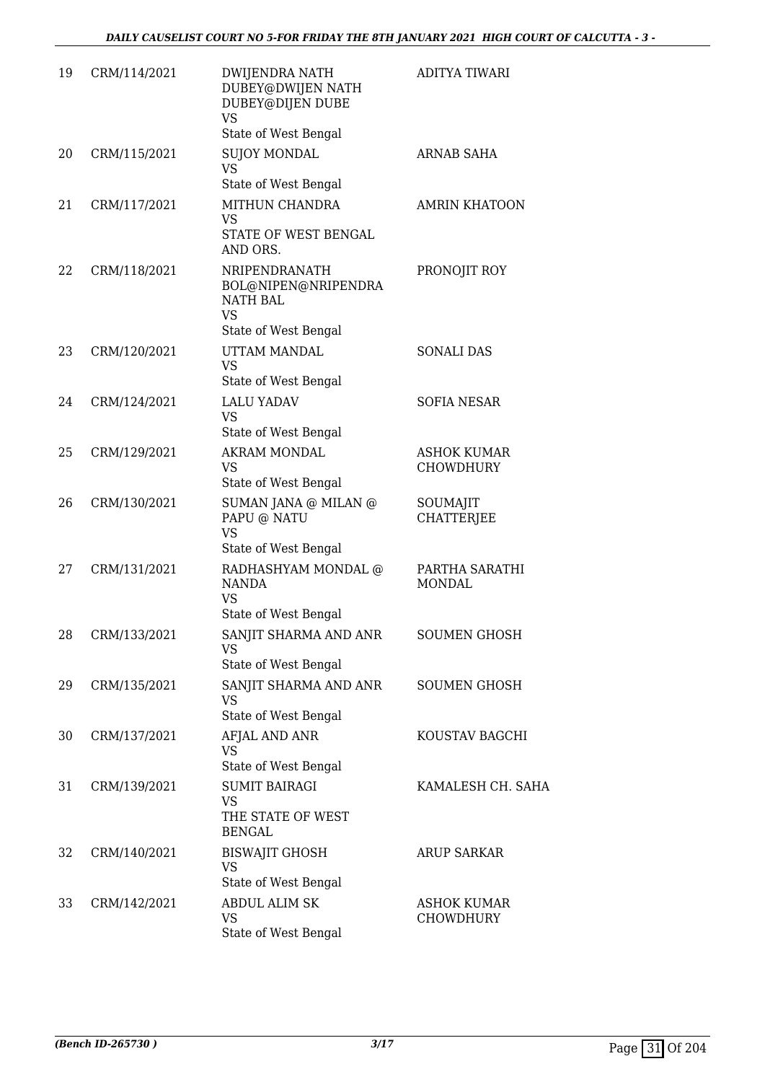| 19 | CRM/114/2021 | <b>DWIJENDRA NATH</b><br>DUBEY@DWIJEN NATH<br>DUBEY@DIJEN DUBE<br><b>VS</b><br>State of West Bengal | <b>ADITYA TIWARI</b>                   |
|----|--------------|-----------------------------------------------------------------------------------------------------|----------------------------------------|
| 20 | CRM/115/2021 | <b>SUJOY MONDAL</b><br><b>VS</b>                                                                    | <b>ARNAB SAHA</b>                      |
| 21 | CRM/117/2021 | State of West Bengal<br>MITHUN CHANDRA<br><b>VS</b><br>STATE OF WEST BENGAL<br>AND ORS.             | <b>AMRIN KHATOON</b>                   |
| 22 | CRM/118/2021 | NRIPENDRANATH<br>BOL@NIPEN@NRIPENDRA<br>NATH BAL<br><b>VS</b>                                       | PRONOJIT ROY                           |
| 23 | CRM/120/2021 | State of West Bengal<br>UTTAM MANDAL<br><b>VS</b><br>State of West Bengal                           | <b>SONALI DAS</b>                      |
| 24 | CRM/124/2021 | <b>LALU YADAV</b><br><b>VS</b><br>State of West Bengal                                              | <b>SOFIA NESAR</b>                     |
| 25 | CRM/129/2021 | <b>AKRAM MONDAL</b><br><b>VS</b><br>State of West Bengal                                            | <b>ASHOK KUMAR</b><br><b>CHOWDHURY</b> |
| 26 | CRM/130/2021 | SUMAN JANA @ MILAN @<br>PAPU @ NATU<br><b>VS</b><br>State of West Bengal                            | SOUMAJIT<br><b>CHATTERJEE</b>          |
| 27 | CRM/131/2021 | RADHASHYAM MONDAL @<br><b>NANDA</b><br><b>VS</b><br>State of West Bengal                            | PARTHA SARATHI<br><b>MONDAL</b>        |
| 28 | CRM/133/2021 | SANJIT SHARMA AND ANR<br>VS<br>State of West Bengal                                                 | SOUMEN GHOSH                           |
| 29 | CRM/135/2021 | SANJIT SHARMA AND ANR<br><b>VS</b><br>State of West Bengal                                          | <b>SOUMEN GHOSH</b>                    |
| 30 | CRM/137/2021 | AFJAL AND ANR<br><b>VS</b><br>State of West Bengal                                                  | KOUSTAV BAGCHI                         |
| 31 | CRM/139/2021 | <b>SUMIT BAIRAGI</b><br>VS<br>THE STATE OF WEST<br><b>BENGAL</b>                                    | KAMALESH CH. SAHA                      |
| 32 | CRM/140/2021 | <b>BISWAJIT GHOSH</b><br>VS<br>State of West Bengal                                                 | ARUP SARKAR                            |
| 33 | CRM/142/2021 | <b>ABDUL ALIM SK</b><br><b>VS</b><br>State of West Bengal                                           | <b>ASHOK KUMAR</b><br><b>CHOWDHURY</b> |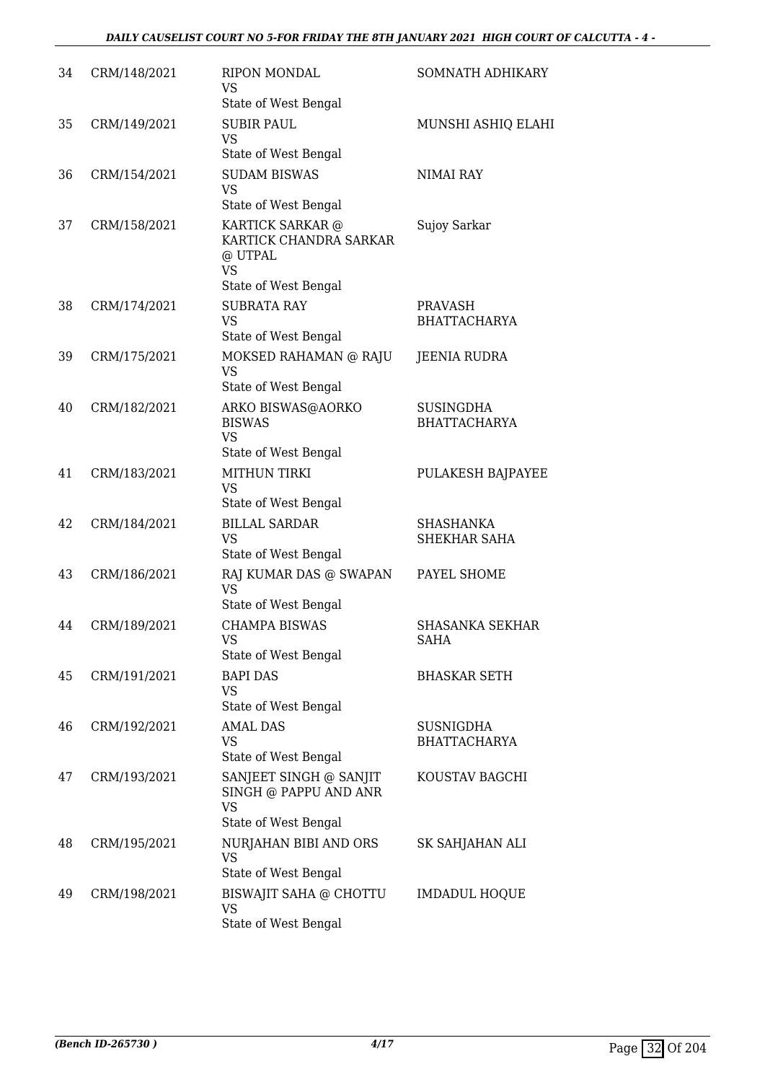#### *DAILY CAUSELIST COURT NO 5-FOR FRIDAY THE 8TH JANUARY 2021 HIGH COURT OF CALCUTTA - 4 -*

| 34 | CRM/148/2021 | <b>RIPON MONDAL</b><br>VS<br>State of West Bengal                                   | SOMNATH ADHIKARY                        |
|----|--------------|-------------------------------------------------------------------------------------|-----------------------------------------|
| 35 | CRM/149/2021 | <b>SUBIR PAUL</b><br>VS<br>State of West Bengal                                     | MUNSHI ASHIQ ELAHI                      |
| 36 | CRM/154/2021 | <b>SUDAM BISWAS</b><br>VS<br>State of West Bengal                                   | NIMAI RAY                               |
| 37 | CRM/158/2021 | KARTICK SARKAR @<br>KARTICK CHANDRA SARKAR<br>@ UTPAL<br>VS<br>State of West Bengal | Sujoy Sarkar                            |
| 38 | CRM/174/2021 | <b>SUBRATA RAY</b><br><b>VS</b><br>State of West Bengal                             | <b>PRAVASH</b><br><b>BHATTACHARYA</b>   |
| 39 | CRM/175/2021 | MOKSED RAHAMAN @ RAJU<br>VS<br>State of West Bengal                                 | <b>JEENIA RUDRA</b>                     |
| 40 | CRM/182/2021 | ARKO BISWAS@AORKO<br><b>BISWAS</b><br><b>VS</b><br>State of West Bengal             | <b>SUSINGDHA</b><br><b>BHATTACHARYA</b> |
| 41 | CRM/183/2021 | <b>MITHUN TIRKI</b><br><b>VS</b><br>State of West Bengal                            | PULAKESH BAJPAYEE                       |
| 42 | CRM/184/2021 | <b>BILLAL SARDAR</b><br><b>VS</b><br>State of West Bengal                           | SHASHANKA<br>SHEKHAR SAHA               |
| 43 | CRM/186/2021 | RAJ KUMAR DAS @ SWAPAN<br>VS<br>State of West Bengal                                | PAYEL SHOME                             |
| 44 | CRM/189/2021 | <b>CHAMPA BISWAS</b><br>VS<br>State of West Bengal                                  | <b>SHASANKA SEKHAR</b><br><b>SAHA</b>   |
| 45 | CRM/191/2021 | <b>BAPI DAS</b><br><b>VS</b><br>State of West Bengal                                | <b>BHASKAR SETH</b>                     |
| 46 | CRM/192/2021 | <b>AMAL DAS</b><br>VS<br>State of West Bengal                                       | <b>SUSNIGDHA</b><br><b>BHATTACHARYA</b> |
| 47 | CRM/193/2021 | SANJEET SINGH @ SANJIT<br>SINGH @ PAPPU AND ANR<br>VS<br>State of West Bengal       | KOUSTAV BAGCHI                          |
| 48 | CRM/195/2021 | NURJAHAN BIBI AND ORS<br><b>VS</b><br>State of West Bengal                          | SK SAHJAHAN ALI                         |
| 49 | CRM/198/2021 | BISWAJIT SAHA @ CHOTTU<br><b>VS</b><br>State of West Bengal                         | <b>IMDADUL HOQUE</b>                    |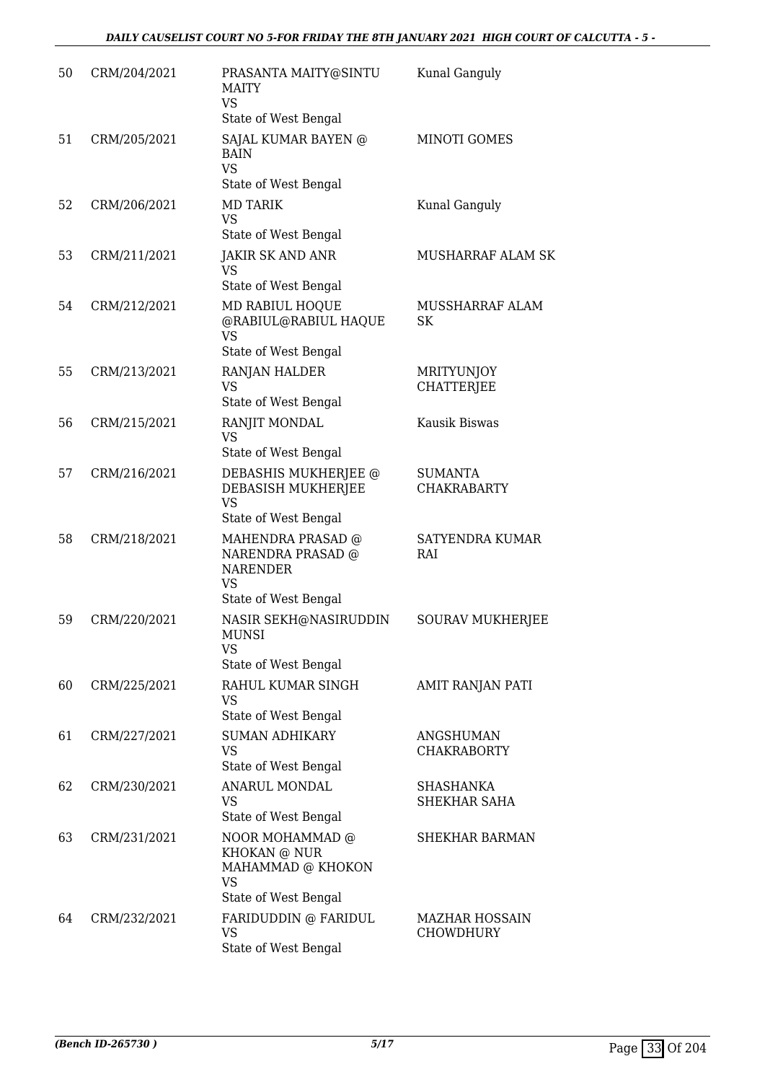| 50 | CRM/204/2021 | PRASANTA MAITY@SINTU<br><b>MAITY</b><br><b>VS</b><br>State of West Bengal               | Kunal Ganguly                          |
|----|--------------|-----------------------------------------------------------------------------------------|----------------------------------------|
| 51 | CRM/205/2021 | <b>SAJAL KUMAR BAYEN @</b><br><b>BAIN</b><br><b>VS</b><br>State of West Bengal          | MINOTI GOMES                           |
| 52 | CRM/206/2021 | <b>MD TARIK</b><br><b>VS</b><br>State of West Bengal                                    | Kunal Ganguly                          |
| 53 | CRM/211/2021 | <b>JAKIR SK AND ANR</b><br>VS<br>State of West Bengal                                   | MUSHARRAF ALAM SK                      |
| 54 | CRM/212/2021 | MD RABIUL HOQUE<br>@RABIUL@RABIUL HAQUE<br><b>VS</b><br>State of West Bengal            | MUSSHARRAF ALAM<br>SK                  |
| 55 | CRM/213/2021 | RANJAN HALDER<br><b>VS</b><br>State of West Bengal                                      | <b>MRITYUNJOY</b><br><b>CHATTERJEE</b> |
| 56 | CRM/215/2021 | RANJIT MONDAL<br>VS<br>State of West Bengal                                             | Kausik Biswas                          |
| 57 | CRM/216/2021 | DEBASHIS MUKHERJEE @<br>DEBASISH MUKHERJEE<br><b>VS</b><br>State of West Bengal         | <b>SUMANTA</b><br><b>CHAKRABARTY</b>   |
| 58 | CRM/218/2021 | MAHENDRA PRASAD @<br>NARENDRA PRASAD @<br><b>NARENDER</b><br>VS<br>State of West Bengal | SATYENDRA KUMAR<br>RAI                 |
| 59 | CRM/220/2021 | NASIR SEKH@NASIRUDDIN<br>MUNSI<br>VS<br>State of West Bengal                            | <b>SOURAV MUKHERJEE</b>                |
| 60 | CRM/225/2021 | RAHUL KUMAR SINGH<br>VS<br>State of West Bengal                                         | AMIT RANJAN PATI                       |
| 61 | CRM/227/2021 | <b>SUMAN ADHIKARY</b><br><b>VS</b><br>State of West Bengal                              | <b>ANGSHUMAN</b><br><b>CHAKRABORTY</b> |
| 62 | CRM/230/2021 | ANARUL MONDAL<br><b>VS</b><br>State of West Bengal                                      | <b>SHASHANKA</b><br>SHEKHAR SAHA       |
| 63 | CRM/231/2021 | NOOR MOHAMMAD @<br>KHOKAN @ NUR<br>MAHAMMAD @ KHOKON<br>VS<br>State of West Bengal      | SHEKHAR BARMAN                         |
| 64 | CRM/232/2021 | FARIDUDDIN @ FARIDUL<br><b>VS</b><br>State of West Bengal                               | <b>MAZHAR HOSSAIN</b><br>CHOWDHURY     |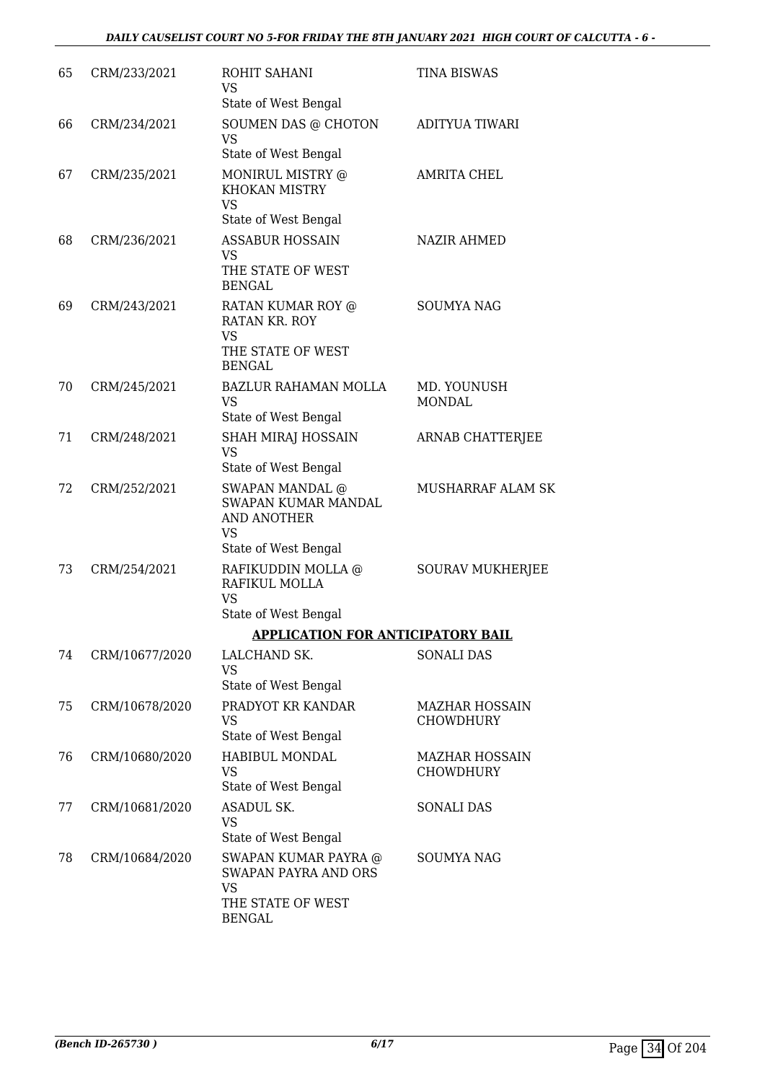| 65 | CRM/233/2021   | ROHIT SAHANI<br>VS<br>State of West Bengal                                                             | <b>TINA BISWAS</b>                 |
|----|----------------|--------------------------------------------------------------------------------------------------------|------------------------------------|
| 66 | CRM/234/2021   | SOUMEN DAS @ CHOTON<br><b>VS</b><br>State of West Bengal                                               | ADITYUA TIWARI                     |
| 67 | CRM/235/2021   | MONIRUL MISTRY @<br><b>KHOKAN MISTRY</b><br><b>VS</b>                                                  | <b>AMRITA CHEL</b>                 |
| 68 | CRM/236/2021   | State of West Bengal<br><b>ASSABUR HOSSAIN</b><br><b>VS</b><br>THE STATE OF WEST<br><b>BENGAL</b>      | <b>NAZIR AHMED</b>                 |
| 69 | CRM/243/2021   | RATAN KUMAR ROY @<br>RATAN KR. ROY<br>VS<br>THE STATE OF WEST<br><b>BENGAL</b>                         | <b>SOUMYA NAG</b>                  |
| 70 | CRM/245/2021   | <b>BAZLUR RAHAMAN MOLLA</b><br><b>VS</b><br>State of West Bengal                                       | MD. YOUNUSH<br><b>MONDAL</b>       |
| 71 | CRM/248/2021   | SHAH MIRAJ HOSSAIN<br><b>VS</b><br>State of West Bengal                                                | ARNAB CHATTERJEE                   |
| 72 | CRM/252/2021   | <b>SWAPAN MANDAL @</b><br>SWAPAN KUMAR MANDAL<br>AND ANOTHER<br><b>VS</b>                              | MUSHARRAF ALAM SK                  |
| 73 | CRM/254/2021   | State of West Bengal<br>RAFIKUDDIN MOLLA @<br>RAFIKUL MOLLA<br><b>VS</b><br>State of West Bengal       | <b>SOURAV MUKHERJEE</b>            |
|    |                | <b>APPLICATION FOR ANTICIPATORY BAIL</b>                                                               |                                    |
| 74 | CRM/10677/2020 | LALCHAND SK.<br><b>VS</b><br>State of West Bengal                                                      | <b>SONALI DAS</b>                  |
| 75 | CRM/10678/2020 | PRADYOT KR KANDAR<br><b>VS</b><br>State of West Bengal                                                 | <b>MAZHAR HOSSAIN</b><br>CHOWDHURY |
| 76 | CRM/10680/2020 | HABIBUL MONDAL<br><b>VS</b><br>State of West Bengal                                                    | <b>MAZHAR HOSSAIN</b><br>CHOWDHURY |
| 77 | CRM/10681/2020 | ASADUL SK.<br><b>VS</b><br>State of West Bengal                                                        | <b>SONALI DAS</b>                  |
| 78 | CRM/10684/2020 | SWAPAN KUMAR PAYRA @<br><b>SWAPAN PAYRA AND ORS</b><br><b>VS</b><br>THE STATE OF WEST<br><b>BENGAL</b> | <b>SOUMYA NAG</b>                  |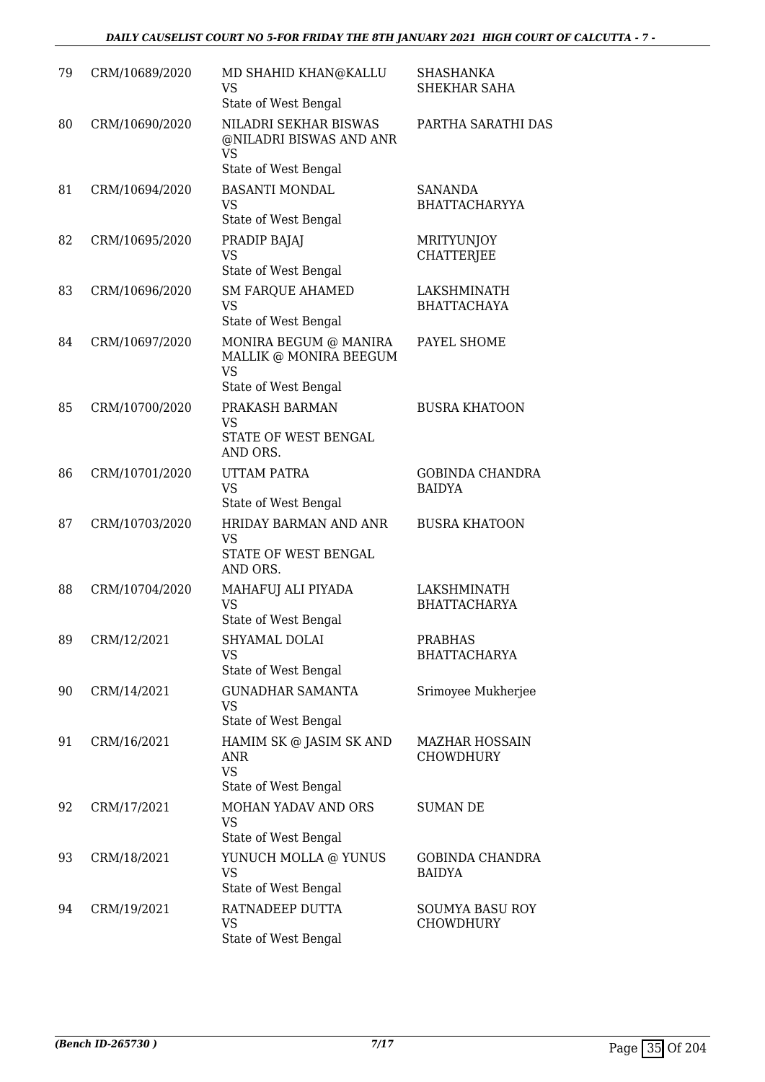| 79 | CRM/10689/2020 | MD SHAHID KHAN@KALLU<br>VS<br>State of West Bengal                                   | <b>SHASHANKA</b><br>SHEKHAR SAHA          |
|----|----------------|--------------------------------------------------------------------------------------|-------------------------------------------|
| 80 | CRM/10690/2020 | NILADRI SEKHAR BISWAS<br>@NILADRI BISWAS AND ANR<br>VS<br>State of West Bengal       | PARTHA SARATHI DAS                        |
| 81 | CRM/10694/2020 | <b>BASANTI MONDAL</b><br><b>VS</b>                                                   | <b>SANANDA</b><br><b>BHATTACHARYYA</b>    |
| 82 | CRM/10695/2020 | State of West Bengal<br>PRADIP BAJAJ<br><b>VS</b><br>State of West Bengal            | <b>MRITYUNJOY</b><br><b>CHATTERJEE</b>    |
| 83 | CRM/10696/2020 | <b>SM FARQUE AHAMED</b><br><b>VS</b><br>State of West Bengal                         | LAKSHMINATH<br><b>BHATTACHAYA</b>         |
| 84 | CRM/10697/2020 | MONIRA BEGUM @ MANIRA<br>MALLIK @ MONIRA BEEGUM<br><b>VS</b><br>State of West Bengal | PAYEL SHOME                               |
| 85 | CRM/10700/2020 | PRAKASH BARMAN<br>VS<br>STATE OF WEST BENGAL<br>AND ORS.                             | <b>BUSRA KHATOON</b>                      |
| 86 | CRM/10701/2020 | <b>UTTAM PATRA</b><br><b>VS</b><br>State of West Bengal                              | <b>GOBINDA CHANDRA</b><br><b>BAIDYA</b>   |
| 87 | CRM/10703/2020 | HRIDAY BARMAN AND ANR<br>VS<br>STATE OF WEST BENGAL<br>AND ORS.                      | <b>BUSRA KHATOON</b>                      |
| 88 | CRM/10704/2020 | MAHAFUJ ALI PIYADA<br><b>VS</b><br>State of West Bengal                              | LAKSHMINATH<br><b>BHATTACHARYA</b>        |
| 89 | CRM/12/2021    | SHYAMAL DOLAI<br>VS<br>State of West Bengal                                          | <b>PRABHAS</b><br><b>BHATTACHARYA</b>     |
| 90 | CRM/14/2021    | <b>GUNADHAR SAMANTA</b><br><b>VS</b><br>State of West Bengal                         | Srimoyee Mukherjee                        |
| 91 | CRM/16/2021    | HAMIM SK @ JASIM SK AND<br>ANR<br><b>VS</b><br>State of West Bengal                  | <b>MAZHAR HOSSAIN</b><br><b>CHOWDHURY</b> |
| 92 | CRM/17/2021    | MOHAN YADAV AND ORS<br>VS<br>State of West Bengal                                    | <b>SUMAN DE</b>                           |
| 93 | CRM/18/2021    | YUNUCH MOLLA @ YUNUS<br><b>VS</b><br>State of West Bengal                            | <b>GOBINDA CHANDRA</b><br><b>BAIDYA</b>   |
| 94 | CRM/19/2021    | RATNADEEP DUTTA<br>VS<br>State of West Bengal                                        | <b>SOUMYA BASU ROY</b><br>CHOWDHURY       |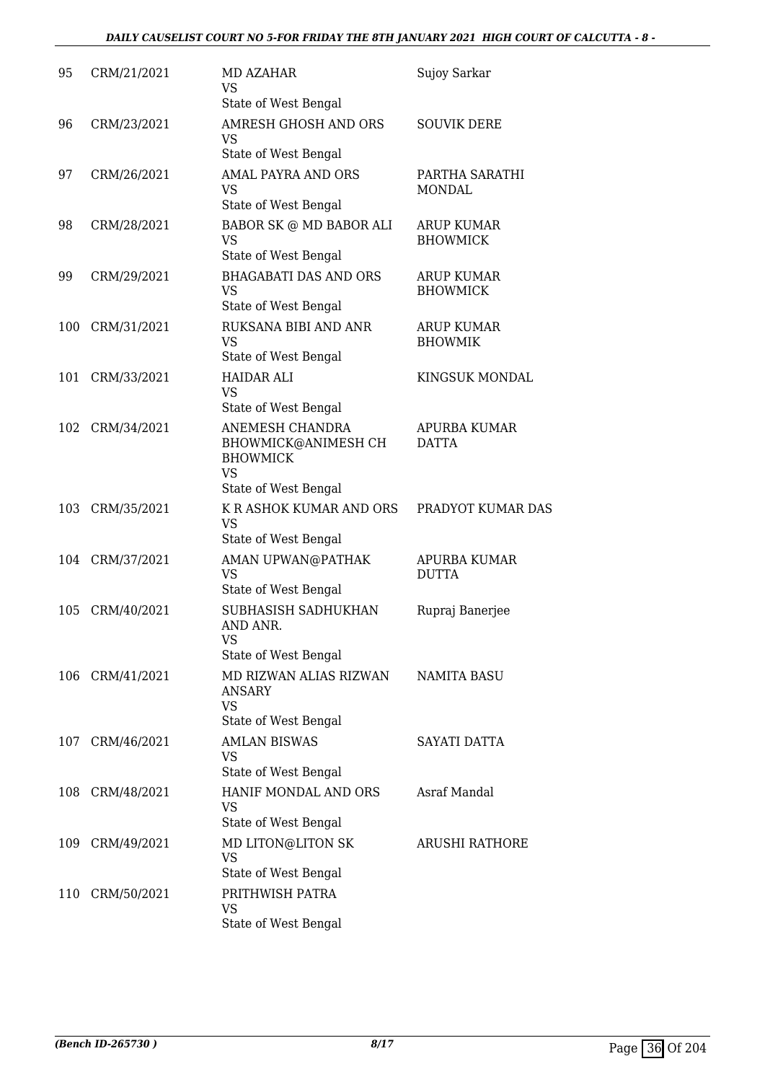# *DAILY CAUSELIST COURT NO 5-FOR FRIDAY THE 8TH JANUARY 2021 HIGH COURT OF CALCUTTA - 8 -*

| 95  | CRM/21/2021 | MD AZAHAR<br>VS<br>State of West Bengal                                                        | Sujoy Sarkar                         |
|-----|-------------|------------------------------------------------------------------------------------------------|--------------------------------------|
| 96  | CRM/23/2021 | AMRESH GHOSH AND ORS<br>VS<br>State of West Bengal                                             | <b>SOUVIK DERE</b>                   |
| 97  | CRM/26/2021 | AMAL PAYRA AND ORS<br><b>VS</b><br>State of West Bengal                                        | PARTHA SARATHI<br><b>MONDAL</b>      |
| 98  | CRM/28/2021 | <b>BABOR SK @ MD BABOR ALI</b><br><b>VS</b><br>State of West Bengal                            | <b>ARUP KUMAR</b><br><b>BHOWMICK</b> |
| 99  | CRM/29/2021 | <b>BHAGABATI DAS AND ORS</b><br>VS<br>State of West Bengal                                     | <b>ARUP KUMAR</b><br><b>BHOWMICK</b> |
| 100 | CRM/31/2021 | RUKSANA BIBI AND ANR<br><b>VS</b><br>State of West Bengal                                      | <b>ARUP KUMAR</b><br><b>BHOWMIK</b>  |
| 101 | CRM/33/2021 | <b>HAIDAR ALI</b><br><b>VS</b><br>State of West Bengal                                         | KINGSUK MONDAL                       |
| 102 | CRM/34/2021 | ANEMESH CHANDRA<br>BHOWMICK@ANIMESH CH<br><b>BHOWMICK</b><br><b>VS</b><br>State of West Bengal | APURBA KUMAR<br>DATTA                |
| 103 | CRM/35/2021 | K R ASHOK KUMAR AND ORS<br><b>VS</b><br>State of West Bengal                                   | PRADYOT KUMAR DAS                    |
| 104 | CRM/37/2021 | AMAN UPWAN@PATHAK<br><b>VS</b><br>State of West Bengal                                         | APURBA KUMAR<br><b>DUTTA</b>         |
| 105 | CRM/40/2021 | SUBHASISH SADHUKHAN<br>AND ANR.<br>VS<br>State of West Bengal                                  | Rupraj Banerjee                      |
| 106 | CRM/41/2021 | MD RIZWAN ALIAS RIZWAN<br><b>ANSARY</b><br><b>VS</b><br>State of West Bengal                   | <b>NAMITA BASU</b>                   |
| 107 | CRM/46/2021 | <b>AMLAN BISWAS</b><br><b>VS</b><br>State of West Bengal                                       | SAYATI DATTA                         |
| 108 | CRM/48/2021 | HANIF MONDAL AND ORS<br>VS<br>State of West Bengal                                             | Asraf Mandal                         |
| 109 | CRM/49/2021 | MD LITON@LITON SK<br><b>VS</b><br>State of West Bengal                                         | <b>ARUSHI RATHORE</b>                |
| 110 | CRM/50/2021 | PRITHWISH PATRA<br>VS<br>State of West Bengal                                                  |                                      |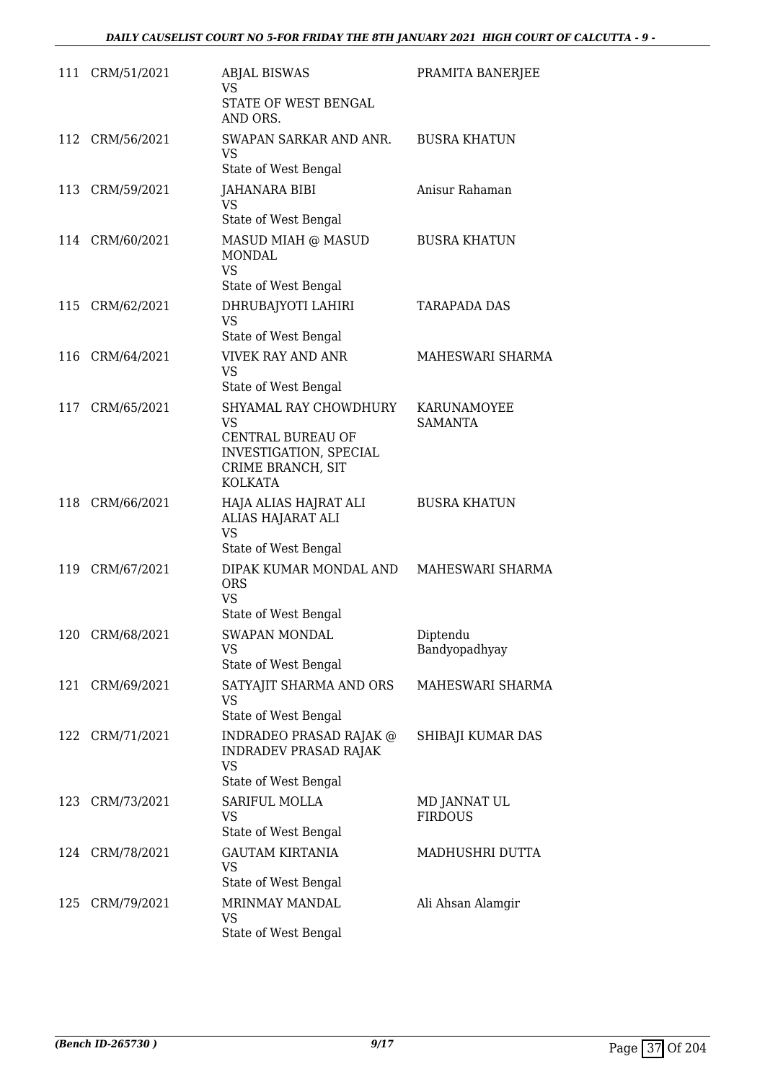|     | 111 CRM/51/2021 | <b>ABJAL BISWAS</b><br>VS.<br>STATE OF WEST BENGAL<br>AND ORS.                                                    | PRAMITA BANERJEE               |
|-----|-----------------|-------------------------------------------------------------------------------------------------------------------|--------------------------------|
|     | 112 CRM/56/2021 | SWAPAN SARKAR AND ANR.<br>VS<br>State of West Bengal                                                              | <b>BUSRA KHATUN</b>            |
|     | 113 CRM/59/2021 | JAHANARA BIBI<br><b>VS</b><br>State of West Bengal                                                                | Anisur Rahaman                 |
|     | 114 CRM/60/2021 | MASUD MIAH @ MASUD<br><b>MONDAL</b><br><b>VS</b><br>State of West Bengal                                          | <b>BUSRA KHATUN</b>            |
|     | 115 CRM/62/2021 | DHRUBAJYOTI LAHIRI<br><b>VS</b><br>State of West Bengal                                                           | <b>TARAPADA DAS</b>            |
|     | 116 CRM/64/2021 | <b>VIVEK RAY AND ANR</b><br><b>VS</b><br>State of West Bengal                                                     | MAHESWARI SHARMA               |
| 117 | CRM/65/2021     | SHYAMAL RAY CHOWDHURY<br>VS<br>CENTRAL BUREAU OF<br>INVESTIGATION, SPECIAL<br>CRIME BRANCH, SIT<br><b>KOLKATA</b> | KARUNAMOYEE<br><b>SAMANTA</b>  |
|     | 118 CRM/66/2021 | HAJA ALIAS HAJRAT ALI<br>ALIAS HAJARAT ALI<br><b>VS</b><br>State of West Bengal                                   | <b>BUSRA KHATUN</b>            |
|     | 119 CRM/67/2021 | DIPAK KUMAR MONDAL AND<br><b>ORS</b><br><b>VS</b><br>State of West Bengal                                         | MAHESWARI SHARMA               |
|     | 120 CRM/68/2021 | SWAPAN MONDAL<br>VS<br>State of West Bengal                                                                       | Diptendu<br>Bandyopadhyay      |
| 121 | CRM/69/2021     | SATYAJIT SHARMA AND ORS<br><b>VS</b><br>State of West Bengal                                                      | MAHESWARI SHARMA               |
|     | 122 CRM/71/2021 | INDRADEO PRASAD RAJAK @<br><b>INDRADEV PRASAD RAJAK</b><br><b>VS</b><br>State of West Bengal                      | SHIBAJI KUMAR DAS              |
|     | 123 CRM/73/2021 | SARIFUL MOLLA<br>VS<br>State of West Bengal                                                                       | MD JANNAT UL<br><b>FIRDOUS</b> |
|     | 124 CRM/78/2021 | <b>GAUTAM KIRTANIA</b><br>VS<br>State of West Bengal                                                              | MADHUSHRI DUTTA                |
| 125 | CRM/79/2021     | MRINMAY MANDAL<br><b>VS</b><br>State of West Bengal                                                               | Ali Ahsan Alamgir              |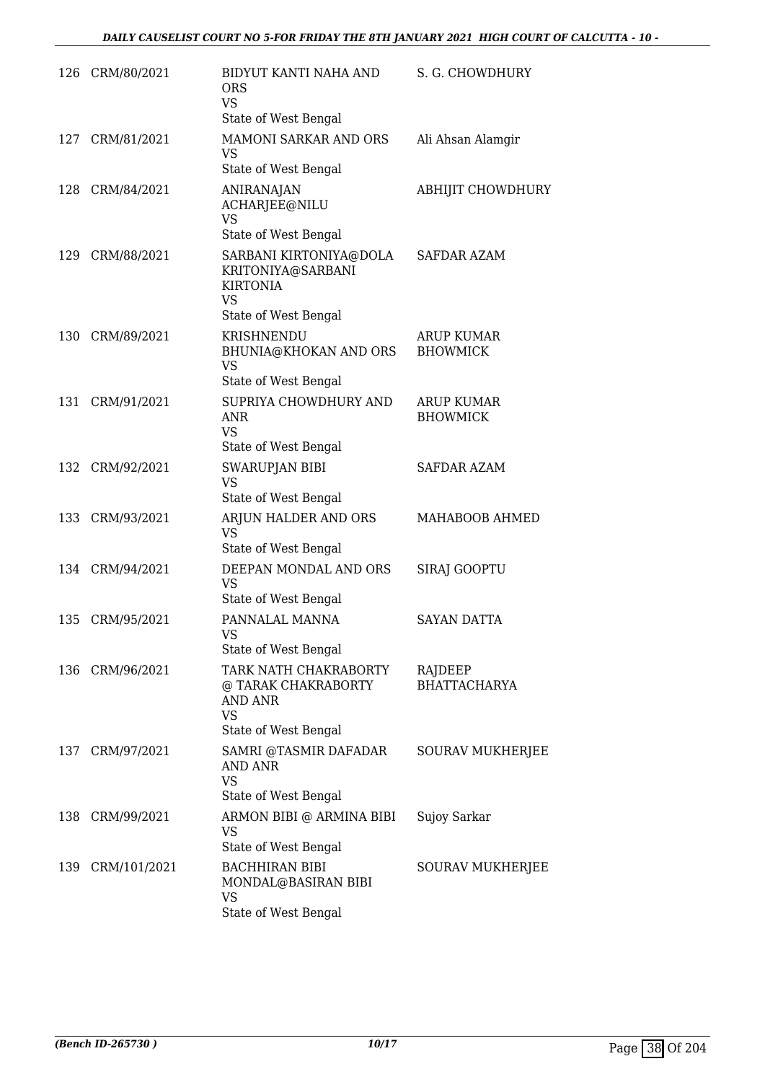| 126 | CRM/80/2021     | BIDYUT KANTI NAHA AND<br><b>ORS</b><br><b>VS</b><br>State of West Bengal                            | S. G. CHOWDHURY                      |
|-----|-----------------|-----------------------------------------------------------------------------------------------------|--------------------------------------|
| 127 | CRM/81/2021     | MAMONI SARKAR AND ORS<br>VS<br>State of West Bengal                                                 | Ali Ahsan Alamgir                    |
| 128 | CRM/84/2021     | <b>ANIRANAJAN</b><br>ACHARJEE@NILU<br><b>VS</b><br>State of West Bengal                             | ABHIJIT CHOWDHURY                    |
| 129 | CRM/88/2021     | SARBANI KIRTONIYA@DOLA<br>KRITONIYA@SARBANI<br><b>KIRTONIA</b><br><b>VS</b><br>State of West Bengal | SAFDAR AZAM                          |
| 130 | CRM/89/2021     | KRISHNENDU<br>BHUNIA@KHOKAN AND ORS<br><b>VS</b><br>State of West Bengal                            | ARUP KUMAR<br><b>BHOWMICK</b>        |
| 131 | CRM/91/2021     | SUPRIYA CHOWDHURY AND<br>ANR<br><b>VS</b><br>State of West Bengal                                   | <b>ARUP KUMAR</b><br><b>BHOWMICK</b> |
| 132 | CRM/92/2021     | SWARUPJAN BIBI<br><b>VS</b><br>State of West Bengal                                                 | <b>SAFDAR AZAM</b>                   |
| 133 | CRM/93/2021     | ARJUN HALDER AND ORS<br>VS<br>State of West Bengal                                                  | MAHABOOB AHMED                       |
|     | 134 CRM/94/2021 | DEEPAN MONDAL AND ORS<br>VS<br>State of West Bengal                                                 | SIRAJ GOOPTU                         |
| 135 | CRM/95/2021     | PANNALAL MANNA<br>VS.<br>State of West Bengal                                                       | <b>SAYAN DATTA</b>                   |
| 136 | CRM/96/2021     | TARK NATH CHAKRABORTY<br>@ TARAK CHAKRABORTY<br><b>AND ANR</b><br>VS<br>State of West Bengal        | RAJDEEP<br><b>BHATTACHARYA</b>       |
| 137 | CRM/97/2021     | SAMRI @TASMIR DAFADAR<br>AND ANR<br>VS<br>State of West Bengal                                      | SOURAV MUKHERJEE                     |
| 138 | CRM/99/2021     | ARMON BIBI @ ARMINA BIBI<br><b>VS</b><br>State of West Bengal                                       | Sujoy Sarkar                         |
| 139 | CRM/101/2021    | <b>BACHHIRAN BIBI</b><br>MONDAL@BASIRAN BIBI<br>VS<br>State of West Bengal                          | SOURAV MUKHERJEE                     |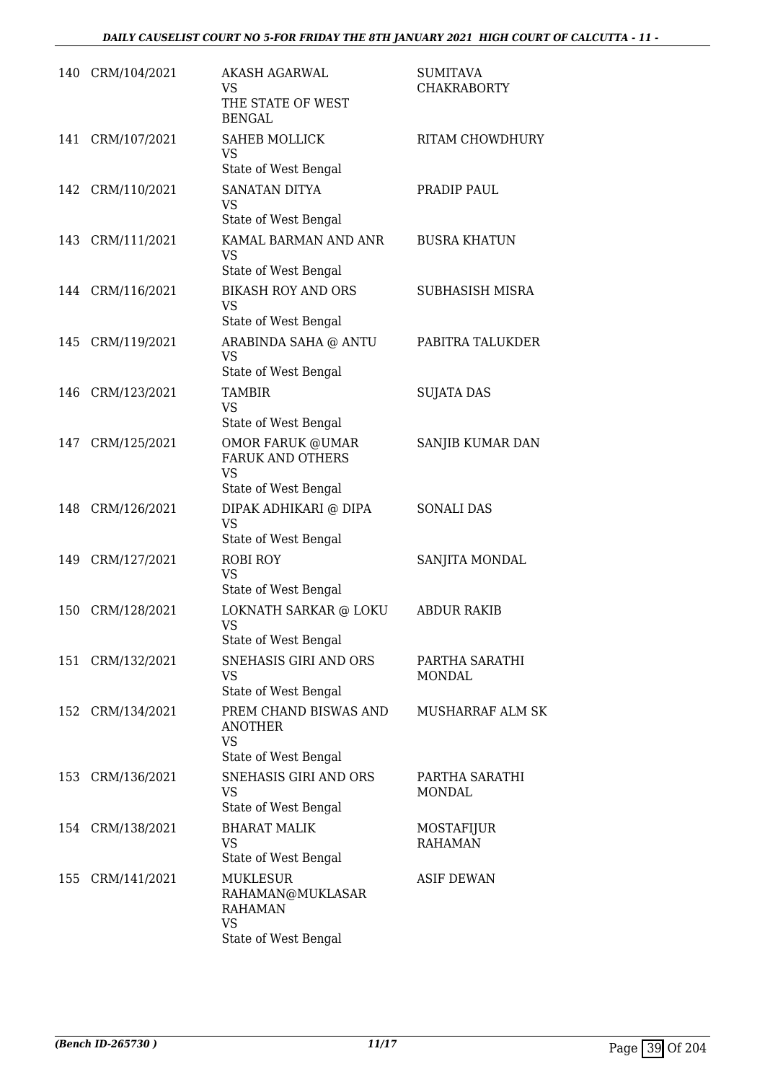| 140 | CRM/104/2021     | <b>AKASH AGARWAL</b><br>VS<br>THE STATE OF WEST<br><b>BENGAL</b>                           | <b>SUMITAVA</b><br><b>CHAKRABORTY</b> |
|-----|------------------|--------------------------------------------------------------------------------------------|---------------------------------------|
| 141 | CRM/107/2021     | <b>SAHEB MOLLICK</b><br><b>VS</b><br>State of West Bengal                                  | <b>RITAM CHOWDHURY</b>                |
| 142 | CRM/110/2021     | <b>SANATAN DITYA</b><br><b>VS</b><br>State of West Bengal                                  | PRADIP PAUL                           |
| 143 | CRM/111/2021     | KAMAL BARMAN AND ANR<br>VS<br>State of West Bengal                                         | <b>BUSRA KHATUN</b>                   |
| 144 | CRM/116/2021     | <b>BIKASH ROY AND ORS</b><br><b>VS</b><br>State of West Bengal                             | <b>SUBHASISH MISRA</b>                |
| 145 | CRM/119/2021     | ARABINDA SAHA @ ANTU<br><b>VS</b><br>State of West Bengal                                  | PABITRA TALUKDER                      |
| 146 | CRM/123/2021     | <b>TAMBIR</b><br>VS<br>State of West Bengal                                                | <b>SUJATA DAS</b>                     |
| 147 | CRM/125/2021     | <b>OMOR FARUK @UMAR</b><br><b>FARUK AND OTHERS</b><br><b>VS</b><br>State of West Bengal    | SANJIB KUMAR DAN                      |
| 148 | CRM/126/2021     | DIPAK ADHIKARI @ DIPA<br><b>VS</b><br>State of West Bengal                                 | <b>SONALI DAS</b>                     |
| 149 | CRM/127/2021     | ROBI ROY<br><b>VS</b><br>State of West Bengal                                              | SANJITA MONDAL                        |
| 150 | CRM/128/2021     | LOKNATH SARKAR @ LOKU<br><b>VS</b><br>State of West Bengal                                 | <b>ABDUR RAKIB</b>                    |
| 151 | CRM/132/2021     | SNEHASIS GIRI AND ORS<br><b>VS</b><br>State of West Bengal                                 | PARTHA SARATHI<br><b>MONDAL</b>       |
|     | 152 CRM/134/2021 | PREM CHAND BISWAS AND<br>ANOTHER<br><b>VS</b><br>State of West Bengal                      | MUSHARRAF ALM SK                      |
| 153 | CRM/136/2021     | SNEHASIS GIRI AND ORS<br><b>VS</b><br>State of West Bengal                                 | PARTHA SARATHI<br><b>MONDAL</b>       |
| 154 | CRM/138/2021     | <b>BHARAT MALIK</b><br>VS<br>State of West Bengal                                          | MOSTAFIJUR<br><b>RAHAMAN</b>          |
| 155 | CRM/141/2021     | <b>MUKLESUR</b><br>RAHAMAN@MUKLASAR<br><b>RAHAMAN</b><br><b>VS</b><br>State of West Bengal | ASIF DEWAN                            |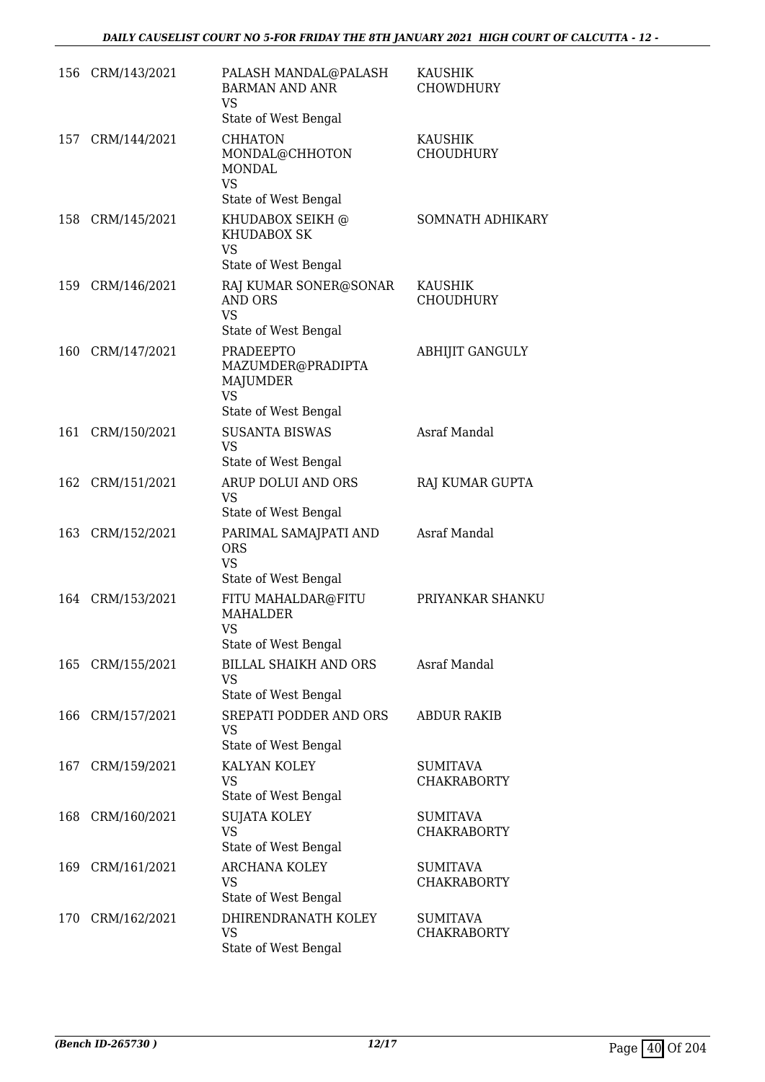|     | 156 CRM/143/2021 | PALASH MANDAL@PALASH<br><b>BARMAN AND ANR</b><br><b>VS</b><br>State of West Bengal     | <b>KAUSHIK</b><br><b>CHOWDHURY</b>    |
|-----|------------------|----------------------------------------------------------------------------------------|---------------------------------------|
| 157 | CRM/144/2021     | <b>CHHATON</b><br>MONDAL@CHHOTON<br><b>MONDAL</b><br><b>VS</b><br>State of West Bengal | KAUSHIK<br><b>CHOUDHURY</b>           |
| 158 | CRM/145/2021     | KHUDABOX SEIKH @<br><b>KHUDABOX SK</b><br><b>VS</b><br>State of West Bengal            | <b>SOMNATH ADHIKARY</b>               |
| 159 | CRM/146/2021     | RAJ KUMAR SONER@SONAR<br><b>AND ORS</b><br><b>VS</b><br>State of West Bengal           | KAUSHIK<br><b>CHOUDHURY</b>           |
| 160 | CRM/147/2021     | PRADEEPTO<br>MAZUMDER@PRADIPTA<br>MAJUMDER<br>VS<br>State of West Bengal               | <b>ABHIJIT GANGULY</b>                |
| 161 | CRM/150/2021     | <b>SUSANTA BISWAS</b><br><b>VS</b><br>State of West Bengal                             | Asraf Mandal                          |
|     | 162 CRM/151/2021 | ARUP DOLUI AND ORS<br><b>VS</b><br>State of West Bengal                                | RAJ KUMAR GUPTA                       |
| 163 | CRM/152/2021     | PARIMAL SAMAJPATI AND<br><b>ORS</b><br><b>VS</b><br>State of West Bengal               | Asraf Mandal                          |
| 164 | CRM/153/2021     | FITU MAHALDAR@FITU<br><b>MAHALDER</b><br>VS<br>State of West Bengal                    | PRIYANKAR SHANKU                      |
| 165 | CRM/155/2021     | <b>BILLAL SHAIKH AND ORS</b><br>VS<br>State of West Bengal                             | Asraf Mandal                          |
| 166 | CRM/157/2021     | SREPATI PODDER AND ORS<br><b>VS</b><br>State of West Bengal                            | <b>ABDUR RAKIB</b>                    |
| 167 | CRM/159/2021     | KALYAN KOLEY<br>VS<br>State of West Bengal                                             | <b>SUMITAVA</b><br><b>CHAKRABORTY</b> |
| 168 | CRM/160/2021     | SUJATA KOLEY<br><b>VS</b><br>State of West Bengal                                      | SUMITAVA<br><b>CHAKRABORTY</b>        |
| 169 | CRM/161/2021     | <b>ARCHANA KOLEY</b><br>VS<br>State of West Bengal                                     | SUMITAVA<br><b>CHAKRABORTY</b>        |
| 170 | CRM/162/2021     | DHIRENDRANATH KOLEY<br><b>VS</b><br>State of West Bengal                               | SUMITAVA<br><b>CHAKRABORTY</b>        |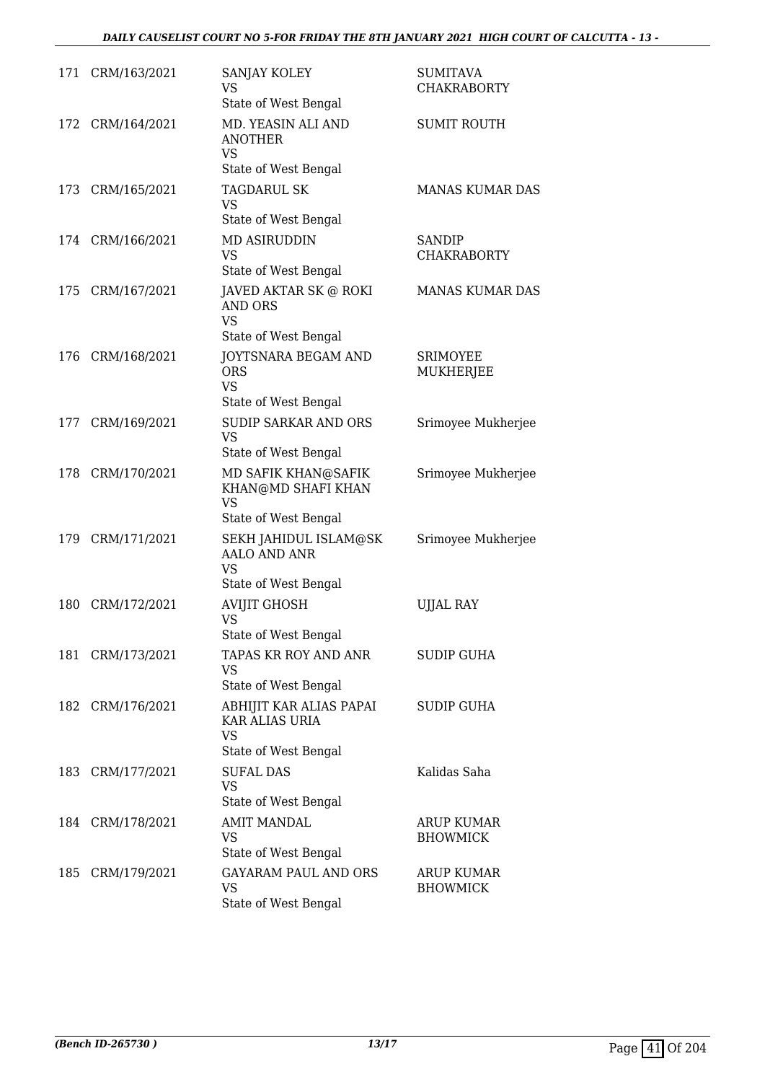| 171 | CRM/163/2021     | SANJAY KOLEY<br><b>VS</b><br>State of West Bengal                              | <b>SUMITAVA</b><br><b>CHAKRABORTY</b> |
|-----|------------------|--------------------------------------------------------------------------------|---------------------------------------|
| 172 | CRM/164/2021     | MD. YEASIN ALI AND<br><b>ANOTHER</b><br><b>VS</b><br>State of West Bengal      | <b>SUMIT ROUTH</b>                    |
| 173 | CRM/165/2021     | <b>TAGDARUL SK</b><br><b>VS</b><br>State of West Bengal                        | MANAS KUMAR DAS                       |
|     | 174 CRM/166/2021 | <b>MD ASIRUDDIN</b><br><b>VS</b><br>State of West Bengal                       | <b>SANDIP</b><br><b>CHAKRABORTY</b>   |
|     | 175 CRM/167/2021 | JAVED AKTAR SK @ ROKI<br><b>AND ORS</b><br>VS<br>State of West Bengal          | MANAS KUMAR DAS                       |
| 176 | CRM/168/2021     | JOYTSNARA BEGAM AND<br><b>ORS</b><br><b>VS</b><br>State of West Bengal         | <b>SRIMOYEE</b><br>MUKHERJEE          |
| 177 | CRM/169/2021     | <b>SUDIP SARKAR AND ORS</b><br><b>VS</b><br>State of West Bengal               | Srimoyee Mukherjee                    |
|     | 178 CRM/170/2021 | MD SAFIK KHAN@SAFIK<br>KHAN@MD SHAFI KHAN<br><b>VS</b><br>State of West Bengal | Srimoyee Mukherjee                    |
| 179 | CRM/171/2021     | SEKH JAHIDUL ISLAM@SK<br><b>AALO AND ANR</b><br>VS<br>State of West Bengal     | Srimoyee Mukherjee                    |
| 180 | CRM/172/2021     | <b>AVIJIT GHOSH</b><br><b>VS</b><br>State of West Bengal                       | <b>UJJAL RAY</b>                      |
| 181 | CRM/173/2021     | TAPAS KR ROY AND ANR<br>VS<br>State of West Bengal                             | SUDIP GUHA                            |
|     | 182 CRM/176/2021 | ABHIJIT KAR ALIAS PAPAI<br>KAR ALIAS URIA<br><b>VS</b><br>State of West Bengal | SUDIP GUHA                            |
| 183 | CRM/177/2021     | <b>SUFAL DAS</b><br><b>VS</b><br>State of West Bengal                          | Kalidas Saha                          |
|     | 184 CRM/178/2021 | <b>AMIT MANDAL</b><br>VS<br>State of West Bengal                               | ARUP KUMAR<br><b>BHOWMICK</b>         |
| 185 | CRM/179/2021     | <b>GAYARAM PAUL AND ORS</b><br><b>VS</b><br>State of West Bengal               | ARUP KUMAR<br><b>BHOWMICK</b>         |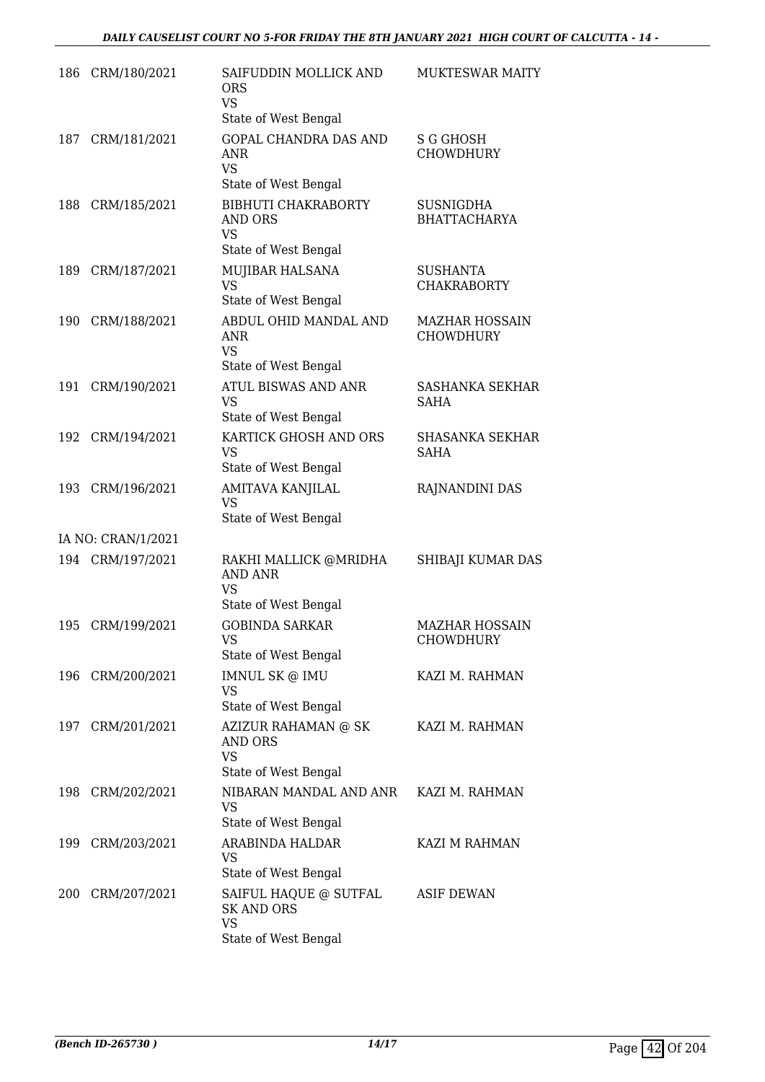| 186 | CRM/180/2021       | SAIFUDDIN MOLLICK AND<br><b>ORS</b><br><b>VS</b>                    | MUKTESWAR MAITY                           |
|-----|--------------------|---------------------------------------------------------------------|-------------------------------------------|
|     |                    | State of West Bengal                                                |                                           |
| 187 | CRM/181/2021       | <b>GOPAL CHANDRA DAS AND</b><br>ANR<br><b>VS</b>                    | <b>S G GHOSH</b><br>CHOWDHURY             |
|     |                    | State of West Bengal                                                |                                           |
| 188 | CRM/185/2021       | <b>BIBHUTI CHAKRABORTY</b><br>AND ORS<br>VS<br>State of West Bengal | <b>SUSNIGDHA</b><br><b>BHATTACHARYA</b>   |
| 189 | CRM/187/2021       | MUJIBAR HALSANA                                                     | <b>SUSHANTA</b>                           |
|     |                    | <b>VS</b><br>State of West Bengal                                   | <b>CHAKRABORTY</b>                        |
|     |                    |                                                                     |                                           |
| 190 | CRM/188/2021       | ABDUL OHID MANDAL AND<br>ANR<br><b>VS</b>                           | <b>MAZHAR HOSSAIN</b><br>CHOWDHURY        |
|     |                    | State of West Bengal                                                |                                           |
| 191 | CRM/190/2021       | <b>ATUL BISWAS AND ANR</b><br><b>VS</b><br>State of West Bengal     | SASHANKA SEKHAR<br><b>SAHA</b>            |
| 192 | CRM/194/2021       | KARTICK GHOSH AND ORS                                               | <b>SHASANKA SEKHAR</b>                    |
|     |                    | <b>VS</b><br>State of West Bengal                                   | <b>SAHA</b>                               |
| 193 | CRM/196/2021       | AMITAVA KANJILAL<br><b>VS</b>                                       | RAJNANDINI DAS                            |
|     |                    | State of West Bengal                                                |                                           |
|     | IA NO: CRAN/1/2021 |                                                                     |                                           |
|     | 194 CRM/197/2021   | RAKHI MALLICK @MRIDHA<br><b>AND ANR</b><br><b>VS</b>                | SHIBAJI KUMAR DAS                         |
|     |                    | State of West Bengal                                                |                                           |
| 195 | CRM/199/2021       | <b>GOBINDA SARKAR</b><br>VS<br>State of West Bengal                 | <b>MAZHAR HOSSAIN</b><br><b>CHOWDHURY</b> |
| 196 | CRM/200/2021       | IMNUL SK @ IMU                                                      | KAZI M. RAHMAN                            |
|     |                    | VS<br>State of West Bengal                                          |                                           |
| 197 | CRM/201/2021       | AZIZUR RAHAMAN @ SK<br><b>AND ORS</b>                               | KAZI M. RAHMAN                            |
|     |                    | <b>VS</b><br>State of West Bengal                                   |                                           |
|     |                    |                                                                     |                                           |
| 198 | CRM/202/2021       | NIBARAN MANDAL AND ANR<br>VS<br>State of West Bengal                | KAZI M. RAHMAN                            |
| 199 | CRM/203/2021       | ARABINDA HALDAR                                                     | KAZI M RAHMAN                             |
|     |                    | VS<br>State of West Bengal                                          |                                           |
| 200 | CRM/207/2021       | SAIFUL HAQUE @ SUTFAL<br><b>SK AND ORS</b><br><b>VS</b>             | ASIF DEWAN                                |
|     |                    | State of West Bengal                                                |                                           |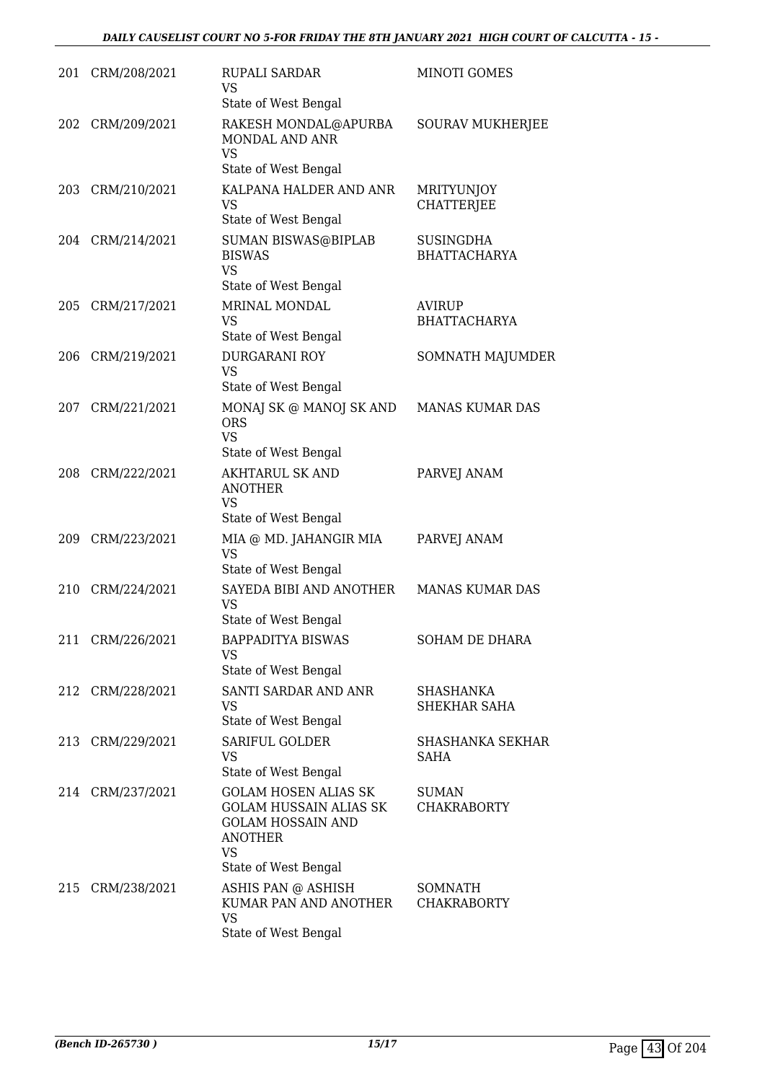| 201 | CRM/208/2021     | <b>RUPALI SARDAR</b><br>VS<br>State of West Bengal                                                                                       | MINOTI GOMES                            |
|-----|------------------|------------------------------------------------------------------------------------------------------------------------------------------|-----------------------------------------|
| 202 | CRM/209/2021     | RAKESH MONDAL@APURBA<br>MONDAL AND ANR<br><b>VS</b><br>State of West Bengal                                                              | <b>SOURAV MUKHERJEE</b>                 |
| 203 | CRM/210/2021     | KALPANA HALDER AND ANR<br><b>VS</b><br>State of West Bengal                                                                              | <b>MRITYUNJOY</b><br><b>CHATTERJEE</b>  |
|     | 204 CRM/214/2021 | SUMAN BISWAS@BIPLAB<br><b>BISWAS</b><br><b>VS</b><br>State of West Bengal                                                                | <b>SUSINGDHA</b><br><b>BHATTACHARYA</b> |
| 205 | CRM/217/2021     | MRINAL MONDAL<br>VS<br>State of West Bengal                                                                                              | AVIRUP<br><b>BHATTACHARYA</b>           |
| 206 | CRM/219/2021     | <b>DURGARANI ROY</b><br><b>VS</b><br>State of West Bengal                                                                                | SOMNATH MAJUMDER                        |
| 207 | CRM/221/2021     | MONAJ SK @ MANOJ SK AND<br><b>ORS</b><br><b>VS</b><br>State of West Bengal                                                               | MANAS KUMAR DAS                         |
| 208 | CRM/222/2021     | <b>AKHTARUL SK AND</b><br><b>ANOTHER</b><br>VS<br>State of West Bengal                                                                   | PARVEJ ANAM                             |
| 209 | CRM/223/2021     | MIA @ MD. JAHANGIR MIA<br><b>VS</b><br>State of West Bengal                                                                              | PARVEJ ANAM                             |
| 210 | CRM/224/2021     | SAYEDA BIBI AND ANOTHER<br><b>VS</b><br>State of West Bengal                                                                             | <b>MANAS KUMAR DAS</b>                  |
|     | 211 CRM/226/2021 | <b>BAPPADITYA BISWAS</b><br>VS<br>State of West Bengal                                                                                   | SOHAM DE DHARA                          |
|     | 212 CRM/228/2021 | SANTI SARDAR AND ANR<br><b>VS</b><br>State of West Bengal                                                                                | SHASHANKA<br>SHEKHAR SAHA               |
|     | 213 CRM/229/2021 | <b>SARIFUL GOLDER</b><br><b>VS</b><br>State of West Bengal                                                                               | SHASHANKA SEKHAR<br><b>SAHA</b>         |
|     | 214 CRM/237/2021 | <b>GOLAM HOSEN ALIAS SK</b><br><b>GOLAM HUSSAIN ALIAS SK</b><br><b>GOLAM HOSSAIN AND</b><br><b>ANOTHER</b><br>VS<br>State of West Bengal | <b>SUMAN</b><br><b>CHAKRABORTY</b>      |
|     | 215 CRM/238/2021 | ASHIS PAN @ ASHISH<br>KUMAR PAN AND ANOTHER<br><b>VS</b><br>State of West Bengal                                                         | SOMNATH<br><b>CHAKRABORTY</b>           |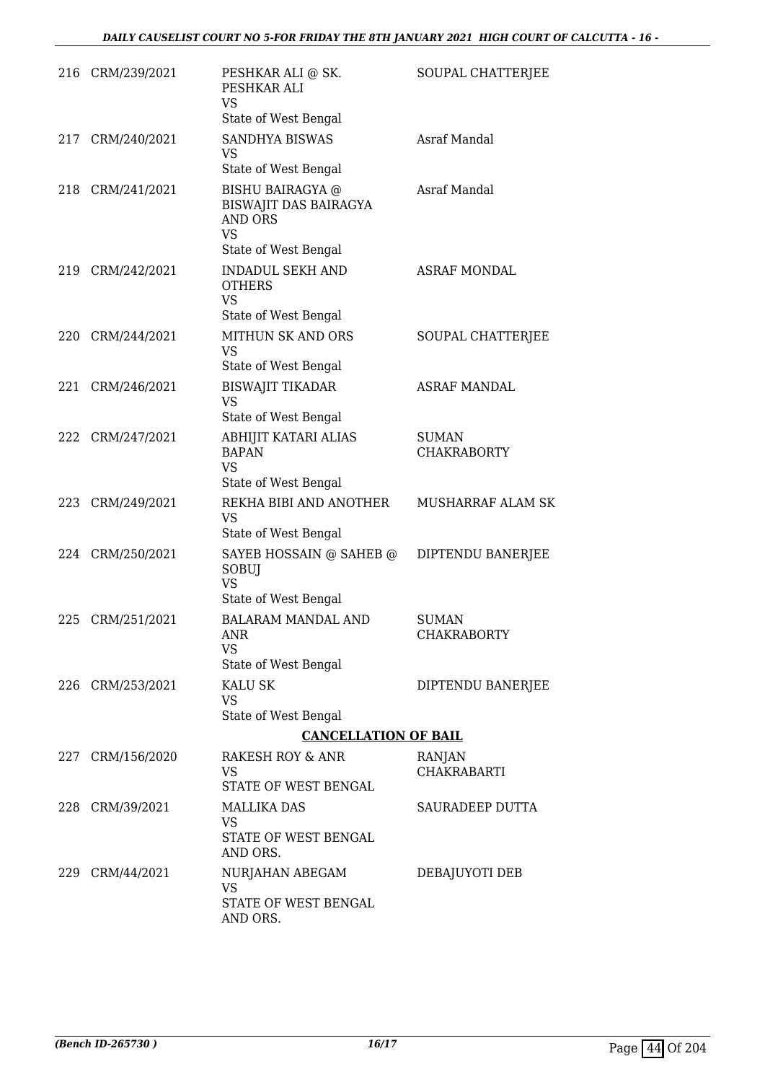|     | 216 CRM/239/2021 | PESHKAR ALI @ SK.<br>PESHKAR ALI<br><b>VS</b><br>State of West Bengal                                   | SOUPAL CHATTERJEE                  |
|-----|------------------|---------------------------------------------------------------------------------------------------------|------------------------------------|
|     | 217 CRM/240/2021 | <b>SANDHYA BISWAS</b><br>VS<br>State of West Bengal                                                     | Asraf Mandal                       |
|     | 218 CRM/241/2021 | <b>BISHU BAIRAGYA</b> @<br>BISWAJIT DAS BAIRAGYA<br><b>AND ORS</b><br><b>VS</b><br>State of West Bengal | Asraf Mandal                       |
| 219 | CRM/242/2021     | <b>INDADUL SEKH AND</b><br><b>OTHERS</b><br><b>VS</b><br>State of West Bengal                           | <b>ASRAF MONDAL</b>                |
|     | 220 CRM/244/2021 | <b>MITHUN SK AND ORS</b><br><b>VS</b><br>State of West Bengal                                           | SOUPAL CHATTERJEE                  |
| 221 | CRM/246/2021     | <b>BISWAJIT TIKADAR</b><br><b>VS</b><br>State of West Bengal                                            | <b>ASRAF MANDAL</b>                |
| 222 | CRM/247/2021     | ABHIJIT KATARI ALIAS<br><b>BAPAN</b><br><b>VS</b><br>State of West Bengal                               | <b>SUMAN</b><br><b>CHAKRABORTY</b> |
| 223 | CRM/249/2021     | REKHA BIBI AND ANOTHER<br><b>VS</b><br>State of West Bengal                                             | MUSHARRAF ALAM SK                  |
|     | 224 CRM/250/2021 | SAYEB HOSSAIN @ SAHEB @<br>SOBUJ<br><b>VS</b><br>State of West Bengal                                   | DIPTENDU BANERJEE                  |
| 225 | CRM/251/2021     | <b>BALARAM MANDAL AND</b><br>ANR<br><b>VS</b><br>State of West Bengal                                   | <b>SUMAN</b><br>CHAKRABORTY        |
|     | 226 CRM/253/2021 | <b>KALU SK</b><br>VS<br>State of West Bengal                                                            | DIPTENDU BANERJEE                  |
|     |                  | <b>CANCELLATION OF BAIL</b>                                                                             |                                    |
|     | 227 CRM/156/2020 | RAKESH ROY & ANR<br>VS<br>STATE OF WEST BENGAL                                                          | RANJAN<br>CHAKRABARTI              |
|     | 228 CRM/39/2021  | <b>MALLIKA DAS</b><br>VS<br>STATE OF WEST BENGAL<br>AND ORS.                                            | SAURADEEP DUTTA                    |
| 229 | CRM/44/2021      | NURJAHAN ABEGAM<br>VS<br>STATE OF WEST BENGAL<br>AND ORS.                                               | DEBAJUYOTI DEB                     |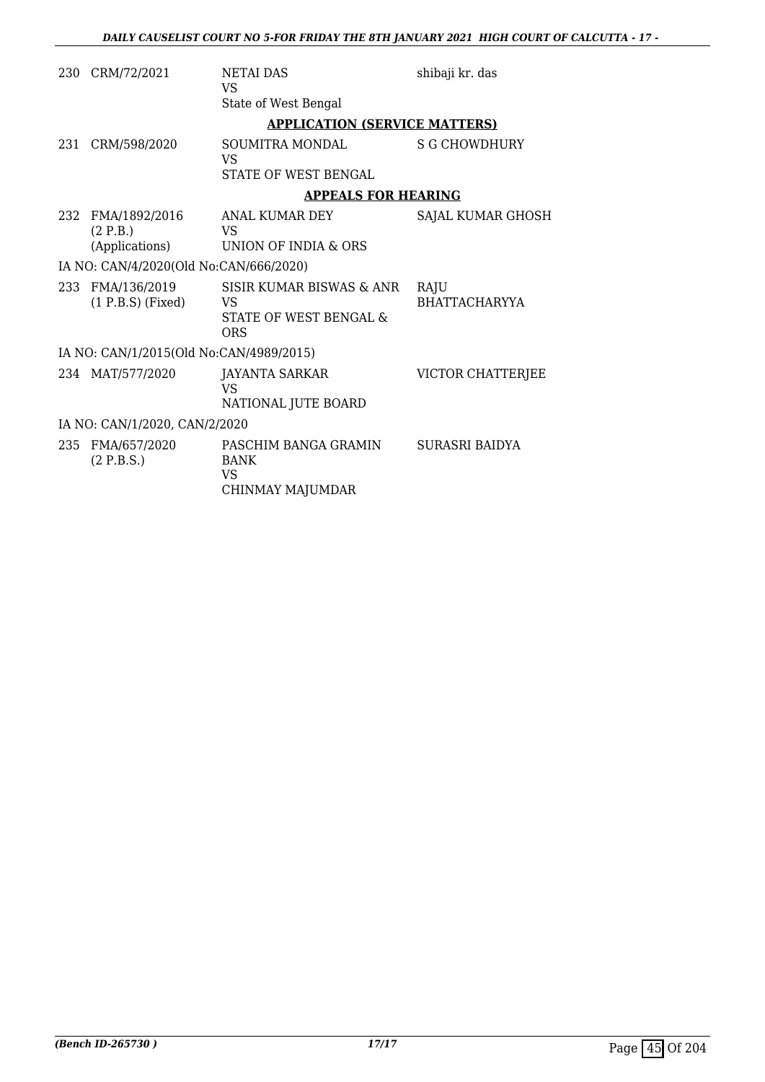| 230 | CRM/72/2021                             | <b>NETAI DAS</b><br><b>VS</b>                             | shibaji kr. das              |
|-----|-----------------------------------------|-----------------------------------------------------------|------------------------------|
|     |                                         | State of West Bengal                                      |                              |
|     |                                         | <b>APPLICATION (SERVICE MATTERS)</b>                      |                              |
| 231 | CRM/598/2020                            | SOUMITRA MONDAL<br><b>VS</b>                              | S G CHOWDHURY                |
|     |                                         | <b>STATE OF WEST BENGAL</b>                               |                              |
|     |                                         | <b>APPEALS FOR HEARING</b>                                |                              |
|     | 232 FMA/1892/2016<br>(2 P.B.)           | ANAL KUMAR DEY<br>VS                                      | SAJAL KUMAR GHOSH            |
|     | (Applications)                          | UNION OF INDIA & ORS                                      |                              |
|     | IA NO: CAN/4/2020(Old No:CAN/666/2020)  |                                                           |                              |
| 233 | FMA/136/2019<br>$(1 P.B.S)$ (Fixed)     | SISIR KUMAR BISWAS & ANR<br>VS                            | RAJU<br><b>BHATTACHARYYA</b> |
|     |                                         | STATE OF WEST BENGAL &<br><b>ORS</b>                      |                              |
|     | IA NO: CAN/1/2015(Old No:CAN/4989/2015) |                                                           |                              |
|     | 234 MAT/577/2020                        | <b>JAYANTA SARKAR</b><br><b>VS</b><br>NATIONAL JUTE BOARD | VICTOR CHATTERJEE            |
|     | IA NO: CAN/1/2020, CAN/2/2020           |                                                           |                              |
|     |                                         |                                                           |                              |
| 235 | FMA/657/2020<br>(2 P.B.S.)              | PASCHIM BANGA GRAMIN<br><b>BANK</b><br>VS.                | SURASRI BAIDYA               |
|     |                                         | CHINMAY MAJUMDAR                                          |                              |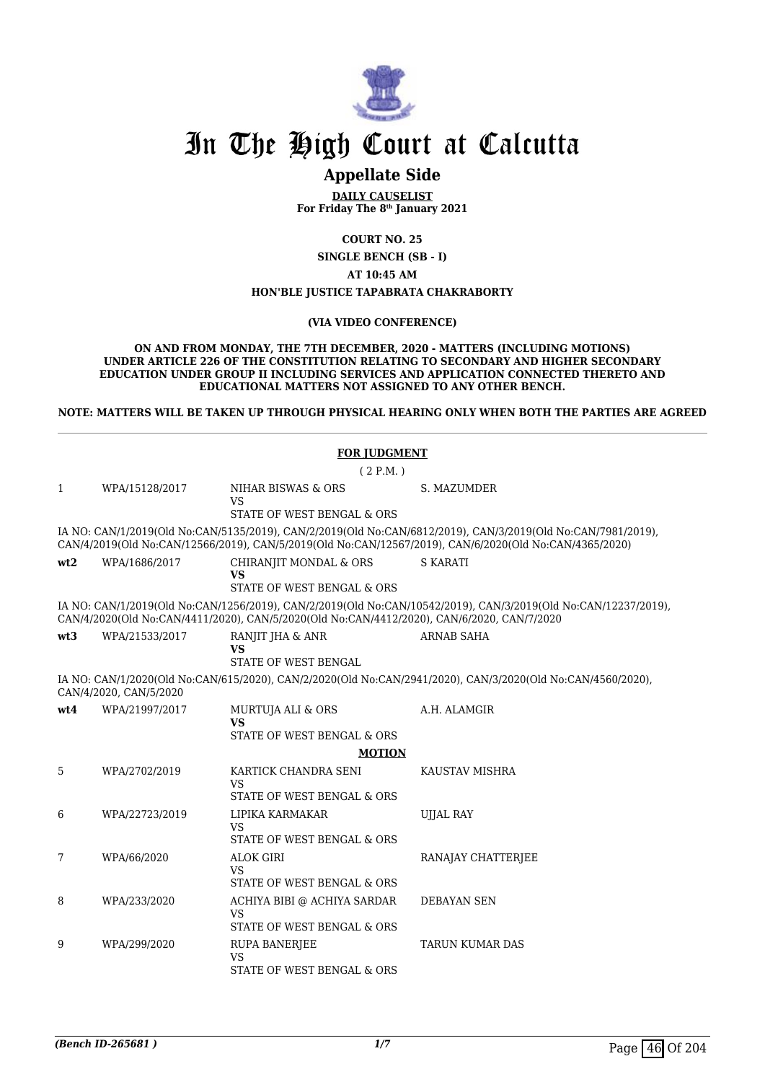

# In The High Court at Calcutta

# **Appellate Side**

**DAILY CAUSELIST For Friday The 8th January 2021**

**COURT NO. 25**

**SINGLE BENCH (SB - I)**

**AT 10:45 AM**

#### **HON'BLE JUSTICE TAPABRATA CHAKRABORTY**

#### **(VIA VIDEO CONFERENCE)**

**ON AND FROM MONDAY, THE 7TH DECEMBER, 2020 - MATTERS (INCLUDING MOTIONS) UNDER ARTICLE 226 OF THE CONSTITUTION RELATING TO SECONDARY AND HIGHER SECONDARY EDUCATION UNDER GROUP II INCLUDING SERVICES AND APPLICATION CONNECTED THERETO AND EDUCATIONAL MATTERS NOT ASSIGNED TO ANY OTHER BENCH.**

**NOTE: MATTERS WILL BE TAKEN UP THROUGH PHYSICAL HEARING ONLY WHEN BOTH THE PARTIES ARE AGREED**

| <b>FOR JUDGMENT</b> |                        |                                                                                            |                                                                                                                                                                                                                        |
|---------------------|------------------------|--------------------------------------------------------------------------------------------|------------------------------------------------------------------------------------------------------------------------------------------------------------------------------------------------------------------------|
|                     |                        | (2 P.M. )                                                                                  |                                                                                                                                                                                                                        |
| $\mathbf{1}$        | WPA/15128/2017         | NIHAR BISWAS & ORS<br><b>VS</b><br>STATE OF WEST BENGAL & ORS                              | S. MAZUMDER                                                                                                                                                                                                            |
|                     |                        |                                                                                            | IA NO: CAN/1/2019(Old No:CAN/5135/2019), CAN/2/2019(Old No:CAN/6812/2019), CAN/3/2019(Old No:CAN/7981/2019),<br>CAN/4/2019(Old No:CAN/12566/2019), CAN/5/2019(Old No:CAN/12567/2019), CAN/6/2020(Old No:CAN/4365/2020) |
| wt2                 | WPA/1686/2017          | CHIRANJIT MONDAL & ORS<br>VS<br>STATE OF WEST BENGAL & ORS                                 | <b>S KARATI</b>                                                                                                                                                                                                        |
|                     |                        | CAN/4/2020(Old No:CAN/4411/2020), CAN/5/2020(Old No:CAN/4412/2020), CAN/6/2020, CAN/7/2020 | IA NO: CAN/1/2019(Old No:CAN/1256/2019), CAN/2/2019(Old No:CAN/10542/2019), CAN/3/2019(Old No:CAN/12237/2019),                                                                                                         |
| wt3                 | WPA/21533/2017         | RANJIT JHA & ANR<br><b>VS</b><br>STATE OF WEST BENGAL                                      | <b>ARNAB SAHA</b>                                                                                                                                                                                                      |
|                     | CAN/4/2020, CAN/5/2020 |                                                                                            | IA NO: CAN/1/2020(Old No:CAN/615/2020), CAN/2/2020(Old No:CAN/2941/2020), CAN/3/2020(Old No:CAN/4560/2020),                                                                                                            |
| wt4                 | WPA/21997/2017         | MURTUJA ALI & ORS<br><b>VS</b><br>STATE OF WEST BENGAL & ORS                               | A.H. ALAMGIR                                                                                                                                                                                                           |
|                     |                        | <b>MOTION</b>                                                                              |                                                                                                                                                                                                                        |
| 5                   | WPA/2702/2019          | KARTICK CHANDRA SENI<br><b>VS</b><br>STATE OF WEST BENGAL & ORS                            | KAUSTAV MISHRA                                                                                                                                                                                                         |
| 6                   | WPA/22723/2019         | LIPIKA KARMAKAR<br><b>VS</b><br>STATE OF WEST BENGAL & ORS                                 | UJJAL RAY                                                                                                                                                                                                              |
| 7                   | WPA/66/2020            | <b>ALOK GIRI</b><br><b>VS</b><br>STATE OF WEST BENGAL & ORS                                | RANAJAY CHATTERJEE                                                                                                                                                                                                     |
| 8                   | WPA/233/2020           | ACHIYA BIBI @ ACHIYA SARDAR<br><b>VS</b><br>STATE OF WEST BENGAL & ORS                     | <b>DEBAYAN SEN</b>                                                                                                                                                                                                     |
| 9                   | WPA/299/2020           | <b>RUPA BANERJEE</b><br><b>VS</b><br>STATE OF WEST BENGAL & ORS                            | <b>TARUN KUMAR DAS</b>                                                                                                                                                                                                 |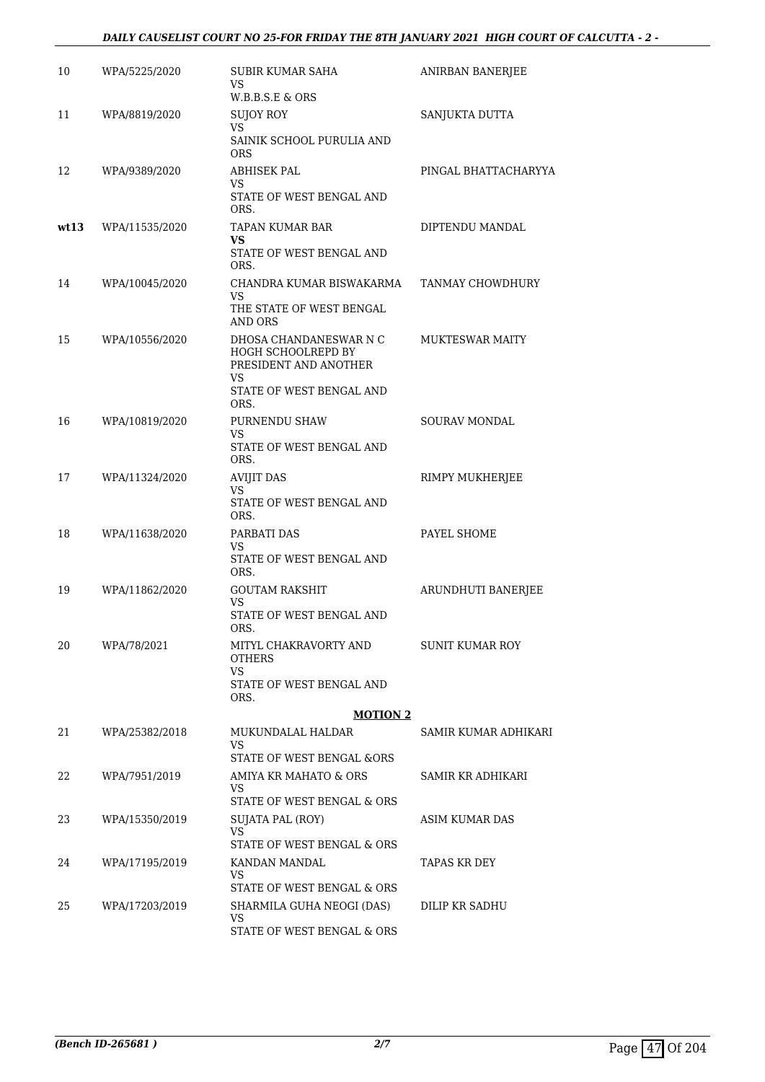# *DAILY CAUSELIST COURT NO 25-FOR FRIDAY THE 8TH JANUARY 2021 HIGH COURT OF CALCUTTA - 2 -*

| 10   | WPA/5225/2020  | SUBIR KUMAR SAHA<br>VS<br>W.B.B.S.E & ORS                                    | ANIRBAN BANERJEE       |
|------|----------------|------------------------------------------------------------------------------|------------------------|
| 11   | WPA/8819/2020  | SUJOY ROY<br>VS                                                              | SANJUKTA DUTTA         |
|      |                | SAINIK SCHOOL PURULIA AND<br><b>ORS</b>                                      |                        |
| 12   | WPA/9389/2020  | ABHISEK PAL<br>VS                                                            | PINGAL BHATTACHARYYA   |
|      |                | STATE OF WEST BENGAL AND<br>ORS.                                             |                        |
| wt13 | WPA/11535/2020 | TAPAN KUMAR BAR<br>VS                                                        | DIPTENDU MANDAL        |
|      |                | STATE OF WEST BENGAL AND<br>ORS.                                             |                        |
| 14   | WPA/10045/2020 | CHANDRA KUMAR BISWAKARMA<br>VS.                                              | TANMAY CHOWDHURY       |
|      |                | THE STATE OF WEST BENGAL<br>AND ORS                                          |                        |
| 15   | WPA/10556/2020 | DHOSA CHANDANESWAR N C<br>HOGH SCHOOLREPD BY<br>PRESIDENT AND ANOTHER<br>VS. | <b>MUKTESWAR MAITY</b> |
|      |                | STATE OF WEST BENGAL AND<br>ORS.                                             |                        |
| 16   | WPA/10819/2020 | PURNENDU SHAW<br>VS                                                          | SOURAV MONDAL          |
|      |                | STATE OF WEST BENGAL AND<br>ORS.                                             |                        |
| 17   | WPA/11324/2020 | AVIJIT DAS<br>VS                                                             | RIMPY MUKHERJEE        |
|      |                | STATE OF WEST BENGAL AND<br>ORS.                                             |                        |
| 18   | WPA/11638/2020 | PARBATI DAS<br>VS                                                            | PAYEL SHOME            |
|      |                | STATE OF WEST BENGAL AND<br>ORS.                                             |                        |
| 19   | WPA/11862/2020 | <b>GOUTAM RAKSHIT</b><br>VS                                                  | ARUNDHUTI BANERJEE     |
|      |                | STATE OF WEST BENGAL AND<br>ORS.                                             |                        |
| 20   | WPA/78/2021    | MITYL CHAKRAVORTY AND<br><b>OTHERS</b><br>VS                                 | <b>SUNIT KUMAR ROY</b> |
|      |                | STATE OF WEST BENGAL AND<br>ORS.                                             |                        |
|      |                | <b>MOTION 2</b>                                                              |                        |
| 21   | WPA/25382/2018 | MUKUNDALAL HALDAR<br>VS<br>STATE OF WEST BENGAL &ORS                         | SAMIR KUMAR ADHIKARI   |
| 22   | WPA/7951/2019  | AMIYA KR MAHATO & ORS                                                        | SAMIR KR ADHIKARI      |
|      |                | VS<br>STATE OF WEST BENGAL & ORS                                             |                        |
| 23   | WPA/15350/2019 | SUJATA PAL (ROY)                                                             | ASIM KUMAR DAS         |
|      |                | VS.<br>STATE OF WEST BENGAL & ORS                                            |                        |
| 24   | WPA/17195/2019 | KANDAN MANDAL<br>VS                                                          | TAPAS KR DEY           |
|      |                | STATE OF WEST BENGAL & ORS                                                   |                        |
| 25   | WPA/17203/2019 | SHARMILA GUHA NEOGI (DAS)<br>VS                                              | DILIP KR SADHU         |
|      |                | STATE OF WEST BENGAL & ORS                                                   |                        |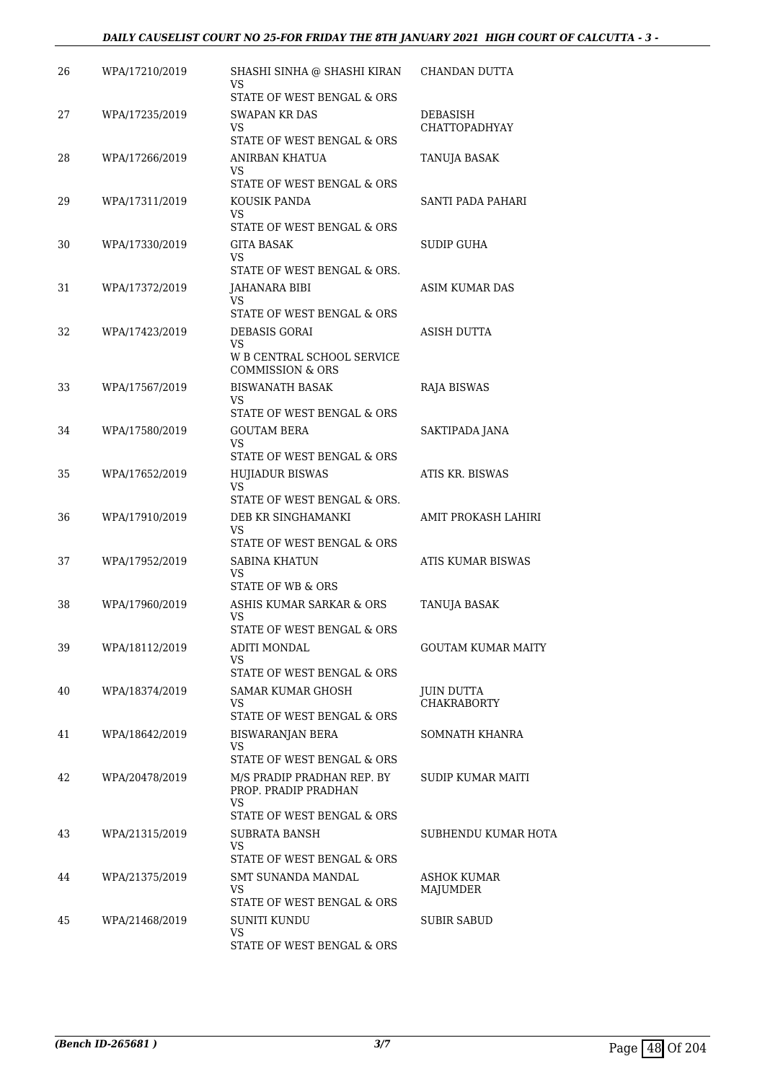# *DAILY CAUSELIST COURT NO 25-FOR FRIDAY THE 8TH JANUARY 2021 HIGH COURT OF CALCUTTA - 3 -*

| 26 | WPA/17210/2019 | SHASHI SINHA @ SHASHI KIRAN<br>VS                         | CHANDAN DUTTA                    |
|----|----------------|-----------------------------------------------------------|----------------------------------|
|    |                | STATE OF WEST BENGAL & ORS                                |                                  |
| 27 | WPA/17235/2019 | SWAPAN KR DAS<br>VS.                                      | DEBASISH<br><b>CHATTOPADHYAY</b> |
|    |                | STATE OF WEST BENGAL & ORS                                |                                  |
| 28 | WPA/17266/2019 | ANIRBAN KHATUA<br>VS                                      | TANUJA BASAK                     |
|    |                | STATE OF WEST BENGAL & ORS                                |                                  |
| 29 | WPA/17311/2019 | KOUSIK PANDA<br>VS<br>STATE OF WEST BENGAL & ORS          | SANTI PADA PAHARI                |
| 30 | WPA/17330/2019 |                                                           | SUDIP GUHA                       |
|    |                | GITA BASAK<br><b>VS</b>                                   |                                  |
|    |                | STATE OF WEST BENGAL & ORS.                               |                                  |
| 31 | WPA/17372/2019 | JAHANARA BIBI<br>VS                                       | ASIM KUMAR DAS                   |
|    |                | STATE OF WEST BENGAL & ORS                                |                                  |
| 32 | WPA/17423/2019 | DEBASIS GORAI<br><b>VS</b>                                | ASISH DUTTA                      |
|    |                | W B CENTRAL SCHOOL SERVICE<br><b>COMMISSION &amp; ORS</b> |                                  |
| 33 | WPA/17567/2019 | <b>BISWANATH BASAK</b>                                    | RAJA BISWAS                      |
|    |                | VS<br>STATE OF WEST BENGAL & ORS                          |                                  |
|    |                |                                                           |                                  |
| 34 | WPA/17580/2019 | <b>GOUTAM BERA</b><br>VS.                                 | SAKTIPADA JANA                   |
|    |                | STATE OF WEST BENGAL & ORS                                |                                  |
| 35 | WPA/17652/2019 | <b>HUJIADUR BISWAS</b>                                    | ATIS KR. BISWAS                  |
|    |                | <b>VS</b><br>STATE OF WEST BENGAL & ORS.                  |                                  |
| 36 | WPA/17910/2019 | DEB KR SINGHAMANKI                                        | AMIT PROKASH LAHIRI              |
|    |                | VS<br>STATE OF WEST BENGAL & ORS                          |                                  |
| 37 | WPA/17952/2019 | SABINA KHATUN                                             | ATIS KUMAR BISWAS                |
|    |                | <b>VS</b><br><b>STATE OF WB &amp; ORS</b>                 |                                  |
| 38 | WPA/17960/2019 | ASHIS KUMAR SARKAR & ORS                                  |                                  |
|    |                | VS                                                        | TANUJA BASAK                     |
|    |                | STATE OF WEST BENGAL & ORS                                |                                  |
| 39 | WPA/18112/2019 | <b>ADITI MONDAL</b><br>VS.<br>STATE OF WEST BENGAL & ORS  | <b>GOUTAM KUMAR MAITY</b>        |
| 40 | WPA/18374/2019 | SAMAR KUMAR GHOSH                                         | JUIN DUTTA                       |
|    |                | VS.                                                       | <b>CHAKRABORTY</b>               |
|    |                | STATE OF WEST BENGAL & ORS                                |                                  |
| 41 | WPA/18642/2019 | <b>BISWARANJAN BERA</b>                                   | SOMNATH KHANRA                   |
|    |                | VS.<br>STATE OF WEST BENGAL & ORS                         |                                  |
| 42 | WPA/20478/2019 | M/S PRADIP PRADHAN REP. BY                                | SUDIP KUMAR MAITI                |
|    |                | PROP. PRADIP PRADHAN<br><b>VS</b>                         |                                  |
|    |                | STATE OF WEST BENGAL & ORS                                |                                  |
| 43 | WPA/21315/2019 | SUBRATA BANSH<br>VS.                                      | SUBHENDU KUMAR HOTA              |
|    |                | STATE OF WEST BENGAL & ORS                                |                                  |
| 44 | WPA/21375/2019 | SMT SUNANDA MANDAL                                        | ASHOK KUMAR                      |
|    |                | <b>VS</b><br>STATE OF WEST BENGAL & ORS                   | MAJUMDER                         |
| 45 | WPA/21468/2019 | SUNITI KUNDU                                              | <b>SUBIR SABUD</b>               |
|    |                | VS                                                        |                                  |
|    |                | STATE OF WEST BENGAL & ORS                                |                                  |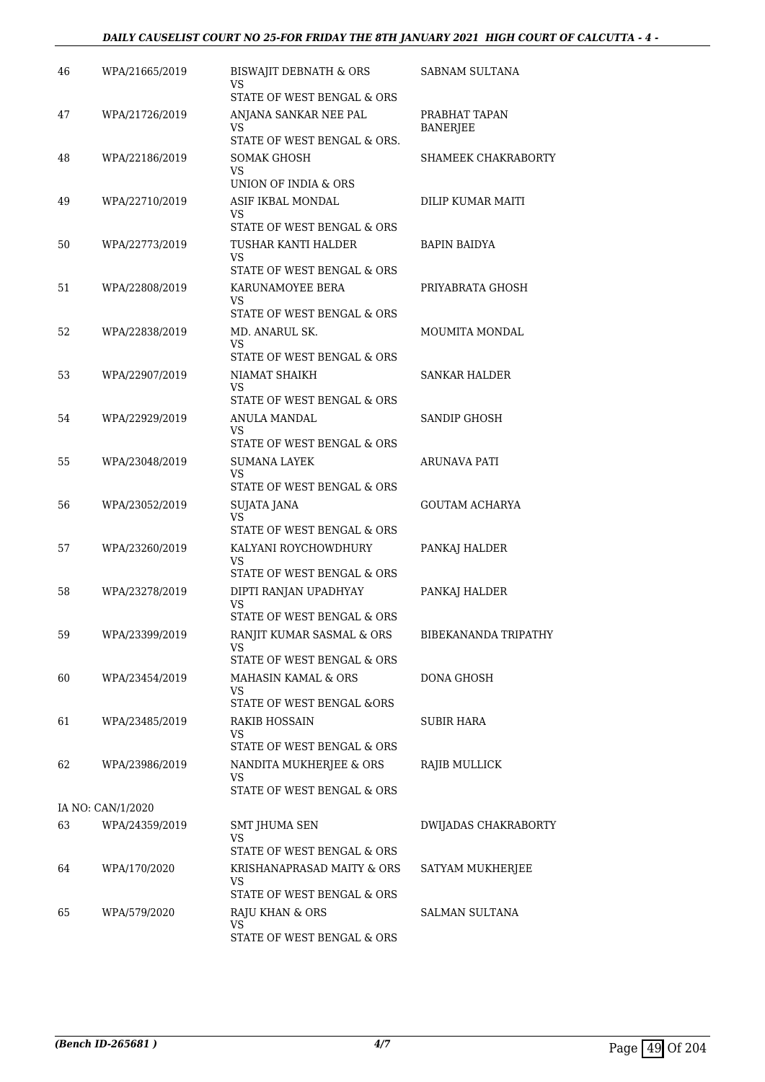# *DAILY CAUSELIST COURT NO 25-FOR FRIDAY THE 8TH JANUARY 2021 HIGH COURT OF CALCUTTA - 4 -*

| 46 | WPA/21665/2019    | <b>BISWAJIT DEBNATH &amp; ORS</b><br>VS               | SABNAM SULTANA                   |
|----|-------------------|-------------------------------------------------------|----------------------------------|
|    |                   | STATE OF WEST BENGAL & ORS                            |                                  |
| 47 | WPA/21726/2019    | ANJANA SANKAR NEE PAL<br>VS                           | PRABHAT TAPAN<br><b>BANERJEE</b> |
|    |                   | STATE OF WEST BENGAL & ORS.                           |                                  |
| 48 | WPA/22186/2019    | <b>SOMAK GHOSH</b><br>VS                              | SHAMEEK CHAKRABORTY              |
|    |                   | UNION OF INDIA & ORS                                  |                                  |
| 49 | WPA/22710/2019    | ASIF IKBAL MONDAL<br>VS<br>STATE OF WEST BENGAL & ORS | DILIP KUMAR MAITI                |
| 50 | WPA/22773/2019    | TUSHAR KANTI HALDER<br>VS.                            | <b>BAPIN BAIDYA</b>              |
|    |                   | STATE OF WEST BENGAL & ORS                            |                                  |
| 51 | WPA/22808/2019    | KARUNAMOYEE BERA<br><b>VS</b>                         | PRIYABRATA GHOSH                 |
|    |                   | STATE OF WEST BENGAL & ORS                            |                                  |
| 52 | WPA/22838/2019    | MD. ANARUL SK.<br>VS.                                 | MOUMITA MONDAL                   |
|    |                   | STATE OF WEST BENGAL & ORS                            |                                  |
| 53 | WPA/22907/2019    | NIAMAT SHAIKH<br><b>VS</b>                            | <b>SANKAR HALDER</b>             |
|    |                   | STATE OF WEST BENGAL & ORS                            |                                  |
| 54 | WPA/22929/2019    | ANULA MANDAL                                          | SANDIP GHOSH                     |
|    |                   | VS<br>STATE OF WEST BENGAL & ORS                      |                                  |
| 55 | WPA/23048/2019    | SUMANA LAYEK<br>VS.                                   | ARUNAVA PATI                     |
|    |                   | STATE OF WEST BENGAL & ORS                            |                                  |
| 56 | WPA/23052/2019    | SUJATA JANA<br><b>VS</b>                              | <b>GOUTAM ACHARYA</b>            |
|    |                   | STATE OF WEST BENGAL & ORS<br>KALYANI ROYCHOWDHURY    |                                  |
| 57 | WPA/23260/2019    | VS.<br>STATE OF WEST BENGAL & ORS                     | PANKAJ HALDER                    |
| 58 | WPA/23278/2019    | DIPTI RANJAN UPADHYAY                                 | PANKAJ HALDER                    |
|    |                   | VS<br>STATE OF WEST BENGAL & ORS                      |                                  |
| 59 | WPA/23399/2019    | RANJIT KUMAR SASMAL & ORS                             | BIBEKANANDA TRIPATHY             |
|    |                   | VS<br>STATE OF WEST BENGAL & ORS                      |                                  |
| 60 | WPA/23454/2019    | MAHASIN KAMAL & ORS                                   | DONA GHOSH                       |
|    |                   | VS<br>STATE OF WEST BENGAL &ORS                       |                                  |
| 61 | WPA/23485/2019    | <b>RAKIB HOSSAIN</b>                                  | SUBIR HARA                       |
|    |                   | <b>VS</b><br>STATE OF WEST BENGAL & ORS               |                                  |
| 62 | WPA/23986/2019    | NANDITA MUKHERJEE & ORS<br>VS                         | RAJIB MULLICK                    |
|    |                   | STATE OF WEST BENGAL & ORS                            |                                  |
|    | IA NO: CAN/1/2020 |                                                       |                                  |
| 63 | WPA/24359/2019    | SMT JHUMA SEN                                         | DWIJADAS CHAKRABORTY             |
|    |                   | VS<br>STATE OF WEST BENGAL & ORS                      |                                  |
| 64 | WPA/170/2020      | KRISHANAPRASAD MAITY & ORS                            | SATYAM MUKHERJEE                 |
|    |                   | VS                                                    |                                  |
|    |                   | STATE OF WEST BENGAL & ORS                            |                                  |
| 65 | WPA/579/2020      | RAJU KHAN & ORS<br>VS                                 | SALMAN SULTANA                   |
|    |                   | STATE OF WEST BENGAL & ORS                            |                                  |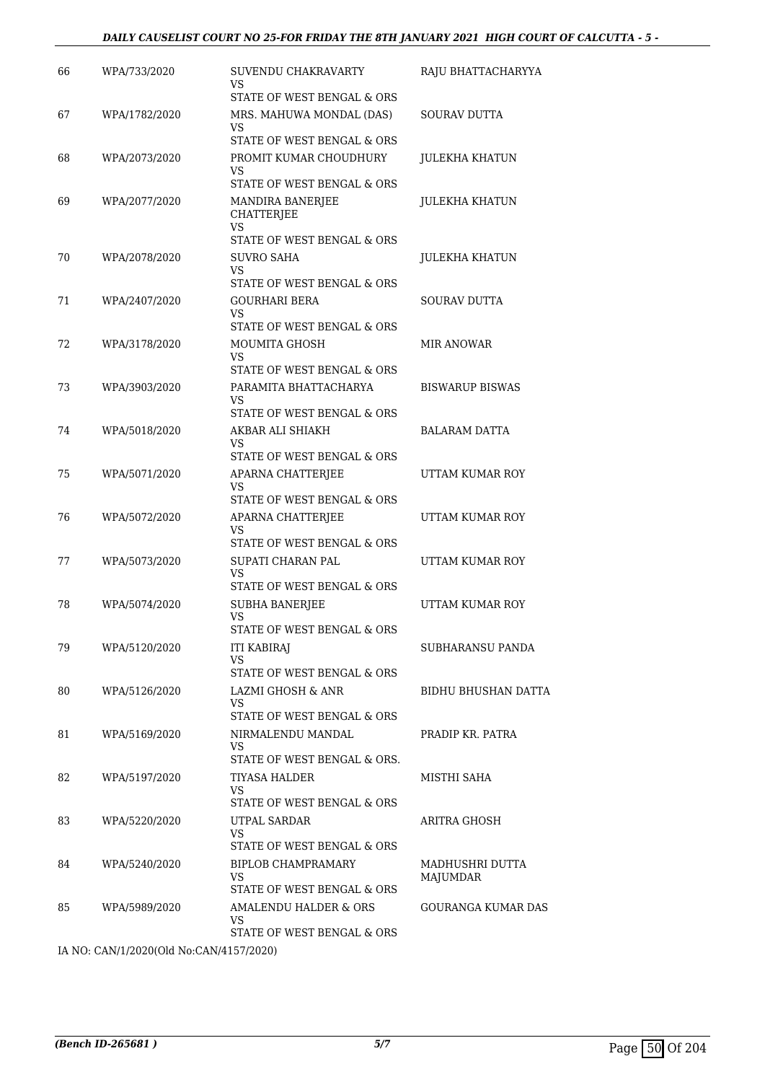| WPA/733/2020  | SUVENDU CHAKRAVARTY<br>VS                                                         | RAJU BHATTACHARYYA                                                                                                                                                                                                                                                                                                                                                                                                                                                                                    |
|---------------|-----------------------------------------------------------------------------------|-------------------------------------------------------------------------------------------------------------------------------------------------------------------------------------------------------------------------------------------------------------------------------------------------------------------------------------------------------------------------------------------------------------------------------------------------------------------------------------------------------|
| WPA/1782/2020 | STATE OF WEST BENGAL & ORS<br>MRS. MAHUWA MONDAL (DAS)                            | <b>SOURAV DUTTA</b>                                                                                                                                                                                                                                                                                                                                                                                                                                                                                   |
|               | STATE OF WEST BENGAL & ORS                                                        |                                                                                                                                                                                                                                                                                                                                                                                                                                                                                                       |
|               | VS.                                                                               | JULEKHA KHATUN                                                                                                                                                                                                                                                                                                                                                                                                                                                                                        |
| WPA/2077/2020 | MANDIRA BANERJEE<br><b>CHATTERJEE</b>                                             | JULEKHA KHATUN                                                                                                                                                                                                                                                                                                                                                                                                                                                                                        |
|               | STATE OF WEST BENGAL & ORS                                                        |                                                                                                                                                                                                                                                                                                                                                                                                                                                                                                       |
| WPA/2078/2020 | SUVRO SAHA<br>VS<br>STATE OF WEST BENGAL & ORS                                    | JULEKHA KHATUN                                                                                                                                                                                                                                                                                                                                                                                                                                                                                        |
| WPA/2407/2020 | GOURHARI BERA<br>VS                                                               | <b>SOURAV DUTTA</b>                                                                                                                                                                                                                                                                                                                                                                                                                                                                                   |
|               |                                                                                   | MIR ANOWAR                                                                                                                                                                                                                                                                                                                                                                                                                                                                                            |
|               | VS.                                                                               |                                                                                                                                                                                                                                                                                                                                                                                                                                                                                                       |
| WPA/3903/2020 | PARAMITA BHATTACHARYA<br>VS                                                       | <b>BISWARUP BISWAS</b>                                                                                                                                                                                                                                                                                                                                                                                                                                                                                |
|               |                                                                                   |                                                                                                                                                                                                                                                                                                                                                                                                                                                                                                       |
|               | VS                                                                                | <b>BALARAM DATTA</b>                                                                                                                                                                                                                                                                                                                                                                                                                                                                                  |
| WPA/5071/2020 | APARNA CHATTERJEE<br>VS.                                                          | UTTAM KUMAR ROY                                                                                                                                                                                                                                                                                                                                                                                                                                                                                       |
| WPA/5072/2020 | APARNA CHATTERJEE<br>VS.                                                          | UTTAM KUMAR ROY                                                                                                                                                                                                                                                                                                                                                                                                                                                                                       |
| WPA/5073/2020 | SUPATI CHARAN PAL                                                                 | UTTAM KUMAR ROY                                                                                                                                                                                                                                                                                                                                                                                                                                                                                       |
|               | STATE OF WEST BENGAL & ORS                                                        |                                                                                                                                                                                                                                                                                                                                                                                                                                                                                                       |
|               | <b>VS</b>                                                                         | UTTAM KUMAR ROY                                                                                                                                                                                                                                                                                                                                                                                                                                                                                       |
| WPA/5120/2020 | <b>ITI KABIRAJ</b><br>VS                                                          | SUBHARANSU PANDA                                                                                                                                                                                                                                                                                                                                                                                                                                                                                      |
| WPA/5126/2020 | LAZMI GHOSH & ANR<br>VS                                                           | BIDHU BHUSHAN DATTA                                                                                                                                                                                                                                                                                                                                                                                                                                                                                   |
| WPA/5169/2020 | NIRMALENDU MANDAL                                                                 | PRADIP KR. PATRA                                                                                                                                                                                                                                                                                                                                                                                                                                                                                      |
|               | STATE OF WEST BENGAL & ORS.                                                       |                                                                                                                                                                                                                                                                                                                                                                                                                                                                                                       |
|               | VS.<br>STATE OF WEST BENGAL & ORS                                                 | MISTHI SAHA                                                                                                                                                                                                                                                                                                                                                                                                                                                                                           |
| WPA/5220/2020 | UTPAL SARDAR<br>VS                                                                | ARITRA GHOSH                                                                                                                                                                                                                                                                                                                                                                                                                                                                                          |
| WPA/5240/2020 | <b>BIPLOB CHAMPRAMARY</b><br>VS                                                   | MADHUSHRI DUTTA<br>MAJUMDAR                                                                                                                                                                                                                                                                                                                                                                                                                                                                           |
| WPA/5989/2020 | AMALENDU HALDER & ORS<br>VS<br>STATE OF WEST BENGAL & ORS                         | <b>GOURANGA KUMAR DAS</b>                                                                                                                                                                                                                                                                                                                                                                                                                                                                             |
|               | WPA/2073/2020<br>WPA/3178/2020<br>WPA/5018/2020<br>WPA/5074/2020<br>WPA/5197/2020 | VS<br>PROMIT KUMAR CHOUDHURY<br>STATE OF WEST BENGAL & ORS<br>VS<br>STATE OF WEST BENGAL & ORS<br>MOUMITA GHOSH<br>STATE OF WEST BENGAL & ORS<br>STATE OF WEST BENGAL & ORS<br>AKBAR ALI SHIAKH<br>STATE OF WEST BENGAL & ORS<br>STATE OF WEST BENGAL & ORS<br>STATE OF WEST BENGAL & ORS<br>VS<br><b>SUBHA BANERIEE</b><br>STATE OF WEST BENGAL & ORS<br>STATE OF WEST BENGAL & ORS<br>STATE OF WEST BENGAL & ORS<br>VS<br>TIYASA HALDER<br>STATE OF WEST BENGAL & ORS<br>STATE OF WEST BENGAL & ORS |

IA NO: CAN/1/2020(Old No:CAN/4157/2020)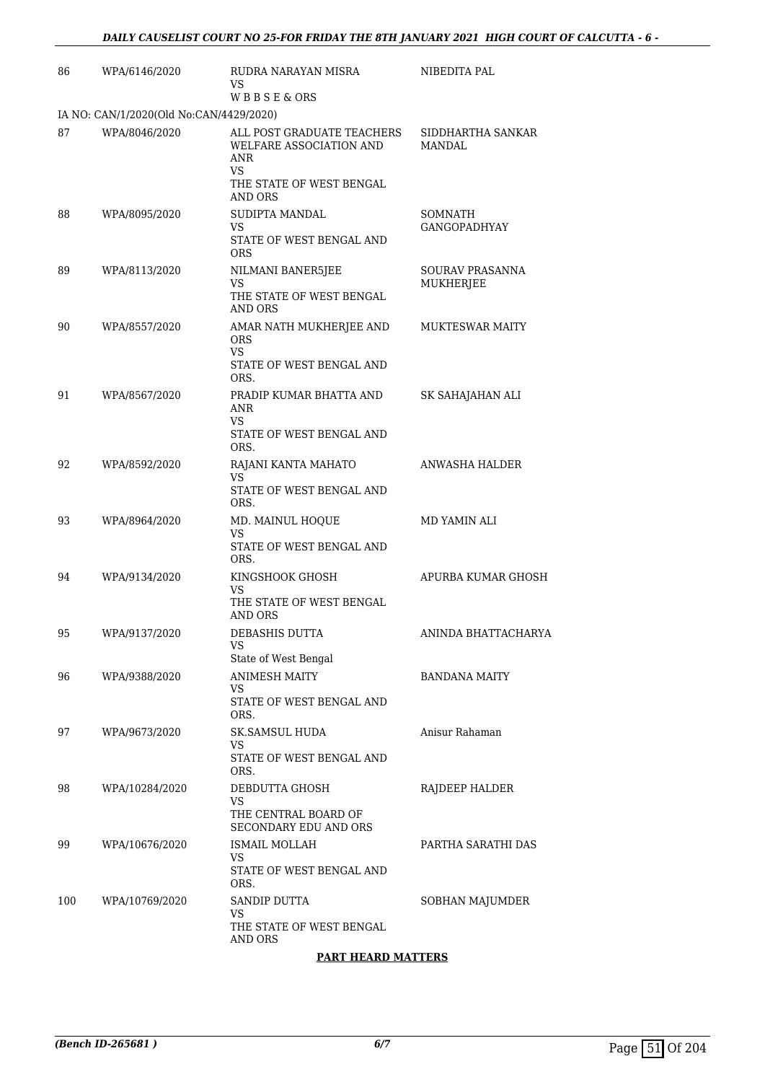| 86  | WPA/6146/2020                           | RUDRA NARAYAN MISRA<br>VS.                                                                     | NIBEDITA PAL                       |
|-----|-----------------------------------------|------------------------------------------------------------------------------------------------|------------------------------------|
|     |                                         | <b>WBBSE&amp;ORS</b>                                                                           |                                    |
|     | IA NO: CAN/1/2020(Old No:CAN/4429/2020) |                                                                                                |                                    |
| 87  | WPA/8046/2020                           | ALL POST GRADUATE TEACHERS<br>WELFARE ASSOCIATION AND<br>ANR<br>VS<br>THE STATE OF WEST BENGAL | SIDDHARTHA SANKAR<br><b>MANDAL</b> |
| 88  | WPA/8095/2020                           | AND ORS<br>SUDIPTA MANDAL                                                                      | <b>SOMNATH</b>                     |
|     |                                         | <b>VS</b><br>STATE OF WEST BENGAL AND<br><b>ORS</b>                                            | <b>GANGOPADHYAY</b>                |
| 89  | WPA/8113/2020                           | NILMANI BANER5JEE                                                                              | SOURAV PRASANNA                    |
|     |                                         | VS.<br>THE STATE OF WEST BENGAL<br>AND ORS                                                     | MUKHERJEE                          |
| 90  | WPA/8557/2020                           | AMAR NATH MUKHERJEE AND<br><b>ORS</b>                                                          | <b>MUKTESWAR MAITY</b>             |
|     |                                         | VS.<br>STATE OF WEST BENGAL AND<br>ORS.                                                        |                                    |
| 91  | WPA/8567/2020                           | PRADIP KUMAR BHATTA AND<br>ANR<br>VS.<br>STATE OF WEST BENGAL AND                              | SK SAHAJAHAN ALI                   |
|     |                                         | ORS.                                                                                           |                                    |
| 92  | WPA/8592/2020                           | RAJANI KANTA MAHATO<br>VS.                                                                     | ANWASHA HALDER                     |
|     |                                         | STATE OF WEST BENGAL AND<br>ORS.                                                               |                                    |
| 93  | WPA/8964/2020                           | MD. MAINUL HOQUE<br>VS                                                                         | MD YAMIN ALI                       |
|     |                                         | STATE OF WEST BENGAL AND<br>ORS.                                                               |                                    |
| 94  | WPA/9134/2020                           | KINGSHOOK GHOSH<br><b>VS</b>                                                                   | APURBA KUMAR GHOSH                 |
|     |                                         | THE STATE OF WEST BENGAL<br>AND ORS                                                            |                                    |
| 95  | WPA/9137/2020                           | DEBASHIS DUTTA<br>VS                                                                           | ANINDA BHATTACHARYA                |
|     |                                         | State of West Bengal                                                                           |                                    |
| 96  | WPA/9388/2020                           | <b>ANIMESH MAITY</b><br>VS<br>STATE OF WEST BENGAL AND                                         | <b>BANDANA MAITY</b>               |
| 97  | WPA/9673/2020                           | ORS.<br>SK.SAMSUL HUDA                                                                         | Anisur Rahaman                     |
|     |                                         | VS<br>STATE OF WEST BENGAL AND                                                                 |                                    |
|     |                                         | ORS.                                                                                           |                                    |
| 98  | WPA/10284/2020                          | DEBDUTTA GHOSH<br>VS                                                                           | RAJDEEP HALDER                     |
|     |                                         | THE CENTRAL BOARD OF<br>SECONDARY EDU AND ORS                                                  |                                    |
| 99  | WPA/10676/2020                          | <b>ISMAIL MOLLAH</b><br>VS                                                                     | PARTHA SARATHI DAS                 |
|     |                                         | STATE OF WEST BENGAL AND<br>ORS.                                                               |                                    |
| 100 | WPA/10769/2020                          | SANDIP DUTTA                                                                                   | SOBHAN MAJUMDER                    |
|     |                                         | VS<br>THE STATE OF WEST BENGAL<br><b>AND ORS</b>                                               |                                    |

# **PART HEARD MATTERS**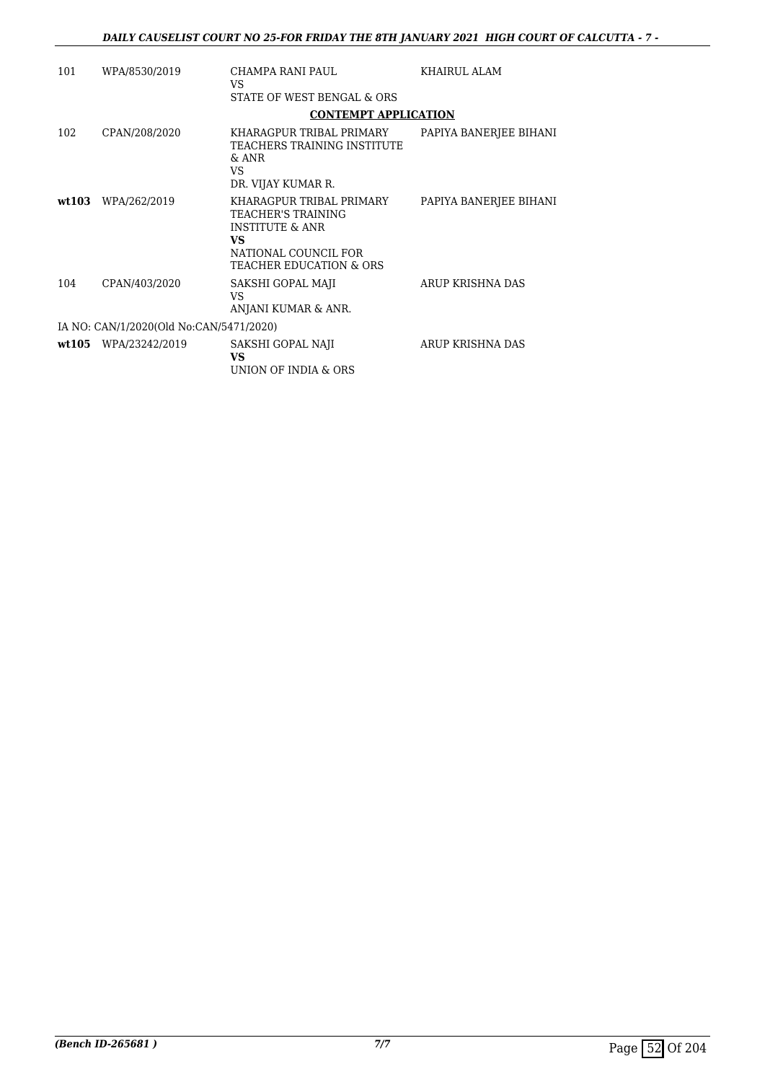| 101 | WPA/8530/2019                           | CHAMPA RANI PAUL<br>VS<br>STATE OF WEST BENGAL & ORS                                                                                              | <b>KHAIRUL ALAM</b>    |
|-----|-----------------------------------------|---------------------------------------------------------------------------------------------------------------------------------------------------|------------------------|
|     |                                         | <b>CONTEMPT APPLICATION</b>                                                                                                                       |                        |
| 102 | CPAN/208/2020                           | KHARAGPUR TRIBAL PRIMARY<br>TEACHERS TRAINING INSTITUTE<br>$&$ ANR<br>VS<br>DR. VIJAY KUMAR R.                                                    | PAPIYA BANERJEE BIHANI |
|     | wt103 WPA/262/2019                      | KHARAGPUR TRIBAL PRIMARY<br>TEACHER'S TRAINING<br><b>INSTITUTE &amp; ANR</b><br>VS.<br>NATIONAL COUNCIL FOR<br><b>TEACHER EDUCATION &amp; ORS</b> | PAPIYA BANERJEE BIHANI |
| 104 | CPAN/403/2020                           | SAKSHI GOPAL MAJI<br>VS<br>ANJANI KUMAR & ANR.                                                                                                    | ARUP KRISHNA DAS       |
|     | IA NO: CAN/1/2020(Old No:CAN/5471/2020) |                                                                                                                                                   |                        |
|     | wt105 WPA/23242/2019                    | SAKSHI GOPAL NAJI<br><b>VS</b><br>UNION OF INDIA & ORS                                                                                            | ARUP KRISHNA DAS       |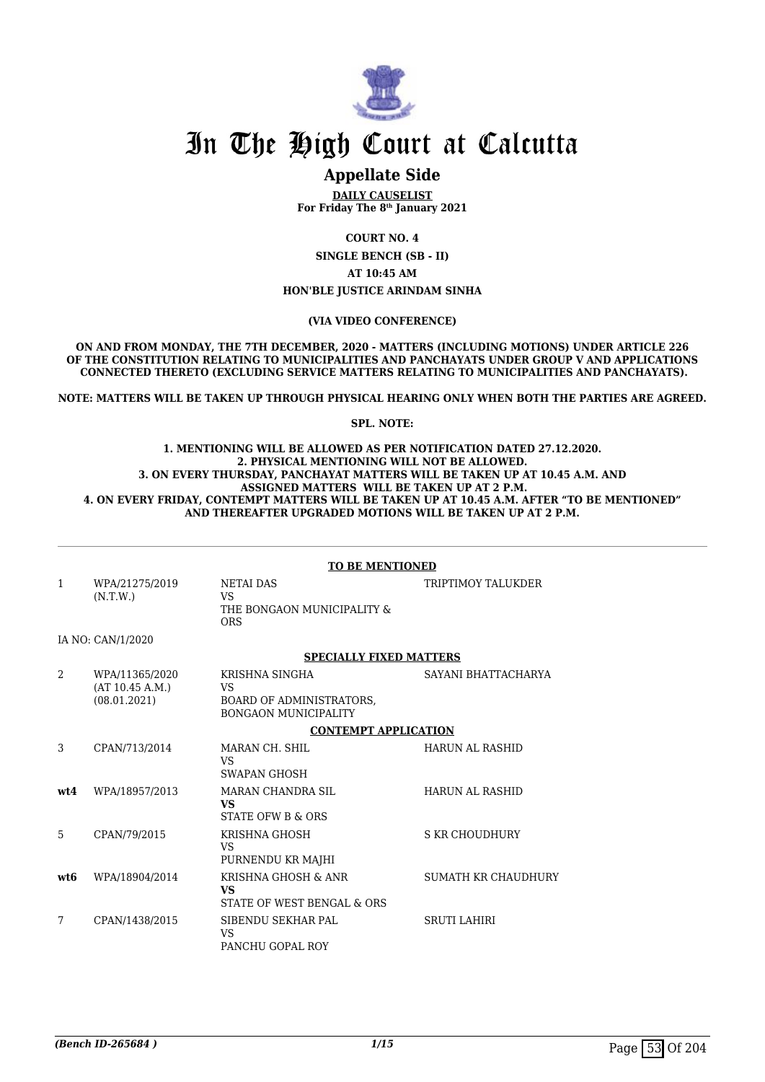

# In The High Court at Calcutta

# **Appellate Side**

**DAILY CAUSELIST For Friday The 8th January 2021**

**COURT NO. 4**

**SINGLE BENCH (SB - II) AT 10:45 AM HON'BLE JUSTICE ARINDAM SINHA**

#### **(VIA VIDEO CONFERENCE)**

**ON AND FROM MONDAY, THE 7TH DECEMBER, 2020 - MATTERS (INCLUDING MOTIONS) UNDER ARTICLE 226 OF THE CONSTITUTION RELATING TO MUNICIPALITIES AND PANCHAYATS UNDER GROUP V AND APPLICATIONS CONNECTED THERETO (EXCLUDING SERVICE MATTERS RELATING TO MUNICIPALITIES AND PANCHAYATS).**

**NOTE: MATTERS WILL BE TAKEN UP THROUGH PHYSICAL HEARING ONLY WHEN BOTH THE PARTIES ARE AGREED.**

**SPL. NOTE:**

#### **1. MENTIONING WILL BE ALLOWED AS PER NOTIFICATION DATED 27.12.2020. 2. PHYSICAL MENTIONING WILL NOT BE ALLOWED. 3. ON EVERY THURSDAY, PANCHAYAT MATTERS WILL BE TAKEN UP AT 10.45 A.M. AND ASSIGNED MATTERS WILL BE TAKEN UP AT 2 P.M. 4. ON EVERY FRIDAY, CONTEMPT MATTERS WILL BE TAKEN UP AT 10.45 A.M. AFTER "TO BE MENTIONED" AND THEREAFTER UPGRADED MOTIONS WILL BE TAKEN UP AT 2 P.M.**

#### **TO BE MENTIONED**

| $\mathbf{1}$   | WPA/21275/2019<br>(N.T.W.)                        | <b>NETAI DAS</b><br>VS.<br>THE BONGAON MUNICIPALITY &<br><b>ORS</b>                    | TRIPTIMOY TALUKDER     |
|----------------|---------------------------------------------------|----------------------------------------------------------------------------------------|------------------------|
|                | IA NO: CAN/1/2020                                 |                                                                                        |                        |
|                |                                                   | <b>SPECIALLY FIXED MATTERS</b>                                                         |                        |
| $\mathfrak{D}$ | WPA/11365/2020<br>(AT 10.45 A.M.)<br>(08.01.2021) | KRISHNA SINGHA<br>VS<br><b>BOARD OF ADMINISTRATORS,</b><br><b>BONGAON MUNICIPALITY</b> | SAYANI BHATTACHARYA    |
|                |                                                   | <b>CONTEMPT APPLICATION</b>                                                            |                        |
| 3              | CPAN/713/2014                                     | MARAN CH. SHIL<br>VS<br>SWAPAN GHOSH                                                   | <b>HARUN AL RASHID</b> |
| wt4            | WPA/18957/2013                                    | MARAN CHANDRA SIL<br><b>VS</b><br>STATE OFW B & ORS                                    | <b>HARUN AL RASHID</b> |
| 5              | CPAN/79/2015                                      | KRISHNA GHOSH<br>VS<br>PURNENDU KR MAJHI                                               | <b>S KR CHOUDHURY</b>  |
| wt.6           | WPA/18904/2014                                    | KRISHNA GHOSH & ANR<br>VS<br>STATE OF WEST BENGAL & ORS                                | SUMATH KR CHAUDHURY    |
| 7              | CPAN/1438/2015                                    | SIBENDU SEKHAR PAL<br><b>VS</b><br>PANCHU GOPAL ROY                                    | <b>SRUTI LAHIRI</b>    |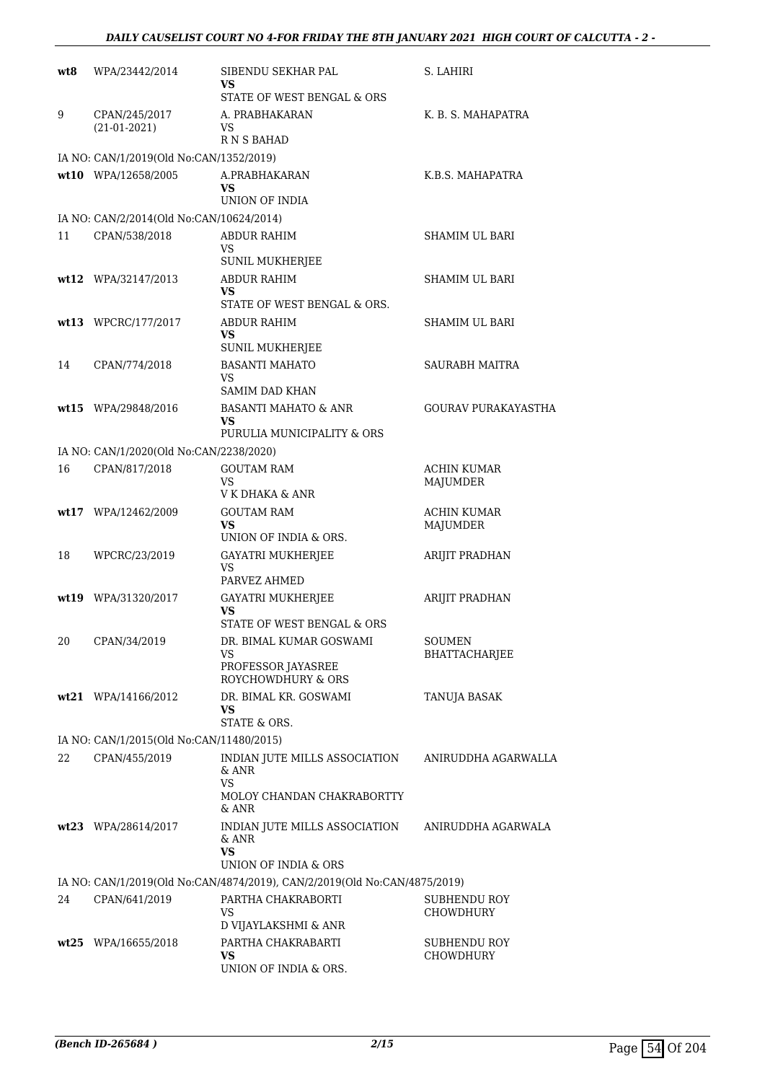| wt8 | WPA/23442/2014                           | SIBENDU SEKHAR PAL<br>VS                                                       | S. LAHIRI                        |
|-----|------------------------------------------|--------------------------------------------------------------------------------|----------------------------------|
|     |                                          | STATE OF WEST BENGAL & ORS                                                     |                                  |
| 9   | CPAN/245/2017<br>$(21-01-2021)$          | A. PRABHAKARAN<br>VS                                                           | K. B. S. MAHAPATRA               |
|     | IA NO: CAN/1/2019(Old No:CAN/1352/2019)  | R N S BAHAD                                                                    |                                  |
|     | wt10 WPA/12658/2005                      | A.PRABHAKARAN                                                                  | K.B.S. MAHAPATRA                 |
|     |                                          | VS                                                                             |                                  |
|     |                                          | UNION OF INDIA                                                                 |                                  |
|     | IA NO: CAN/2/2014(Old No:CAN/10624/2014) |                                                                                |                                  |
| 11  | CPAN/538/2018                            | ABDUR RAHIM                                                                    | SHAMIM UL BARI                   |
|     |                                          | VS<br>SUNIL MUKHERJEE                                                          |                                  |
|     | $wt12$ WPA/32147/2013                    | <b>ABDUR RAHIM</b>                                                             | SHAMIM UL BARI                   |
|     |                                          | VS.                                                                            |                                  |
|     |                                          | STATE OF WEST BENGAL & ORS.                                                    |                                  |
|     | wt13 WPCRC/177/2017                      | ABDUR RAHIM<br><b>VS</b><br><b>SUNIL MUKHERJEE</b>                             | SHAMIM UL BARI                   |
| 14  | CPAN/774/2018                            | <b>BASANTI MAHATO</b>                                                          | <b>SAURABH MAITRA</b>            |
|     |                                          | VS                                                                             |                                  |
|     |                                          | <b>SAMIM DAD KHAN</b>                                                          |                                  |
|     | wt15 WPA/29848/2016                      | <b>BASANTI MAHATO &amp; ANR</b><br><b>VS</b>                                   | <b>GOURAV PURAKAYASTHA</b>       |
|     |                                          | PURULIA MUNICIPALITY & ORS                                                     |                                  |
|     | IA NO: CAN/1/2020(Old No:CAN/2238/2020)  |                                                                                |                                  |
| 16  | CPAN/817/2018                            | <b>GOUTAM RAM</b>                                                              | ACHIN KUMAR                      |
|     |                                          | VS<br>V K DHAKA & ANR                                                          | MAJUMDER                         |
|     | wt17 WPA/12462/2009                      | GOUTAM RAM                                                                     | <b>ACHIN KUMAR</b>               |
|     |                                          | VS<br>UNION OF INDIA & ORS.                                                    | MAJUMDER                         |
| 18  | WPCRC/23/2019                            | <b>GAYATRI MUKHERJEE</b>                                                       | ARIJIT PRADHAN                   |
|     |                                          | VS                                                                             |                                  |
|     |                                          | PARVEZ AHMED                                                                   | <b>ARIJIT PRADHAN</b>            |
|     | wt19 WPA/31320/2017                      | <b>GAYATRI MUKHERJEE</b><br>VS                                                 |                                  |
|     |                                          | STATE OF WEST BENGAL & ORS                                                     |                                  |
| 20  | CPAN/34/2019                             | DR. BIMAL KUMAR GOSWAMI                                                        | <b>SOUMEN</b>                    |
|     |                                          | VS<br>PROFESSOR JAYASREE                                                       | BHATTACHARJEE                    |
|     |                                          | ROYCHOWDHURY & ORS                                                             |                                  |
|     | wt21 WPA/14166/2012                      | DR. BIMAL KR. GOSWAMI                                                          | TANUJA BASAK                     |
|     |                                          | VS<br>STATE & ORS.                                                             |                                  |
|     | IA NO: CAN/1/2015(Old No:CAN/11480/2015) |                                                                                |                                  |
| 22  | CPAN/455/2019                            | INDIAN JUTE MILLS ASSOCIATION                                                  | ANIRUDDHA AGARWALLA              |
|     |                                          | & ANR<br>VS.                                                                   |                                  |
|     |                                          | MOLOY CHANDAN CHAKRABORTTY<br>& ANR                                            |                                  |
|     | wt23 WPA/28614/2017                      | INDIAN JUTE MILLS ASSOCIATION<br>$\&$ ANR<br><b>VS</b><br>UNION OF INDIA & ORS | ANIRUDDHA AGARWALA               |
|     |                                          | IA NO: CAN/1/2019(Old No:CAN/4874/2019), CAN/2/2019(Old No:CAN/4875/2019)      |                                  |
| 24  | CPAN/641/2019                            | PARTHA CHAKRABORTI                                                             | SUBHENDU ROY                     |
|     |                                          | VS                                                                             | <b>CHOWDHURY</b>                 |
|     |                                          | D VIJAYLAKSHMI & ANR                                                           |                                  |
|     | wt25 WPA/16655/2018                      | PARTHA CHAKRABARTI<br>VS.                                                      | <b>SUBHENDU ROY</b><br>CHOWDHURY |
|     |                                          | UNION OF INDIA & ORS.                                                          |                                  |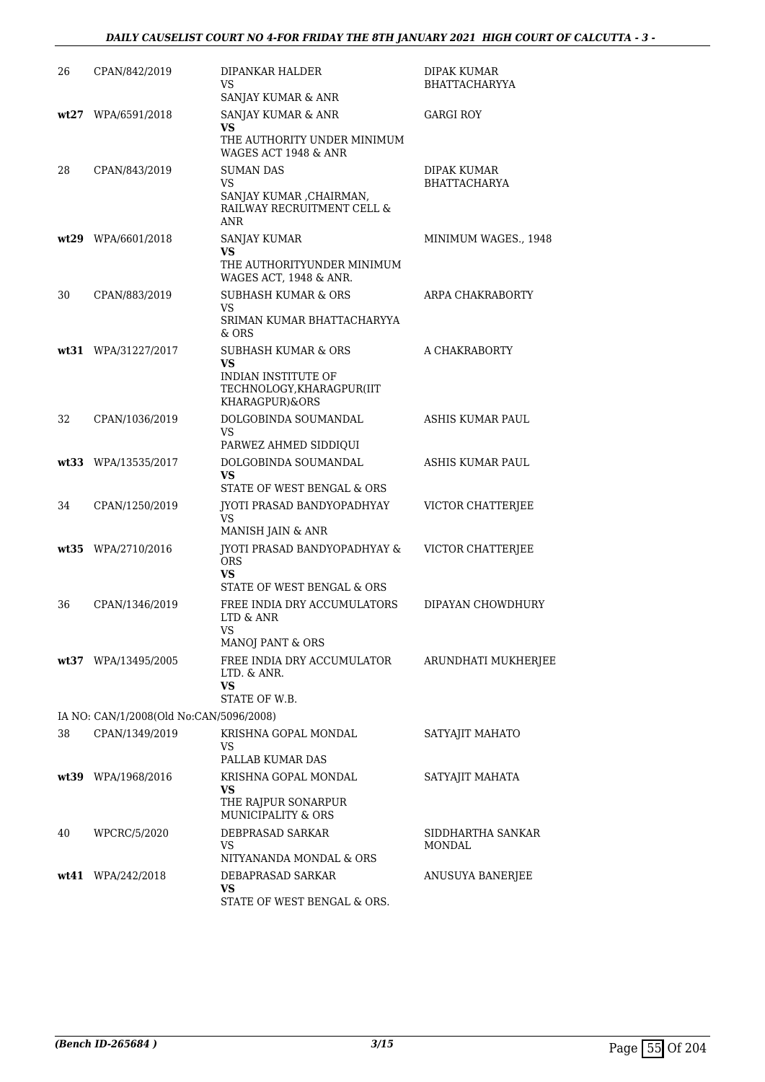# *DAILY CAUSELIST COURT NO 4-FOR FRIDAY THE 8TH JANUARY 2021 HIGH COURT OF CALCUTTA - 3 -*

| 26 | CPAN/842/2019                           | DIPANKAR HALDER<br>VS<br>SANJAY KUMAR & ANR                               | DIPAK KUMAR<br><b>BHATTACHARYYA</b> |
|----|-----------------------------------------|---------------------------------------------------------------------------|-------------------------------------|
|    | wt27 WPA/6591/2018                      | SANJAY KUMAR & ANR<br>VS                                                  | <b>GARGI ROY</b>                    |
|    |                                         | THE AUTHORITY UNDER MINIMUM<br>WAGES ACT 1948 & ANR                       |                                     |
| 28 | CPAN/843/2019                           | <b>SUMAN DAS</b><br>VS                                                    | DIPAK KUMAR<br><b>BHATTACHARYA</b>  |
|    |                                         | SANJAY KUMAR , CHAIRMAN,<br>RAILWAY RECRUITMENT CELL &<br><b>ANR</b>      |                                     |
|    | wt29 WPA/6601/2018                      | SANJAY KUMAR<br>VS                                                        | MINIMUM WAGES., 1948                |
|    |                                         | THE AUTHORITYUNDER MINIMUM<br>WAGES ACT, 1948 & ANR.                      |                                     |
| 30 | CPAN/883/2019                           | <b>SUBHASH KUMAR &amp; ORS</b><br>VS                                      | ARPA CHAKRABORTY                    |
|    |                                         | SRIMAN KUMAR BHATTACHARYYA<br>& ORS                                       |                                     |
|    | wt31 WPA/31227/2017                     | <b>SUBHASH KUMAR &amp; ORS</b><br>VS                                      | A CHAKRABORTY                       |
|    |                                         | <b>INDIAN INSTITUTE OF</b><br>TECHNOLOGY, KHARAGPUR(IIT<br>KHARAGPUR)&ORS |                                     |
| 32 | CPAN/1036/2019                          | DOLGOBINDA SOUMANDAL<br><b>VS</b>                                         | ASHIS KUMAR PAUL                    |
|    |                                         | PARWEZ AHMED SIDDIQUI                                                     |                                     |
|    | wt33 WPA/13535/2017                     | DOLGOBINDA SOUMANDAL<br><b>VS</b><br>STATE OF WEST BENGAL & ORS           | ASHIS KUMAR PAUL                    |
| 34 | CPAN/1250/2019                          | <b>IYOTI PRASAD BANDYOPADHYAY</b><br><b>VS</b><br>MANISH JAIN & ANR       | VICTOR CHATTERJEE                   |
|    | wt35 WPA/2710/2016                      | JYOTI PRASAD BANDYOPADHYAY &<br><b>ORS</b><br><b>VS</b>                   | VICTOR CHATTERJEE                   |
|    |                                         | STATE OF WEST BENGAL & ORS                                                |                                     |
| 36 | CPAN/1346/2019                          | FREE INDIA DRY ACCUMULATORS<br>LTD & ANR<br>VS                            | DIPAYAN CHOWDHURY                   |
|    | wt37 WPA/13495/2005                     | MANOJ PANT & ORS<br>FREE INDIA DRY ACCUMULATOR                            | ARUNDHATI MUKHERJEE                 |
|    |                                         | $LTD.$ $&$ ANR.<br>VS<br>STATE OF W.B.                                    |                                     |
|    | IA NO: CAN/1/2008(Old No:CAN/5096/2008) |                                                                           |                                     |
| 38 | CPAN/1349/2019                          | KRISHNA GOPAL MONDAL<br>VS                                                | SATYAJIT MAHATO                     |
|    | wt39 WPA/1968/2016                      | PALLAB KUMAR DAS<br>KRISHNA GOPAL MONDAL                                  | SATYAJIT MAHATA                     |
|    |                                         | VS<br>THE RAJPUR SONARPUR<br><b>MUNICIPALITY &amp; ORS</b>                |                                     |
| 40 | WPCRC/5/2020                            | DEBPRASAD SARKAR<br>VS<br>NITYANANDA MONDAL & ORS                         | SIDDHARTHA SANKAR<br><b>MONDAL</b>  |
|    | $wt41$ WPA/242/2018                     | DEBAPRASAD SARKAR<br><b>VS</b><br>STATE OF WEST BENGAL & ORS.             | ANUSUYA BANERJEE                    |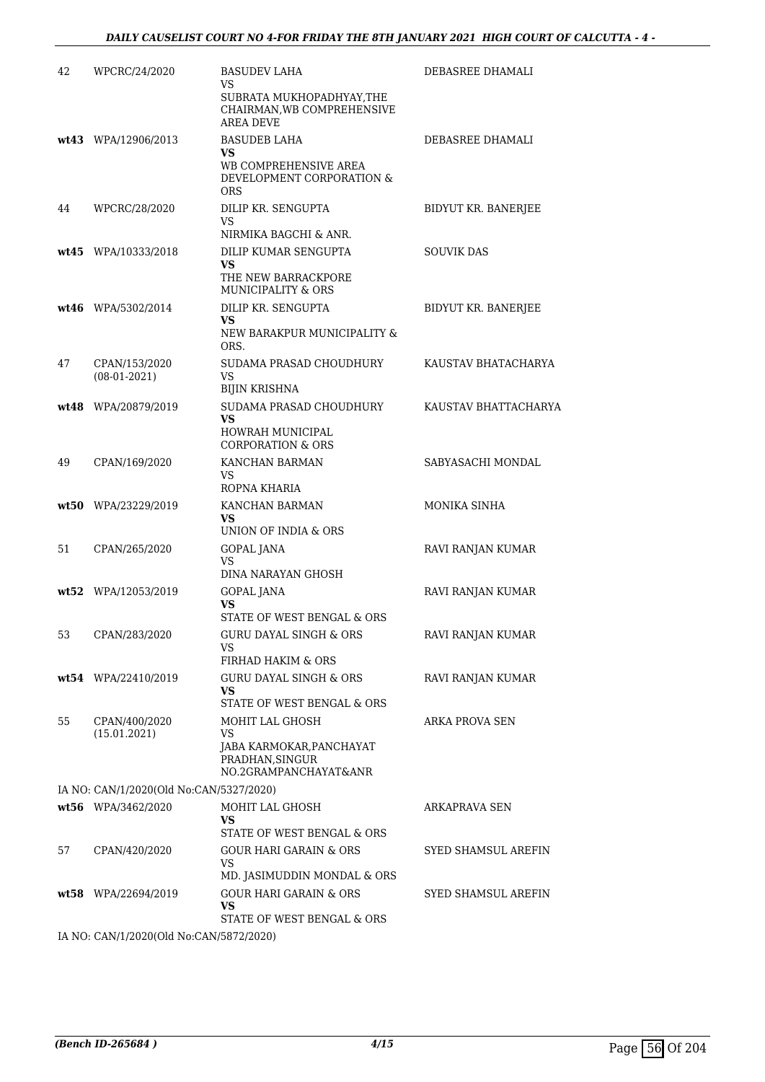| 42 | WPCRC/24/2020                           | <b>BASUDEV LAHA</b><br>VS<br>SUBRATA MUKHOPADHYAY, THE<br>CHAIRMAN, WB COMPREHENSIVE            | DEBASREE DHAMALI      |
|----|-----------------------------------------|-------------------------------------------------------------------------------------------------|-----------------------|
|    | wt43 WPA/12906/2013                     | AREA DEVE<br><b>BASUDEB LAHA</b><br>VS<br>WB COMPREHENSIVE AREA<br>DEVELOPMENT CORPORATION &    | DEBASREE DHAMALI      |
| 44 | WPCRC/28/2020                           | <b>ORS</b><br>DILIP KR. SENGUPTA<br>VS                                                          | BIDYUT KR. BANERJEE   |
|    | wt45 WPA/10333/2018                     | NIRMIKA BAGCHI & ANR.<br>DILIP KUMAR SENGUPTA<br>VS<br>THE NEW BARRACKPORE                      | <b>SOUVIK DAS</b>     |
|    | $wt46$ WPA/5302/2014                    | MUNICIPALITY & ORS<br>DILIP KR. SENGUPTA<br>VS<br>NEW BARAKPUR MUNICIPALITY &<br>ORS.           | BIDYUT KR. BANERJEE   |
| 47 | CPAN/153/2020<br>$(08-01-2021)$         | SUDAMA PRASAD CHOUDHURY<br>VS<br><b>BIJIN KRISHNA</b>                                           | KAUSTAV BHATACHARYA   |
|    | wt48 WPA/20879/2019                     | SUDAMA PRASAD CHOUDHURY<br><b>VS</b><br><b>HOWRAH MUNICIPAL</b><br><b>CORPORATION &amp; ORS</b> | KAUSTAV BHATTACHARYA  |
| 49 | CPAN/169/2020                           | KANCHAN BARMAN<br>VS<br>ROPNA KHARIA                                                            | SABYASACHI MONDAL     |
|    | wt50 WPA/23229/2019                     | KANCHAN BARMAN<br>VS<br>UNION OF INDIA & ORS                                                    | MONIKA SINHA          |
| 51 | CPAN/265/2020                           | GOPAL JANA<br>VS<br>DINA NARAYAN GHOSH                                                          | RAVI RANJAN KUMAR     |
|    | wt52 WPA/12053/2019                     | <b>GOPAL JANA</b><br>VS<br>STATE OF WEST BENGAL & ORS                                           | RAVI RANJAN KUMAR     |
| 53 | CPAN/283/2020                           | GURU DAYAL SINGH & ORS<br>VS<br>FIRHAD HAKIM & ORS                                              | RAVI RANJAN KUMAR     |
|    | wt54 WPA/22410/2019                     | <b>GURU DAYAL SINGH &amp; ORS</b><br><b>VS</b><br>STATE OF WEST BENGAL & ORS                    | RAVI RANJAN KUMAR     |
| 55 | CPAN/400/2020<br>(15.01.2021)           | MOHIT LAL GHOSH<br>VS<br>JABA KARMOKAR,PANCHAYAT<br>PRADHAN, SINGUR<br>NO.2GRAMPANCHAYAT&ANR    | <b>ARKA PROVA SEN</b> |
|    | IA NO: CAN/1/2020(Old No:CAN/5327/2020) |                                                                                                 |                       |
|    | wt56 WPA/3462/2020                      | MOHIT LAL GHOSH<br>VS.<br>STATE OF WEST BENGAL & ORS                                            | ARKAPRAVA SEN         |
| 57 | CPAN/420/2020                           | GOUR HARI GARAIN & ORS<br>VS.<br>MD. JASIMUDDIN MONDAL & ORS                                    | SYED SHAMSUL AREFIN   |
|    | wt58 WPA/22694/2019                     | <b>GOUR HARI GARAIN &amp; ORS</b><br>VS<br>STATE OF WEST BENGAL & ORS                           | SYED SHAMSUL AREFIN   |
|    | IA NO: CAN/1/2020(Old No:CAN/5872/2020) |                                                                                                 |                       |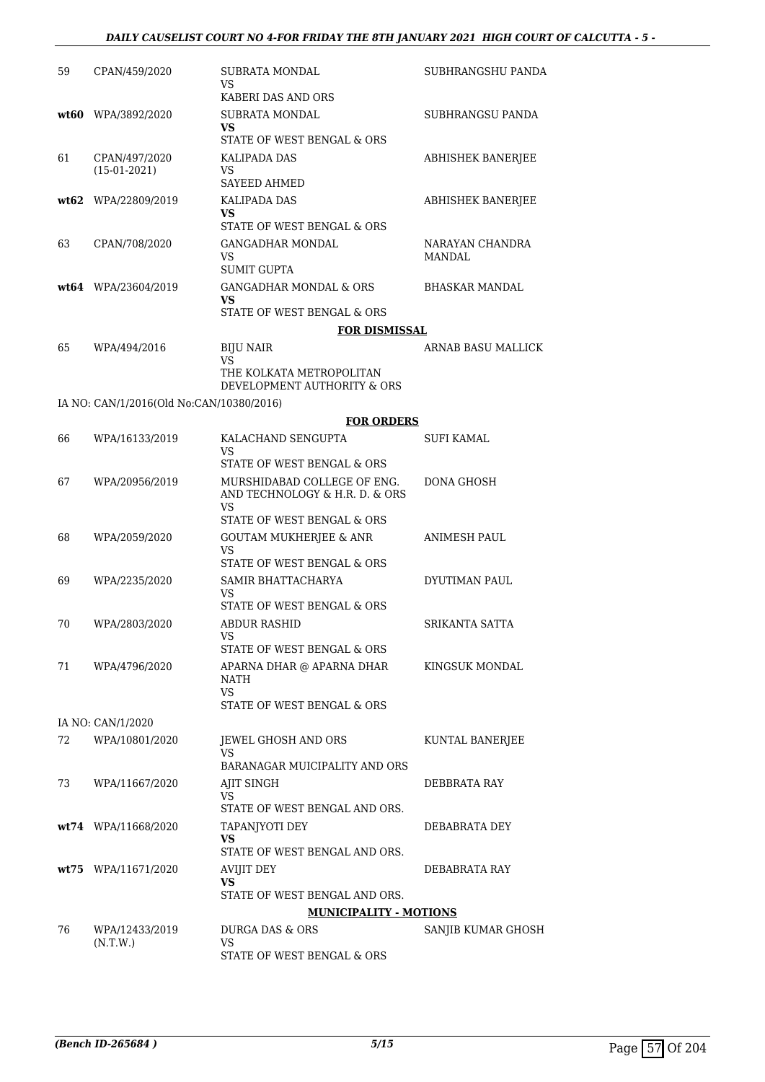### *DAILY CAUSELIST COURT NO 4-FOR FRIDAY THE 8TH JANUARY 2021 HIGH COURT OF CALCUTTA - 5 -*

| 59 | CPAN/459/2020                            | <b>SUBRATA MONDAL</b><br>VS                                            | SUBHRANGSHU PANDA         |
|----|------------------------------------------|------------------------------------------------------------------------|---------------------------|
|    | $wt60$ WPA/3892/2020                     | KABERI DAS AND ORS<br>SUBRATA MONDAL                                   | SUBHRANGSU PANDA          |
|    |                                          | VS.<br>STATE OF WEST BENGAL & ORS                                      |                           |
| 61 | CPAN/497/2020<br>$(15-01-2021)$          | KALIPADA DAS<br>VS                                                     | <b>ABHISHEK BANERJEE</b>  |
|    |                                          | <b>SAYEED AHMED</b>                                                    |                           |
|    | wt62 WPA/22809/2019                      | KALIPADA DAS<br>VS<br>STATE OF WEST BENGAL & ORS                       | <b>ABHISHEK BANERJEE</b>  |
| 63 | CPAN/708/2020                            | <b>GANGADHAR MONDAL</b><br>VS.<br><b>SUMIT GUPTA</b>                   | NARAYAN CHANDRA<br>MANDAL |
|    | $wt64$ WPA/23604/2019                    | <b>GANGADHAR MONDAL &amp; ORS</b><br>VS                                | BHASKAR MANDAL            |
|    |                                          | STATE OF WEST BENGAL & ORS                                             |                           |
|    |                                          | <b>FOR DISMISSAL</b>                                                   |                           |
| 65 | WPA/494/2016                             | <b>BIJU NAIR</b><br>VS                                                 | ARNAB BASU MALLICK        |
|    |                                          | THE KOLKATA METROPOLITAN<br>DEVELOPMENT AUTHORITY & ORS                |                           |
|    | IA NO: CAN/1/2016(Old No:CAN/10380/2016) |                                                                        |                           |
|    |                                          | <b>FOR ORDERS</b>                                                      |                           |
| 66 | WPA/16133/2019                           | KALACHAND SENGUPTA<br>VS                                               | SUFI KAMAL                |
|    |                                          | STATE OF WEST BENGAL & ORS                                             |                           |
| 67 | WPA/20956/2019                           | MURSHIDABAD COLLEGE OF ENG.<br>AND TECHNOLOGY & H.R. D. & ORS<br>VS    | DONA GHOSH                |
|    |                                          | STATE OF WEST BENGAL & ORS                                             |                           |
| 68 | WPA/2059/2020                            | <b>GOUTAM MUKHERJEE &amp; ANR</b><br>VS.<br>STATE OF WEST BENGAL & ORS | ANIMESH PAUL              |
| 69 | WPA/2235/2020                            | SAMIR BHATTACHARYA                                                     | DYUTIMAN PAUL             |
|    |                                          | VS<br>STATE OF WEST BENGAL & ORS                                       |                           |
| 70 | WPA/2803/2020                            | ABDUR RASHID                                                           | SRIKANTA SATTA            |
|    |                                          | STATE OF WEST BENGAL & ORS                                             |                           |
| 71 | WPA/4796/2020                            | APARNA DHAR @ APARNA DHAR<br>NATH<br>VS.                               | KINGSUK MONDAL            |
|    |                                          | STATE OF WEST BENGAL & ORS                                             |                           |
|    | IA NO: CAN/1/2020                        |                                                                        |                           |
| 72 | WPA/10801/2020                           | JEWEL GHOSH AND ORS<br>VS                                              | KUNTAL BANERJEE           |
|    |                                          | BARANAGAR MUICIPALITY AND ORS                                          |                           |
| 73 | WPA/11667/2020                           | AJIT SINGH<br>VS<br>STATE OF WEST BENGAL AND ORS.                      | DEBBRATA RAY              |
|    | wt74 WPA/11668/2020                      | TAPANJYOTI DEY                                                         | DEBABRATA DEY             |
|    |                                          | VS.<br>STATE OF WEST BENGAL AND ORS.                                   |                           |
|    | wt75 WPA/11671/2020                      | AVIJIT DEY<br>VS.                                                      | DEBABRATA RAY             |
|    |                                          | STATE OF WEST BENGAL AND ORS.                                          |                           |
|    |                                          | <b>MUNICIPALITY - MOTIONS</b>                                          |                           |
| 76 | WPA/12433/2019<br>(N.T.W.)               | DURGA DAS & ORS<br>VS                                                  | SANJIB KUMAR GHOSH        |
|    |                                          | STATE OF WEST BENGAL & ORS                                             |                           |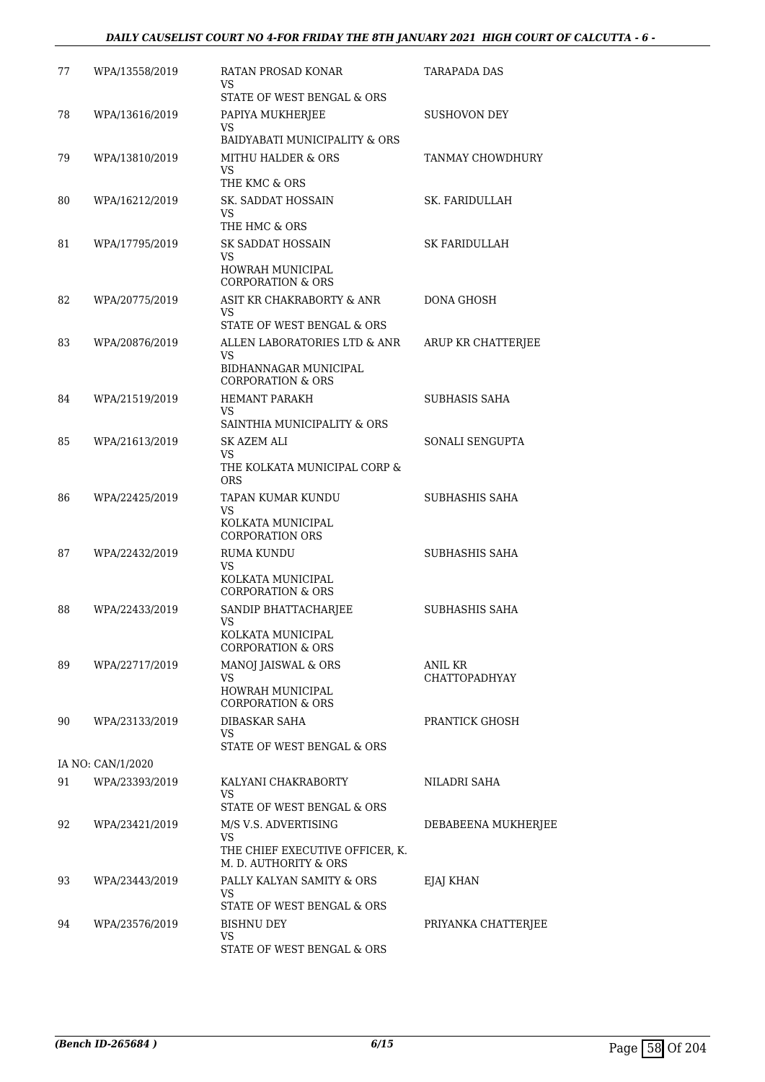# *DAILY CAUSELIST COURT NO 4-FOR FRIDAY THE 8TH JANUARY 2021 HIGH COURT OF CALCUTTA - 6 -*

| 77 | WPA/13558/2019    | RATAN PROSAD KONAR<br>VS<br>STATE OF WEST BENGAL & ORS                                                    | TARAPADA DAS                    |
|----|-------------------|-----------------------------------------------------------------------------------------------------------|---------------------------------|
| 78 | WPA/13616/2019    | PAPIYA MUKHERJEE<br>VS.                                                                                   | SUSHOVON DEY                    |
| 79 | WPA/13810/2019    | BAIDYABATI MUNICIPALITY & ORS<br>MITHU HALDER & ORS<br>VS                                                 | TANMAY CHOWDHURY                |
| 80 | WPA/16212/2019    | THE KMC & ORS<br>SK. SADDAT HOSSAIN<br>VS.<br>THE HMC & ORS                                               | SK. FARIDULLAH                  |
| 81 | WPA/17795/2019    | <b>SK SADDAT HOSSAIN</b><br>VS<br>HOWRAH MUNICIPAL                                                        | SK FARIDULLAH                   |
| 82 | WPA/20775/2019    | <b>CORPORATION &amp; ORS</b><br>ASIT KR CHAKRABORTY & ANR<br>VS.<br>STATE OF WEST BENGAL & ORS            | DONA GHOSH                      |
| 83 | WPA/20876/2019    | ALLEN LABORATORIES LTD & ANR<br>VS<br>BIDHANNAGAR MUNICIPAL                                               | ARUP KR CHATTERJEE              |
| 84 | WPA/21519/2019    | <b>CORPORATION &amp; ORS</b><br>HEMANT PARAKH<br>VS.                                                      | SUBHASIS SAHA                   |
| 85 | WPA/21613/2019    | SAINTHIA MUNICIPALITY & ORS<br><b>SK AZEM ALI</b><br>VS<br>THE KOLKATA MUNICIPAL CORP &                   | SONALI SENGUPTA                 |
| 86 | WPA/22425/2019    | <b>ORS</b><br>TAPAN KUMAR KUNDU<br>VS<br>KOLKATA MUNICIPAL                                                | SUBHASHIS SAHA                  |
| 87 | WPA/22432/2019    | <b>CORPORATION ORS</b><br><b>RUMA KUNDU</b><br>VS<br>KOLKATA MUNICIPAL<br><b>CORPORATION &amp; ORS</b>    | SUBHASHIS SAHA                  |
| 88 | WPA/22433/2019    | SANDIP BHATTACHARJEE<br>VS<br>KOLKATA MUNICIPAL                                                           | SUBHASHIS SAHA                  |
| 89 | WPA/22717/2019    | CORPORATION & ORS<br>MANOJ JAISWAL & ORS<br>VS<br><b>HOWRAH MUNICIPAL</b><br><b>CORPORATION &amp; ORS</b> | ANIL KR<br><b>CHATTOPADHYAY</b> |
| 90 | WPA/23133/2019    | <b>DIBASKAR SAHA</b><br>VS<br>STATE OF WEST BENGAL & ORS                                                  | PRANTICK GHOSH                  |
|    | IA NO: CAN/1/2020 |                                                                                                           |                                 |
| 91 | WPA/23393/2019    | KALYANI CHAKRABORTY<br>VS<br>STATE OF WEST BENGAL & ORS                                                   | NILADRI SAHA                    |
| 92 | WPA/23421/2019    | M/S V.S. ADVERTISING<br>VS.<br>THE CHIEF EXECUTIVE OFFICER, K.<br>M. D. AUTHORITY & ORS                   | DEBABEENA MUKHERJEE             |
| 93 | WPA/23443/2019    | PALLY KALYAN SAMITY & ORS<br>VS<br>STATE OF WEST BENGAL & ORS                                             | EJAJ KHAN                       |
| 94 | WPA/23576/2019    | BISHNU DEY<br>VS<br>STATE OF WEST BENGAL & ORS                                                            | PRIYANKA CHATTERJEE             |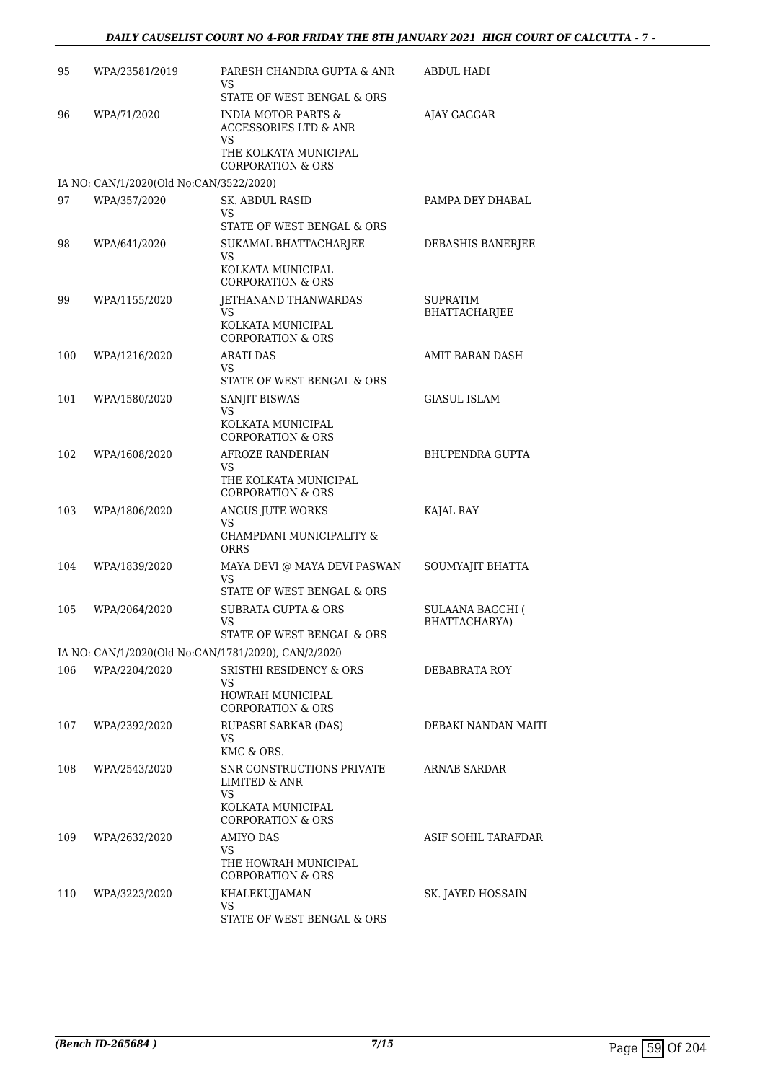| 95  | WPA/23581/2019                                          | PARESH CHANDRA GUPTA & ANR<br>VS                                                                 | ABDUL HADI              |
|-----|---------------------------------------------------------|--------------------------------------------------------------------------------------------------|-------------------------|
| 96  | WPA/71/2020                                             | STATE OF WEST BENGAL & ORS<br><b>INDIA MOTOR PARTS &amp;</b><br><b>ACCESSORIES LTD &amp; ANR</b> | AJAY GAGGAR             |
|     |                                                         | VS<br>THE KOLKATA MUNICIPAL                                                                      |                         |
|     |                                                         | <b>CORPORATION &amp; ORS</b>                                                                     |                         |
| 97  | IA NO: CAN/1/2020(Old No:CAN/3522/2020)<br>WPA/357/2020 | <b>SK. ABDUL RASID</b>                                                                           | PAMPA DEY DHABAL        |
|     |                                                         | VS                                                                                               |                         |
|     |                                                         | STATE OF WEST BENGAL & ORS                                                                       |                         |
| 98  | WPA/641/2020                                            | SUKAMAL BHATTACHARJEE<br>VS                                                                      | DEBASHIS BANERJEE       |
|     |                                                         | KOLKATA MUNICIPAL<br><b>CORPORATION &amp; ORS</b>                                                |                         |
| 99  | WPA/1155/2020                                           | JETHANAND THANWARDAS                                                                             | SUPRATIM                |
|     |                                                         | VS<br>KOLKATA MUNICIPAL<br><b>CORPORATION &amp; ORS</b>                                          | BHATTACHARJEE           |
| 100 | WPA/1216/2020                                           | <b>ARATI DAS</b>                                                                                 | <b>AMIT BARAN DASH</b>  |
|     |                                                         | VS<br>STATE OF WEST BENGAL & ORS                                                                 |                         |
| 101 | WPA/1580/2020                                           | <b>SANJIT BISWAS</b><br>VS                                                                       | GIASUL ISLAM            |
|     |                                                         | KOLKATA MUNICIPAL<br><b>CORPORATION &amp; ORS</b>                                                |                         |
| 102 | WPA/1608/2020                                           | AFROZE RANDERIAN                                                                                 | BHUPENDRA GUPTA         |
|     |                                                         | VS<br>THE KOLKATA MUNICIPAL<br><b>CORPORATION &amp; ORS</b>                                      |                         |
| 103 | WPA/1806/2020                                           | ANGUS JUTE WORKS                                                                                 | KAJAL RAY               |
|     |                                                         | <b>VS</b><br>CHAMPDANI MUNICIPALITY &<br>ORRS                                                    |                         |
| 104 | WPA/1839/2020                                           | MAYA DEVI @ MAYA DEVI PASWAN                                                                     | SOUMYAJIT BHATTA        |
|     |                                                         | VS<br>STATE OF WEST BENGAL & ORS                                                                 |                         |
| 105 | WPA/2064/2020                                           | <b>SUBRATA GUPTA &amp; ORS</b>                                                                   | <b>SULAANA BAGCHI (</b> |
|     |                                                         | VS                                                                                               | BHATTACHARYA)           |
|     |                                                         | STATE OF WEST BENGAL & ORS<br>IA NO: CAN/1/2020(Old No:CAN/1781/2020), CAN/2/2020                |                         |
| 106 | WPA/2204/2020                                           | <b>SRISTHI RESIDENCY &amp; ORS</b>                                                               | DEBABRATA ROY           |
|     |                                                         | VS                                                                                               |                         |
|     |                                                         | HOWRAH MUNICIPAL<br><b>CORPORATION &amp; ORS</b>                                                 |                         |
| 107 | WPA/2392/2020                                           | RUPASRI SARKAR (DAS)                                                                             | DEBAKI NANDAN MAITI     |
|     |                                                         | VS.<br>KMC & ORS.                                                                                |                         |
| 108 | WPA/2543/2020                                           | SNR CONSTRUCTIONS PRIVATE<br><b>LIMITED &amp; ANR</b>                                            | <b>ARNAB SARDAR</b>     |
|     |                                                         | VS<br>KOLKATA MUNICIPAL<br><b>CORPORATION &amp; ORS</b>                                          |                         |
| 109 | WPA/2632/2020                                           | AMIYO DAS                                                                                        | ASIF SOHIL TARAFDAR     |
|     |                                                         | VS.<br>THE HOWRAH MUNICIPAL<br><b>CORPORATION &amp; ORS</b>                                      |                         |
| 110 | WPA/3223/2020                                           | KHALEKUJJAMAN                                                                                    | SK. JAYED HOSSAIN       |
|     |                                                         | VS.                                                                                              |                         |
|     |                                                         | STATE OF WEST BENGAL & ORS                                                                       |                         |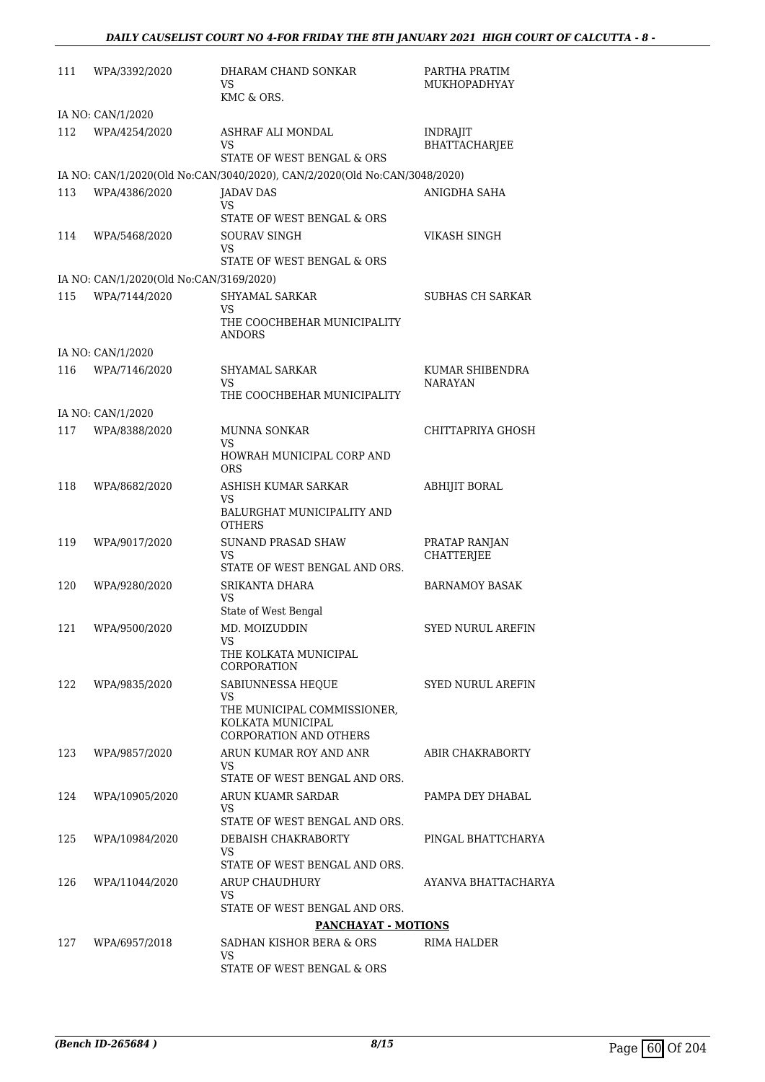| 111 | WPA/3392/2020                           | DHARAM CHAND SONKAR<br>VS                                                        | PARTHA PRATIM<br>MUKHOPADHYAY           |
|-----|-----------------------------------------|----------------------------------------------------------------------------------|-----------------------------------------|
|     |                                         | KMC & ORS.                                                                       |                                         |
|     | IA NO: CAN/1/2020                       |                                                                                  |                                         |
| 112 | WPA/4254/2020                           | ASHRAF ALI MONDAL<br>VS<br>STATE OF WEST BENGAL & ORS                            | <b>INDRAJIT</b><br><b>BHATTACHARJEE</b> |
|     |                                         | IA NO: CAN/1/2020(Old No:CAN/3040/2020), CAN/2/2020(Old No:CAN/3048/2020)        |                                         |
| 113 | WPA/4386/2020                           | <b>JADAV DAS</b>                                                                 | ANIGDHA SAHA                            |
|     |                                         | VS<br>STATE OF WEST BENGAL & ORS                                                 |                                         |
| 114 | WPA/5468/2020                           | SOURAV SINGH<br>VS.                                                              | VIKASH SINGH                            |
|     |                                         | STATE OF WEST BENGAL & ORS                                                       |                                         |
|     | IA NO: CAN/1/2020(Old No:CAN/3169/2020) |                                                                                  |                                         |
| 115 | WPA/7144/2020                           | SHYAMAL SARKAR<br>VS<br>THE COOCHBEHAR MUNICIPALITY                              | <b>SUBHAS CH SARKAR</b>                 |
|     |                                         | <b>ANDORS</b>                                                                    |                                         |
|     | IA NO: CAN/1/2020                       |                                                                                  |                                         |
| 116 | WPA/7146/2020                           | SHYAMAL SARKAR                                                                   | KUMAR SHIBENDRA                         |
|     |                                         | VS<br>THE COOCHBEHAR MUNICIPALITY                                                | NARAYAN                                 |
|     | IA NO: CAN/1/2020                       |                                                                                  |                                         |
| 117 | WPA/8388/2020                           | MUNNA SONKAR                                                                     | CHITTAPRIYA GHOSH                       |
|     |                                         | VS<br>HOWRAH MUNICIPAL CORP AND                                                  |                                         |
|     |                                         | <b>ORS</b>                                                                       |                                         |
| 118 | WPA/8682/2020                           | ASHISH KUMAR SARKAR<br>VS<br>BALURGHAT MUNICIPALITY AND                          | <b>ABHIJIT BORAL</b>                    |
|     |                                         | <b>OTHERS</b>                                                                    |                                         |
| 119 | WPA/9017/2020                           | SUNAND PRASAD SHAW<br>VS                                                         | PRATAP RANJAN<br><b>CHATTERJEE</b>      |
|     |                                         | STATE OF WEST BENGAL AND ORS.                                                    |                                         |
| 120 | WPA/9280/2020                           | SRIKANTA DHARA<br>VS<br>State of West Bengal                                     | <b>BARNAMOY BASAK</b>                   |
| 121 | WPA/9500/2020                           | MD. MOIZUDDIN                                                                    | SYED NURUL AREFIN                       |
|     |                                         | VS<br>THE KOLKATA MUNICIPAL<br><b>CORPORATION</b>                                |                                         |
| 122 | WPA/9835/2020                           | SABIUNNESSA HEQUE                                                                | SYED NURUL AREFIN                       |
|     |                                         | VS<br>THE MUNICIPAL COMMISSIONER,<br>KOLKATA MUNICIPAL<br>CORPORATION AND OTHERS |                                         |
| 123 | WPA/9857/2020                           | ARUN KUMAR ROY AND ANR<br>VS                                                     | ABIR CHAKRABORTY                        |
|     |                                         | STATE OF WEST BENGAL AND ORS.                                                    |                                         |
| 124 | WPA/10905/2020                          | ARUN KUAMR SARDAR<br>VS.<br>STATE OF WEST BENGAL AND ORS.                        | PAMPA DEY DHABAL                        |
| 125 | WPA/10984/2020                          | DEBAISH CHAKRABORTY                                                              | PINGAL BHATTCHARYA                      |
|     |                                         | VS.<br>STATE OF WEST BENGAL AND ORS.                                             |                                         |
| 126 | WPA/11044/2020                          | ARUP CHAUDHURY<br>VS.                                                            | AYANVA BHATTACHARYA                     |
|     |                                         | STATE OF WEST BENGAL AND ORS.                                                    |                                         |
|     |                                         | <b>PANCHAYAT - MOTIONS</b>                                                       |                                         |
| 127 | WPA/6957/2018                           | SADHAN KISHOR BERA & ORS<br>VS                                                   | RIMA HALDER                             |
|     |                                         | STATE OF WEST BENGAL & ORS                                                       |                                         |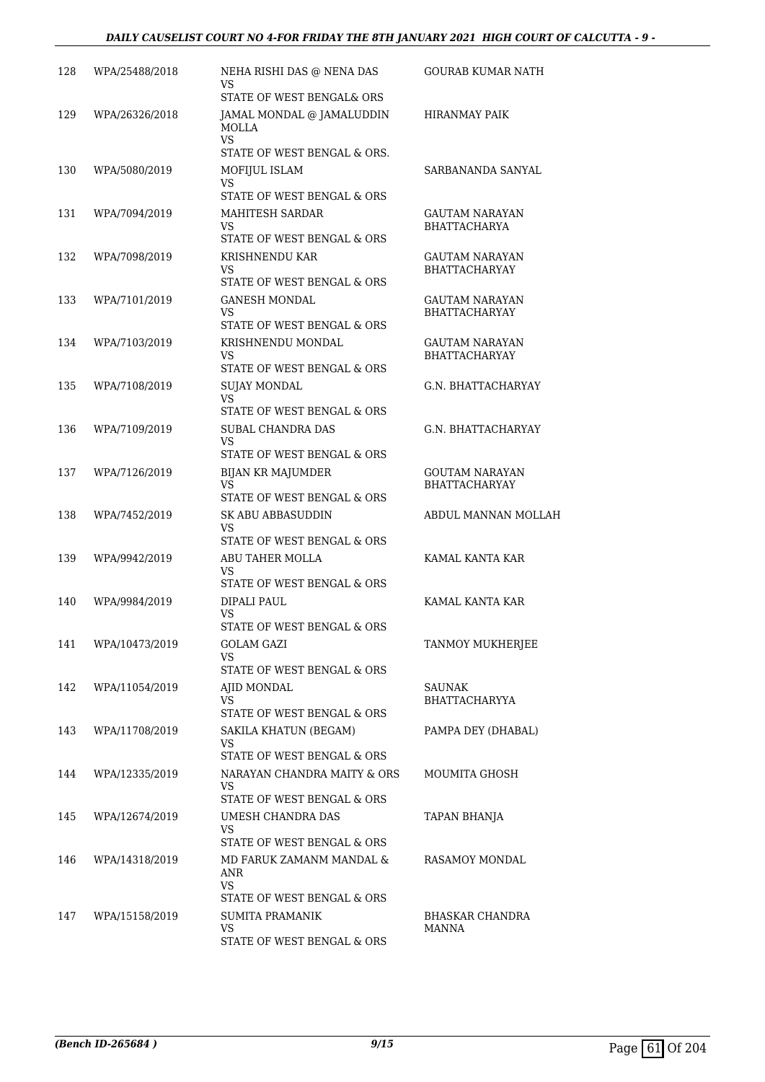# *DAILY CAUSELIST COURT NO 4-FOR FRIDAY THE 8TH JANUARY 2021 HIGH COURT OF CALCUTTA - 9 -*

| 128 | WPA/25488/2018 | NEHA RISHI DAS @ NENA DAS<br>VS                                                      | GOURAB KUMAR NATH                             |
|-----|----------------|--------------------------------------------------------------------------------------|-----------------------------------------------|
|     |                | STATE OF WEST BENGAL& ORS                                                            |                                               |
| 129 | WPA/26326/2018 | JAMAL MONDAL @ JAMALUDDIN<br><b>MOLLA</b><br>VS.                                     | HIRANMAY PAIK                                 |
| 130 | WPA/5080/2019  | STATE OF WEST BENGAL & ORS.<br>MOFIJUL ISLAM<br>VS                                   | SARBANANDA SANYAL                             |
|     |                | STATE OF WEST BENGAL & ORS                                                           |                                               |
| 131 | WPA/7094/2019  | MAHITESH SARDAR<br>VS.<br>STATE OF WEST BENGAL & ORS                                 | <b>GAUTAM NARAYAN</b><br><b>BHATTACHARYA</b>  |
| 132 | WPA/7098/2019  | KRISHNENDU KAR<br>VS<br>STATE OF WEST BENGAL & ORS                                   | GAUTAM NARAYAN<br><b>BHATTACHARYAY</b>        |
| 133 | WPA/7101/2019  | GANESH MONDAL<br>VS.<br>STATE OF WEST BENGAL & ORS                                   | GAUTAM NARAYAN<br><b>BHATTACHARYAY</b>        |
| 134 | WPA/7103/2019  | KRISHNENDU MONDAL<br>VS                                                              | <b>GAUTAM NARAYAN</b><br><b>BHATTACHARYAY</b> |
|     |                | STATE OF WEST BENGAL & ORS                                                           |                                               |
| 135 | WPA/7108/2019  | <b>SUJAY MONDAL</b><br>VS.<br>STATE OF WEST BENGAL & ORS                             | <b>G.N. BHATTACHARYAY</b>                     |
| 136 | WPA/7109/2019  | SUBAL CHANDRA DAS<br>VS<br>STATE OF WEST BENGAL & ORS                                | G.N. BHATTACHARYAY                            |
| 137 | WPA/7126/2019  | BIJAN KR MAJUMDER<br>VS                                                              | GOUTAM NARAYAN<br><b>BHATTACHARYAY</b>        |
| 138 | WPA/7452/2019  | STATE OF WEST BENGAL & ORS<br>SK ABU ABBASUDDIN<br>VS.<br>STATE OF WEST BENGAL & ORS | ABDUL MANNAN MOLLAH                           |
| 139 | WPA/9942/2019  | ABU TAHER MOLLA<br>VS<br>STATE OF WEST BENGAL & ORS                                  | KAMAL KANTA KAR                               |
| 140 | WPA/9984/2019  | DIPALI PAUL<br>VS                                                                    | KAMAL KANTA KAR                               |
| 141 | WPA/10473/2019 | STATE OF WEST BENGAL & ORS<br><b>GOLAM GAZI</b><br>VS<br>STATE OF WEST BENGAL & ORS  | TANMOY MUKHERJEE                              |
| 142 | WPA/11054/2019 | AJID MONDAL<br>VS.<br>STATE OF WEST BENGAL & ORS                                     | SAUNAK<br>BHATTACHARYYA                       |
| 143 | WPA/11708/2019 | SAKILA KHATUN (BEGAM)<br>VS.<br>STATE OF WEST BENGAL & ORS                           | PAMPA DEY (DHABAL)                            |
| 144 | WPA/12335/2019 | NARAYAN CHANDRA MAITY & ORS<br>VS.<br>STATE OF WEST BENGAL & ORS                     | MOUMITA GHOSH                                 |
| 145 | WPA/12674/2019 | UMESH CHANDRA DAS<br>VS.<br>STATE OF WEST BENGAL & ORS                               | TAPAN BHANJA                                  |
| 146 | WPA/14318/2019 | MD FARUK ZAMANM MANDAL &<br>ANR<br>VS.                                               | RASAMOY MONDAL                                |
| 147 | WPA/15158/2019 | STATE OF WEST BENGAL & ORS<br>SUMITA PRAMANIK<br>VS.<br>STATE OF WEST BENGAL & ORS   | BHASKAR CHANDRA<br>MANNA                      |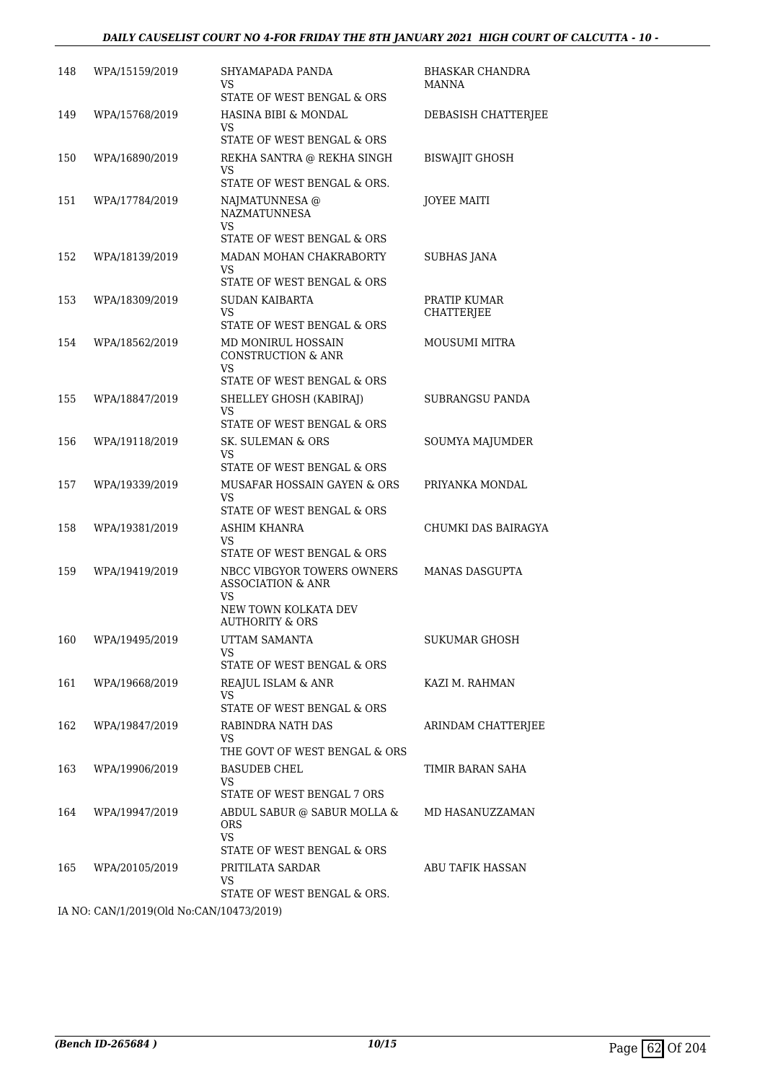| 148 | WPA/15159/2019                                                                      | SHYAMAPADA PANDA<br>VS<br>STATE OF WEST BENGAL & ORS                                                        | <b>BHASKAR CHANDRA</b><br><b>MANNA</b> |
|-----|-------------------------------------------------------------------------------------|-------------------------------------------------------------------------------------------------------------|----------------------------------------|
| 149 | WPA/15768/2019                                                                      | HASINA BIBI & MONDAL<br>VS<br>STATE OF WEST BENGAL & ORS                                                    | DEBASISH CHATTERJEE                    |
| 150 | WPA/16890/2019                                                                      | REKHA SANTRA @ REKHA SINGH<br>VS<br>STATE OF WEST BENGAL & ORS.                                             | <b>BISWAJIT GHOSH</b>                  |
| 151 | WPA/17784/2019                                                                      | NAJMATUNNESA @<br><b>NAZMATUNNESA</b><br>VS<br>STATE OF WEST BENGAL & ORS                                   | <b>JOYEE MAITI</b>                     |
| 152 | WPA/18139/2019                                                                      | MADAN MOHAN CHAKRABORTY<br>VS<br>STATE OF WEST BENGAL & ORS                                                 | <b>SUBHAS JANA</b>                     |
| 153 | WPA/18309/2019                                                                      | <b>SUDAN KAIBARTA</b><br>VS<br>STATE OF WEST BENGAL & ORS                                                   | PRATIP KUMAR<br>CHATTERJEE             |
| 154 | WPA/18562/2019                                                                      | MD MONIRUL HOSSAIN<br><b>CONSTRUCTION &amp; ANR</b><br>VS<br>STATE OF WEST BENGAL & ORS                     | MOUSUMI MITRA                          |
| 155 | WPA/18847/2019                                                                      | SHELLEY GHOSH (KABIRAJ)<br>VS<br>STATE OF WEST BENGAL & ORS                                                 | SUBRANGSU PANDA                        |
| 156 | WPA/19118/2019                                                                      | SK. SULEMAN & ORS<br>VS<br>STATE OF WEST BENGAL & ORS                                                       | SOUMYA MAJUMDER                        |
| 157 | WPA/19339/2019                                                                      | MUSAFAR HOSSAIN GAYEN & ORS<br>VS<br>STATE OF WEST BENGAL & ORS                                             | PRIYANKA MONDAL                        |
| 158 | WPA/19381/2019                                                                      | <b>ASHIM KHANRA</b><br>VS<br>STATE OF WEST BENGAL & ORS                                                     | CHUMKI DAS BAIRAGYA                    |
| 159 | WPA/19419/2019                                                                      | NBCC VIBGYOR TOWERS OWNERS<br><b>ASSOCIATION &amp; ANR</b><br>VS<br>NEW TOWN KOLKATA DEV<br>AUTHORITY & ORS | <b>MANAS DASGUPTA</b>                  |
|     | 160 WPA/19495/2019                                                                  | UTTAM SAMANTA<br>VS.<br>STATE OF WEST BENGAL & ORS                                                          | SUKUMAR GHOSH                          |
| 161 | WPA/19668/2019                                                                      | REAJUL ISLAM & ANR<br>VS<br>STATE OF WEST BENGAL & ORS                                                      | KAZI M. RAHMAN                         |
| 162 | WPA/19847/2019                                                                      | RABINDRA NATH DAS<br>VS.<br>THE GOVT OF WEST BENGAL & ORS                                                   | ARINDAM CHATTERJEE                     |
| 163 | WPA/19906/2019                                                                      | <b>BASUDEB CHEL</b><br>VS<br>STATE OF WEST BENGAL 7 ORS                                                     | TIMIR BARAN SAHA                       |
| 164 | WPA/19947/2019                                                                      | ABDUL SABUR @ SABUR MOLLA &<br><b>ORS</b><br>VS.<br>STATE OF WEST BENGAL & ORS                              | MD HASANUZZAMAN                        |
| 165 | WPA/20105/2019                                                                      | PRITILATA SARDAR<br>VS<br>STATE OF WEST BENGAL & ORS.                                                       | ABU TAFIK HASSAN                       |
|     | $14 \text{ NQ}$ , $C \Lambda N/1/2019(0)$ d $N_{\Omega}$ , $C \Lambda N/10473/2019$ |                                                                                                             |                                        |

IA NO: CAN/1/2019(Old No:CAN/10473/2019)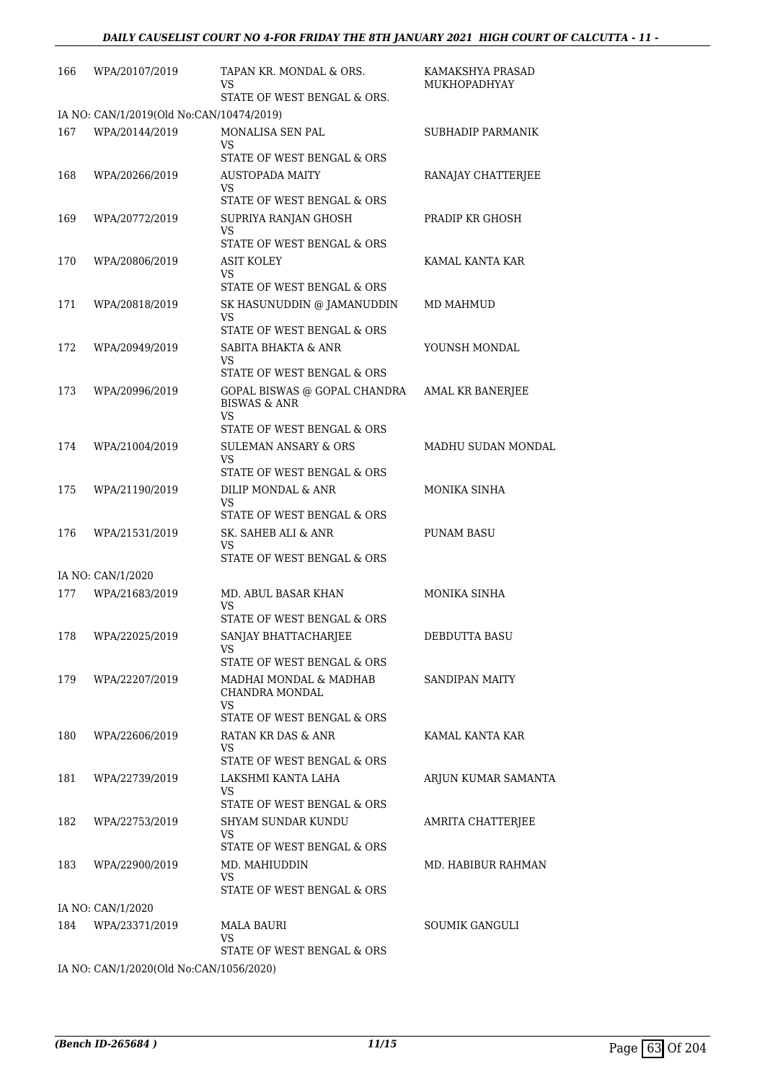| 166 | WPA/20107/2019                           | TAPAN KR. MONDAL & ORS.<br>VS<br>STATE OF WEST BENGAL & ORS.                                       | KAMAKSHYA PRASAD<br>MUKHOPADHYAY |
|-----|------------------------------------------|----------------------------------------------------------------------------------------------------|----------------------------------|
|     | IA NO: CAN/1/2019(Old No:CAN/10474/2019) |                                                                                                    |                                  |
| 167 | WPA/20144/2019                           | MONALISA SEN PAL<br>VS<br>STATE OF WEST BENGAL & ORS                                               | SUBHADIP PARMANIK                |
| 168 | WPA/20266/2019                           | AUSTOPADA MAITY<br>VS                                                                              | RANAJAY CHATTERJEE               |
| 169 | WPA/20772/2019                           | STATE OF WEST BENGAL & ORS<br>SUPRIYA RANJAN GHOSH<br>VS                                           | PRADIP KR GHOSH                  |
| 170 | WPA/20806/2019                           | STATE OF WEST BENGAL & ORS<br>ASIT KOLEY<br>VS<br>STATE OF WEST BENGAL & ORS                       | KAMAL KANTA KAR                  |
| 171 | WPA/20818/2019                           | SK HASUNUDDIN @ JAMANUDDIN<br>VS<br>STATE OF WEST BENGAL & ORS                                     | MD MAHMUD                        |
| 172 | WPA/20949/2019                           | <b>SABITA BHAKTA &amp; ANR</b><br>VS                                                               | YOUNSH MONDAL                    |
| 173 | WPA/20996/2019                           | STATE OF WEST BENGAL & ORS<br>GOPAL BISWAS @ GOPAL CHANDRA<br><b>BISWAS &amp; ANR</b><br>VS        | <b>AMAL KR BANERJEE</b>          |
| 174 | WPA/21004/2019                           | STATE OF WEST BENGAL & ORS<br><b>SULEMAN ANSARY &amp; ORS</b><br>VS.<br>STATE OF WEST BENGAL & ORS | MADHU SUDAN MONDAL               |
| 175 | WPA/21190/2019                           | DILIP MONDAL & ANR<br>VS<br>STATE OF WEST BENGAL & ORS                                             | MONIKA SINHA                     |
| 176 | WPA/21531/2019                           | SK. SAHEB ALI & ANR<br>VS<br>STATE OF WEST BENGAL & ORS                                            | <b>PUNAM BASU</b>                |
|     | IA NO: CAN/1/2020                        |                                                                                                    |                                  |
| 177 | WPA/21683/2019                           | MD. ABUL BASAR KHAN<br>VS                                                                          | MONIKA SINHA                     |
|     | 178 WPA/22025/2019                       | STATE OF WEST BENGAL & ORS<br>SANJAY BHATTACHARJEE<br>VS<br>STATE OF WEST BENGAL & ORS             | DEBDUTTA BASU                    |
| 179 | WPA/22207/2019                           | MADHAI MONDAL & MADHAB<br>CHANDRA MONDAL<br>VS.                                                    | SANDIPAN MAITY                   |
| 180 | WPA/22606/2019                           | STATE OF WEST BENGAL & ORS<br>RATAN KR DAS & ANR<br>VS                                             | KAMAL KANTA KAR                  |
| 181 | WPA/22739/2019                           | STATE OF WEST BENGAL & ORS<br>LAKSHMI KANTA LAHA<br>VS<br>STATE OF WEST BENGAL & ORS               | ARJUN KUMAR SAMANTA              |
| 182 | WPA/22753/2019                           | SHYAM SUNDAR KUNDU<br>VS                                                                           | AMRITA CHATTERJEE                |
| 183 | WPA/22900/2019                           | STATE OF WEST BENGAL & ORS<br>MD. MAHIUDDIN<br>VS<br>STATE OF WEST BENGAL & ORS                    | MD. HABIBUR RAHMAN               |
|     | IA NO: CAN/1/2020                        |                                                                                                    |                                  |
| 184 | WPA/23371/2019                           | MALA BAURI<br>VS.<br>STATE OF WEST BENGAL & ORS                                                    | SOUMIK GANGULI                   |
|     |                                          |                                                                                                    |                                  |

IA NO: CAN/1/2020(Old No:CAN/1056/2020)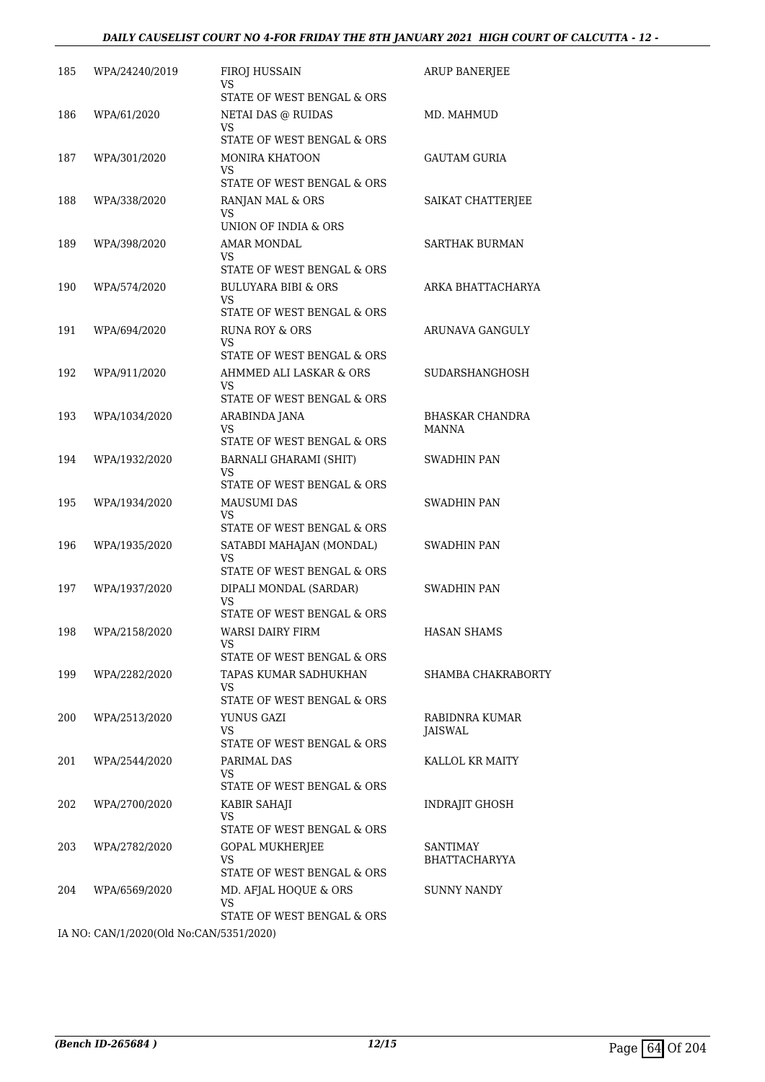| WPA/24240/2019 | <b>FIROJ HUSSAIN</b><br>VS<br>STATE OF WEST BENGAL & ORS           | <b>ARUP BANERJEE</b>                                                                                                 |
|----------------|--------------------------------------------------------------------|----------------------------------------------------------------------------------------------------------------------|
| WPA/61/2020    | NETAI DAS @ RUIDAS<br>VS<br>STATE OF WEST BENGAL & ORS             | MD. MAHMUD                                                                                                           |
| WPA/301/2020   | MONIRA KHATOON<br>VS<br>STATE OF WEST BENGAL & ORS                 | GAUTAM GURIA                                                                                                         |
| WPA/338/2020   | RANJAN MAL & ORS<br>VS<br>UNION OF INDIA & ORS                     | SAIKAT CHATTERJEE                                                                                                    |
| WPA/398/2020   | AMAR MONDAL<br>VS.<br>STATE OF WEST BENGAL & ORS                   | <b>SARTHAK BURMAN</b>                                                                                                |
| WPA/574/2020   | <b>BULUYARA BIBI &amp; ORS</b><br>VS<br>STATE OF WEST BENGAL & ORS | ARKA BHATTACHARYA                                                                                                    |
| WPA/694/2020   | RUNA ROY & ORS<br>VS<br>STATE OF WEST BENGAL & ORS                 | ARUNAVA GANGULY                                                                                                      |
| WPA/911/2020   | AHMMED ALI LASKAR & ORS<br>VS<br>STATE OF WEST BENGAL & ORS        | SUDARSHANGHOSH                                                                                                       |
| WPA/1034/2020  | ARABINDA JANA<br>VS.<br>STATE OF WEST BENGAL & ORS                 | <b>BHASKAR CHANDRA</b><br>MANNA                                                                                      |
| WPA/1932/2020  | BARNALI GHARAMI (SHIT)<br>VS<br>STATE OF WEST BENGAL & ORS         | SWADHIN PAN                                                                                                          |
| WPA/1934/2020  | MAUSUMI DAS<br>VS<br>STATE OF WEST BENGAL & ORS                    | <b>SWADHIN PAN</b>                                                                                                   |
| WPA/1935/2020  | SATABDI MAHAJAN (MONDAL)<br>VS<br>STATE OF WEST BENGAL & ORS       | SWADHIN PAN                                                                                                          |
| WPA/1937/2020  | DIPALI MONDAL (SARDAR)<br>VS<br>STATE OF WEST BENGAL & ORS         | SWADHIN PAN                                                                                                          |
| WPA/2158/2020  | WARSI DAIRY FIRM<br>VS<br>STATE OF WEST BENGAL & ORS               | HASAN SHAMS                                                                                                          |
| WPA/2282/2020  | TAPAS KUMAR SADHUKHAN<br>VS.<br>STATE OF WEST BENGAL & ORS         | SHAMBA CHAKRABORTY                                                                                                   |
| WPA/2513/2020  | YUNUS GAZI<br>VS.                                                  | RABIDNRA KUMAR<br>JAISWAL                                                                                            |
| WPA/2544/2020  | PARIMAL DAS<br>VS                                                  | KALLOL KR MAITY                                                                                                      |
| WPA/2700/2020  | KABIR SAHAJI<br>VS                                                 | <b>INDRAJIT GHOSH</b>                                                                                                |
| WPA/2782/2020  | <b>GOPAL MUKHERJEE</b><br>VS                                       | SANTIMAY<br>BHATTACHARYYA                                                                                            |
| WPA/6569/2020  | MD. AFJAL HOQUE & ORS<br>VS.<br>STATE OF WEST BENGAL & ORS         | SUNNY NANDY                                                                                                          |
|                |                                                                    | STATE OF WEST BENGAL & ORS<br>STATE OF WEST BENGAL & ORS<br>STATE OF WEST BENGAL & ORS<br>STATE OF WEST BENGAL & ORS |

IA NO: CAN/1/2020(Old No:CAN/5351/2020)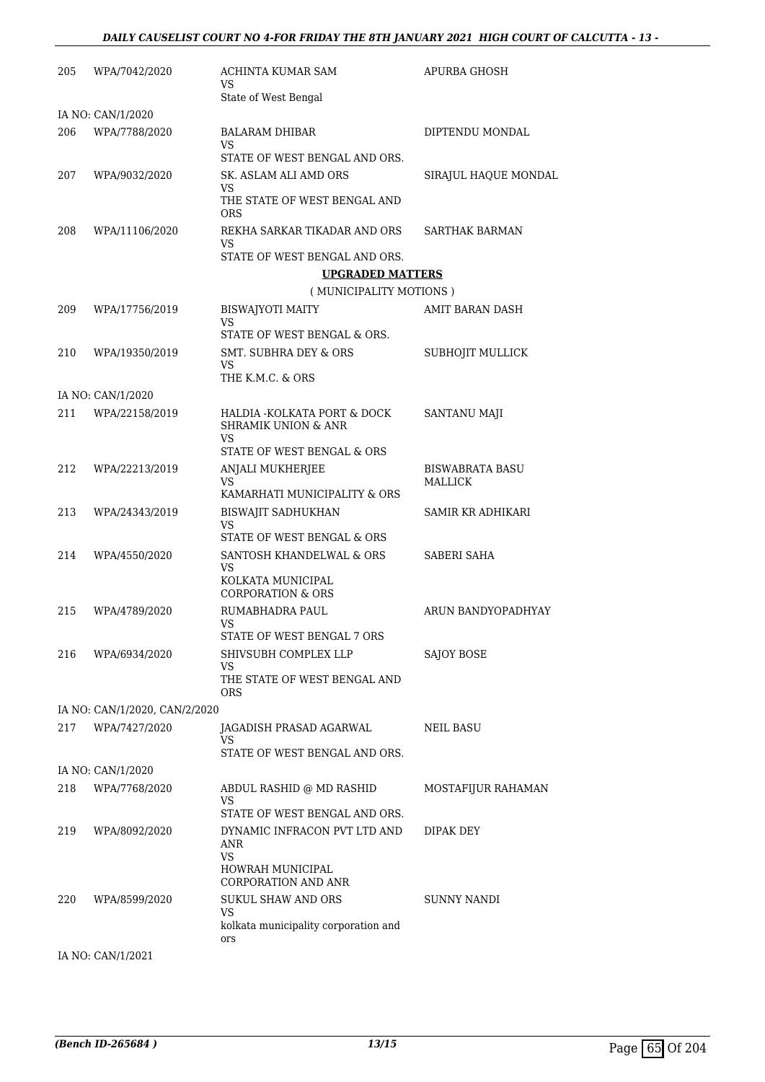| 205 | WPA/7042/2020                 | ACHINTA KUMAR SAM<br>VS                                              | APURBA GHOSH                      |
|-----|-------------------------------|----------------------------------------------------------------------|-----------------------------------|
|     |                               | State of West Bengal                                                 |                                   |
|     | IA NO: CAN/1/2020             |                                                                      |                                   |
| 206 | WPA/7788/2020                 | BALARAM DHIBAR<br>VS                                                 | DIPTENDU MONDAL                   |
|     |                               | STATE OF WEST BENGAL AND ORS.                                        |                                   |
| 207 | WPA/9032/2020                 | SK. ASLAM ALI AMD ORS<br>VS.                                         | SIRAJUL HAQUE MONDAL              |
|     |                               | THE STATE OF WEST BENGAL AND<br><b>ORS</b>                           |                                   |
| 208 | WPA/11106/2020                | REKHA SARKAR TIKADAR AND ORS<br>VS                                   | SARTHAK BARMAN                    |
|     |                               | STATE OF WEST BENGAL AND ORS.                                        |                                   |
|     |                               | <b>UPGRADED MATTERS</b>                                              |                                   |
|     |                               | (MUNICIPALITY MOTIONS)                                               |                                   |
| 209 | WPA/17756/2019                | <b>BISWAJYOTI MAITY</b><br>VS                                        | AMIT BARAN DASH                   |
|     |                               | STATE OF WEST BENGAL & ORS.                                          |                                   |
| 210 | WPA/19350/2019                | <b>SMT. SUBHRA DEY &amp; ORS</b><br>VS.                              | SUBHOJIT MULLICK                  |
|     |                               | THE K.M.C. & ORS                                                     |                                   |
|     | IA NO: CAN/1/2020             |                                                                      |                                   |
| 211 | WPA/22158/2019                | HALDIA - KOLKATA PORT & DOCK<br><b>SHRAMIK UNION &amp; ANR</b><br>VS | SANTANU MAJI                      |
|     |                               | STATE OF WEST BENGAL & ORS                                           |                                   |
| 212 | WPA/22213/2019                | ANJALI MUKHERJEE<br>VS                                               | <b>BISWABRATA BASU</b><br>MALLICK |
|     |                               | KAMARHATI MUNICIPALITY & ORS                                         |                                   |
| 213 | WPA/24343/2019                | <b>BISWAJIT SADHUKHAN</b><br>VS                                      | SAMIR KR ADHIKARI                 |
|     |                               | STATE OF WEST BENGAL & ORS                                           |                                   |
| 214 | WPA/4550/2020                 | SANTOSH KHANDELWAL & ORS<br>VS                                       | <b>SABERI SAHA</b>                |
|     |                               | KOLKATA MUNICIPAL<br><b>CORPORATION &amp; ORS</b>                    |                                   |
| 215 | WPA/4789/2020                 | RUMABHADRA PAUL<br>VS                                                | ARUN BANDYOPADHYAY                |
|     |                               | STATE OF WEST BENGAL 7 ORS                                           |                                   |
| 216 | WPA/6934/2020                 | SHIVSUBH COMPLEX LLP<br>VS                                           | SAJOY BOSE                        |
|     |                               | THE STATE OF WEST BENGAL AND<br>ORS                                  |                                   |
|     | IA NO: CAN/1/2020, CAN/2/2020 |                                                                      |                                   |
| 217 | WPA/7427/2020                 | JAGADISH PRASAD AGARWAL<br>VS                                        | NEIL BASU                         |
|     |                               | STATE OF WEST BENGAL AND ORS.                                        |                                   |
|     | IA NO: CAN/1/2020             |                                                                      |                                   |
| 218 | WPA/7768/2020                 | ABDUL RASHID @ MD RASHID<br>VS                                       | MOSTAFIJUR RAHAMAN                |
|     |                               | STATE OF WEST BENGAL AND ORS.                                        |                                   |
| 219 | WPA/8092/2020                 | DYNAMIC INFRACON PVT LTD AND<br>ANR<br><b>VS</b>                     | DIPAK DEY                         |
|     |                               | HOWRAH MUNICIPAL<br><b>CORPORATION AND ANR</b>                       |                                   |
| 220 | WPA/8599/2020                 | <b>SUKUL SHAW AND ORS</b><br>VS.                                     | SUNNY NANDI                       |
|     |                               | kolkata municipality corporation and<br>ors                          |                                   |
|     | IA NO: CAN/1/2021             |                                                                      |                                   |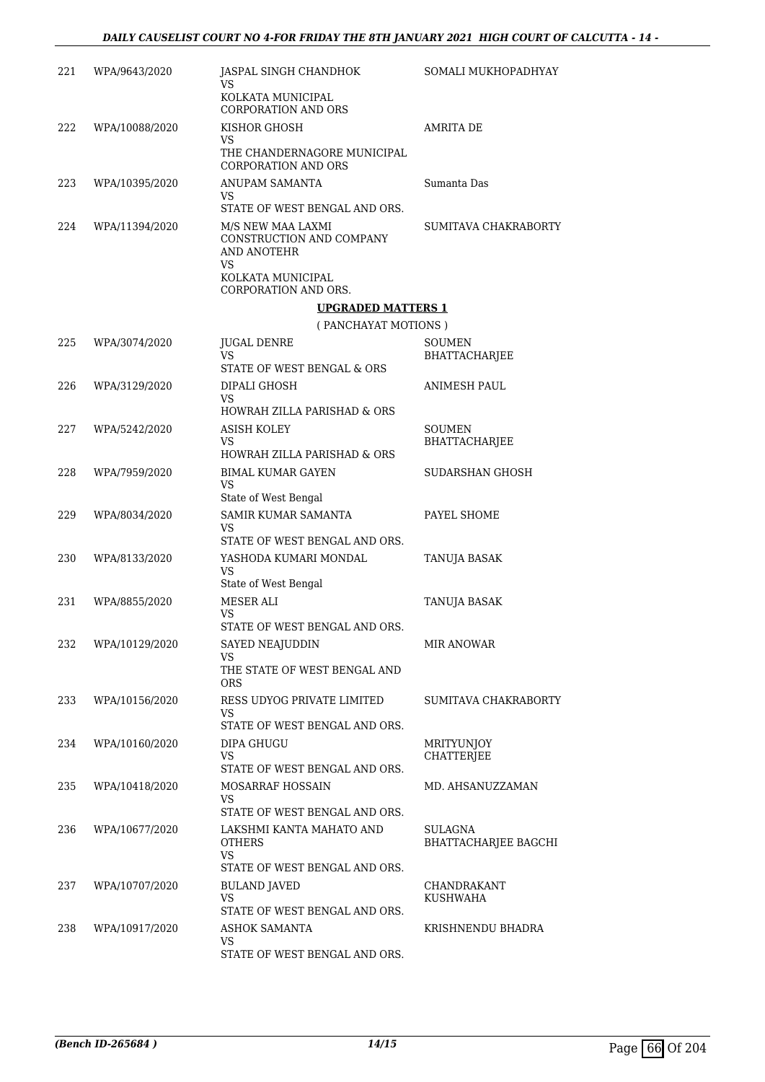| 221 | WPA/9643/2020  | JASPAL SINGH CHANDHOK<br>VS                                                                          | SOMALI MUKHOPADHYAY                    |
|-----|----------------|------------------------------------------------------------------------------------------------------|----------------------------------------|
|     |                | KOLKATA MUNICIPAL<br><b>CORPORATION AND ORS</b>                                                      |                                        |
| 222 | WPA/10088/2020 | KISHOR GHOSH<br>VS.<br>THE CHANDERNAGORE MUNICIPAL                                                   | <b>AMRITA DE</b>                       |
| 223 | WPA/10395/2020 | <b>CORPORATION AND ORS</b><br>ANUPAM SAMANTA<br>VS.                                                  | Sumanta Das                            |
| 224 | WPA/11394/2020 | STATE OF WEST BENGAL AND ORS.<br>M/S NEW MAA LAXMI<br>CONSTRUCTION AND COMPANY<br>AND ANOTEHR<br>VS. | SUMITAVA CHAKRABORTY                   |
|     |                | KOLKATA MUNICIPAL<br>CORPORATION AND ORS.                                                            |                                        |
|     |                | <b>UPGRADED MATTERS 1</b>                                                                            |                                        |
|     |                | (PANCHAYAT MOTIONS)                                                                                  |                                        |
| 225 | WPA/3074/2020  | <b>JUGAL DENRE</b><br>VS.                                                                            | SOUMEN<br><b>BHATTACHARJEE</b>         |
|     |                | STATE OF WEST BENGAL & ORS                                                                           |                                        |
| 226 | WPA/3129/2020  | DIPALI GHOSH<br>VS.<br>HOWRAH ZILLA PARISHAD & ORS                                                   | <b>ANIMESH PAUL</b>                    |
| 227 | WPA/5242/2020  | <b>ASISH KOLEY</b>                                                                                   | <b>SOUMEN</b>                          |
|     |                | VS.<br>HOWRAH ZILLA PARISHAD & ORS                                                                   | BHATTACHARJEE                          |
| 228 | WPA/7959/2020  | <b>BIMAL KUMAR GAYEN</b><br>VS.                                                                      | SUDARSHAN GHOSH                        |
| 229 | WPA/8034/2020  | State of West Bengal<br>SAMIR KUMAR SAMANTA<br>VS                                                    | PAYEL SHOME                            |
|     |                | STATE OF WEST BENGAL AND ORS.                                                                        |                                        |
| 230 | WPA/8133/2020  | YASHODA KUMARI MONDAL<br>VS.<br>State of West Bengal                                                 | TANUJA BASAK                           |
| 231 | WPA/8855/2020  | MESER ALI                                                                                            | <b>TANUJA BASAK</b>                    |
|     |                | VS<br>STATE OF WEST BENGAL AND ORS.                                                                  |                                        |
| 232 | WPA/10129/2020 | SAYED NEAJUDDIN<br>VS                                                                                | <b>MIR ANOWAR</b>                      |
|     |                | THE STATE OF WEST BENGAL AND<br><b>ORS</b>                                                           |                                        |
| 233 | WPA/10156/2020 | RESS UDYOG PRIVATE LIMITED<br>VS                                                                     | SUMITAVA CHAKRABORTY                   |
|     |                | STATE OF WEST BENGAL AND ORS.                                                                        |                                        |
| 234 | WPA/10160/2020 | DIPA GHUGU<br>VS.<br>STATE OF WEST BENGAL AND ORS.                                                   | <b>MRITYUNJOY</b><br><b>CHATTERJEE</b> |
| 235 | WPA/10418/2020 | <b>MOSARRAF HOSSAIN</b>                                                                              | MD. AHSANUZZAMAN                       |
|     |                | VS.<br>STATE OF WEST BENGAL AND ORS.                                                                 |                                        |
| 236 | WPA/10677/2020 | LAKSHMI KANTA MAHATO AND<br><b>OTHERS</b><br><b>VS</b>                                               | SULAGNA<br><b>BHATTACHARJEE BAGCHI</b> |
|     |                | STATE OF WEST BENGAL AND ORS.                                                                        |                                        |
| 237 | WPA/10707/2020 | <b>BULAND JAVED</b><br><b>VS</b><br>STATE OF WEST BENGAL AND ORS.                                    | CHANDRAKANT<br>KUSHWAHA                |
| 238 | WPA/10917/2020 | <b>ASHOK SAMANTA</b>                                                                                 | KRISHNENDU BHADRA                      |
|     |                | VS<br>STATE OF WEST BENGAL AND ORS.                                                                  |                                        |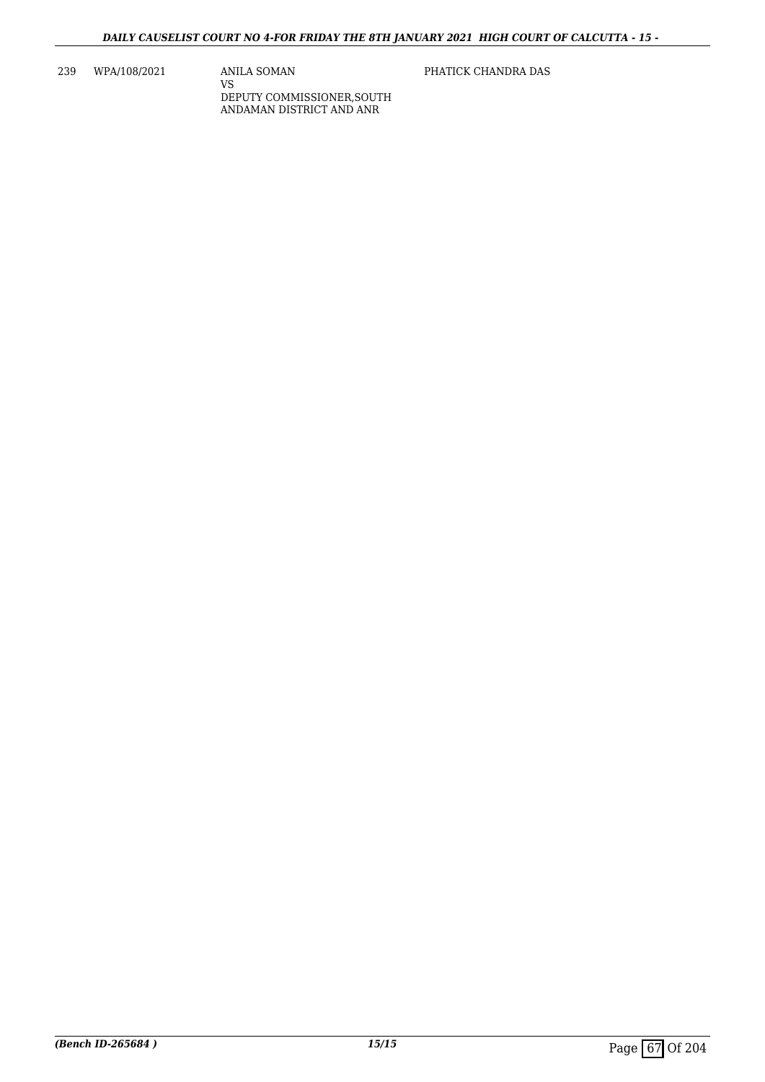239 WPA/108/2021 ANILA SOMAN

VS DEPUTY COMMISSIONER,SOUTH ANDAMAN DISTRICT AND ANR

PHATICK CHANDRA DAS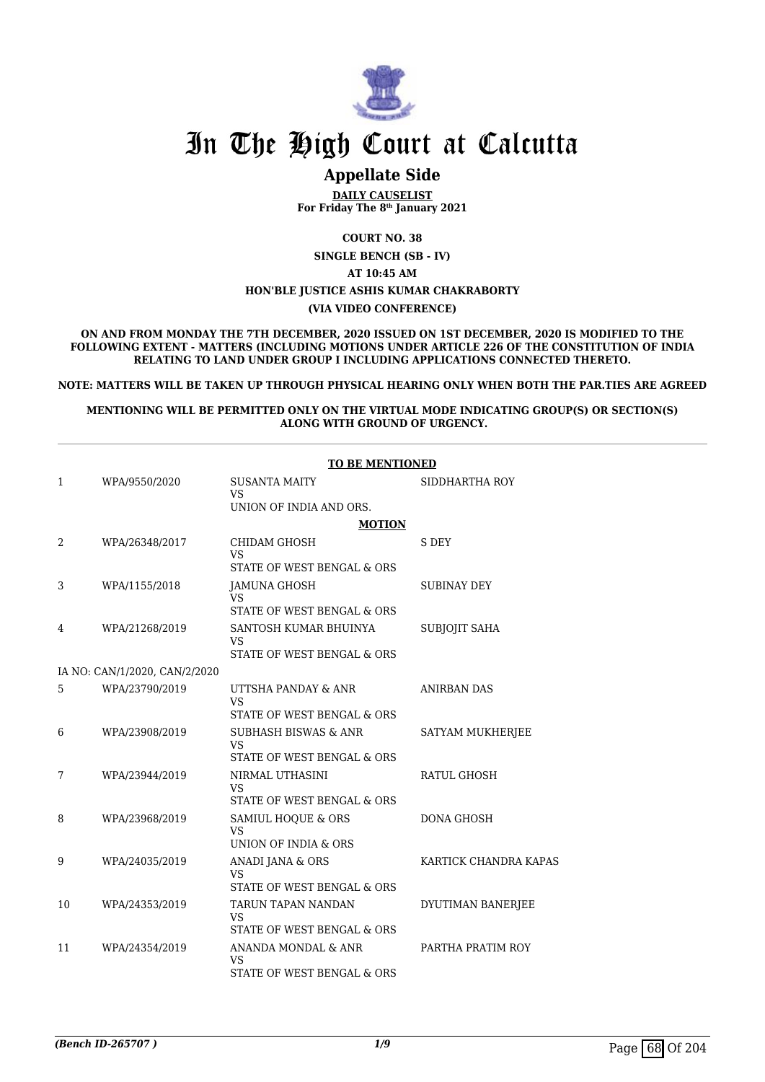

# In The High Court at Calcutta

# **Appellate Side**

**DAILY CAUSELIST For Friday The 8th January 2021**

**COURT NO. 38**

**SINGLE BENCH (SB - IV)**

**AT 10:45 AM**

# **HON'BLE JUSTICE ASHIS KUMAR CHAKRABORTY**

**(VIA VIDEO CONFERENCE)**

**ON AND FROM MONDAY THE 7TH DECEMBER, 2020 ISSUED ON 1ST DECEMBER, 2020 IS MODIFIED TO THE FOLLOWING EXTENT - MATTERS (INCLUDING MOTIONS UNDER ARTICLE 226 OF THE CONSTITUTION OF INDIA RELATING TO LAND UNDER GROUP I INCLUDING APPLICATIONS CONNECTED THERETO.**

**NOTE: MATTERS WILL BE TAKEN UP THROUGH PHYSICAL HEARING ONLY WHEN BOTH THE PAR.TIES ARE AGREED**

**MENTIONING WILL BE PERMITTED ONLY ON THE VIRTUAL MODE INDICATING GROUP(S) OR SECTION(S) ALONG WITH GROUND OF URGENCY.**

|    | <b>TO BE MENTIONED</b>        |                                                                |                       |  |
|----|-------------------------------|----------------------------------------------------------------|-----------------------|--|
| 1  | WPA/9550/2020                 | <b>SUSANTA MAITY</b>                                           | SIDDHARTHA ROY        |  |
|    |                               | VS<br>UNION OF INDIA AND ORS.                                  |                       |  |
|    |                               | <b>MOTION</b>                                                  |                       |  |
| 2  | WPA/26348/2017                | <b>CHIDAM GHOSH</b><br><b>VS</b>                               | S DEY                 |  |
|    |                               | STATE OF WEST BENGAL & ORS                                     |                       |  |
| 3  | WPA/1155/2018                 | JAMUNA GHOSH<br><b>VS</b>                                      | <b>SUBINAY DEY</b>    |  |
|    |                               | STATE OF WEST BENGAL & ORS                                     |                       |  |
| 4  | WPA/21268/2019                | SANTOSH KUMAR BHUINYA<br>VS                                    | SUBJOJIT SAHA         |  |
|    |                               | STATE OF WEST BENGAL & ORS                                     |                       |  |
|    | IA NO: CAN/1/2020, CAN/2/2020 |                                                                |                       |  |
| 5  | WPA/23790/2019                | UTTSHA PANDAY & ANR<br><b>VS</b>                               | <b>ANIRBAN DAS</b>    |  |
|    |                               | STATE OF WEST BENGAL & ORS                                     |                       |  |
| 6  | WPA/23908/2019                | <b>SUBHASH BISWAS &amp; ANR</b><br><b>VS</b>                   | SATYAM MUKHERJEE      |  |
|    |                               | STATE OF WEST BENGAL & ORS                                     |                       |  |
| 7  | WPA/23944/2019                | NIRMAL UTHASINI<br><b>VS</b>                                   | RATUL GHOSH           |  |
|    |                               | STATE OF WEST BENGAL & ORS                                     |                       |  |
| 8  | WPA/23968/2019                | SAMIUL HOQUE & ORS<br><b>VS</b>                                | <b>DONA GHOSH</b>     |  |
|    |                               | UNION OF INDIA & ORS                                           |                       |  |
| 9  | WPA/24035/2019                | ANADI JANA & ORS<br><b>VS</b><br>STATE OF WEST BENGAL & ORS    | KARTICK CHANDRA KAPAS |  |
| 10 | WPA/24353/2019                | TARUN TAPAN NANDAN<br>VS                                       | DYUTIMAN BANERJEE     |  |
|    |                               | STATE OF WEST BENGAL & ORS                                     |                       |  |
| 11 | WPA/24354/2019                | ANANDA MONDAL & ANR<br><b>VS</b><br>STATE OF WEST BENGAL & ORS | PARTHA PRATIM ROY     |  |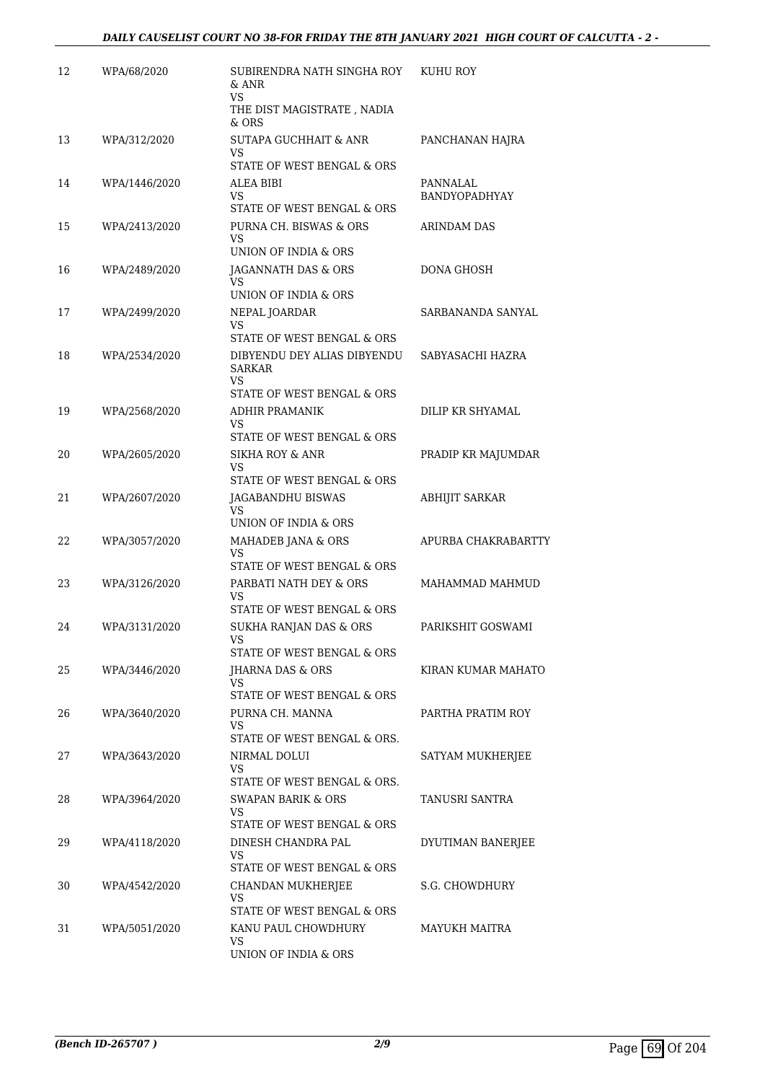| 12 | WPA/68/2020   | SUBIRENDRA NATH SINGHA ROY<br>$&$ ANR<br>VS<br>THE DIST MAGISTRATE , NADIA | KUHU ROY                  |
|----|---------------|----------------------------------------------------------------------------|---------------------------|
|    |               | $&$ ORS                                                                    |                           |
| 13 | WPA/312/2020  | <b>SUTAPA GUCHHAIT &amp; ANR</b><br>VS                                     | PANCHANAN HAJRA           |
|    |               | STATE OF WEST BENGAL & ORS                                                 |                           |
| 14 | WPA/1446/2020 | ALEA BIBI<br>VS<br>STATE OF WEST BENGAL & ORS                              | PANNALAL<br>BANDYOPADHYAY |
| 15 | WPA/2413/2020 | PURNA CH. BISWAS & ORS<br>VS<br>UNION OF INDIA & ORS                       | ARINDAM DAS               |
| 16 | WPA/2489/2020 | JAGANNATH DAS & ORS<br>VS                                                  | DONA GHOSH                |
|    |               | UNION OF INDIA & ORS                                                       |                           |
| 17 | WPA/2499/2020 | NEPAL JOARDAR<br>VS                                                        | SARBANANDA SANYAL         |
|    |               | STATE OF WEST BENGAL & ORS                                                 |                           |
| 18 | WPA/2534/2020 | DIBYENDU DEY ALIAS DIBYENDU<br>SARKAR<br>VS                                | SABYASACHI HAZRA          |
|    |               | STATE OF WEST BENGAL & ORS                                                 |                           |
| 19 | WPA/2568/2020 | <b>ADHIR PRAMANIK</b><br>VS                                                | DILIP KR SHYAMAL          |
|    |               | STATE OF WEST BENGAL & ORS                                                 |                           |
| 20 | WPA/2605/2020 | <b>SIKHA ROY &amp; ANR</b><br>VS<br>STATE OF WEST BENGAL & ORS             | PRADIP KR MAJUMDAR        |
| 21 | WPA/2607/2020 | JAGABANDHU BISWAS                                                          | <b>ABHIJIT SARKAR</b>     |
|    |               | VS<br>UNION OF INDIA & ORS                                                 |                           |
| 22 | WPA/3057/2020 | MAHADEB JANA & ORS<br>VS                                                   | APURBA CHAKRABARTTY       |
| 23 |               | STATE OF WEST BENGAL & ORS<br>PARBATI NATH DEY & ORS                       |                           |
|    | WPA/3126/2020 | VS<br>STATE OF WEST BENGAL & ORS                                           | MAHAMMAD MAHMUD           |
| 24 | WPA/3131/2020 | SUKHA RANJAN DAS & ORS                                                     | PARIKSHIT GOSWAMI         |
|    |               | STATE OF WEST BENGAL & ORS                                                 |                           |
| 25 | WPA/3446/2020 | JHARNA DAS & ORS<br>VS                                                     | KIRAN KUMAR MAHATO        |
|    |               | STATE OF WEST BENGAL & ORS                                                 |                           |
| 26 | WPA/3640/2020 | PURNA CH. MANNA<br>VS<br>STATE OF WEST BENGAL & ORS.                       | PARTHA PRATIM ROY         |
| 27 | WPA/3643/2020 | NIRMAL DOLUI<br>VS                                                         | SATYAM MUKHERJEE          |
|    |               | STATE OF WEST BENGAL & ORS.                                                |                           |
| 28 | WPA/3964/2020 | SWAPAN BARIK & ORS<br>VS<br>STATE OF WEST BENGAL & ORS                     | TANUSRI SANTRA            |
| 29 | WPA/4118/2020 | DINESH CHANDRA PAL                                                         | DYUTIMAN BANERJEE         |
|    |               | VS.<br>STATE OF WEST BENGAL & ORS                                          |                           |
| 30 | WPA/4542/2020 | CHANDAN MUKHERJEE                                                          | S.G. CHOWDHURY            |
|    |               | VS<br>STATE OF WEST BENGAL & ORS                                           |                           |
| 31 | WPA/5051/2020 | KANU PAUL CHOWDHURY                                                        | MAYUKH MAITRA             |
|    |               | VS<br>UNION OF INDIA & ORS                                                 |                           |
|    |               |                                                                            |                           |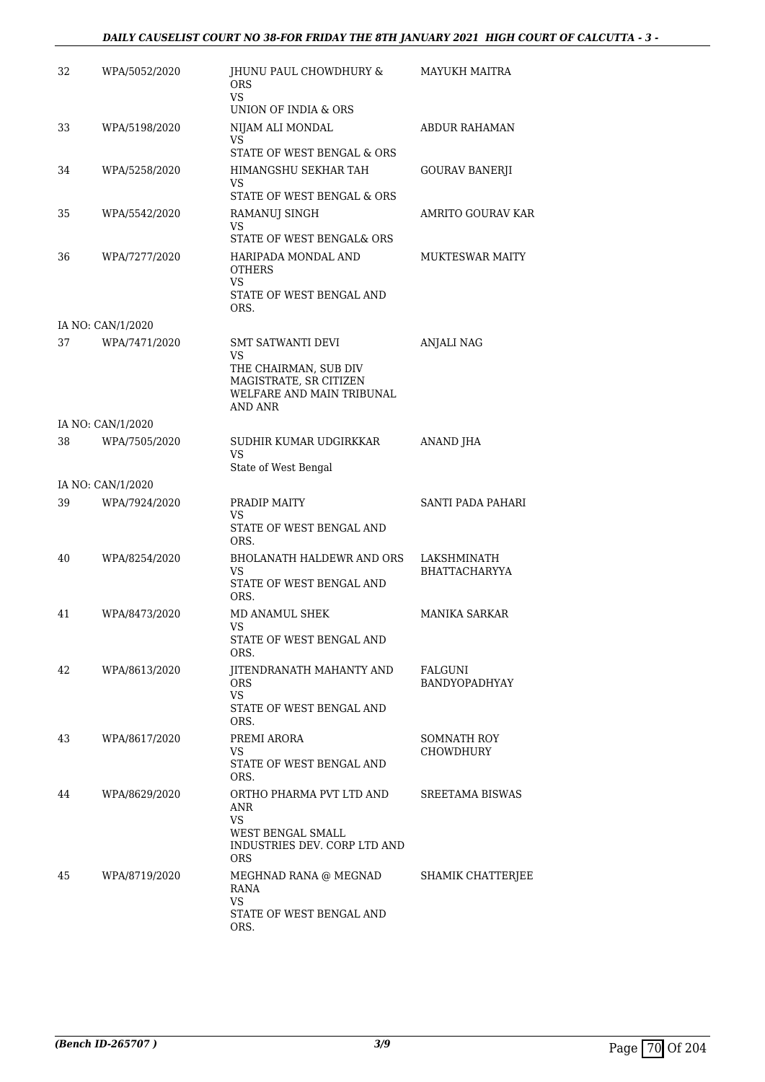# *DAILY CAUSELIST COURT NO 38-FOR FRIDAY THE 8TH JANUARY 2021 HIGH COURT OF CALCUTTA - 3 -*

| 32 | WPA/5052/2020     | JHUNU PAUL CHOWDHURY &<br><b>ORS</b><br>VS.                                             | MAYUKH MAITRA                   |
|----|-------------------|-----------------------------------------------------------------------------------------|---------------------------------|
|    |                   | UNION OF INDIA & ORS                                                                    |                                 |
| 33 | WPA/5198/2020     | NIJAM ALI MONDAL<br>VS                                                                  | ABDUR RAHAMAN                   |
|    |                   | STATE OF WEST BENGAL & ORS                                                              |                                 |
| 34 | WPA/5258/2020     | HIMANGSHU SEKHAR TAH<br>VS                                                              | <b>GOURAV BANERJI</b>           |
|    |                   | STATE OF WEST BENGAL & ORS                                                              |                                 |
| 35 | WPA/5542/2020     | RAMANUJ SINGH<br>VS<br>STATE OF WEST BENGAL& ORS                                        | AMRITO GOURAV KAR               |
| 36 | WPA/7277/2020     | HARIPADA MONDAL AND<br><b>OTHERS</b><br>VS.<br>STATE OF WEST BENGAL AND<br>ORS.         | <b>MUKTESWAR MAITY</b>          |
|    | IA NO: CAN/1/2020 |                                                                                         |                                 |
| 37 | WPA/7471/2020     | <b>SMT SATWANTI DEVI</b><br>VS                                                          | <b>ANJALI NAG</b>               |
|    |                   | THE CHAIRMAN, SUB DIV<br>MAGISTRATE, SR CITIZEN<br>WELFARE AND MAIN TRIBUNAL<br>AND ANR |                                 |
|    | IA NO: CAN/1/2020 |                                                                                         |                                 |
| 38 | WPA/7505/2020     | SUDHIR KUMAR UDGIRKKAR<br>VS<br>State of West Bengal                                    | ANAND JHA                       |
|    | IA NO: CAN/1/2020 |                                                                                         |                                 |
| 39 | WPA/7924/2020     | PRADIP MAITY                                                                            | SANTI PADA PAHARI               |
|    |                   | VS<br>STATE OF WEST BENGAL AND<br>ORS.                                                  |                                 |
| 40 | WPA/8254/2020     | BHOLANATH HALDEWR AND ORS                                                               | LAKSHMINATH                     |
|    |                   | VS<br>STATE OF WEST BENGAL AND<br>ORS.                                                  | <b>BHATTACHARYYA</b>            |
| 41 | WPA/8473/2020     | MD ANAMUL SHEK                                                                          | <b>MANIKA SARKAR</b>            |
|    |                   | VS<br>STATE OF WEST BENGAL AND<br>ORS.                                                  |                                 |
| 42 | WPA/8613/2020     | JITENDRANATH MAHANTY AND                                                                | FALGUNI                         |
|    |                   | <b>ORS</b><br><b>VS</b>                                                                 | <b>BANDYOPADHYAY</b>            |
|    |                   | STATE OF WEST BENGAL AND<br>ORS.                                                        |                                 |
| 43 | WPA/8617/2020     | PREMI ARORA<br>VS                                                                       | SOMNATH ROY<br><b>CHOWDHURY</b> |
|    |                   | STATE OF WEST BENGAL AND<br>ORS.                                                        |                                 |
| 44 | WPA/8629/2020     | ORTHO PHARMA PVT LTD AND<br>ANR<br>VS                                                   | SREETAMA BISWAS                 |
|    |                   | WEST BENGAL SMALL<br>INDUSTRIES DEV. CORP LTD AND<br>ORS.                               |                                 |
| 45 | WPA/8719/2020     | MEGHNAD RANA @ MEGNAD<br>RANA<br>VS<br>STATE OF WEST BENGAL AND<br>ORS.                 | SHAMIK CHATTERJEE               |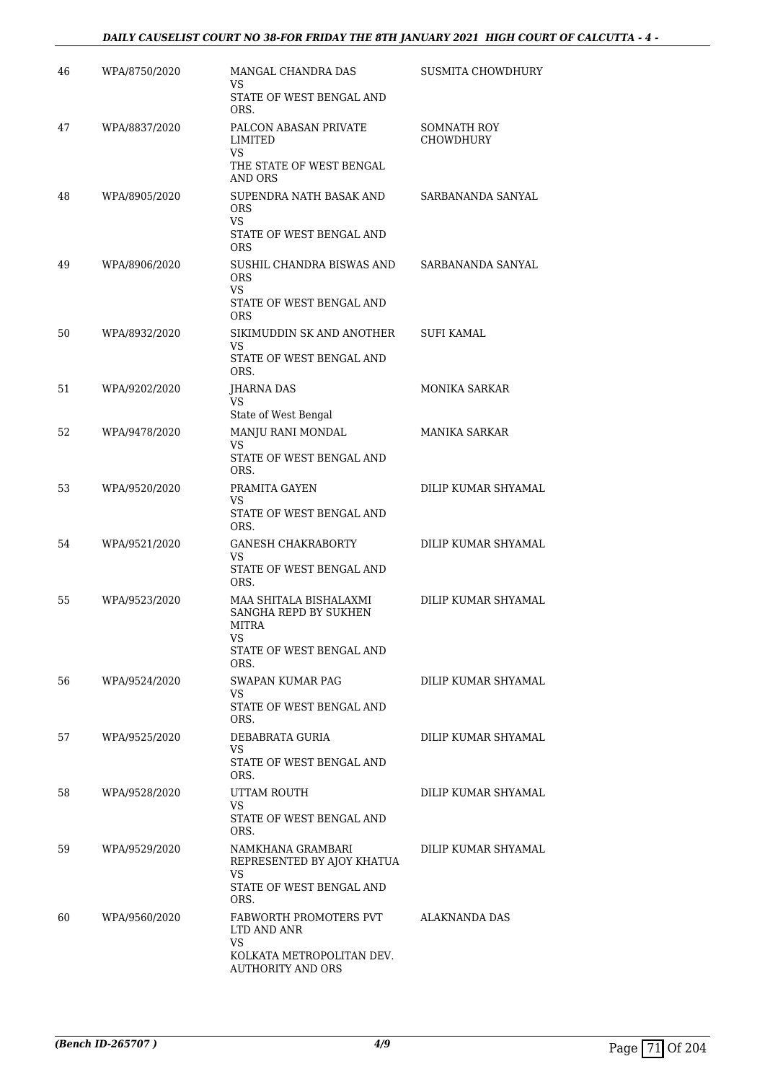#### *DAILY CAUSELIST COURT NO 38-FOR FRIDAY THE 8TH JANUARY 2021 HIGH COURT OF CALCUTTA - 4 -*

| 46 | WPA/8750/2020 | MANGAL CHANDRA DAS<br>VS                                                                            | SUSMITA CHOWDHURY               |
|----|---------------|-----------------------------------------------------------------------------------------------------|---------------------------------|
|    |               | STATE OF WEST BENGAL AND<br>ORS.                                                                    |                                 |
| 47 | WPA/8837/2020 | PALCON ABASAN PRIVATE<br>LIMITED                                                                    | SOMNATH ROY<br><b>CHOWDHURY</b> |
|    |               | VS<br>THE STATE OF WEST BENGAL<br>AND ORS                                                           |                                 |
| 48 | WPA/8905/2020 | SUPENDRA NATH BASAK AND<br><b>ORS</b><br>VS.<br>STATE OF WEST BENGAL AND                            | SARBANANDA SANYAL               |
| 49 | WPA/8906/2020 | <b>ORS</b><br>SUSHIL CHANDRA BISWAS AND<br><b>ORS</b><br>VS.<br>STATE OF WEST BENGAL AND            | SARBANANDA SANYAL               |
|    |               | <b>ORS</b>                                                                                          |                                 |
| 50 | WPA/8932/2020 | SIKIMUDDIN SK AND ANOTHER<br>VS<br>STATE OF WEST BENGAL AND                                         | <b>SUFI KAMAL</b>               |
| 51 | WPA/9202/2020 | ORS.<br>JHARNA DAS                                                                                  | <b>MONIKA SARKAR</b>            |
|    |               | <b>VS</b>                                                                                           |                                 |
| 52 | WPA/9478/2020 | State of West Bengal<br>MANJU RANI MONDAL                                                           | <b>MANIKA SARKAR</b>            |
|    |               | VS<br>STATE OF WEST BENGAL AND<br>ORS.                                                              |                                 |
| 53 | WPA/9520/2020 | PRAMITA GAYEN                                                                                       | DILIP KUMAR SHYAMAL             |
|    |               | VS<br>STATE OF WEST BENGAL AND<br>ORS.                                                              |                                 |
| 54 | WPA/9521/2020 | <b>GANESH CHAKRABORTY</b>                                                                           | DILIP KUMAR SHYAMAL             |
|    |               | VS<br>STATE OF WEST BENGAL AND<br>ORS.                                                              |                                 |
| 55 | WPA/9523/2020 | MAA SHITALA BISHALAXMI<br>SANGHA REPD BY SUKHEN<br><b>MITRA</b><br>STATE OF WEST BENGAL AND<br>ORS. | DILIP KUMAR SHYAMAL             |
| 56 | WPA/9524/2020 | SWAPAN KUMAR PAG                                                                                    | DILIP KUMAR SHYAMAL             |
|    |               | VS.<br>STATE OF WEST BENGAL AND<br>ORS.                                                             |                                 |
| 57 | WPA/9525/2020 | DEBABRATA GURIA                                                                                     | DILIP KUMAR SHYAMAL             |
|    |               | VS.<br>STATE OF WEST BENGAL AND<br>ORS.                                                             |                                 |
| 58 | WPA/9528/2020 | UTTAM ROUTH<br>VS.<br>STATE OF WEST BENGAL AND<br>ORS.                                              | DILIP KUMAR SHYAMAL             |
| 59 | WPA/9529/2020 | NAMKHANA GRAMBARI<br>REPRESENTED BY AJOY KHATUA<br>VS.                                              | DILIP KUMAR SHYAMAL             |
|    |               | STATE OF WEST BENGAL AND<br>ORS.                                                                    |                                 |
| 60 | WPA/9560/2020 | FABWORTH PROMOTERS PVT<br>LTD AND ANR<br>VS<br>KOLKATA METROPOLITAN DEV.<br>AUTHORITY AND ORS       | ALAKNANDA DAS                   |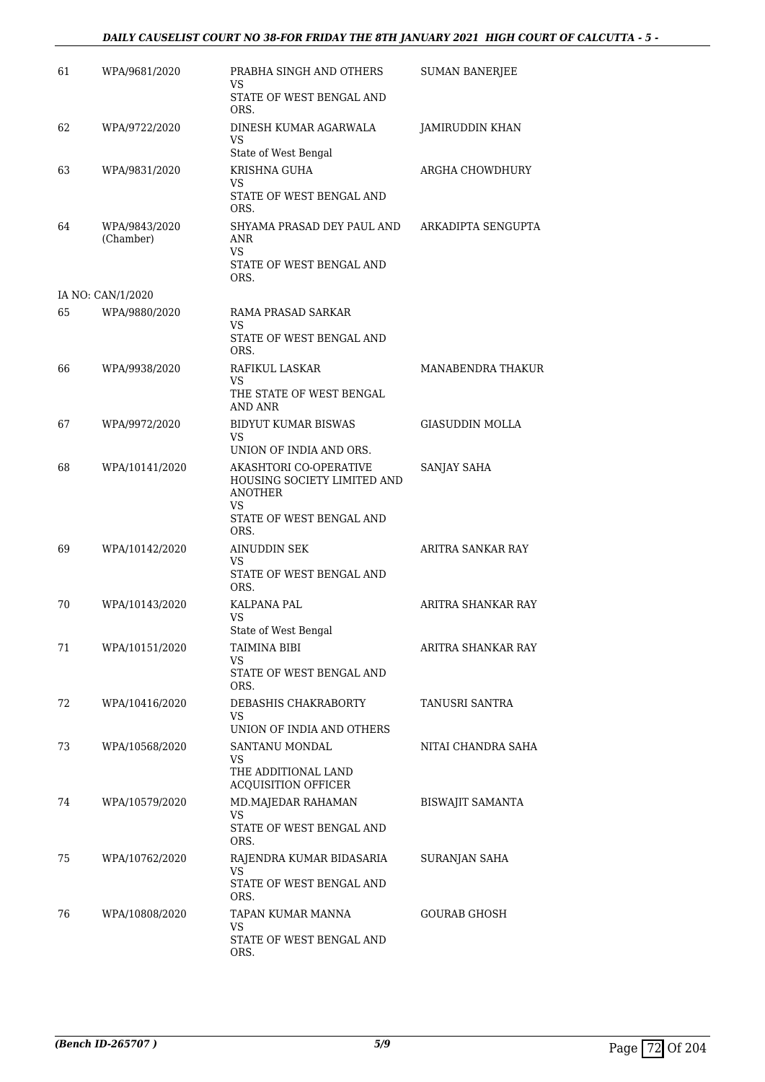#### *DAILY CAUSELIST COURT NO 38-FOR FRIDAY THE 8TH JANUARY 2021 HIGH COURT OF CALCUTTA - 5 -*

| 61 | WPA/9681/2020              | PRABHA SINGH AND OTHERS<br>VS                                                                              | <b>SUMAN BANERIEE</b>  |
|----|----------------------------|------------------------------------------------------------------------------------------------------------|------------------------|
|    |                            | STATE OF WEST BENGAL AND<br>ORS.                                                                           |                        |
| 62 | WPA/9722/2020              | DINESH KUMAR AGARWALA<br>VS<br>State of West Bengal                                                        | JAMIRUDDIN KHAN        |
| 63 | WPA/9831/2020              | KRISHNA GUHA                                                                                               | ARGHA CHOWDHURY        |
|    |                            | VS<br>STATE OF WEST BENGAL AND<br>ORS.                                                                     |                        |
| 64 | WPA/9843/2020<br>(Chamber) | SHYAMA PRASAD DEY PAUL AND<br>ANR<br>VS.<br>STATE OF WEST BENGAL AND<br>ORS.                               | ARKADIPTA SENGUPTA     |
|    | IA NO: CAN/1/2020          |                                                                                                            |                        |
| 65 | WPA/9880/2020              | RAMA PRASAD SARKAR<br>VS<br>STATE OF WEST BENGAL AND<br>ORS.                                               |                        |
| 66 | WPA/9938/2020              | RAFIKUL LASKAR<br>VS<br>THE STATE OF WEST BENGAL<br>AND ANR                                                | MANABENDRA THAKUR      |
| 67 | WPA/9972/2020              | BIDYUT KUMAR BISWAS<br>VS<br>UNION OF INDIA AND ORS.                                                       | <b>GIASUDDIN MOLLA</b> |
| 68 | WPA/10141/2020             | AKASHTORI CO-OPERATIVE<br>HOUSING SOCIETY LIMITED AND<br>ANOTHER<br>VS<br>STATE OF WEST BENGAL AND<br>ORS. | SANJAY SAHA            |
| 69 | WPA/10142/2020             | AINUDDIN SEK<br>VS.<br>STATE OF WEST BENGAL AND<br>ORS.                                                    | ARITRA SANKAR RAY      |
| 70 | WPA/10143/2020             | KALPANA PAL<br>VS<br>State of West Bengal                                                                  | ARITRA SHANKAR RAY     |
| 71 | WPA/10151/2020             | TAIMINA BIBI<br>VS<br>STATE OF WEST BENGAL AND                                                             | ARITRA SHANKAR RAY     |
| 72 | WPA/10416/2020             | ORS.<br>DEBASHIS CHAKRABORTY<br>VS<br>UNION OF INDIA AND OTHERS                                            | <b>TANUSRI SANTRA</b>  |
| 73 | WPA/10568/2020             | SANTANU MONDAL<br>VS<br>THE ADDITIONAL LAND<br>ACQUISITION OFFICER                                         | NITAI CHANDRA SAHA     |
| 74 | WPA/10579/2020             | MD.MAJEDAR RAHAMAN<br>VS<br>STATE OF WEST BENGAL AND<br>ORS.                                               | BISWAJIT SAMANTA       |
| 75 | WPA/10762/2020             | RAJENDRA KUMAR BIDASARIA<br>VS<br>STATE OF WEST BENGAL AND<br>ORS.                                         | SURANJAN SAHA          |
| 76 | WPA/10808/2020             | TAPAN KUMAR MANNA<br>VS<br>STATE OF WEST BENGAL AND<br>ORS.                                                | GOURAB GHOSH           |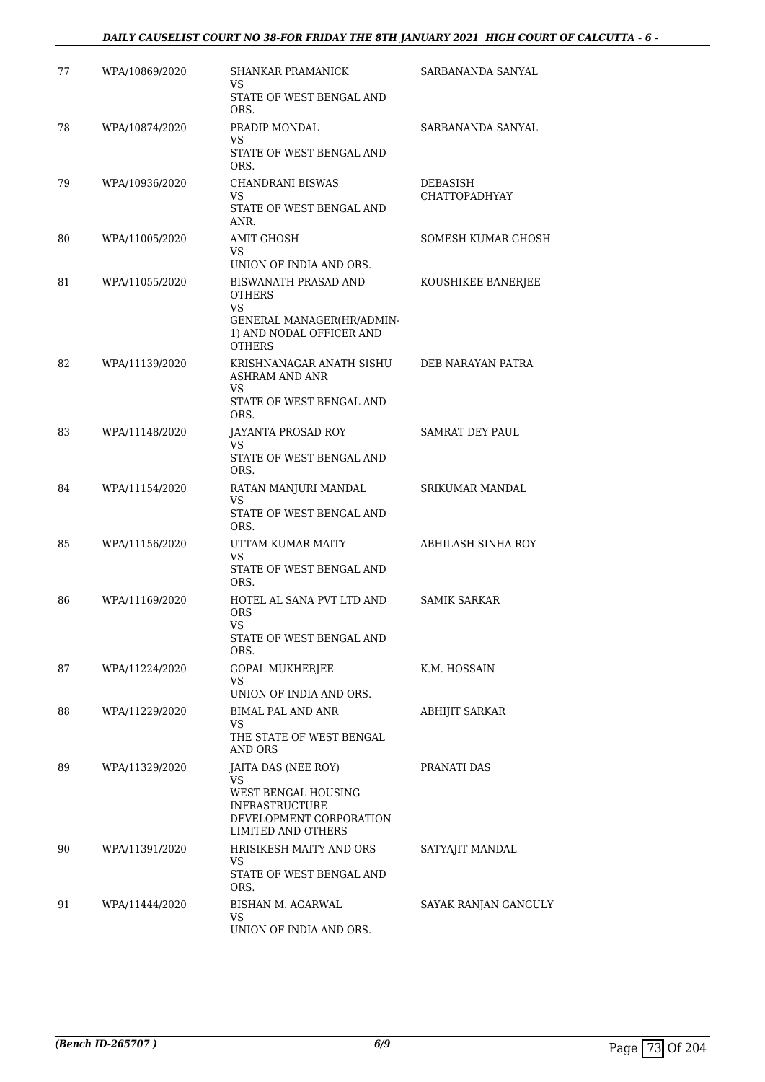#### *DAILY CAUSELIST COURT NO 38-FOR FRIDAY THE 8TH JANUARY 2021 HIGH COURT OF CALCUTTA - 6 -*

| 77 | WPA/10869/2020 | <b>SHANKAR PRAMANICK</b><br>VS.                                                               | SARBANANDA SANYAL                |
|----|----------------|-----------------------------------------------------------------------------------------------|----------------------------------|
|    |                | STATE OF WEST BENGAL AND<br>ORS.                                                              |                                  |
| 78 | WPA/10874/2020 | PRADIP MONDAL<br>VS.                                                                          | SARBANANDA SANYAL                |
|    |                | STATE OF WEST BENGAL AND<br>ORS.                                                              |                                  |
| 79 | WPA/10936/2020 | CHANDRANI BISWAS<br>VS.<br>STATE OF WEST BENGAL AND                                           | DEBASISH<br><b>CHATTOPADHYAY</b> |
|    |                | ANR.                                                                                          |                                  |
| 80 | WPA/11005/2020 | AMIT GHOSH<br>VS.                                                                             | SOMESH KUMAR GHOSH               |
| 81 | WPA/11055/2020 | UNION OF INDIA AND ORS.<br><b>BISWANATH PRASAD AND</b><br><b>OTHERS</b>                       | KOUSHIKEE BANERJEE               |
|    |                | VS.<br>GENERAL MANAGER(HR/ADMIN-<br>1) AND NODAL OFFICER AND<br><b>OTHERS</b>                 |                                  |
| 82 | WPA/11139/2020 | KRISHNANAGAR ANATH SISHU<br><b>ASHRAM AND ANR</b>                                             | DEB NARAYAN PATRA                |
|    |                | <b>VS</b><br>STATE OF WEST BENGAL AND<br>ORS.                                                 |                                  |
| 83 | WPA/11148/2020 | JAYANTA PROSAD ROY<br>VS                                                                      | <b>SAMRAT DEY PAUL</b>           |
|    |                | STATE OF WEST BENGAL AND<br>ORS.                                                              |                                  |
| 84 | WPA/11154/2020 | RATAN MANJURI MANDAL<br>VS<br>STATE OF WEST BENGAL AND<br>ORS.                                | SRIKUMAR MANDAL                  |
| 85 | WPA/11156/2020 | UTTAM KUMAR MAITY                                                                             | ABHILASH SINHA ROY               |
|    |                | <b>VS</b><br>STATE OF WEST BENGAL AND<br>ORS.                                                 |                                  |
| 86 | WPA/11169/2020 | HOTEL AL SANA PVT LTD AND<br><b>ORS</b><br>VS                                                 | <b>SAMIK SARKAR</b>              |
|    |                | STATE OF WEST BENGAL AND<br>ORS.                                                              |                                  |
| 87 | WPA/11224/2020 | <b>GOPAL MUKHERJEE</b><br>VS.                                                                 | K.M. HOSSAIN                     |
|    |                | UNION OF INDIA AND ORS.                                                                       |                                  |
| 88 | WPA/11229/2020 | <b>BIMAL PAL AND ANR</b><br>VS<br>THE STATE OF WEST BENGAL<br>AND ORS                         | <b>ABHIJIT SARKAR</b>            |
| 89 | WPA/11329/2020 | JAITA DAS (NEE ROY)<br>VS.                                                                    | PRANATI DAS                      |
|    |                | WEST BENGAL HOUSING<br><b>INFRASTRUCTURE</b><br>DEVELOPMENT CORPORATION<br>LIMITED AND OTHERS |                                  |
| 90 | WPA/11391/2020 | HRISIKESH MAITY AND ORS<br>VS.                                                                | SATYAJIT MANDAL                  |
|    |                | STATE OF WEST BENGAL AND<br>ORS.                                                              |                                  |
| 91 | WPA/11444/2020 | BISHAN M. AGARWAL<br>VS.                                                                      | SAYAK RANJAN GANGULY             |
|    |                | UNION OF INDIA AND ORS.                                                                       |                                  |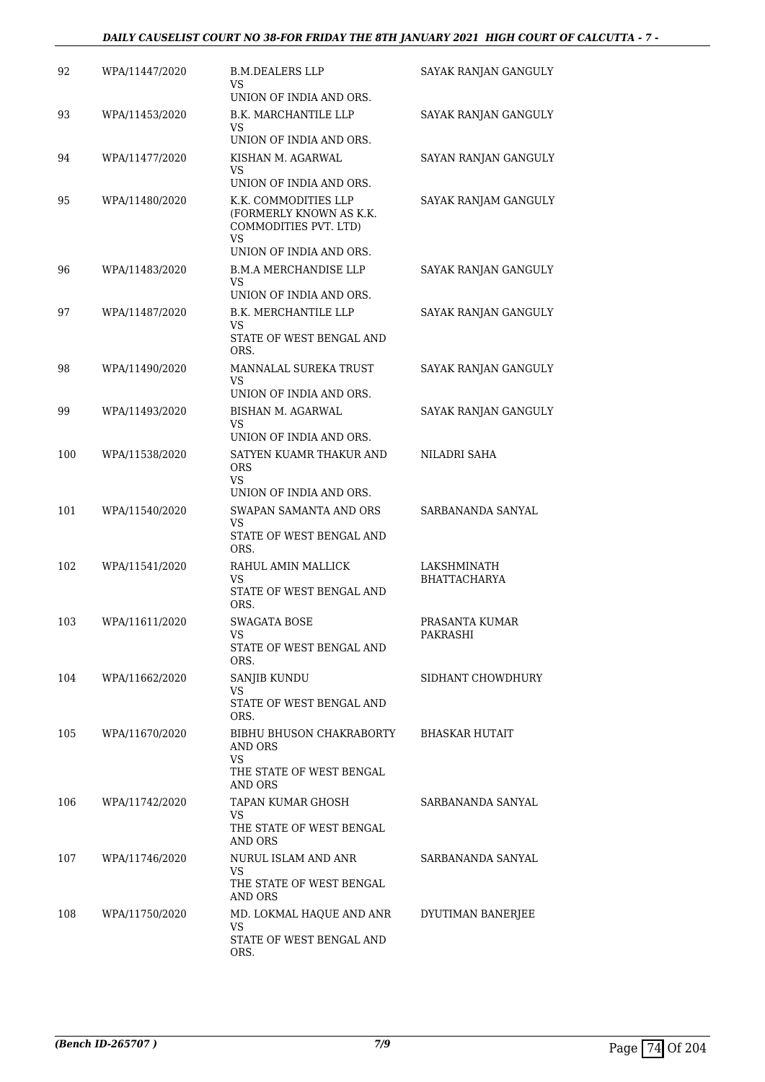#### *DAILY CAUSELIST COURT NO 38-FOR FRIDAY THE 8TH JANUARY 2021 HIGH COURT OF CALCUTTA - 7 -*

| 92  | WPA/11447/2020 | <b>B.M.DEALERS LLP</b><br>VS                                                          | SAYAK RANJAN GANGULY               |
|-----|----------------|---------------------------------------------------------------------------------------|------------------------------------|
|     |                | UNION OF INDIA AND ORS.                                                               |                                    |
| 93  | WPA/11453/2020 | B.K. MARCHANTILE LLP<br>VS                                                            | SAYAK RANJAN GANGULY               |
|     |                | UNION OF INDIA AND ORS.                                                               |                                    |
| 94  | WPA/11477/2020 | KISHAN M. AGARWAL<br>VS.                                                              | SAYAN RANJAN GANGULY               |
|     |                | UNION OF INDIA AND ORS.                                                               |                                    |
| 95  | WPA/11480/2020 | K.K. COMMODITIES LLP<br>(FORMERLY KNOWN AS K.K.<br>COMMODITIES PVT. LTD)<br><b>VS</b> | SAYAK RANJAM GANGULY               |
|     |                | UNION OF INDIA AND ORS.                                                               |                                    |
| 96  | WPA/11483/2020 | <b>B.M.A MERCHANDISE LLP</b><br>VS                                                    | SAYAK RANJAN GANGULY               |
|     |                | UNION OF INDIA AND ORS.                                                               |                                    |
| 97  | WPA/11487/2020 | B.K. MERCHANTILE LLP<br>VS<br>STATE OF WEST BENGAL AND<br>ORS.                        | SAYAK RANJAN GANGULY               |
|     |                |                                                                                       |                                    |
| 98  | WPA/11490/2020 | MANNALAL SUREKA TRUST<br>VS<br>UNION OF INDIA AND ORS.                                | SAYAK RANJAN GANGULY               |
|     |                |                                                                                       |                                    |
| 99  | WPA/11493/2020 | BISHAN M. AGARWAL<br>VS.                                                              | SAYAK RANJAN GANGULY               |
|     |                | UNION OF INDIA AND ORS.                                                               |                                    |
| 100 | WPA/11538/2020 | SATYEN KUAMR THAKUR AND<br><b>ORS</b><br>VS.                                          | NILADRI SAHA                       |
|     |                | UNION OF INDIA AND ORS.                                                               |                                    |
| 101 | WPA/11540/2020 | SWAPAN SAMANTA AND ORS<br>VS                                                          | SARBANANDA SANYAL                  |
|     |                | STATE OF WEST BENGAL AND<br>ORS.                                                      |                                    |
| 102 | WPA/11541/2020 | RAHUL AMIN MALLICK<br>VS                                                              | LAKSHMINATH<br><b>BHATTACHARYA</b> |
|     |                | STATE OF WEST BENGAL AND<br>ORS.                                                      |                                    |
| 103 | WPA/11611/2020 | SWAGATA BOSE<br>VS.                                                                   | PRASANTA KUMAR<br>PAKRASHI         |
|     |                | STATE OF WEST BENGAL AND<br>ORS.                                                      |                                    |
| 104 | WPA/11662/2020 | SANJIB KUNDU<br>VS.                                                                   | SIDHANT CHOWDHURY                  |
|     |                | STATE OF WEST BENGAL AND<br>ORS.                                                      |                                    |
| 105 | WPA/11670/2020 | BIBHU BHUSON CHAKRABORTY<br>AND ORS<br>VS.<br>THE STATE OF WEST BENGAL                | <b>BHASKAR HUTAIT</b>              |
|     |                | <b>AND ORS</b>                                                                        |                                    |
| 106 | WPA/11742/2020 | TAPAN KUMAR GHOSH                                                                     | SARBANANDA SANYAL                  |
|     |                | VS.<br>THE STATE OF WEST BENGAL<br><b>AND ORS</b>                                     |                                    |
| 107 | WPA/11746/2020 | NURUL ISLAM AND ANR                                                                   | SARBANANDA SANYAL                  |
|     |                | VS<br>THE STATE OF WEST BENGAL                                                        |                                    |
|     |                | AND ORS                                                                               |                                    |
| 108 | WPA/11750/2020 | MD. LOKMAL HAQUE AND ANR<br>VS                                                        | DYUTIMAN BANERJEE                  |
|     |                | STATE OF WEST BENGAL AND<br>ORS.                                                      |                                    |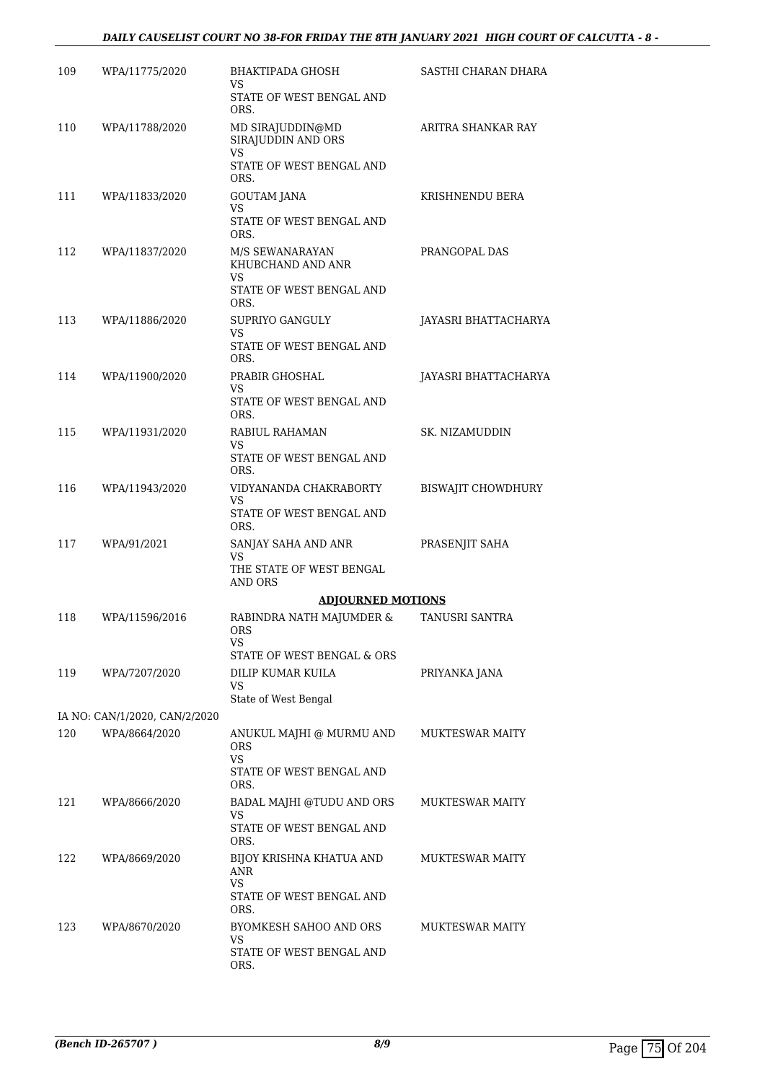#### *DAILY CAUSELIST COURT NO 38-FOR FRIDAY THE 8TH JANUARY 2021 HIGH COURT OF CALCUTTA - 8 -*

| 109 | WPA/11775/2020                                 | BHAKTIPADA GHOSH<br>VS.                       | SASTHI CHARAN DHARA       |
|-----|------------------------------------------------|-----------------------------------------------|---------------------------|
|     |                                                | STATE OF WEST BENGAL AND<br>ORS.              |                           |
| 110 | WPA/11788/2020                                 | MD SIRAJUDDIN@MD<br>SIRAJUDDIN AND ORS        | ARITRA SHANKAR RAY        |
|     |                                                | VS<br>STATE OF WEST BENGAL AND<br>ORS.        |                           |
| 111 | WPA/11833/2020                                 | GOUTAM JANA                                   | KRISHNENDU BERA           |
|     |                                                | VS<br>STATE OF WEST BENGAL AND<br>ORS.        |                           |
| 112 | WPA/11837/2020                                 | M/S SEWANARAYAN<br>KHUBCHAND AND ANR<br>VS    | PRANGOPAL DAS             |
|     |                                                | STATE OF WEST BENGAL AND<br>ORS.              |                           |
| 113 | WPA/11886/2020                                 | SUPRIYO GANGULY                               | JAYASRI BHATTACHARYA      |
|     |                                                | VS<br>STATE OF WEST BENGAL AND<br>ORS.        |                           |
| 114 | WPA/11900/2020                                 | PRABIR GHOSHAL<br>VS.                         | JAYASRI BHATTACHARYA      |
|     |                                                | STATE OF WEST BENGAL AND<br>ORS.              |                           |
| 115 | WPA/11931/2020                                 | RABIUL RAHAMAN<br>VS                          | SK. NIZAMUDDIN            |
|     |                                                | STATE OF WEST BENGAL AND<br>ORS.              |                           |
| 116 | WPA/11943/2020                                 | VIDYANANDA CHAKRABORTY<br>VS                  | <b>BISWAJIT CHOWDHURY</b> |
|     |                                                | STATE OF WEST BENGAL AND<br>ORS.              |                           |
| 117 | WPA/91/2021                                    | SANJAY SAHA AND ANR<br>VS.                    | PRASENJIT SAHA            |
|     |                                                | THE STATE OF WEST BENGAL<br>AND ORS           |                           |
|     |                                                | <b>ADJOURNED MOTIONS</b>                      |                           |
| 118 | WPA/11596/2016                                 | RABINDRA NATH MAJUMDER &<br><b>ORS</b><br>VS  | TANUSRI SANTRA            |
|     |                                                | STATE OF WEST BENGAL & ORS                    |                           |
| 119 | WPA/7207/2020                                  | DILIP KUMAR KUILA<br>VS                       | PRIYANKA JANA             |
|     |                                                | State of West Bengal                          |                           |
| 120 | IA NO: CAN/1/2020, CAN/2/2020<br>WPA/8664/2020 | ANUKUL MAJHI @ MURMU AND                      | <b>MUKTESWAR MAITY</b>    |
|     |                                                | <b>ORS</b><br><b>VS</b>                       |                           |
|     |                                                | STATE OF WEST BENGAL AND<br>ORS.              |                           |
| 121 | WPA/8666/2020                                  | BADAL MAJHI @TUDU AND ORS<br>VS               | <b>MUKTESWAR MAITY</b>    |
|     |                                                | STATE OF WEST BENGAL AND<br>ORS.              |                           |
| 122 | WPA/8669/2020                                  | BIJOY KRISHNA KHATUA AND<br>ANR               | <b>MUKTESWAR MAITY</b>    |
|     |                                                | <b>VS</b><br>STATE OF WEST BENGAL AND<br>ORS. |                           |
| 123 | WPA/8670/2020                                  | BYOMKESH SAHOO AND ORS                        | <b>MUKTESWAR MAITY</b>    |
|     |                                                | VS<br>STATE OF WEST BENGAL AND<br>ORS.        |                           |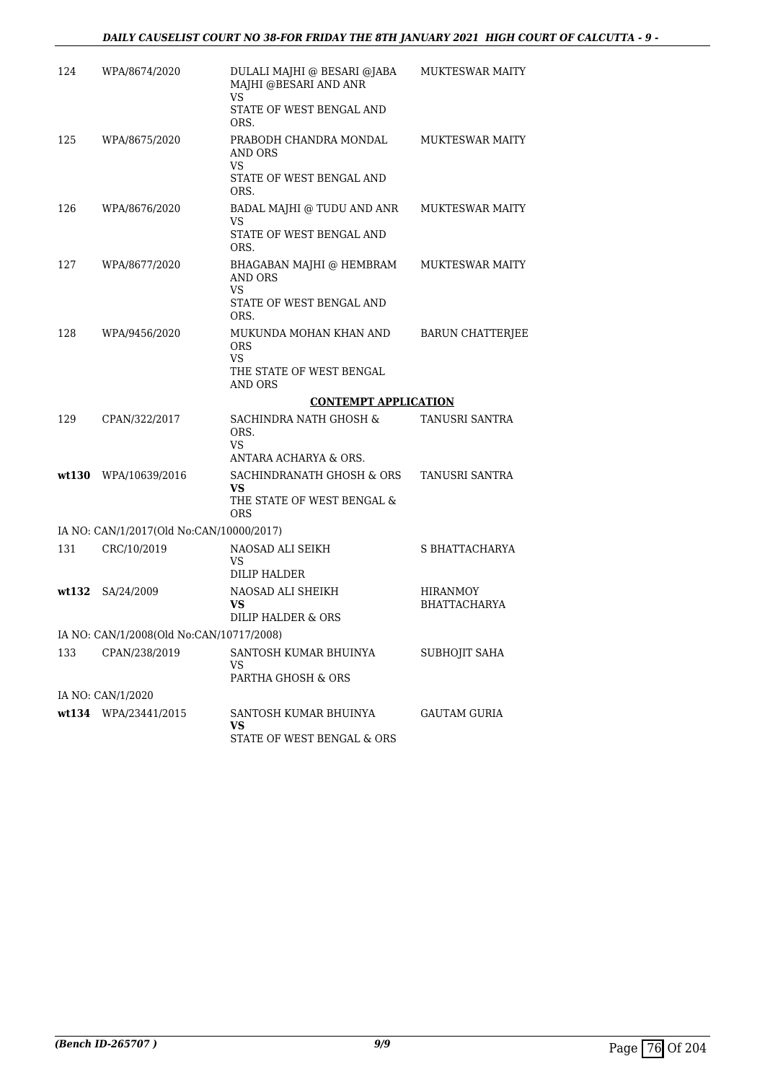| 124    | WPA/8674/2020                            | DULALI MAJHI @ BESARI @JABA<br>MAJHI @BESARI AND ANR<br>VS          | <b>MUKTESWAR MAITY</b>                 |
|--------|------------------------------------------|---------------------------------------------------------------------|----------------------------------------|
|        |                                          | STATE OF WEST BENGAL AND<br>ORS.                                    |                                        |
| 125    | WPA/8675/2020                            | PRABODH CHANDRA MONDAL<br>AND ORS<br>VS<br>STATE OF WEST BENGAL AND | <b>MUKTESWAR MAITY</b>                 |
|        |                                          | ORS.                                                                |                                        |
| 126    | WPA/8676/2020                            | BADAL MAJHI @ TUDU AND ANR<br>VS<br>STATE OF WEST BENGAL AND        | MUKTESWAR MAITY                        |
|        |                                          | ORS.                                                                |                                        |
| 127    | WPA/8677/2020                            | BHAGABAN MAJHI @ HEMBRAM<br>AND ORS<br><b>VS</b>                    | MUKTESWAR MAITY                        |
|        |                                          | STATE OF WEST BENGAL AND<br>ORS.                                    |                                        |
| 128    | WPA/9456/2020                            | MUKUNDA MOHAN KHAN AND<br><b>ORS</b><br>VS.                         | <b>BARUN CHATTERJEE</b>                |
|        |                                          | THE STATE OF WEST BENGAL<br>AND ORS                                 |                                        |
|        |                                          | <b>CONTEMPT APPLICATION</b>                                         |                                        |
| 129    | CPAN/322/2017                            | SACHINDRA NATH GHOSH &<br>ORS.<br>VS                                | TANUSRI SANTRA                         |
|        |                                          | ANTARA ACHARYA & ORS.                                               |                                        |
| wt.130 | WPA/10639/2016                           | SACHINDRANATH GHOSH & ORS<br>VS                                     | TANUSRI SANTRA                         |
|        |                                          | THE STATE OF WEST BENGAL &<br>ORS                                   |                                        |
|        | IA NO: CAN/1/2017(Old No:CAN/10000/2017) |                                                                     |                                        |
| 131    | CRC/10/2019                              | NAOSAD ALI SEIKH<br>VS<br><b>DILIP HALDER</b>                       | S BHATTACHARYA                         |
| wt132  | SA/24/2009                               | NAOSAD ALI SHEIKH<br>VS.<br>DILIP HALDER & ORS                      | <b>HIRANMOY</b><br><b>BHATTACHARYA</b> |
|        | IA NO: CAN/1/2008(Old No:CAN/10717/2008) |                                                                     |                                        |
| 133    | CPAN/238/2019                            | SANTOSH KUMAR BHUINYA<br>VS<br>PARTHA GHOSH & ORS                   | SUBHOJIT SAHA                          |
|        | IA NO: CAN/1/2020                        |                                                                     |                                        |
|        | wt134 WPA/23441/2015                     | SANTOSH KUMAR BHUINYA                                               | GAUTAM GURIA                           |
|        |                                          | VS.<br>STATE OF WEST BENGAL & ORS                                   |                                        |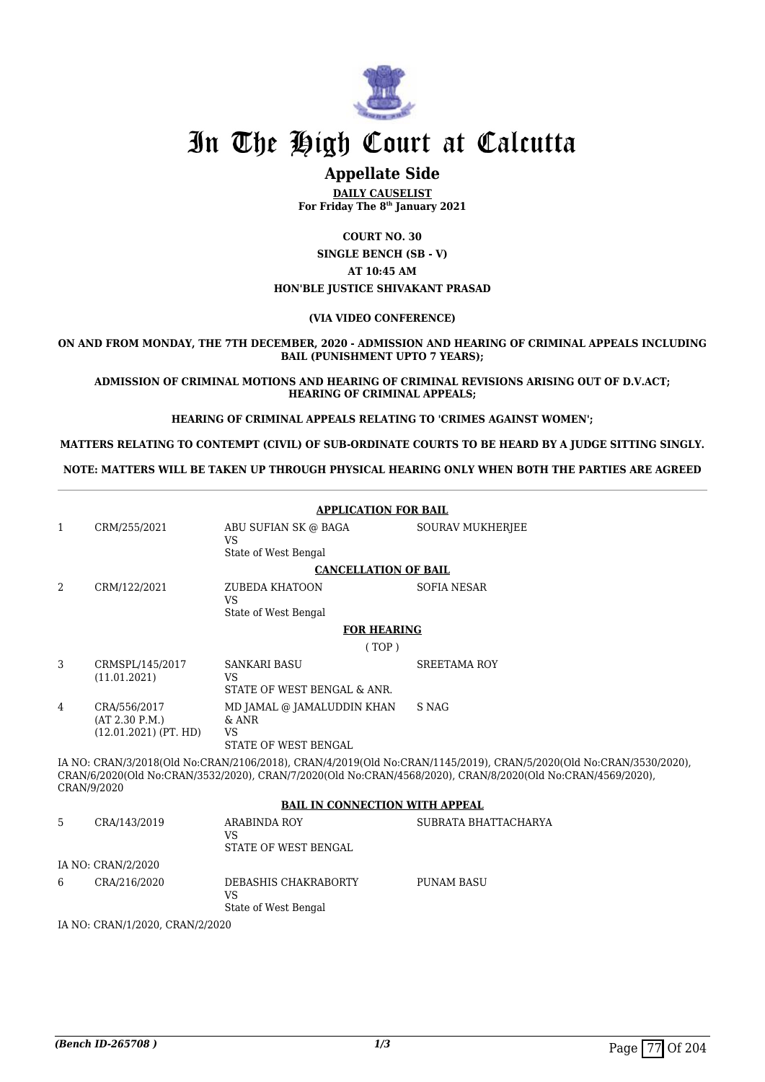

### **Appellate Side**

**DAILY CAUSELIST For Friday The 8th January 2021**

**COURT NO. 30 SINGLE BENCH (SB - V) AT 10:45 AM HON'BLE JUSTICE SHIVAKANT PRASAD**

#### **(VIA VIDEO CONFERENCE)**

**ON AND FROM MONDAY, THE 7TH DECEMBER, 2020 - ADMISSION AND HEARING OF CRIMINAL APPEALS INCLUDING BAIL (PUNISHMENT UPTO 7 YEARS);**

**ADMISSION OF CRIMINAL MOTIONS AND HEARING OF CRIMINAL REVISIONS ARISING OUT OF D.V.ACT; HEARING OF CRIMINAL APPEALS;**

**HEARING OF CRIMINAL APPEALS RELATING TO 'CRIMES AGAINST WOMEN';**

**MATTERS RELATING TO CONTEMPT (CIVIL) OF SUB-ORDINATE COURTS TO BE HEARD BY A JUDGE SITTING SINGLY.**

**NOTE: MATTERS WILL BE TAKEN UP THROUGH PHYSICAL HEARING ONLY WHEN BOTH THE PARTIES ARE AGREED**

|                                 | <b>APPLICATION FOR BAIL</b>    |                                          |                                                                                                                                                                                                                                   |  |  |
|---------------------------------|--------------------------------|------------------------------------------|-----------------------------------------------------------------------------------------------------------------------------------------------------------------------------------------------------------------------------------|--|--|
| 1                               | CRM/255/2021                   | ABU SUFIAN SK @ BAGA<br><b>VS</b>        | <b>SOURAV MUKHERJEE</b>                                                                                                                                                                                                           |  |  |
|                                 |                                | State of West Bengal                     |                                                                                                                                                                                                                                   |  |  |
|                                 |                                | <b>CANCELLATION OF BAIL</b>              |                                                                                                                                                                                                                                   |  |  |
| 2                               | CRM/122/2021                   | <b>ZUBEDA KHATOON</b>                    | <b>SOFIA NESAR</b>                                                                                                                                                                                                                |  |  |
|                                 |                                | <b>VS</b><br>State of West Bengal        |                                                                                                                                                                                                                                   |  |  |
|                                 |                                | <b>FOR HEARING</b>                       |                                                                                                                                                                                                                                   |  |  |
|                                 |                                | (TOP)                                    |                                                                                                                                                                                                                                   |  |  |
| 3                               | CRMSPL/145/2017                | <b>SANKARI BASU</b>                      | <b>SREETAMA ROY</b>                                                                                                                                                                                                               |  |  |
|                                 | (11.01.2021)                   | <b>VS</b><br>STATE OF WEST BENGAL & ANR. |                                                                                                                                                                                                                                   |  |  |
| $\overline{4}$                  | CRA/556/2017<br>(AT 2.30 P.M.) | MD JAMAL @ JAMALUDDIN KHAN<br>$&$ ANR    | S NAG                                                                                                                                                                                                                             |  |  |
|                                 | $(12.01.2021)$ (PT. HD)        | <b>VS</b>                                |                                                                                                                                                                                                                                   |  |  |
|                                 |                                | STATE OF WEST BENGAL                     |                                                                                                                                                                                                                                   |  |  |
| CRAN/9/2020                     |                                |                                          | IA NO: CRAN/3/2018(Old No:CRAN/2106/2018), CRAN/4/2019(Old No:CRAN/1145/2019), CRAN/5/2020(Old No:CRAN/3530/2020),<br>CRAN/6/2020(Old No:CRAN/3532/2020). CRAN/7/2020(Old No:CRAN/4568/2020). CRAN/8/2020(Old No:CRAN/4569/2020). |  |  |
|                                 |                                | <b>BAIL IN CONNECTION WITH APPEAL</b>    |                                                                                                                                                                                                                                   |  |  |
| 5                               | CRA/143/2019                   | <b>ARABINDA ROY</b>                      | SUBRATA BHATTACHARYA                                                                                                                                                                                                              |  |  |
|                                 |                                | <b>VS</b><br>STATE OF WEST BENGAL        |                                                                                                                                                                                                                                   |  |  |
|                                 | IA NO: CRAN/2/2020             |                                          |                                                                                                                                                                                                                                   |  |  |
| 6                               | CRA/216/2020                   | DEBASHIS CHAKRABORTY<br><b>VS</b>        | <b>PUNAM BASU</b>                                                                                                                                                                                                                 |  |  |
|                                 |                                | State of West Bengal                     |                                                                                                                                                                                                                                   |  |  |
| IA NO: CRAN/1/2020, CRAN/2/2020 |                                |                                          |                                                                                                                                                                                                                                   |  |  |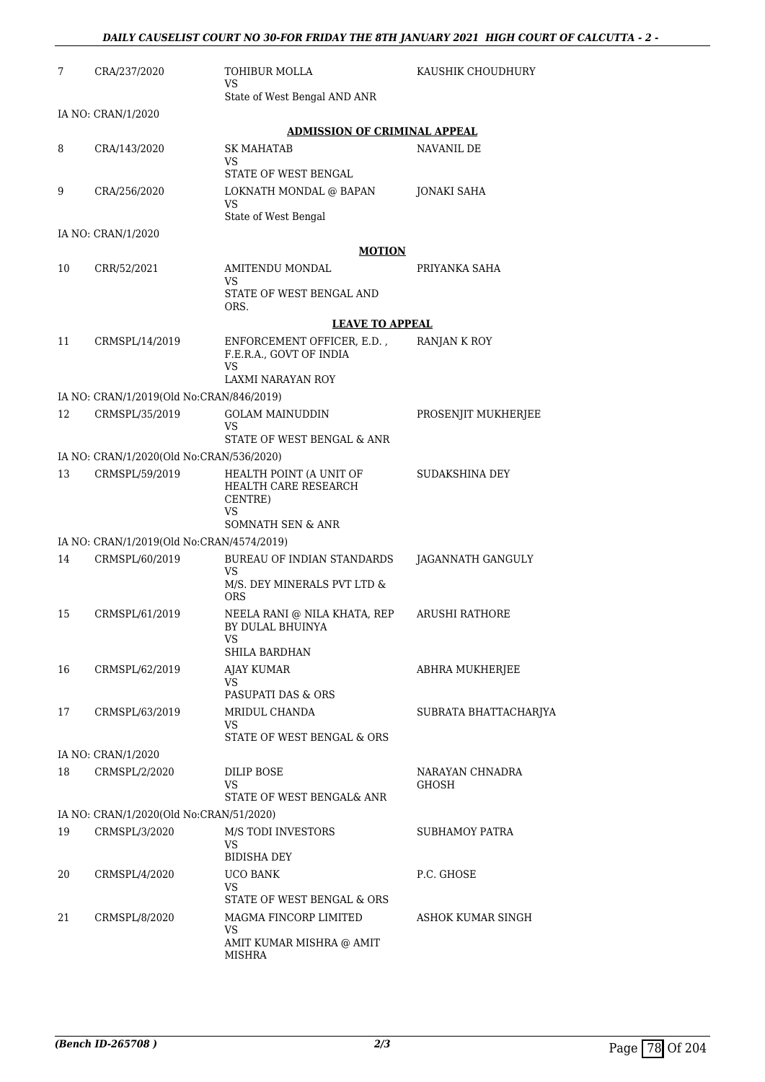| 7  | CRA/237/2020                                               | TOHIBUR MOLLA<br><b>VS</b>                                                              | KAUSHIK CHOUDHURY     |
|----|------------------------------------------------------------|-----------------------------------------------------------------------------------------|-----------------------|
|    |                                                            | State of West Bengal AND ANR                                                            |                       |
|    | IA NO: CRAN/1/2020                                         | <b>ADMISSION OF CRIMINAL APPEAL</b>                                                     |                       |
| 8  | CRA/143/2020                                               | SK MAHATAB                                                                              | NAVANIL DE            |
|    |                                                            | VS<br>STATE OF WEST BENGAL                                                              |                       |
| 9  | CRA/256/2020                                               | LOKNATH MONDAL @ BAPAN<br><b>VS</b><br>State of West Bengal                             | JONAKI SAHA           |
|    | IA NO: CRAN/1/2020                                         |                                                                                         |                       |
|    |                                                            | <b>MOTION</b>                                                                           |                       |
| 10 | CRR/52/2021                                                | AMITENDU MONDAL                                                                         | PRIYANKA SAHA         |
|    |                                                            | VS<br>STATE OF WEST BENGAL AND<br>ORS.                                                  |                       |
|    |                                                            | <b>LEAVE TO APPEAL</b>                                                                  |                       |
| 11 | CRMSPL/14/2019                                             | ENFORCEMENT OFFICER, E.D.,<br>F.E.R.A., GOVT OF INDIA<br>VS<br><b>LAXMI NARAYAN ROY</b> | RANJAN K ROY          |
|    | IA NO: CRAN/1/2019(Old No:CRAN/846/2019)                   |                                                                                         |                       |
| 12 | CRMSPL/35/2019                                             | <b>GOLAM MAINUDDIN</b><br>VS                                                            | PROSENJIT MUKHERJEE   |
|    |                                                            | STATE OF WEST BENGAL & ANR                                                              |                       |
| 13 | IA NO: CRAN/1/2020(Old No:CRAN/536/2020)<br>CRMSPL/59/2019 | HEALTH POINT (A UNIT OF                                                                 | SUDAKSHINA DEY        |
|    |                                                            | HEALTH CARE RESEARCH<br>CENTRE)<br>VS<br>SOMNATH SEN & ANR                              |                       |
|    | IA NO: CRAN/1/2019(Old No:CRAN/4574/2019)                  |                                                                                         |                       |
| 14 | CRMSPL/60/2019                                             | <b>BUREAU OF INDIAN STANDARDS</b>                                                       | JAGANNATH GANGULY     |
|    |                                                            | <b>VS</b><br>M/S. DEY MINERALS PVT LTD &<br>ORS                                         |                       |
| 15 | CRMSPL/61/2019                                             | NEELA RANI @ NILA KHATA, REP<br>BY DULAL BHUINYA<br>VS                                  | <b>ARUSHI RATHORE</b> |
|    |                                                            | SHILA BARDHAN                                                                           |                       |
| 16 | CRMSPL/62/2019                                             | <b>AJAY KUMAR</b><br>VS                                                                 | ABHRA MUKHERJEE       |
|    |                                                            | PASUPATI DAS & ORS                                                                      |                       |
| 17 | CRMSPL/63/2019                                             | MRIDUL CHANDA<br>VS<br>STATE OF WEST BENGAL & ORS                                       | SUBRATA BHATTACHARJYA |
|    | IA NO: CRAN/1/2020                                         |                                                                                         |                       |
| 18 | CRMSPL/2/2020                                              | <b>DILIP BOSE</b>                                                                       | NARAYAN CHNADRA       |
|    |                                                            | VS<br>STATE OF WEST BENGAL& ANR                                                         | GHOSH                 |
|    | IA NO: CRAN/1/2020(Old No:CRAN/51/2020)                    |                                                                                         |                       |
| 19 | CRMSPL/3/2020                                              | <b>M/S TODI INVESTORS</b><br>VS                                                         | SUBHAMOY PATRA        |
|    |                                                            | <b>BIDISHA DEY</b>                                                                      |                       |
| 20 | CRMSPL/4/2020                                              | UCO BANK<br>VS                                                                          | P.C. GHOSE            |
|    |                                                            | STATE OF WEST BENGAL & ORS                                                              |                       |
| 21 | CRMSPL/8/2020                                              | MAGMA FINCORP LIMITED<br>VS                                                             | ASHOK KUMAR SINGH     |
|    |                                                            | AMIT KUMAR MISHRA @ AMIT<br>MISHRA                                                      |                       |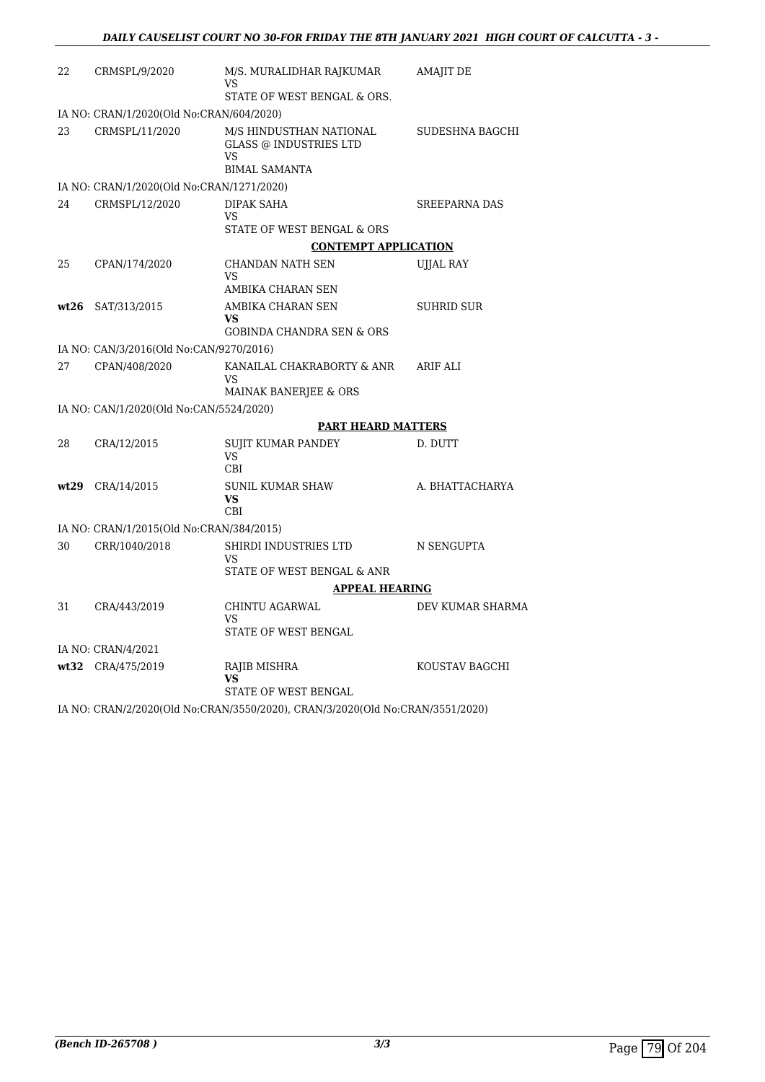| 22   | CRMSPL/9/2020                             | M/S. MURALIDHAR RAJKUMAR<br>VS                                                         | AMAJIT DE            |
|------|-------------------------------------------|----------------------------------------------------------------------------------------|----------------------|
|      |                                           | STATE OF WEST BENGAL & ORS.                                                            |                      |
|      | IA NO: CRAN/1/2020(Old No:CRAN/604/2020)  |                                                                                        |                      |
| 23   | CRMSPL/11/2020                            | M/S HINDUSTHAN NATIONAL<br><b>GLASS @ INDUSTRIES LTD</b><br>VS<br><b>BIMAL SAMANTA</b> | SUDESHNA BAGCHI      |
|      | IA NO: CRAN/1/2020(Old No:CRAN/1271/2020) |                                                                                        |                      |
| 24   | CRMSPL/12/2020                            | DIPAK SAHA<br>VS<br>STATE OF WEST BENGAL & ORS                                         | <b>SREEPARNA DAS</b> |
|      |                                           | <b>CONTEMPT APPLICATION</b>                                                            |                      |
| 25   | CPAN/174/2020                             | CHANDAN NATH SEN<br>VS.                                                                | <b>UJJAL RAY</b>     |
|      |                                           | AMBIKA CHARAN SEN                                                                      |                      |
| wt26 | SAT/313/2015                              | AMBIKA CHARAN SEN<br>VS                                                                | <b>SUHRID SUR</b>    |
|      |                                           | <b>GOBINDA CHANDRA SEN &amp; ORS</b>                                                   |                      |
|      | IA NO: CAN/3/2016(Old No:CAN/9270/2016)   |                                                                                        |                      |
| 27   | CPAN/408/2020                             | KANAILAL CHAKRABORTY & ANR<br>VS<br>MAINAK BANERJEE & ORS                              | ARIF ALI             |
|      | IA NO: CAN/1/2020(Old No:CAN/5524/2020)   |                                                                                        |                      |
|      |                                           | <b>PART HEARD MATTERS</b>                                                              |                      |
| 28   | CRA/12/2015                               | <b>SUJIT KUMAR PANDEY</b><br>VS.<br>CBI                                                | D. DUTT              |
| wt29 | CRA/14/2015                               | <b>SUNIL KUMAR SHAW</b><br>VS<br><b>CBI</b>                                            | A. BHATTACHARYA      |
|      | IA NO: CRAN/1/2015(Old No:CRAN/384/2015)  |                                                                                        |                      |
| 30   | CRR/1040/2018                             | SHIRDI INDUSTRIES LTD<br>VS                                                            | N SENGUPTA           |
|      |                                           | STATE OF WEST BENGAL & ANR                                                             |                      |
|      |                                           | <b>APPEAL HEARING</b>                                                                  |                      |
| 31   | CRA/443/2019                              | CHINTU AGARWAL<br>VS<br>STATE OF WEST BENGAL                                           | DEV KUMAR SHARMA     |
|      | IA NO: CRAN/4/2021                        |                                                                                        |                      |
|      | wt32 CRA/475/2019                         | RAJIB MISHRA                                                                           | KOUSTAV BAGCHI       |
|      |                                           | VS<br>STATE OF WEST BENGAL                                                             |                      |
|      |                                           | IA NO: CRAN/2/2020(Old No:CRAN/3550/2020), CRAN/3/2020(Old No:CRAN/3551/2020)          |                      |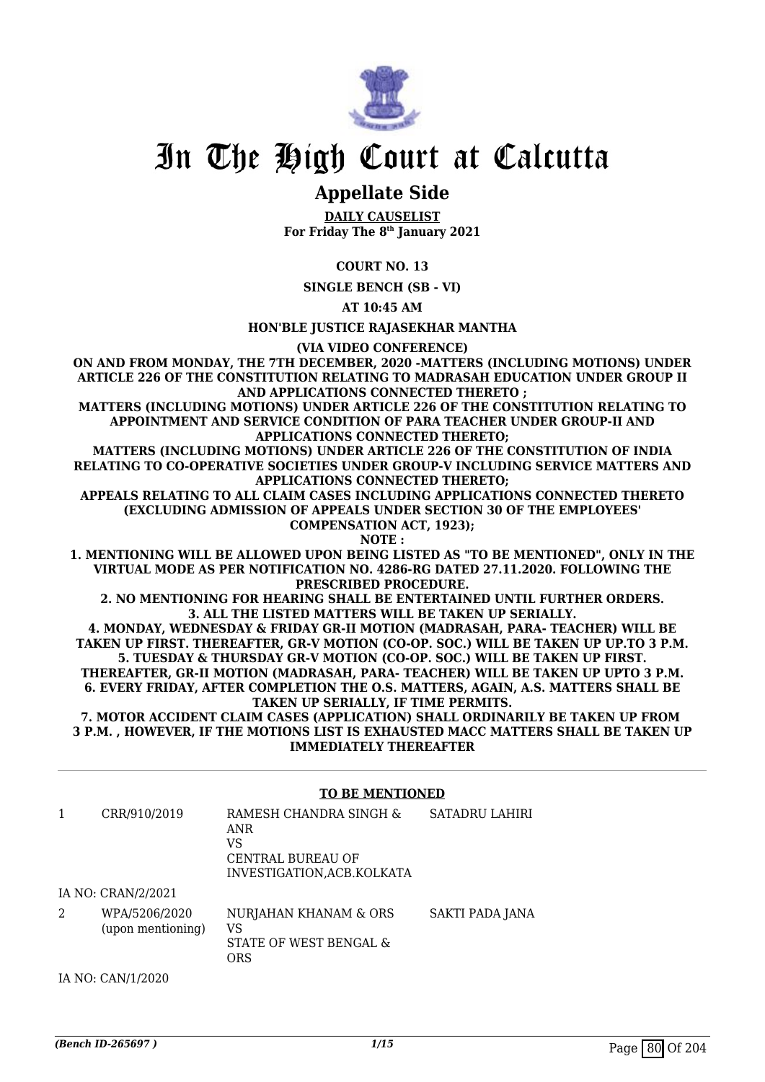

### **Appellate Side**

**DAILY CAUSELIST For Friday The 8th January 2021**

**COURT NO. 13**

**SINGLE BENCH (SB - VI)**

**AT 10:45 AM**

**HON'BLE JUSTICE RAJASEKHAR MANTHA**

**(VIA VIDEO CONFERENCE)**

**ON AND FROM MONDAY, THE 7TH DECEMBER, 2020 -MATTERS (INCLUDING MOTIONS) UNDER ARTICLE 226 OF THE CONSTITUTION RELATING TO MADRASAH EDUCATION UNDER GROUP II AND APPLICATIONS CONNECTED THERETO ;**

**MATTERS (INCLUDING MOTIONS) UNDER ARTICLE 226 OF THE CONSTITUTION RELATING TO APPOINTMENT AND SERVICE CONDITION OF PARA TEACHER UNDER GROUP-II AND APPLICATIONS CONNECTED THERETO;**

**MATTERS (INCLUDING MOTIONS) UNDER ARTICLE 226 OF THE CONSTITUTION OF INDIA RELATING TO CO-OPERATIVE SOCIETIES UNDER GROUP-V INCLUDING SERVICE MATTERS AND APPLICATIONS CONNECTED THERETO;**

**APPEALS RELATING TO ALL CLAIM CASES INCLUDING APPLICATIONS CONNECTED THERETO (EXCLUDING ADMISSION OF APPEALS UNDER SECTION 30 OF THE EMPLOYEES' COMPENSATION ACT, 1923);**

**NOTE :**

**1. MENTIONING WILL BE ALLOWED UPON BEING LISTED AS "TO BE MENTIONED", ONLY IN THE VIRTUAL MODE AS PER NOTIFICATION NO. 4286-RG DATED 27.11.2020. FOLLOWING THE PRESCRIBED PROCEDURE.**

**2. NO MENTIONING FOR HEARING SHALL BE ENTERTAINED UNTIL FURTHER ORDERS. 3. ALL THE LISTED MATTERS WILL BE TAKEN UP SERIALLY.**

**4. MONDAY, WEDNESDAY & FRIDAY GR-II MOTION (MADRASAH, PARA- TEACHER) WILL BE TAKEN UP FIRST. THEREAFTER, GR-V MOTION (CO-OP. SOC.) WILL BE TAKEN UP UP.TO 3 P.M. 5. TUESDAY & THURSDAY GR-V MOTION (CO-OP. SOC.) WILL BE TAKEN UP FIRST. THEREAFTER, GR-II MOTION (MADRASAH, PARA- TEACHER) WILL BE TAKEN UP UPTO 3 P.M. 6. EVERY FRIDAY, AFTER COMPLETION THE O.S. MATTERS, AGAIN, A.S. MATTERS SHALL BE TAKEN UP SERIALLY, IF TIME PERMITS.**

**7. MOTOR ACCIDENT CLAIM CASES (APPLICATION) SHALL ORDINARILY BE TAKEN UP FROM 3 P.M. , HOWEVER, IF THE MOTIONS LIST IS EXHAUSTED MACC MATTERS SHALL BE TAKEN UP IMMEDIATELY THEREAFTER**

#### **TO BE MENTIONED**

|   | CRR/910/2019                       | RAMESH CHANDRA SINGH &<br>ANR<br>VS<br>CENTRAL BUREAU OF<br>INVESTIGATION, ACB. KOLKATA | SATADRU LAHIRI  |
|---|------------------------------------|-----------------------------------------------------------------------------------------|-----------------|
|   | IA NO: CRAN/2/2021                 |                                                                                         |                 |
| 2 | WPA/5206/2020<br>(upon mentioning) | NURJAHAN KHANAM & ORS<br>VS<br>STATE OF WEST BENGAL &<br><b>ORS</b>                     | SAKTI PADA JANA |
|   |                                    |                                                                                         |                 |

IA NO: CAN/1/2020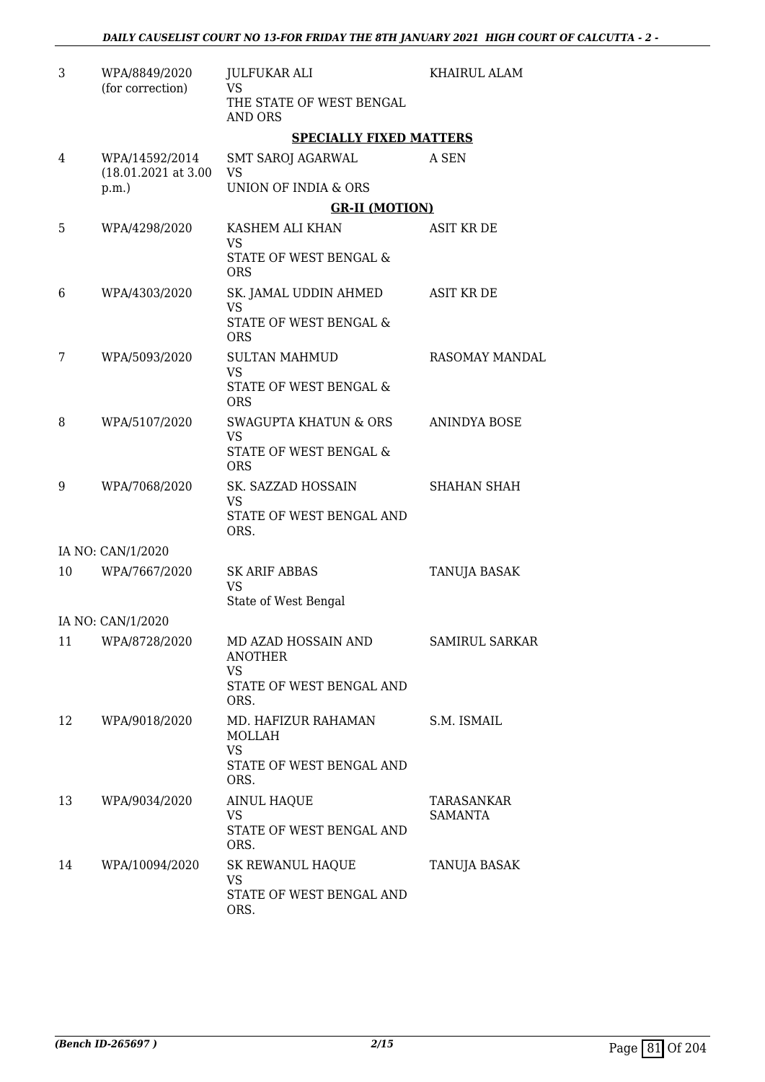| 3  | WPA/8849/2020<br>(for correction)       | <b>JULFUKAR ALI</b><br><b>VS</b>              | <b>KHAIRUL ALAM</b>   |
|----|-----------------------------------------|-----------------------------------------------|-----------------------|
|    |                                         | THE STATE OF WEST BENGAL<br>AND ORS           |                       |
|    |                                         | <b>SPECIALLY FIXED MATTERS</b>                |                       |
| 4  | WPA/14592/2014<br>$(18.01.2021$ at 3.00 | <b>SMT SAROJ AGARWAL</b><br><b>VS</b>         | A SEN                 |
|    | $p.m.$ )                                | <b>UNION OF INDIA &amp; ORS</b>               |                       |
|    |                                         | <b>GR-II (MOTION)</b>                         |                       |
| 5  | WPA/4298/2020                           | KASHEM ALI KHAN                               | <b>ASIT KR DE</b>     |
|    |                                         | VS<br>STATE OF WEST BENGAL &<br><b>ORS</b>    |                       |
| 6  | WPA/4303/2020                           | SK. JAMAL UDDIN AHMED<br>VS                   | <b>ASIT KR DE</b>     |
|    |                                         | STATE OF WEST BENGAL &<br><b>ORS</b>          |                       |
| 7  | WPA/5093/2020                           | <b>SULTAN MAHMUD</b><br><b>VS</b>             | <b>RASOMAY MANDAL</b> |
|    |                                         | STATE OF WEST BENGAL &<br><b>ORS</b>          |                       |
| 8  | WPA/5107/2020                           | <b>SWAGUPTA KHATUN &amp; ORS</b><br><b>VS</b> | <b>ANINDYA BOSE</b>   |
|    |                                         | STATE OF WEST BENGAL &<br><b>ORS</b>          |                       |
| 9  | WPA/7068/2020                           | SK. SAZZAD HOSSAIN<br><b>VS</b>               | <b>SHAHAN SHAH</b>    |
|    |                                         | STATE OF WEST BENGAL AND<br>ORS.              |                       |
|    | IA NO: CAN/1/2020                       |                                               |                       |
| 10 | WPA/7667/2020                           | <b>SK ARIF ABBAS</b><br><b>VS</b>             | TANUJA BASAK          |
|    |                                         | State of West Bengal                          |                       |
|    | IA NO: CAN/1/2020                       |                                               |                       |
| 11 | WPA/8728/2020                           | MD AZAD HOSSAIN AND<br>ANOTHER<br>VS.         | <b>SAMIRUL SARKAR</b> |
|    |                                         | STATE OF WEST BENGAL AND<br>ORS.              |                       |
| 12 | WPA/9018/2020                           | MD. HAFIZUR RAHAMAN<br>MOLLAH                 | S.M. ISMAIL           |
|    |                                         | VS.<br>STATE OF WEST BENGAL AND<br>ORS.       |                       |
| 13 | WPA/9034/2020                           | <b>AINUL HAQUE</b>                            | TARASANKAR            |
|    |                                         | <b>VS</b><br>STATE OF WEST BENGAL AND<br>ORS. | SAMANTA               |
| 14 | WPA/10094/2020                          | SK REWANUL HAQUE<br>VS                        | TANUJA BASAK          |
|    |                                         | STATE OF WEST BENGAL AND<br>ORS.              |                       |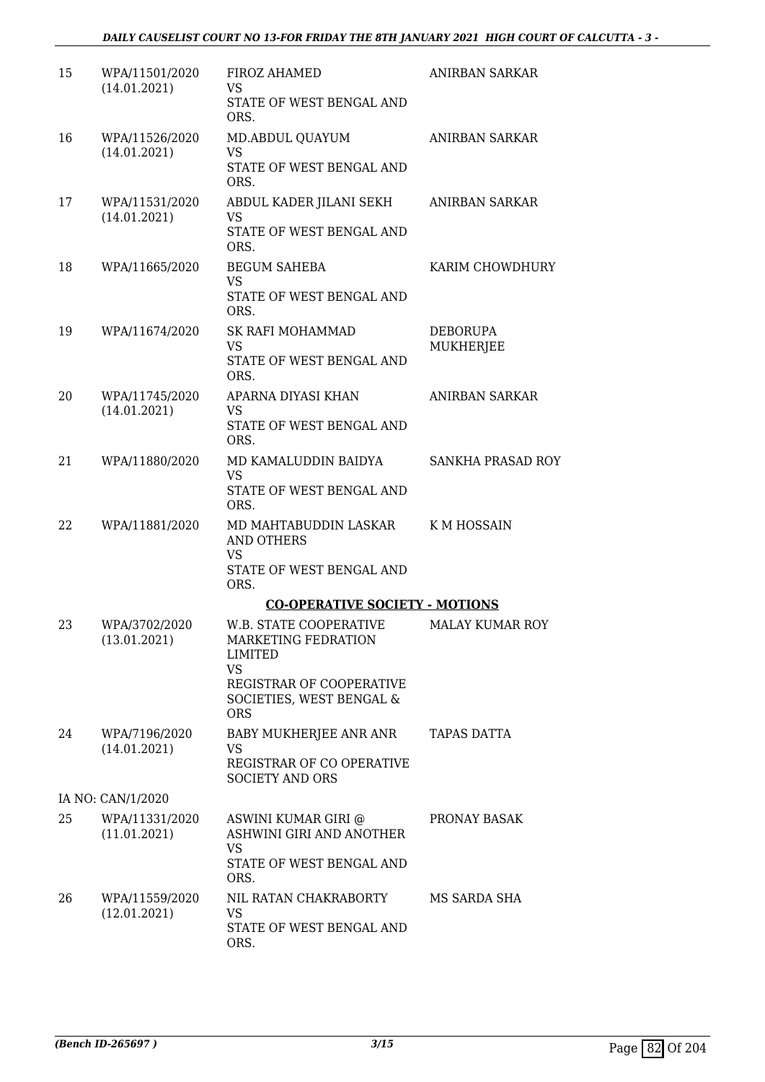| 15 | WPA/11501/2020<br>(14.01.2021) | FIROZ AHAMED<br>VS<br>STATE OF WEST BENGAL AND<br>ORS.                                                                               | ANIRBAN SARKAR           |
|----|--------------------------------|--------------------------------------------------------------------------------------------------------------------------------------|--------------------------|
| 16 | WPA/11526/2020<br>(14.01.2021) | MD.ABDUL QUAYUM<br>VS<br>STATE OF WEST BENGAL AND<br>ORS.                                                                            | ANIRBAN SARKAR           |
| 17 | WPA/11531/2020<br>(14.01.2021) | ABDUL KADER JILANI SEKH<br>VS<br>STATE OF WEST BENGAL AND<br>ORS.                                                                    | ANIRBAN SARKAR           |
| 18 | WPA/11665/2020                 | <b>BEGUM SAHEBA</b><br>VS.<br>STATE OF WEST BENGAL AND<br>ORS.                                                                       | KARIM CHOWDHURY          |
| 19 | WPA/11674/2020                 | SK RAFI MOHAMMAD<br><b>VS</b><br>STATE OF WEST BENGAL AND<br>ORS.                                                                    | DEBORUPA<br>MUKHERJEE    |
| 20 | WPA/11745/2020<br>(14.01.2021) | APARNA DIYASI KHAN<br>VS.<br>STATE OF WEST BENGAL AND<br>ORS.                                                                        | <b>ANIRBAN SARKAR</b>    |
| 21 | WPA/11880/2020                 | MD KAMALUDDIN BAIDYA<br>VS<br>STATE OF WEST BENGAL AND<br>ORS.                                                                       | <b>SANKHA PRASAD ROY</b> |
| 22 | WPA/11881/2020                 | MD MAHTABUDDIN LASKAR<br><b>AND OTHERS</b><br>VS<br>STATE OF WEST BENGAL AND<br>ORS.                                                 | K M HOSSAIN              |
|    |                                | <b>CO-OPERATIVE SOCIETY - MOTIONS</b>                                                                                                |                          |
| 23 | WPA/3702/2020<br>(13.01.2021)  | <b>W.B. STATE COOPERATIVE</b><br>MARKETING FEDRATION<br>LIMITED<br><b>VS</b><br>REGISTRAR OF COOPERATIVE<br>SOCIETIES, WEST BENGAL & | <b>MALAY KUMAR ROY</b>   |
|    |                                | <b>ORS</b>                                                                                                                           |                          |
| 24 | WPA/7196/2020<br>(14.01.2021)  | BABY MUKHERJEE ANR ANR<br>VS<br>REGISTRAR OF CO OPERATIVE<br><b>SOCIETY AND ORS</b>                                                  | <b>TAPAS DATTA</b>       |
|    | IA NO: CAN/1/2020              |                                                                                                                                      |                          |
| 25 | WPA/11331/2020<br>(11.01.2021) | ASWINI KUMAR GIRI @<br>ASHWINI GIRI AND ANOTHER<br><b>VS</b><br>STATE OF WEST BENGAL AND<br>ORS.                                     | PRONAY BASAK             |
| 26 | WPA/11559/2020<br>(12.01.2021) | NIL RATAN CHAKRABORTY<br>VS<br>STATE OF WEST BENGAL AND<br>ORS.                                                                      | MS SARDA SHA             |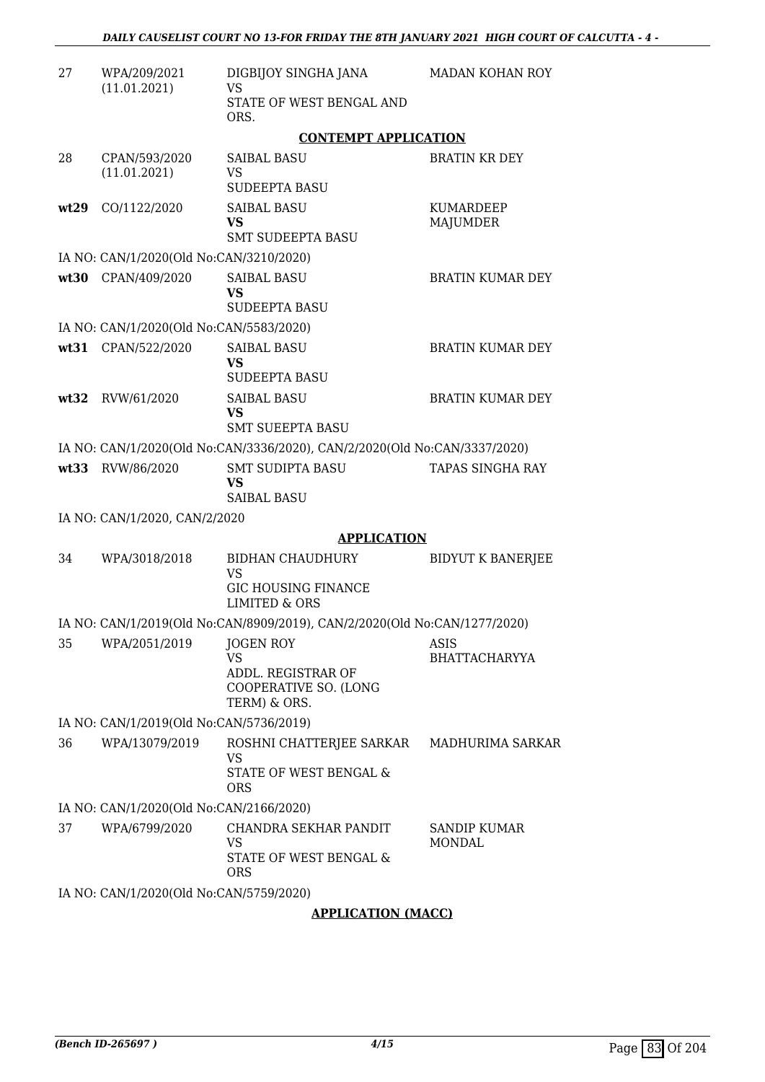| 27   | WPA/209/2021<br>(11.01.2021)            | DIGBIJOY SINGHA JANA<br><b>VS</b><br>STATE OF WEST BENGAL AND<br>ORS.<br><b>CONTEMPT APPLICATION</b> | <b>MADAN KOHAN ROY</b>        |  |
|------|-----------------------------------------|------------------------------------------------------------------------------------------------------|-------------------------------|--|
| 28   | CPAN/593/2020<br>(11.01.2021)           | <b>SAIBAL BASU</b><br><b>VS</b><br><b>SUDEEPTA BASU</b>                                              | <b>BRATIN KR DEY</b>          |  |
| wt29 | CO/1122/2020                            | <b>SAIBAL BASU</b><br><b>VS</b><br><b>SMT SUDEEPTA BASU</b>                                          | KUMARDEEP<br><b>MAJUMDER</b>  |  |
|      | IA NO: CAN/1/2020(Old No:CAN/3210/2020) |                                                                                                      |                               |  |
| wt30 | CPAN/409/2020                           | <b>SAIBAL BASU</b><br><b>VS</b><br><b>SUDEEPTA BASU</b>                                              | <b>BRATIN KUMAR DEY</b>       |  |
|      | IA NO: CAN/1/2020(Old No:CAN/5583/2020) |                                                                                                      |                               |  |
|      | wt31 CPAN/522/2020                      | <b>SAIBAL BASU</b><br><b>VS</b><br><b>SUDEEPTA BASU</b>                                              | <b>BRATIN KUMAR DEY</b>       |  |
| wt32 | RVW/61/2020                             | <b>SAIBAL BASU</b><br><b>VS</b><br><b>SMT SUEEPTA BASU</b>                                           | <b>BRATIN KUMAR DEY</b>       |  |
|      |                                         | IA NO: CAN/1/2020(Old No:CAN/3336/2020), CAN/2/2020(Old No:CAN/3337/2020)                            |                               |  |
| wt33 | RVW/86/2020                             | <b>SMT SUDIPTA BASU</b><br><b>VS</b><br><b>SAIBAL BASU</b>                                           | TAPAS SINGHA RAY              |  |
|      | IA NO: CAN/1/2020, CAN/2/2020           |                                                                                                      |                               |  |
|      |                                         | <b>APPLICATION</b>                                                                                   |                               |  |
| 34   | WPA/3018/2018                           | <b>BIDHAN CHAUDHURY</b><br><b>VS</b><br><b>GIC HOUSING FINANCE</b><br><b>LIMITED &amp; ORS</b>       | <b>BIDYUT K BANERJEE</b>      |  |
|      |                                         | IA NO: CAN/1/2019(Old No:CAN/8909/2019), CAN/2/2020(Old No:CAN/1277/2020)                            |                               |  |
| 35   | WPA/2051/2019                           | <b>JOGEN ROY</b><br><b>VS</b><br>ADDL. REGISTRAR OF<br>COOPERATIVE SO. (LONG<br>TERM) & ORS.         | ASIS<br><b>BHATTACHARYYA</b>  |  |
|      | IA NO: CAN/1/2019(Old No:CAN/5736/2019) |                                                                                                      |                               |  |
| 36   | WPA/13079/2019                          | ROSHNI CHATTERJEE SARKAR<br>VS<br>STATE OF WEST BENGAL &<br><b>ORS</b>                               | MADHURIMA SARKAR              |  |
|      | IA NO: CAN/1/2020(Old No:CAN/2166/2020) |                                                                                                      |                               |  |
| 37   | WPA/6799/2020                           | CHANDRA SEKHAR PANDIT<br><b>VS</b><br>STATE OF WEST BENGAL &<br><b>ORS</b>                           | SANDIP KUMAR<br><b>MONDAL</b> |  |
|      | IA NO: CAN/1/2020(Old No:CAN/5759/2020) |                                                                                                      |                               |  |

#### **APPLICATION (MACC)**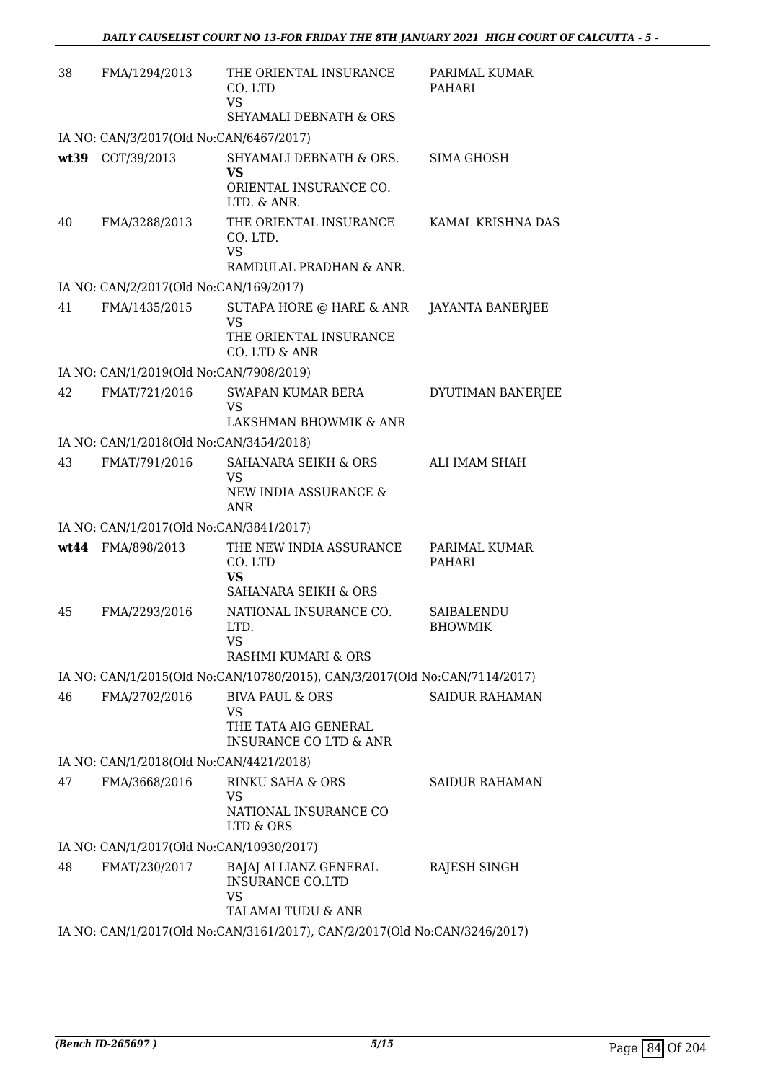| 38   | FMA/1294/2013                                            | THE ORIENTAL INSURANCE<br>CO. LTD<br><b>VS</b><br>SHYAMALI DEBNATH & ORS                      | PARIMAL KUMAR<br>PAHARI      |
|------|----------------------------------------------------------|-----------------------------------------------------------------------------------------------|------------------------------|
|      | IA NO: CAN/3/2017(Old No:CAN/6467/2017)                  |                                                                                               |                              |
| wt39 | COT/39/2013                                              | SHYAMALI DEBNATH & ORS.<br>VS<br>ORIENTAL INSURANCE CO.<br>LTD. & ANR.                        | <b>SIMA GHOSH</b>            |
| 40   | FMA/3288/2013                                            | THE ORIENTAL INSURANCE<br>CO. LTD.<br><b>VS</b><br>RAMDULAL PRADHAN & ANR.                    | KAMAL KRISHNA DAS            |
|      | IA NO: CAN/2/2017(Old No:CAN/169/2017)                   |                                                                                               |                              |
| 41   | FMA/1435/2015                                            | SUTAPA HORE @ HARE & ANR<br>VS<br>THE ORIENTAL INSURANCE<br>CO. LTD & ANR                     | JAYANTA BANERJEE             |
|      | IA NO: CAN/1/2019(Old No:CAN/7908/2019)                  |                                                                                               |                              |
| 42   | FMAT/721/2016                                            | SWAPAN KUMAR BERA<br><b>VS</b>                                                                | DYUTIMAN BANERJEE            |
|      |                                                          | LAKSHMAN BHOWMIK & ANR                                                                        |                              |
| 43   | IA NO: CAN/1/2018(Old No:CAN/3454/2018)<br>FMAT/791/2016 | SAHANARA SEIKH & ORS                                                                          | ALI IMAM SHAH                |
|      |                                                          | <b>VS</b><br>NEW INDIA ASSURANCE &<br><b>ANR</b>                                              |                              |
|      | IA NO: CAN/1/2017(Old No:CAN/3841/2017)                  |                                                                                               |                              |
|      | wt44 FMA/898/2013                                        | THE NEW INDIA ASSURANCE<br>CO. LTD<br><b>VS</b><br>SAHANARA SEIKH & ORS                       | PARIMAL KUMAR<br>PAHARI      |
| 45   | FMA/2293/2016                                            | NATIONAL INSURANCE CO.<br>LTD.<br>VS<br>RASHMI KUMARI & ORS                                   | SAIBALENDU<br><b>BHOWMIK</b> |
|      |                                                          | IA NO: CAN/1/2015(Old No:CAN/10780/2015), CAN/3/2017(Old No:CAN/7114/2017)                    |                              |
| 46   | FMA/2702/2016                                            | <b>BIVA PAUL &amp; ORS</b><br>VS<br>THE TATA AIG GENERAL<br><b>INSURANCE CO LTD &amp; ANR</b> | SAIDUR RAHAMAN               |
|      | IA NO: CAN/1/2018(Old No:CAN/4421/2018)                  |                                                                                               |                              |
| 47   | FMA/3668/2016                                            | RINKU SAHA & ORS<br>VS                                                                        | <b>SAIDUR RAHAMAN</b>        |
|      |                                                          | NATIONAL INSURANCE CO<br>LTD & ORS                                                            |                              |
|      | IA NO: CAN/1/2017(Old No:CAN/10930/2017)                 |                                                                                               |                              |
| 48   | FMAT/230/2017                                            | BAJAJ ALLIANZ GENERAL<br><b>INSURANCE CO.LTD</b><br>VS<br>TALAMAI TUDU & ANR                  | RAJESH SINGH                 |
|      |                                                          | IA NO: CAN/1/2017(Old No:CAN/3161/2017), CAN/2/2017(Old No:CAN/3246/2017)                     |                              |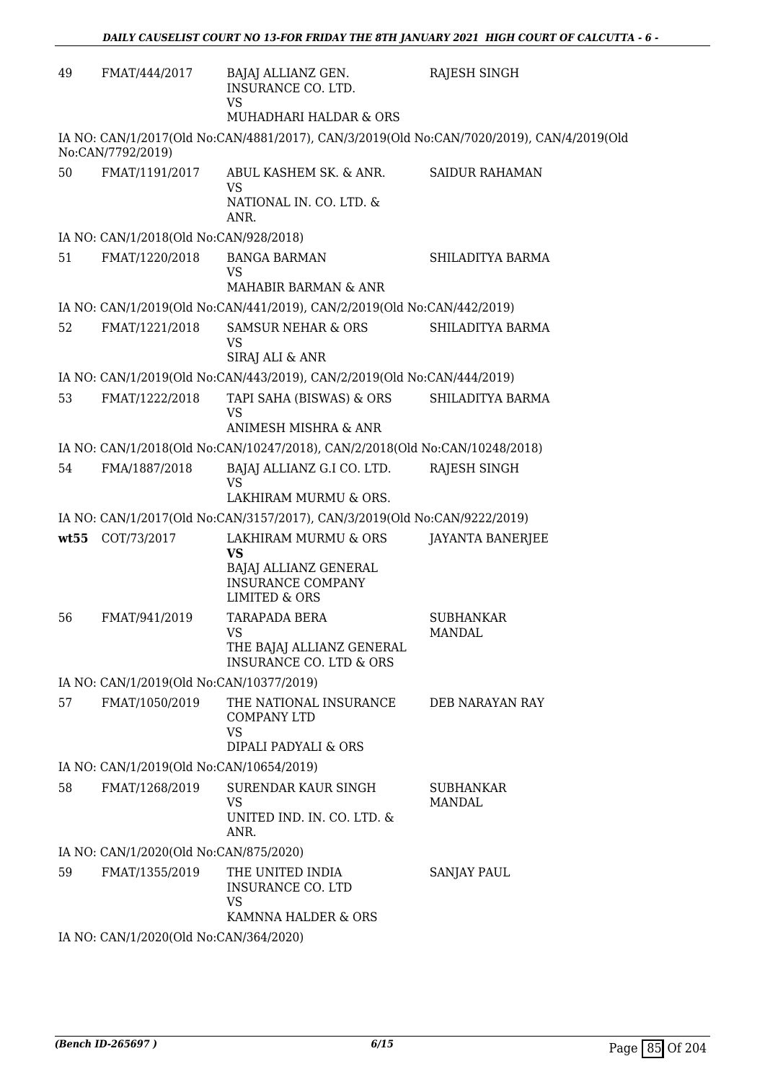| 49 | FMAT/444/2017                            | BAJAJ ALLIANZ GEN.<br>INSURANCE CO. LTD.<br><b>VS</b>                            | RAJESH SINGH                                                                              |
|----|------------------------------------------|----------------------------------------------------------------------------------|-------------------------------------------------------------------------------------------|
|    |                                          | MUHADHARI HALDAR & ORS                                                           |                                                                                           |
|    | No:CAN/7792/2019)                        |                                                                                  | IA NO: CAN/1/2017(Old No:CAN/4881/2017), CAN/3/2019(Old No:CAN/7020/2019), CAN/4/2019(Old |
| 50 | FMAT/1191/2017                           | ABUL KASHEM SK. & ANR.<br><b>VS</b>                                              | <b>SAIDUR RAHAMAN</b>                                                                     |
|    |                                          | NATIONAL IN. CO. LTD. &<br>ANR.                                                  |                                                                                           |
|    | IA NO: CAN/1/2018(Old No:CAN/928/2018)   |                                                                                  |                                                                                           |
| 51 | FMAT/1220/2018                           | <b>BANGA BARMAN</b><br><b>VS</b>                                                 | SHILADITYA BARMA                                                                          |
|    |                                          | MAHABIR BARMAN & ANR                                                             |                                                                                           |
|    |                                          | IA NO: CAN/1/2019(Old No:CAN/441/2019), CAN/2/2019(Old No:CAN/442/2019)          |                                                                                           |
| 52 | FMAT/1221/2018                           | <b>SAMSUR NEHAR &amp; ORS</b><br><b>VS</b><br>SIRAJ ALI & ANR                    | SHILADITYA BARMA                                                                          |
|    |                                          |                                                                                  |                                                                                           |
|    |                                          | IA NO: CAN/1/2019(Old No:CAN/443/2019), CAN/2/2019(Old No:CAN/444/2019)          |                                                                                           |
| 53 | FMAT/1222/2018                           | TAPI SAHA (BISWAS) & ORS<br><b>VS</b><br>ANIMESH MISHRA & ANR                    | SHILADITYA BARMA                                                                          |
|    |                                          | IA NO: CAN/1/2018(Old No:CAN/10247/2018), CAN/2/2018(Old No:CAN/10248/2018)      |                                                                                           |
| 54 | FMA/1887/2018                            | BAJAJ ALLIANZ G.I CO. LTD.                                                       | RAJESH SINGH                                                                              |
|    |                                          | <b>VS</b><br>LAKHIRAM MURMU & ORS.                                               |                                                                                           |
|    |                                          | IA NO: CAN/1/2017(Old No:CAN/3157/2017), CAN/3/2019(Old No:CAN/9222/2019)        |                                                                                           |
|    | wt55 COT/73/2017                         | LAKHIRAM MURMU & ORS                                                             | <b>JAYANTA BANERJEE</b>                                                                   |
|    |                                          | <b>VS</b>                                                                        |                                                                                           |
|    |                                          | BAJAJ ALLIANZ GENERAL<br><b>INSURANCE COMPANY</b><br><b>LIMITED &amp; ORS</b>    |                                                                                           |
| 56 | FMAT/941/2019                            | <b>TARAPADA BERA</b>                                                             | <b>SUBHANKAR</b>                                                                          |
|    |                                          | VS<br>THE BAJAJ ALLIANZ GENERAL                                                  | MANDAL                                                                                    |
|    |                                          | <b>INSURANCE CO. LTD &amp; ORS</b>                                               |                                                                                           |
|    | IA NO: CAN/1/2019(Old No:CAN/10377/2019) |                                                                                  |                                                                                           |
| 57 | FMAT/1050/2019                           | THE NATIONAL INSURANCE<br>COMPANY LTD<br>VS<br>DIPALI PADYALI & ORS              | DEB NARAYAN RAY                                                                           |
|    | IA NO: CAN/1/2019(Old No:CAN/10654/2019) |                                                                                  |                                                                                           |
| 58 | FMAT/1268/2019                           | SURENDAR KAUR SINGH                                                              | <b>SUBHANKAR</b>                                                                          |
|    |                                          | <b>VS</b><br>UNITED IND. IN. CO. LTD. &                                          | MANDAL                                                                                    |
|    |                                          | ANR.                                                                             |                                                                                           |
|    | IA NO: CAN/1/2020(Old No:CAN/875/2020)   |                                                                                  |                                                                                           |
| 59 | FMAT/1355/2019                           | THE UNITED INDIA<br><b>INSURANCE CO. LTD</b><br><b>VS</b><br>KAMNNA HALDER & ORS | <b>SANJAY PAUL</b>                                                                        |
|    | IA NO: CAN/1/2020(Old No:CAN/364/2020)   |                                                                                  |                                                                                           |
|    |                                          |                                                                                  |                                                                                           |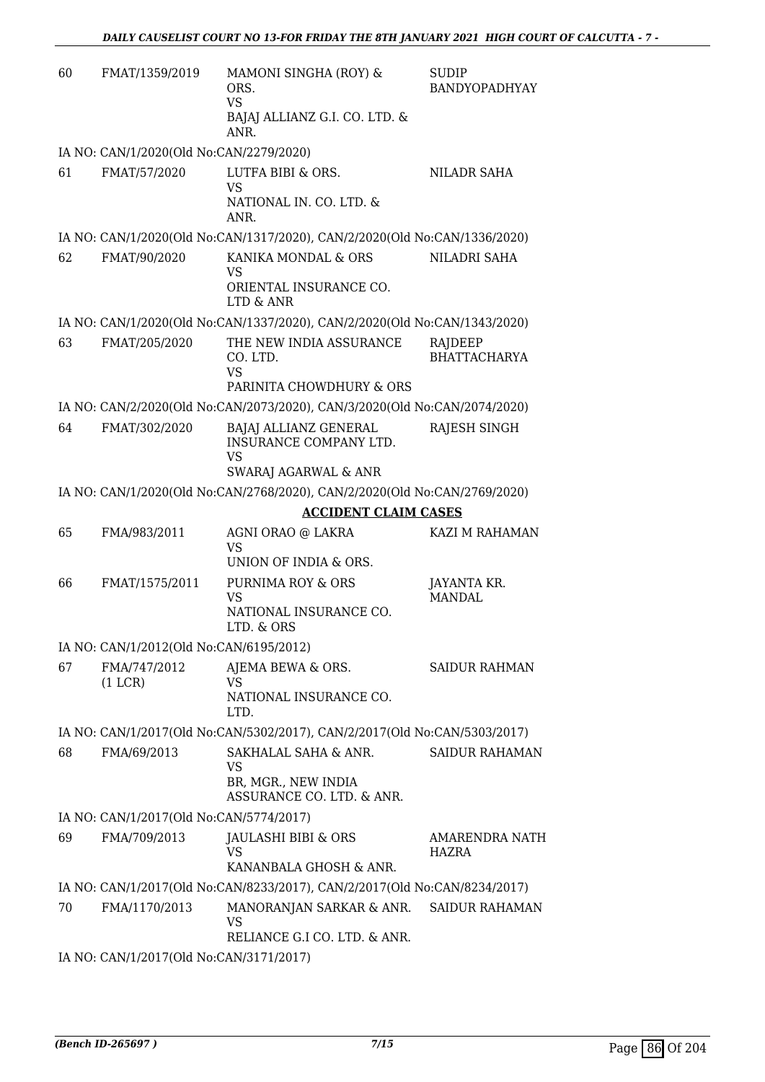| 60 | FMAT/1359/2019                                          | MAMONI SINGHA (ROY) &<br>ORS.<br>VS.<br>BAJAJ ALLIANZ G.I. CO. LTD. &<br>ANR.                                                                      | SUDIP<br>BANDYOPADHYAY         |
|----|---------------------------------------------------------|----------------------------------------------------------------------------------------------------------------------------------------------------|--------------------------------|
|    | IA NO: CAN/1/2020(Old No:CAN/2279/2020)                 |                                                                                                                                                    |                                |
| 61 | FMAT/57/2020                                            | LUTFA BIBI & ORS.<br>VS<br>NATIONAL IN. CO. LTD. &<br>ANR.                                                                                         | <b>NILADR SAHA</b>             |
|    |                                                         | IA NO: CAN/1/2020(Old No:CAN/1317/2020), CAN/2/2020(Old No:CAN/1336/2020)                                                                          |                                |
| 62 | FMAT/90/2020                                            | KANIKA MONDAL & ORS<br>VS<br>ORIENTAL INSURANCE CO.<br>LTD & ANR                                                                                   | NILADRI SAHA                   |
|    |                                                         | IA NO: CAN/1/2020(Old No:CAN/1337/2020), CAN/2/2020(Old No:CAN/1343/2020)                                                                          |                                |
| 63 | FMAT/205/2020                                           | THE NEW INDIA ASSURANCE<br>CO. LTD.<br><b>VS</b><br>PARINITA CHOWDHURY & ORS                                                                       | RAJDEEP<br><b>BHATTACHARYA</b> |
|    |                                                         | IA NO: CAN/2/2020(Old No:CAN/2073/2020), CAN/3/2020(Old No:CAN/2074/2020)                                                                          |                                |
| 64 | FMAT/302/2020                                           | BAJAJ ALLIANZ GENERAL<br>INSURANCE COMPANY LTD.<br>VS                                                                                              | RAJESH SINGH                   |
|    |                                                         | SWARAJ AGARWAL & ANR                                                                                                                               |                                |
|    |                                                         | IA NO: CAN/1/2020(Old No:CAN/2768/2020), CAN/2/2020(Old No:CAN/2769/2020)<br><b>ACCIDENT CLAIM CASES</b>                                           |                                |
| 65 | FMA/983/2011                                            | AGNI ORAO @ LAKRA<br><b>VS</b>                                                                                                                     | KAZI M RAHAMAN                 |
| 66 | FMAT/1575/2011                                          | UNION OF INDIA & ORS.<br>PURNIMA ROY & ORS<br><b>VS</b><br>NATIONAL INSURANCE CO.<br>LTD. & ORS                                                    | JAYANTA KR.<br><b>MANDAL</b>   |
|    | IA NO: CAN/1/2012(Old No:CAN/6195/2012)                 |                                                                                                                                                    |                                |
| 67 | FMA/747/2012                                            | AJEMA BEWA & ORS.                                                                                                                                  | SAIDUR RAHMAN                  |
|    | (1 LCR)                                                 | VS<br>NATIONAL INSURANCE CO.                                                                                                                       |                                |
|    |                                                         | LTD.<br>IA NO: CAN/1/2017(Old No:CAN/5302/2017), CAN/2/2017(Old No:CAN/5303/2017)                                                                  |                                |
| 68 | FMA/69/2013                                             | SAKHALAL SAHA & ANR.<br>VS<br>BR, MGR., NEW INDIA                                                                                                  | <b>SAIDUR RAHAMAN</b>          |
|    |                                                         | ASSURANCE CO. LTD. & ANR.                                                                                                                          |                                |
| 69 | IA NO: CAN/1/2017(Old No:CAN/5774/2017)<br>FMA/709/2013 | JAULASHI BIBI & ORS<br>VS                                                                                                                          | HAZRA                          |
|    |                                                         | KANANBALA GHOSH & ANR.                                                                                                                             | AMARENDRA NATH                 |
| 70 | FMA/1170/2013                                           | IA NO: CAN/1/2017(Old No:CAN/8233/2017), CAN/2/2017(Old No:CAN/8234/2017)<br>MANORANJAN SARKAR & ANR.<br><b>VS</b><br>RELIANCE G.I CO. LTD. & ANR. | <b>SAIDUR RAHAMAN</b>          |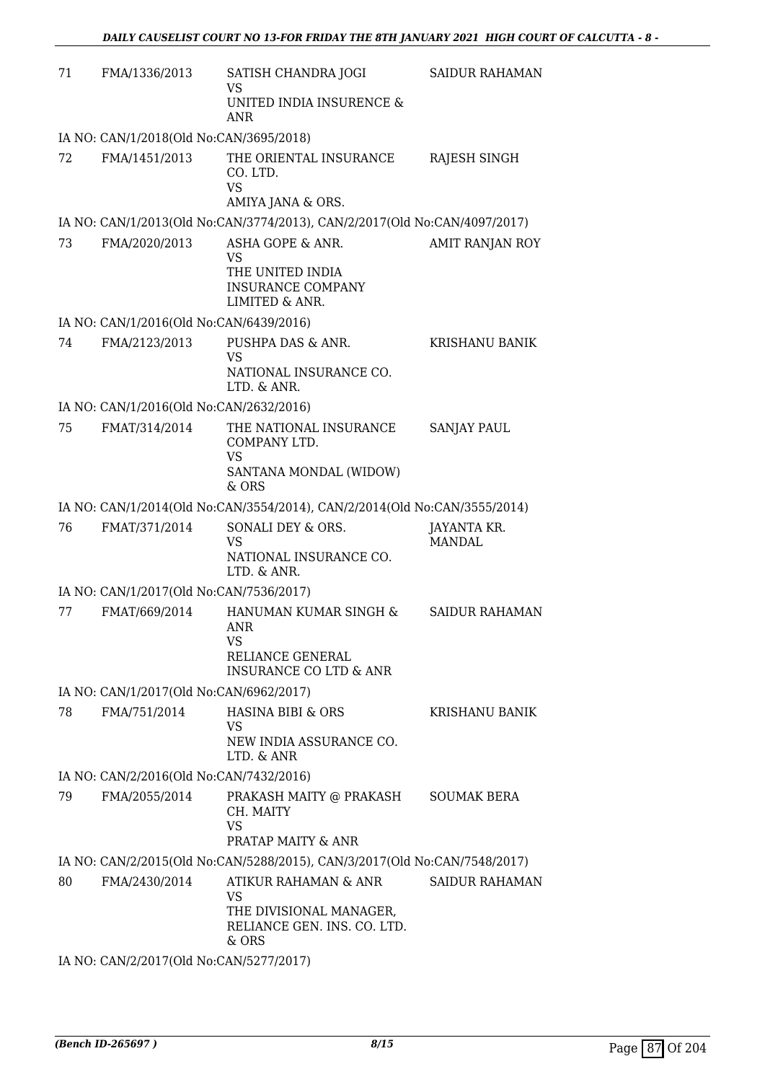| 71 | FMA/1336/2013                           | SATISH CHANDRA JOGI<br>VS<br>UNITED INDIA INSURENCE &<br>ANR                                              | SAIDUR RAHAMAN               |
|----|-----------------------------------------|-----------------------------------------------------------------------------------------------------------|------------------------------|
|    | IA NO: CAN/1/2018(Old No:CAN/3695/2018) |                                                                                                           |                              |
| 72 | FMA/1451/2013                           | THE ORIENTAL INSURANCE<br>CO. LTD.<br><b>VS</b>                                                           | RAJESH SINGH                 |
|    |                                         | AMIYA JANA & ORS.<br>IA NO: CAN/1/2013(Old No:CAN/3774/2013), CAN/2/2017(Old No:CAN/4097/2017)            |                              |
| 73 | FMA/2020/2013                           | ASHA GOPE & ANR.                                                                                          | AMIT RANJAN ROY              |
|    |                                         | <b>VS</b><br>THE UNITED INDIA<br><b>INSURANCE COMPANY</b><br>LIMITED & ANR.                               |                              |
|    | IA NO: CAN/1/2016(Old No:CAN/6439/2016) |                                                                                                           |                              |
| 74 | FMA/2123/2013                           | PUSHPA DAS & ANR.<br><b>VS</b>                                                                            | <b>KRISHANU BANIK</b>        |
|    |                                         | NATIONAL INSURANCE CO.<br>LTD. & ANR.                                                                     |                              |
|    | IA NO: CAN/1/2016(Old No:CAN/2632/2016) |                                                                                                           |                              |
| 75 | FMAT/314/2014                           | THE NATIONAL INSURANCE<br>COMPANY LTD.<br><b>VS</b><br>SANTANA MONDAL (WIDOW)                             | <b>SANJAY PAUL</b>           |
|    |                                         | $&$ ORS                                                                                                   |                              |
|    |                                         | IA NO: CAN/1/2014(Old No:CAN/3554/2014), CAN/2/2014(Old No:CAN/3555/2014)                                 |                              |
| 76 | FMAT/371/2014                           | SONALI DEY & ORS.<br><b>VS</b><br>NATIONAL INSURANCE CO.<br>LTD. & ANR.                                   | JAYANTA KR.<br><b>MANDAL</b> |
|    | IA NO: CAN/1/2017(Old No:CAN/7536/2017) |                                                                                                           |                              |
| 77 | FMAT/669/2014                           | HANUMAN KUMAR SINGH &<br><b>ANR</b><br>VS<br><b>RELIANCE GENERAL</b><br><b>INSURANCE CO LTD &amp; ANR</b> | <b>SAIDUR RAHAMAN</b>        |
|    | IA NO: CAN/1/2017(Old No:CAN/6962/2017) |                                                                                                           |                              |
| 78 | FMA/751/2014                            | HASINA BIBI & ORS<br>VS<br>NEW INDIA ASSURANCE CO.<br>LTD. & ANR                                          | KRISHANU BANIK               |
|    | IA NO: CAN/2/2016(Old No:CAN/7432/2016) |                                                                                                           |                              |
| 79 | FMA/2055/2014                           | PRAKASH MAITY @ PRAKASH<br>CH. MAITY<br><b>VS</b>                                                         | <b>SOUMAK BERA</b>           |
|    |                                         | PRATAP MAITY & ANR                                                                                        |                              |
|    |                                         | IA NO: CAN/2/2015(Old No:CAN/5288/2015), CAN/3/2017(Old No:CAN/7548/2017)                                 |                              |
| 80 | FMA/2430/2014                           | ATIKUR RAHAMAN & ANR<br>VS<br>THE DIVISIONAL MANAGER,<br>RELIANCE GEN. INS. CO. LTD.<br>& ORS             | <b>SAIDUR RAHAMAN</b>        |
|    |                                         |                                                                                                           |                              |

IA NO: CAN/2/2017(Old No:CAN/5277/2017)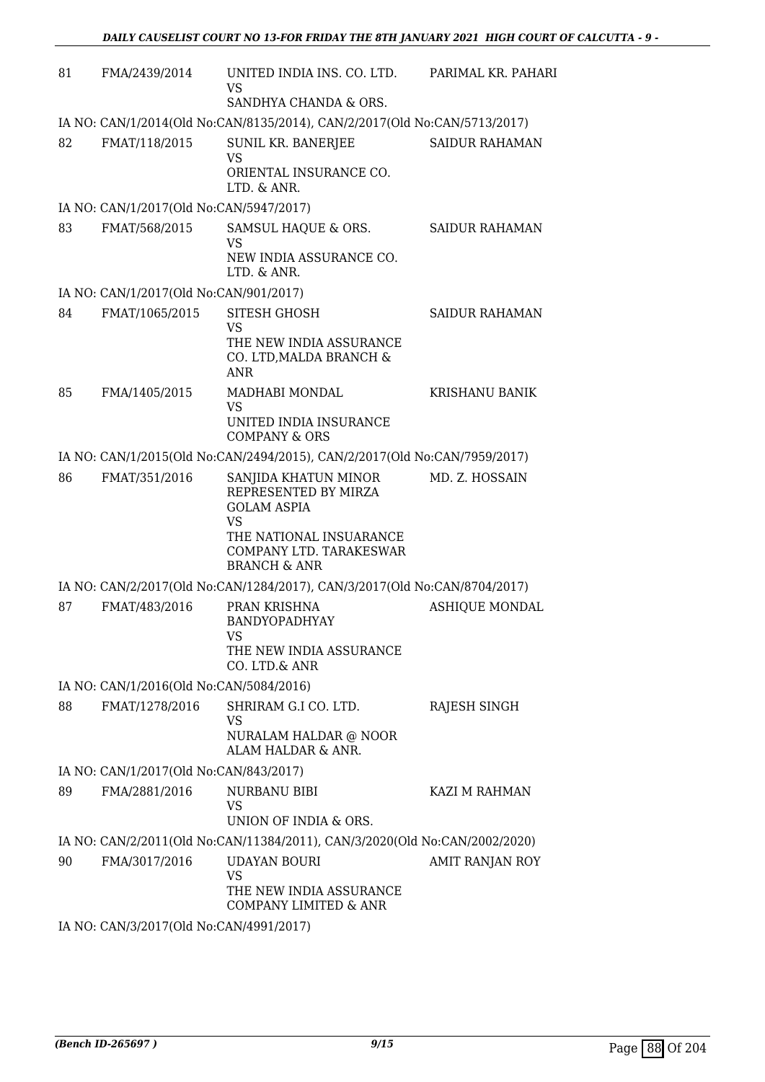| 81 | FMA/2439/2014                           | UNITED INDIA INS. CO. LTD.<br><b>VS</b>                                                                                                                          | PARIMAL KR. PAHARI    |
|----|-----------------------------------------|------------------------------------------------------------------------------------------------------------------------------------------------------------------|-----------------------|
|    |                                         | SANDHYA CHANDA & ORS.                                                                                                                                            |                       |
| 82 | FMAT/118/2015                           | IA NO: CAN/1/2014(Old No:CAN/8135/2014), CAN/2/2017(Old No:CAN/5713/2017)<br>SUNIL KR. BANERJEE<br><b>VS</b><br>ORIENTAL INSURANCE CO.                           | <b>SAIDUR RAHAMAN</b> |
|    |                                         | LTD. & ANR.                                                                                                                                                      |                       |
|    | IA NO: CAN/1/2017(Old No:CAN/5947/2017) |                                                                                                                                                                  |                       |
| 83 | FMAT/568/2015                           | SAMSUL HAQUE & ORS.<br><b>VS</b><br>NEW INDIA ASSURANCE CO.<br>LTD. & ANR.                                                                                       | <b>SAIDUR RAHAMAN</b> |
|    | IA NO: CAN/1/2017(Old No:CAN/901/2017)  |                                                                                                                                                                  |                       |
| 84 | FMAT/1065/2015                          | <b>SITESH GHOSH</b><br><b>VS</b><br>THE NEW INDIA ASSURANCE<br>CO. LTD, MALDA BRANCH &<br><b>ANR</b>                                                             | <b>SAIDUR RAHAMAN</b> |
| 85 | FMA/1405/2015                           | MADHABI MONDAL                                                                                                                                                   | KRISHANU BANIK        |
|    |                                         | <b>VS</b><br>UNITED INDIA INSURANCE<br><b>COMPANY &amp; ORS</b>                                                                                                  |                       |
|    |                                         | IA NO: CAN/1/2015(Old No:CAN/2494/2015), CAN/2/2017(Old No:CAN/7959/2017)                                                                                        |                       |
| 86 | FMAT/351/2016                           | SANJIDA KHATUN MINOR<br>REPRESENTED BY MIRZA<br><b>GOLAM ASPIA</b><br><b>VS</b><br>THE NATIONAL INSUARANCE<br>COMPANY LTD. TARAKESWAR<br><b>BRANCH &amp; ANR</b> | MD. Z. HOSSAIN        |
|    |                                         | IA NO: CAN/2/2017(Old No:CAN/1284/2017), CAN/3/2017(Old No:CAN/8704/2017)                                                                                        |                       |
| 87 | FMAT/483/2016                           | PRAN KRISHNA<br><b>BANDYOPADHYAY</b><br>VS.<br>THE NEW INDIA ASSURANCE<br>CO. LTD.& ANR                                                                          | <b>ASHIQUE MONDAL</b> |
|    | IA NO: CAN/1/2016(Old No:CAN/5084/2016) |                                                                                                                                                                  |                       |
| 88 | FMAT/1278/2016                          | SHRIRAM G.I CO. LTD.<br>VS<br>NURALAM HALDAR @ NOOR<br>ALAM HALDAR & ANR.                                                                                        | RAJESH SINGH          |
|    | IA NO: CAN/1/2017(Old No:CAN/843/2017)  |                                                                                                                                                                  |                       |
| 89 | FMA/2881/2016                           | NURBANU BIBI<br>VS<br>UNION OF INDIA & ORS.                                                                                                                      | KAZI M RAHMAN         |
|    |                                         | IA NO: CAN/2/2011(Old No:CAN/11384/2011), CAN/3/2020(Old No:CAN/2002/2020)                                                                                       |                       |
| 90 | FMA/3017/2016                           | <b>UDAYAN BOURI</b><br><b>VS</b><br>THE NEW INDIA ASSURANCE<br>COMPANY LIMITED & ANR                                                                             | AMIT RANJAN ROY       |
|    | IA NO: CAN/3/2017(Old No:CAN/4991/2017) |                                                                                                                                                                  |                       |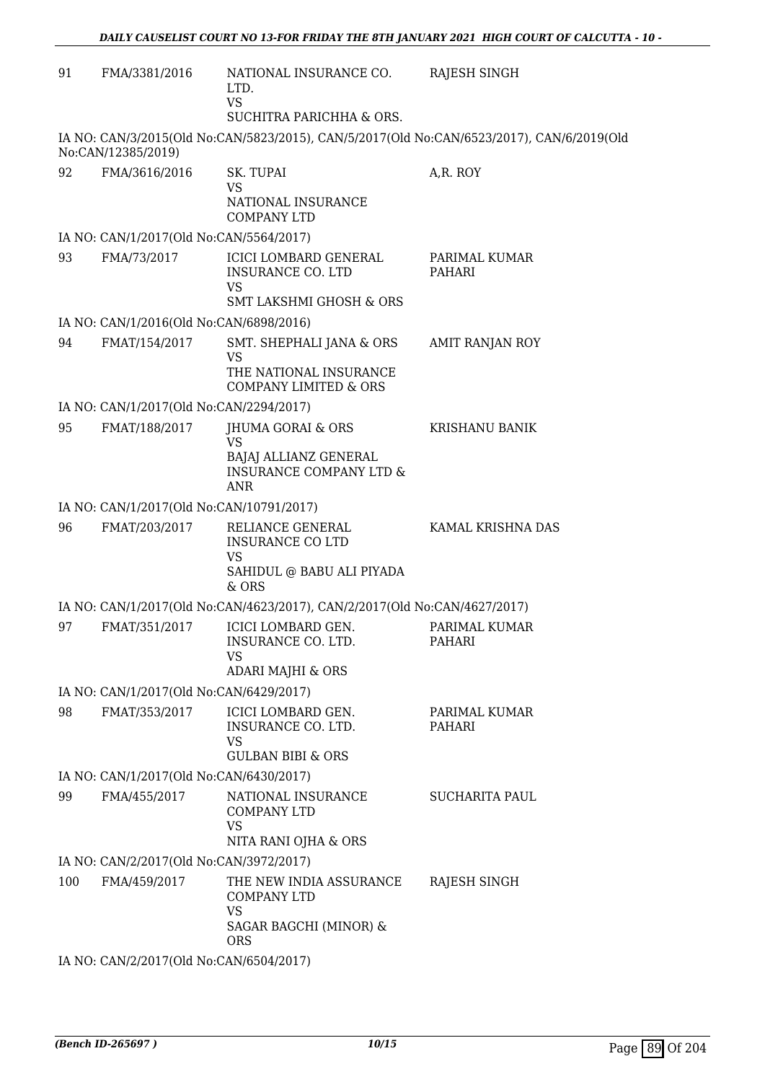| 91  | FMA/3381/2016                            | NATIONAL INSURANCE CO.<br>LTD.<br><b>VS</b><br>SUCHITRA PARICHHA & ORS.                             | RAJESH SINGH                                                                              |
|-----|------------------------------------------|-----------------------------------------------------------------------------------------------------|-------------------------------------------------------------------------------------------|
|     |                                          |                                                                                                     | IA NO: CAN/3/2015(Old No:CAN/5823/2015), CAN/5/2017(Old No:CAN/6523/2017), CAN/6/2019(Old |
| 92  | No:CAN/12385/2019)<br>FMA/3616/2016      | SK. TUPAI<br><b>VS</b><br>NATIONAL INSURANCE<br><b>COMPANY LTD</b>                                  | A,R. ROY                                                                                  |
|     | IA NO: CAN/1/2017(Old No:CAN/5564/2017)  |                                                                                                     |                                                                                           |
| 93  | FMA/73/2017                              | <b>ICICI LOMBARD GENERAL</b><br>INSURANCE CO. LTD                                                   | PARIMAL KUMAR<br>PAHARI                                                                   |
|     |                                          | <b>VS</b><br><b>SMT LAKSHMI GHOSH &amp; ORS</b>                                                     |                                                                                           |
|     | IA NO: CAN/1/2016(Old No:CAN/6898/2016)  |                                                                                                     |                                                                                           |
| 94  | FMAT/154/2017                            | SMT. SHEPHALI JANA & ORS<br><b>VS</b><br>THE NATIONAL INSURANCE<br><b>COMPANY LIMITED &amp; ORS</b> | AMIT RANJAN ROY                                                                           |
|     | IA NO: CAN/1/2017(Old No:CAN/2294/2017)  |                                                                                                     |                                                                                           |
| 95  | FMAT/188/2017                            | <b>JHUMA GORAI &amp; ORS</b>                                                                        | <b>KRISHANU BANIK</b>                                                                     |
|     |                                          | VS<br>BAJAJ ALLIANZ GENERAL<br><b>INSURANCE COMPANY LTD &amp;</b><br><b>ANR</b>                     |                                                                                           |
|     | IA NO: CAN/1/2017(Old No:CAN/10791/2017) |                                                                                                     |                                                                                           |
| 96  | FMAT/203/2017                            | RELIANCE GENERAL<br><b>INSURANCE CO LTD</b><br>VS                                                   | KAMAL KRISHNA DAS                                                                         |
|     |                                          | SAHIDUL @ BABU ALI PIYADA<br>& ORS                                                                  |                                                                                           |
|     |                                          | IA NO: CAN/1/2017(Old No:CAN/4623/2017), CAN/2/2017(Old No:CAN/4627/2017)                           |                                                                                           |
| 97  | FMAT/351/2017                            | ICICI LOMBARD GEN.<br>INSURANCE CO. LTD.<br>VS.<br>ADARI MAJHI & ORS                                | PARIMAL KUMAR<br>PAHARI                                                                   |
|     | IA NO: CAN/1/2017(Old No:CAN/6429/2017)  |                                                                                                     |                                                                                           |
| 98  | FMAT/353/2017                            | ICICI LOMBARD GEN.<br>INSURANCE CO. LTD.<br>VS                                                      | PARIMAL KUMAR<br>PAHARI                                                                   |
|     |                                          | <b>GULBAN BIBI &amp; ORS</b>                                                                        |                                                                                           |
|     | IA NO: CAN/1/2017(Old No:CAN/6430/2017)  |                                                                                                     |                                                                                           |
| 99  | FMA/455/2017                             | NATIONAL INSURANCE<br><b>COMPANY LTD</b><br><b>VS</b><br>NITA RANI OJHA & ORS                       | <b>SUCHARITA PAUL</b>                                                                     |
|     | IA NO: CAN/2/2017(Old No:CAN/3972/2017)  |                                                                                                     |                                                                                           |
| 100 | FMA/459/2017                             | THE NEW INDIA ASSURANCE<br><b>COMPANY LTD</b><br><b>VS</b>                                          | RAJESH SINGH                                                                              |
|     |                                          | SAGAR BAGCHI (MINOR) &<br><b>ORS</b>                                                                |                                                                                           |
|     | IA NO: CAN/2/2017(Old No:CAN/6504/2017)  |                                                                                                     |                                                                                           |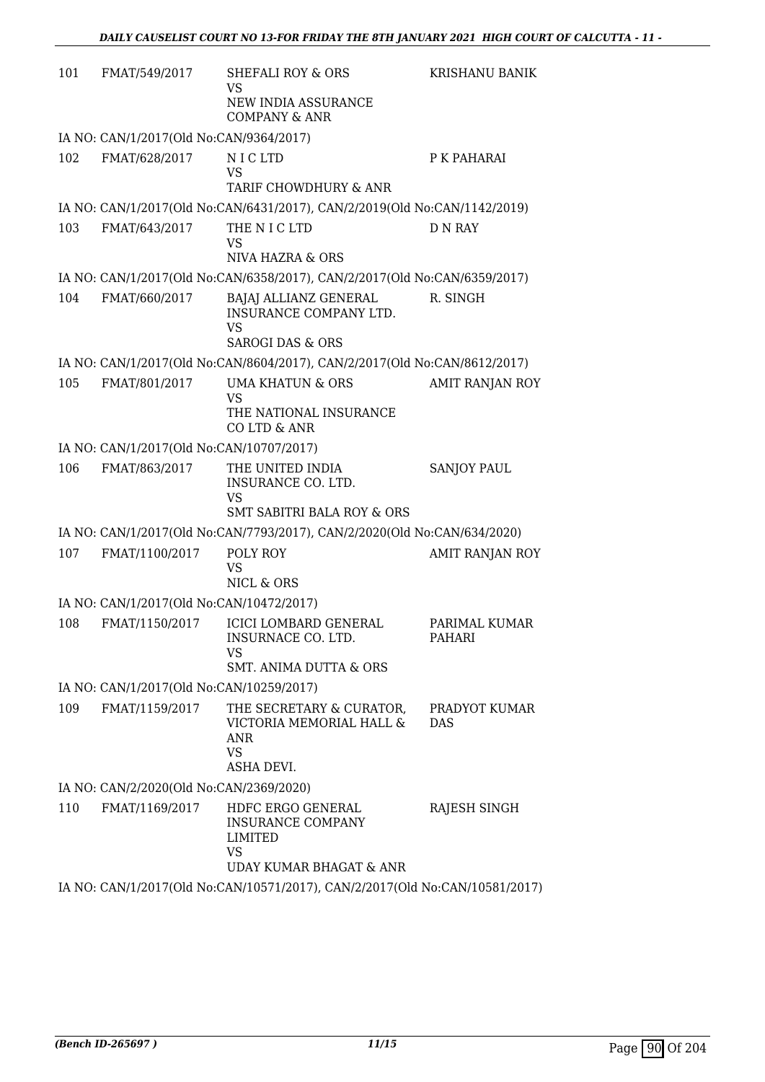| 101 | FMAT/549/2017                            | SHEFALI ROY & ORS<br>VS<br>NEW INDIA ASSURANCE                                                          | KRISHANU BANIK              |
|-----|------------------------------------------|---------------------------------------------------------------------------------------------------------|-----------------------------|
|     | IA NO: CAN/1/2017(Old No:CAN/9364/2017)  | <b>COMPANY &amp; ANR</b>                                                                                |                             |
| 102 | FMAT/628/2017                            | N I C LTD<br>VS<br>TARIF CHOWDHURY & ANR                                                                | P K PAHARAI                 |
|     |                                          | IA NO: CAN/1/2017(Old No:CAN/6431/2017), CAN/2/2019(Old No:CAN/1142/2019)                               |                             |
| 103 | FMAT/643/2017                            | THE N I C LTD<br>VS<br>NIVA HAZRA & ORS                                                                 | <b>D N RAY</b>              |
|     |                                          | IA NO: CAN/1/2017(Old No:CAN/6358/2017), CAN/2/2017(Old No:CAN/6359/2017)                               |                             |
| 104 | FMAT/660/2017                            | BAJAJ ALLIANZ GENERAL<br>INSURANCE COMPANY LTD.<br><b>VS</b><br><b>SAROGI DAS &amp; ORS</b>             | R. SINGH                    |
|     |                                          | IA NO: CAN/1/2017(Old No:CAN/8604/2017), CAN/2/2017(Old No:CAN/8612/2017)                               |                             |
| 105 | FMAT/801/2017                            | <b>UMA KHATUN &amp; ORS</b><br><b>VS</b><br>THE NATIONAL INSURANCE<br>CO LTD & ANR                      | <b>AMIT RANJAN ROY</b>      |
|     | IA NO: CAN/1/2017(Old No:CAN/10707/2017) |                                                                                                         |                             |
| 106 | FMAT/863/2017                            | THE UNITED INDIA<br>INSURANCE CO. LTD.<br><b>VS</b><br><b>SMT SABITRI BALA ROY &amp; ORS</b>            | <b>SANJOY PAUL</b>          |
|     |                                          | IA NO: CAN/1/2017(Old No:CAN/7793/2017), CAN/2/2020(Old No:CAN/634/2020)                                |                             |
| 107 | FMAT/1100/2017                           | POLY ROY<br><b>VS</b><br>NICL & ORS                                                                     | AMIT RANJAN ROY             |
|     | IA NO: CAN/1/2017(Old No:CAN/10472/2017) |                                                                                                         |                             |
| 108 | FMAT/1150/2017                           | <b>ICICI LOMBARD GENERAL</b><br>INSURNACE CO. LTD.<br>VS<br><b>SMT. ANIMA DUTTA &amp; ORS</b>           | PARIMAL KUMAR<br>PAHARI     |
|     | IA NO: CAN/1/2017(Old No:CAN/10259/2017) |                                                                                                         |                             |
| 109 | FMAT/1159/2017                           | THE SECRETARY & CURATOR,<br>VICTORIA MEMORIAL HALL &<br><b>ANR</b><br><b>VS</b><br>ASHA DEVI.           | PRADYOT KUMAR<br><b>DAS</b> |
|     | IA NO: CAN/2/2020(Old No:CAN/2369/2020)  |                                                                                                         |                             |
| 110 | FMAT/1169/2017                           | HDFC ERGO GENERAL<br><b>INSURANCE COMPANY</b><br><b>LIMITED</b><br><b>VS</b><br>UDAY KUMAR BHAGAT & ANR | RAJESH SINGH                |
|     |                                          | IA NO: CAN/1/2017(Old No:CAN/10571/2017), CAN/2/2017(Old No:CAN/10581/2017)                             |                             |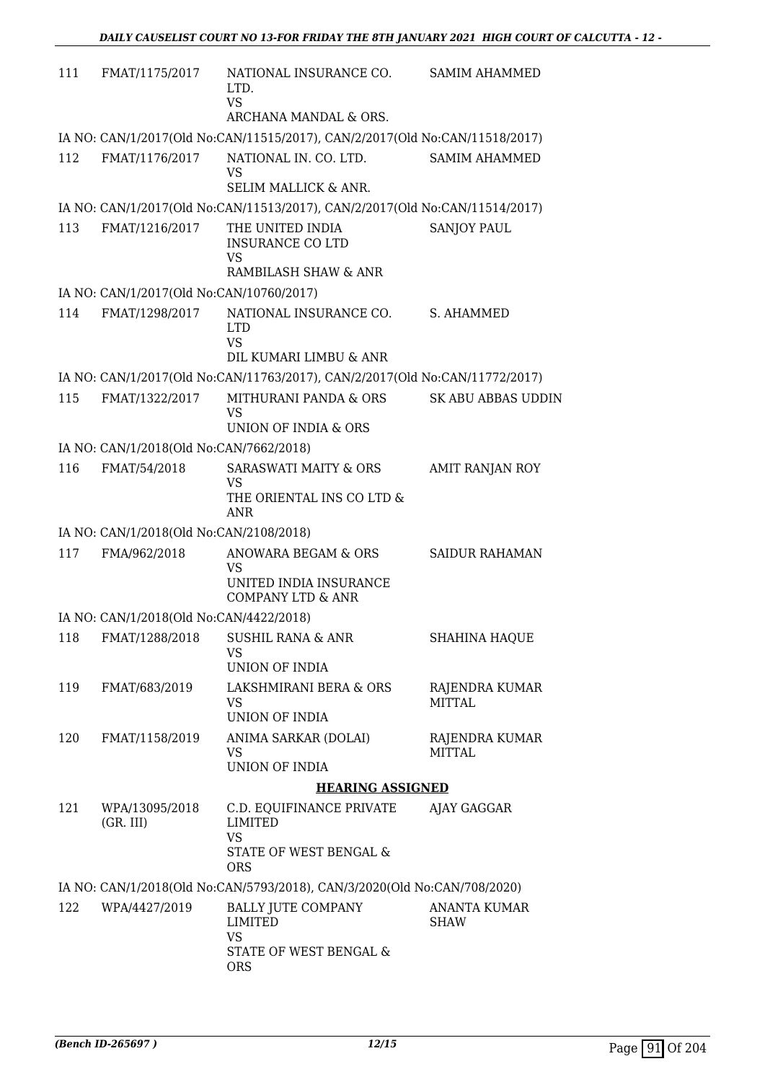| 111 | FMAT/1175/2017                           | NATIONAL INSURANCE CO.<br>LTD.<br><b>VS</b>                                 | <b>SAMIM AHAMMED</b>               |
|-----|------------------------------------------|-----------------------------------------------------------------------------|------------------------------------|
|     |                                          | ARCHANA MANDAL & ORS.                                                       |                                    |
|     |                                          | IA NO: CAN/1/2017(Old No:CAN/11515/2017), CAN/2/2017(Old No:CAN/11518/2017) |                                    |
| 112 | FMAT/1176/2017                           | NATIONAL IN. CO. LTD.<br><b>VS</b><br><b>SELIM MALLICK &amp; ANR.</b>       | <b>SAMIM AHAMMED</b>               |
|     |                                          | IA NO: CAN/1/2017(Old No:CAN/11513/2017), CAN/2/2017(Old No:CAN/11514/2017) |                                    |
| 113 | FMAT/1216/2017                           | THE UNITED INDIA                                                            | <b>SANJOY PAUL</b>                 |
|     |                                          | <b>INSURANCE CO LTD</b><br><b>VS</b><br>RAMBILASH SHAW & ANR                |                                    |
|     | IA NO: CAN/1/2017(Old No:CAN/10760/2017) |                                                                             |                                    |
| 114 | FMAT/1298/2017                           | NATIONAL INSURANCE CO.<br><b>LTD</b><br><b>VS</b>                           | S. AHAMMED                         |
|     |                                          | DIL KUMARI LIMBU & ANR                                                      |                                    |
|     |                                          | IA NO: CAN/1/2017(Old No:CAN/11763/2017), CAN/2/2017(Old No:CAN/11772/2017) |                                    |
| 115 | FMAT/1322/2017                           | MITHURANI PANDA & ORS<br><b>VS</b><br>UNION OF INDIA & ORS                  | <b>SK ABU ABBAS UDDIN</b>          |
|     | IA NO: CAN/1/2018(Old No:CAN/7662/2018)  |                                                                             |                                    |
| 116 | FMAT/54/2018                             | <b>SARASWATI MAITY &amp; ORS</b>                                            | <b>AMIT RANJAN ROY</b>             |
|     |                                          | <b>VS</b><br>THE ORIENTAL INS CO LTD &<br><b>ANR</b>                        |                                    |
|     | IA NO: CAN/1/2018(Old No:CAN/2108/2018)  |                                                                             |                                    |
| 117 | FMA/962/2018                             | ANOWARA BEGAM & ORS<br>VS                                                   | <b>SAIDUR RAHAMAN</b>              |
|     |                                          | UNITED INDIA INSURANCE<br><b>COMPANY LTD &amp; ANR</b>                      |                                    |
|     | IA NO: CAN/1/2018(Old No:CAN/4422/2018)  |                                                                             |                                    |
|     |                                          | 118 FMAT/1288/2018 SUSHIL RANA & ANR                                        | SHAHINA HAQUE                      |
|     |                                          | <b>VS</b><br>UNION OF INDIA                                                 |                                    |
| 119 | FMAT/683/2019                            | LAKSHMIRANI BERA & ORS                                                      | RAJENDRA KUMAR                     |
|     |                                          | VS<br>UNION OF INDIA                                                        | <b>MITTAL</b>                      |
| 120 | FMAT/1158/2019                           | ANIMA SARKAR (DOLAI)<br><b>VS</b>                                           | RAJENDRA KUMAR<br>MITTAI.          |
|     |                                          | UNION OF INDIA                                                              |                                    |
|     |                                          | <b>HEARING ASSIGNED</b>                                                     |                                    |
| 121 | WPA/13095/2018<br>(GR. III)              | C.D. EQUIFINANCE PRIVATE<br><b>LIMITED</b><br><b>VS</b>                     | AJAY GAGGAR                        |
|     |                                          | STATE OF WEST BENGAL &<br><b>ORS</b>                                        |                                    |
|     |                                          | IA NO: CAN/1/2018(Old No:CAN/5793/2018), CAN/3/2020(Old No:CAN/708/2020)    |                                    |
| 122 | WPA/4427/2019                            | <b>BALLY JUTE COMPANY</b><br><b>LIMITED</b><br><b>VS</b>                    | <b>ANANTA KUMAR</b><br><b>SHAW</b> |
|     |                                          | STATE OF WEST BENGAL &<br><b>ORS</b>                                        |                                    |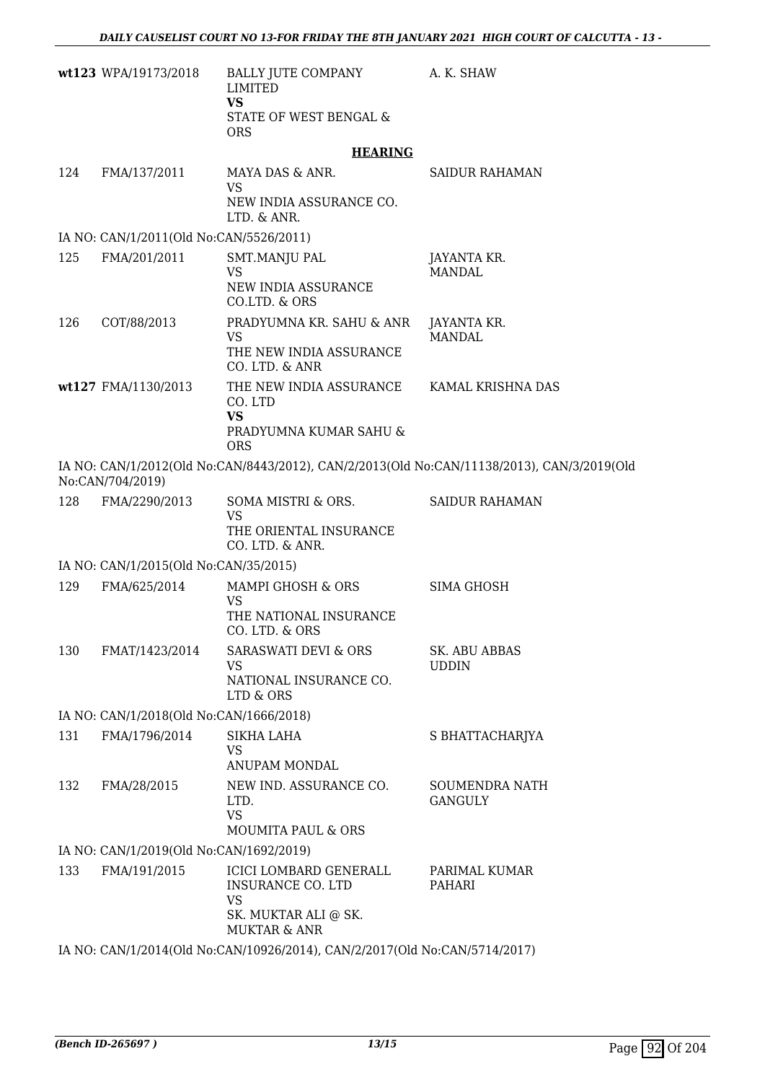|     | wt123 WPA/19173/2018                    | BALLY JUTE COMPANY<br><b>LIMITED</b>                                                                  | A. K. SHAW                                                                                 |
|-----|-----------------------------------------|-------------------------------------------------------------------------------------------------------|--------------------------------------------------------------------------------------------|
|     |                                         | <b>VS</b><br>STATE OF WEST BENGAL &<br><b>ORS</b>                                                     |                                                                                            |
|     |                                         | <b>HEARING</b>                                                                                        |                                                                                            |
| 124 | FMA/137/2011                            | MAYA DAS & ANR.                                                                                       | <b>SAIDUR RAHAMAN</b>                                                                      |
|     |                                         | <b>VS</b><br>NEW INDIA ASSURANCE CO.<br>LTD. & ANR.                                                   |                                                                                            |
|     | IA NO: CAN/1/2011(Old No:CAN/5526/2011) |                                                                                                       |                                                                                            |
| 125 | FMA/201/2011                            | SMT.MANJU PAL<br><b>VS</b><br>NEW INDIA ASSURANCE<br>CO.LTD. & ORS                                    | JAYANTA KR.<br><b>MANDAL</b>                                                               |
| 126 | COT/88/2013                             | PRADYUMNA KR. SAHU & ANR<br><b>VS</b><br>THE NEW INDIA ASSURANCE<br>CO. LTD. & ANR                    | JAYANTA KR.<br><b>MANDAL</b>                                                               |
|     | wt127 FMA/1130/2013                     | THE NEW INDIA ASSURANCE<br>CO. LTD<br><b>VS</b><br>PRADYUMNA KUMAR SAHU &                             | KAMAL KRISHNA DAS                                                                          |
|     |                                         | <b>ORS</b>                                                                                            |                                                                                            |
|     | No:CAN/704/2019)                        |                                                                                                       | IA NO: CAN/1/2012(Old No:CAN/8443/2012), CAN/2/2013(Old No:CAN/11138/2013), CAN/3/2019(Old |
| 128 | FMA/2290/2013                           | SOMA MISTRI & ORS.<br><b>VS</b><br>THE ORIENTAL INSURANCE<br>CO. LTD. & ANR.                          | <b>SAIDUR RAHAMAN</b>                                                                      |
|     | IA NO: CAN/1/2015(Old No:CAN/35/2015)   |                                                                                                       |                                                                                            |
| 129 | FMA/625/2014                            | MAMPI GHOSH & ORS<br><b>VS</b><br>THE NATIONAL INSURANCE<br>CO. LTD. & ORS                            | <b>SIMA GHOSH</b>                                                                          |
| 130 | FMAT/1423/2014                          | <b>SARASWATI DEVI &amp; ORS</b><br><b>VS</b><br>NATIONAL INSURANCE CO.<br>LTD & ORS                   | SK. ABU ABBAS<br><b>UDDIN</b>                                                              |
|     | IA NO: CAN/1/2018(Old No:CAN/1666/2018) |                                                                                                       |                                                                                            |
| 131 | FMA/1796/2014                           | SIKHA LAHA<br>VS                                                                                      | S BHATTACHARJYA                                                                            |
| 132 | FMA/28/2015                             | <b>ANUPAM MONDAL</b><br>NEW IND. ASSURANCE CO.<br>LTD.<br><b>VS</b><br><b>MOUMITA PAUL &amp; ORS</b>  | <b>SOUMENDRA NATH</b><br><b>GANGULY</b>                                                    |
|     | IA NO: CAN/1/2019(Old No:CAN/1692/2019) |                                                                                                       |                                                                                            |
| 133 | FMA/191/2015                            | <b>ICICI LOMBARD GENERALL</b><br>INSURANCE CO. LTD<br><b>VS</b><br>SK. MUKTAR ALI @ SK.               | PARIMAL KUMAR<br>PAHARI                                                                    |
|     |                                         | <b>MUKTAR &amp; ANR</b><br>IA NO: CAN/1/2014(Old No:CAN/10926/2014), CAN/2/2017(Old No:CAN/5714/2017) |                                                                                            |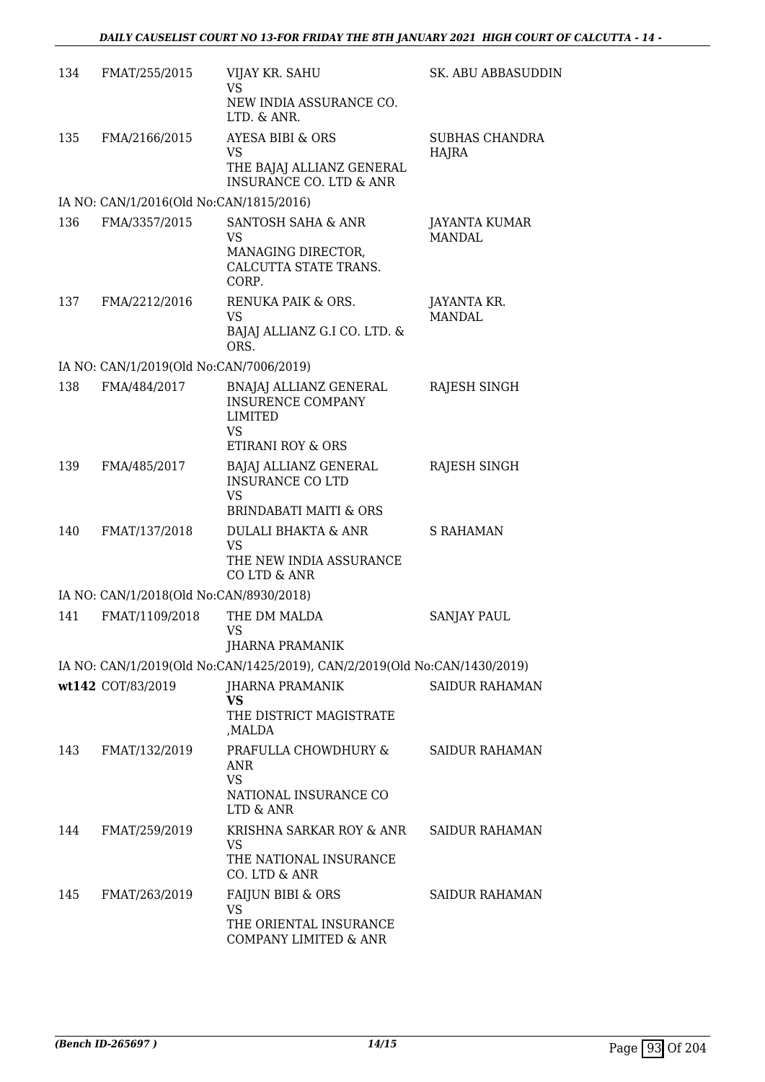| 134 | FMAT/255/2015                           | VIJAY KR. SAHU<br>VS                                                                               | SK. ABU ABBASUDDIN             |
|-----|-----------------------------------------|----------------------------------------------------------------------------------------------------|--------------------------------|
|     |                                         | NEW INDIA ASSURANCE CO.<br>LTD. & ANR.                                                             |                                |
| 135 | FMA/2166/2015                           | <b>AYESA BIBI &amp; ORS</b>                                                                        | <b>SUBHAS CHANDRA</b>          |
|     |                                         | VS<br>THE BAJAJ ALLIANZ GENERAL<br><b>INSURANCE CO. LTD &amp; ANR</b>                              | HAJRA                          |
|     | IA NO: CAN/1/2016(Old No:CAN/1815/2016) |                                                                                                    |                                |
| 136 | FMA/3357/2015                           | SANTOSH SAHA & ANR<br><b>VS</b><br>MANAGING DIRECTOR,<br>CALCUTTA STATE TRANS.<br>CORP.            | JAYANTA KUMAR<br><b>MANDAL</b> |
| 137 | FMA/2212/2016                           | RENUKA PAIK & ORS.<br><b>VS</b>                                                                    | JAYANTA KR.<br><b>MANDAL</b>   |
|     |                                         | BAJAJ ALLIANZ G.I CO. LTD. &<br>ORS.                                                               |                                |
|     | IA NO: CAN/1/2019(Old No:CAN/7006/2019) |                                                                                                    |                                |
| 138 | FMA/484/2017                            | BNAJAJ ALLIANZ GENERAL<br><b>INSURENCE COMPANY</b><br><b>LIMITED</b><br>VS<br>ETIRANI ROY & ORS    | RAJESH SINGH                   |
| 139 | FMA/485/2017                            |                                                                                                    | RAJESH SINGH                   |
|     |                                         | BAJAJ ALLIANZ GENERAL<br><b>INSURANCE CO LTD</b><br><b>VS</b><br><b>BRINDABATI MAITI &amp; ORS</b> |                                |
| 140 | FMAT/137/2018                           | <b>DULALI BHAKTA &amp; ANR</b><br>VS<br>THE NEW INDIA ASSURANCE<br>CO LTD & ANR                    | <b>S RAHAMAN</b>               |
|     | IA NO: CAN/1/2018(Old No:CAN/8930/2018) |                                                                                                    |                                |
| 141 | FMAT/1109/2018                          | THE DM MALDA<br>VS                                                                                 | <b>SANJAY PAUL</b>             |
|     |                                         | <b>JHARNA PRAMANIK</b>                                                                             |                                |
|     |                                         | IA NO: CAN/1/2019(Old No:CAN/1425/2019), CAN/2/2019(Old No:CAN/1430/2019)                          |                                |
|     | wt142 COT/83/2019                       | <b>JHARNA PRAMANIK</b><br>VS<br>THE DISTRICT MAGISTRATE<br>MALDA,                                  | <b>SAIDUR RAHAMAN</b>          |
| 143 | FMAT/132/2019                           | PRAFULLA CHOWDHURY &<br>ANR<br><b>VS</b>                                                           | <b>SAIDUR RAHAMAN</b>          |
|     |                                         | NATIONAL INSURANCE CO<br>LTD & ANR                                                                 |                                |
| 144 | FMAT/259/2019                           | KRISHNA SARKAR ROY & ANR<br><b>VS</b><br>THE NATIONAL INSURANCE                                    | <b>SAIDUR RAHAMAN</b>          |
|     |                                         | CO. LTD & ANR                                                                                      |                                |
| 145 | FMAT/263/2019                           | FAIJUN BIBI & ORS<br>VS                                                                            | <b>SAIDUR RAHAMAN</b>          |
|     |                                         | THE ORIENTAL INSURANCE<br>COMPANY LIMITED & ANR                                                    |                                |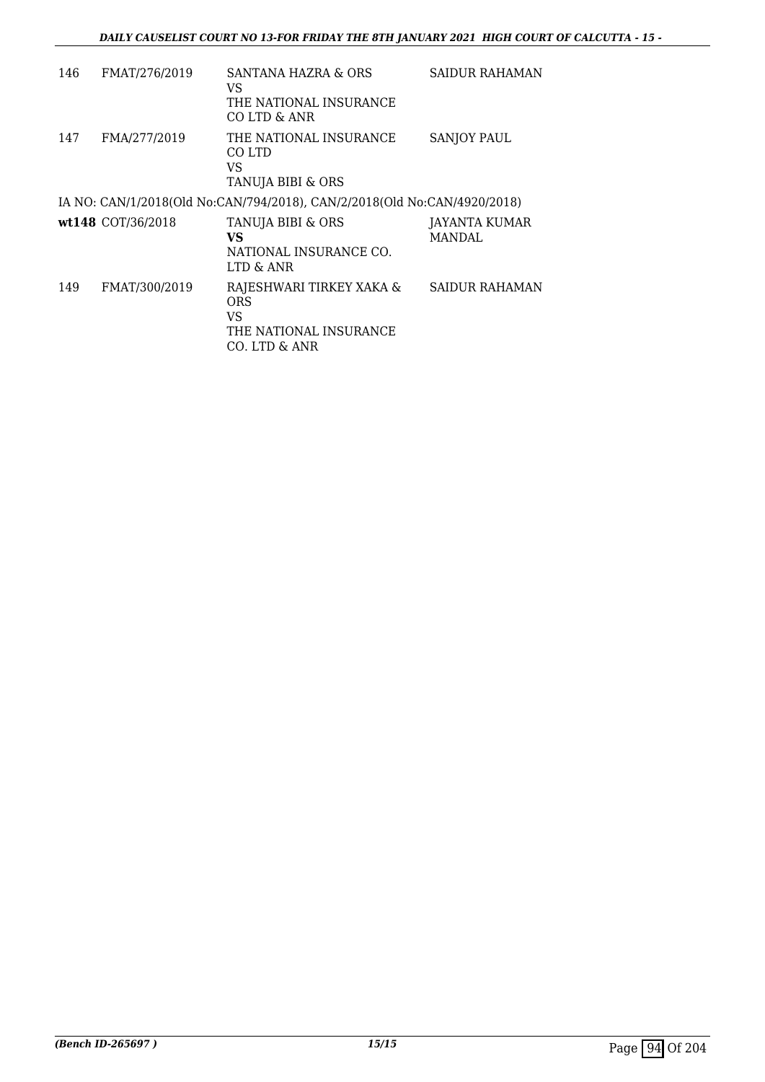| 146 | FMAT/276/2019     | SANTANA HAZRA & ORS<br>VS                                                               | SAIDUR RAHAMAN          |
|-----|-------------------|-----------------------------------------------------------------------------------------|-------------------------|
|     |                   | THE NATIONAL INSURANCE<br>CO LTD & ANR                                                  |                         |
| 147 | FMA/277/2019      | THE NATIONAL INSURANCE<br>CO LTD<br>VS<br>TANUJA BIBI & ORS                             | <b>SANJOY PAUL</b>      |
|     |                   | IA NO: CAN/1/2018(Old No:CAN/794/2018), CAN/2/2018(Old No:CAN/4920/2018)                |                         |
|     | wt148 COT/36/2018 | TANUJA BIBI & ORS<br>VS<br>NATIONAL INSURANCE CO.<br>LTD & ANR                          | JAYANTA KUMAR<br>MANDAL |
| 149 | FMAT/300/2019     | RAJESHWARI TIRKEY XAKA &<br><b>ORS</b><br>VS<br>THE NATIONAL INSURANCE<br>CO. LTD & ANR | <b>SAIDUR RAHAMAN</b>   |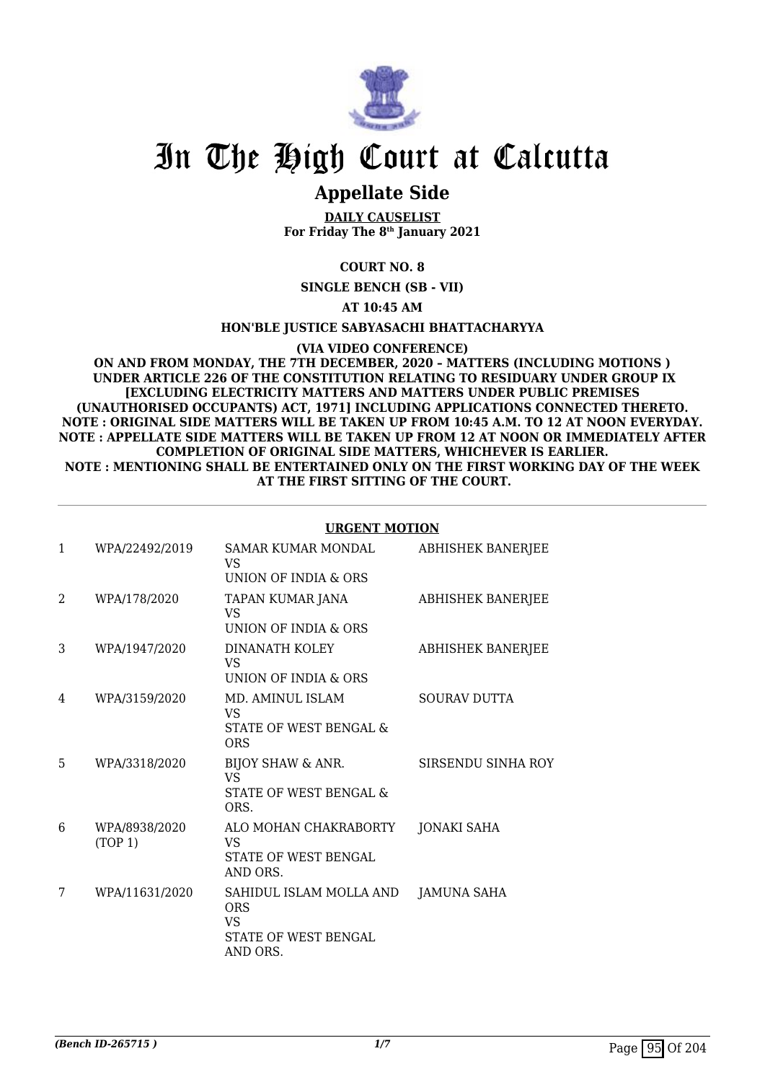

### **Appellate Side**

**DAILY CAUSELIST For Friday The 8th January 2021**

**COURT NO. 8**

**SINGLE BENCH (SB - VII)**

**AT 10:45 AM**

**HON'BLE JUSTICE SABYASACHI BHATTACHARYYA**

**(VIA VIDEO CONFERENCE)**

**ON AND FROM MONDAY, THE 7TH DECEMBER, 2020 – MATTERS (INCLUDING MOTIONS ) UNDER ARTICLE 226 OF THE CONSTITUTION RELATING TO RESIDUARY UNDER GROUP IX [EXCLUDING ELECTRICITY MATTERS AND MATTERS UNDER PUBLIC PREMISES (UNAUTHORISED OCCUPANTS) ACT, 1971] INCLUDING APPLICATIONS CONNECTED THERETO. NOTE : ORIGINAL SIDE MATTERS WILL BE TAKEN UP FROM 10:45 A.M. TO 12 AT NOON EVERYDAY. NOTE : APPELLATE SIDE MATTERS WILL BE TAKEN UP FROM 12 AT NOON OR IMMEDIATELY AFTER COMPLETION OF ORIGINAL SIDE MATTERS, WHICHEVER IS EARLIER. NOTE : MENTIONING SHALL BE ENTERTAINED ONLY ON THE FIRST WORKING DAY OF THE WEEK AT THE FIRST SITTING OF THE COURT.**

#### **URGENT MOTION**

| 1              | WPA/22492/2019           | <b>SAMAR KUMAR MONDAL</b><br>VS<br>UNION OF INDIA & ORS                          | <b>ABHISHEK BANERJEE</b> |
|----------------|--------------------------|----------------------------------------------------------------------------------|--------------------------|
| $\overline{2}$ | WPA/178/2020             | TAPAN KUMAR JANA<br>VS<br>UNION OF INDIA & ORS                                   | ABHISHEK BANERJEE        |
| 3              | WPA/1947/2020            | DINANATH KOLEY<br>VS.<br>UNION OF INDIA & ORS                                    | <b>ABHISHEK BANERJEE</b> |
| 4              | WPA/3159/2020            | MD. AMINUL ISLAM<br>VS.<br>STATE OF WEST BENGAL &<br><b>ORS</b>                  | <b>SOURAV DUTTA</b>      |
| 5              | WPA/3318/2020            | BIJOY SHAW & ANR.<br>VS.<br>STATE OF WEST BENGAL &<br>ORS.                       | SIRSENDU SINHA ROY       |
| 6              | WPA/8938/2020<br>(TOP 1) | ALO MOHAN CHAKRABORTY<br>VS.<br>STATE OF WEST BENGAL<br>AND ORS.                 | JONAKI SAHA              |
| 7              | WPA/11631/2020           | SAHIDUL ISLAM MOLLA AND<br><b>ORS</b><br>VS.<br>STATE OF WEST BENGAL<br>AND ORS. | JAMUNA SAHA              |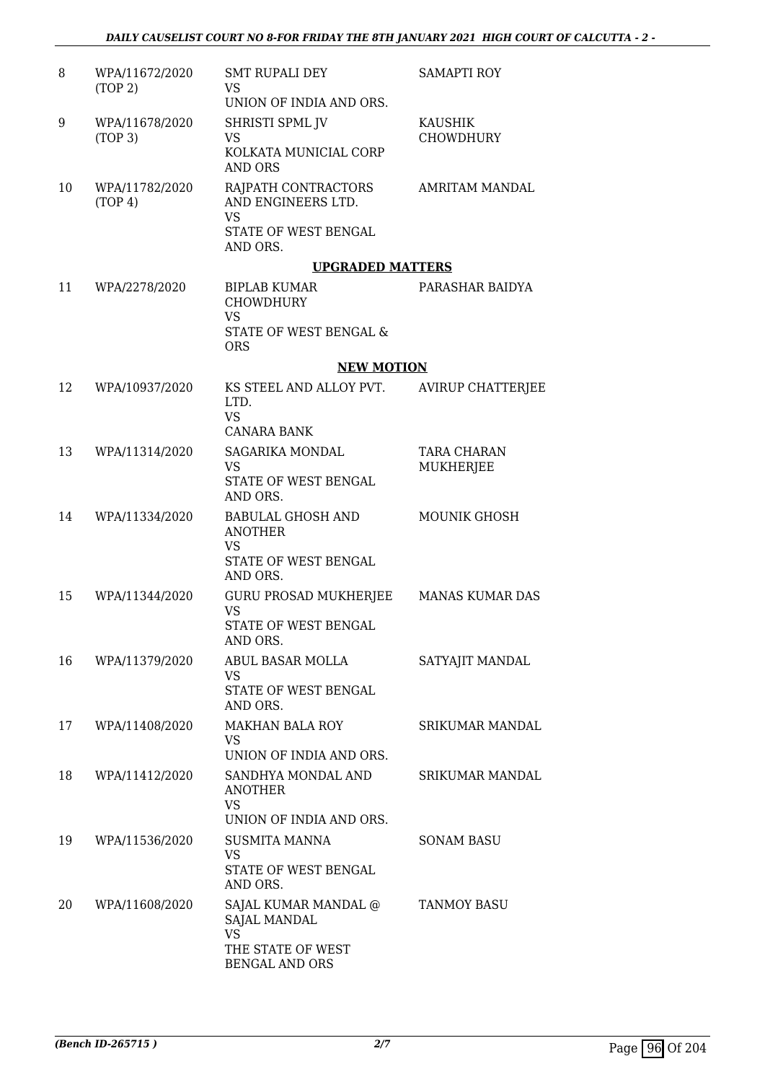| 8  | WPA/11672/2020<br>(TOP 2)             | <b>SMT RUPALI DEY</b><br>VS.<br>UNION OF INDIA AND ORS.                               | <b>SAMAPTI ROY</b>                 |
|----|---------------------------------------|---------------------------------------------------------------------------------------|------------------------------------|
| 9  | WPA/11678/2020<br>(TOP <sub>3</sub> ) | SHRISTI SPML JV<br>VS<br>KOLKATA MUNICIAL CORP<br><b>AND ORS</b>                      | <b>KAUSHIK</b><br><b>CHOWDHURY</b> |
| 10 | WPA/11782/2020<br>(TOP 4)             | RAJPATH CONTRACTORS<br>AND ENGINEERS LTD.<br>VS<br>STATE OF WEST BENGAL<br>AND ORS.   | <b>AMRITAM MANDAL</b>              |
|    |                                       | <b>UPGRADED MATTERS</b>                                                               |                                    |
| 11 | WPA/2278/2020                         | <b>BIPLAB KUMAR</b><br><b>CHOWDHURY</b><br>VS<br>STATE OF WEST BENGAL &<br><b>ORS</b> | PARASHAR BAIDYA                    |
|    |                                       | <b>NEW MOTION</b>                                                                     |                                    |
| 12 | WPA/10937/2020                        | KS STEEL AND ALLOY PVT.<br>LTD.<br>VS                                                 | <b>AVIRUP CHATTERJEE</b>           |
|    |                                       | <b>CANARA BANK</b>                                                                    |                                    |
| 13 | WPA/11314/2020                        | <b>SAGARIKA MONDAL</b><br><b>VS</b><br>STATE OF WEST BENGAL                           | <b>TARA CHARAN</b><br>MUKHERJEE    |
|    |                                       | AND ORS.                                                                              |                                    |
| 14 | WPA/11334/2020                        | <b>BABULAL GHOSH AND</b><br><b>ANOTHER</b><br>VS<br>STATE OF WEST BENGAL              | <b>MOUNIK GHOSH</b>                |
| 15 | WPA/11344/2020                        | AND ORS.<br>GURU PROSAD MUKHERJEE                                                     | MANAS KUMAR DAS                    |
|    |                                       | <b>VS</b><br>STATE OF WEST BENGAL<br>AND ORS.                                         |                                    |
| 16 | WPA/11379/2020                        | ABUL BASAR MOLLA<br>VS                                                                | SATYAJIT MANDAL                    |
|    |                                       | STATE OF WEST BENGAL<br>AND ORS.                                                      |                                    |
| 17 | WPA/11408/2020                        | <b>MAKHAN BALA ROY</b><br>VS                                                          | SRIKUMAR MANDAL                    |
|    |                                       | UNION OF INDIA AND ORS.                                                               |                                    |
| 18 | WPA/11412/2020                        | SANDHYA MONDAL AND<br><b>ANOTHER</b><br><b>VS</b><br>UNION OF INDIA AND ORS.          | <b>SRIKUMAR MANDAL</b>             |
| 19 | WPA/11536/2020                        | SUSMITA MANNA                                                                         | <b>SONAM BASU</b>                  |
|    |                                       | VS<br>STATE OF WEST BENGAL<br>AND ORS.                                                |                                    |
| 20 | WPA/11608/2020                        | SAJAL KUMAR MANDAL @<br><b>SAJAL MANDAL</b><br>VS.                                    | <b>TANMOY BASU</b>                 |
|    |                                       | THE STATE OF WEST<br><b>BENGAL AND ORS</b>                                            |                                    |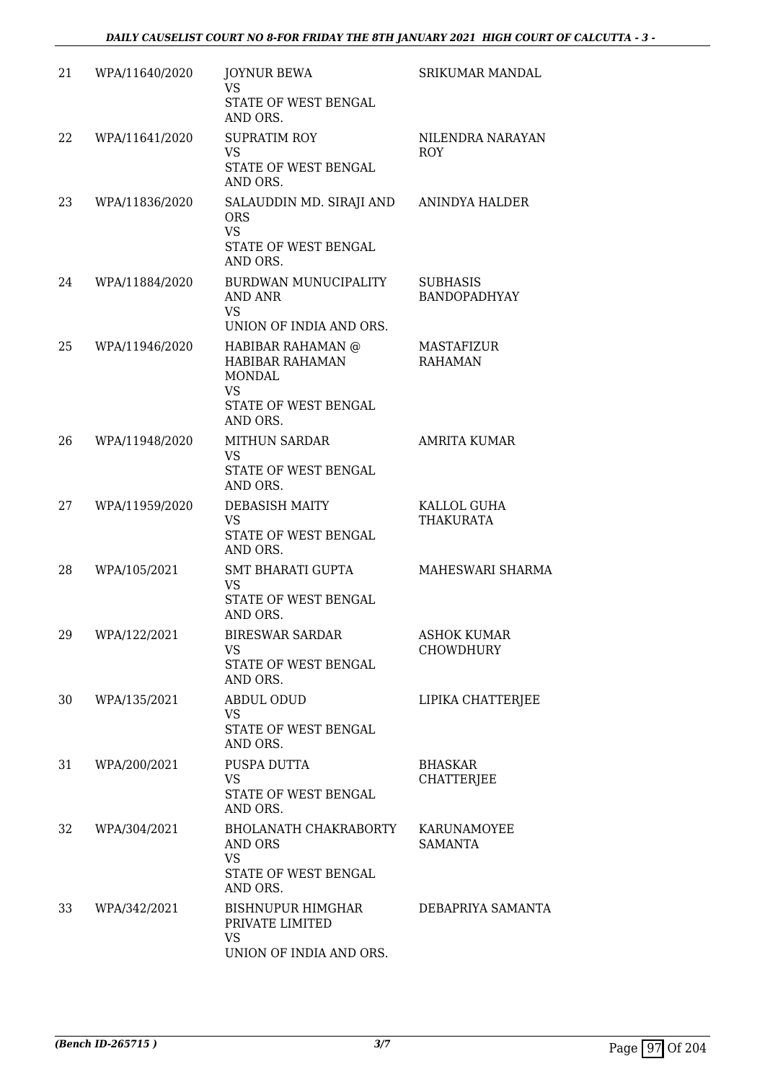| 21 | WPA/11640/2020 | <b>JOYNUR BEWA</b><br><b>VS</b><br>STATE OF WEST BENGAL                                                 | SRIKUMAR MANDAL                        |
|----|----------------|---------------------------------------------------------------------------------------------------------|----------------------------------------|
|    |                | AND ORS.                                                                                                |                                        |
| 22 | WPA/11641/2020 | <b>SUPRATIM ROY</b><br><b>VS</b><br>STATE OF WEST BENGAL                                                | NILENDRA NARAYAN<br><b>ROY</b>         |
|    |                | AND ORS.                                                                                                |                                        |
| 23 | WPA/11836/2020 | SALAUDDIN MD. SIRAJI AND<br>ORS.<br><b>VS</b><br>STATE OF WEST BENGAL<br>AND ORS.                       | ANINDYA HALDER                         |
| 24 | WPA/11884/2020 | BURDWAN MUNUCIPALITY<br><b>AND ANR</b><br>VS<br>UNION OF INDIA AND ORS.                                 | <b>SUBHASIS</b><br><b>BANDOPADHYAY</b> |
| 25 | WPA/11946/2020 | HABIBAR RAHAMAN @<br><b>HABIBAR RAHAMAN</b><br><b>MONDAL</b><br>VS.<br>STATE OF WEST BENGAL<br>AND ORS. | MASTAFIZUR<br><b>RAHAMAN</b>           |
| 26 | WPA/11948/2020 | <b>MITHUN SARDAR</b><br><b>VS</b>                                                                       | <b>AMRITA KUMAR</b>                    |
|    |                | STATE OF WEST BENGAL<br>AND ORS.                                                                        |                                        |
| 27 | WPA/11959/2020 | <b>DEBASISH MAITY</b><br><b>VS</b><br>STATE OF WEST BENGAL<br>AND ORS.                                  | KALLOL GUHA<br>THAKURATA               |
| 28 | WPA/105/2021   | <b>SMT BHARATI GUPTA</b><br><b>VS</b><br>STATE OF WEST BENGAL<br>AND ORS.                               | MAHESWARI SHARMA                       |
| 29 | WPA/122/2021   | <b>BIRESWAR SARDAR</b><br>VS<br>STATE OF WEST BENGAL<br>AND ORS.                                        | <b>ASHOK KUMAR</b><br>CHOWDHURY        |
| 30 | WPA/135/2021   | <b>ABDUL ODUD</b><br>VS.<br>STATE OF WEST BENGAL<br>AND ORS.                                            | LIPIKA CHATTERJEE                      |
| 31 | WPA/200/2021   | PUSPA DUTTA<br><b>VS</b><br>STATE OF WEST BENGAL<br>AND ORS.                                            | <b>BHASKAR</b><br><b>CHATTERJEE</b>    |
| 32 | WPA/304/2021   | BHOLANATH CHAKRABORTY<br>AND ORS<br><b>VS</b><br>STATE OF WEST BENGAL<br>AND ORS.                       | KARUNAMOYEE<br><b>SAMANTA</b>          |
| 33 | WPA/342/2021   | BISHNUPUR HIMGHAR<br>PRIVATE LIMITED<br><b>VS</b><br>UNION OF INDIA AND ORS.                            | DEBAPRIYA SAMANTA                      |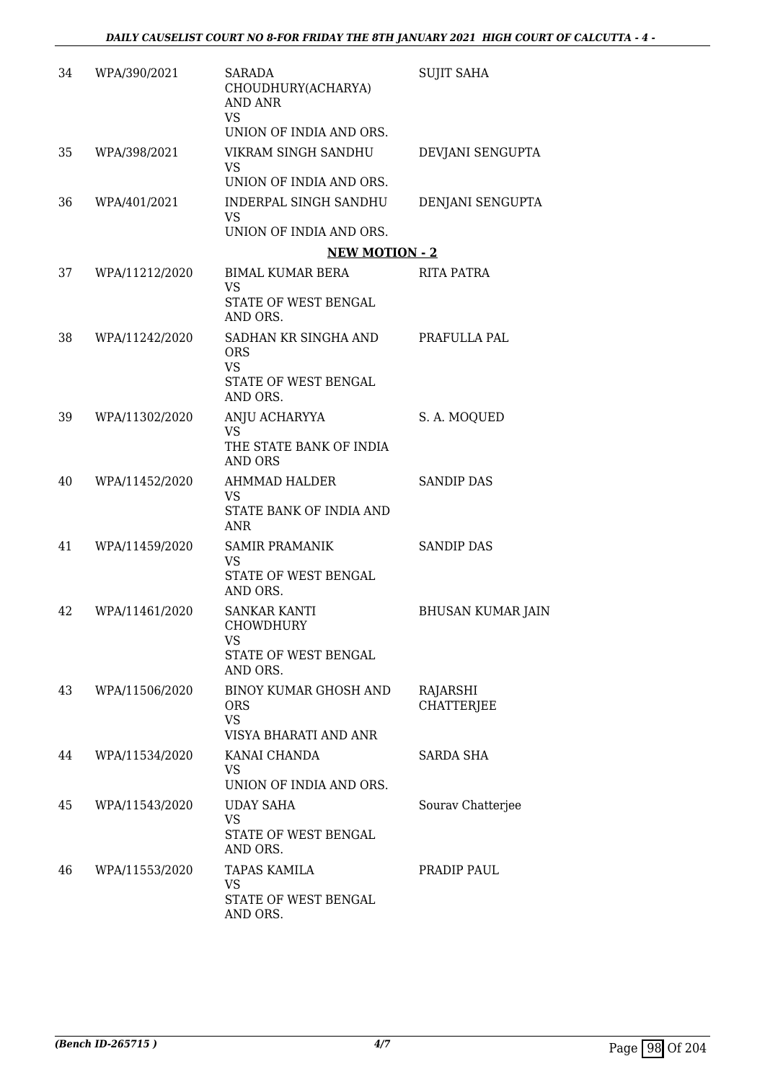| 34 | WPA/390/2021   | <b>SARADA</b><br>CHOUDHURY(ACHARYA)<br>AND ANR<br><b>VS</b><br>UNION OF INDIA AND ORS. | <b>SUJIT SAHA</b>             |
|----|----------------|----------------------------------------------------------------------------------------|-------------------------------|
| 35 | WPA/398/2021   | VIKRAM SINGH SANDHU<br>VS.                                                             | DEVJANI SENGUPTA              |
| 36 | WPA/401/2021   | UNION OF INDIA AND ORS.<br>INDERPAL SINGH SANDHU<br>VS.<br>UNION OF INDIA AND ORS.     | DENJANI SENGUPTA              |
|    |                | <b>NEW MOTION - 2</b>                                                                  |                               |
| 37 | WPA/11212/2020 | BIMAL KUMAR BERA<br>VS.                                                                | <b>RITA PATRA</b>             |
|    |                | STATE OF WEST BENGAL<br>AND ORS.                                                       |                               |
| 38 | WPA/11242/2020 | SADHAN KR SINGHA AND<br><b>ORS</b><br>VS                                               | PRAFULLA PAL                  |
|    |                | STATE OF WEST BENGAL<br>AND ORS.                                                       |                               |
| 39 | WPA/11302/2020 | ANJU ACHARYYA<br>VS.<br>THE STATE BANK OF INDIA<br><b>AND ORS</b>                      | S. A. MOQUED                  |
| 40 | WPA/11452/2020 | <b>AHMMAD HALDER</b><br><b>VS</b><br>STATE BANK OF INDIA AND<br><b>ANR</b>             | <b>SANDIP DAS</b>             |
| 41 | WPA/11459/2020 | <b>SAMIR PRAMANIK</b><br>VS<br><b>STATE OF WEST BENGAL</b><br>AND ORS.                 | <b>SANDIP DAS</b>             |
| 42 | WPA/11461/2020 | <b>SANKAR KANTI</b><br><b>CHOWDHURY</b><br>VS<br>STATE OF WEST BENGAL<br>AND ORS.      | <b>BHUSAN KUMAR JAIN</b>      |
| 43 | WPA/11506/2020 | <b>BINOY KUMAR GHOSH AND</b><br><b>ORS</b><br><b>VS</b><br>VISYA BHARATI AND ANR       | RAJARSHI<br><b>CHATTERJEE</b> |
| 44 | WPA/11534/2020 | KANAI CHANDA<br>VS<br>UNION OF INDIA AND ORS.                                          | <b>SARDA SHA</b>              |
| 45 | WPA/11543/2020 | <b>UDAY SAHA</b><br>VS<br>STATE OF WEST BENGAL<br>AND ORS.                             | Sourav Chatterjee             |
| 46 | WPA/11553/2020 | <b>TAPAS KAMILA</b><br>VS<br>STATE OF WEST BENGAL<br>AND ORS.                          | PRADIP PAUL                   |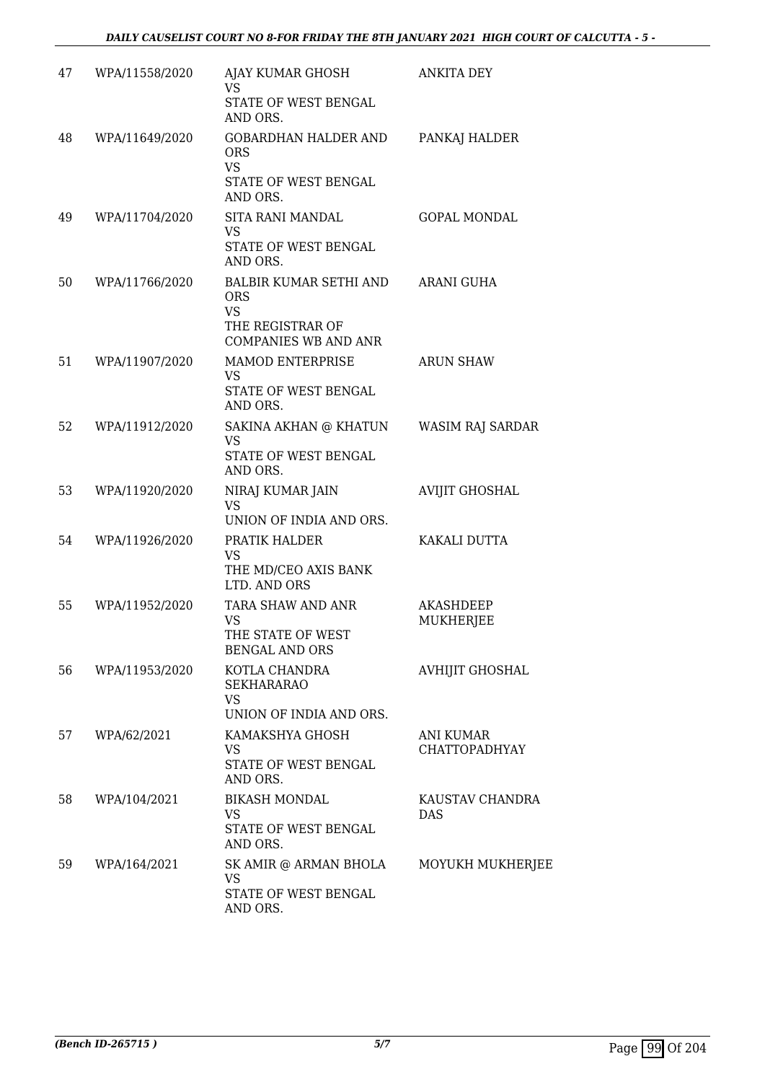| 47 | WPA/11558/2020 | AJAY KUMAR GHOSH<br><b>VS</b><br>STATE OF WEST BENGAL<br>AND ORS.                                    | <b>ANKITA DEY</b>                 |
|----|----------------|------------------------------------------------------------------------------------------------------|-----------------------------------|
| 48 | WPA/11649/2020 | <b>GOBARDHAN HALDER AND</b><br><b>ORS</b><br><b>VS</b><br>STATE OF WEST BENGAL<br>AND ORS.           | PANKAJ HALDER                     |
| 49 | WPA/11704/2020 | <b>SITA RANI MANDAL</b><br><b>VS</b><br>STATE OF WEST BENGAL<br>AND ORS.                             | <b>GOPAL MONDAL</b>               |
| 50 | WPA/11766/2020 | BALBIR KUMAR SETHI AND<br><b>ORS</b><br><b>VS</b><br>THE REGISTRAR OF<br><b>COMPANIES WB AND ANR</b> | ARANI GUHA                        |
| 51 | WPA/11907/2020 | <b>MAMOD ENTERPRISE</b><br>VS.<br>STATE OF WEST BENGAL<br>AND ORS.                                   | <b>ARUN SHAW</b>                  |
| 52 | WPA/11912/2020 | SAKINA AKHAN @ KHATUN<br><b>VS</b><br>STATE OF WEST BENGAL<br>AND ORS.                               | WASIM RAJ SARDAR                  |
| 53 | WPA/11920/2020 | NIRAJ KUMAR JAIN<br>VS.<br>UNION OF INDIA AND ORS.                                                   | <b>AVIJIT GHOSHAL</b>             |
| 54 | WPA/11926/2020 | PRATIK HALDER<br><b>VS</b><br>THE MD/CEO AXIS BANK<br>LTD. AND ORS                                   | KAKALI DUTTA                      |
| 55 | WPA/11952/2020 | TARA SHAW AND ANR<br>VS<br>THE STATE OF WEST<br><b>BENGAL AND ORS</b>                                | AKASHDEEP<br>MUKHERJEE            |
| 56 | WPA/11953/2020 | KOTLA CHANDRA<br><b>SEKHARARAO</b><br><b>VS</b><br>UNION OF INDIA AND ORS.                           | <b>AVHIJIT GHOSHAL</b>            |
| 57 | WPA/62/2021    | KAMAKSHYA GHOSH<br>VS.<br>STATE OF WEST BENGAL<br>AND ORS.                                           | <b>ANI KUMAR</b><br>CHATTOPADHYAY |
| 58 | WPA/104/2021   | <b>BIKASH MONDAL</b><br>VS.<br>STATE OF WEST BENGAL<br>AND ORS.                                      | KAUSTAV CHANDRA<br><b>DAS</b>     |
| 59 | WPA/164/2021   | SK AMIR @ ARMAN BHOLA<br>VS<br>STATE OF WEST BENGAL<br>AND ORS.                                      | MOYUKH MUKHERJEE                  |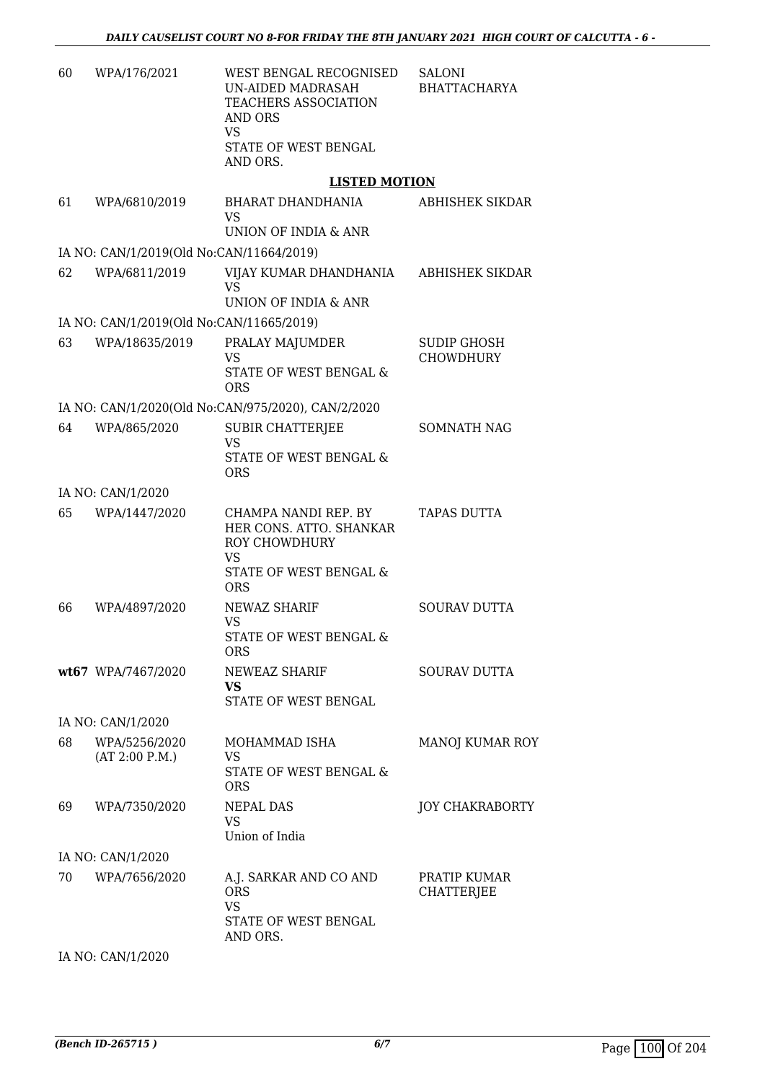| 60 | WPA/176/2021                             | WEST BENGAL RECOGNISED<br>UN-AIDED MADRASAH<br><b>TEACHERS ASSOCIATION</b><br><b>AND ORS</b><br>VS<br>STATE OF WEST BENGAL<br>AND ORS. | <b>SALONI</b><br><b>BHATTACHARYA</b>   |
|----|------------------------------------------|----------------------------------------------------------------------------------------------------------------------------------------|----------------------------------------|
|    |                                          | <b>LISTED MOTION</b>                                                                                                                   |                                        |
| 61 | WPA/6810/2019                            | BHARAT DHANDHANIA<br><b>VS</b><br>UNION OF INDIA & ANR                                                                                 | ABHISHEK SIKDAR                        |
|    | IA NO: CAN/1/2019(Old No:CAN/11664/2019) |                                                                                                                                        |                                        |
| 62 | WPA/6811/2019                            | VIJAY KUMAR DHANDHANIA<br><b>VS</b>                                                                                                    | <b>ABHISHEK SIKDAR</b>                 |
|    |                                          | <b>UNION OF INDIA &amp; ANR</b>                                                                                                        |                                        |
|    | IA NO: CAN/1/2019(Old No:CAN/11665/2019) |                                                                                                                                        |                                        |
| 63 | WPA/18635/2019                           | PRALAY MAJUMDER<br>VS<br>STATE OF WEST BENGAL &<br><b>ORS</b>                                                                          | <b>SUDIP GHOSH</b><br><b>CHOWDHURY</b> |
|    |                                          | IA NO: CAN/1/2020(Old No:CAN/975/2020), CAN/2/2020                                                                                     |                                        |
| 64 | WPA/865/2020                             | SUBIR CHATTERJEE<br><b>VS</b><br>STATE OF WEST BENGAL &<br><b>ORS</b>                                                                  | <b>SOMNATH NAG</b>                     |
|    | IA NO: CAN/1/2020                        |                                                                                                                                        |                                        |
| 65 | WPA/1447/2020                            | CHAMPA NANDI REP. BY<br>HER CONS. ATTO. SHANKAR<br><b>ROY CHOWDHURY</b><br>VS<br>STATE OF WEST BENGAL &<br><b>ORS</b>                  | TAPAS DUTTA                            |
| 66 | WPA/4897/2020                            | NEWAZ SHARIF<br>VS<br>STATE OF WEST BENGAL &<br><b>ORS</b>                                                                             | <b>SOURAV DUTTA</b>                    |
|    | wt67 WPA/7467/2020                       | NEWEAZ SHARIF<br><b>VS</b><br>STATE OF WEST BENGAL                                                                                     | <b>SOURAV DUTTA</b>                    |
|    | IA NO: CAN/1/2020                        |                                                                                                                                        |                                        |
| 68 | WPA/5256/2020<br>(AT 2:00 P.M.)          | MOHAMMAD ISHA<br><b>VS</b><br>STATE OF WEST BENGAL &<br>ORS                                                                            | MANOJ KUMAR ROY                        |
| 69 | WPA/7350/2020                            | <b>NEPAL DAS</b><br>VS<br>Union of India                                                                                               | <b>JOY CHAKRABORTY</b>                 |
|    | IA NO: CAN/1/2020                        |                                                                                                                                        |                                        |
| 70 | WPA/7656/2020                            | A.J. SARKAR AND CO AND<br><b>ORS</b><br><b>VS</b><br>STATE OF WEST BENGAL<br>AND ORS.                                                  | PRATIP KUMAR<br><b>CHATTERJEE</b>      |

IA NO: CAN/1/2020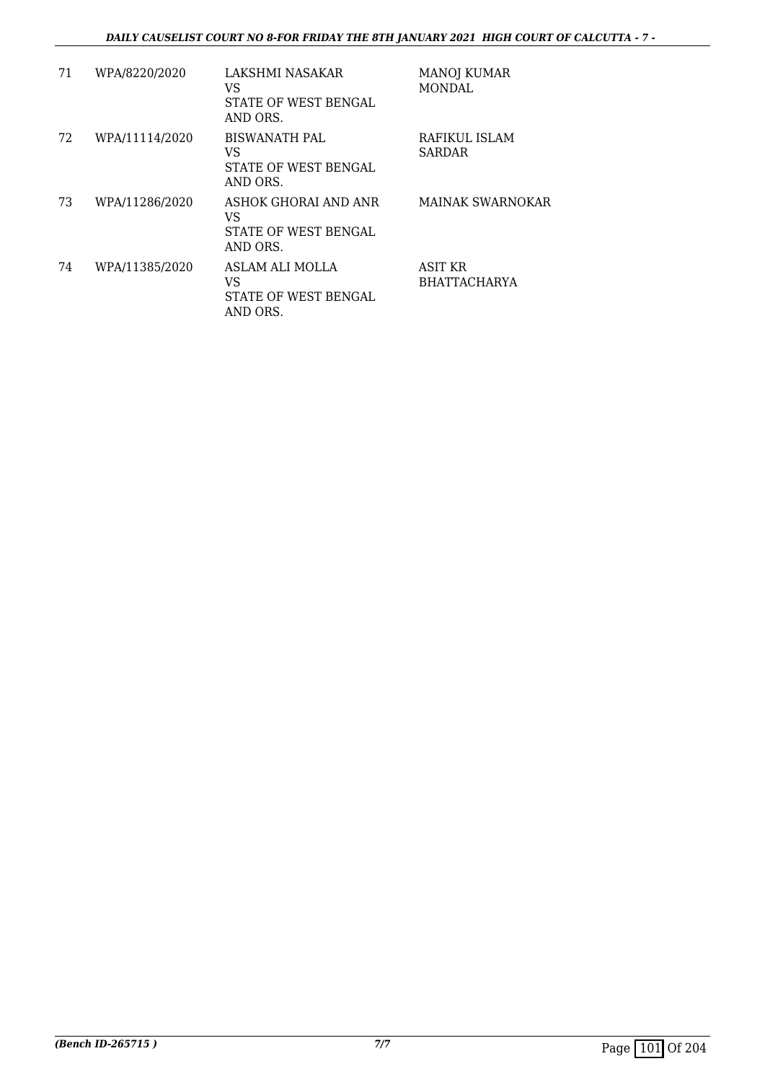| 71 | WPA/8220/2020  | LAKSHMI NASAKAR<br>VS<br>STATE OF WEST BENGAL<br>AND ORS.        | <b>MANOJ KUMAR</b><br>MONDAL          |
|----|----------------|------------------------------------------------------------------|---------------------------------------|
| 72 | WPA/11114/2020 | <b>BISWANATH PAL</b><br>VS<br>STATE OF WEST BENGAL<br>AND ORS.   | RAFIKUL ISLAM<br><b>SARDAR</b>        |
| 73 | WPA/11286/2020 | ASHOK GHORAI AND ANR<br>VS<br>STATE OF WEST BENGAL<br>AND ORS.   | MAINAK SWARNOKAR                      |
| 74 | WPA/11385/2020 | ASLAM ALI MOLLA<br>VS<br><b>STATE OF WEST BENGAL</b><br>AND ORS. | <b>ASIT KR</b><br><b>BHATTACHARYA</b> |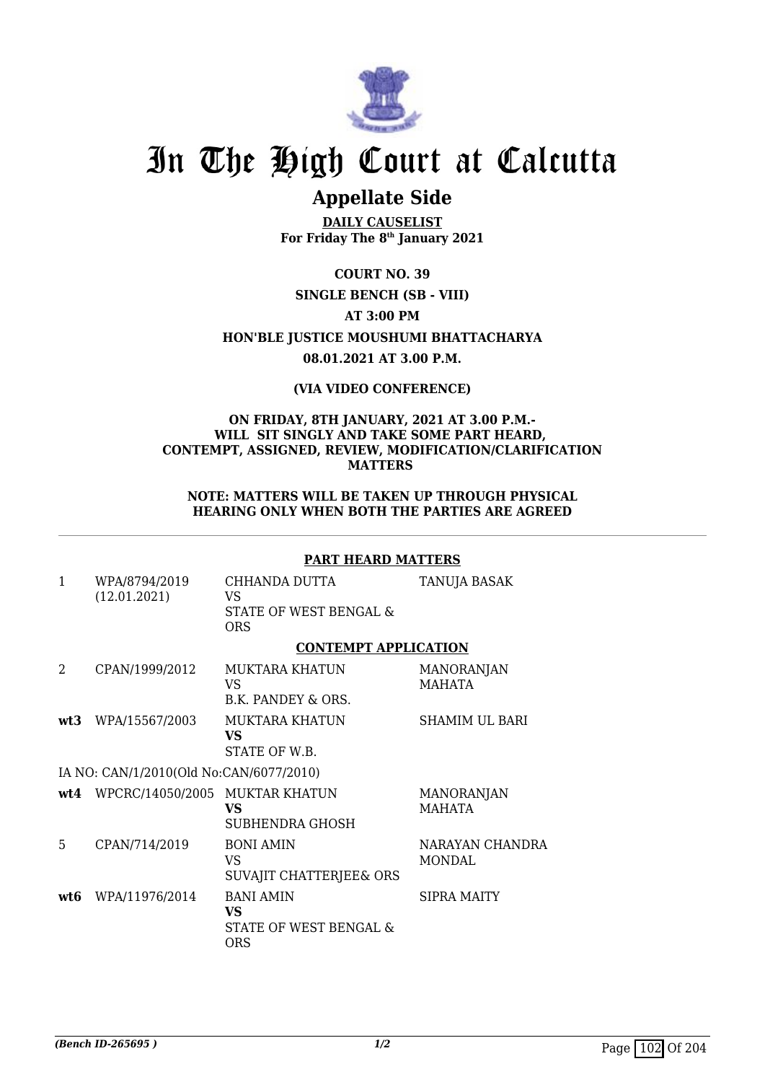

### **Appellate Side**

**DAILY CAUSELIST For Friday The 8th January 2021**

**COURT NO. 39**

#### **SINGLE BENCH (SB - VIII)**

**AT 3:00 PM**

**HON'BLE JUSTICE MOUSHUMI BHATTACHARYA**

#### **08.01.2021 AT 3.00 P.M.**

#### **(VIA VIDEO CONFERENCE)**

#### **ON FRIDAY, 8TH JANUARY, 2021 AT 3.00 P.M.- WILL SIT SINGLY AND TAKE SOME PART HEARD, CONTEMPT, ASSIGNED, REVIEW, MODIFICATION/CLARIFICATION MATTERS**

**NOTE: MATTERS WILL BE TAKEN UP THROUGH PHYSICAL HEARING ONLY WHEN BOTH THE PARTIES ARE AGREED**

#### **PART HEARD MATTERS**

| $\mathbf{1}$ | WPA/8794/2019<br>(12.01.2021)           | CHHANDA DUTTA<br>VS<br>STATE OF WEST BENGAL &<br><b>ORS</b>    | <b>TANUJA BASAK</b>                |
|--------------|-----------------------------------------|----------------------------------------------------------------|------------------------------------|
|              |                                         | <b>CONTEMPT APPLICATION</b>                                    |                                    |
| 2            | CPAN/1999/2012                          | <b>MUKTARA KHATUN</b><br>VS<br>B.K. PANDEY & ORS.              | <b>MANORANJAN</b><br><b>MAHATA</b> |
| wt3          | WPA/15567/2003                          | MUKTARA KHATUN<br>VS.<br>STATE OF W.B.                         | <b>SHAMIM UL BARI</b>              |
|              | IA NO: CAN/1/2010(Old No:CAN/6077/2010) |                                                                |                                    |
|              | wt4 WPCRC/14050/2005 MUKTAR KHATUN      | VS<br><b>SUBHENDRA GHOSH</b>                                   | <b>MANORANJAN</b><br>MAHATA        |
| 5            | CPAN/714/2019                           | <b>BONI AMIN</b><br>VS.<br>SUVAJIT CHATTERJEE& ORS             | NARAYAN CHANDRA<br><b>MONDAL</b>   |
| wt6          | WPA/11976/2014                          | <b>BANI AMIN</b><br>VS<br>STATE OF WEST BENGAL &<br><b>ORS</b> | <b>SIPRA MAITY</b>                 |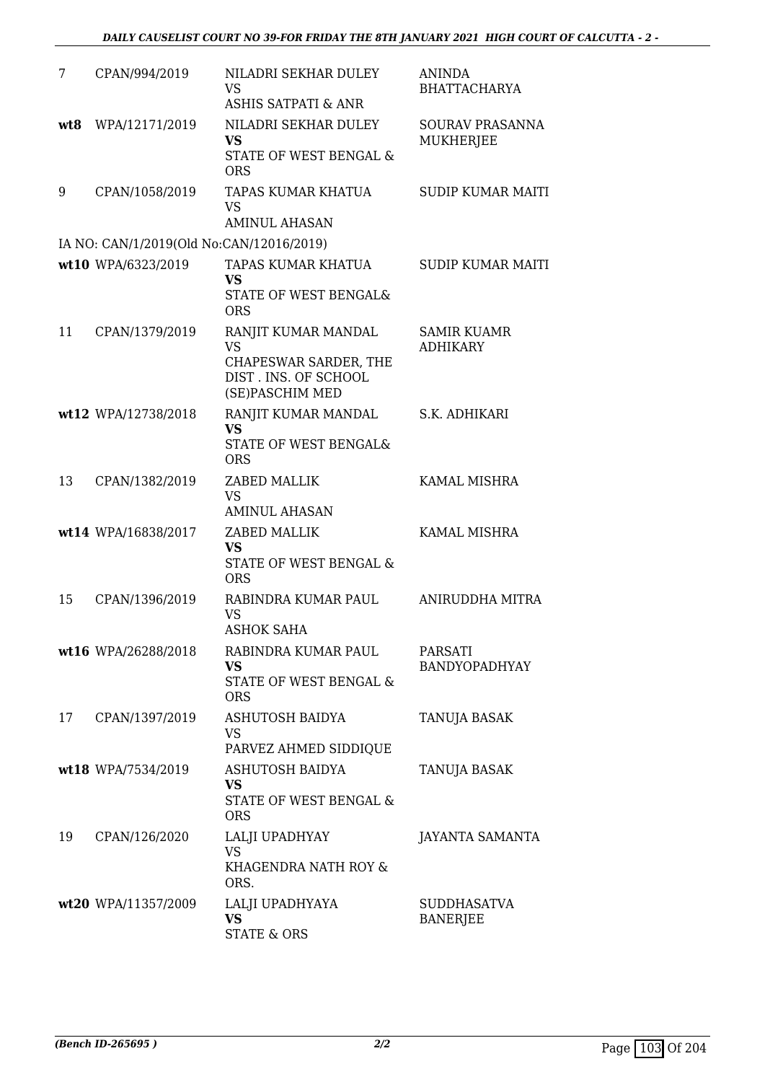| 7   | CPAN/994/2019                            | NILADRI SEKHAR DULEY<br><b>VS</b><br><b>ASHIS SATPATI &amp; ANR</b>                                  | <b>ANINDA</b><br><b>BHATTACHARYA</b>  |
|-----|------------------------------------------|------------------------------------------------------------------------------------------------------|---------------------------------------|
| wt8 | WPA/12171/2019                           | NILADRI SEKHAR DULEY<br><b>VS</b><br>STATE OF WEST BENGAL &<br><b>ORS</b>                            | SOURAV PRASANNA<br><b>MUKHERJEE</b>   |
| 9   | CPAN/1058/2019                           | TAPAS KUMAR KHATUA<br>VS<br><b>AMINUL AHASAN</b>                                                     | <b>SUDIP KUMAR MAITI</b>              |
|     | IA NO: CAN/1/2019(Old No:CAN/12016/2019) |                                                                                                      |                                       |
|     | wt10 WPA/6323/2019                       | TAPAS KUMAR KHATUA<br><b>VS</b><br>STATE OF WEST BENGAL&<br><b>ORS</b>                               | <b>SUDIP KUMAR MAITI</b>              |
| 11  | CPAN/1379/2019                           | RANJIT KUMAR MANDAL<br><b>VS</b><br>CHAPESWAR SARDER, THE<br>DIST. INS. OF SCHOOL<br>(SE)PASCHIM MED | <b>SAMIR KUAMR</b><br><b>ADHIKARY</b> |
|     | wt12 WPA/12738/2018                      | RANJIT KUMAR MANDAL<br><b>VS</b><br>STATE OF WEST BENGAL&<br><b>ORS</b>                              | S.K. ADHIKARI                         |
| 13  | CPAN/1382/2019                           | ZABED MALLIK<br><b>VS</b><br><b>AMINUL AHASAN</b>                                                    | KAMAL MISHRA                          |
|     | wt14 WPA/16838/2017                      | ZABED MALLIK<br><b>VS</b><br>STATE OF WEST BENGAL &<br><b>ORS</b>                                    | KAMAL MISHRA                          |
| 15  | CPAN/1396/2019                           | RABINDRA KUMAR PAUL<br><b>VS</b><br>ASHOK SAHA                                                       | ANIRUDDHA MITRA                       |
|     | wt16 WPA/26288/2018                      | RABINDRA KUMAR PAUL<br>VS.<br>STATE OF WEST BENGAL &<br><b>ORS</b>                                   | PARSATI<br><b>BANDYOPADHYAY</b>       |
| 17  | CPAN/1397/2019                           | <b>ASHUTOSH BAIDYA</b><br><b>VS</b><br>PARVEZ AHMED SIDDIQUE                                         | <b>TANUJA BASAK</b>                   |
|     | wt18 WPA/7534/2019                       | <b>ASHUTOSH BAIDYA</b><br>VS<br>STATE OF WEST BENGAL &<br><b>ORS</b>                                 | <b>TANUJA BASAK</b>                   |
| 19  | CPAN/126/2020                            | LALJI UPADHYAY<br><b>VS</b><br>KHAGENDRA NATH ROY &<br>ORS.                                          | <b>JAYANTA SAMANTA</b>                |
|     | wt20 WPA/11357/2009                      | LALJI UPADHYAYA<br><b>VS</b><br><b>STATE &amp; ORS</b>                                               | <b>SUDDHASATVA</b><br><b>BANERJEE</b> |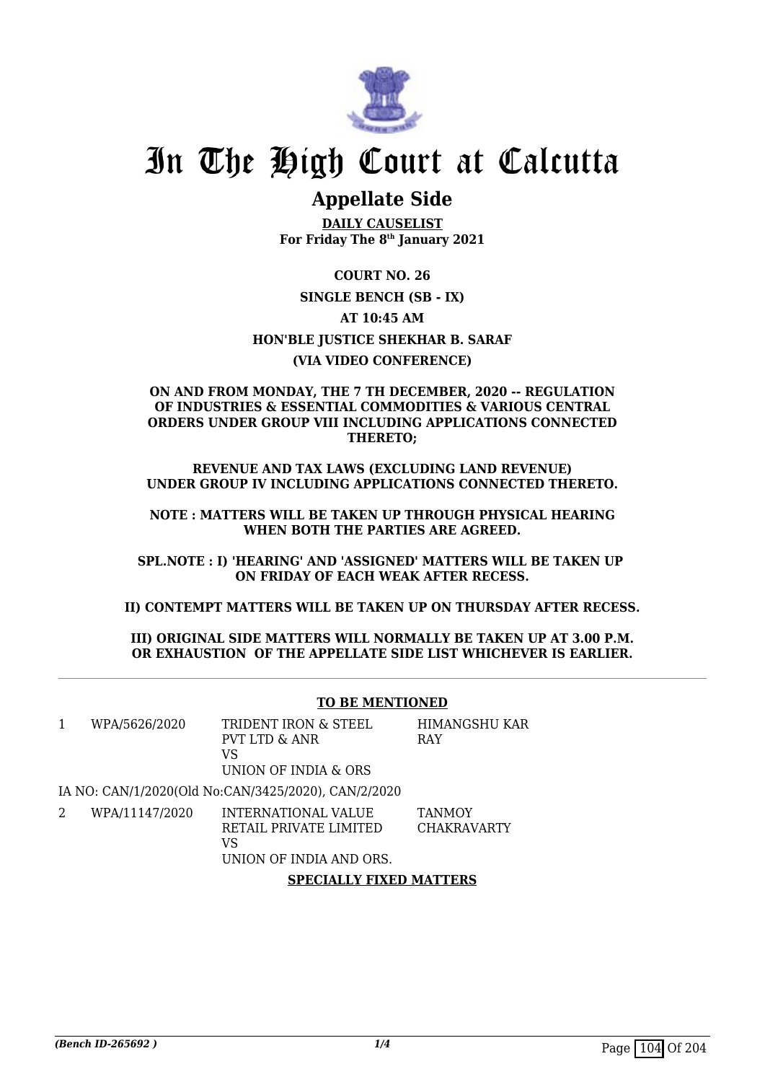

### **Appellate Side**

**DAILY CAUSELIST For Friday The 8th January 2021**

**COURT NO. 26 SINGLE BENCH (SB - IX) AT 10:45 AM HON'BLE JUSTICE SHEKHAR B. SARAF (VIA VIDEO CONFERENCE)**

#### **ON AND FROM MONDAY, THE 7 TH DECEMBER, 2020 -- REGULATION OF INDUSTRIES & ESSENTIAL COMMODITIES & VARIOUS CENTRAL ORDERS UNDER GROUP VIII INCLUDING APPLICATIONS CONNECTED THERETO;**

**REVENUE AND TAX LAWS (EXCLUDING LAND REVENUE) UNDER GROUP IV INCLUDING APPLICATIONS CONNECTED THERETO.**

**NOTE : MATTERS WILL BE TAKEN UP THROUGH PHYSICAL HEARING WHEN BOTH THE PARTIES ARE AGREED.**

**SPL.NOTE : I) 'HEARING' AND 'ASSIGNED' MATTERS WILL BE TAKEN UP ON FRIDAY OF EACH WEAK AFTER RECESS.**

**II) CONTEMPT MATTERS WILL BE TAKEN UP ON THURSDAY AFTER RECESS.**

**III) ORIGINAL SIDE MATTERS WILL NORMALLY BE TAKEN UP AT 3.00 P.M. OR EXHAUSTION OF THE APPELLATE SIDE LIST WHICHEVER IS EARLIER.**

#### **TO BE MENTIONED**

HIMANGSHU KAR

RAY

| WPA/5626/2020 | TRIDENT IRON & STEEL  |  |
|---------------|-----------------------|--|
|               | PVT LTD & ANR         |  |
|               | VS.                   |  |
|               | LINION OF INDIA & ORS |  |

UNION OF INDIA & ORS

IA NO: CAN/1/2020(Old No:CAN/3425/2020), CAN/2/2020

2 WPA/11147/2020 INTERNATIONAL VALUE RETAIL PRIVATE LIMITED VS **TANMOY** CHAKRAVARTY

UNION OF INDIA AND ORS.

**SPECIALLY FIXED MATTERS**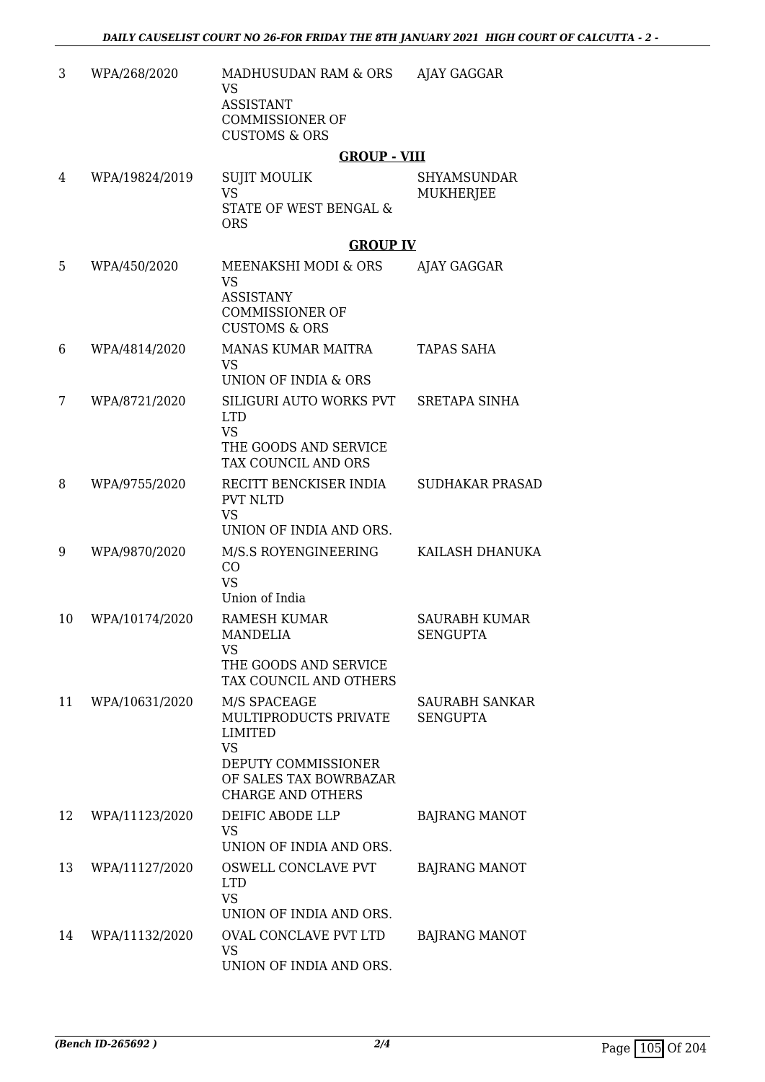| 3  | WPA/268/2020   | MADHUSUDAN RAM & ORS<br><b>VS</b><br><b>ASSISTANT</b><br><b>COMMISSIONER OF</b><br><b>CUSTOMS &amp; ORS</b>                                       | AJAY GAGGAR                              |
|----|----------------|---------------------------------------------------------------------------------------------------------------------------------------------------|------------------------------------------|
|    |                | <b>GROUP - VIII</b>                                                                                                                               |                                          |
| 4  | WPA/19824/2019 | <b>SUJIT MOULIK</b><br><b>VS</b><br>STATE OF WEST BENGAL &<br><b>ORS</b>                                                                          | <b>SHYAMSUNDAR</b><br>MUKHERJEE          |
|    |                | <b>GROUP IV</b>                                                                                                                                   |                                          |
| 5  | WPA/450/2020   | MEENAKSHI MODI & ORS<br><b>VS</b><br><b>ASSISTANY</b><br><b>COMMISSIONER OF</b><br><b>CUSTOMS &amp; ORS</b>                                       | AJAY GAGGAR                              |
| 6  | WPA/4814/2020  | <b>MANAS KUMAR MAITRA</b><br>VS.<br>UNION OF INDIA & ORS                                                                                          | <b>TAPAS SAHA</b>                        |
| 7  | WPA/8721/2020  | SILIGURI AUTO WORKS PVT<br><b>LTD</b><br><b>VS</b><br>THE GOODS AND SERVICE<br>TAX COUNCIL AND ORS                                                | <b>SRETAPA SINHA</b>                     |
| 8  | WPA/9755/2020  | RECITT BENCKISER INDIA<br><b>PVT NLTD</b><br><b>VS</b><br>UNION OF INDIA AND ORS.                                                                 | <b>SUDHAKAR PRASAD</b>                   |
| 9  | WPA/9870/2020  | M/S.S ROYENGINEERING<br>CO<br><b>VS</b><br>Union of India                                                                                         | KAILASH DHANUKA                          |
| 10 | WPA/10174/2020 | <b>RAMESH KUMAR</b><br><b>MANDELIA</b><br>VS<br>THE GOODS AND SERVICE<br>TAX COUNCIL AND OTHERS                                                   | <b>SAURABH KUMAR</b><br><b>SENGUPTA</b>  |
| 11 | WPA/10631/2020 | M/S SPACEAGE<br>MULTIPRODUCTS PRIVATE<br><b>LIMITED</b><br><b>VS</b><br>DEPUTY COMMISSIONER<br>OF SALES TAX BOWRBAZAR<br><b>CHARGE AND OTHERS</b> | <b>SAURABH SANKAR</b><br><b>SENGUPTA</b> |
| 12 | WPA/11123/2020 | DEIFIC ABODE LLP<br><b>VS</b><br>UNION OF INDIA AND ORS.                                                                                          | <b>BAJRANG MANOT</b>                     |
| 13 | WPA/11127/2020 | OSWELL CONCLAVE PVT<br><b>LTD</b><br>VS<br>UNION OF INDIA AND ORS.                                                                                | <b>BAJRANG MANOT</b>                     |
| 14 | WPA/11132/2020 | <b>OVAL CONCLAVE PVT LTD</b><br><b>VS</b><br>UNION OF INDIA AND ORS.                                                                              | <b>BAJRANG MANOT</b>                     |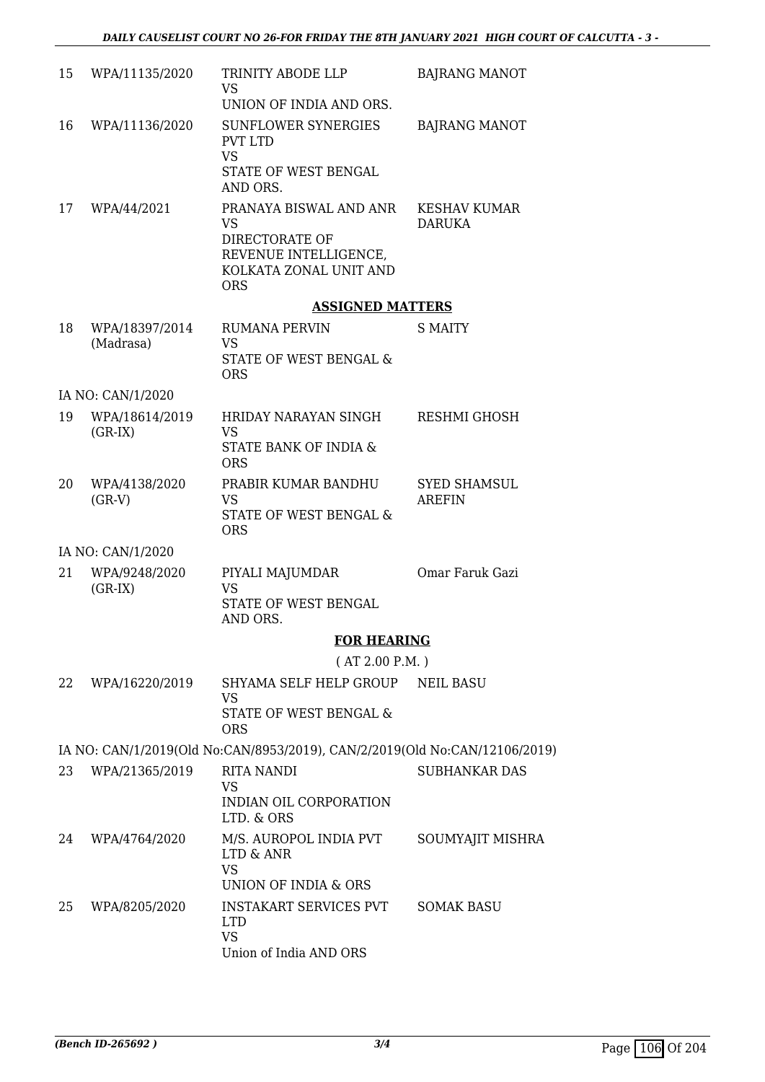| 15 | WPA/11135/2020              | TRINITY ABODE LLP<br><b>VS</b>                                                                                  | <b>BAJRANG MANOT</b>                 |
|----|-----------------------------|-----------------------------------------------------------------------------------------------------------------|--------------------------------------|
|    |                             | UNION OF INDIA AND ORS.                                                                                         |                                      |
| 16 | WPA/11136/2020              | <b>SUNFLOWER SYNERGIES</b><br>PVT LTD<br><b>VS</b><br>STATE OF WEST BENGAL<br>AND ORS.                          | <b>BAJRANG MANOT</b>                 |
| 17 | WPA/44/2021                 | PRANAYA BISWAL AND ANR<br>VS<br>DIRECTORATE OF<br>REVENUE INTELLIGENCE,<br>KOLKATA ZONAL UNIT AND<br><b>ORS</b> | <b>KESHAV KUMAR</b><br><b>DARUKA</b> |
|    |                             | <b>ASSIGNED MATTERS</b>                                                                                         |                                      |
| 18 | WPA/18397/2014<br>(Madrasa) | <b>RUMANA PERVIN</b><br>VS<br>STATE OF WEST BENGAL &<br><b>ORS</b>                                              | S MAITY                              |
|    | IA NO: CAN/1/2020           |                                                                                                                 |                                      |
| 19 | WPA/18614/2019<br>$(GR-IX)$ | HRIDAY NARAYAN SINGH<br>VS<br>STATE BANK OF INDIA &<br><b>ORS</b>                                               | RESHMI GHOSH                         |
| 20 | WPA/4138/2020<br>$(GR-V)$   | PRABIR KUMAR BANDHU<br>VS.<br>STATE OF WEST BENGAL &<br><b>ORS</b>                                              | <b>SYED SHAMSUL</b><br><b>AREFIN</b> |
|    | IA NO: CAN/1/2020           |                                                                                                                 |                                      |
| 21 | WPA/9248/2020<br>$(GR-IX)$  | PIYALI MAJUMDAR<br>VS<br>STATE OF WEST BENGAL<br>AND ORS.                                                       | Omar Faruk Gazi                      |
|    |                             | <b>FOR HEARING</b>                                                                                              |                                      |
|    |                             | (AT 2.00 P.M.)                                                                                                  |                                      |
| 22 | WPA/16220/2019              | SHYAMA SELF HELP GROUP<br>VS<br>STATE OF WEST BENGAL &<br><b>ORS</b>                                            | <b>NEIL BASU</b>                     |
|    |                             | IA NO: CAN/1/2019(Old No:CAN/8953/2019), CAN/2/2019(Old No:CAN/12106/2019)                                      |                                      |
| 23 | WPA/21365/2019              | RITA NANDI<br>VS<br>INDIAN OIL CORPORATION<br>LTD. & ORS                                                        | <b>SUBHANKAR DAS</b>                 |
| 24 | WPA/4764/2020               | M/S. AUROPOL INDIA PVT<br>LTD & ANR<br><b>VS</b><br>UNION OF INDIA & ORS                                        | SOUMYAJIT MISHRA                     |
| 25 | WPA/8205/2020               | <b>INSTAKART SERVICES PVT</b><br><b>LTD</b><br><b>VS</b><br>Union of India AND ORS                              | <b>SOMAK BASU</b>                    |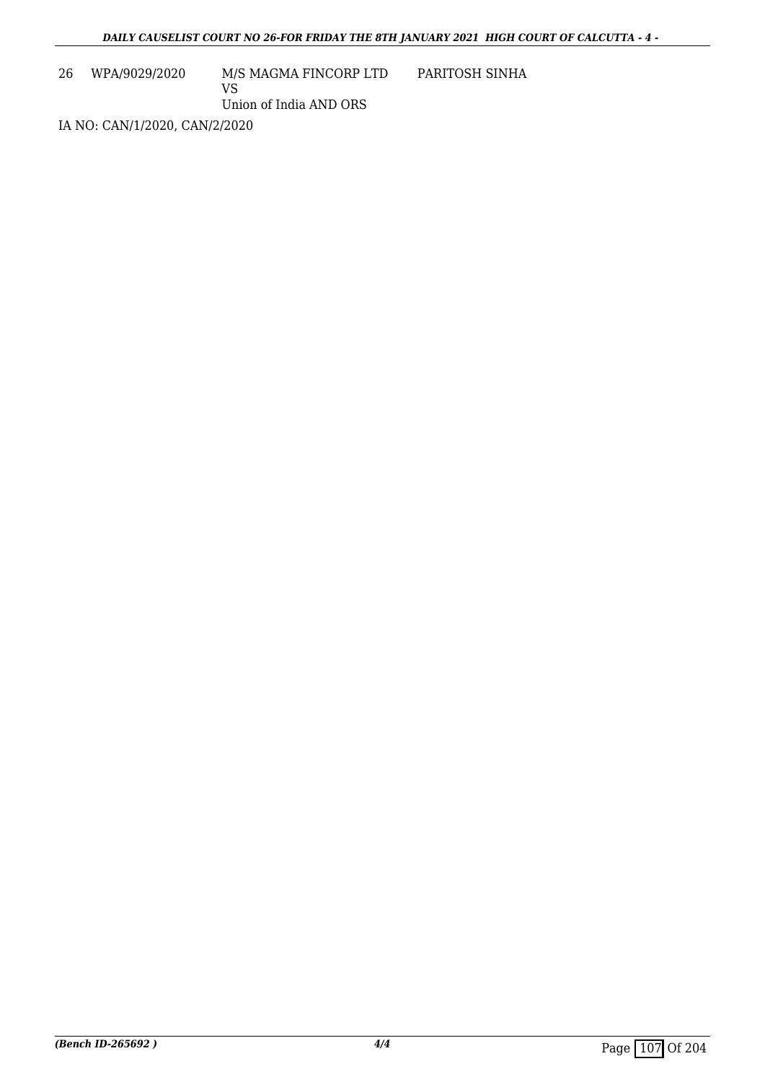26 WPA/9029/2020 M/S MAGMA FINCORP LTD VS PARITOSH SINHA

Union of India AND ORS

IA NO: CAN/1/2020, CAN/2/2020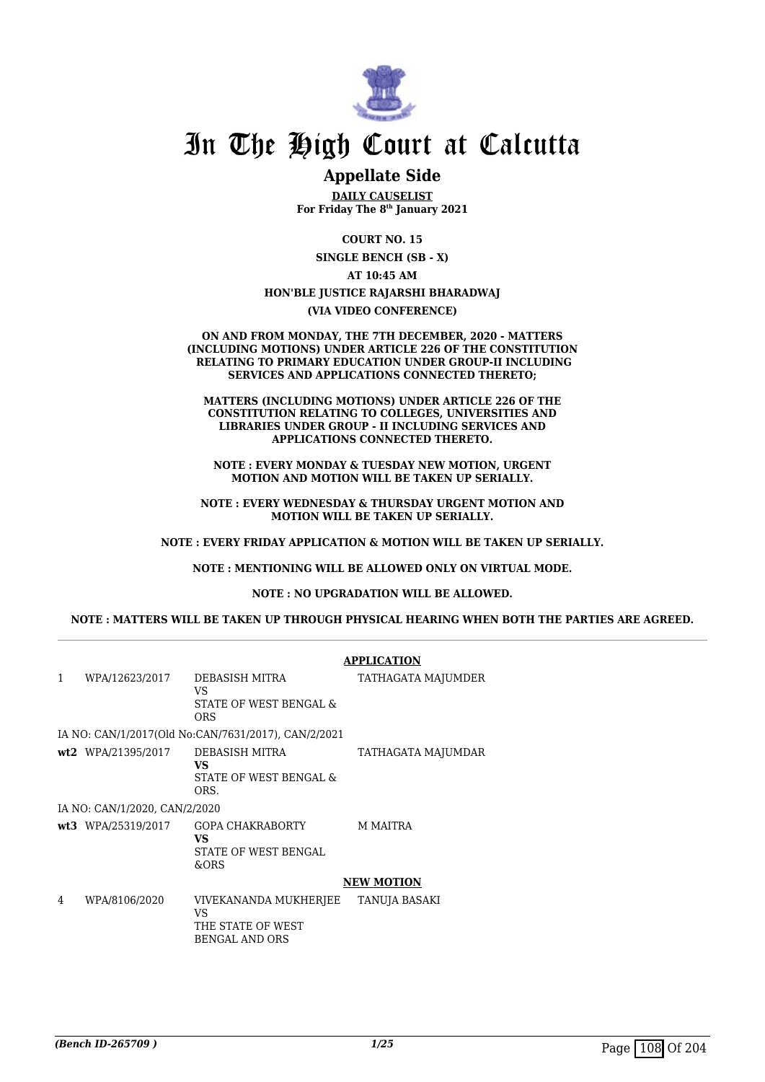

## **Appellate Side**

**DAILY CAUSELIST For Friday The 8th January 2021**

**COURT NO. 15**

**SINGLE BENCH (SB - X)**

**AT 10:45 AM**

### **HON'BLE JUSTICE RAJARSHI BHARADWAJ**

### **(VIA VIDEO CONFERENCE)**

**ON AND FROM MONDAY, THE 7TH DECEMBER, 2020 - MATTERS (INCLUDING MOTIONS) UNDER ARTICLE 226 OF THE CONSTITUTION RELATING TO PRIMARY EDUCATION UNDER GROUP-II INCLUDING SERVICES AND APPLICATIONS CONNECTED THERETO;**

**MATTERS (INCLUDING MOTIONS) UNDER ARTICLE 226 OF THE CONSTITUTION RELATING TO COLLEGES, UNIVERSITIES AND LIBRARIES UNDER GROUP - II INCLUDING SERVICES AND APPLICATIONS CONNECTED THERETO.**

**NOTE : EVERY MONDAY & TUESDAY NEW MOTION, URGENT MOTION AND MOTION WILL BE TAKEN UP SERIALLY.**

**NOTE : EVERY WEDNESDAY & THURSDAY URGENT MOTION AND MOTION WILL BE TAKEN UP SERIALLY.**

**NOTE : EVERY FRIDAY APPLICATION & MOTION WILL BE TAKEN UP SERIALLY.**

**NOTE : MENTIONING WILL BE ALLOWED ONLY ON VIRTUAL MODE.**

#### **NOTE : NO UPGRADATION WILL BE ALLOWED.**

### **NOTE : MATTERS WILL BE TAKEN UP THROUGH PHYSICAL HEARING WHEN BOTH THE PARTIES ARE AGREED.**

|              |                               |                                                                                  | <b>APPLICATION</b> |
|--------------|-------------------------------|----------------------------------------------------------------------------------|--------------------|
| $\mathbf{1}$ | WPA/12623/2017                | DEBASISH MITRA<br><b>VS</b><br>STATE OF WEST BENGAL &<br>ORS                     | TATHAGATA MAJUMDER |
|              |                               | IA NO: CAN/1/2017(Old No:CAN/7631/2017), CAN/2/2021                              |                    |
|              | wt2 WPA/21395/2017            | DEBASISH MITRA<br>VS.<br>STATE OF WEST BENGAL &<br>ORS.                          | TATHAGATA MAJUMDAR |
|              | IA NO: CAN/1/2020, CAN/2/2020 |                                                                                  |                    |
|              | wt3 WPA/25319/2017            | GOPA CHAKRABORTY<br><b>VS</b><br>STATE OF WEST BENGAL<br>&ORS                    | <b>M MAITRA</b>    |
|              |                               |                                                                                  | <b>NEW MOTION</b>  |
| 4            | WPA/8106/2020                 | VIVEKANANDA MUKHERJEE<br><b>VS</b><br>THE STATE OF WEST<br><b>BENGAL AND ORS</b> | TANUJA BASAKI      |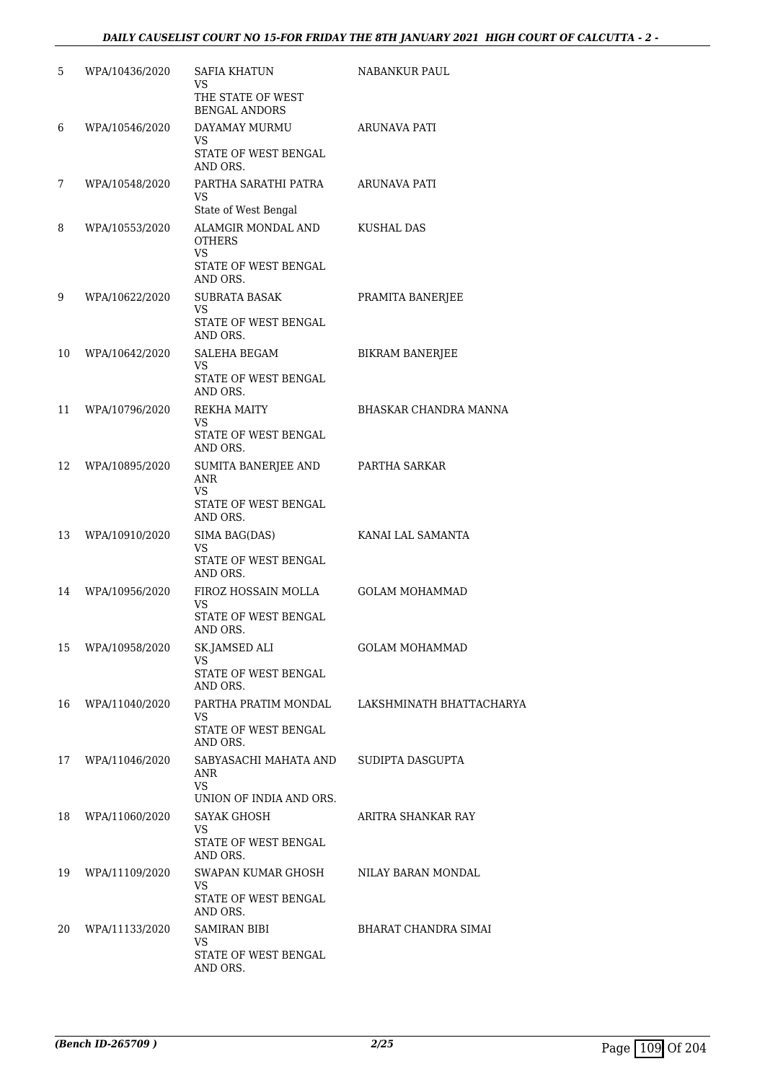| 5  | WPA/10436/2020 | SAFIA KHATUN<br>VS<br>THE STATE OF WEST                                                    | NABANKUR PAUL            |
|----|----------------|--------------------------------------------------------------------------------------------|--------------------------|
| 6  | WPA/10546/2020 | <b>BENGAL ANDORS</b><br>DAYAMAY MURMU                                                      | ARUNAVA PATI             |
|    |                | VS<br>STATE OF WEST BENGAL<br>AND ORS.                                                     |                          |
| 7  | WPA/10548/2020 | PARTHA SARATHI PATRA<br>VS.                                                                | ARUNAVA PATI             |
| 8  | WPA/10553/2020 | State of West Bengal<br>ALAMGIR MONDAL AND<br><b>OTHERS</b><br>VS.<br>STATE OF WEST BENGAL | KUSHAL DAS               |
| 9  | WPA/10622/2020 | AND ORS.<br>SUBRATA BASAK                                                                  | PRAMITA BANERJEE         |
|    |                | VS.<br>STATE OF WEST BENGAL<br>AND ORS.                                                    |                          |
| 10 | WPA/10642/2020 | SALEHA BEGAM                                                                               | BIKRAM BANERJEE          |
|    |                | VS<br>STATE OF WEST BENGAL<br>AND ORS.                                                     |                          |
| 11 | WPA/10796/2020 | REKHA MAITY<br>VS                                                                          | BHASKAR CHANDRA MANNA    |
|    |                | STATE OF WEST BENGAL<br>AND ORS.                                                           |                          |
| 12 | WPA/10895/2020 | SUMITA BANERJEE AND<br>ANR<br>VS<br>STATE OF WEST BENGAL                                   | PARTHA SARKAR            |
|    |                | AND ORS.                                                                                   |                          |
| 13 | WPA/10910/2020 | SIMA BAG(DAS)<br>VS<br>STATE OF WEST BENGAL                                                | KANAI LAL SAMANTA        |
|    |                | AND ORS.                                                                                   |                          |
| 14 | WPA/10956/2020 | FIROZ HOSSAIN MOLLA<br>VS<br>STATE OF WEST BENGAL                                          | <b>GOLAM MOHAMMAD</b>    |
| 15 | WPA/10958/2020 | AND ORS.<br>SK.JAMSED ALI                                                                  | <b>GOLAM MOHAMMAD</b>    |
|    |                | <b>VS</b><br>STATE OF WEST BENGAL<br>AND ORS.                                              |                          |
| 16 | WPA/11040/2020 | PARTHA PRATIM MONDAL                                                                       | LAKSHMINATH BHATTACHARYA |
|    |                | VS<br>STATE OF WEST BENGAL<br>AND ORS.                                                     |                          |
| 17 | WPA/11046/2020 | SABYASACHI MAHATA AND<br>ANR<br><b>VS</b>                                                  | SUDIPTA DASGUPTA         |
|    |                | UNION OF INDIA AND ORS.                                                                    |                          |
| 18 | WPA/11060/2020 | <b>SAYAK GHOSH</b><br>VS.<br>STATE OF WEST BENGAL                                          | ARITRA SHANKAR RAY       |
|    |                | AND ORS.                                                                                   |                          |
| 19 | WPA/11109/2020 | SWAPAN KUMAR GHOSH<br>VS<br>STATE OF WEST BENGAL                                           | NILAY BARAN MONDAL       |
| 20 | WPA/11133/2020 | AND ORS.<br><b>SAMIRAN BIBI</b>                                                            | BHARAT CHANDRA SIMAI     |
|    |                | VS<br>STATE OF WEST BENGAL<br>AND ORS.                                                     |                          |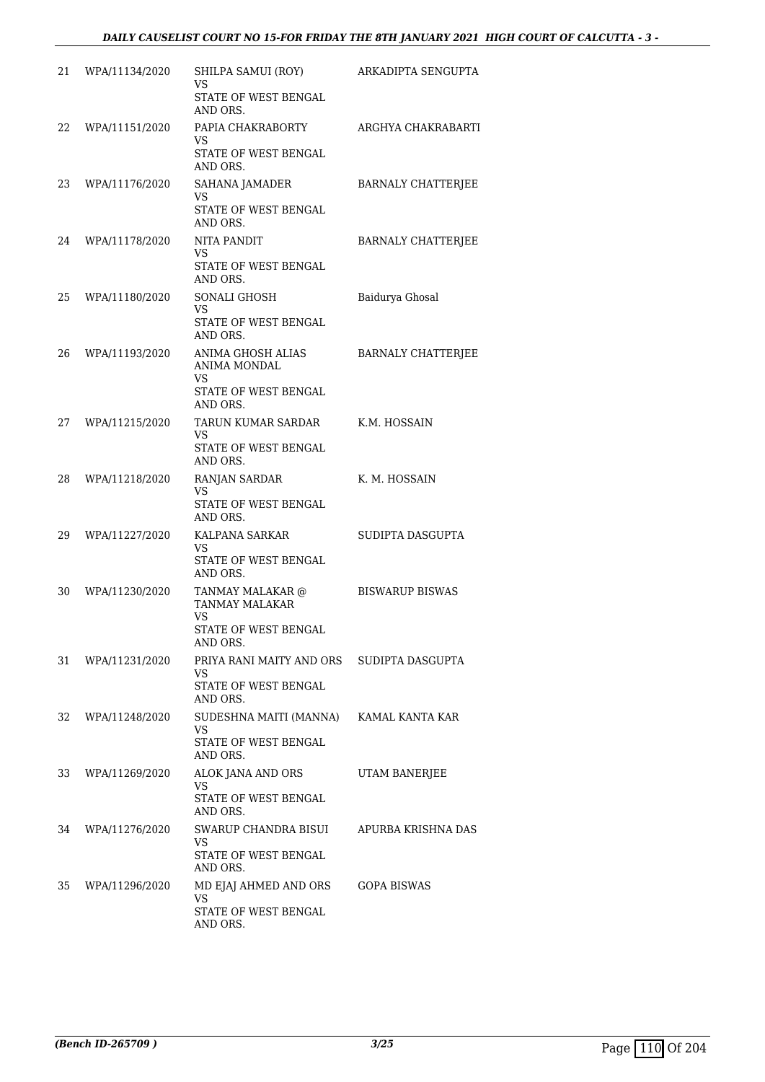| 21 | WPA/11134/2020 | SHILPA SAMUI (ROY)<br>VS<br>STATE OF WEST BENGAL                               | ARKADIPTA SENGUPTA        |
|----|----------------|--------------------------------------------------------------------------------|---------------------------|
| 22 | WPA/11151/2020 | AND ORS.<br>PAPIA CHAKRABORTY<br><b>VS</b><br>STATE OF WEST BENGAL<br>AND ORS. | ARGHYA CHAKRABARTI        |
| 23 | WPA/11176/2020 | SAHANA JAMADER<br>VS<br>STATE OF WEST BENGAL<br>AND ORS.                       | BARNALY CHATTERJEE        |
| 24 | WPA/11178/2020 | <b>NITA PANDIT</b><br>VS<br>STATE OF WEST BENGAL<br>AND ORS.                   | <b>BARNALY CHATTERJEE</b> |
| 25 | WPA/11180/2020 | SONALI GHOSH<br>VS<br>STATE OF WEST BENGAL<br>AND ORS.                         | Baidurya Ghosal           |
| 26 | WPA/11193/2020 | ANIMA GHOSH ALIAS<br>ANIMA MONDAL<br>VS<br>STATE OF WEST BENGAL<br>AND ORS.    | BARNALY CHATTERJEE        |
| 27 | WPA/11215/2020 | TARUN KUMAR SARDAR<br>VS<br>STATE OF WEST BENGAL<br>AND ORS.                   | K.M. HOSSAIN              |
| 28 | WPA/11218/2020 | RANJAN SARDAR<br>VS<br>STATE OF WEST BENGAL<br>AND ORS.                        | K. M. HOSSAIN             |
| 29 | WPA/11227/2020 | KALPANA SARKAR<br><b>VS</b><br>STATE OF WEST BENGAL<br>AND ORS.                | SUDIPTA DASGUPTA          |
| 30 | WPA/11230/2020 | TANMAY MALAKAR @<br>TANMAY MALAKAR<br>VS<br>STATE OF WEST BENGAL<br>AND ORS.   | <b>BISWARUP BISWAS</b>    |
| 31 | WPA/11231/2020 | PRIYA RANI MAITY AND ORS<br>VS<br>STATE OF WEST BENGAL<br>AND ORS.             | SUDIPTA DASGUPTA          |
| 32 | WPA/11248/2020 | SUDESHNA MAITI (MANNA)<br>VS<br>STATE OF WEST BENGAL<br>AND ORS.               | KAMAL KANTA KAR           |
| 33 | WPA/11269/2020 | ALOK JANA AND ORS<br>VS<br>STATE OF WEST BENGAL<br>AND ORS.                    | <b>UTAM BANERJEE</b>      |
| 34 | WPA/11276/2020 | SWARUP CHANDRA BISUI<br>VS<br>STATE OF WEST BENGAL<br>AND ORS.                 | APURBA KRISHNA DAS        |
| 35 | WPA/11296/2020 | MD EJAJ AHMED AND ORS<br><b>VS</b><br>STATE OF WEST BENGAL<br>AND ORS.         | GOPA BISWAS               |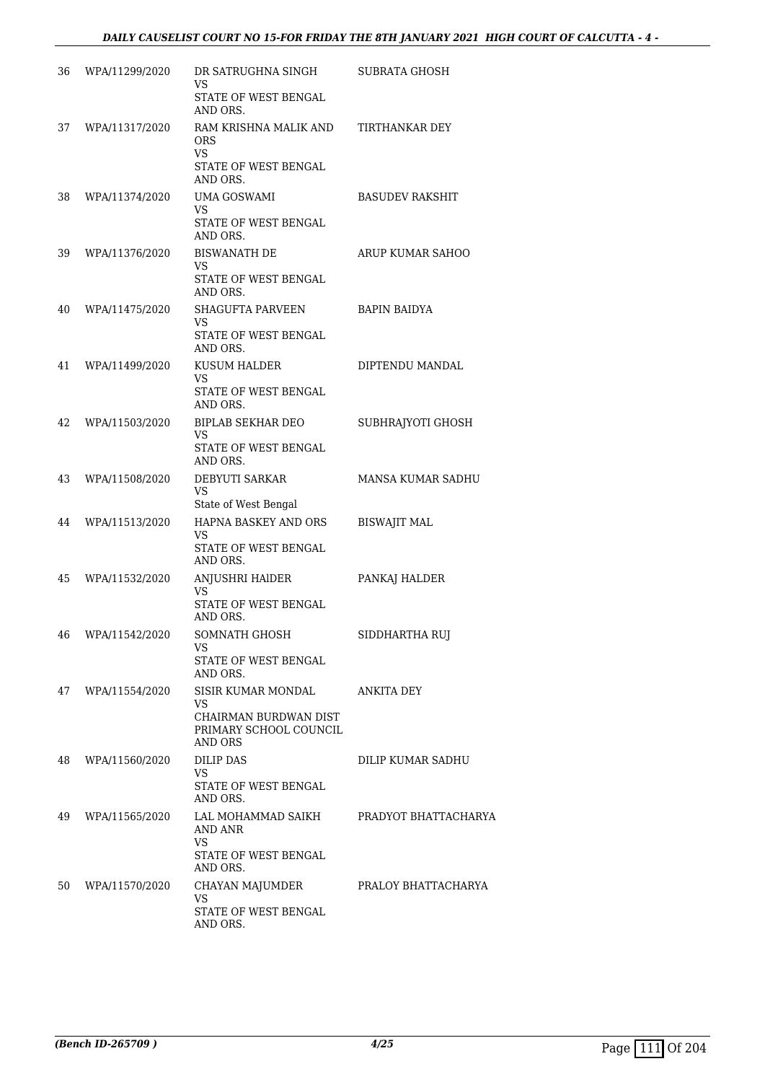| 36 | WPA/11299/2020 | DR SATRUGHNA SINGH<br>VS                                                               | SUBRATA GHOSH            |
|----|----------------|----------------------------------------------------------------------------------------|--------------------------|
|    |                | STATE OF WEST BENGAL<br>AND ORS.                                                       |                          |
| 37 | WPA/11317/2020 | RAM KRISHNA MALIK AND<br>ORS.<br>VS<br>STATE OF WEST BENGAL<br>AND ORS.                | TIRTHANKAR DEY           |
| 38 | WPA/11374/2020 | <b>UMA GOSWAMI</b><br>VS<br>STATE OF WEST BENGAL<br>AND ORS.                           | <b>BASUDEV RAKSHIT</b>   |
| 39 | WPA/11376/2020 | <b>BISWANATH DE</b><br>VS<br>STATE OF WEST BENGAL<br>AND ORS.                          | ARUP KUMAR SAHOO         |
| 40 | WPA/11475/2020 | <b>SHAGUFTA PARVEEN</b><br>VS<br>STATE OF WEST BENGAL<br>AND ORS.                      | <b>BAPIN BAIDYA</b>      |
| 41 | WPA/11499/2020 | KUSUM HALDER<br>VS<br>STATE OF WEST BENGAL<br>AND ORS.                                 | DIPTENDU MANDAL          |
| 42 | WPA/11503/2020 | <b>BIPLAB SEKHAR DEO</b><br><b>VS</b><br>STATE OF WEST BENGAL<br>AND ORS.              | SUBHRAJYOTI GHOSH        |
| 43 | WPA/11508/2020 | DEBYUTI SARKAR<br>VS<br>State of West Bengal                                           | <b>MANSA KUMAR SADHU</b> |
| 44 | WPA/11513/2020 | HAPNA BASKEY AND ORS<br>VS<br>STATE OF WEST BENGAL<br>AND ORS.                         | <b>BISWAJIT MAL</b>      |
| 45 | WPA/11532/2020 | ANJUSHRI HAIDER<br><b>VS</b><br>STATE OF WEST BENGAL<br>AND ORS.                       | PANKAJ HALDER            |
| 46 | WPA/11542/2020 | SOMNATH GHOSH<br>VS<br>STATE OF WEST BENGAL<br>AND ORS.                                | SIDDHARTHA RUJ           |
| 47 | WPA/11554/2020 | SISIR KUMAR MONDAL<br>VS<br>CHAIRMAN BURDWAN DIST<br>PRIMARY SCHOOL COUNCIL<br>AND ORS | <b>ANKITA DEY</b>        |
| 48 | WPA/11560/2020 | <b>DILIP DAS</b><br>VS.<br>STATE OF WEST BENGAL<br>AND ORS.                            | DILIP KUMAR SADHU        |
| 49 | WPA/11565/2020 | LAL MOHAMMAD SAIKH<br>AND ANR<br>VS<br>STATE OF WEST BENGAL<br>AND ORS.                | PRADYOT BHATTACHARYA     |
| 50 | WPA/11570/2020 | CHAYAN MAJUMDER<br>VS<br>STATE OF WEST BENGAL<br>AND ORS.                              | PRALOY BHATTACHARYA      |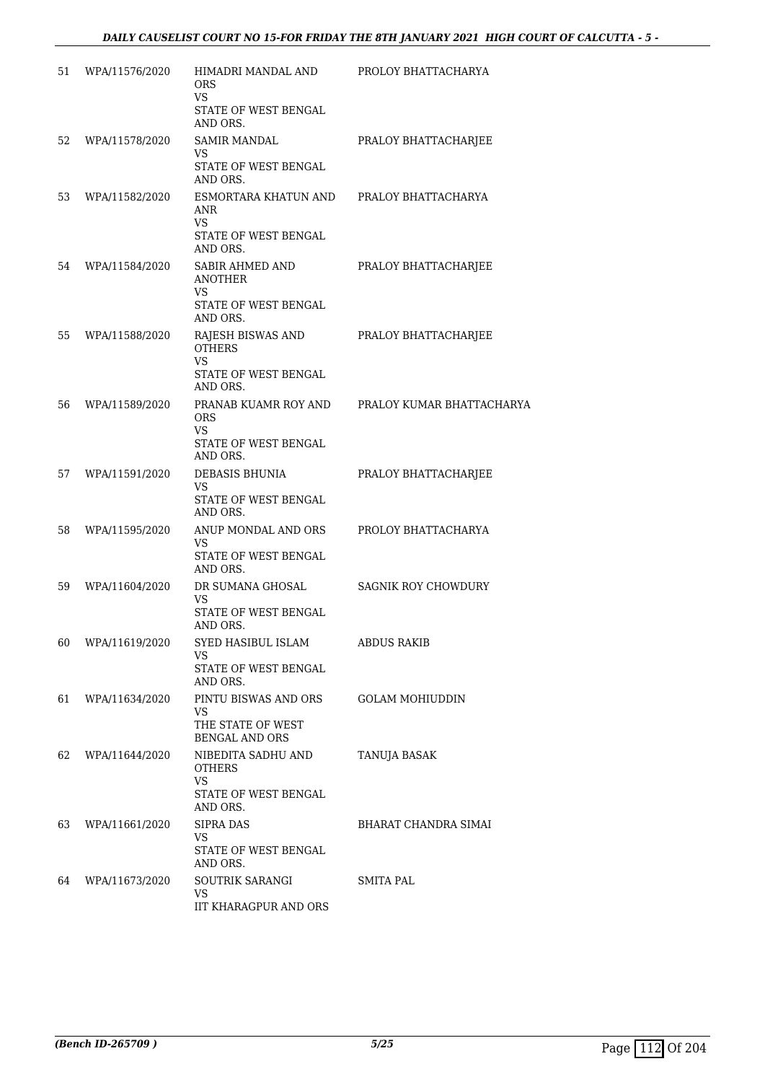| 51 | WPA/11576/2020 | HIMADRI MANDAL AND<br><b>ORS</b><br><b>VS</b><br>STATE OF WEST BENGAL                                  | PROLOY BHATTACHARYA        |
|----|----------------|--------------------------------------------------------------------------------------------------------|----------------------------|
|    |                | AND ORS.                                                                                               |                            |
| 52 | WPA/11578/2020 | <b>SAMIR MANDAL</b><br>VS<br>STATE OF WEST BENGAL<br>AND ORS.                                          | PRALOY BHATTACHARJEE       |
| 53 | WPA/11582/2020 | ESMORTARA KHATUN AND<br>ANR<br><b>VS</b><br>STATE OF WEST BENGAL                                       | PRALOY BHATTACHARYA        |
| 54 | WPA/11584/2020 | AND ORS.<br>SABIR AHMED AND<br>ANOTHER                                                                 | PRALOY BHATTACHARJEE       |
|    |                | VS<br>STATE OF WEST BENGAL<br>AND ORS.                                                                 |                            |
| 55 | WPA/11588/2020 | RAJESH BISWAS AND<br><b>OTHERS</b><br>VS.                                                              | PRALOY BHATTACHARJEE       |
|    |                | STATE OF WEST BENGAL<br>AND ORS.                                                                       |                            |
| 56 | WPA/11589/2020 | PRANAB KUAMR ROY AND<br><b>ORS</b><br>VS                                                               | PRALOY KUMAR BHATTACHARYA  |
|    |                | STATE OF WEST BENGAL<br>AND ORS.                                                                       |                            |
| 57 | WPA/11591/2020 | DEBASIS BHUNIA<br>VS                                                                                   | PRALOY BHATTACHARJEE       |
|    |                | STATE OF WEST BENGAL<br>AND ORS.                                                                       |                            |
| 58 | WPA/11595/2020 | ANUP MONDAL AND ORS<br><b>VS</b><br>STATE OF WEST BENGAL<br>AND ORS.                                   | PROLOY BHATTACHARYA        |
| 59 | WPA/11604/2020 | DR SUMANA GHOSAL<br>VS.<br>STATE OF WEST BENGAL                                                        | <b>SAGNIK ROY CHOWDURY</b> |
| 60 | WPA/11619/2020 | AND ORS.<br>SYED HASIBUL ISLAM                                                                         | <b>ABDUS RAKIB</b>         |
|    |                | VS<br>STATE OF WEST BENGAL<br>AND ORS.                                                                 |                            |
| 61 | WPA/11634/2020 | PINTU BISWAS AND ORS<br>VS.<br>THE STATE OF WEST                                                       | <b>GOLAM MOHIUDDIN</b>     |
| 62 | WPA/11644/2020 | <b>BENGAL AND ORS</b><br>NIBEDITA SADHU AND<br><b>OTHERS</b><br>VS<br>STATE OF WEST BENGAL<br>AND ORS. | <b>TANUJA BASAK</b>        |
| 63 | WPA/11661/2020 | SIPRA DAS<br>VS.<br>STATE OF WEST BENGAL<br>AND ORS.                                                   | BHARAT CHANDRA SIMAI       |
| 64 | WPA/11673/2020 | <b>SOUTRIK SARANGI</b><br>VS<br><b>IIT KHARAGPUR AND ORS</b>                                           | SMITA PAL                  |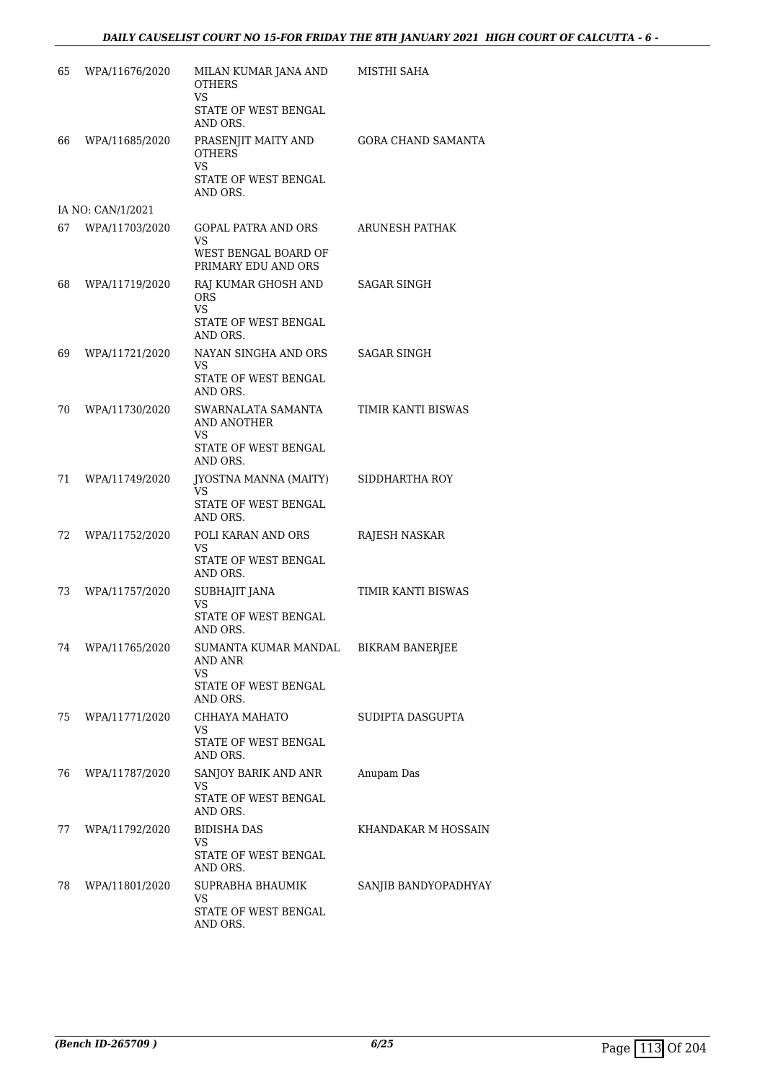| 65 | WPA/11676/2020    | MILAN KUMAR JANA AND<br><b>OTHERS</b><br><b>VS</b> | MISTHI SAHA               |
|----|-------------------|----------------------------------------------------|---------------------------|
|    |                   | STATE OF WEST BENGAL<br>AND ORS.                   |                           |
| 66 | WPA/11685/2020    | PRASENJIT MAITY AND<br><b>OTHERS</b><br><b>VS</b>  | <b>GORA CHAND SAMANTA</b> |
|    |                   | STATE OF WEST BENGAL<br>AND ORS.                   |                           |
|    | IA NO: CAN/1/2021 |                                                    |                           |
| 67 | WPA/11703/2020    | GOPAL PATRA AND ORS<br>VS                          | ARUNESH PATHAK            |
|    |                   | WEST BENGAL BOARD OF<br>PRIMARY EDU AND ORS        |                           |
| 68 | WPA/11719/2020    | RAJ KUMAR GHOSH AND<br>ORS.<br>VS                  | SAGAR SINGH               |
|    |                   | STATE OF WEST BENGAL<br>AND ORS.                   |                           |
| 69 | WPA/11721/2020    | NAYAN SINGHA AND ORS<br><b>VS</b>                  | <b>SAGAR SINGH</b>        |
|    |                   | STATE OF WEST BENGAL<br>AND ORS.                   |                           |
| 70 | WPA/11730/2020    | SWARNALATA SAMANTA<br><b>AND ANOTHER</b><br>VS     | TIMIR KANTI BISWAS        |
|    |                   | STATE OF WEST BENGAL<br>AND ORS.                   |                           |
| 71 | WPA/11749/2020    | JYOSTNA MANNA (MAITY)<br>VS                        | SIDDHARTHA ROY            |
|    |                   | STATE OF WEST BENGAL<br>AND ORS.                   |                           |
| 72 | WPA/11752/2020    | POLI KARAN AND ORS<br>VS                           | RAJESH NASKAR             |
|    |                   | STATE OF WEST BENGAL<br>AND ORS.                   |                           |
| 73 | WPA/11757/2020    | SUBHAJIT JANA<br>VS                                | TIMIR KANTI BISWAS        |
|    |                   | STATE OF WEST BENGAL<br>AND ORS.                   |                           |
| 74 | WPA/11765/2020    | SUMANTA KUMAR MANDAL<br>AND ANR<br>VS              | <b>BIKRAM BANERJEE</b>    |
|    |                   | STATE OF WEST BENGAL<br>AND ORS.                   |                           |
| 75 | WPA/11771/2020    | CHHAYA MAHATO<br>VS                                | SUDIPTA DASGUPTA          |
|    |                   | STATE OF WEST BENGAL<br>AND ORS.                   |                           |
| 76 | WPA/11787/2020    | SANJOY BARIK AND ANR<br>VS                         | Anupam Das                |
|    |                   | STATE OF WEST BENGAL<br>AND ORS.                   |                           |
| 77 | WPA/11792/2020    | <b>BIDISHA DAS</b><br>VS                           | KHANDAKAR M HOSSAIN       |
|    |                   | STATE OF WEST BENGAL<br>AND ORS.                   |                           |
| 78 | WPA/11801/2020    | SUPRABHA BHAUMIK<br>VS                             | SANJIB BANDYOPADHYAY      |
|    |                   | STATE OF WEST BENGAL<br>AND ORS.                   |                           |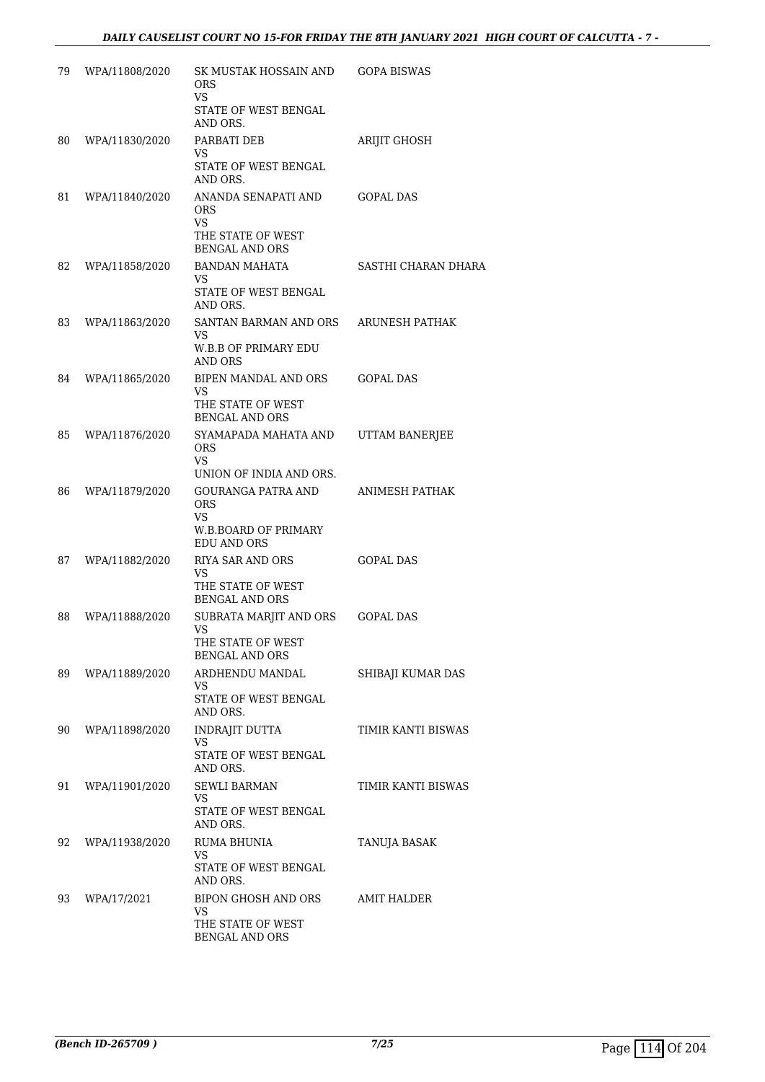| 79 | WPA/11808/2020 | SK MUSTAK HOSSAIN AND<br>ORS<br>VS         | GOPA BISWAS         |
|----|----------------|--------------------------------------------|---------------------|
|    |                | STATE OF WEST BENGAL<br>AND ORS.           |                     |
| 80 | WPA/11830/2020 | PARBATI DEB<br>VS                          | ARIJIT GHOSH        |
|    |                | STATE OF WEST BENGAL<br>AND ORS.           |                     |
| 81 | WPA/11840/2020 | ANANDA SENAPATI AND<br>ORS<br><b>VS</b>    | GOPAL DAS           |
|    |                | THE STATE OF WEST<br><b>BENGAL AND ORS</b> |                     |
| 82 | WPA/11858/2020 | <b>BANDAN MAHATA</b><br>VS                 | SASTHI CHARAN DHARA |
|    |                | STATE OF WEST BENGAL<br>AND ORS.           |                     |
| 83 | WPA/11863/2020 | SANTAN BARMAN AND ORS<br>VS.               | ARUNESH PATHAK      |
|    |                | <b>W.B.B OF PRIMARY EDU</b><br>AND ORS     |                     |
| 84 | WPA/11865/2020 | BIPEN MANDAL AND ORS<br>VS.                | <b>GOPAL DAS</b>    |
|    |                | THE STATE OF WEST<br><b>BENGAL AND ORS</b> |                     |
| 85 | WPA/11876/2020 | SYAMAPADA MAHATA AND<br><b>ORS</b>         | UTTAM BANERJEE      |
|    |                | VS<br>UNION OF INDIA AND ORS.              |                     |
| 86 | WPA/11879/2020 | GOURANGA PATRA AND<br><b>ORS</b><br>VS.    | ANIMESH PATHAK      |
|    |                | W.B.BOARD OF PRIMARY<br><b>EDU AND ORS</b> |                     |
| 87 | WPA/11882/2020 | RIYA SAR AND ORS<br>VS                     | GOPAL DAS           |
|    |                | THE STATE OF WEST<br><b>BENGAL AND ORS</b> |                     |
| 88 | WPA/11888/2020 | SUBRATA MARJIT AND ORS<br><b>VS</b>        | <b>GOPAL DAS</b>    |
|    |                | THE STATE OF WEST<br><b>BENGAL AND ORS</b> |                     |
| 89 | WPA/11889/2020 | ARDHENDU MANDAL<br>VS                      | SHIBAJI KUMAR DAS   |
|    |                | STATE OF WEST BENGAL<br>AND ORS.           |                     |
| 90 | WPA/11898/2020 | <b>INDRAJIT DUTTA</b><br>VS                | TIMIR KANTI BISWAS  |
|    |                | STATE OF WEST BENGAL<br>AND ORS.           |                     |
| 91 | WPA/11901/2020 | SEWLI BARMAN<br>VS.                        | TIMIR KANTI BISWAS  |
|    |                | STATE OF WEST BENGAL<br>AND ORS.           |                     |
| 92 | WPA/11938/2020 | RUMA BHUNIA<br>VS                          | TANUJA BASAK        |
|    |                | STATE OF WEST BENGAL<br>AND ORS.           |                     |
| 93 | WPA/17/2021    | BIPON GHOSH AND ORS<br>VS                  | AMIT HALDER         |
|    |                | THE STATE OF WEST<br><b>BENGAL AND ORS</b> |                     |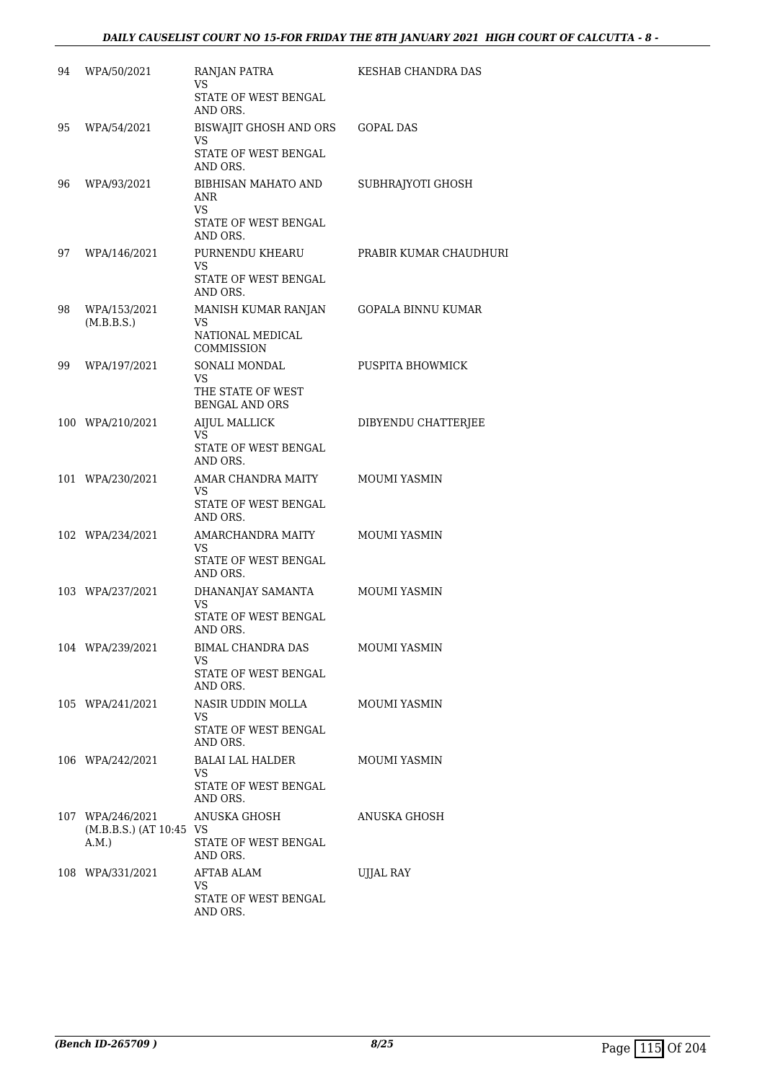| 94 | WPA/50/2021                     | RANJAN PATRA<br>VS<br>STATE OF WEST BENGAL                            | KESHAB CHANDRA DAS        |
|----|---------------------------------|-----------------------------------------------------------------------|---------------------------|
| 95 |                                 | AND ORS.<br>BISWAJIT GHOSH AND ORS                                    |                           |
|    | WPA/54/2021                     | <b>VS</b><br>STATE OF WEST BENGAL<br>AND ORS.                         | GOPAL DAS                 |
| 96 | WPA/93/2021                     | BIBHISAN MAHATO AND<br>ANR<br>VS.<br>STATE OF WEST BENGAL<br>AND ORS. | SUBHRAJYOTI GHOSH         |
| 97 | WPA/146/2021                    | PURNENDU KHEARU<br><b>VS</b><br>STATE OF WEST BENGAL<br>AND ORS.      | PRABIR KUMAR CHAUDHURI    |
| 98 | WPA/153/2021<br>(M.B.B.S.)      | MANISH KUMAR RANJAN<br>VS<br>NATIONAL MEDICAL<br>COMMISSION           | <b>GOPALA BINNU KUMAR</b> |
| 99 | WPA/197/2021                    | SONALI MONDAL<br>VS                                                   | PUSPITA BHOWMICK          |
|    |                                 | THE STATE OF WEST<br><b>BENGAL AND ORS</b>                            |                           |
|    | 100 WPA/210/2021                | <b>AIJUL MALLICK</b><br>VS.                                           | DIBYENDU CHATTERJEE       |
|    |                                 | STATE OF WEST BENGAL<br>AND ORS.                                      |                           |
|    | 101 WPA/230/2021                | AMAR CHANDRA MAITY<br>VS                                              | MOUMI YASMIN              |
|    |                                 | STATE OF WEST BENGAL<br>AND ORS.                                      |                           |
|    | 102 WPA/234/2021                | AMARCHANDRA MAITY<br>VS<br>STATE OF WEST BENGAL                       | MOUMI YASMIN              |
|    | 103 WPA/237/2021                | AND ORS.<br>DHANANJAY SAMANTA<br><b>VS</b>                            | MOUMI YASMIN              |
|    |                                 | STATE OF WEST BENGAL<br>AND ORS.                                      |                           |
|    | 104 WPA/239/2021                | BIMAL CHANDRA DAS<br>VS.<br>STATE OF WEST BENGAL<br>AND ORS.          | <b>MOUMI YASMIN</b>       |
|    | 105 WPA/241/2021                | NASIR UDDIN MOLLA<br>VS<br>STATE OF WEST BENGAL                       | <b>MOUMI YASMIN</b>       |
|    | 106 WPA/242/2021                | AND ORS.<br>BALAI LAL HALDER                                          | MOUMI YASMIN              |
|    |                                 | VS<br>STATE OF WEST BENGAL<br>AND ORS.                                |                           |
|    | 107 WPA/246/2021                | ANUSKA GHOSH                                                          | ANUSKA GHOSH              |
|    | (M.B.B.S.) (AT 10:45 VS<br>A.M. | STATE OF WEST BENGAL<br>AND ORS.                                      |                           |
|    | 108 WPA/331/2021                | AFTAB ALAM<br>VS                                                      | UJJAL RAY                 |
|    |                                 | STATE OF WEST BENGAL<br>AND ORS.                                      |                           |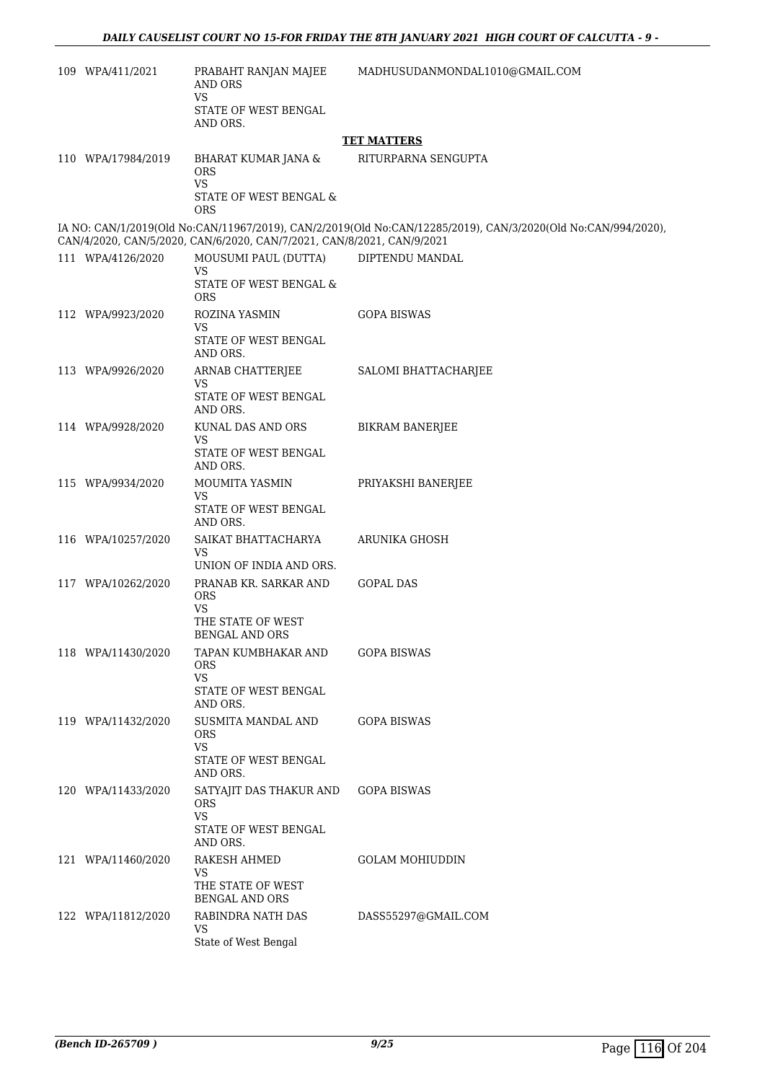| 109 WPA/411/2021   | PRABAHT RANJAN MAJEE<br>AND ORS<br>VS                                  | MADHUSUDANMONDAL1010@GMAIL.COM                                                                                |
|--------------------|------------------------------------------------------------------------|---------------------------------------------------------------------------------------------------------------|
|                    | STATE OF WEST BENGAL<br>AND ORS.                                       |                                                                                                               |
|                    |                                                                        | <b>TET MATTERS</b>                                                                                            |
| 110 WPA/17984/2019 | BHARAT KUMAR JANA &<br>ORS<br><b>VS</b><br>STATE OF WEST BENGAL &      | RITURPARNA SENGUPTA                                                                                           |
|                    | ORS                                                                    |                                                                                                               |
|                    | CAN/4/2020, CAN/5/2020, CAN/6/2020, CAN/7/2021, CAN/8/2021, CAN/9/2021 | IA NO: CAN/1/2019(Old No:CAN/11967/2019), CAN/2/2019(Old No:CAN/12285/2019), CAN/3/2020(Old No:CAN/994/2020), |
| 111 WPA/4126/2020  | MOUSUMI PAUL (DUTTA)<br>VS                                             | DIPTENDU MANDAL                                                                                               |
|                    | STATE OF WEST BENGAL &<br><b>ORS</b>                                   |                                                                                                               |
| 112 WPA/9923/2020  | ROZINA YASMIN<br>VS                                                    | <b>GOPA BISWAS</b>                                                                                            |
|                    | STATE OF WEST BENGAL<br>AND ORS.                                       |                                                                                                               |
| 113 WPA/9926/2020  | ARNAB CHATTERJEE<br><b>VS</b>                                          | SALOMI BHATTACHARJEE                                                                                          |
|                    | STATE OF WEST BENGAL<br>AND ORS.                                       |                                                                                                               |
| 114 WPA/9928/2020  | KUNAL DAS AND ORS<br>VS                                                | <b>BIKRAM BANERJEE</b>                                                                                        |
|                    | STATE OF WEST BENGAL<br>AND ORS.                                       |                                                                                                               |
| 115 WPA/9934/2020  | MOUMITA YASMIN<br>VS                                                   | PRIYAKSHI BANERJEE                                                                                            |
|                    | STATE OF WEST BENGAL<br>AND ORS.                                       |                                                                                                               |
| 116 WPA/10257/2020 | SAIKAT BHATTACHARYA<br>VS                                              | ARUNIKA GHOSH                                                                                                 |
| 117 WPA/10262/2020 | UNION OF INDIA AND ORS.<br>PRANAB KR. SARKAR AND                       | <b>GOPAL DAS</b>                                                                                              |
|                    | <b>ORS</b><br>VS                                                       |                                                                                                               |
|                    | THE STATE OF WEST<br>BENGAL AND ORS                                    |                                                                                                               |
| 118 WPA/11430/2020 | TAPAN KUMBHAKAR AND<br>ORS                                             | <b>GOPA BISWAS</b>                                                                                            |
|                    | <b>VS</b><br>STATE OF WEST BENGAL<br>AND ORS.                          |                                                                                                               |
| 119 WPA/11432/2020 | SUSMITA MANDAL AND<br><b>ORS</b>                                       | <b>GOPA BISWAS</b>                                                                                            |
|                    | <b>VS</b><br>STATE OF WEST BENGAL<br>AND ORS.                          |                                                                                                               |
| 120 WPA/11433/2020 | SATYAJIT DAS THAKUR AND<br><b>ORS</b><br><b>VS</b>                     | <b>GOPA BISWAS</b>                                                                                            |
|                    | STATE OF WEST BENGAL<br>AND ORS.                                       |                                                                                                               |
| 121 WPA/11460/2020 | RAKESH AHMED<br><b>VS</b>                                              | <b>GOLAM MOHIUDDIN</b>                                                                                        |
|                    | THE STATE OF WEST<br><b>BENGAL AND ORS</b>                             |                                                                                                               |
| 122 WPA/11812/2020 | RABINDRA NATH DAS<br>VS                                                | DASS55297@GMAIL.COM                                                                                           |
|                    | State of West Bengal                                                   |                                                                                                               |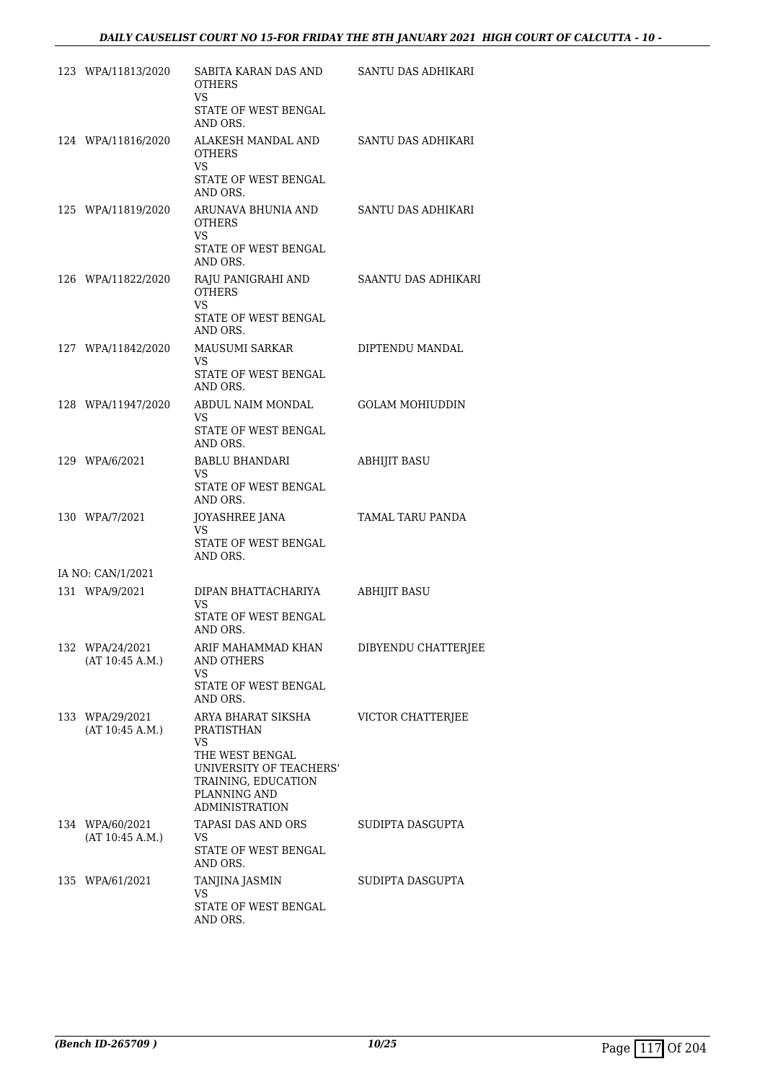| 123 WPA/11813/2020                 | SABITA KARAN DAS AND<br><b>OTHERS</b><br>VS.                                                                                                          | SANTU DAS ADHIKARI     |
|------------------------------------|-------------------------------------------------------------------------------------------------------------------------------------------------------|------------------------|
|                                    | STATE OF WEST BENGAL<br>AND ORS.                                                                                                                      |                        |
| 124 WPA/11816/2020                 | ALAKESH MANDAL AND<br><b>OTHERS</b><br>VS                                                                                                             | SANTU DAS ADHIKARI     |
|                                    | STATE OF WEST BENGAL<br>AND ORS.                                                                                                                      |                        |
| 125 WPA/11819/2020                 | ARUNAVA BHUNIA AND<br><b>OTHERS</b><br>VS<br>STATE OF WEST BENGAL<br>AND ORS.                                                                         | SANTU DAS ADHIKARI     |
| 126 WPA/11822/2020                 | RAJU PANIGRAHI AND<br><b>OTHERS</b><br><b>VS</b><br>STATE OF WEST BENGAL<br>AND ORS.                                                                  | SAANTU DAS ADHIKARI    |
| 127 WPA/11842/2020                 | MAUSUMI SARKAR<br>VS.<br>STATE OF WEST BENGAL<br>AND ORS.                                                                                             | DIPTENDU MANDAL        |
| 128 WPA/11947/2020                 | ABDUL NAIM MONDAL<br>VS<br>STATE OF WEST BENGAL<br>AND ORS.                                                                                           | <b>GOLAM MOHIUDDIN</b> |
| 129 WPA/6/2021                     | BABLU BHANDARI<br>VS.<br>STATE OF WEST BENGAL<br>AND ORS.                                                                                             | <b>ABHIJIT BASU</b>    |
| 130 WPA/7/2021                     | JOYASHREE JANA<br>VS.<br>STATE OF WEST BENGAL<br>AND ORS.                                                                                             | TAMAL TARU PANDA       |
| IA NO: CAN/1/2021                  |                                                                                                                                                       |                        |
| 131 WPA/9/2021                     | DIPAN BHATTACHARIYA                                                                                                                                   | <b>ABHIJIT BASU</b>    |
|                                    | <b>VS</b><br>STATE OF WEST BENGAL<br>AND ORS.                                                                                                         |                        |
| 132 WPA/24/2021<br>(AT 10:45 A.M.) | ARIF MAHAMMAD KHAN<br><b>AND OTHERS</b><br>VS.<br>STATE OF WEST BENGAL                                                                                | DIBYENDU CHATTERJEE    |
|                                    | AND ORS.                                                                                                                                              |                        |
| 133 WPA/29/2021<br>(AT 10:45 A.M.) | ARYA BHARAT SIKSHA<br>PRATISTHAN<br>VS.<br>THE WEST BENGAL<br>UNIVERSITY OF TEACHERS'<br>TRAINING, EDUCATION<br>PLANNING AND<br><b>ADMINISTRATION</b> | VICTOR CHATTERJEE      |
| 134 WPA/60/2021<br>(AT 10:45 A.M.) | TAPASI DAS AND ORS<br>VS<br>STATE OF WEST BENGAL<br>AND ORS.                                                                                          | SUDIPTA DASGUPTA       |
| 135 WPA/61/2021                    | TANJINA JASMIN                                                                                                                                        | SUDIPTA DASGUPTA       |
|                                    | VS.<br>STATE OF WEST BENGAL<br>AND ORS.                                                                                                               |                        |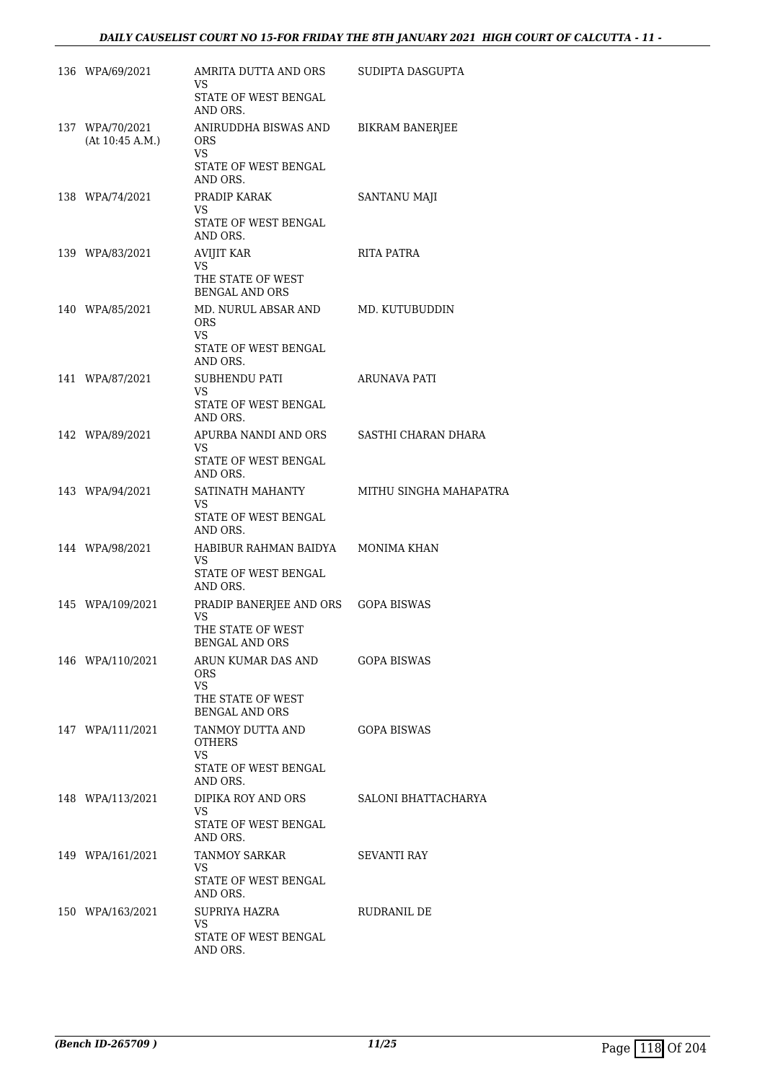| 136 WPA/69/2021                    | AMRITA DUTTA AND ORS<br>VS.                | SUDIPTA DASGUPTA       |
|------------------------------------|--------------------------------------------|------------------------|
|                                    | STATE OF WEST BENGAL<br>AND ORS.           |                        |
| 137 WPA/70/2021<br>(At 10:45 A.M.) | ANIRUDDHA BISWAS AND<br><b>ORS</b><br>VS.  | <b>BIKRAM BANERJEE</b> |
|                                    | STATE OF WEST BENGAL<br>AND ORS.           |                        |
| 138 WPA/74/2021                    | PRADIP KARAK<br>VS                         | SANTANU MAJI           |
|                                    | STATE OF WEST BENGAL<br>AND ORS.           |                        |
| 139 WPA/83/2021                    | <b>AVIJIT KAR</b><br>VS.                   | RITA PATRA             |
|                                    | THE STATE OF WEST<br><b>BENGAL AND ORS</b> |                        |
| 140 WPA/85/2021                    | MD. NURUL ABSAR AND<br><b>ORS</b><br>VS.   | MD. KUTUBUDDIN         |
|                                    | STATE OF WEST BENGAL<br>AND ORS.           |                        |
| 141 WPA/87/2021                    | SUBHENDU PATI<br>VS.                       | ARUNAVA PATI           |
|                                    | STATE OF WEST BENGAL<br>AND ORS.           |                        |
| 142 WPA/89/2021                    | APURBA NANDI AND ORS<br>VS.                | SASTHI CHARAN DHARA    |
|                                    | STATE OF WEST BENGAL<br>AND ORS.           |                        |
| 143 WPA/94/2021                    | SATINATH MAHANTY<br><b>VS</b>              | MITHU SINGHA MAHAPATRA |
|                                    | STATE OF WEST BENGAL<br>AND ORS.           |                        |
| 144 WPA/98/2021                    | HABIBUR RAHMAN BAIDYA<br>VS.               | MONIMA KHAN            |
|                                    | STATE OF WEST BENGAL<br>AND ORS.           |                        |
| 145 WPA/109/2021                   | PRADIP BANERJEE AND ORS<br><b>VS</b>       | <b>GOPA BISWAS</b>     |
|                                    | THE STATE OF WEST<br><b>BENGAL AND ORS</b> |                        |
| 146 WPA/110/2021                   | ARUN KUMAR DAS AND<br><b>ORS</b>           | GOPA BISWAS            |
|                                    | VS.<br>THE STATE OF WEST                   |                        |
|                                    | <b>BENGAL AND ORS</b>                      |                        |
| 147 WPA/111/2021                   | TANMOY DUTTA AND<br><b>OTHERS</b><br>VS.   | <b>GOPA BISWAS</b>     |
|                                    | STATE OF WEST BENGAL<br>AND ORS.           |                        |
| 148 WPA/113/2021                   | DIPIKA ROY AND ORS<br>VS                   | SALONI BHATTACHARYA    |
|                                    | STATE OF WEST BENGAL<br>AND ORS.           |                        |
| 149 WPA/161/2021                   | TANMOY SARKAR<br>VS.                       | SEVANTI RAY            |
|                                    | STATE OF WEST BENGAL<br>AND ORS.           |                        |
| 150 WPA/163/2021                   | SUPRIYA HAZRA<br>VS.                       | RUDRANIL DE            |
|                                    | STATE OF WEST BENGAL<br>AND ORS.           |                        |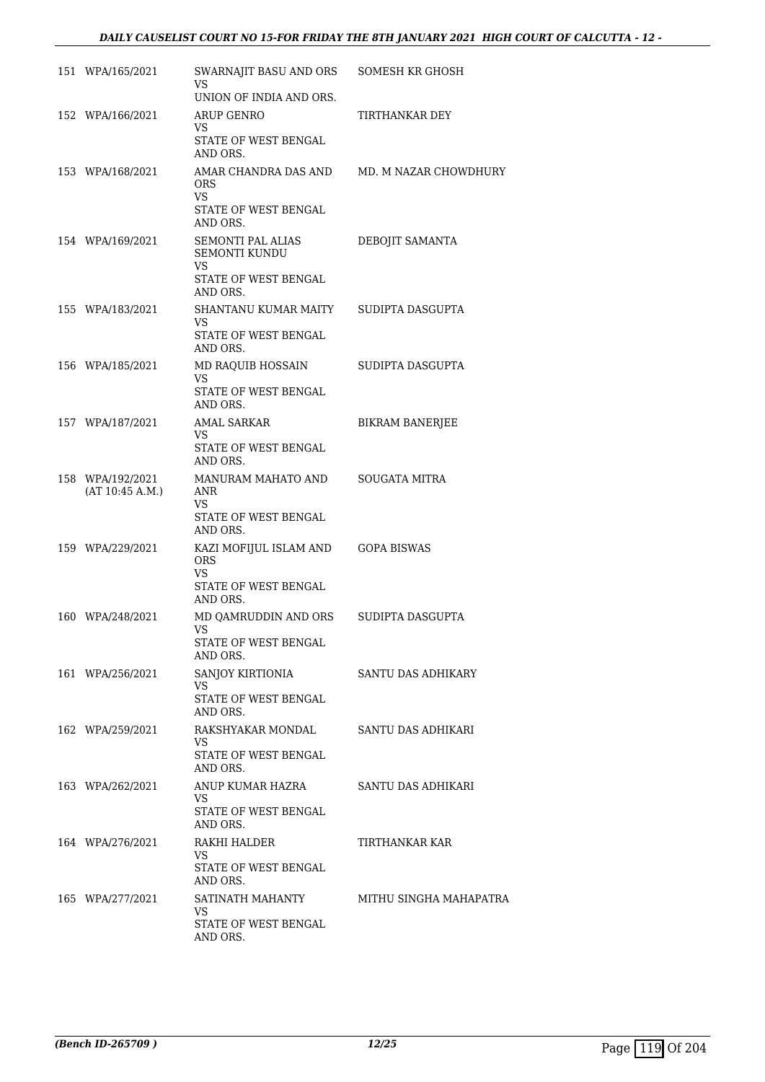### *DAILY CAUSELIST COURT NO 15-FOR FRIDAY THE 8TH JANUARY 2021 HIGH COURT OF CALCUTTA - 12 -*

| 151 WPA/165/2021                    | SWARNAJIT BASU AND ORS<br>VS                                                                      | SOMESH KR GHOSH        |
|-------------------------------------|---------------------------------------------------------------------------------------------------|------------------------|
| 152 WPA/166/2021                    | UNION OF INDIA AND ORS.<br>ARUP GENRO                                                             | TIRTHANKAR DEY         |
|                                     | VS<br>STATE OF WEST BENGAL<br>AND ORS.                                                            |                        |
| 153 WPA/168/2021                    | AMAR CHANDRA DAS AND<br><b>ORS</b><br>VS<br>STATE OF WEST BENGAL<br>AND ORS.                      | MD. M NAZAR CHOWDHURY  |
| 154 WPA/169/2021                    | <b>SEMONTI PAL ALIAS</b><br><b>SEMONTI KUNDU</b><br><b>VS</b><br>STATE OF WEST BENGAL<br>AND ORS. | DEBOJIT SAMANTA        |
| 155 WPA/183/2021                    | SHANTANU KUMAR MAITY<br>VS.<br>STATE OF WEST BENGAL<br>AND ORS.                                   | SUDIPTA DASGUPTA       |
| 156 WPA/185/2021                    | MD RAQUIB HOSSAIN<br>VS<br>STATE OF WEST BENGAL<br>AND ORS.                                       | SUDIPTA DASGUPTA       |
| 157 WPA/187/2021                    | <b>AMAL SARKAR</b><br>VS<br>STATE OF WEST BENGAL<br>AND ORS.                                      | <b>BIKRAM BANERJEE</b> |
| 158 WPA/192/2021<br>(AT 10:45 A.M.) | MANURAM MAHATO AND<br>ANR<br>VS<br>STATE OF WEST BENGAL                                           | <b>SOUGATA MITRA</b>   |
| 159 WPA/229/2021                    | AND ORS.<br>KAZI MOFIJUL ISLAM AND<br><b>ORS</b><br><b>VS</b><br>STATE OF WEST BENGAL             | <b>GOPA BISWAS</b>     |
| 160 WPA/248/2021                    | AND ORS.<br>MD QAMRUDDIN AND ORS<br><b>VS</b><br>STATE OF WEST BENGAL                             | SUDIPTA DASGUPTA       |
| 161 WPA/256/2021                    | AND ORS.<br>SANJOY KIRTIONIA<br><b>VS</b><br>STATE OF WEST BENGAL                                 | SANTU DAS ADHIKARY     |
| 162 WPA/259/2021                    | AND ORS.<br>RAKSHYAKAR MONDAL<br>VS.<br>STATE OF WEST BENGAL                                      | SANTU DAS ADHIKARI     |
| 163 WPA/262/2021                    | AND ORS.<br>ANUP KUMAR HAZRA<br>VS.<br>STATE OF WEST BENGAL                                       | SANTU DAS ADHIKARI     |
| 164 WPA/276/2021                    | AND ORS.<br>RAKHI HALDER<br>VS.<br>STATE OF WEST BENGAL                                           | TIRTHANKAR KAR         |
| 165 WPA/277/2021                    | AND ORS.<br>SATINATH MAHANTY<br>VS.<br>STATE OF WEST BENGAL<br>AND ORS.                           | MITHU SINGHA MAHAPATRA |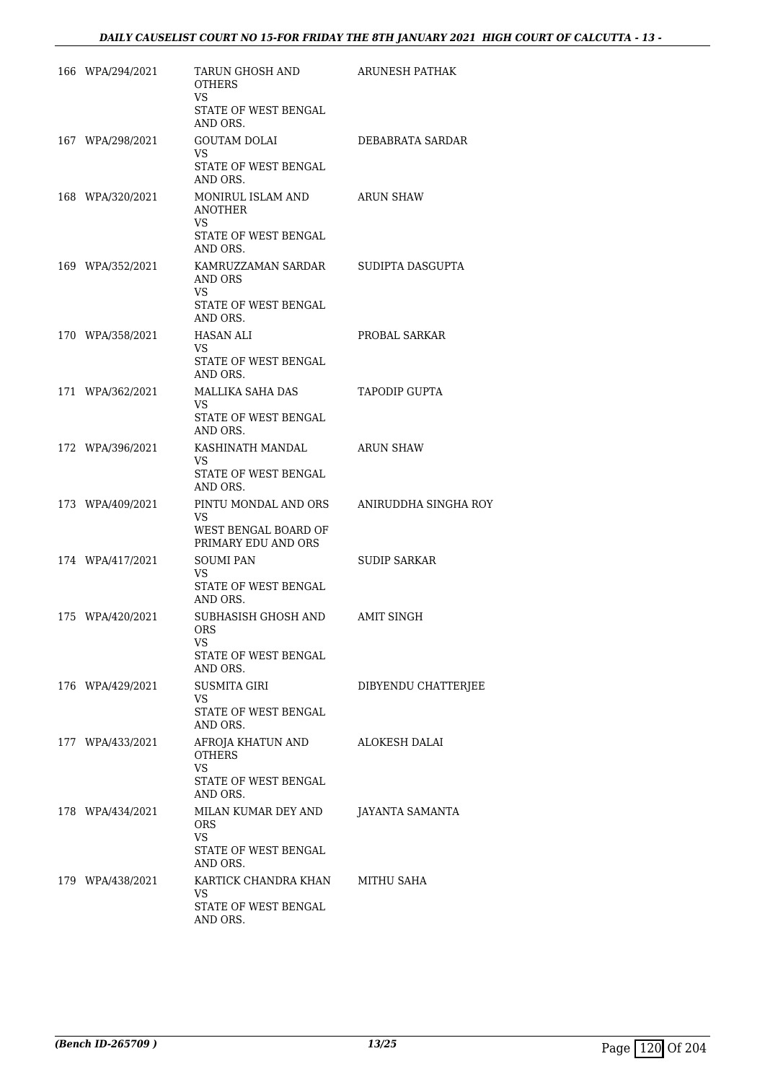| 166 WPA/294/2021 | TARUN GHOSH AND<br><b>OTHERS</b><br>VS.                                               | ARUNESH PATHAK       |
|------------------|---------------------------------------------------------------------------------------|----------------------|
|                  | STATE OF WEST BENGAL<br>AND ORS.                                                      |                      |
| 167 WPA/298/2021 | <b>GOUTAM DOLAI</b><br>VS.<br>STATE OF WEST BENGAL                                    | DEBABRATA SARDAR     |
| 168 WPA/320/2021 | AND ORS.<br>MONIRUL ISLAM AND<br><b>ANOTHER</b><br>VS.                                | <b>ARUN SHAW</b>     |
|                  | STATE OF WEST BENGAL<br>AND ORS.                                                      |                      |
| 169 WPA/352/2021 | KAMRUZZAMAN SARDAR<br>AND ORS<br>VS                                                   | SUDIPTA DASGUPTA     |
|                  | STATE OF WEST BENGAL<br>AND ORS.                                                      |                      |
| 170 WPA/358/2021 | HASAN ALI<br>VS.                                                                      | PROBAL SARKAR        |
|                  | STATE OF WEST BENGAL<br>AND ORS.                                                      |                      |
| 171 WPA/362/2021 | MALLIKA SAHA DAS<br>VS.<br>STATE OF WEST BENGAL                                       | <b>TAPODIP GUPTA</b> |
| 172 WPA/396/2021 | AND ORS.<br>KASHINATH MANDAL<br>VS.<br>STATE OF WEST BENGAL                           | <b>ARUN SHAW</b>     |
| 173 WPA/409/2021 | AND ORS.<br>PINTU MONDAL AND ORS<br>VS<br>WEST BENGAL BOARD OF<br>PRIMARY EDU AND ORS | ANIRUDDHA SINGHA ROY |
| 174 WPA/417/2021 | <b>SOUMI PAN</b><br>VS.<br>STATE OF WEST BENGAL<br>AND ORS.                           | <b>SUDIP SARKAR</b>  |
| 175 WPA/420/2021 | SUBHASISH GHOSH AND<br><b>ORS</b><br>VS<br>STATE OF WEST BENGAL<br>AND ORS.           | <b>AMIT SINGH</b>    |
| 176 WPA/429/2021 | SUSMITA GIRI<br>VS<br>STATE OF WEST BENGAL<br>AND ORS.                                | DIBYENDU CHATTERJEE  |
| 177 WPA/433/2021 | AFROJA KHATUN AND<br>OTHERS<br>VS.<br>STATE OF WEST BENGAL<br>AND ORS.                | <b>ALOKESH DALAI</b> |
| 178 WPA/434/2021 | MILAN KUMAR DEY AND<br><b>ORS</b><br>VS<br>STATE OF WEST BENGAL<br>AND ORS.           | JAYANTA SAMANTA      |
| 179 WPA/438/2021 | KARTICK CHANDRA KHAN<br>VS.<br>STATE OF WEST BENGAL<br>AND ORS.                       | MITHU SAHA           |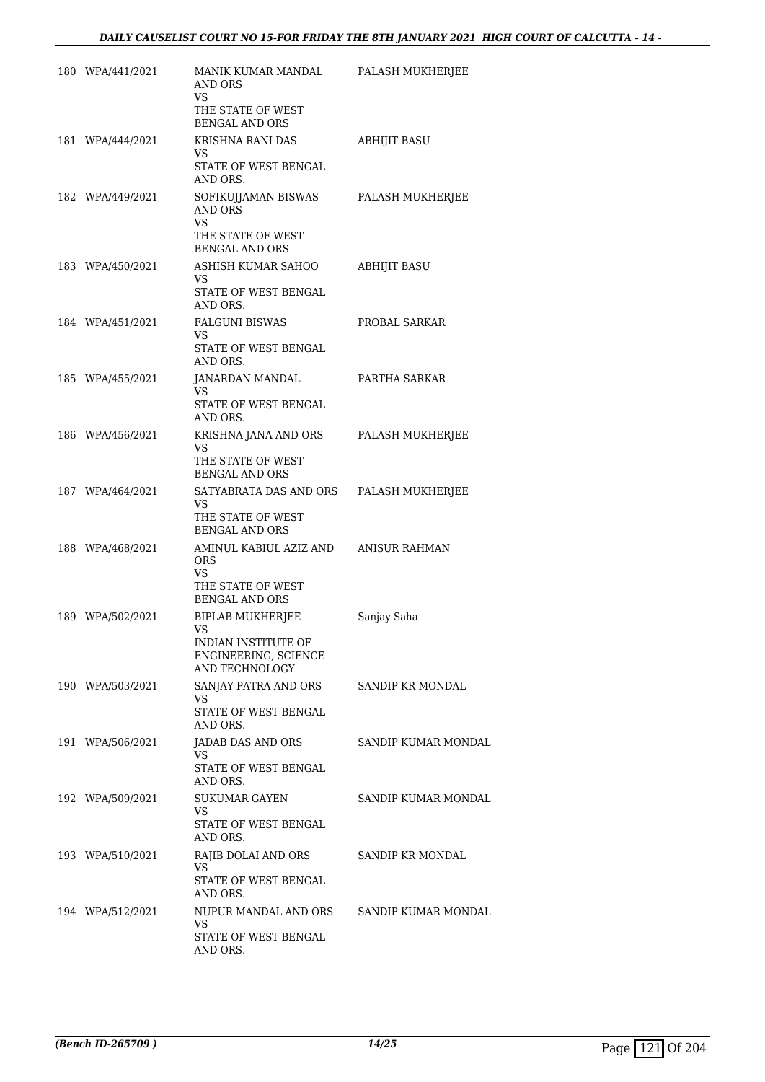| 180 WPA/441/2021 | MANIK KUMAR MANDAL<br>AND ORS<br>VS<br>THE STATE OF WEST                                        | PALASH MUKHERJEE        |
|------------------|-------------------------------------------------------------------------------------------------|-------------------------|
|                  | BENGAL AND ORS<br>KRISHNA RANI DAS                                                              |                         |
| 181 WPA/444/2021 | VS<br>STATE OF WEST BENGAL<br>AND ORS.                                                          | <b>ABHIJIT BASU</b>     |
| 182 WPA/449/2021 | SOFIKUJJAMAN BISWAS<br>AND ORS<br><b>VS</b><br>THE STATE OF WEST<br><b>BENGAL AND ORS</b>       | PALASH MUKHERJEE        |
| 183 WPA/450/2021 | ASHISH KUMAR SAHOO<br>VS<br>STATE OF WEST BENGAL<br>AND ORS.                                    | ABHIJIT BASU            |
| 184 WPA/451/2021 | <b>FALGUNI BISWAS</b><br><b>VS</b><br>STATE OF WEST BENGAL<br>AND ORS.                          | PROBAL SARKAR           |
| 185 WPA/455/2021 | JANARDAN MANDAL<br>VS.<br>STATE OF WEST BENGAL<br>AND ORS.                                      | PARTHA SARKAR           |
| 186 WPA/456/2021 | KRISHNA JANA AND ORS<br>VS<br>THE STATE OF WEST<br><b>BENGAL AND ORS</b>                        | PALASH MUKHERJEE        |
| 187 WPA/464/2021 | SATYABRATA DAS AND ORS<br>VS.<br>THE STATE OF WEST<br><b>BENGAL AND ORS</b>                     | PALASH MUKHERJEE        |
| 188 WPA/468/2021 | AMINUL KABIUL AZIZ AND<br><b>ORS</b><br><b>VS</b><br>THE STATE OF WEST<br><b>BENGAL AND ORS</b> | ANISUR RAHMAN           |
| 189 WPA/502/2021 | <b>BIPLAB MUKHERJEE</b><br>VS<br>INDIAN INSTITUTE OF<br>ENGINEERING, SCIENCE<br>AND TECHNOLOGY  | Sanjay Saha             |
| 190 WPA/503/2021 | SANJAY PATRA AND ORS<br>VS<br>STATE OF WEST BENGAL<br>AND ORS.                                  | SANDIP KR MONDAL        |
| 191 WPA/506/2021 | JADAB DAS AND ORS<br>VS.<br>STATE OF WEST BENGAL<br>AND ORS.                                    | SANDIP KUMAR MONDAL     |
| 192 WPA/509/2021 | <b>SUKUMAR GAYEN</b><br>VS<br>STATE OF WEST BENGAL<br>AND ORS.                                  | SANDIP KUMAR MONDAL     |
| 193 WPA/510/2021 | RAJIB DOLAI AND ORS<br>VS<br>STATE OF WEST BENGAL<br>AND ORS.                                   | <b>SANDIP KR MONDAL</b> |
| 194 WPA/512/2021 | NUPUR MANDAL AND ORS<br>VS<br>STATE OF WEST BENGAL<br>AND ORS.                                  | SANDIP KUMAR MONDAL     |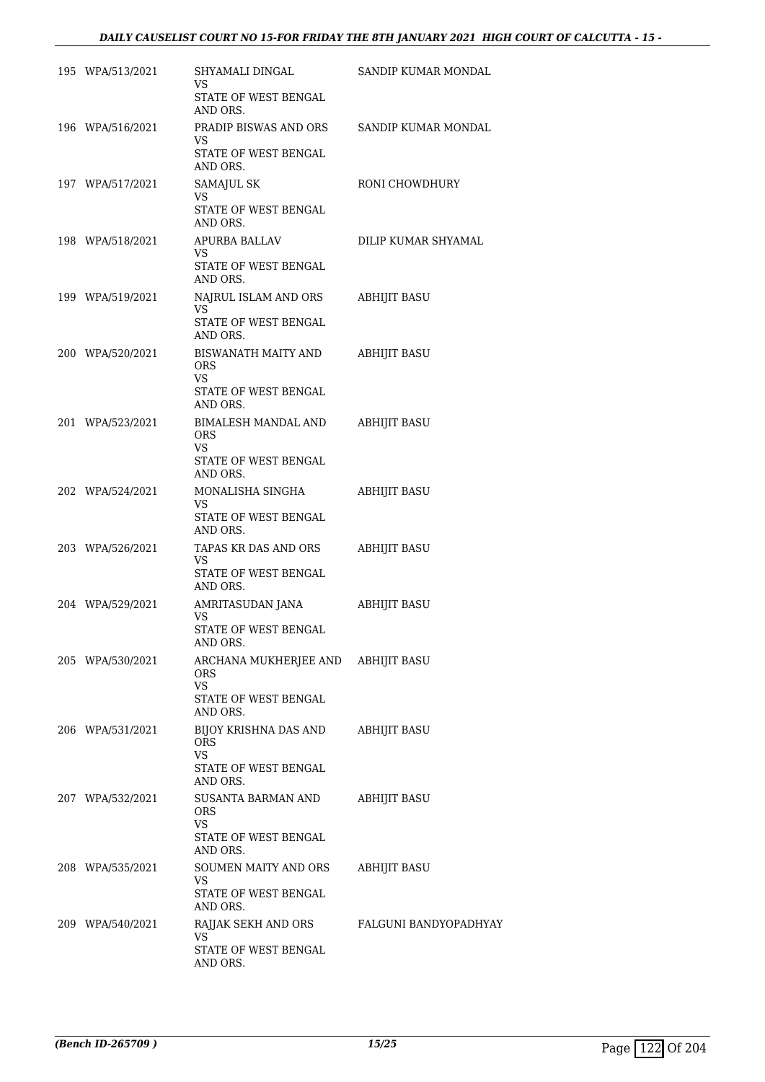## *DAILY CAUSELIST COURT NO 15-FOR FRIDAY THE 8TH JANUARY 2021 HIGH COURT OF CALCUTTA - 15 -*

| 195 WPA/513/2021 | SHYAMALI DINGAL<br>VS                                         | SANDIP KUMAR MONDAL   |
|------------------|---------------------------------------------------------------|-----------------------|
|                  | STATE OF WEST BENGAL<br>AND ORS.                              |                       |
| 196 WPA/516/2021 | PRADIP BISWAS AND ORS<br><b>VS</b>                            | SANDIP KUMAR MONDAL   |
|                  | STATE OF WEST BENGAL<br>AND ORS.                              |                       |
| 197 WPA/517/2021 | SAMAJUL SK<br>VS                                              | RONI CHOWDHURY        |
|                  | STATE OF WEST BENGAL<br>AND ORS.                              |                       |
| 198 WPA/518/2021 | APURBA BALLAV<br>VS                                           | DILIP KUMAR SHYAMAL   |
|                  | STATE OF WEST BENGAL<br>AND ORS.                              |                       |
| 199 WPA/519/2021 | NAJRUL ISLAM AND ORS<br>VS                                    | <b>ABHIJIT BASU</b>   |
|                  | STATE OF WEST BENGAL<br>AND ORS.                              |                       |
| 200 WPA/520/2021 | <b>BISWANATH MAITY AND</b><br><b>ORS</b><br>VS                | <b>ABHIJIT BASU</b>   |
|                  | STATE OF WEST BENGAL<br>AND ORS.                              |                       |
| 201 WPA/523/2021 | BIMALESH MANDAL AND<br><b>ORS</b>                             | <b>ABHIJIT BASU</b>   |
|                  | VS<br>STATE OF WEST BENGAL<br>AND ORS.                        |                       |
| 202 WPA/524/2021 | MONALISHA SINGHA<br>VS                                        | <b>ABHIJIT BASU</b>   |
|                  | STATE OF WEST BENGAL<br>AND ORS.                              |                       |
| 203 WPA/526/2021 | TAPAS KR DAS AND ORS<br>VS                                    | <b>ABHIJIT BASU</b>   |
|                  | STATE OF WEST BENGAL<br>AND ORS.                              |                       |
| 204 WPA/529/2021 | AMRITASUDAN JANA<br>VS                                        | ABHIJIT BASU          |
|                  | STATE OF WEST BENGAL<br>AND ORS.                              |                       |
| 205 WPA/530/2021 | ARCHANA MUKHERJEE AND ABHIJIT BASU<br><b>ORS</b><br><b>VS</b> |                       |
|                  | STATE OF WEST BENGAL<br>AND ORS.                              |                       |
| 206 WPA/531/2021 | BIJOY KRISHNA DAS AND<br><b>ORS</b><br><b>VS</b>              | ABHIJIT BASU          |
|                  | STATE OF WEST BENGAL<br>AND ORS.                              |                       |
| 207 WPA/532/2021 | SUSANTA BARMAN AND<br><b>ORS</b><br>VS                        | ABHIJIT BASU          |
|                  | STATE OF WEST BENGAL<br>AND ORS.                              |                       |
| 208 WPA/535/2021 | SOUMEN MAITY AND ORS<br><b>VS</b>                             | <b>ABHIJIT BASU</b>   |
|                  | STATE OF WEST BENGAL<br>AND ORS.                              |                       |
| 209 WPA/540/2021 | RAJJAK SEKH AND ORS<br>VS                                     | FALGUNI BANDYOPADHYAY |
|                  | STATE OF WEST BENGAL<br>AND ORS.                              |                       |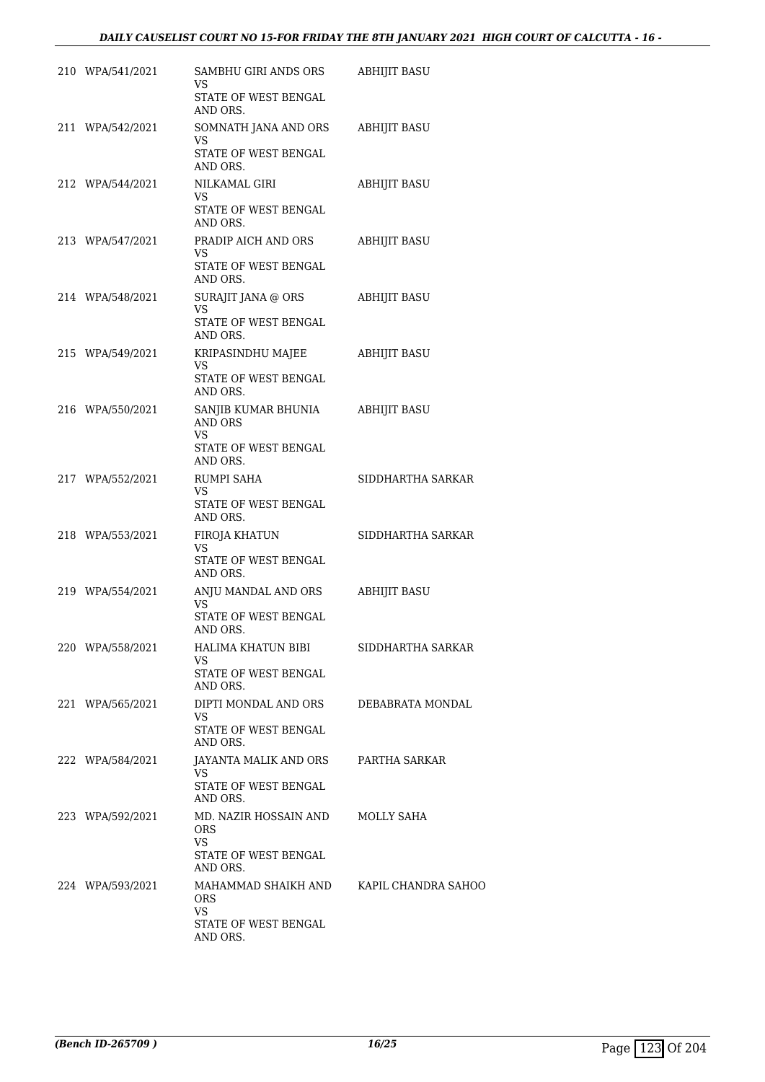| 210 WPA/541/2021 | SAMBHU GIRI ANDS ORS<br>VS                                                                 | ABHIJIT BASU        |
|------------------|--------------------------------------------------------------------------------------------|---------------------|
|                  | STATE OF WEST BENGAL<br>AND ORS.                                                           |                     |
| 211 WPA/542/2021 | SOMNATH JANA AND ORS<br>VS<br>STATE OF WEST BENGAL<br>AND ORS.                             | ABHIJIT BASU        |
| 212 WPA/544/2021 | NILKAMAL GIRI<br>VS<br>STATE OF WEST BENGAL<br>AND ORS.                                    | <b>ABHIJIT BASU</b> |
| 213 WPA/547/2021 | PRADIP AICH AND ORS<br>VS<br>STATE OF WEST BENGAL<br>AND ORS.                              | ABHIJIT BASU        |
| 214 WPA/548/2021 | SURAJIT JANA @ ORS<br>VS.<br>STATE OF WEST BENGAL<br>AND ORS.                              | ABHIJIT BASU        |
| 215 WPA/549/2021 | KRIPASINDHU MAJEE<br>VS<br>STATE OF WEST BENGAL                                            | <b>ABHIJIT BASU</b> |
| 216 WPA/550/2021 | AND ORS.<br>SANJIB KUMAR BHUNIA<br>AND ORS<br>VS<br>STATE OF WEST BENGAL<br>AND ORS.       | <b>ABHIJIT BASU</b> |
| 217 WPA/552/2021 | RUMPI SAHA<br>VS.<br>STATE OF WEST BENGAL<br>AND ORS.                                      | SIDDHARTHA SARKAR   |
| 218 WPA/553/2021 | FIROJA KHATUN<br>VS<br>STATE OF WEST BENGAL<br>AND ORS.                                    | SIDDHARTHA SARKAR   |
| 219 WPA/554/2021 | ANJU MANDAL AND ORS<br>VS.<br>STATE OF WEST BENGAL<br>AND ORS.                             | <b>ABHIJIT BASU</b> |
| 220 WPA/558/2021 | HALIMA KHATUN BIBI<br>VS.<br>STATE OF WEST BENGAL<br>AND ORS.                              | SIDDHARTHA SARKAR   |
| 221 WPA/565/2021 | DIPTI MONDAL AND ORS<br>VS<br>STATE OF WEST BENGAL<br>AND ORS.                             | DEBABRATA MONDAL    |
| 222 WPA/584/2021 | JAYANTA MALIK AND ORS<br><b>VS</b><br>STATE OF WEST BENGAL<br>AND ORS.                     | PARTHA SARKAR       |
| 223 WPA/592/2021 | MD. NAZIR HOSSAIN AND MOLLY SAHA<br>ORS.<br>VS.<br>STATE OF WEST BENGAL<br>AND ORS.        |                     |
| 224 WPA/593/2021 | MAHAMMAD SHAIKH AND KAPIL CHANDRA SAHOO<br>ORS.<br>VS.<br>STATE OF WEST BENGAL<br>AND ORS. |                     |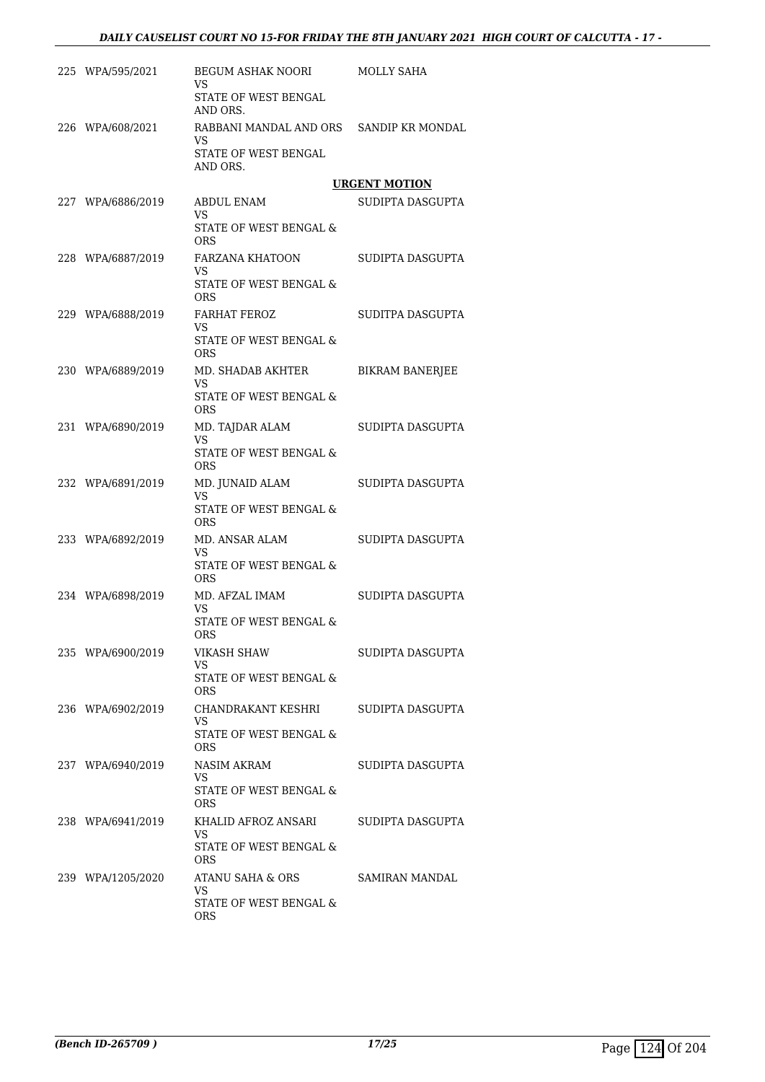| 225 WPA/595/2021  | BEGUM ASHAK NOORI<br>VS                              | MOLLY SAHA             |
|-------------------|------------------------------------------------------|------------------------|
|                   | STATE OF WEST BENGAL<br>AND ORS.                     |                        |
| 226 WPA/608/2021  | RABBANI MANDAL AND ORS SANDIP KR MONDAL<br><b>VS</b> |                        |
|                   | STATE OF WEST BENGAL<br>AND ORS.                     |                        |
|                   |                                                      | <b>URGENT MOTION</b>   |
| 227 WPA/6886/2019 | ABDUL ENAM<br>VS                                     | SUDIPTA DASGUPTA       |
|                   | STATE OF WEST BENGAL &<br>ORS                        |                        |
| 228 WPA/6887/2019 | FARZANA KHATOON<br>VS                                | SUDIPTA DASGUPTA       |
|                   | STATE OF WEST BENGAL &<br><b>ORS</b>                 |                        |
| 229 WPA/6888/2019 | <b>FARHAT FEROZ</b><br><b>VS</b>                     | SUDITPA DASGUPTA       |
|                   | STATE OF WEST BENGAL &<br><b>ORS</b>                 |                        |
| 230 WPA/6889/2019 | MD. SHADAB AKHTER<br><b>VS</b>                       | <b>BIKRAM BANERJEE</b> |
|                   | STATE OF WEST BENGAL &<br><b>ORS</b>                 |                        |
| 231 WPA/6890/2019 | MD. TAJDAR ALAM<br>VS                                | SUDIPTA DASGUPTA       |
|                   | STATE OF WEST BENGAL &<br><b>ORS</b>                 |                        |
| 232 WPA/6891/2019 | MD. JUNAID ALAM<br><b>VS</b>                         | SUDIPTA DASGUPTA       |
|                   | STATE OF WEST BENGAL &<br>ORS.                       |                        |
| 233 WPA/6892/2019 | MD. ANSAR ALAM<br>VS.                                | SUDIPTA DASGUPTA       |
|                   | STATE OF WEST BENGAL &<br><b>ORS</b>                 |                        |
| 234 WPA/6898/2019 | MD. AFZAL IMAM<br>VS                                 | SUDIPTA DASGUPTA       |
|                   | STATE OF WEST BENGAL &<br>ORS                        |                        |
| 235 WPA/6900/2019 | VIKASH SHAW<br><b>VS</b>                             | SUDIPTA DASGUPTA       |
|                   | STATE OF WEST BENGAL &<br>ORS.                       |                        |
| 236 WPA/6902/2019 | CHANDRAKANT KESHRI<br>VS.                            | SUDIPTA DASGUPTA       |
|                   | STATE OF WEST BENGAL &<br><b>ORS</b>                 |                        |
| 237 WPA/6940/2019 | NASIM AKRAM<br>VS                                    | SUDIPTA DASGUPTA       |
|                   | STATE OF WEST BENGAL &<br>ORS.                       |                        |
| 238 WPA/6941/2019 | KHALID AFROZ ANSARI<br>VS.                           | SUDIPTA DASGUPTA       |
|                   | STATE OF WEST BENGAL &<br><b>ORS</b>                 |                        |
| 239 WPA/1205/2020 | ATANU SAHA & ORS<br>VS                               | SAMIRAN MANDAL         |
|                   | STATE OF WEST BENGAL &<br>ORS                        |                        |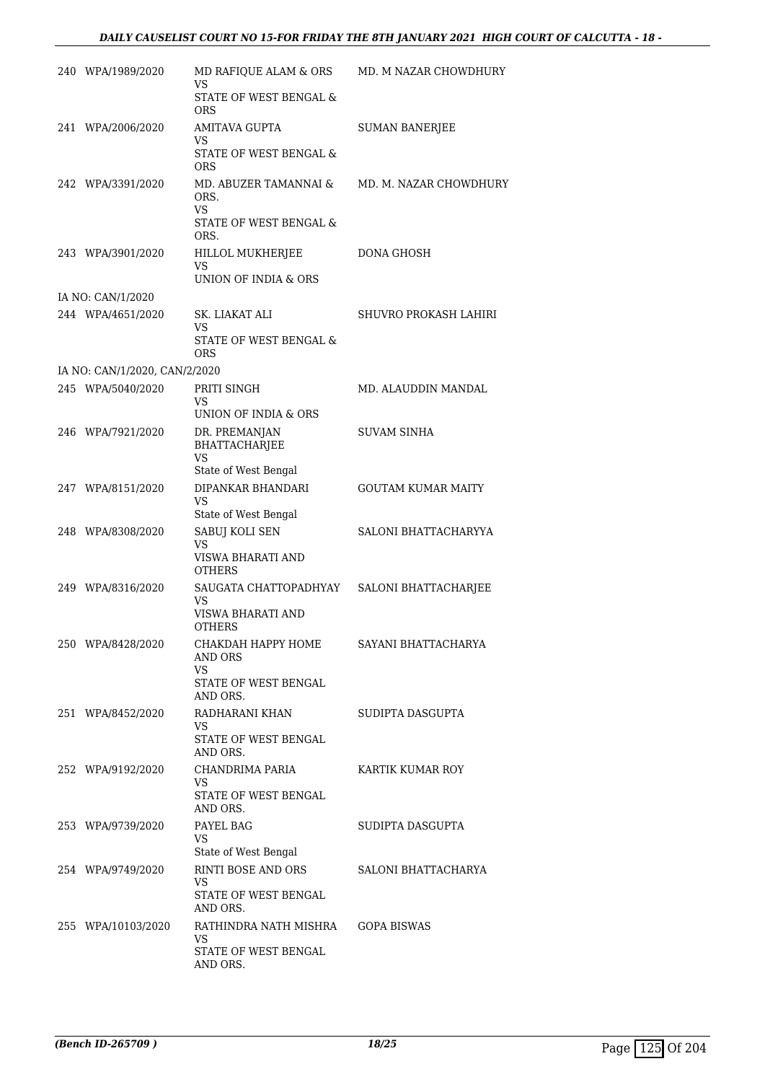| 240 WPA/1989/2020             | MD RAFIQUE ALAM & ORS<br>VS                        | MD. M NAZAR CHOWDHURY     |
|-------------------------------|----------------------------------------------------|---------------------------|
|                               | STATE OF WEST BENGAL &<br><b>ORS</b>               |                           |
| 241 WPA/2006/2020             | AMITAVA GUPTA<br>VS                                | <b>SUMAN BANERJEE</b>     |
|                               | <b>STATE OF WEST BENGAL &amp;</b><br><b>ORS</b>    |                           |
| 242 WPA/3391/2020             | MD. ABUZER TAMANNAI &<br>ORS.<br><b>VS</b>         | MD. M. NAZAR CHOWDHURY    |
|                               | STATE OF WEST BENGAL &<br>ORS.                     |                           |
| 243 WPA/3901/2020             | HILLOL MUKHERJEE<br>VS                             | DONA GHOSH                |
|                               | UNION OF INDIA & ORS                               |                           |
| IA NO: CAN/1/2020             |                                                    |                           |
| 244 WPA/4651/2020             | SK. LIAKAT ALI<br>VS.                              | SHUVRO PROKASH LAHIRI     |
|                               | STATE OF WEST BENGAL &<br><b>ORS</b>               |                           |
| IA NO: CAN/1/2020, CAN/2/2020 |                                                    |                           |
| 245 WPA/5040/2020             | PRITI SINGH<br><b>VS</b>                           | MD. ALAUDDIN MANDAL       |
|                               | UNION OF INDIA & ORS                               |                           |
| 246 WPA/7921/2020             | DR. PREMANJAN<br><b>BHATTACHARJEE</b><br><b>VS</b> | <b>SUVAM SINHA</b>        |
|                               | State of West Bengal                               |                           |
| 247 WPA/8151/2020             | DIPANKAR BHANDARI<br>VS<br>State of West Bengal    | <b>GOUTAM KUMAR MAITY</b> |
| 248 WPA/8308/2020             | SABUJ KOLI SEN                                     | SALONI BHATTACHARYYA      |
|                               | VS<br>VISWA BHARATI AND<br><b>OTHERS</b>           |                           |
| 249 WPA/8316/2020             | SAUGATA CHATTOPADHYAY                              | SALONI BHATTACHARJEE      |
|                               | VS<br>VISWA BHARATI AND<br><b>OTHERS</b>           |                           |
| 250 WPA/8428/2020             | СНАКДАН НАРРҮ НОМЕ<br>AND ORS<br>VS                | SAYANI BHATTACHARYA       |
|                               | STATE OF WEST BENGAL<br>AND ORS.                   |                           |
| 251 WPA/8452/2020             | RADHARANI KHAN<br>VS.                              | SUDIPTA DASGUPTA          |
|                               | STATE OF WEST BENGAL<br>AND ORS.                   |                           |
| 252 WPA/9192/2020             | CHANDRIMA PARIA<br>VS.                             | KARTIK KUMAR ROY          |
|                               | STATE OF WEST BENGAL<br>AND ORS.                   |                           |
| 253 WPA/9739/2020             | PAYEL BAG<br>VS                                    | SUDIPTA DASGUPTA          |
|                               | State of West Bengal                               |                           |
| 254 WPA/9749/2020             | RINTI BOSE AND ORS<br>VS                           | SALONI BHATTACHARYA       |
|                               | STATE OF WEST BENGAL<br>AND ORS.                   |                           |
| 255 WPA/10103/2020            | RATHINDRA NATH MISHRA<br>VS                        | GOPA BISWAS               |
|                               | STATE OF WEST BENGAL<br>AND ORS.                   |                           |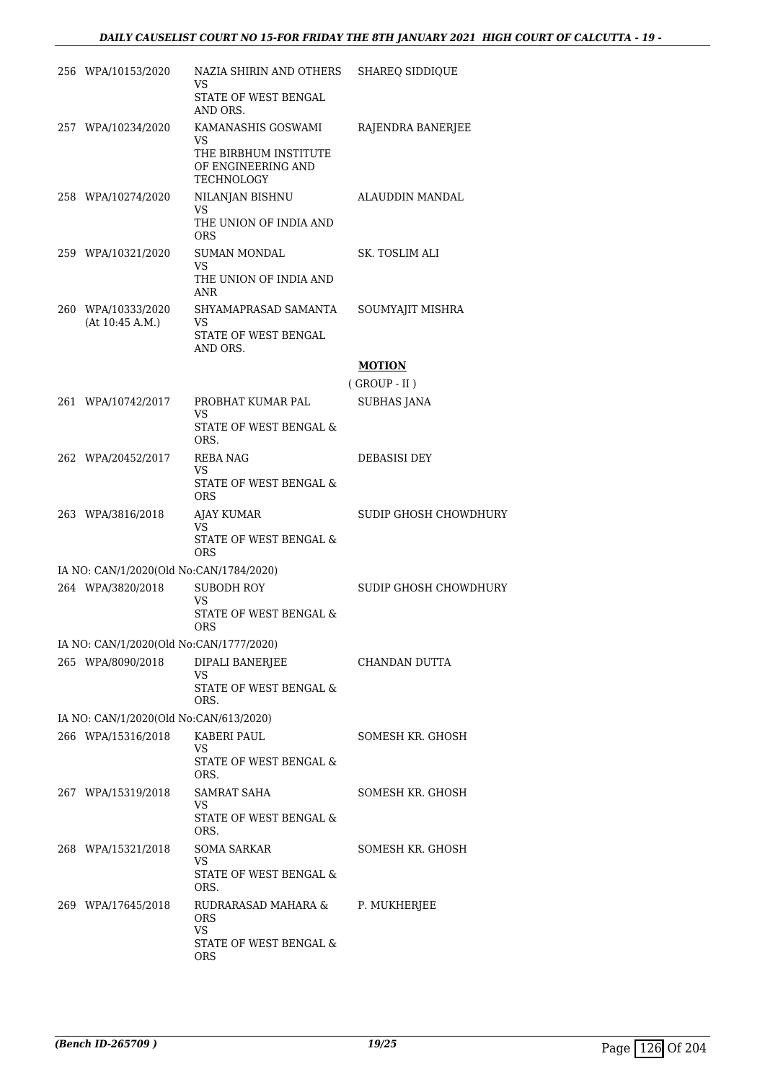| 256 WPA/10153/2020                      | NAZIA SHIRIN AND OTHERS<br>VS                                    | <b>SHAREQ SIDDIQUE</b> |
|-----------------------------------------|------------------------------------------------------------------|------------------------|
|                                         | STATE OF WEST BENGAL<br>AND ORS.                                 |                        |
| 257 WPA/10234/2020                      | KAMANASHIS GOSWAMI                                               | RAJENDRA BANERJEE      |
|                                         | VS.<br>THE BIRBHUM INSTITUTE<br>OF ENGINEERING AND<br>TECHNOLOGY |                        |
| 258 WPA/10274/2020                      | NILANJAN BISHNU                                                  | ALAUDDIN MANDAL        |
|                                         | VS.<br>THE UNION OF INDIA AND<br><b>ORS</b>                      |                        |
| 259 WPA/10321/2020                      | <b>SUMAN MONDAL</b><br>VS                                        | SK. TOSLIM ALI         |
|                                         | THE UNION OF INDIA AND<br>ANR                                    |                        |
| 260 WPA/10333/2020<br>(At 10:45 A.M.)   | SHYAMAPRASAD SAMANTA<br>VS                                       | SOUMYAJIT MISHRA       |
|                                         | STATE OF WEST BENGAL<br>AND ORS.                                 |                        |
|                                         |                                                                  | <b>MOTION</b>          |
|                                         |                                                                  | $($ GROUP - II $)$     |
| 261 WPA/10742/2017                      | PROBHAT KUMAR PAL<br>VS                                          | <b>SUBHAS JANA</b>     |
|                                         | <b>STATE OF WEST BENGAL &amp;</b><br>ORS.                        |                        |
| 262 WPA/20452/2017                      | REBA NAG<br>VS                                                   | DEBASISI DEY           |
|                                         | STATE OF WEST BENGAL &<br><b>ORS</b>                             |                        |
| 263 WPA/3816/2018                       | AJAY KUMAR<br><b>VS</b>                                          | SUDIP GHOSH CHOWDHURY  |
|                                         | STATE OF WEST BENGAL &<br><b>ORS</b>                             |                        |
| IA NO: CAN/1/2020(Old No:CAN/1784/2020) |                                                                  |                        |
| 264 WPA/3820/2018                       | <b>SUBODH ROY</b>                                                | SUDIP GHOSH CHOWDHURY  |
|                                         | VS<br>STATE OF WEST BENGAL &<br>ORS                              |                        |
| IA NO: CAN/1/2020(Old No:CAN/1777/2020) |                                                                  |                        |
| 265 WPA/8090/2018                       | DIPALI BANERJEE<br>VS                                            | CHANDAN DUTTA          |
|                                         | STATE OF WEST BENGAL &<br>ORS.                                   |                        |
| IA NO: CAN/1/2020(Old No:CAN/613/2020)  |                                                                  |                        |
| 266 WPA/15316/2018                      | KABERI PAUL<br>VS<br>STATE OF WEST BENGAL &                      | SOMESH KR. GHOSH       |
|                                         | ORS.                                                             |                        |
| 267 WPA/15319/2018                      | SAMRAT SAHA<br>VS                                                | SOMESH KR. GHOSH       |
|                                         | STATE OF WEST BENGAL &<br>ORS.                                   |                        |
| 268 WPA/15321/2018                      | <b>SOMA SARKAR</b>                                               | SOMESH KR. GHOSH       |
|                                         | VS.<br>STATE OF WEST BENGAL &<br>ORS.                            |                        |
| 269 WPA/17645/2018                      | RUDRARASAD MAHARA &<br><b>ORS</b>                                | P. MUKHERJEE           |
|                                         | VS<br>STATE OF WEST BENGAL &<br>ORS                              |                        |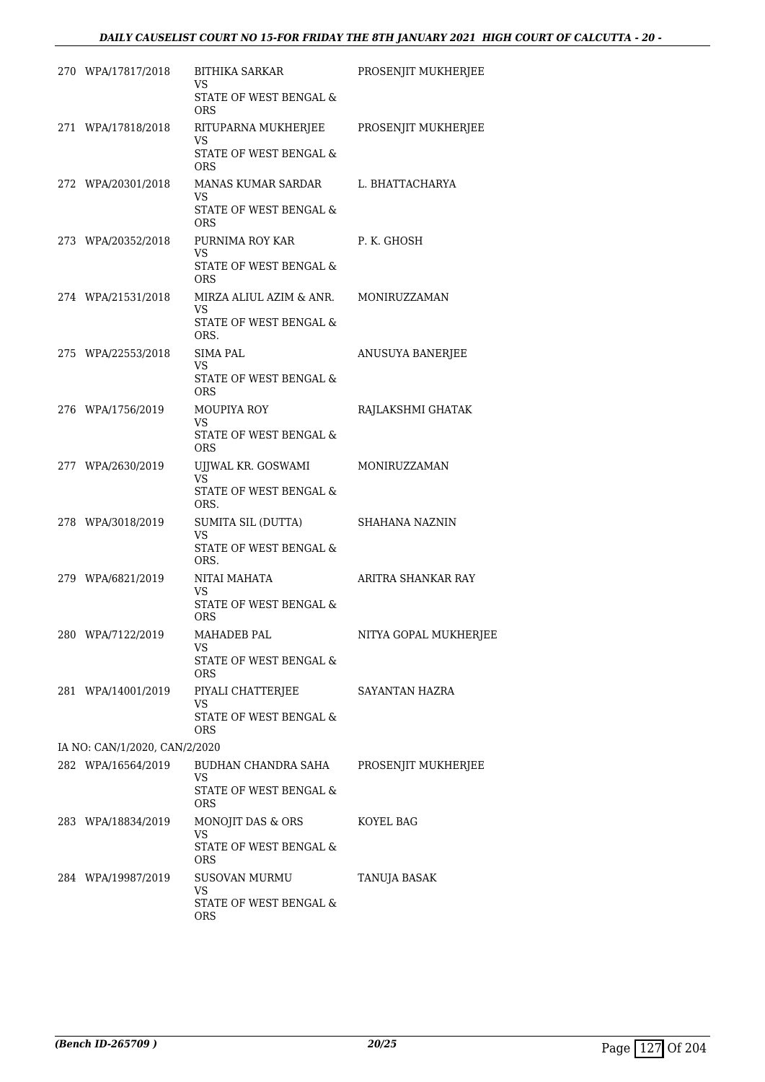| 270 WPA/17817/2018            | BITHIKA SARKAR<br>VS                                                          | PROSENJIT MUKHERJEE   |
|-------------------------------|-------------------------------------------------------------------------------|-----------------------|
|                               | STATE OF WEST BENGAL &<br><b>ORS</b>                                          |                       |
| 271 WPA/17818/2018            | RITUPARNA MUKHERJEE PROSENJIT MUKHERJEE<br>VS                                 |                       |
|                               | STATE OF WEST BENGAL &<br><b>ORS</b>                                          |                       |
| 272 WPA/20301/2018            | MANAS KUMAR SARDAR<br>VS<br>STATE OF WEST BENGAL &<br><b>ORS</b>              | L. BHATTACHARYA       |
| 273 WPA/20352/2018            | PURNIMA ROY KAR<br>VS<br>STATE OF WEST BENGAL &                               | P. K. GHOSH           |
|                               | <b>ORS</b>                                                                    |                       |
| 274 WPA/21531/2018            | MIRZA ALIUL AZIM & ANR. MONIRUZZAMAN<br>VS<br>STATE OF WEST BENGAL &          |                       |
| 275 WPA/22553/2018            | ORS.<br><b>SIMA PAL</b><br>VS                                                 | ANUSUYA BANERJEE      |
|                               | STATE OF WEST BENGAL &<br><b>ORS</b>                                          |                       |
| 276 WPA/1756/2019             | MOUPIYA ROY<br>VS<br>STATE OF WEST BENGAL &                                   | RAJLAKSHMI GHATAK     |
| 277 WPA/2630/2019             | <b>ORS</b><br>UIJWAL KR. GOSWAMI<br>VS.                                       | MONIRUZZAMAN          |
|                               | STATE OF WEST BENGAL &<br>ORS.                                                |                       |
| 278 WPA/3018/2019             | SUMITA SIL (DUTTA)<br>VS<br>STATE OF WEST BENGAL &<br>ORS.                    | <b>SHAHANA NAZNIN</b> |
| 279 WPA/6821/2019             | NITAI MAHATA<br>VS<br>STATE OF WEST BENGAL &                                  | ARITRA SHANKAR RAY    |
| 280 WPA/7122/2019             | <b>ORS</b><br>MAHADEB PAL<br>VS<br>STATE OF WEST BENGAL &                     | NITYA GOPAL MUKHERJEE |
| 281 WPA/14001/2019            | <b>ORS</b><br>PIYALI CHATTERJEE<br>VS<br>STATE OF WEST BENGAL &<br><b>ORS</b> | SAYANTAN HAZRA        |
| IA NO: CAN/1/2020, CAN/2/2020 |                                                                               |                       |
| 282 WPA/16564/2019            | BUDHAN CHANDRA SAHA<br>VS<br>STATE OF WEST BENGAL &<br>ORS                    | PROSENJIT MUKHERJEE   |
| 283 WPA/18834/2019            | MONOJIT DAS & ORS<br>VS.<br>STATE OF WEST BENGAL &                            | KOYEL BAG             |
| 284 WPA/19987/2019            | <b>ORS</b><br>SUSOVAN MURMU                                                   | TANUJA BASAK          |
|                               | VS<br>STATE OF WEST BENGAL &<br><b>ORS</b>                                    |                       |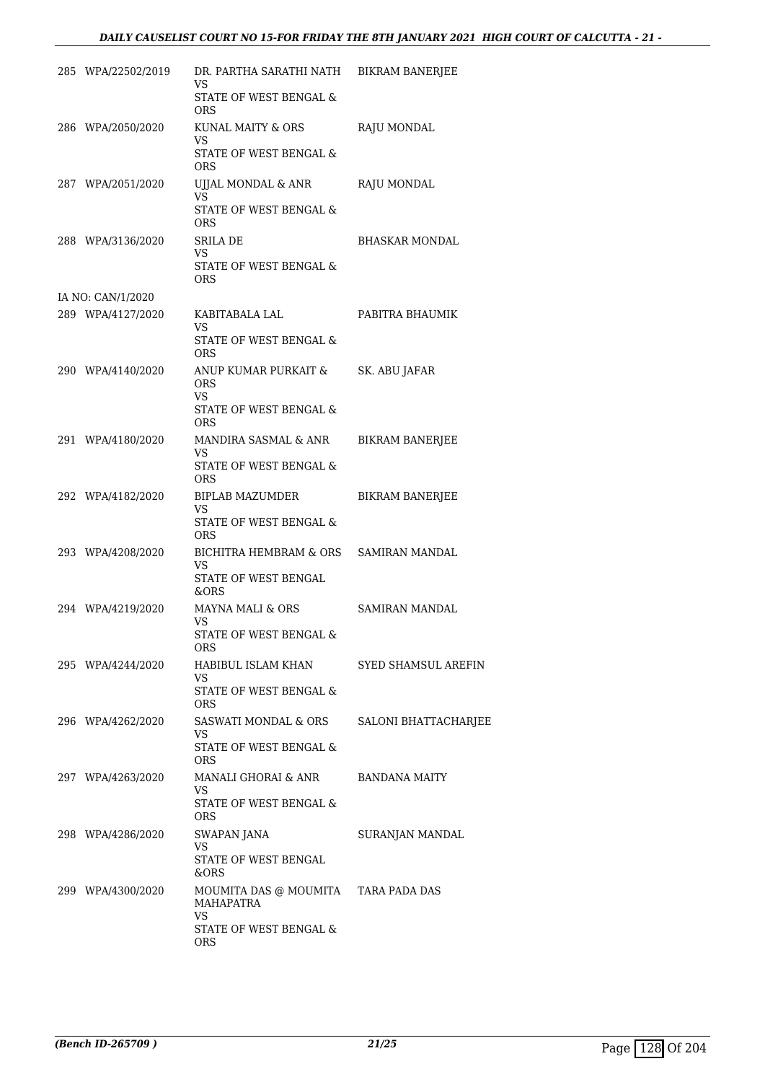| 285 WPA/22502/2019 | DR. PARTHA SARATHI NATH<br>VS.                          | BIKRAM BANERJEE        |
|--------------------|---------------------------------------------------------|------------------------|
|                    | STATE OF WEST BENGAL &<br><b>ORS</b>                    |                        |
| 286 WPA/2050/2020  | KUNAL MAITY & ORS<br>VS<br>STATE OF WEST BENGAL &       | RAJU MONDAL            |
|                    | <b>ORS</b>                                              |                        |
| 287 WPA/2051/2020  | UJJAL MONDAL & ANR<br>VS                                | RAJU MONDAL            |
|                    | STATE OF WEST BENGAL &<br><b>ORS</b>                    |                        |
| 288 WPA/3136/2020  | SRILA DE<br>VS.                                         | BHASKAR MONDAL         |
|                    | STATE OF WEST BENGAL &<br>ORS                           |                        |
| IA NO: CAN/1/2020  |                                                         |                        |
| 289 WPA/4127/2020  | KABITABALA LAL<br><b>VS</b>                             | PABITRA BHAUMIK        |
|                    | <b>STATE OF WEST BENGAL &amp;</b><br><b>ORS</b>         |                        |
| 290 WPA/4140/2020  | ANUP KUMAR PURKAIT &<br>ORS<br>VS.                      | SK. ABU JAFAR          |
|                    | STATE OF WEST BENGAL &<br><b>ORS</b>                    |                        |
| 291 WPA/4180/2020  | MANDIRA SASMAL & ANR<br><b>VS</b>                       | <b>BIKRAM BANERJEE</b> |
|                    | STATE OF WEST BENGAL &<br><b>ORS</b>                    |                        |
| 292 WPA/4182/2020  | BIPLAB MAZUMDER<br><b>VS</b>                            | <b>BIKRAM BANERJEE</b> |
|                    | STATE OF WEST BENGAL &<br><b>ORS</b>                    |                        |
| 293 WPA/4208/2020  | BICHITRA HEMBRAM & ORS SAMIRAN MANDAL<br>VS             |                        |
|                    | STATE OF WEST BENGAL<br>&ORS                            |                        |
| 294 WPA/4219/2020  | MAYNA MALI & ORS<br>VS                                  | SAMIRAN MANDAL         |
|                    | STATE OF WEST BENGAL &<br>ORS                           |                        |
| 295 WPA/4244/2020  | HABIBUL ISLAM KHAN<br>VS.                               | SYED SHAMSUL AREFIN    |
|                    | STATE OF WEST BENGAL &<br>ORS                           |                        |
| 296 WPA/4262/2020  | SASWATI MONDAL & ORS<br>VS                              | SALONI BHATTACHARJEE   |
|                    | STATE OF WEST BENGAL &<br>ORS                           |                        |
| 297 WPA/4263/2020  | MANALI GHORAI & ANR<br>VS.                              | BANDANA MAITY          |
|                    | STATE OF WEST BENGAL &<br>ORS                           |                        |
| 298 WPA/4286/2020  | SWAPAN JANA                                             | SURANJAN MANDAL        |
|                    | VS<br>STATE OF WEST BENGAL<br>&ORS                      |                        |
| 299 WPA/4300/2020  | MOUMITA DAS @ MOUMITA TARA PADA DAS<br><b>MAHAPATRA</b> |                        |
|                    | VS<br>STATE OF WEST BENGAL &<br>ORS                     |                        |
|                    |                                                         |                        |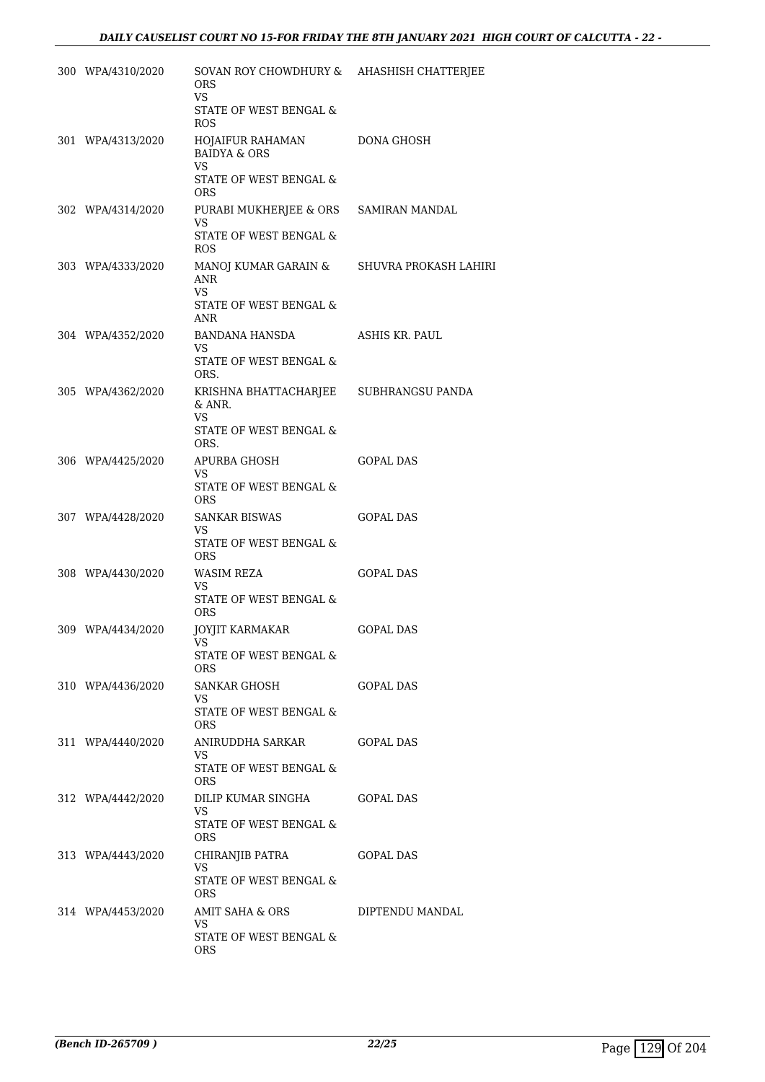| 300 WPA/4310/2020 | SOVAN ROY CHOWDHURY &<br><b>ORS</b><br>VS<br>STATE OF WEST BENGAL &<br><b>ROS</b>                | AHASHISH CHATTERJEE   |
|-------------------|--------------------------------------------------------------------------------------------------|-----------------------|
| 301 WPA/4313/2020 | HOJAIFUR RAHAMAN<br><b>BAIDYA &amp; ORS</b><br><b>VS</b><br>STATE OF WEST BENGAL &<br><b>ORS</b> | <b>DONA GHOSH</b>     |
| 302 WPA/4314/2020 | PURABI MUKHERJEE & ORS<br>VS<br>STATE OF WEST BENGAL &<br>ROS.                                   | SAMIRAN MANDAL        |
| 303 WPA/4333/2020 | MANOJ KUMAR GARAIN &<br>ANR<br>VS<br>STATE OF WEST BENGAL &<br>ANR                               | SHUVRA PROKASH LAHIRI |
| 304 WPA/4352/2020 | BANDANA HANSDA<br>VS<br>STATE OF WEST BENGAL &<br>ORS.                                           | ASHIS KR. PAUL        |
| 305 WPA/4362/2020 | KRISHNA BHATTACHARJEE<br>& ANR.<br>VS<br>STATE OF WEST BENGAL &<br>ORS.                          | SUBHRANGSU PANDA      |
| 306 WPA/4425/2020 | APURBA GHOSH<br>VS<br>STATE OF WEST BENGAL &<br>ORS.                                             | <b>GOPAL DAS</b>      |
| 307 WPA/4428/2020 | SANKAR BISWAS<br>VS<br>STATE OF WEST BENGAL &<br><b>ORS</b>                                      | <b>GOPAL DAS</b>      |
| 308 WPA/4430/2020 | WASIM REZA<br>VS<br>STATE OF WEST BENGAL &<br><b>ORS</b>                                         | <b>GOPAL DAS</b>      |
| 309 WPA/4434/2020 | <b>JOYJIT KARMAKAR</b><br>VS<br>STATE OF WEST BENGAL &<br>ORS.                                   | GOPAL DAS             |
| 310 WPA/4436/2020 | SANKAR GHOSH<br>VS.<br>STATE OF WEST BENGAL &<br>ORS.                                            | GOPAL DAS             |
| 311 WPA/4440/2020 | ANIRUDDHA SARKAR<br>VS.<br>STATE OF WEST BENGAL &<br>ORS.                                        | GOPAL DAS             |
| 312 WPA/4442/2020 | DILIP KUMAR SINGHA<br>VS<br>STATE OF WEST BENGAL &<br>ORS.                                       | <b>GOPAL DAS</b>      |
| 313 WPA/4443/2020 | CHIRANJIB PATRA<br>VS.<br>STATE OF WEST BENGAL &<br>ORS.                                         | GOPAL DAS             |
| 314 WPA/4453/2020 | AMIT SAHA & ORS<br>VS.<br>STATE OF WEST BENGAL &<br>ORS.                                         | DIPTENDU MANDAL       |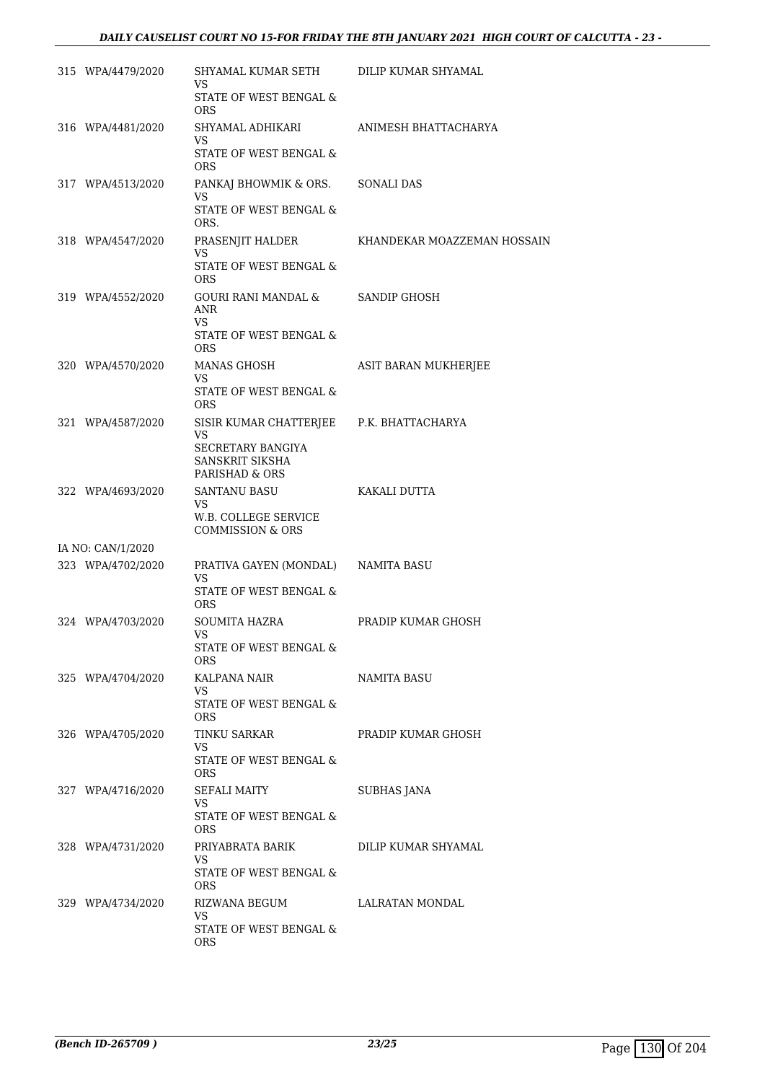| 315 WPA/4479/2020 | SHYAMAL KUMAR SETH<br>VS.<br>STATE OF WEST BENGAL &                                                             | DILIP KUMAR SHYAMAL         |
|-------------------|-----------------------------------------------------------------------------------------------------------------|-----------------------------|
| 316 WPA/4481/2020 | <b>ORS</b><br>SHYAMAL ADHIKARI                                                                                  | ANIMESH BHATTACHARYA        |
|                   | VS<br>STATE OF WEST BENGAL &<br><b>ORS</b>                                                                      |                             |
| 317 WPA/4513/2020 | PANKAJ BHOWMIK & ORS.<br>VS<br>STATE OF WEST BENGAL $\&$<br>ORS.                                                | <b>SONALI DAS</b>           |
| 318 WPA/4547/2020 | PRASENJIT HALDER<br>VS<br>STATE OF WEST BENGAL &<br>ORS.                                                        | KHANDEKAR MOAZZEMAN HOSSAIN |
| 319 WPA/4552/2020 | GOURI RANI MANDAL &<br>ANR<br>VS<br>STATE OF WEST BENGAL &<br><b>ORS</b>                                        | SANDIP GHOSH                |
| 320 WPA/4570/2020 | MANAS GHOSH<br>VS.<br>STATE OF WEST BENGAL &<br><b>ORS</b>                                                      | ASIT BARAN MUKHERJEE        |
| 321 WPA/4587/2020 | SISIR KUMAR CHATTERJEE P.K. BHATTACHARYA<br><b>VS</b><br>SECRETARY BANGIYA<br>SANSKRIT SIKSHA<br>PARISHAD & ORS |                             |
| 322 WPA/4693/2020 | <b>SANTANU BASU</b><br>VS.<br>W.B. COLLEGE SERVICE<br><b>COMMISSION &amp; ORS</b>                               | KAKALI DUTTA                |
| IA NO: CAN/1/2020 |                                                                                                                 |                             |
| 323 WPA/4702/2020 | PRATIVA GAYEN (MONDAL) NAMITA BASU<br>VS.<br>STATE OF WEST BENGAL &<br>ORS.                                     |                             |
| 324 WPA/4703/2020 | <b>SOUMITA HAZRA</b><br>VS FOR THE VS<br>STATE OF WEST BENGAL &<br>ORS.                                         | PRADIP KUMAR GHOSH          |
| 325 WPA/4704/2020 | KALPANA NAIR<br>VS.<br>STATE OF WEST BENGAL &                                                                   | <b>NAMITA BASU</b>          |
| 326 WPA/4705/2020 | <b>ORS</b><br>TINKU SARKAR<br>VS<br>STATE OF WEST BENGAL &                                                      | PRADIP KUMAR GHOSH          |
| 327 WPA/4716/2020 | ORS.<br>SEFALI MAITY<br>VS<br>STATE OF WEST BENGAL &                                                            | SUBHAS JANA                 |
| 328 WPA/4731/2020 | ORS.<br>PRIYABRATA BARIK<br>VS.<br>STATE OF WEST BENGAL &                                                       | DILIP KUMAR SHYAMAL         |
| 329 WPA/4734/2020 | ORS.<br>RIZWANA BEGUM<br>VS<br>STATE OF WEST BENGAL &<br><b>ORS</b>                                             | LALRATAN MONDAL             |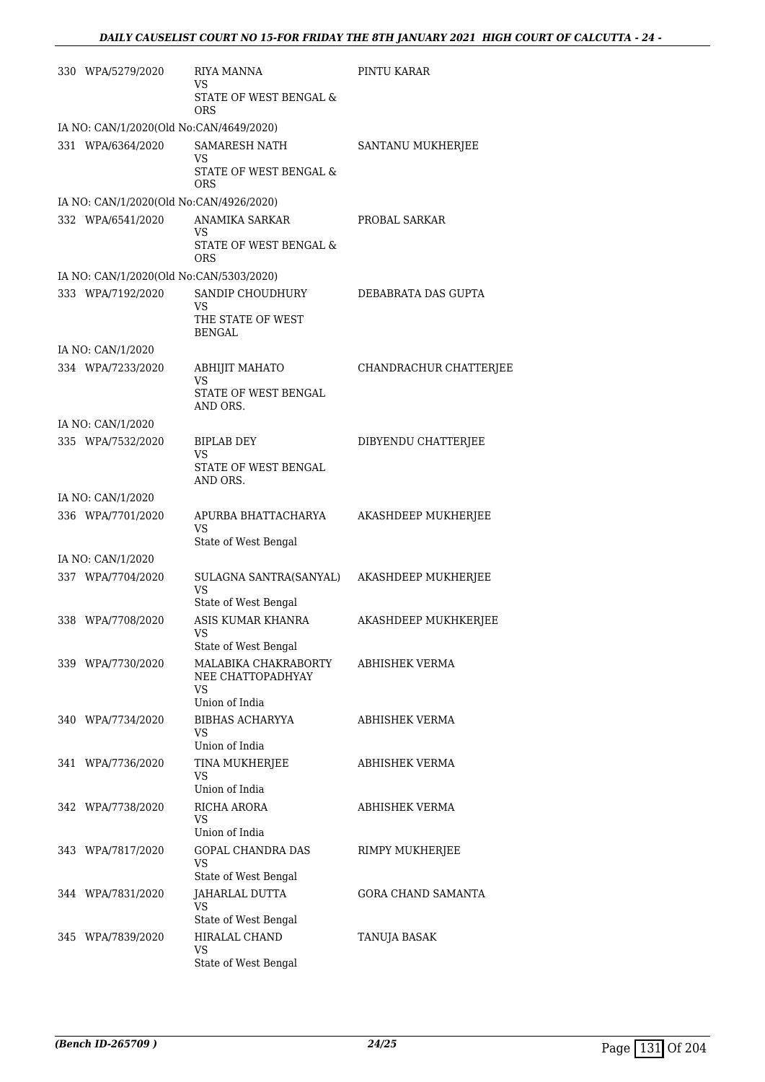| 330 WPA/5279/2020                       | <b>RIYA MANNA</b>                                           | PINTU KARAR               |
|-----------------------------------------|-------------------------------------------------------------|---------------------------|
|                                         | VS<br>STATE OF WEST BENGAL &<br>ORS                         |                           |
| IA NO: CAN/1/2020(Old No:CAN/4649/2020) |                                                             |                           |
| 331 WPA/6364/2020                       | <b>SAMARESH NATH</b>                                        | SANTANU MUKHERJEE         |
|                                         | VS<br>STATE OF WEST BENGAL &<br><b>ORS</b>                  |                           |
| IA NO: CAN/1/2020(Old No:CAN/4926/2020) |                                                             |                           |
| 332 WPA/6541/2020                       | ANAMIKA SARKAR                                              | PROBAL SARKAR             |
|                                         | VS<br>STATE OF WEST BENGAL &<br>ORS                         |                           |
| IA NO: CAN/1/2020(Old No:CAN/5303/2020) |                                                             |                           |
| 333 WPA/7192/2020                       | SANDIP CHOUDHURY                                            | DEBABRATA DAS GUPTA       |
|                                         | VS<br>THE STATE OF WEST<br><b>BENGAL</b>                    |                           |
| IA NO: CAN/1/2020                       |                                                             |                           |
| 334 WPA/7233/2020                       | <b>ABHIJIT MAHATO</b>                                       | CHANDRACHUR CHATTERJEE    |
|                                         | VS<br>STATE OF WEST BENGAL<br>AND ORS.                      |                           |
| IA NO: CAN/1/2020                       |                                                             |                           |
| 335 WPA/7532/2020                       | BIPLAB DEY                                                  | DIBYENDU CHATTERJEE       |
|                                         | VS<br>STATE OF WEST BENGAL<br>AND ORS.                      |                           |
| IA NO: CAN/1/2020                       |                                                             |                           |
| 336 WPA/7701/2020                       | APURBA BHATTACHARYA<br><b>VS</b>                            | AKASHDEEP MUKHERJEE       |
|                                         | State of West Bengal                                        |                           |
| IA NO: CAN/1/2020                       |                                                             |                           |
| 337 WPA/7704/2020                       | SULAGNA SANTRA(SANYAL)<br><b>VS</b><br>State of West Bengal | AKASHDEEP MUKHERJEE       |
| 338 WPA/7708/2020                       | ASIS KUMAR KHANRA                                           | AKASHDEEP MUKHKERJEE      |
|                                         | VS<br>State of West Bengal                                  |                           |
| 339 WPA/7730/2020                       | MALABIKA CHAKRABORTY                                        | ABHISHEK VERMA            |
|                                         | NEE CHATTOPADHYAY<br>VS                                     |                           |
|                                         | Union of India                                              |                           |
| 340 WPA/7734/2020                       | BIBHAS ACHARYYA<br>VS<br>Union of India                     | ABHISHEK VERMA            |
| 341 WPA/7736/2020                       | TINA MUKHERJEE                                              | ABHISHEK VERMA            |
|                                         | VS                                                          |                           |
| 342 WPA/7738/2020                       | Union of India<br>RICHA ARORA                               | ABHISHEK VERMA            |
|                                         | VS                                                          |                           |
|                                         | Union of India                                              |                           |
| 343 WPA/7817/2020                       | GOPAL CHANDRA DAS<br>VS                                     | RIMPY MUKHERJEE           |
| 344 WPA/7831/2020                       | State of West Bengal<br>JAHARLAL DUTTA                      | <b>GORA CHAND SAMANTA</b> |
|                                         | VS                                                          |                           |
|                                         | State of West Bengal                                        |                           |
| 345 WPA/7839/2020                       | HIRALAL CHAND<br>VS                                         | TANUJA BASAK              |
|                                         | State of West Bengal                                        |                           |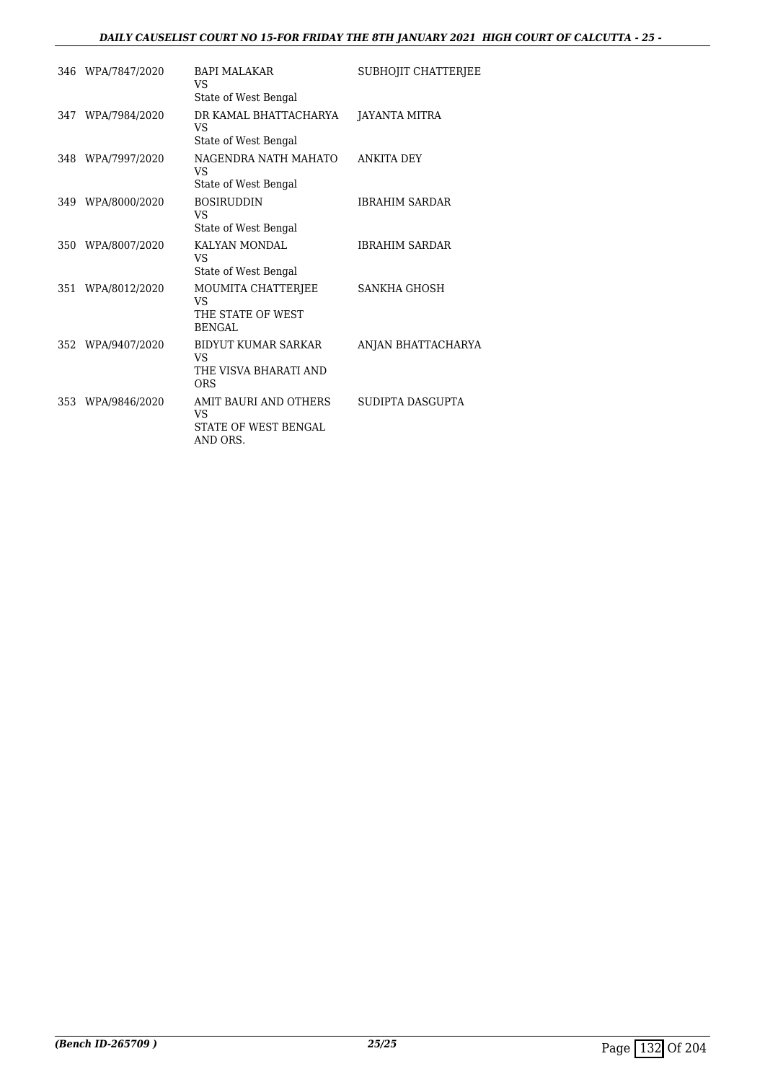## *DAILY CAUSELIST COURT NO 15-FOR FRIDAY THE 8TH JANUARY 2021 HIGH COURT OF CALCUTTA - 25 -*

|     | 346 WPA/7847/2020 | <b>BAPI MALAKAR</b><br>VS<br>State of West Bengal                             | SUBHOJIT CHATTERJEE   |
|-----|-------------------|-------------------------------------------------------------------------------|-----------------------|
|     | 347 WPA/7984/2020 | DR KAMAL BHATTACHARYA<br>VS<br>State of West Bengal                           | JAYANTA MITRA         |
|     | 348 WPA/7997/2020 | NAGENDRA NATH MAHATO<br>VS<br>State of West Bengal                            | <b>ANKITA DEY</b>     |
|     | 349 WPA/8000/2020 | <b>BOSIRUDDIN</b><br>VS<br>State of West Bengal                               | <b>IBRAHIM SARDAR</b> |
| 350 | WPA/8007/2020     | KALYAN MONDAL<br>VS.<br>State of West Bengal                                  | <b>IBRAHIM SARDAR</b> |
| 351 | WPA/8012/2020     | MOUMITA CHATTERJEE<br>VS<br>THE STATE OF WEST<br>BENGAL                       | <b>SANKHA GHOSH</b>   |
| 352 | WPA/9407/2020     | <b>BIDYUT KUMAR SARKAR</b><br>VS.<br>THE VISVA BHARATI AND<br><b>ORS</b>      | ANJAN BHATTACHARYA    |
| 353 | WPA/9846/2020     | AMIT BAURI AND OTHERS<br><b>VS</b><br><b>STATE OF WEST BENGAL</b><br>AND ORS. | SUDIPTA DASGUPTA      |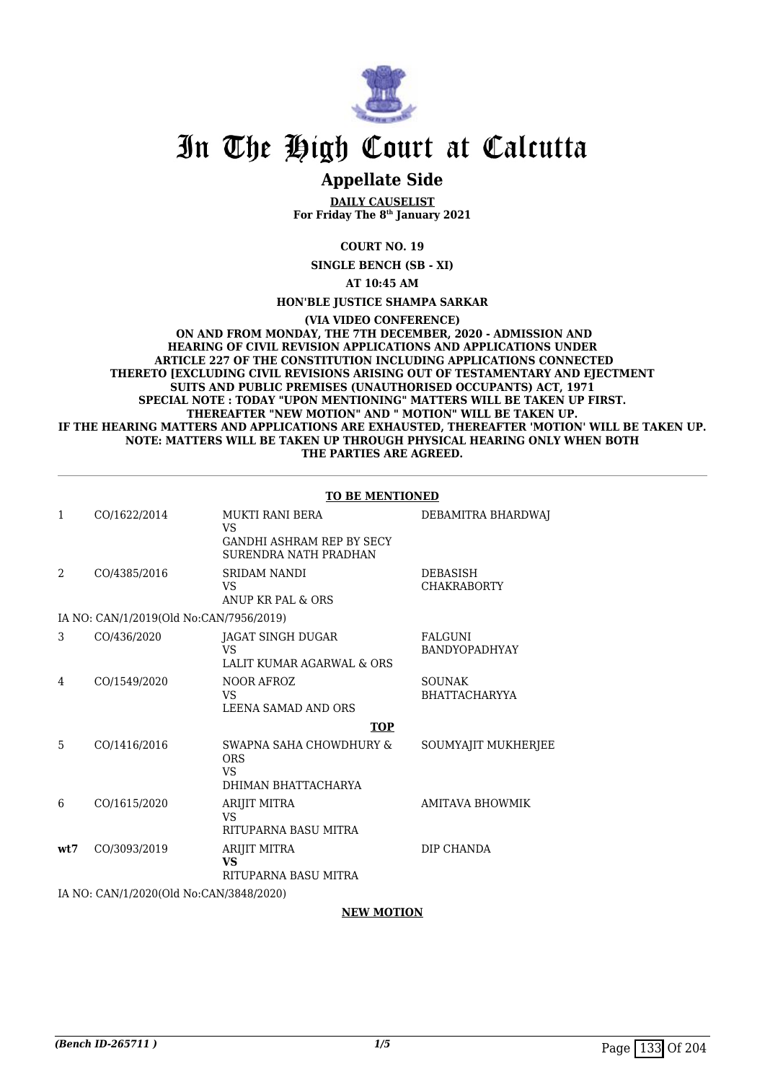

## **Appellate Side**

**DAILY CAUSELIST For Friday The 8th January 2021**

**COURT NO. 19**

**SINGLE BENCH (SB - XI)**

**AT 10:45 AM**

### **HON'BLE JUSTICE SHAMPA SARKAR**

**(VIA VIDEO CONFERENCE)**

 **ON AND FROM MONDAY, THE 7TH DECEMBER, 2020 - ADMISSION AND HEARING OF CIVIL REVISION APPLICATIONS AND APPLICATIONS UNDER ARTICLE 227 OF THE CONSTITUTION INCLUDING APPLICATIONS CONNECTED THERETO [EXCLUDING CIVIL REVISIONS ARISING OUT OF TESTAMENTARY AND EJECTMENT SUITS AND PUBLIC PREMISES (UNAUTHORISED OCCUPANTS) ACT, 1971 SPECIAL NOTE : TODAY "UPON MENTIONING" MATTERS WILL BE TAKEN UP FIRST. THEREAFTER "NEW MOTION" AND " MOTION" WILL BE TAKEN UP. IF THE HEARING MATTERS AND APPLICATIONS ARE EXHAUSTED, THEREAFTER 'MOTION' WILL BE TAKEN UP. NOTE: MATTERS WILL BE TAKEN UP THROUGH PHYSICAL HEARING ONLY WHEN BOTH THE PARTIES ARE AGREED.**

| <b>TO BE MENTIONED</b> |                    |
|------------------------|--------------------|
| I BERA                 | DEBAMITRA BHARDWAJ |

| 1    | CO/1622/2014                            | MUKTI RANI BERA<br>VS.<br><b>GANDHI ASHRAM REP BY SECY</b><br>SURENDRA NATH PRADHAN | DEBAMITRA BHARDWAJ              |
|------|-----------------------------------------|-------------------------------------------------------------------------------------|---------------------------------|
| 2    | CO/4385/2016                            | <b>SRIDAM NANDI</b><br>VS.<br>ANUP KR PAL & ORS                                     | DEBASISH<br><b>CHAKRABORTY</b>  |
|      | IA NO: CAN/1/2019(Old No:CAN/7956/2019) |                                                                                     |                                 |
| 3    | CO/436/2020                             | JAGAT SINGH DUGAR<br>VS<br>LALIT KUMAR AGARWAL & ORS                                | FALGUNI<br><b>BANDYOPADHYAY</b> |
| 4    | CO/1549/2020                            | NOOR AFROZ<br>VS<br>LEENA SAMAD AND ORS                                             | <b>SOUNAK</b><br>BHATTACHARYYA  |
|      |                                         | <b>TOP</b>                                                                          |                                 |
| 5    | CO/1416/2016                            | SWAPNA SAHA CHOWDHURY &<br><b>ORS</b><br>VS.<br>DHIMAN BHATTACHARYA                 | SOUMYAJIT MUKHERJEE             |
| 6    | CO/1615/2020                            | ARIJIT MITRA<br>VS<br>RITUPARNA BASU MITRA                                          | <b>AMITAVA BHOWMIK</b>          |
| wt.7 | CO/3093/2019                            | ARIJIT MITRA<br>VS<br>RITUPARNA BASU MITRA                                          | DIP CHANDA                      |
|      |                                         |                                                                                     |                                 |

IA NO: CAN/1/2020(Old No:CAN/3848/2020)

### **NEW MOTION**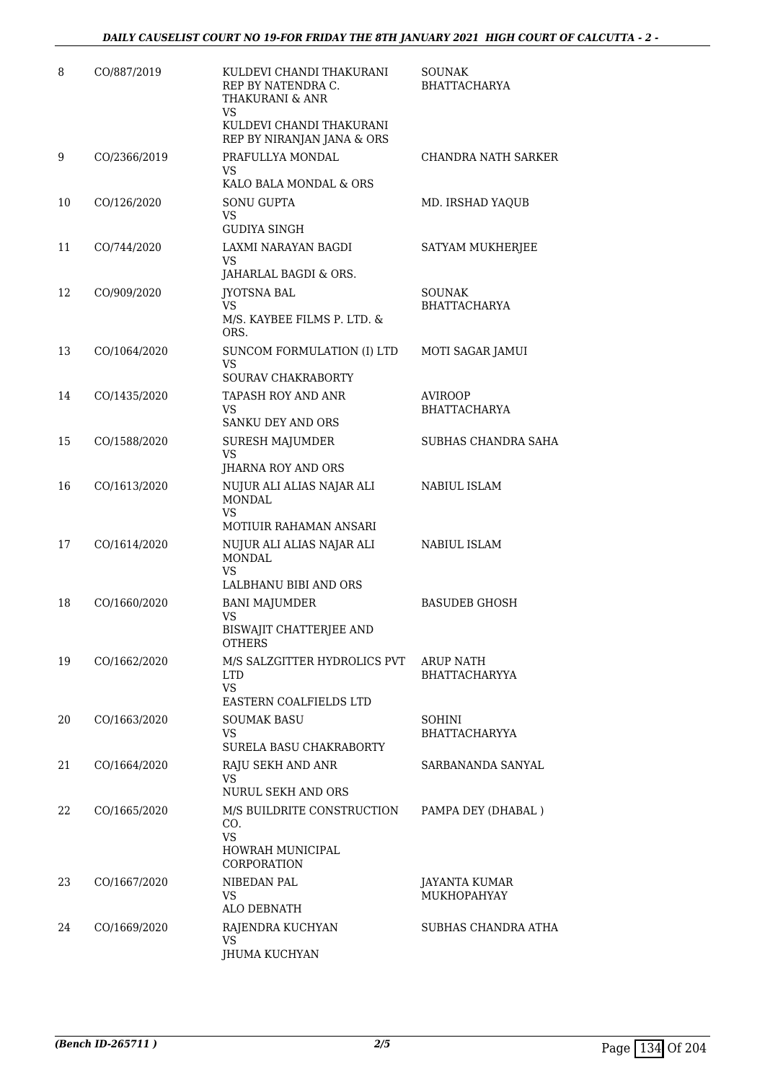| 8  | CO/887/2019  | KULDEVI CHANDI THAKURANI<br>REP BY NATENDRA C.<br>THAKURANI & ANR<br>VS<br>KULDEVI CHANDI THAKURANI<br>REP BY NIRANJAN JANA & ORS | SOUNAK<br><b>BHATTACHARYA</b>            |
|----|--------------|-----------------------------------------------------------------------------------------------------------------------------------|------------------------------------------|
| 9  | CO/2366/2019 | PRAFULLYA MONDAL<br>VS.<br>KALO BALA MONDAL & ORS                                                                                 | <b>CHANDRA NATH SARKER</b>               |
| 10 | CO/126/2020  | <b>SONU GUPTA</b><br>VS<br><b>GUDIYA SINGH</b>                                                                                    | MD. IRSHAD YAQUB                         |
| 11 | CO/744/2020  | LAXMI NARAYAN BAGDI<br><b>VS</b><br>JAHARLAL BAGDI & ORS.                                                                         | SATYAM MUKHERJEE                         |
| 12 | CO/909/2020  | JYOTSNA BAL<br>VS.<br>M/S. KAYBEE FILMS P. LTD. &<br>ORS.                                                                         | <b>SOUNAK</b><br><b>BHATTACHARYA</b>     |
| 13 | CO/1064/2020 | SUNCOM FORMULATION (I) LTD<br>VS.<br>SOURAV CHAKRABORTY                                                                           | MOTI SAGAR JAMUI                         |
| 14 | CO/1435/2020 | TAPASH ROY AND ANR<br>VS.<br>SANKU DEY AND ORS                                                                                    | <b>AVIROOP</b><br><b>BHATTACHARYA</b>    |
| 15 | CO/1588/2020 | <b>SURESH MAJUMDER</b><br><b>VS</b><br>JHARNA ROY AND ORS                                                                         | SUBHAS CHANDRA SAHA                      |
| 16 | CO/1613/2020 | NUJUR ALI ALIAS NAJAR ALI<br><b>MONDAL</b><br>VS.<br>MOTIUIR RAHAMAN ANSARI                                                       | NABIUL ISLAM                             |
| 17 | CO/1614/2020 | NUJUR ALI ALIAS NAJAR ALI<br><b>MONDAL</b><br>VS.<br>LALBHANU BIBI AND ORS                                                        | NABIUL ISLAM                             |
| 18 | CO/1660/2020 | <b>BANI MAJUMDER</b><br>VS<br>BISWAJIT CHATTERJEE AND<br>OTHERS                                                                   | <b>BASUDEB GHOSH</b>                     |
| 19 | CO/1662/2020 | M/S SALZGITTER HYDROLICS PVT<br><b>LTD</b><br>VS.<br>EASTERN COALFIELDS LTD                                                       | <b>ARUP NATH</b><br><b>BHATTACHARYYA</b> |
| 20 | CO/1663/2020 | <b>SOUMAK BASU</b><br>VS<br>SURELA BASU CHAKRABORTY                                                                               | <b>SOHINI</b><br><b>BHATTACHARYYA</b>    |
| 21 | CO/1664/2020 | RAJU SEKH AND ANR<br><b>VS</b><br>NURUL SEKH AND ORS                                                                              | SARBANANDA SANYAL                        |
| 22 | CO/1665/2020 | M/S BUILDRITE CONSTRUCTION<br>CO.<br><b>VS</b><br>HOWRAH MUNICIPAL<br><b>CORPORATION</b>                                          | PAMPA DEY (DHABAL)                       |
| 23 | CO/1667/2020 | NIBEDAN PAL<br>VS.<br>ALO DEBNATH                                                                                                 | JAYANTA KUMAR<br><b>MUKHOPAHYAY</b>      |
| 24 | CO/1669/2020 | RAJENDRA KUCHYAN<br>VS<br><b>JHUMA KUCHYAN</b>                                                                                    | SUBHAS CHANDRA ATHA                      |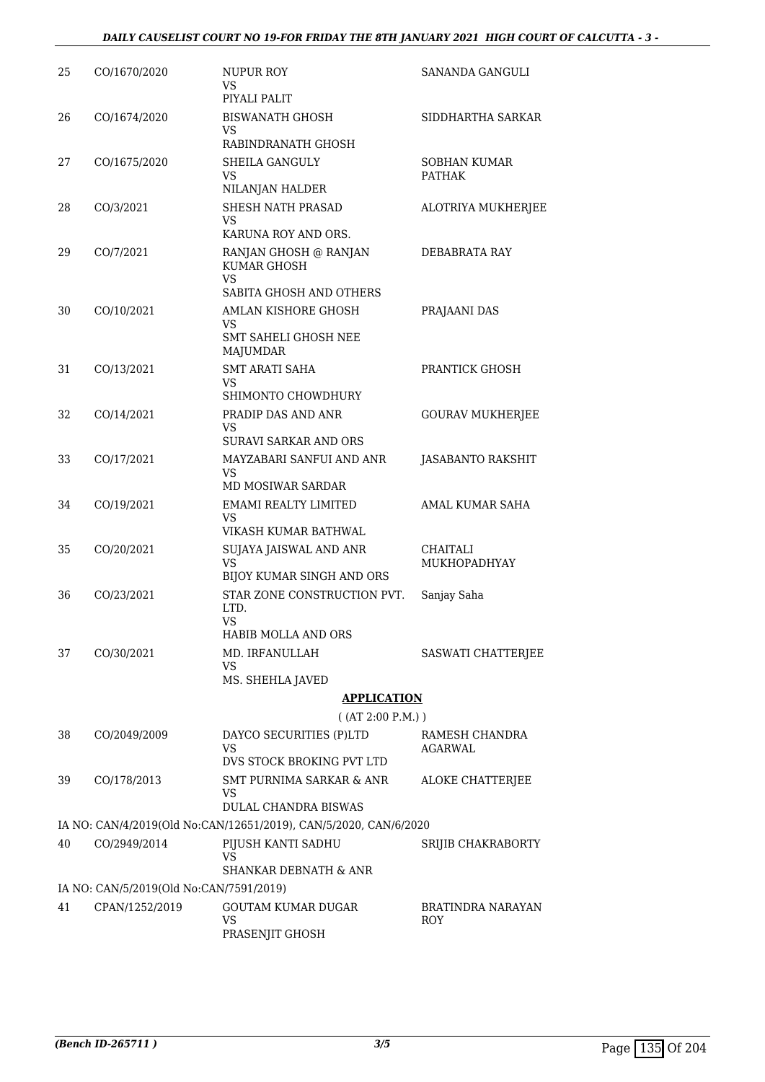## *DAILY CAUSELIST COURT NO 19-FOR FRIDAY THE 8TH JANUARY 2021 HIGH COURT OF CALCUTTA - 3 -*

| 25 | CO/1670/2020                            | <b>NUPUR ROY</b><br>VS<br>PIYALI PALIT                                            | SANANDA GANGULI                      |
|----|-----------------------------------------|-----------------------------------------------------------------------------------|--------------------------------------|
| 26 | CO/1674/2020                            | <b>BISWANATH GHOSH</b><br>VS                                                      | SIDDHARTHA SARKAR                    |
|    |                                         | RABINDRANATH GHOSH                                                                |                                      |
| 27 | CO/1675/2020                            | <b>SHEILA GANGULY</b><br>VS<br>NILANJAN HALDER                                    | <b>SOBHAN KUMAR</b><br><b>PATHAK</b> |
| 28 | CO/3/2021                               | <b>SHESH NATH PRASAD</b><br>VS                                                    | ALOTRIYA MUKHERJEE                   |
| 29 | CO/7/2021                               | KARUNA ROY AND ORS.<br>RANJAN GHOSH @ RANJAN<br><b>KUMAR GHOSH</b><br>VS          | DEBABRATA RAY                        |
|    |                                         | SABITA GHOSH AND OTHERS                                                           |                                      |
| 30 | CO/10/2021                              | AMLAN KISHORE GHOSH<br>VS<br><b>SMT SAHELI GHOSH NEE</b><br><b>MAJUMDAR</b>       | PRAJAANI DAS                         |
| 31 | CO/13/2021                              | <b>SMT ARATI SAHA</b><br>VS                                                       | PRANTICK GHOSH                       |
|    | CO/14/2021                              | SHIMONTO CHOWDHURY<br>PRADIP DAS AND ANR                                          |                                      |
| 32 |                                         | VS<br>SURAVI SARKAR AND ORS                                                       | <b>GOURAV MUKHERJEE</b>              |
| 33 | CO/17/2021                              | MAYZABARI SANFUI AND ANR<br><b>VS</b><br>MD MOSIWAR SARDAR                        | JASABANTO RAKSHIT                    |
| 34 | CO/19/2021                              | EMAMI REALTY LIMITED<br>VS                                                        | <b>AMAL KUMAR SAHA</b>               |
| 35 | CO/20/2021                              | VIKASH KUMAR BATHWAL<br>SUJAYA JAISWAL AND ANR<br>VS<br>BIJOY KUMAR SINGH AND ORS | CHAITALI<br>MUKHOPADHYAY             |
| 36 | CO/23/2021                              | STAR ZONE CONSTRUCTION PVT.<br>LTD.<br>VS                                         | Sanjay Saha                          |
|    |                                         | HABIB MOLLA AND ORS                                                               |                                      |
| 37 | CO/30/2021                              | MD. IRFANULLAH<br>VS<br>MS. SHEHLA JAVED                                          | SASWATI CHATTERJEE                   |
|    |                                         | <b>APPLICATION</b>                                                                |                                      |
|    |                                         | ( (AT 2:00 P.M.) )                                                                |                                      |
| 38 | CO/2049/2009                            | DAYCO SECURITIES (P)LTD<br>VS<br>DVS STOCK BROKING PVT LTD                        | RAMESH CHANDRA<br>AGARWAL            |
| 39 | CO/178/2013                             | <b>SMT PURNIMA SARKAR &amp; ANR</b>                                               | <b>ALOKE CHATTERJEE</b>              |
|    |                                         | VS<br><b>DULAL CHANDRA BISWAS</b>                                                 |                                      |
|    |                                         | IA NO: CAN/4/2019(Old No:CAN/12651/2019), CAN/5/2020, CAN/6/2020                  |                                      |
| 40 | CO/2949/2014                            | PIJUSH KANTI SADHU<br>VS                                                          | SRIJIB CHAKRABORTY                   |
|    | IA NO: CAN/5/2019(Old No:CAN/7591/2019) | SHANKAR DEBNATH & ANR                                                             |                                      |
| 41 | CPAN/1252/2019                          | <b>GOUTAM KUMAR DUGAR</b><br>VS<br>PRASENJIT GHOSH                                | BRATINDRA NARAYAN<br>ROY             |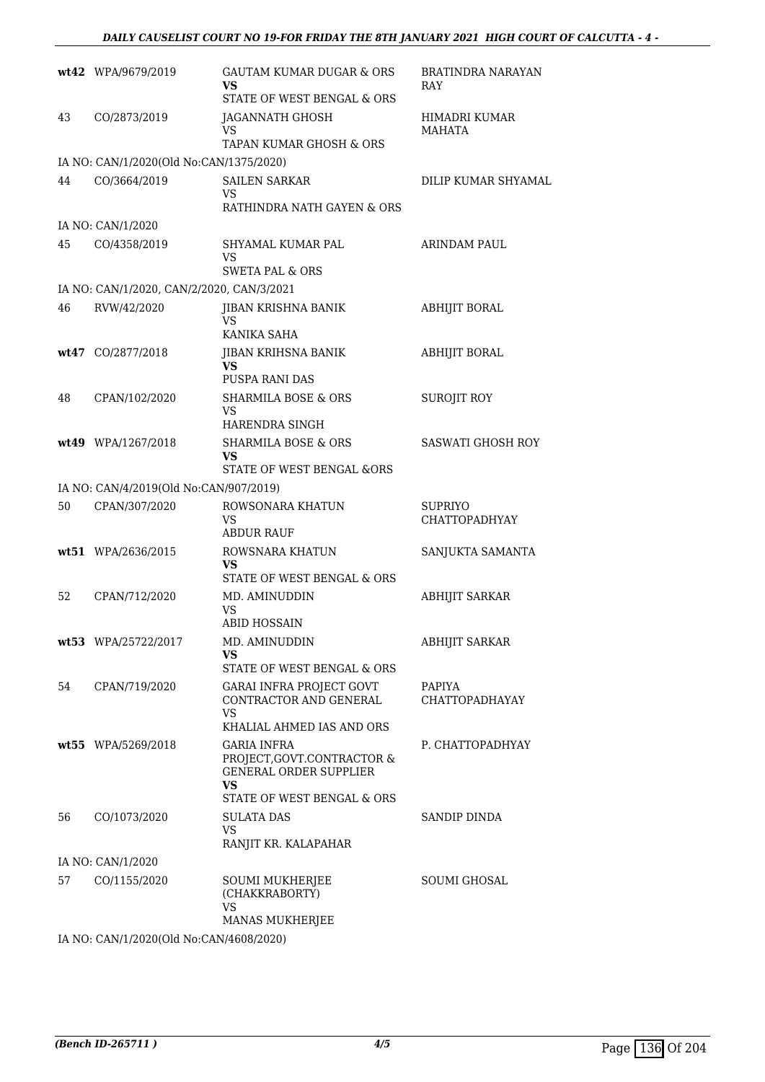|    | wt42 WPA/9679/2019                        | <b>GAUTAM KUMAR DUGAR &amp; ORS</b><br>VS<br>STATE OF WEST BENGAL & ORS                                                      | BRATINDRA NARAYAN<br>RAY        |
|----|-------------------------------------------|------------------------------------------------------------------------------------------------------------------------------|---------------------------------|
| 43 | CO/2873/2019                              | JAGANNATH GHOSH<br>VS<br>TAPAN KUMAR GHOSH & ORS                                                                             | HIMADRI KUMAR<br><b>MAHATA</b>  |
|    | IA NO: CAN/1/2020(Old No:CAN/1375/2020)   |                                                                                                                              |                                 |
| 44 | CO/3664/2019                              | <b>SAILEN SARKAR</b><br>VS.<br>RATHINDRA NATH GAYEN & ORS                                                                    | DILIP KUMAR SHYAMAL             |
|    | IA NO: CAN/1/2020                         |                                                                                                                              |                                 |
| 45 | CO/4358/2019                              | SHYAMAL KUMAR PAL<br>VS.<br><b>SWETA PAL &amp; ORS</b>                                                                       | ARINDAM PAUL                    |
|    | IA NO: CAN/1/2020, CAN/2/2020, CAN/3/2021 |                                                                                                                              |                                 |
| 46 | RVW/42/2020                               | <b>JIBAN KRISHNA BANIK</b><br>VS<br>KANIKA SAHA                                                                              | ABHIJIT BORAL                   |
|    | wt47 CO/2877/2018                         | JIBAN KRIHSNA BANIK<br>VS<br><b>PUSPA RANI DAS</b>                                                                           | <b>ABHIJIT BORAL</b>            |
| 48 | CPAN/102/2020                             | <b>SHARMILA BOSE &amp; ORS</b><br>VS.<br>HARENDRA SINGH                                                                      | <b>SUROJIT ROY</b>              |
|    | wt49 WPA/1267/2018                        | <b>SHARMILA BOSE &amp; ORS</b><br>VS<br>STATE OF WEST BENGAL &ORS                                                            | <b>SASWATI GHOSH ROY</b>        |
|    | IA NO: CAN/4/2019(Old No:CAN/907/2019)    |                                                                                                                              |                                 |
| 50 | CPAN/307/2020                             | ROWSONARA KHATUN<br>VS.<br><b>ABDUR RAUF</b>                                                                                 | <b>SUPRIYO</b><br>CHATTOPADHYAY |
|    | wt51 WPA/2636/2015                        | ROWSNARA KHATUN<br>VS<br>STATE OF WEST BENGAL & ORS                                                                          | SANJUKTA SAMANTA                |
| 52 | CPAN/712/2020                             | MD. AMINUDDIN<br>VS<br><b>ABID HOSSAIN</b>                                                                                   | ABHIJIT SARKAR                  |
|    | wt53 WPA/25722/2017                       | MD. AMINUDDIN<br>VS<br>STATE OF WEST BENGAL & ORS                                                                            | <b>ABHIJIT SARKAR</b>           |
| 54 | CPAN/719/2020                             | GARAI INFRA PROJECT GOVT<br>CONTRACTOR AND GENERAL<br>VS.<br>KHALIAL AHMED IAS AND ORS                                       | <b>PAPIYA</b><br>CHATTOPADHAYAY |
|    | wt55 WPA/5269/2018                        | <b>GARIA INFRA</b><br>PROJECT, GOVT.CONTRACTOR &<br><b>GENERAL ORDER SUPPLIER</b><br><b>VS</b><br>STATE OF WEST BENGAL & ORS | P. CHATTOPADHYAY                |
| 56 | CO/1073/2020                              | SULATA DAS<br><b>VS</b><br>RANJIT KR. KALAPAHAR                                                                              | SANDIP DINDA                    |
|    | IA NO: CAN/1/2020                         |                                                                                                                              |                                 |
| 57 | CO/1155/2020                              | <b>SOUMI MUKHERJEE</b><br>(CHAKKRABORTY)<br><b>VS</b><br>MANAS MUKHERJEE                                                     | <b>SOUMI GHOSAL</b>             |
|    | IA NO. CANILIZOZOCO No CANILOR 20020      |                                                                                                                              |                                 |

IA NO: CAN/1/2020(Old No:CAN/4608/2020)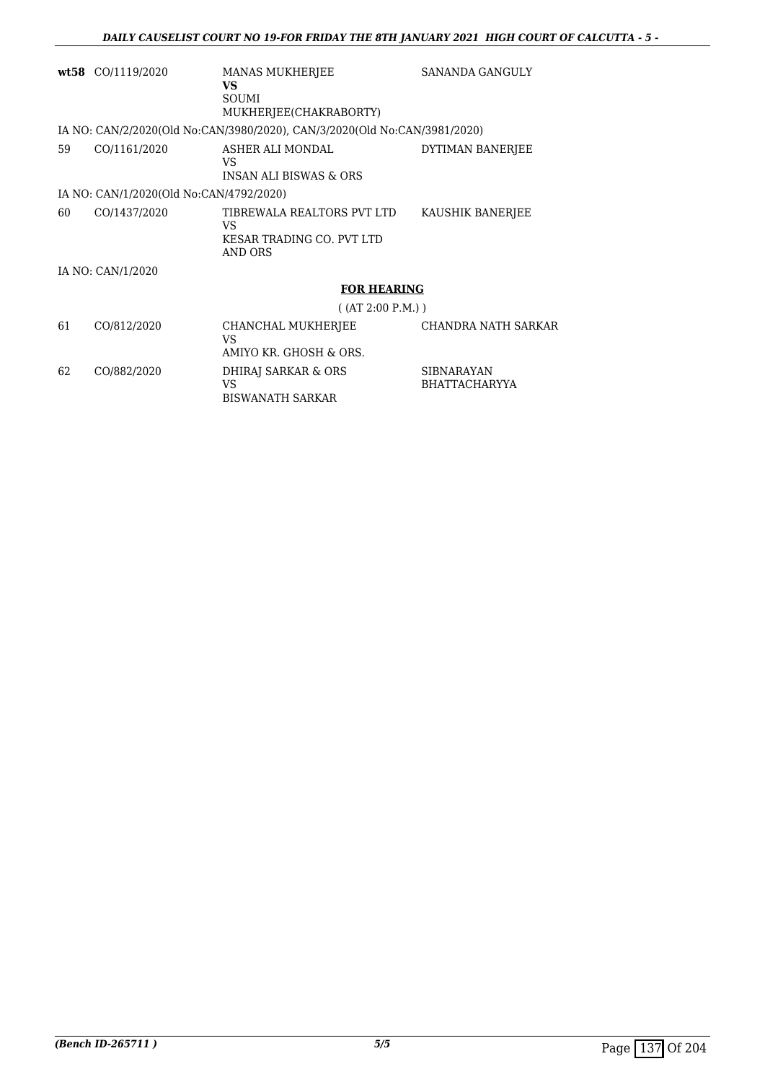|    | $wt58$ CO/1119/2020                     | <b>MANAS MUKHERJEE</b><br>VS.<br><b>SOUMI</b><br>MUKHERJEE(CHAKRABORTY)   | SANANDA GANGULY  |
|----|-----------------------------------------|---------------------------------------------------------------------------|------------------|
|    |                                         | IA NO: CAN/2/2020(Old No:CAN/3980/2020), CAN/3/2020(Old No:CAN/3981/2020) |                  |
| 59 | CO/1161/2020                            | ASHER ALI MONDAL<br>VS<br><b>INSAN ALI BISWAS &amp; ORS</b>               | DYTIMAN BANERJEE |
|    | IA NO: CAN/1/2020(Old No:CAN/4792/2020) |                                                                           |                  |
| 60 | CO/1437/2020                            | TIBREWALA REALTORS PVT LTD<br>VS<br>KESAR TRADING CO. PVT LTD<br>AND ORS  | KAUSHIK BANERJEE |
|    | IA NO: CAN/1/2020                       |                                                                           |                  |
|    |                                         | <b>FOR HEARING</b>                                                        |                  |
|    |                                         | $($ (AT 2:00 P.M.))                                                       |                  |
|    | -----------                             |                                                                           |                  |

| 61 | CO/812/2020 | CHANCHAL MUKHERJEE<br>VS<br>AMIYO KR. GHOSH & ORS. | CHANDRA NATH SARKAR                       |
|----|-------------|----------------------------------------------------|-------------------------------------------|
| 62 | CO/882/2020 | DHIRAJ SARKAR & ORS<br>VS<br>BISWANATH SARKAR      | <b>SIBNARAYAN</b><br><b>BHATTACHARYYA</b> |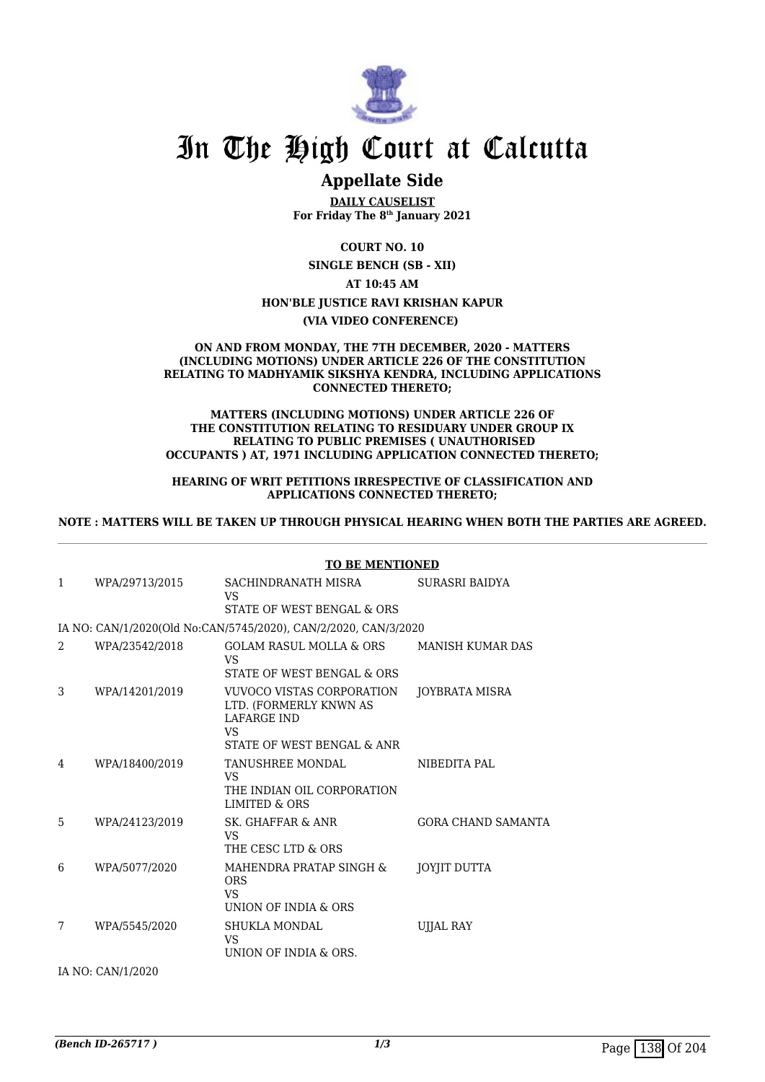

## **Appellate Side**

**DAILY CAUSELIST For Friday The 8th January 2021**

**COURT NO. 10**

**SINGLE BENCH (SB - XII)**

**AT 10:45 AM**

## **HON'BLE JUSTICE RAVI KRISHAN KAPUR**

**(VIA VIDEO CONFERENCE)** 

#### **ON AND FROM MONDAY, THE 7TH DECEMBER, 2020 - MATTERS (INCLUDING MOTIONS) UNDER ARTICLE 226 OF THE CONSTITUTION RELATING TO MADHYAMIK SIKSHYA KENDRA, INCLUDING APPLICATIONS CONNECTED THERETO;**

#### **MATTERS (INCLUDING MOTIONS) UNDER ARTICLE 226 OF THE CONSTITUTION RELATING TO RESIDUARY UNDER GROUP IX RELATING TO PUBLIC PREMISES ( UNAUTHORISED OCCUPANTS ) AT, 1971 INCLUDING APPLICATION CONNECTED THERETO;**

### **HEARING OF WRIT PETITIONS IRRESPECTIVE OF CLASSIFICATION AND APPLICATIONS CONNECTED THERETO;**

### **NOTE : MATTERS WILL BE TAKEN UP THROUGH PHYSICAL HEARING WHEN BOTH THE PARTIES ARE AGREED.**

|               |                | TO BE MENTIONED                                                                                               |                           |
|---------------|----------------|---------------------------------------------------------------------------------------------------------------|---------------------------|
| 1             | WPA/29713/2015 | SACHINDRANATH MISRA<br>VS<br>STATE OF WEST BENGAL & ORS                                                       | SURASRI BAIDYA            |
|               |                | IA NO: CAN/1/2020(Old No:CAN/5745/2020), CAN/2/2020, CAN/3/2020                                               |                           |
| $\mathcal{D}$ | WPA/23542/2018 | <b>GOLAM RASUL MOLLA &amp; ORS</b><br>VS<br>STATE OF WEST BENGAL & ORS                                        | <b>MANISH KUMAR DAS</b>   |
| 3             | WPA/14201/2019 | VUVOCO VISTAS CORPORATION<br>LTD. (FORMERLY KNWN AS<br><b>LAFARGE IND</b><br>VS<br>STATE OF WEST BENGAL & ANR | JOYBRATA MISRA            |
| 4             | WPA/18400/2019 | TANUSHREE MONDAL<br>VS<br>THE INDIAN OIL CORPORATION<br>LIMITED & ORS                                         | NIBEDITA PAL              |
| 5             | WPA/24123/2019 | SK. GHAFFAR & ANR<br>VS<br>THE CESC LTD & ORS                                                                 | <b>GORA CHAND SAMANTA</b> |
| 6             | WPA/5077/2020  | MAHENDRA PRATAP SINGH &<br><b>ORS</b><br>VS<br>UNION OF INDIA & ORS                                           | JOYJIT DUTTA              |
| 7             | WPA/5545/2020  | <b>SHUKLA MONDAL</b><br><b>VS</b><br>UNION OF INDIA & ORS.                                                    | UJJAL RAY                 |

#### **TO BE MENTIONED**

IA NO: CAN/1/2020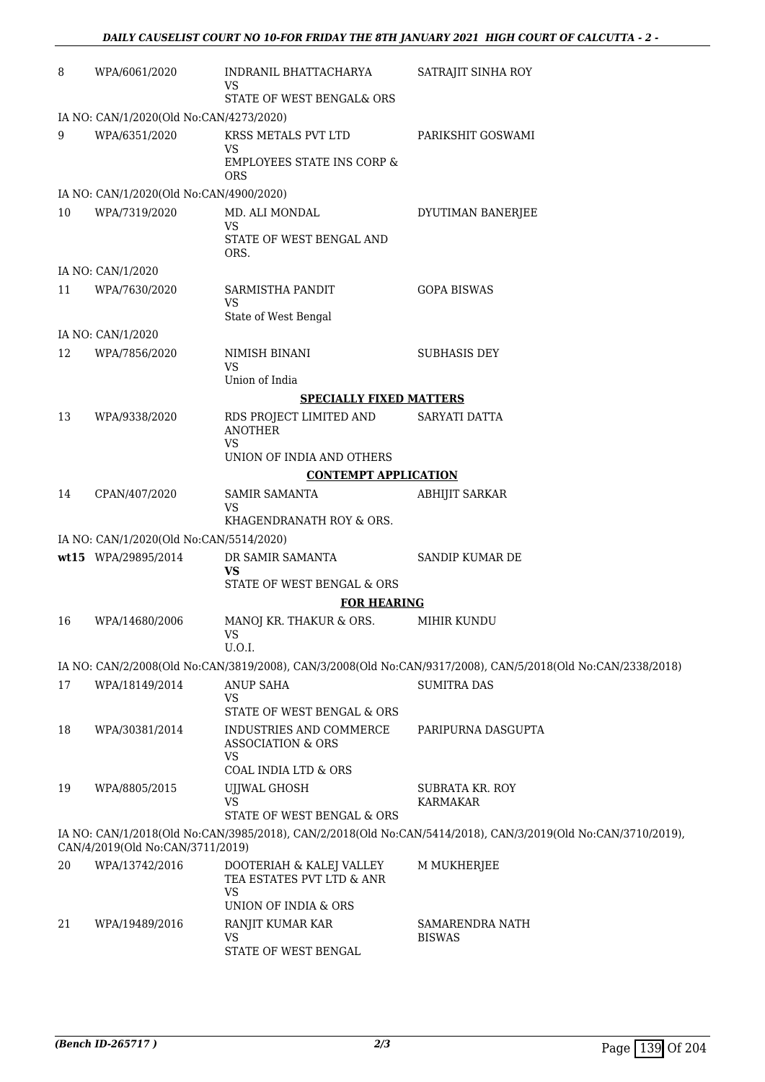| 8  | WPA/6061/2020                           | INDRANIL BHATTACHARYA<br>VS                                          | SATRAJIT SINHA ROY                                                                                           |
|----|-----------------------------------------|----------------------------------------------------------------------|--------------------------------------------------------------------------------------------------------------|
|    |                                         | STATE OF WEST BENGAL& ORS                                            |                                                                                                              |
|    | IA NO: CAN/1/2020(Old No:CAN/4273/2020) |                                                                      |                                                                                                              |
| 9  | WPA/6351/2020                           | KRSS METALS PVT LTD<br><b>VS</b>                                     | PARIKSHIT GOSWAMI                                                                                            |
|    |                                         | <b>EMPLOYEES STATE INS CORP &amp;</b><br><b>ORS</b>                  |                                                                                                              |
|    | IA NO: CAN/1/2020(Old No:CAN/4900/2020) |                                                                      |                                                                                                              |
| 10 | WPA/7319/2020                           | MD. ALI MONDAL<br><b>VS</b>                                          | DYUTIMAN BANERJEE                                                                                            |
|    |                                         | STATE OF WEST BENGAL AND<br>ORS.                                     |                                                                                                              |
|    | IA NO: CAN/1/2020                       |                                                                      |                                                                                                              |
| 11 | WPA/7630/2020                           | SARMISTHA PANDIT<br><b>VS</b>                                        | <b>GOPA BISWAS</b>                                                                                           |
|    |                                         | State of West Bengal                                                 |                                                                                                              |
|    | IA NO: CAN/1/2020                       |                                                                      |                                                                                                              |
| 12 | WPA/7856/2020                           | NIMISH BINANI<br><b>VS</b>                                           | <b>SUBHASIS DEY</b>                                                                                          |
|    |                                         | Union of India                                                       |                                                                                                              |
|    |                                         | <b>SPECIALLY FIXED MATTERS</b>                                       |                                                                                                              |
| 13 | WPA/9338/2020                           | RDS PROJECT LIMITED AND<br><b>ANOTHER</b><br><b>VS</b>               | SARYATI DATTA                                                                                                |
|    |                                         | UNION OF INDIA AND OTHERS                                            |                                                                                                              |
|    |                                         | <b>CONTEMPT APPLICATION</b>                                          |                                                                                                              |
| 14 | CPAN/407/2020                           | <b>SAMIR SAMANTA</b><br><b>VS</b><br>KHAGENDRANATH ROY & ORS.        | <b>ABHIJIT SARKAR</b>                                                                                        |
|    | IA NO: CAN/1/2020(Old No:CAN/5514/2020) |                                                                      |                                                                                                              |
|    | wt15 WPA/29895/2014                     | DR SAMIR SAMANTA                                                     | SANDIP KUMAR DE                                                                                              |
|    |                                         | <b>VS</b><br>STATE OF WEST BENGAL & ORS                              |                                                                                                              |
|    |                                         | <b>FOR HEARING</b>                                                   |                                                                                                              |
| 16 | WPA/14680/2006                          | MANOJ KR. THAKUR & ORS.<br>VS —<br>U.O.I.                            | MIHIR KUNDU                                                                                                  |
|    |                                         |                                                                      | IA NO: CAN/2/2008(Old No:CAN/3819/2008), CAN/3/2008(Old No:CAN/9317/2008), CAN/5/2018(Old No:CAN/2338/2018)  |
| 17 | WPA/18149/2014                          | <b>ANUP SAHA</b>                                                     | <b>SUMITRA DAS</b>                                                                                           |
|    |                                         | VS<br>STATE OF WEST BENGAL & ORS                                     |                                                                                                              |
| 18 | WPA/30381/2014                          | INDUSTRIES AND COMMERCE<br><b>ASSOCIATION &amp; ORS</b><br><b>VS</b> | PARIPURNA DASGUPTA                                                                                           |
|    |                                         | COAL INDIA LTD & ORS                                                 |                                                                                                              |
| 19 | WPA/8805/2015                           | UJJWAL GHOSH<br>VS<br>STATE OF WEST BENGAL & ORS                     | SUBRATA KR. ROY<br>KARMAKAR                                                                                  |
|    | CAN/4/2019(Old No:CAN/3711/2019)        |                                                                      | IA NO: CAN/1/2018(Old No:CAN/3985/2018), CAN/2/2018(Old No:CAN/5414/2018), CAN/3/2019(Old No:CAN/3710/2019), |
| 20 | WPA/13742/2016                          | DOOTERIAH & KALEJ VALLEY                                             | M MUKHERJEE                                                                                                  |
|    |                                         | TEA ESTATES PVT LTD & ANR<br><b>VS</b>                               |                                                                                                              |
|    |                                         | UNION OF INDIA & ORS                                                 |                                                                                                              |
| 21 | WPA/19489/2016                          | RANJIT KUMAR KAR<br><b>VS</b><br>STATE OF WEST BENGAL                | SAMARENDRA NATH<br><b>BISWAS</b>                                                                             |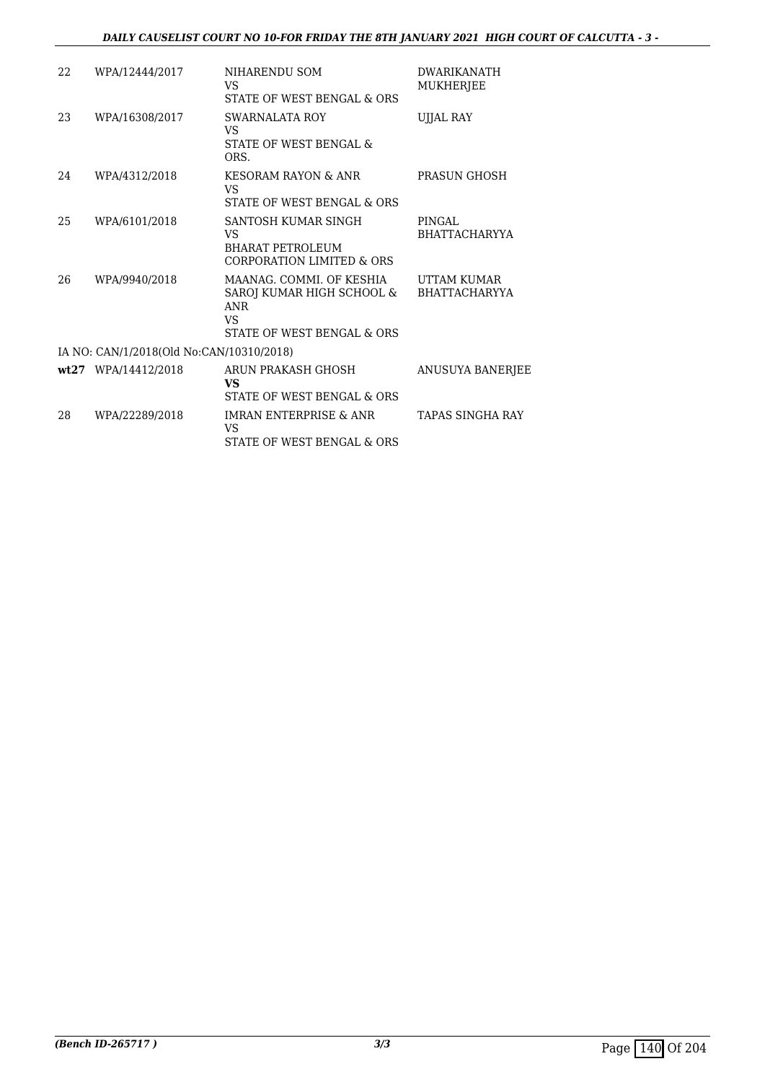## *DAILY CAUSELIST COURT NO 10-FOR FRIDAY THE 8TH JANUARY 2021 HIGH COURT OF CALCUTTA - 3 -*

| 22 | WPA/12444/2017                           | NIHARENDU SOM<br>VS<br>STATE OF WEST BENGAL & ORS                                                       | <b>DWARIKANATH</b><br>MUKHERJEE     |
|----|------------------------------------------|---------------------------------------------------------------------------------------------------------|-------------------------------------|
| 23 | WPA/16308/2017                           | SWARNALATA ROY<br>VS.<br>STATE OF WEST BENGAL &<br>ORS.                                                 | UJJAL RAY                           |
| 24 | WPA/4312/2018                            | KESORAM RAYON & ANR<br>VS<br>STATE OF WEST BENGAL & ORS                                                 | PRASUN GHOSH                        |
| 25 | WPA/6101/2018                            | SANTOSH KUMAR SINGH<br>VS.<br><b>BHARAT PETROLEUM</b><br>CORPORATION LIMITED & ORS                      | PINGAL.<br><b>BHATTACHARYYA</b>     |
| 26 | WPA/9940/2018                            | MAANAG. COMMI. OF KESHIA<br>SAROJ KUMAR HIGH SCHOOL &<br><b>ANR</b><br>VS<br>STATE OF WEST BENGAL & ORS | UTTAM KUMAR<br><b>BHATTACHARYYA</b> |
|    | IA NO: CAN/1/2018(Old No:CAN/10310/2018) |                                                                                                         |                                     |
|    | wt27 WPA/14412/2018                      | ARUN PRAKASH GHOSH<br>VS<br>STATE OF WEST BENGAL & ORS                                                  | <b>ANUSUYA BANERJEE</b>             |
| 28 | WPA/22289/2018                           | <b>IMRAN ENTERPRISE &amp; ANR</b><br>VS<br>STATE OF WEST BENGAL & ORS                                   | <b>TAPAS SINGHA RAY</b>             |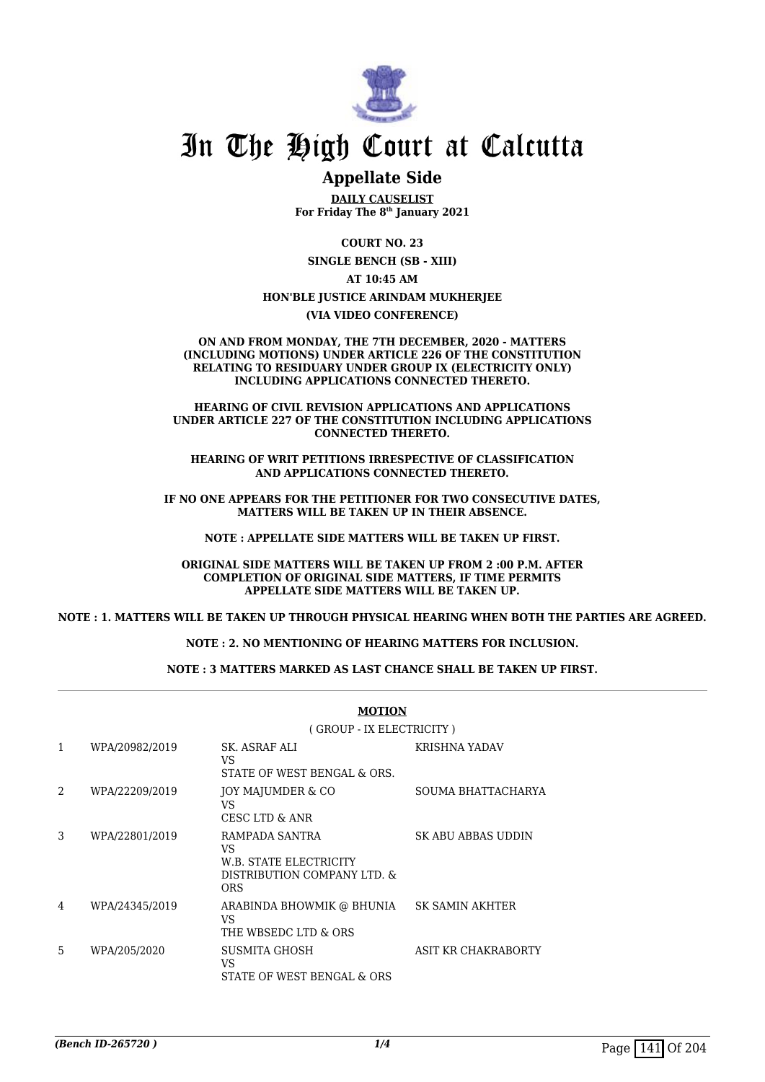

## **Appellate Side**

**DAILY CAUSELIST For Friday The 8th January 2021**

**COURT NO. 23 SINGLE BENCH (SB - XIII)**

**AT 10:45 AM**

### **HON'BLE JUSTICE ARINDAM MUKHERJEE**

**(VIA VIDEO CONFERENCE)**

**ON AND FROM MONDAY, THE 7TH DECEMBER, 2020 - MATTERS (INCLUDING MOTIONS) UNDER ARTICLE 226 OF THE CONSTITUTION RELATING TO RESIDUARY UNDER GROUP IX (ELECTRICITY ONLY) INCLUDING APPLICATIONS CONNECTED THERETO.**

**HEARING OF CIVIL REVISION APPLICATIONS AND APPLICATIONS UNDER ARTICLE 227 OF THE CONSTITUTION INCLUDING APPLICATIONS CONNECTED THERETO.**

**HEARING OF WRIT PETITIONS IRRESPECTIVE OF CLASSIFICATION AND APPLICATIONS CONNECTED THERETO.**

**IF NO ONE APPEARS FOR THE PETITIONER FOR TWO CONSECUTIVE DATES, MATTERS WILL BE TAKEN UP IN THEIR ABSENCE.**

**NOTE : APPELLATE SIDE MATTERS WILL BE TAKEN UP FIRST.**

**ORIGINAL SIDE MATTERS WILL BE TAKEN UP FROM 2 :00 P.M. AFTER COMPLETION OF ORIGINAL SIDE MATTERS, IF TIME PERMITS APPELLATE SIDE MATTERS WILL BE TAKEN UP.**

**NOTE : 1. MATTERS WILL BE TAKEN UP THROUGH PHYSICAL HEARING WHEN BOTH THE PARTIES ARE AGREED.**

**NOTE : 2. NO MENTIONING OF HEARING MATTERS FOR INCLUSION.**

**NOTE : 3 MATTERS MARKED AS LAST CHANCE SHALL BE TAKEN UP FIRST.**

|              |                | <b>MOTION</b>                                                                                 |                     |
|--------------|----------------|-----------------------------------------------------------------------------------------------|---------------------|
|              |                | (GROUP - IX ELECTRICITY)                                                                      |                     |
| $\mathbf{1}$ | WPA/20982/2019 | SK. ASRAF ALI<br>VS.<br>STATE OF WEST BENGAL & ORS.                                           | KRISHNA YADAV       |
| 2            | WPA/22209/2019 | JOY MAJUMDER & CO<br>VS<br><b>CESC LTD &amp; ANR</b>                                          | SOUMA BHATTACHARYA  |
| 3            | WPA/22801/2019 | RAMPADA SANTRA<br>VS.<br><b>W.B. STATE ELECTRICITY</b><br>DISTRIBUTION COMPANY LTD. &<br>ORS. | SK ABU ABBAS UDDIN  |
| 4            | WPA/24345/2019 | ARABINDA BHOWMIK @ BHUNIA SK SAMIN AKHTER<br>VS.<br>THE WBSEDC LTD & ORS                      |                     |
| 5            | WPA/205/2020   | SUSMITA GHOSH<br>VS.<br>STATE OF WEST BENGAL & ORS                                            | ASIT KR CHAKRABORTY |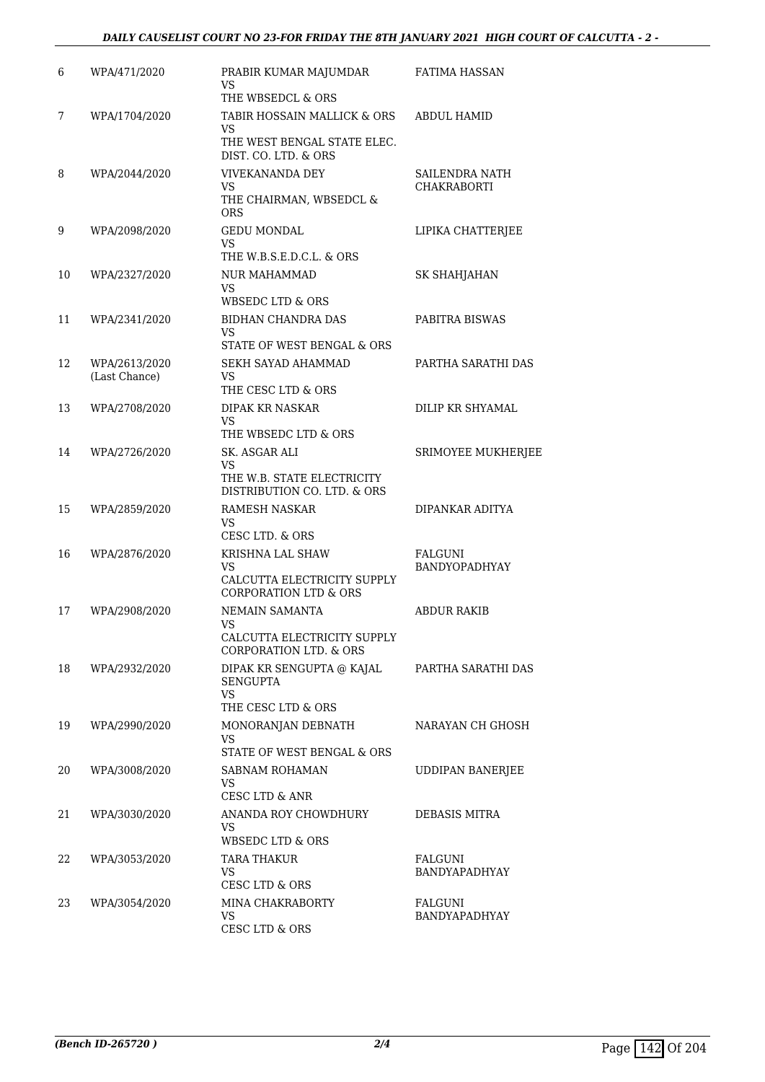| 6  | WPA/471/2020                   | PRABIR KUMAR MAJUMDAR<br>VS<br>THE WBSEDCL & ORS                                  | FATIMA HASSAN                        |
|----|--------------------------------|-----------------------------------------------------------------------------------|--------------------------------------|
| 7  | WPA/1704/2020                  | TABIR HOSSAIN MALLICK & ORS                                                       | <b>ABDUL HAMID</b>                   |
|    |                                | VS.<br>THE WEST BENGAL STATE ELEC.<br>DIST. CO. LTD. & ORS                        |                                      |
| 8  | WPA/2044/2020                  | <b>VIVEKANANDA DEY</b><br>VS.<br>THE CHAIRMAN, WBSEDCL &<br>ORS                   | SAILENDRA NATH<br><b>CHAKRABORTI</b> |
| 9  | WPA/2098/2020                  | <b>GEDU MONDAL</b><br>VS<br>THE W.B.S.E.D.C.L. & ORS                              | LIPIKA CHATTERJEE                    |
| 10 | WPA/2327/2020                  | NUR MAHAMMAD<br>VS.<br>WBSEDC LTD & ORS                                           | SK SHAHJAHAN                         |
| 11 | WPA/2341/2020                  | BIDHAN CHANDRA DAS<br>VS<br><b>STATE OF WEST BENGAL &amp; ORS</b>                 | PABITRA BISWAS                       |
| 12 | WPA/2613/2020<br>(Last Chance) | SEKH SAYAD AHAMMAD<br>VS.<br>THE CESC LTD & ORS                                   | PARTHA SARATHI DAS                   |
| 13 | WPA/2708/2020                  | <b>DIPAK KR NASKAR</b><br>VS<br>THE WBSEDC LTD & ORS                              | DILIP KR SHYAMAL                     |
| 14 | WPA/2726/2020                  | SK. ASGAR ALI<br>VS.<br>THE W.B. STATE ELECTRICITY<br>DISTRIBUTION CO. LTD. & ORS | SRIMOYEE MUKHERJEE                   |
| 15 | WPA/2859/2020                  | <b>RAMESH NASKAR</b><br>VS.<br>CESC LTD. & ORS                                    | DIPANKAR ADITYA                      |
| 16 | WPA/2876/2020                  | KRISHNA LAL SHAW<br>VS<br>CALCUTTA ELECTRICITY SUPPLY<br>CORPORATION LTD & ORS    | FALGUNI<br>BANDYOPADHYAY             |
| 17 | WPA/2908/2020                  | NEMAIN SAMANTA<br>VS<br>CALCUTTA ELECTRICITY SUPPLY<br>CORPORATION LTD. & ORS     | <b>ABDUR RAKIB</b>                   |
| 18 | WPA/2932/2020                  | DIPAK KR SENGUPTA @ KAJAL<br><b>SENGUPTA</b><br>VS.<br>THE CESC LTD & ORS         | PARTHA SARATHI DAS                   |
| 19 | WPA/2990/2020                  | MONORANJAN DEBNATH<br>VS.<br>STATE OF WEST BENGAL & ORS                           | NARAYAN CH GHOSH                     |
| 20 | WPA/3008/2020                  | SABNAM ROHAMAN<br>VS<br><b>CESC LTD &amp; ANR</b>                                 | <b>UDDIPAN BANERJEE</b>              |
| 21 | WPA/3030/2020                  | ANANDA ROY CHOWDHURY<br>VS<br>WBSEDC LTD & ORS                                    | DEBASIS MITRA                        |
| 22 | WPA/3053/2020                  | TARA THAKUR<br><b>VS</b><br><b>CESC LTD &amp; ORS</b>                             | FALGUNI<br>BANDYAPADHYAY             |
| 23 | WPA/3054/2020                  | MINA CHAKRABORTY<br>VS<br>CESC LTD & ORS                                          | FALGUNI<br>BANDYAPADHYAY             |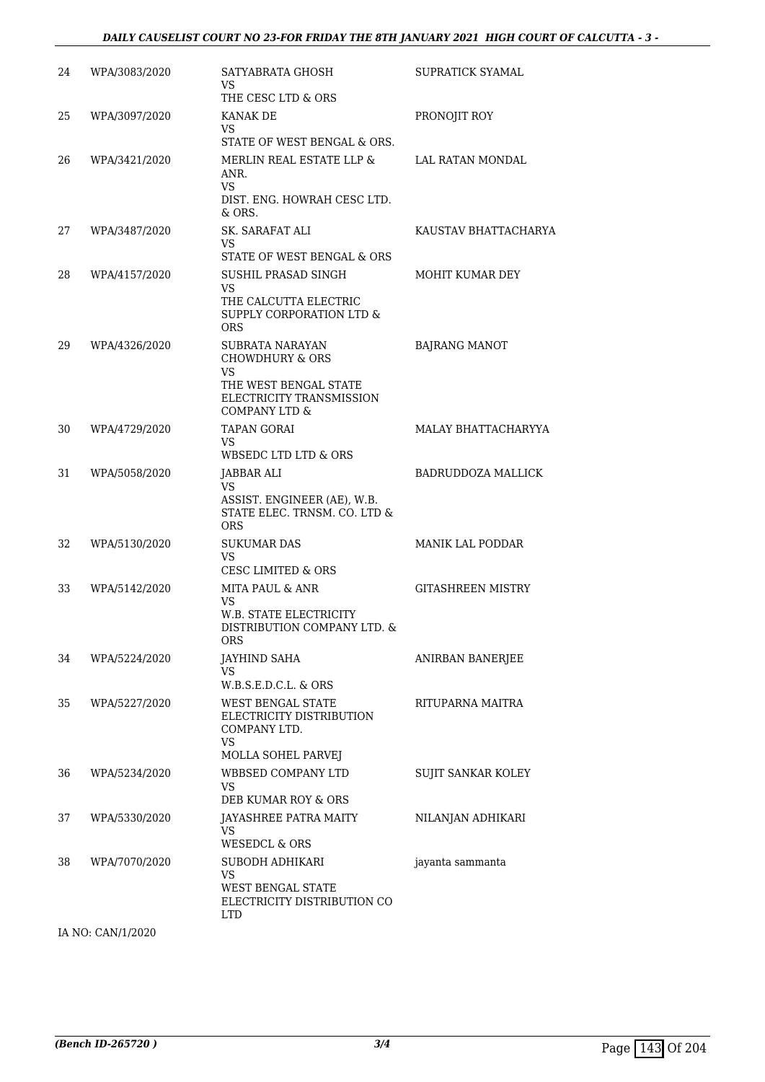#### *DAILY CAUSELIST COURT NO 23-FOR FRIDAY THE 8TH JANUARY 2021 HIGH COURT OF CALCUTTA - 3 -*

| 24 | WPA/3083/2020     | SATYABRATA GHOSH<br><b>VS</b><br>THE CESC LTD & ORS                                                                               | SUPRATICK SYAMAL          |
|----|-------------------|-----------------------------------------------------------------------------------------------------------------------------------|---------------------------|
| 25 | WPA/3097/2020     | KANAK DE<br>VS                                                                                                                    | PRONOJIT ROY              |
| 26 | WPA/3421/2020     | STATE OF WEST BENGAL & ORS.<br>MERLIN REAL ESTATE LLP &<br>ANR.<br>VS.<br>DIST. ENG. HOWRAH CESC LTD.                             | LAL RATAN MONDAL          |
| 27 | WPA/3487/2020     | & ORS.<br>SK. SARAFAT ALI<br>VS.<br>STATE OF WEST BENGAL & ORS                                                                    | KAUSTAV BHATTACHARYA      |
| 28 | WPA/4157/2020     | SUSHIL PRASAD SINGH<br><b>VS</b><br>THE CALCUTTA ELECTRIC<br>SUPPLY CORPORATION LTD &<br><b>ORS</b>                               | MOHIT KUMAR DEY           |
| 29 | WPA/4326/2020     | <b>SUBRATA NARAYAN</b><br><b>CHOWDHURY &amp; ORS</b><br>VS.<br>THE WEST BENGAL STATE<br>ELECTRICITY TRANSMISSION<br>COMPANY LTD & | <b>BAJRANG MANOT</b>      |
| 30 | WPA/4729/2020     | <b>TAPAN GORAI</b><br>VS.<br>WBSEDC LTD LTD & ORS                                                                                 | MALAY BHATTACHARYYA       |
| 31 | WPA/5058/2020     | JABBAR ALI<br>VS.<br>ASSIST. ENGINEER (AE), W.B.<br>STATE ELEC. TRNSM. CO. LTD &<br><b>ORS</b>                                    | BADRUDDOZA MALLICK        |
| 32 | WPA/5130/2020     | <b>SUKUMAR DAS</b><br>VS<br><b>CESC LIMITED &amp; ORS</b>                                                                         | MANIK LAL PODDAR          |
| 33 | WPA/5142/2020     | MITA PAUL & ANR<br>VS<br>W.B. STATE ELECTRICITY<br>DISTRIBUTION COMPANY LTD. &<br><b>ORS</b>                                      | <b>GITASHREEN MISTRY</b>  |
| 34 | WPA/5224/2020     | JAYHIND SAHA<br>VS.<br>W.B.S.E.D.C.L. & ORS                                                                                       | ANIRBAN BANERJEE          |
| 35 | WPA/5227/2020     | <b>WEST BENGAL STATE</b><br>ELECTRICITY DISTRIBUTION<br>COMPANY LTD.<br>VS<br>MOLLA SOHEL PARVEJ                                  | RITUPARNA MAITRA          |
| 36 | WPA/5234/2020     | WBBSED COMPANY LTD<br>VS<br>DEB KUMAR ROY & ORS                                                                                   | <b>SUJIT SANKAR KOLEY</b> |
| 37 | WPA/5330/2020     | JAYASHREE PATRA MAITY<br>VS<br><b>WESEDCL &amp; ORS</b>                                                                           | NILANJAN ADHIKARI         |
| 38 | WPA/7070/2020     | SUBODH ADHIKARI<br>VS<br><b>WEST BENGAL STATE</b><br>ELECTRICITY DISTRIBUTION CO<br>LTD                                           | jayanta sammanta          |
|    | IA NO: CAN/1/2020 |                                                                                                                                   |                           |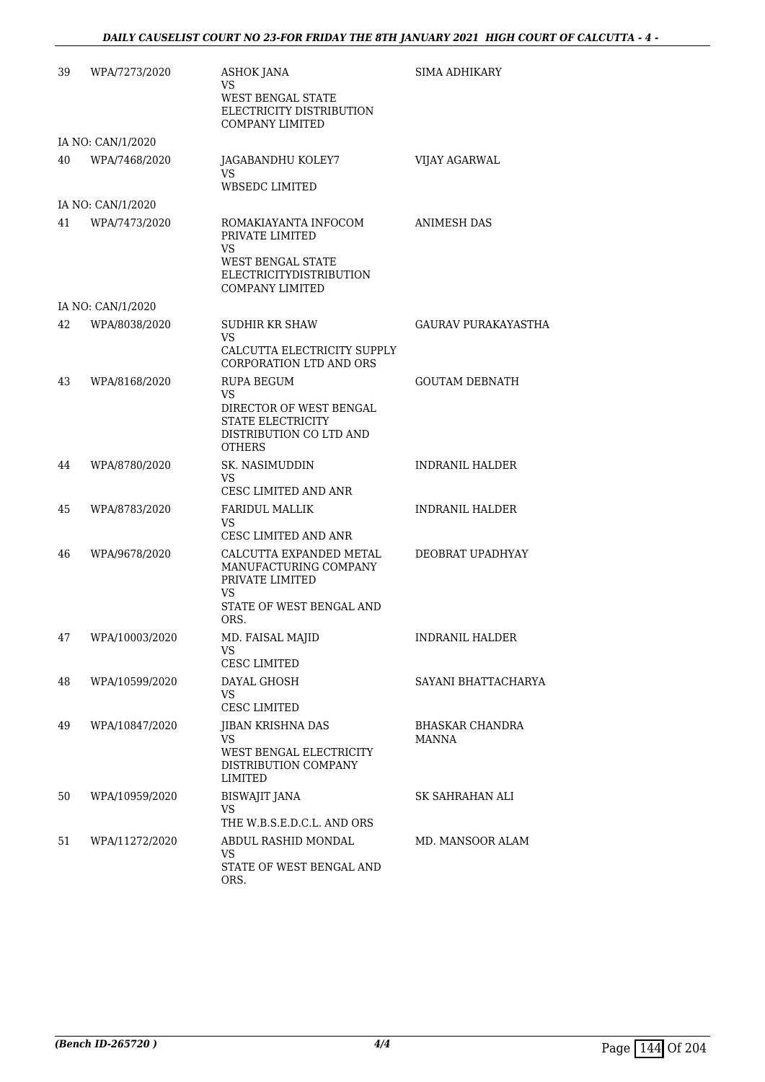| 39 | WPA/7273/2020     | ASHOK JANA<br>VS<br>WEST BENGAL STATE<br>ELECTRICITY DISTRIBUTION<br><b>COMPANY LIMITED</b>                                                                  | <b>SIMA ADHIKARY</b>     |
|----|-------------------|--------------------------------------------------------------------------------------------------------------------------------------------------------------|--------------------------|
|    | IA NO: CAN/1/2020 |                                                                                                                                                              |                          |
| 40 | WPA/7468/2020     | JAGABANDHU KOLEY7<br><b>VS</b><br><b>WBSEDC LIMITED</b>                                                                                                      | VIJAY AGARWAL            |
|    | IA NO: CAN/1/2020 |                                                                                                                                                              |                          |
| 41 | WPA/7473/2020     | ROMAKIAYANTA INFOCOM<br>PRIVATE LIMITED<br>VS<br>WEST BENGAL STATE<br><b>ELECTRICITYDISTRIBUTION</b><br><b>COMPANY LIMITED</b>                               | <b>ANIMESH DAS</b>       |
|    | IA NO: CAN/1/2020 |                                                                                                                                                              |                          |
| 42 | WPA/8038/2020     | <b>SUDHIR KR SHAW</b><br>VS.<br>CALCUTTA ELECTRICITY SUPPLY                                                                                                  | GAURAV PURAKAYASTHA      |
| 43 | WPA/8168/2020     | CORPORATION LTD AND ORS<br><b>RUPA BEGUM</b><br><b>VS</b><br>DIRECTOR OF WEST BENGAL<br><b>STATE ELECTRICITY</b><br>DISTRIBUTION CO LTD AND<br><b>OTHERS</b> | <b>GOUTAM DEBNATH</b>    |
| 44 | WPA/8780/2020     | SK. NASIMUDDIN<br>VS.<br>CESC LIMITED AND ANR                                                                                                                | <b>INDRANIL HALDER</b>   |
| 45 | WPA/8783/2020     | <b>FARIDUL MALLIK</b><br>VS.<br>CESC LIMITED AND ANR                                                                                                         | INDRANIL HALDER          |
| 46 | WPA/9678/2020     | CALCUTTA EXPANDED METAL<br>MANUFACTURING COMPANY<br>PRIVATE LIMITED<br><b>VS</b><br>STATE OF WEST BENGAL AND<br>ORS.                                         | DEOBRAT UPADHYAY         |
| 47 | WPA/10003/2020    | MD. FAISAL MAJID<br>VS<br><b>CESC LIMITED</b>                                                                                                                | <b>INDRANIL HALDER</b>   |
| 48 | WPA/10599/2020    | DAYAL GHOSH<br><b>VS</b><br><b>CESC LIMITED</b>                                                                                                              | SAYANI BHATTACHARYA      |
| 49 | WPA/10847/2020    | JIBAN KRISHNA DAS<br>VS.<br>WEST BENGAL ELECTRICITY<br>DISTRIBUTION COMPANY<br>LIMITED                                                                       | BHASKAR CHANDRA<br>MANNA |
| 50 | WPA/10959/2020    | <b>BISWAJIT JANA</b><br>VS.<br>THE W.B.S.E.D.C.L. AND ORS                                                                                                    | SK SAHRAHAN ALI          |
| 51 | WPA/11272/2020    | ABDUL RASHID MONDAL<br><b>VS</b><br>STATE OF WEST BENGAL AND<br>ORS.                                                                                         | MD. MANSOOR ALAM         |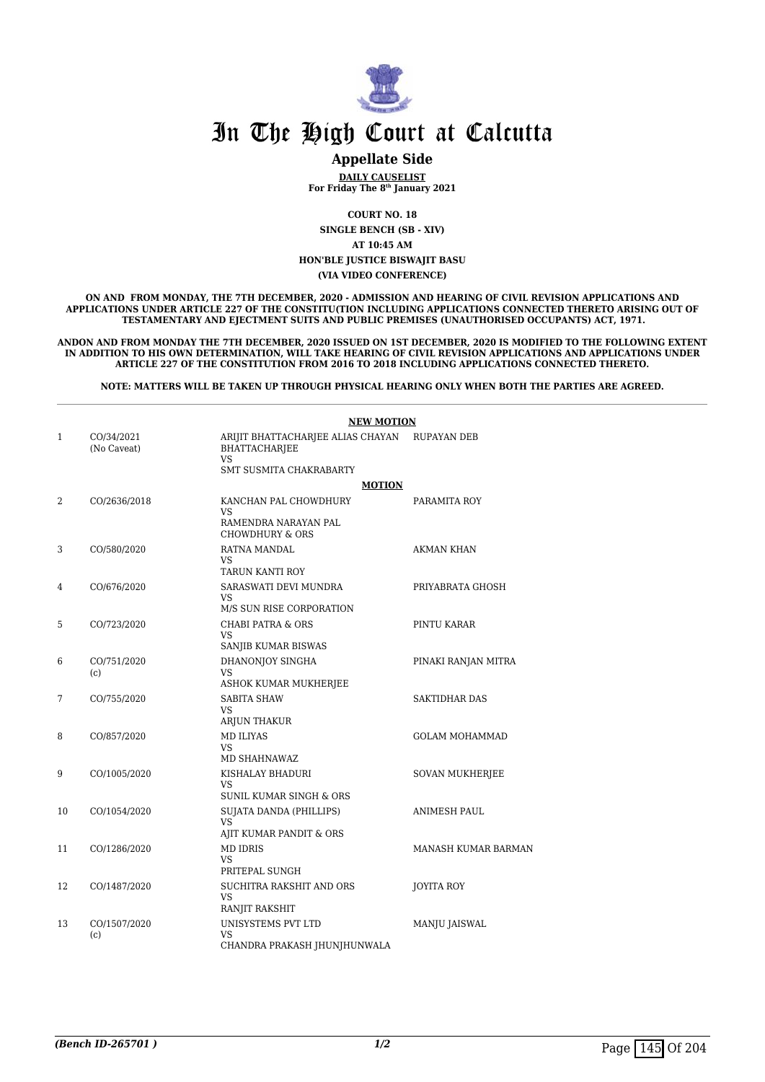

#### **Appellate Side**

**DAILY CAUSELIST For Friday The 8th January 2021**

**COURT NO. 18 SINGLE BENCH (SB - XIV) AT 10:45 AM HON'BLE JUSTICE BISWAJIT BASU (VIA VIDEO CONFERENCE)**

**ON AND FROM MONDAY, THE 7TH DECEMBER, 2020 - ADMISSION AND HEARING OF CIVIL REVISION APPLICATIONS AND APPLICATIONS UNDER ARTICLE 227 OF THE CONSTITU(TION INCLUDING APPLICATIONS CONNECTED THERETO ARISING OUT OF TESTAMENTARY AND EJECTMENT SUITS AND PUBLIC PREMISES (UNAUTHORISED OCCUPANTS) ACT, 1971.**

**ANDON AND FROM MONDAY THE 7TH DECEMBER, 2020 ISSUED ON 1ST DECEMBER, 2020 IS MODIFIED TO THE FOLLOWING EXTENT IN ADDITION TO HIS OWN DETERMINATION, WILL TAKE HEARING OF CIVIL REVISION APPLICATIONS AND APPLICATIONS UNDER ARTICLE 227 OF THE CONSTITUTION FROM 2016 TO 2018 INCLUDING APPLICATIONS CONNECTED THERETO.**

**NOTE: MATTERS WILL BE TAKEN UP THROUGH PHYSICAL HEARING ONLY WHEN BOTH THE PARTIES ARE AGREED.**

|              |                           | <b>NEW MOTION</b>                                                                                        |                        |  |
|--------------|---------------------------|----------------------------------------------------------------------------------------------------------|------------------------|--|
| $\mathbf{1}$ | CO/34/2021<br>(No Caveat) | ARIJIT BHATTACHARJEE ALIAS CHAYAN<br><b>BHATTACHARJEE</b><br><b>VS</b><br><b>SMT SUSMITA CHAKRABARTY</b> | RUPAYAN DEB            |  |
|              |                           | <b>MOTION</b>                                                                                            |                        |  |
| 2            | CO/2636/2018              | KANCHAN PAL CHOWDHURY<br>VS<br>RAMENDRA NARAYAN PAL<br><b>CHOWDHURY &amp; ORS</b>                        | PARAMITA ROY           |  |
| 3            | CO/580/2020               | RATNA MANDAL<br>VS.<br>TARUN KANTI ROY                                                                   | AKMAN KHAN             |  |
| 4            | CO/676/2020               | SARASWATI DEVI MUNDRA<br>VS<br>M/S SUN RISE CORPORATION                                                  | PRIYABRATA GHOSH       |  |
| 5            | CO/723/2020               | <b>CHABI PATRA &amp; ORS</b><br>VS<br>SANJIB KUMAR BISWAS                                                | PINTU KARAR            |  |
| 6            | CO/751/2020<br>(c)        | DHANONJOY SINGHA<br>VS<br>ASHOK KUMAR MUKHERJEE                                                          | PINAKI RANJAN MITRA    |  |
| 7            | CO/755/2020               | <b>SABITA SHAW</b><br>VS<br>ARJUN THAKUR                                                                 | <b>SAKTIDHAR DAS</b>   |  |
| 8            | CO/857/2020               | <b>MD ILIYAS</b><br>VS.<br>MD SHAHNAWAZ                                                                  | <b>GOLAM MOHAMMAD</b>  |  |
| 9            | CO/1005/2020              | KISHALAY BHADURI<br>VS.<br>SUNIL KUMAR SINGH & ORS                                                       | <b>SOVAN MUKHERJEE</b> |  |
| 10           | CO/1054/2020              | SUJATA DANDA (PHILLIPS)<br>VS<br>AJIT KUMAR PANDIT & ORS                                                 | <b>ANIMESH PAUL</b>    |  |
| 11           | CO/1286/2020              | <b>MD IDRIS</b><br>VS<br>PRITEPAL SUNGH                                                                  | MANASH KUMAR BARMAN    |  |
| 12           | CO/1487/2020              | SUCHITRA RAKSHIT AND ORS<br>VS<br>RANJIT RAKSHIT                                                         | JOYITA ROY             |  |
| 13           | CO/1507/2020<br>(c)       | UNISYSTEMS PVT LTD<br>VS<br>CHANDRA PRAKASH JHUNJHUNWALA                                                 | MANJU JAISWAL          |  |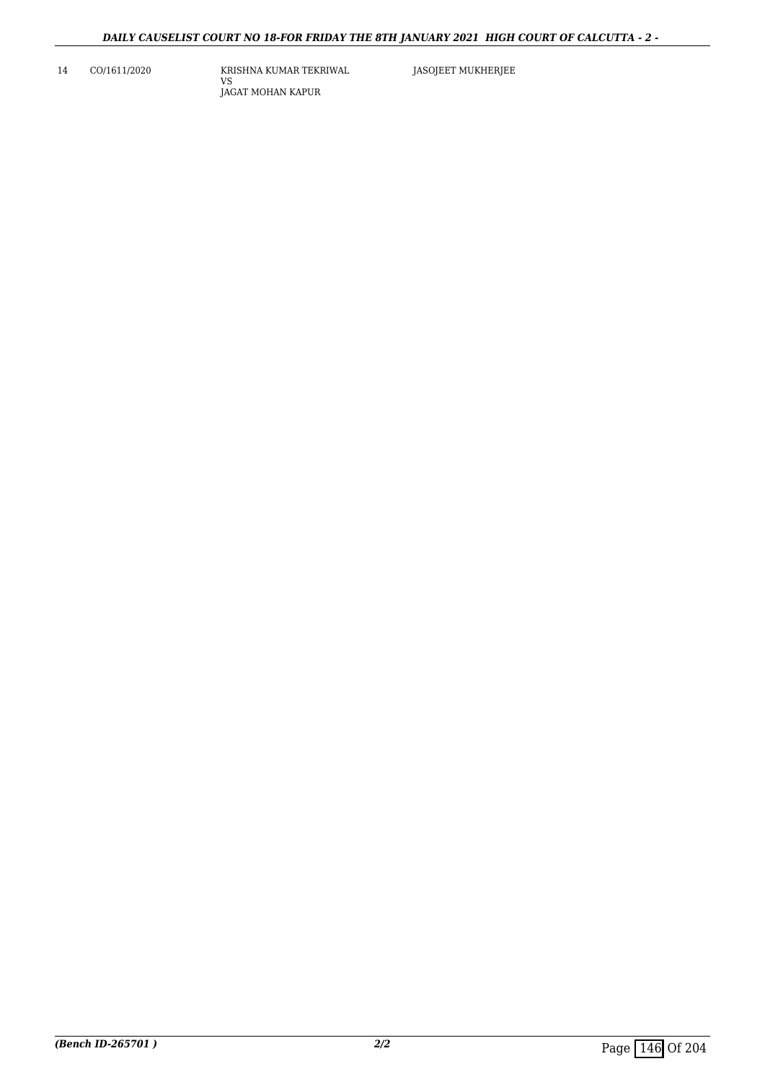14 CO/1611/2020 KRISHNA KUMAR TEKRIWAL VS JAGAT MOHAN KAPUR

JASOJEET MUKHERJEE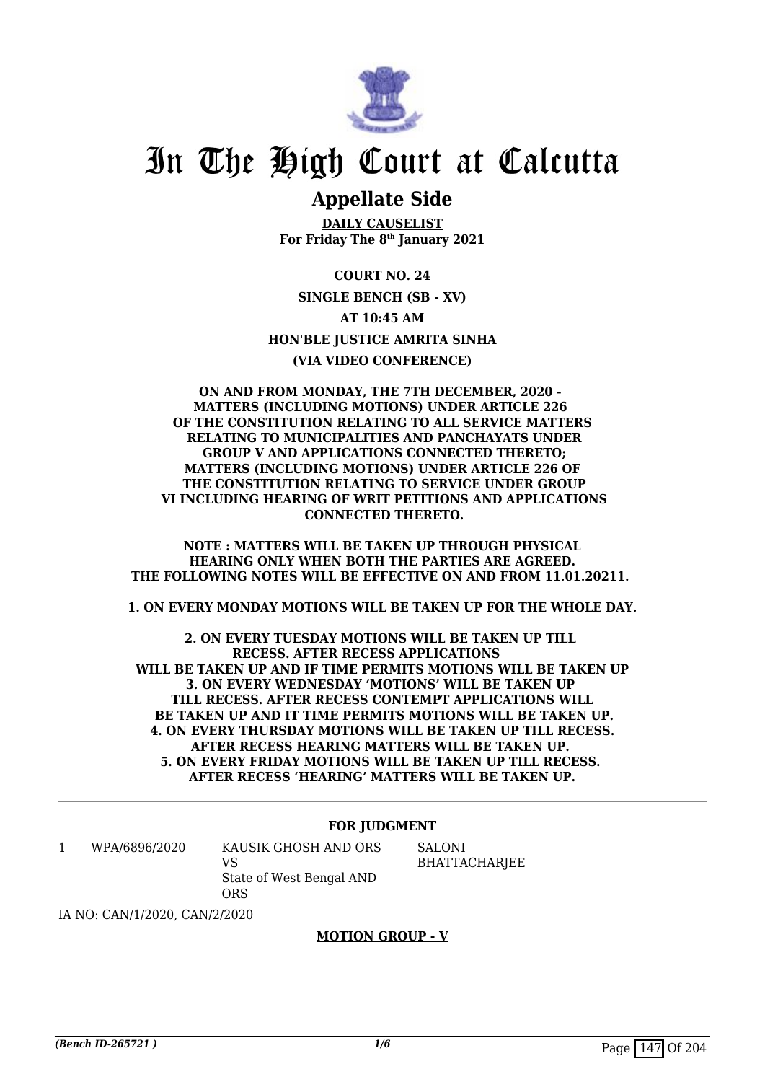

### **Appellate Side**

**DAILY CAUSELIST For Friday The 8th January 2021**

**COURT NO. 24 SINGLE BENCH (SB - XV) AT 10:45 AM HON'BLE JUSTICE AMRITA SINHA (VIA VIDEO CONFERENCE)**

**ON AND FROM MONDAY, THE 7TH DECEMBER, 2020 - MATTERS (INCLUDING MOTIONS) UNDER ARTICLE 226 OF THE CONSTITUTION RELATING TO ALL SERVICE MATTERS RELATING TO MUNICIPALITIES AND PANCHAYATS UNDER GROUP V AND APPLICATIONS CONNECTED THERETO; MATTERS (INCLUDING MOTIONS) UNDER ARTICLE 226 OF THE CONSTITUTION RELATING TO SERVICE UNDER GROUP VI INCLUDING HEARING OF WRIT PETITIONS AND APPLICATIONS CONNECTED THERETO.**

**NOTE : MATTERS WILL BE TAKEN UP THROUGH PHYSICAL HEARING ONLY WHEN BOTH THE PARTIES ARE AGREED. THE FOLLOWING NOTES WILL BE EFFECTIVE ON AND FROM 11.01.20211.** 

**1. ON EVERY MONDAY MOTIONS WILL BE TAKEN UP FOR THE WHOLE DAY.**

**2. ON EVERY TUESDAY MOTIONS WILL BE TAKEN UP TILL RECESS. AFTER RECESS APPLICATIONS WILL BE TAKEN UP AND IF TIME PERMITS MOTIONS WILL BE TAKEN UP 3. ON EVERY WEDNESDAY 'MOTIONS' WILL BE TAKEN UP TILL RECESS. AFTER RECESS CONTEMPT APPLICATIONS WILL BE TAKEN UP AND IT TIME PERMITS MOTIONS WILL BE TAKEN UP. 4. ON EVERY THURSDAY MOTIONS WILL BE TAKEN UP TILL RECESS. AFTER RECESS HEARING MATTERS WILL BE TAKEN UP. 5. ON EVERY FRIDAY MOTIONS WILL BE TAKEN UP TILL RECESS. AFTER RECESS 'HEARING' MATTERS WILL BE TAKEN UP.**

#### **FOR JUDGMENT**

1 WPA/6896/2020 KAUSIK GHOSH AND ORS  $V<sup>Q</sup>$ State of West Bengal AND ORS

SALONI BHATTACHARJEE

IA NO: CAN/1/2020, CAN/2/2020

#### **MOTION GROUP - V**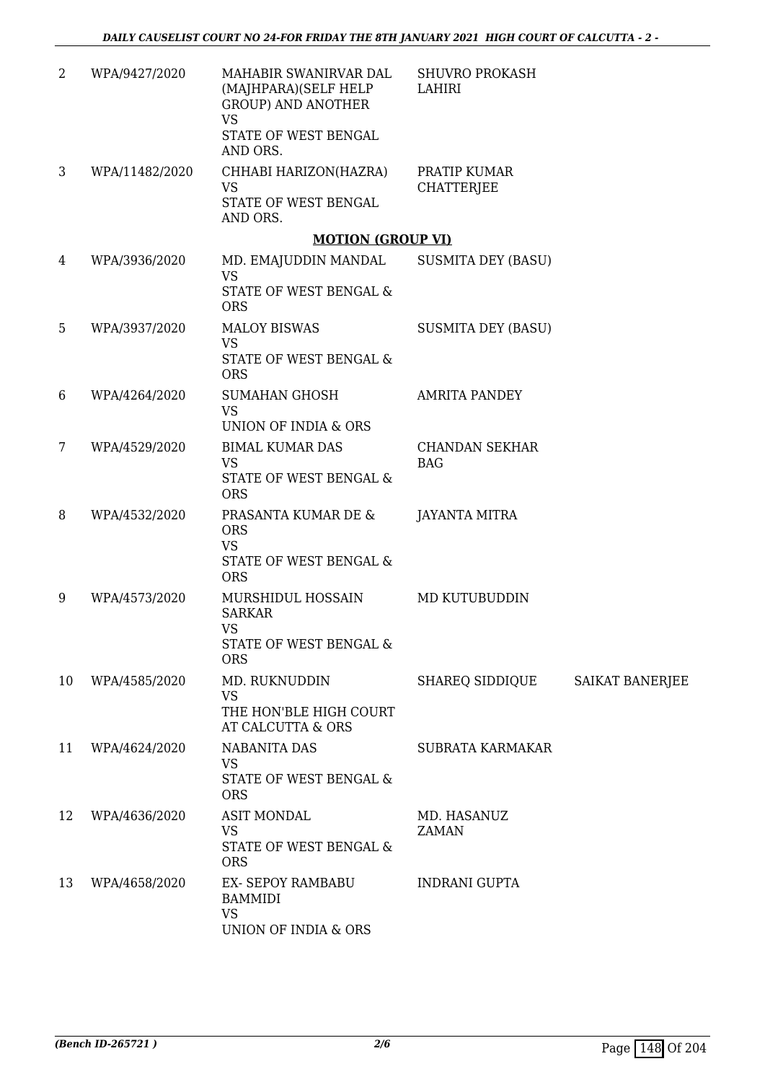| 2  | WPA/9427/2020  | MAHABIR SWANIRVAR DAL<br>(MAJHPARA)(SELF HELP<br><b>GROUP) AND ANOTHER</b><br><b>VS</b><br>STATE OF WEST BENGAL<br>AND ORS. | <b>SHUVRO PROKASH</b><br>LAHIRI     |                 |
|----|----------------|-----------------------------------------------------------------------------------------------------------------------------|-------------------------------------|-----------------|
| 3  | WPA/11482/2020 | CHHABI HARIZON(HAZRA)<br><b>VS</b><br><b>STATE OF WEST BENGAL</b><br>AND ORS.                                               | PRATIP KUMAR<br><b>CHATTERJEE</b>   |                 |
|    |                | <b>MOTION (GROUP VI)</b>                                                                                                    |                                     |                 |
| 4  | WPA/3936/2020  | MD. EMAJUDDIN MANDAL<br><b>VS</b><br>STATE OF WEST BENGAL &<br><b>ORS</b>                                                   | <b>SUSMITA DEY (BASU)</b>           |                 |
| 5  | WPA/3937/2020  | <b>MALOY BISWAS</b><br><b>VS</b><br>STATE OF WEST BENGAL &<br><b>ORS</b>                                                    | <b>SUSMITA DEY (BASU)</b>           |                 |
| 6  | WPA/4264/2020  | <b>SUMAHAN GHOSH</b><br><b>VS</b><br>UNION OF INDIA & ORS                                                                   | <b>AMRITA PANDEY</b>                |                 |
| 7  | WPA/4529/2020  | <b>BIMAL KUMAR DAS</b><br><b>VS</b><br>STATE OF WEST BENGAL &<br><b>ORS</b>                                                 | <b>CHANDAN SEKHAR</b><br><b>BAG</b> |                 |
| 8  | WPA/4532/2020  | PRASANTA KUMAR DE &<br><b>ORS</b><br><b>VS</b><br>STATE OF WEST BENGAL &<br><b>ORS</b>                                      | <b>JAYANTA MITRA</b>                |                 |
| 9  | WPA/4573/2020  | MURSHIDUL HOSSAIN<br><b>SARKAR</b><br><b>VS</b><br>STATE OF WEST BENGAL &<br><b>ORS</b>                                     | MD KUTUBUDDIN                       |                 |
| 10 | WPA/4585/2020  | MD. RUKNUDDIN<br><b>VS</b><br>THE HON'BLE HIGH COURT<br>AT CALCUTTA & ORS                                                   | SHAREQ SIDDIQUE                     | SAIKAT BANERJEE |
| 11 | WPA/4624/2020  | <b>NABANITA DAS</b><br><b>VS</b><br>STATE OF WEST BENGAL &<br><b>ORS</b>                                                    | <b>SUBRATA KARMAKAR</b>             |                 |
| 12 | WPA/4636/2020  | <b>ASIT MONDAL</b><br><b>VS</b><br>STATE OF WEST BENGAL &<br><b>ORS</b>                                                     | MD. HASANUZ<br><b>ZAMAN</b>         |                 |
| 13 | WPA/4658/2020  | EX- SEPOY RAMBABU<br><b>BAMMIDI</b><br><b>VS</b><br>UNION OF INDIA & ORS                                                    | <b>INDRANI GUPTA</b>                |                 |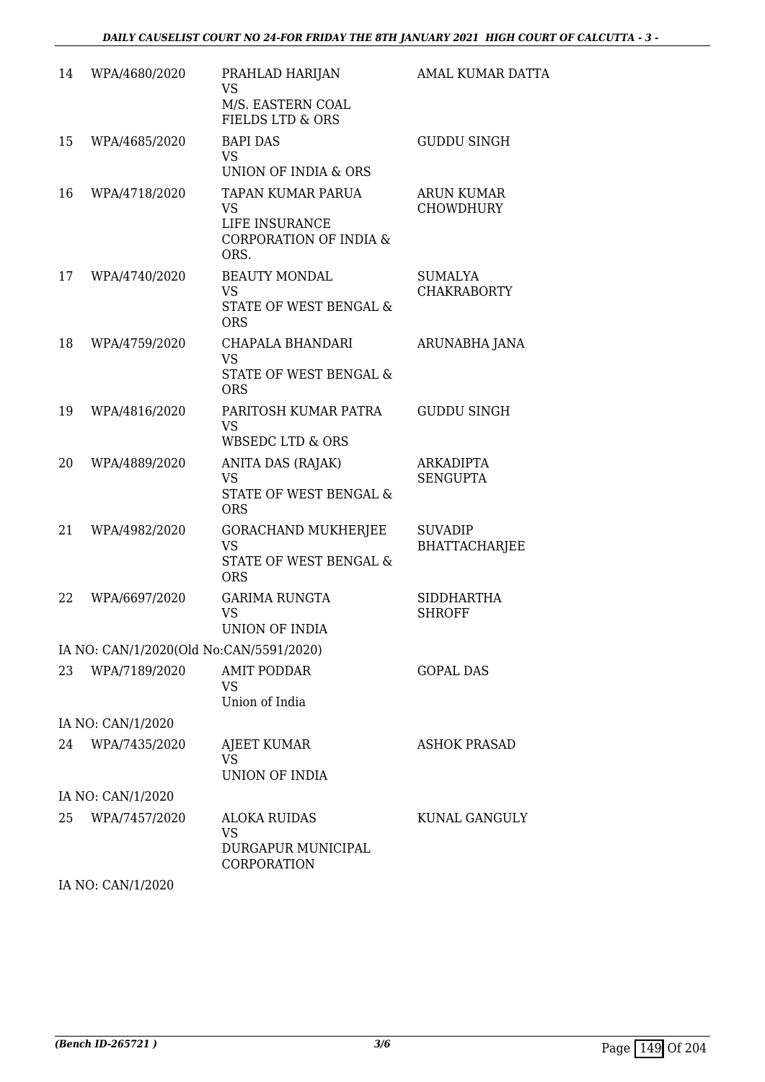| 14 | WPA/4680/2020                           | PRAHLAD HARIJAN<br><b>VS</b>                                     | <b>AMAL KUMAR DATTA</b>               |
|----|-----------------------------------------|------------------------------------------------------------------|---------------------------------------|
|    |                                         | M/S. EASTERN COAL<br><b>FIELDS LTD &amp; ORS</b>                 |                                       |
| 15 | WPA/4685/2020                           | <b>BAPI DAS</b><br><b>VS</b>                                     | <b>GUDDU SINGH</b>                    |
|    |                                         | UNION OF INDIA & ORS                                             |                                       |
| 16 | WPA/4718/2020                           | TAPAN KUMAR PARUA<br><b>VS</b>                                   | <b>ARUN KUMAR</b><br><b>CHOWDHURY</b> |
|    |                                         | LIFE INSURANCE<br><b>CORPORATION OF INDIA &amp;</b><br>ORS.      |                                       |
| 17 | WPA/4740/2020                           | <b>BEAUTY MONDAL</b>                                             | <b>SUMALYA</b>                        |
|    |                                         | <b>VS</b><br>STATE OF WEST BENGAL &<br><b>ORS</b>                | <b>CHAKRABORTY</b>                    |
| 18 | WPA/4759/2020                           | CHAPALA BHANDARI<br><b>VS</b>                                    | ARUNABHA JANA                         |
|    |                                         | STATE OF WEST BENGAL &<br><b>ORS</b>                             |                                       |
| 19 | WPA/4816/2020                           | PARITOSH KUMAR PATRA<br><b>VS</b><br><b>WBSEDC LTD &amp; ORS</b> | <b>GUDDU SINGH</b>                    |
| 20 | WPA/4889/2020                           | ANITA DAS (RAJAK)<br><b>VS</b>                                   | <b>ARKADIPTA</b><br><b>SENGUPTA</b>   |
|    |                                         | STATE OF WEST BENGAL &<br><b>ORS</b>                             |                                       |
| 21 | WPA/4982/2020                           | <b>GORACHAND MUKHERJEE</b><br><b>VS</b>                          | <b>SUVADIP</b>                        |
|    |                                         | <b>STATE OF WEST BENGAL &amp;</b><br><b>ORS</b>                  | <b>BHATTACHARJEE</b>                  |
| 22 | WPA/6697/2020                           | <b>GARIMA RUNGTA</b><br><b>VS</b>                                | <b>SIDDHARTHA</b><br><b>SHROFF</b>    |
|    |                                         | UNION OF INDIA                                                   |                                       |
|    | IA NO: CAN/1/2020(Old No:CAN/5591/2020) |                                                                  |                                       |
| 23 | WPA/7189/2020                           | <b>AMIT PODDAR</b><br><b>VS</b>                                  | <b>GOPAL DAS</b>                      |
|    |                                         | Union of India                                                   |                                       |
|    | IA NO: CAN/1/2020                       |                                                                  |                                       |
| 24 | WPA/7435/2020                           | AJEET KUMAR                                                      | <b>ASHOK PRASAD</b>                   |
|    |                                         | <b>VS</b><br><b>UNION OF INDIA</b>                               |                                       |
|    | IA NO: CAN/1/2020                       |                                                                  |                                       |
| 25 | WPA/7457/2020                           | <b>ALOKA RUIDAS</b>                                              | KUNAL GANGULY                         |
|    |                                         | <b>VS</b><br>DURGAPUR MUNICIPAL<br>CORPORATION                   |                                       |
|    |                                         |                                                                  |                                       |

IA NO: CAN/1/2020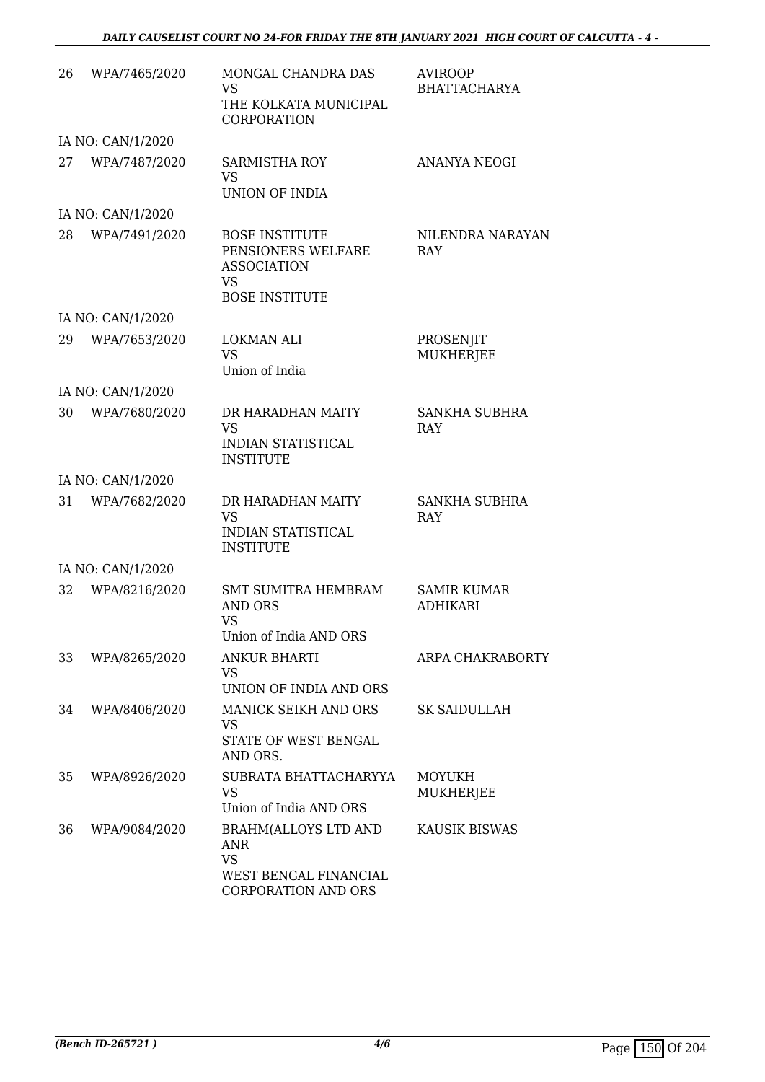| 26 | WPA/7465/2020     | MONGAL CHANDRA DAS<br><b>VS</b><br>THE KOLKATA MUNICIPAL<br><b>CORPORATION</b>                                | <b>AVIROOP</b><br><b>BHATTACHARYA</b> |
|----|-------------------|---------------------------------------------------------------------------------------------------------------|---------------------------------------|
|    | IA NO: CAN/1/2020 |                                                                                                               |                                       |
| 27 | WPA/7487/2020     | <b>SARMISTHA ROY</b><br><b>VS</b><br><b>UNION OF INDIA</b>                                                    | <b>ANANYA NEOGI</b>                   |
|    | IA NO: CAN/1/2020 |                                                                                                               |                                       |
| 28 | WPA/7491/2020     | <b>BOSE INSTITUTE</b><br>PENSIONERS WELFARE<br><b>ASSOCIATION</b><br><b>VS</b><br><b>BOSE INSTITUTE</b>       | NILENDRA NARAYAN<br>RAY               |
|    | IA NO: CAN/1/2020 |                                                                                                               |                                       |
| 29 | WPA/7653/2020     | <b>LOKMAN ALI</b><br><b>VS</b><br>Union of India                                                              | PROSENJIT<br>MUKHERJEE                |
|    | IA NO: CAN/1/2020 |                                                                                                               |                                       |
| 30 | WPA/7680/2020     | DR HARADHAN MAITY<br><b>VS</b><br><b>INDIAN STATISTICAL</b><br><b>INSTITUTE</b>                               | <b>SANKHA SUBHRA</b><br>RAY           |
|    | IA NO: CAN/1/2020 |                                                                                                               |                                       |
| 31 | WPA/7682/2020     | DR HARADHAN MAITY<br><b>VS</b><br><b>INDIAN STATISTICAL</b><br><b>INSTITUTE</b>                               | <b>SANKHA SUBHRA</b><br>RAY           |
|    | IA NO: CAN/1/2020 |                                                                                                               |                                       |
| 32 | WPA/8216/2020     | <b>SMT SUMITRA HEMBRAM</b><br><b>AND ORS</b><br>VS<br>Union of India AND ORS                                  | <b>SAMIR KUMAR</b><br><b>ADHIKARI</b> |
| 33 | WPA/8265/2020     | <b>ANKUR BHARTI</b><br><b>VS</b><br>UNION OF INDIA AND ORS                                                    | ARPA CHAKRABORTY                      |
| 34 | WPA/8406/2020     | MANICK SEIKH AND ORS<br><b>VS</b><br>STATE OF WEST BENGAL<br>AND ORS.                                         | <b>SK SAIDULLAH</b>                   |
| 35 | WPA/8926/2020     | SUBRATA BHATTACHARYYA<br><b>VS</b><br>Union of India AND ORS                                                  | <b>MOYUKH</b><br><b>MUKHERJEE</b>     |
| 36 | WPA/9084/2020     | <b>BRAHM(ALLOYS LTD AND</b><br><b>ANR</b><br><b>VS</b><br>WEST BENGAL FINANCIAL<br><b>CORPORATION AND ORS</b> | KAUSIK BISWAS                         |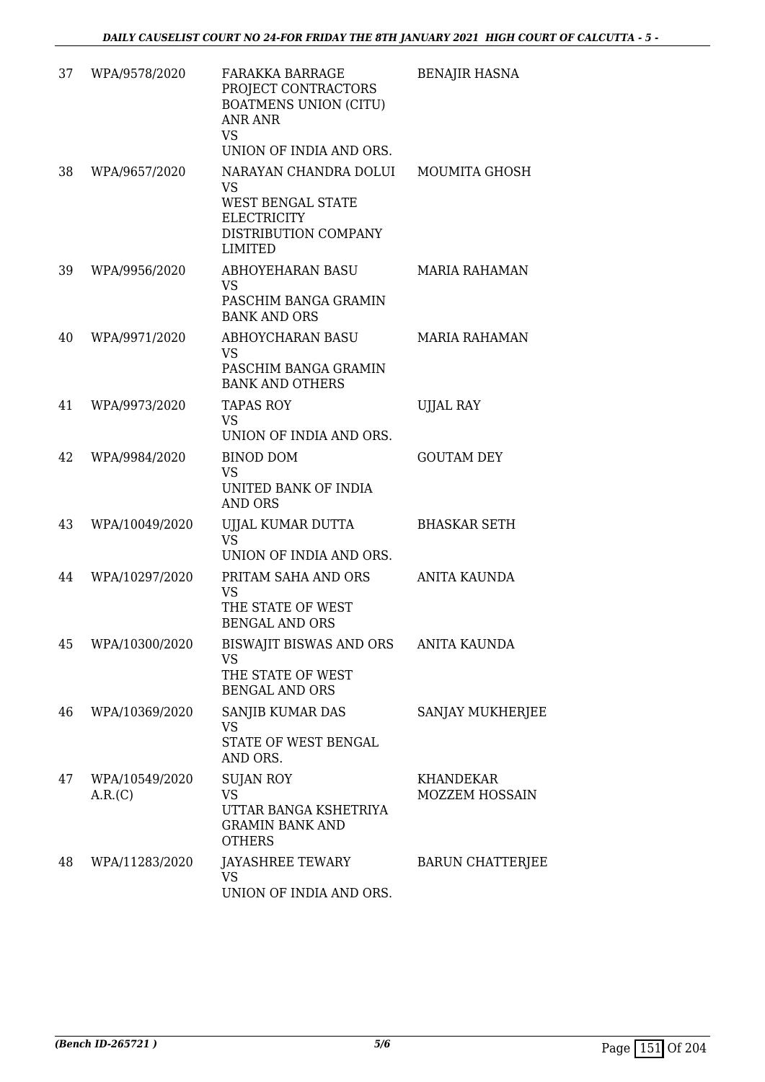| 37 | WPA/9578/2020             | <b>FARAKKA BARRAGE</b><br>PROJECT CONTRACTORS<br><b>BOATMENS UNION (CITU)</b><br>ANR ANR<br><b>VS</b><br>UNION OF INDIA AND ORS. | <b>BENAJIR HASNA</b>                      |
|----|---------------------------|----------------------------------------------------------------------------------------------------------------------------------|-------------------------------------------|
| 38 | WPA/9657/2020             | NARAYAN CHANDRA DOLUI<br><b>VS</b><br><b>WEST BENGAL STATE</b><br><b>ELECTRICITY</b><br>DISTRIBUTION COMPANY<br><b>LIMITED</b>   | MOUMITA GHOSH                             |
| 39 | WPA/9956/2020             | ABHOYEHARAN BASU<br><b>VS</b><br>PASCHIM BANGA GRAMIN<br><b>BANK AND ORS</b>                                                     | <b>MARIA RAHAMAN</b>                      |
| 40 | WPA/9971/2020             | <b>ABHOYCHARAN BASU</b><br><b>VS</b><br>PASCHIM BANGA GRAMIN<br><b>BANK AND OTHERS</b>                                           | <b>MARIA RAHAMAN</b>                      |
| 41 | WPA/9973/2020             | <b>TAPAS ROY</b><br><b>VS</b><br>UNION OF INDIA AND ORS.                                                                         | <b>UJJAL RAY</b>                          |
| 42 | WPA/9984/2020             | BINOD DOM<br><b>VS</b><br>UNITED BANK OF INDIA<br><b>AND ORS</b>                                                                 | <b>GOUTAM DEY</b>                         |
| 43 | WPA/10049/2020            | UJJAL KUMAR DUTTA<br><b>VS</b><br>UNION OF INDIA AND ORS.                                                                        | <b>BHASKAR SETH</b>                       |
| 44 | WPA/10297/2020            | PRITAM SAHA AND ORS<br><b>VS</b><br>THE STATE OF WEST<br><b>BENGAL AND ORS</b>                                                   | ANITA KAUNDA                              |
| 45 | WPA/10300/2020            | BISWAJIT BISWAS AND ORS<br><b>VS</b><br>THE STATE OF WEST<br><b>BENGAL AND ORS</b>                                               | <b>ANITA KAUNDA</b>                       |
| 46 | WPA/10369/2020            | SANJIB KUMAR DAS<br><b>VS</b><br>STATE OF WEST BENGAL<br>AND ORS.                                                                | SANJAY MUKHERJEE                          |
| 47 | WPA/10549/2020<br>A.R.(C) | <b>SUJAN ROY</b><br><b>VS</b><br>UTTAR BANGA KSHETRIYA<br><b>GRAMIN BANK AND</b><br><b>OTHERS</b>                                | <b>KHANDEKAR</b><br><b>MOZZEM HOSSAIN</b> |
| 48 | WPA/11283/2020            | JAYASHREE TEWARY<br><b>VS</b><br>UNION OF INDIA AND ORS.                                                                         | <b>BARUN CHATTERJEE</b>                   |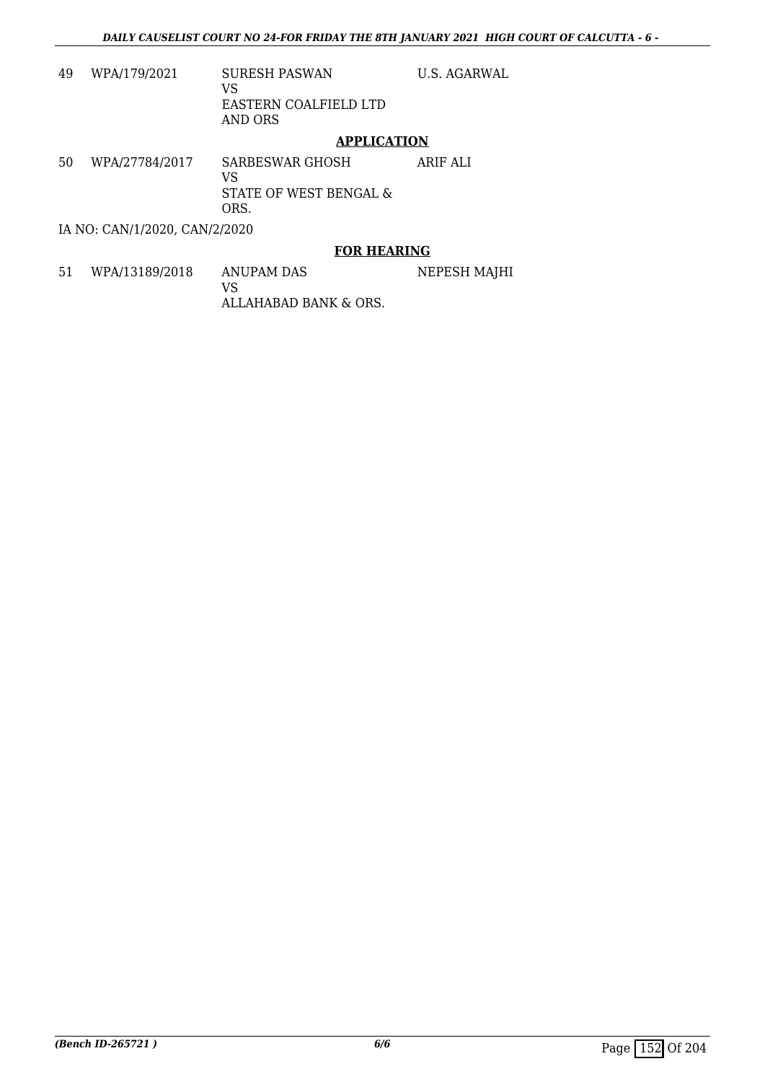U.S. AGARWAL

| 49 | WPA/179/2021 | <b>SURESH PASWAN</b><br>VS.<br>EASTERN COALFIELD LTD<br>AND ORS |
|----|--------------|-----------------------------------------------------------------|
|    |              |                                                                 |

#### **APPLICATION**

50 WPA/27784/2017 SARBESWAR GHOSH VS STATE OF WEST BENGAL & ORS. ARIF ALI

IA NO: CAN/1/2020, CAN/2/2020

#### **FOR HEARING**

51 WPA/13189/2018 ANUPAM DAS VS ALLAHABAD BANK & ORS. NEPESH MAJHI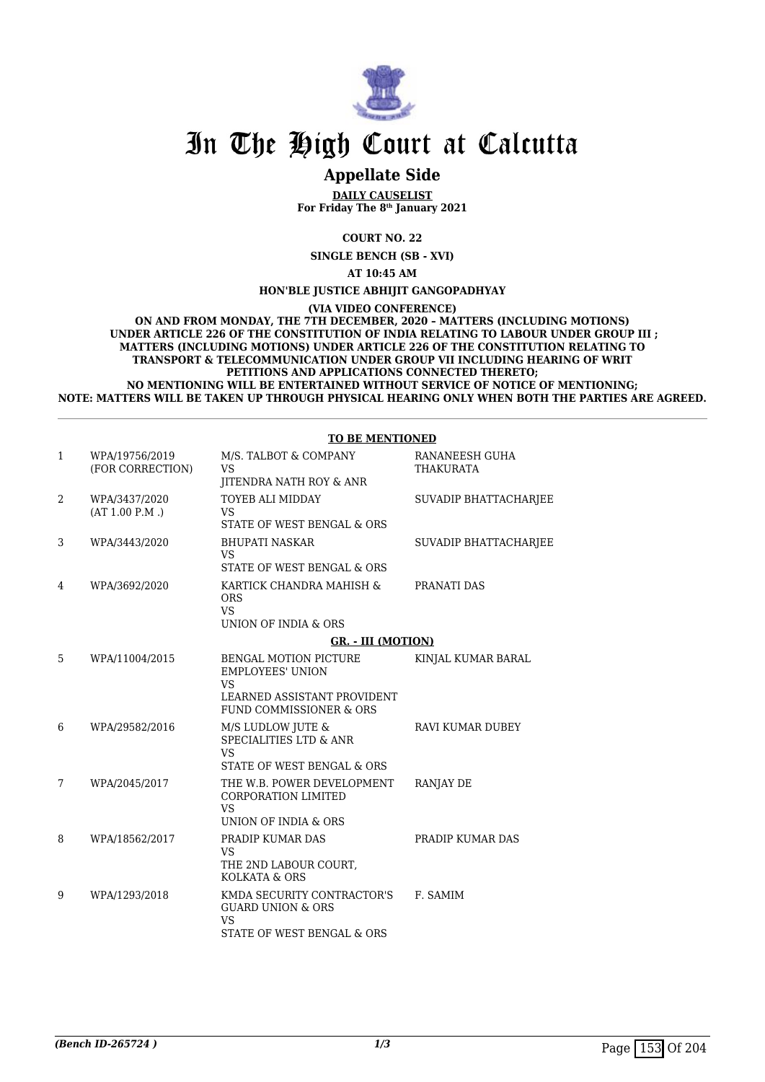

### **Appellate Side**

**DAILY CAUSELIST For Friday The 8th January 2021**

**COURT NO. 22**

**SINGLE BENCH (SB - XVI)**

**AT 10:45 AM**

**HON'BLE JUSTICE ABHIJIT GANGOPADHYAY**

**(VIA VIDEO CONFERENCE)**

**ON AND FROM MONDAY, THE 7TH DECEMBER, 2020 – MATTERS (INCLUDING MOTIONS) UNDER ARTICLE 226 OF THE CONSTITUTION OF INDIA RELATING TO LABOUR UNDER GROUP III ; MATTERS (INCLUDING MOTIONS) UNDER ARTICLE 226 OF THE CONSTITUTION RELATING TO TRANSPORT & TELECOMMUNICATION UNDER GROUP VII INCLUDING HEARING OF WRIT PETITIONS AND APPLICATIONS CONNECTED THERETO; NO MENTIONING WILL BE ENTERTAINED WITHOUT SERVICE OF NOTICE OF MENTIONING; NOTE: MATTERS WILL BE TAKEN UP THROUGH PHYSICAL HEARING ONLY WHEN BOTH THE PARTIES ARE AGREED.**

#### **TO BE MENTIONED**

| $\mathbf{1}$ | WPA/19756/2019<br>(FOR CORRECTION) | M/S. TALBOT & COMPANY<br><b>VS</b><br>JITENDRA NATH ROY & ANR                                                                  | RANANEESH GUHA<br>THAKURATA |
|--------------|------------------------------------|--------------------------------------------------------------------------------------------------------------------------------|-----------------------------|
| 2            | WPA/3437/2020<br>(AT 1.00 P.M.)    | <b>TOYEB ALI MIDDAY</b><br><b>VS</b><br>STATE OF WEST BENGAL & ORS                                                             | SUVADIP BHATTACHARJEE       |
| 3            | WPA/3443/2020                      | <b>BHUPATI NASKAR</b><br><b>VS</b><br>STATE OF WEST BENGAL & ORS                                                               | SUVADIP BHATTACHARJEE       |
| 4            | WPA/3692/2020                      | KARTICK CHANDRA MAHISH &<br><b>ORS</b><br><b>VS</b><br>UNION OF INDIA & ORS                                                    | PRANATI DAS                 |
|              |                                    | GR. - III (MOTION)                                                                                                             |                             |
| 5            | WPA/11004/2015                     | <b>BENGAL MOTION PICTURE</b><br><b>EMPLOYEES' UNION</b><br><b>VS</b><br>LEARNED ASSISTANT PROVIDENT<br>FUND COMMISSIONER & ORS | KINJAL KUMAR BARAL          |
| 6            | WPA/29582/2016                     | M/S LUDLOW JUTE &<br><b>SPECIALITIES LTD &amp; ANR</b><br><b>VS</b><br>STATE OF WEST BENGAL & ORS                              | RAVI KUMAR DUBEY            |
| 7            | WPA/2045/2017                      | THE W.B. POWER DEVELOPMENT<br><b>CORPORATION LIMITED</b><br><b>VS</b><br>UNION OF INDIA & ORS                                  | RANJAY DE                   |
| 8            | WPA/18562/2017                     | PRADIP KUMAR DAS<br><b>VS</b><br>THE 2ND LABOUR COURT,<br>KOLKATA & ORS                                                        | PRADIP KUMAR DAS            |
| 9            | WPA/1293/2018                      | KMDA SECURITY CONTRACTOR'S<br><b>GUARD UNION &amp; ORS</b><br><b>VS</b><br>STATE OF WEST BENGAL & ORS                          | F. SAMIM                    |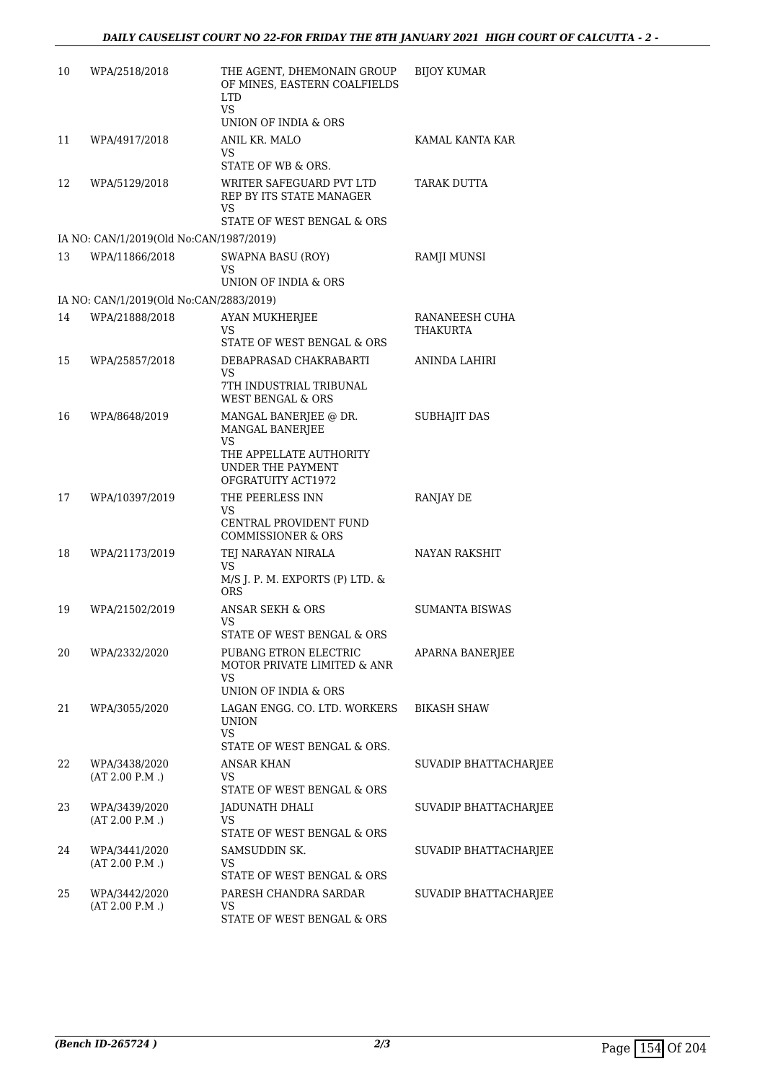| 10 | WPA/2518/2018                           | THE AGENT, DHEMONAIN GROUP<br>OF MINES, EASTERN COALFIELDS<br><b>LTD</b><br><b>VS</b><br>UNION OF INDIA & ORS        | <b>BIJOY KUMAR</b>         |
|----|-----------------------------------------|----------------------------------------------------------------------------------------------------------------------|----------------------------|
| 11 | WPA/4917/2018                           | ANIL KR. MALO<br><b>VS</b><br>STATE OF WB & ORS.                                                                     | KAMAL KANTA KAR            |
| 12 | WPA/5129/2018                           | WRITER SAFEGUARD PVT LTD<br>REP BY ITS STATE MANAGER<br>VS.<br>STATE OF WEST BENGAL & ORS                            | TARAK DUTTA                |
|    | IA NO: CAN/1/2019(Old No:CAN/1987/2019) |                                                                                                                      |                            |
| 13 | WPA/11866/2018                          | <b>SWAPNA BASU (ROY)</b><br>VS<br>UNION OF INDIA & ORS                                                               | RAMJI MUNSI                |
|    | IA NO: CAN/1/2019(Old No:CAN/2883/2019) |                                                                                                                      |                            |
| 14 | WPA/21888/2018                          | AYAN MUKHERJEE<br>VS<br>STATE OF WEST BENGAL & ORS                                                                   | RANANEESH CUHA<br>THAKURTA |
| 15 | WPA/25857/2018                          | DEBAPRASAD CHAKRABARTI<br>VS<br>7TH INDUSTRIAL TRIBUNAL<br><b>WEST BENGAL &amp; ORS</b>                              | ANINDA LAHIRI              |
| 16 | WPA/8648/2019                           | MANGAL BANERJEE @ DR.<br>MANGAL BANERJEE<br>VS<br>THE APPELLATE AUTHORITY<br>UNDER THE PAYMENT<br>OFGRATUITY ACT1972 | <b>SUBHAJIT DAS</b>        |
| 17 | WPA/10397/2019                          | THE PEERLESS INN<br>VS<br>CENTRAL PROVIDENT FUND<br><b>COMMISSIONER &amp; ORS</b>                                    | <b>RANJAY DE</b>           |
| 18 | WPA/21173/2019                          | TEJ NARAYAN NIRALA<br>VS.<br>M/S J. P. M. EXPORTS (P) LTD. &<br><b>ORS</b>                                           | NAYAN RAKSHIT              |
| 19 | WPA/21502/2019                          | ANSAR SEKH & ORS<br>VS<br>STATE OF WEST BENGAL & ORS                                                                 | <b>SUMANTA BISWAS</b>      |
| 20 | WPA/2332/2020                           | PUBANG ETRON ELECTRIC<br>MOTOR PRIVATE LIMITED & ANR<br>VS<br>UNION OF INDIA & ORS                                   | APARNA BANERJEE            |
| 21 | WPA/3055/2020                           | LAGAN ENGG. CO. LTD. WORKERS<br><b>UNION</b><br><b>VS</b><br>STATE OF WEST BENGAL & ORS.                             | <b>BIKASH SHAW</b>         |
| 22 | WPA/3438/2020<br>(AT 2.00 P.M.)         | ANSAR KHAN<br>VS<br>STATE OF WEST BENGAL & ORS                                                                       | SUVADIP BHATTACHARJEE      |
| 23 | WPA/3439/2020<br>(AT 2.00 P.M.)         | JADUNATH DHALI<br>VS<br>STATE OF WEST BENGAL & ORS                                                                   | SUVADIP BHATTACHARJEE      |
| 24 | WPA/3441/2020<br>(AT 2.00 P.M.)         | SAMSUDDIN SK.<br>VS<br>STATE OF WEST BENGAL & ORS                                                                    | SUVADIP BHATTACHARJEE      |
| 25 | WPA/3442/2020<br>(AT 2.00 P.M.)         | PARESH CHANDRA SARDAR<br>VS<br>STATE OF WEST BENGAL & ORS                                                            | SUVADIP BHATTACHARJEE      |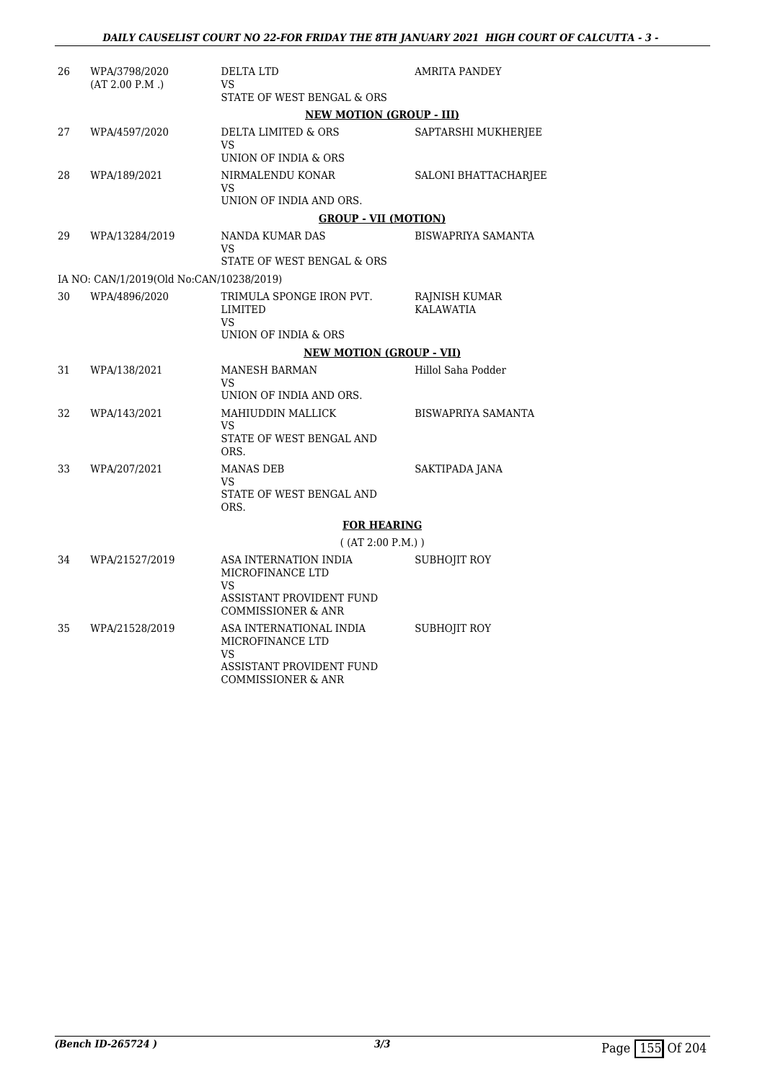| 26 | WPA/3798/2020<br>(AT 2.00 P.M.)          | DELTA LTD<br>VS.<br>STATE OF WEST BENGAL & ORS                                                                      | AMRITA PANDEY              |
|----|------------------------------------------|---------------------------------------------------------------------------------------------------------------------|----------------------------|
|    |                                          | <b>NEW MOTION (GROUP - III)</b>                                                                                     |                            |
| 27 | WPA/4597/2020                            | DELTA LIMITED & ORS<br><b>VS</b><br>UNION OF INDIA & ORS                                                            | SAPTARSHI MUKHERJEE        |
| 28 | WPA/189/2021                             | NIRMALENDU KONAR<br>VS.<br>UNION OF INDIA AND ORS.                                                                  | SALONI BHATTACHARJEE       |
|    |                                          | <b>GROUP - VII (MOTION)</b>                                                                                         |                            |
| 29 | WPA/13284/2019                           | NANDA KUMAR DAS<br>VS.                                                                                              | <b>BISWAPRIYA SAMANTA</b>  |
|    |                                          | STATE OF WEST BENGAL & ORS                                                                                          |                            |
|    | IA NO: CAN/1/2019(Old No:CAN/10238/2019) |                                                                                                                     |                            |
| 30 | WPA/4896/2020                            | TRIMULA SPONGE IRON PVT.<br>LIMITED<br><b>VS</b>                                                                    | RAJNISH KUMAR<br>KALAWATIA |
|    |                                          | UNION OF INDIA & ORS                                                                                                |                            |
|    |                                          | <b>NEW MOTION (GROUP - VII)</b>                                                                                     |                            |
| 31 | WPA/138/2021                             | MANESH BARMAN<br><b>VS</b><br>UNION OF INDIA AND ORS.                                                               | Hillol Saha Podder         |
| 32 | WPA/143/2021                             | MAHIUDDIN MALLICK<br>VS.<br>STATE OF WEST BENGAL AND<br>ORS.                                                        | <b>BISWAPRIYA SAMANTA</b>  |
| 33 | WPA/207/2021                             | <b>MANAS DEB</b><br>VS.<br>STATE OF WEST BENGAL AND<br>ORS.                                                         | SAKTIPADA JANA             |
|    |                                          | <b>FOR HEARING</b>                                                                                                  |                            |
|    |                                          | ( (AT 2:00 P.M.) )                                                                                                  |                            |
| 34 | WPA/21527/2019                           | ASA INTERNATION INDIA<br>MICROFINANCE LTD<br><b>VS</b><br>ASSISTANT PROVIDENT FUND<br><b>COMMISSIONER &amp; ANR</b> | SUBHOJIT ROY               |
| 35 | WPA/21528/2019                           | ASA INTERNATIONAL INDIA<br>MICROFINANCE LTD<br><b>VS</b><br>ASSISTANT PROVIDENT FUND                                | SUBHOJIT ROY               |

COMMISSIONER & ANR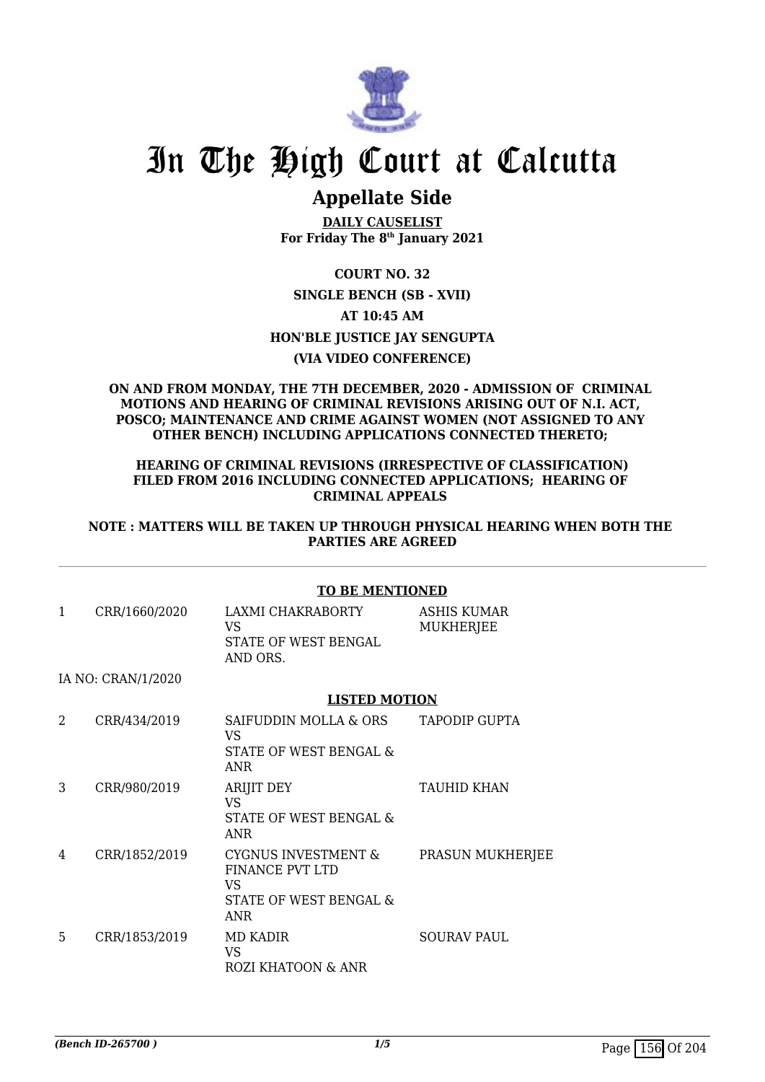

## **Appellate Side**

**DAILY CAUSELIST For Friday The 8th January 2021**

### **COURT NO. 32 SINGLE BENCH (SB - XVII) AT 10:45 AM HON'BLE JUSTICE JAY SENGUPTA (VIA VIDEO CONFERENCE)**

#### **ON AND FROM MONDAY, THE 7TH DECEMBER, 2020 - ADMISSION OF CRIMINAL MOTIONS AND HEARING OF CRIMINAL REVISIONS ARISING OUT OF N.I. ACT, POSCO; MAINTENANCE AND CRIME AGAINST WOMEN (NOT ASSIGNED TO ANY OTHER BENCH) INCLUDING APPLICATIONS CONNECTED THERETO;**

#### **HEARING OF CRIMINAL REVISIONS (IRRESPECTIVE OF CLASSIFICATION) FILED FROM 2016 INCLUDING CONNECTED APPLICATIONS; HEARING OF CRIMINAL APPEALS**

#### **NOTE : MATTERS WILL BE TAKEN UP THROUGH PHYSICAL HEARING WHEN BOTH THE PARTIES ARE AGREED**

|              |                    | <b>TO BE MENTIONED</b>                                                                   |                                 |  |
|--------------|--------------------|------------------------------------------------------------------------------------------|---------------------------------|--|
| $\mathbf{1}$ | CRR/1660/2020      | LAXMI CHAKRABORTY<br>VS<br>STATE OF WEST BENGAL<br>AND ORS.                              | <b>ASHIS KUMAR</b><br>MUKHERJEE |  |
|              | IA NO: CRAN/1/2020 |                                                                                          |                                 |  |
|              |                    | <b>LISTED MOTION</b>                                                                     |                                 |  |
| 2            | CRR/434/2019       | SAIFUDDIN MOLLA & ORS<br><b>VS</b><br>STATE OF WEST BENGAL &<br>ANR                      | TAPODIP GUPTA                   |  |
| 3            | CRR/980/2019       | <b>ARIJIT DEY</b><br><b>VS</b><br>STATE OF WEST BENGAL &<br>ANR                          | <b>TAUHID KHAN</b>              |  |
| 4            | CRR/1852/2019      | <b>CYGNUS INVESTMENT &amp;</b><br>FINANCE PVT LTD<br>VS<br>STATE OF WEST BENGAL &<br>ANR | PRASUN MUKHERJEE                |  |
| 5            | CRR/1853/2019      | MD KADIR<br><b>VS</b><br>ROZI KHATOON & ANR                                              | SOURAV PAUL                     |  |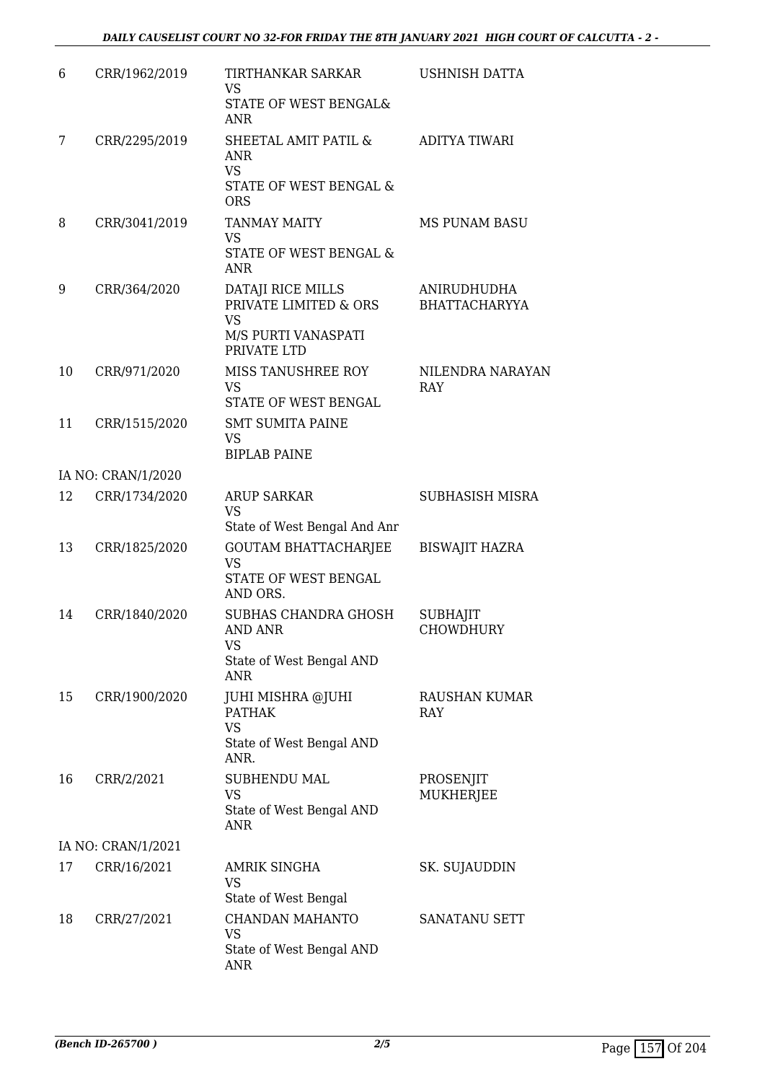| 6  | CRR/1962/2019      | TIRTHANKAR SARKAR<br><b>VS</b>                                                                   | USHNISH DATTA                       |
|----|--------------------|--------------------------------------------------------------------------------------------------|-------------------------------------|
|    |                    | STATE OF WEST BENGAL&<br><b>ANR</b>                                                              |                                     |
| 7  | CRR/2295/2019      | SHEETAL AMIT PATIL &<br><b>ANR</b><br><b>VS</b>                                                  | <b>ADITYA TIWARI</b>                |
|    |                    | STATE OF WEST BENGAL &<br><b>ORS</b>                                                             |                                     |
| 8  | CRR/3041/2019      | <b>TANMAY MAITY</b><br><b>VS</b>                                                                 | <b>MS PUNAM BASU</b>                |
|    |                    | STATE OF WEST BENGAL &<br><b>ANR</b>                                                             |                                     |
| 9  | CRR/364/2020       | DATAJI RICE MILLS<br>PRIVATE LIMITED & ORS<br>VS                                                 | ANIRUDHUDHA<br><b>BHATTACHARYYA</b> |
|    |                    | M/S PURTI VANASPATI<br>PRIVATE LTD                                                               |                                     |
| 10 | CRR/971/2020       | MISS TANUSHREE ROY<br><b>VS</b><br>STATE OF WEST BENGAL                                          | NILENDRA NARAYAN<br><b>RAY</b>      |
| 11 | CRR/1515/2020      | <b>SMT SUMITA PAINE</b><br><b>VS</b><br><b>BIPLAB PAINE</b>                                      |                                     |
|    | IA NO: CRAN/1/2020 |                                                                                                  |                                     |
| 12 | CRR/1734/2020      | <b>ARUP SARKAR</b><br><b>VS</b>                                                                  | <b>SUBHASISH MISRA</b>              |
| 13 | CRR/1825/2020      | State of West Bengal And Anr<br><b>GOUTAM BHATTACHARJEE</b><br><b>VS</b><br>STATE OF WEST BENGAL | <b>BISWAJIT HAZRA</b>               |
| 14 | CRR/1840/2020      | AND ORS.<br>SUBHAS CHANDRA GHOSH<br>AND ANR<br>VS                                                | <b>SUBHAJIT</b><br>CHOWDHURY        |
|    |                    | State of West Bengal AND<br><b>ANR</b>                                                           |                                     |
| 15 | CRR/1900/2020      | JUHI MISHRA @JUHI<br><b>PATHAK</b><br><b>VS</b><br>State of West Bengal AND<br>ANR.              | RAUSHAN KUMAR<br><b>RAY</b>         |
| 16 | CRR/2/2021         | <b>SUBHENDU MAL</b><br>VS<br>State of West Bengal AND<br>ANR                                     | PROSENJIT<br>MUKHERJEE              |
|    | IA NO: CRAN/1/2021 |                                                                                                  |                                     |
| 17 | CRR/16/2021        | <b>AMRIK SINGHA</b><br>VS<br>State of West Bengal                                                | SK. SUJAUDDIN                       |
| 18 | CRR/27/2021        | CHANDAN MAHANTO<br><b>VS</b><br>State of West Bengal AND                                         | SANATANU SETT                       |
|    |                    | <b>ANR</b>                                                                                       |                                     |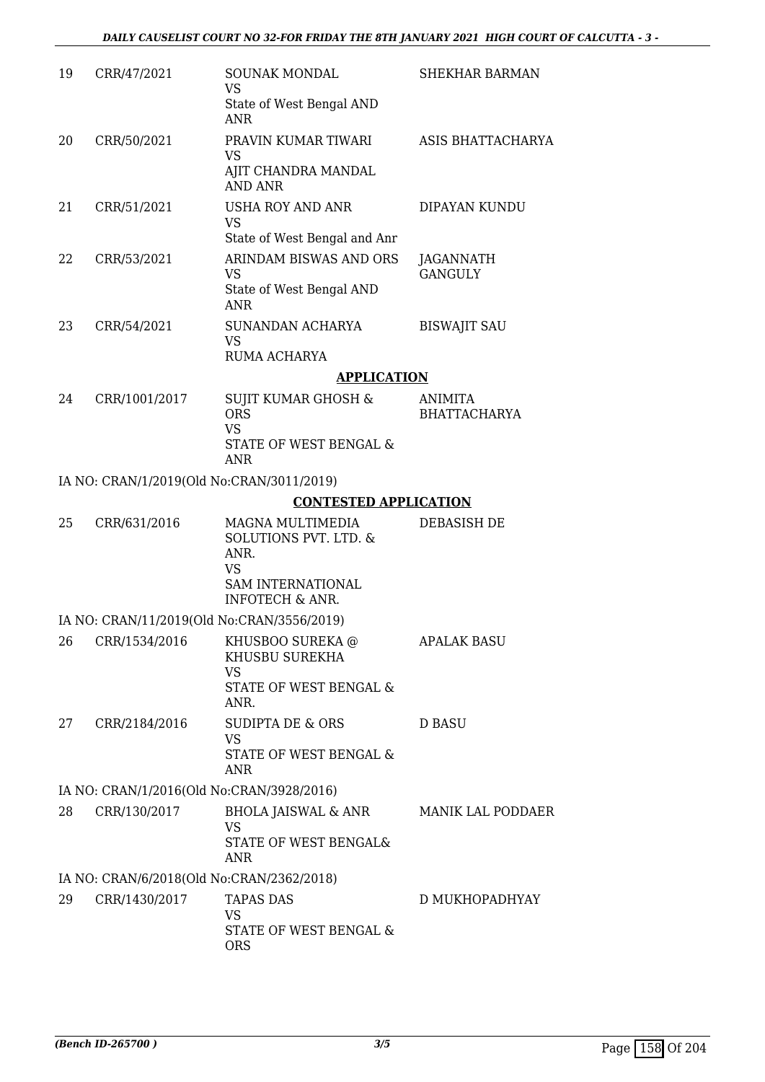| 19 | CRR/47/2021                               | <b>SOUNAK MONDAL</b><br><b>VS</b>                                                          | <b>SHEKHAR BARMAN</b>                 |
|----|-------------------------------------------|--------------------------------------------------------------------------------------------|---------------------------------------|
|    |                                           | State of West Bengal AND<br><b>ANR</b>                                                     |                                       |
| 20 | CRR/50/2021                               | PRAVIN KUMAR TIWARI<br><b>VS</b>                                                           | ASIS BHATTACHARYA                     |
|    |                                           | AJIT CHANDRA MANDAL<br><b>AND ANR</b>                                                      |                                       |
| 21 | CRR/51/2021                               | USHA ROY AND ANR<br><b>VS</b>                                                              | DIPAYAN KUNDU                         |
|    |                                           | State of West Bengal and Anr                                                               |                                       |
| 22 | CRR/53/2021                               | ARINDAM BISWAS AND ORS<br><b>VS</b>                                                        | JAGANNATH<br><b>GANGULY</b>           |
|    |                                           | State of West Bengal AND<br><b>ANR</b>                                                     |                                       |
| 23 | CRR/54/2021                               | SUNANDAN ACHARYA<br><b>VS</b>                                                              | <b>BISWAJIT SAU</b>                   |
|    |                                           | RUMA ACHARYA                                                                               |                                       |
|    |                                           | <b>APPLICATION</b>                                                                         |                                       |
| 24 | CRR/1001/2017                             | <b>SUJIT KUMAR GHOSH &amp;</b><br><b>ORS</b><br><b>VS</b>                                  | <b>ANIMITA</b><br><b>BHATTACHARYA</b> |
|    |                                           | STATE OF WEST BENGAL &<br><b>ANR</b>                                                       |                                       |
|    | IA NO: CRAN/1/2019(Old No:CRAN/3011/2019) |                                                                                            |                                       |
|    |                                           | <b>CONTESTED APPLICATION</b>                                                               |                                       |
| 25 | CRR/631/2016                              | MAGNA MULTIMEDIA<br>SOLUTIONS PVT. LTD. &<br>ANR.<br><b>VS</b><br><b>SAM INTERNATIONAL</b> | <b>DEBASISH DE</b>                    |
|    |                                           | <b>INFOTECH &amp; ANR.</b>                                                                 |                                       |
|    |                                           | IA NO: CRAN/11/2019(Old No:CRAN/3556/2019)                                                 |                                       |
| 26 | CRR/1534/2016                             | KHUSBOO SUREKA @<br>KHUSBU SUREKHA<br><b>VS</b>                                            | <b>APALAK BASU</b>                    |
|    |                                           | STATE OF WEST BENGAL &<br>ANR.                                                             |                                       |
| 27 | CRR/2184/2016                             | <b>SUDIPTA DE &amp; ORS</b><br><b>VS</b><br>STATE OF WEST BENGAL &<br>ANR                  | <b>D BASU</b>                         |
|    | IA NO: CRAN/1/2016(Old No:CRAN/3928/2016) |                                                                                            |                                       |
| 28 | CRR/130/2017                              | <b>BHOLA JAISWAL &amp; ANR</b><br><b>VS</b>                                                | MANIK LAL PODDAER                     |
|    |                                           | STATE OF WEST BENGAL&<br>ANR                                                               |                                       |
|    | IA NO: CRAN/6/2018(Old No:CRAN/2362/2018) |                                                                                            |                                       |
| 29 | CRR/1430/2017                             | <b>TAPAS DAS</b><br><b>VS</b>                                                              | D MUKHOPADHYAY                        |
|    |                                           | STATE OF WEST BENGAL &<br><b>ORS</b>                                                       |                                       |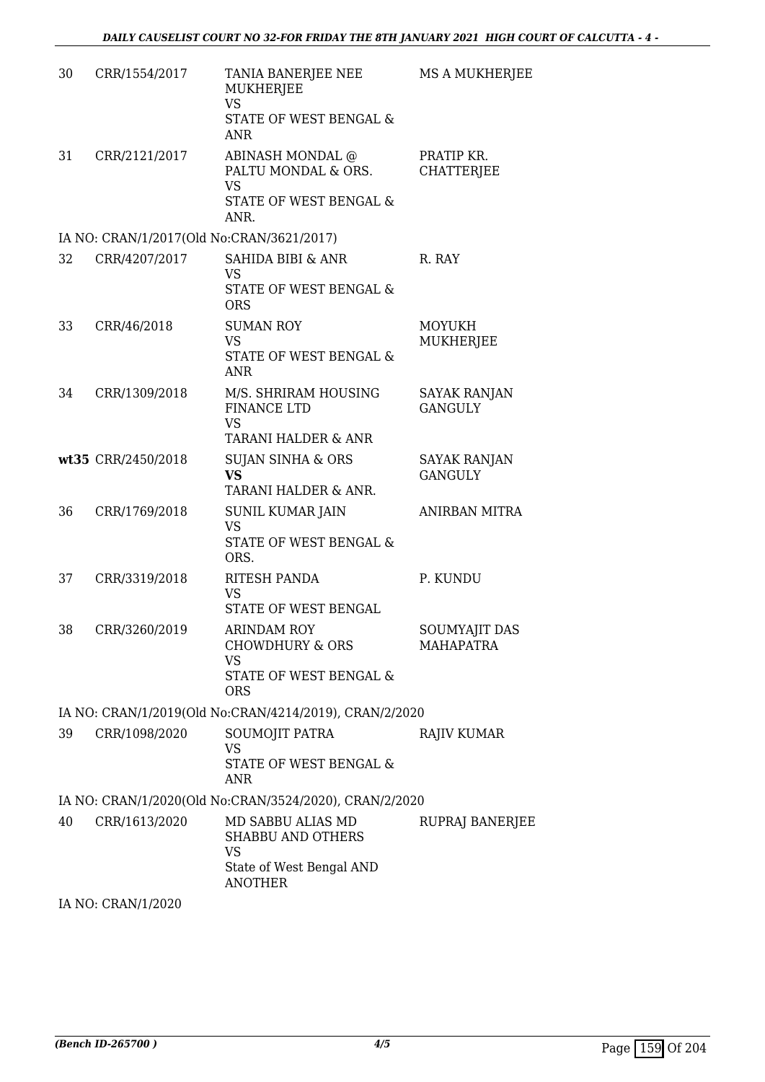| 30 | CRR/1554/2017                             | TANIA BANERJEE NEE<br>MUKHERJEE<br><b>VS</b><br>STATE OF WEST BENGAL &                                   | MS A MUKHERJEE                        |
|----|-------------------------------------------|----------------------------------------------------------------------------------------------------------|---------------------------------------|
| 31 | CRR/2121/2017                             | <b>ANR</b><br>ABINASH MONDAL @<br>PALTU MONDAL & ORS.<br><b>VS</b><br>STATE OF WEST BENGAL &<br>ANR.     | PRATIP KR.<br><b>CHATTERJEE</b>       |
|    | IA NO: CRAN/1/2017(Old No:CRAN/3621/2017) |                                                                                                          |                                       |
| 32 | CRR/4207/2017                             | <b>SAHIDA BIBI &amp; ANR</b><br><b>VS</b><br>STATE OF WEST BENGAL &<br><b>ORS</b>                        | R. RAY                                |
| 33 | CRR/46/2018                               | <b>SUMAN ROY</b><br><b>VS</b><br><b>STATE OF WEST BENGAL &amp;</b><br><b>ANR</b>                         | <b>MOYUKH</b><br>MUKHERJEE            |
| 34 | CRR/1309/2018                             | M/S. SHRIRAM HOUSING<br><b>FINANCE LTD</b><br><b>VS</b><br>TARANI HALDER & ANR                           | <b>SAYAK RANJAN</b><br><b>GANGULY</b> |
|    | wt35 CRR/2450/2018                        | <b>SUJAN SINHA &amp; ORS</b><br><b>VS</b><br>TARANI HALDER & ANR.                                        | <b>SAYAK RANJAN</b><br><b>GANGULY</b> |
| 36 | CRR/1769/2018                             | SUNIL KUMAR JAIN<br><b>VS</b><br>STATE OF WEST BENGAL &<br>ORS.                                          | <b>ANIRBAN MITRA</b>                  |
| 37 | CRR/3319/2018                             | RITESH PANDA<br><b>VS</b><br><b>STATE OF WEST BENGAL</b>                                                 | P. KUNDU                              |
| 38 | CRR/3260/2019                             | <b>ARINDAM ROY</b><br>CHOWDHURY & ORS<br><b>VS</b><br>STATE OF WEST BENGAL &<br><b>ORS</b>               | <b>SOUMYAJIT DAS</b><br>MAHAPATRA     |
|    |                                           | IA NO: CRAN/1/2019(Old No:CRAN/4214/2019), CRAN/2/2020                                                   |                                       |
| 39 | CRR/1098/2020                             | SOUMOJIT PATRA<br><b>VS</b><br><b>STATE OF WEST BENGAL &amp;</b><br>ANR                                  | <b>RAJIV KUMAR</b>                    |
|    |                                           | IA NO: CRAN/1/2020(Old No:CRAN/3524/2020), CRAN/2/2020                                                   |                                       |
| 40 | CRR/1613/2020                             | MD SABBU ALIAS MD<br><b>SHABBU AND OTHERS</b><br><b>VS</b><br>State of West Bengal AND<br><b>ANOTHER</b> | RUPRAJ BANERJEE                       |
|    | IA NO $\cdot$ CRAN/1/2020                 |                                                                                                          |                                       |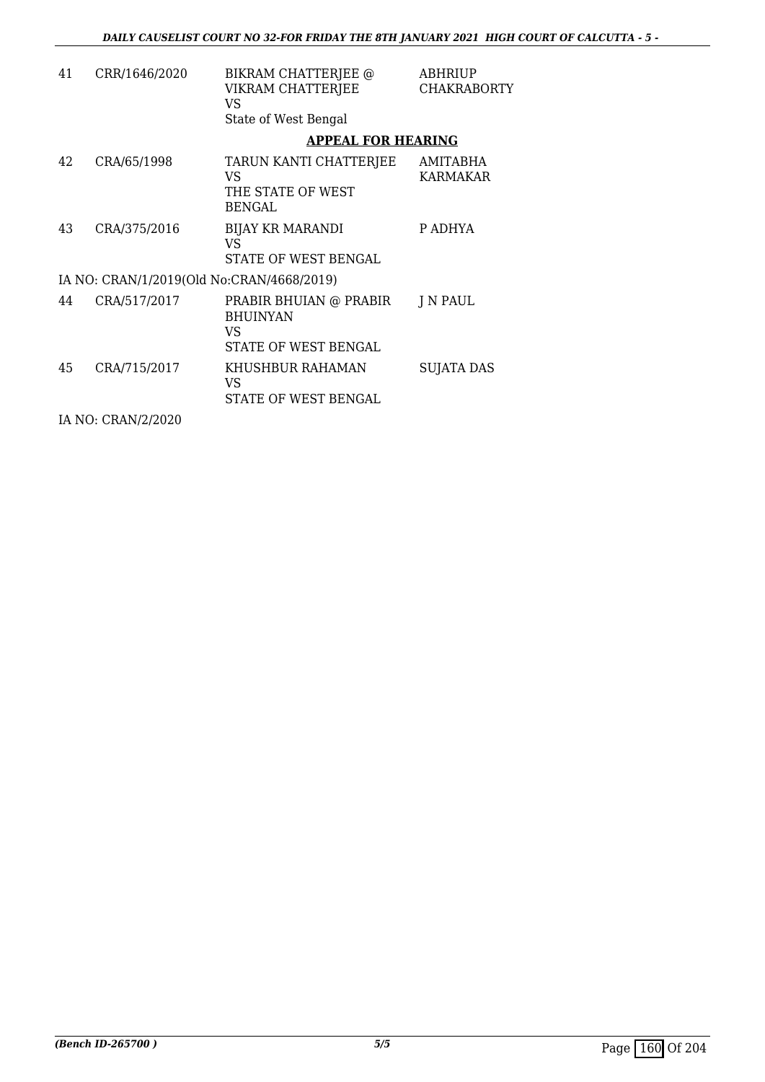| 41 | CRR/1646/2020                             | BIKRAM CHATTERJEE @<br>VIKRAM CHATTERJEE<br>VS<br>State of West Bengal  | ABHRIUP<br><b>CHAKRABORTY</b> |
|----|-------------------------------------------|-------------------------------------------------------------------------|-------------------------------|
|    |                                           | <b>APPEAL FOR HEARING</b>                                               |                               |
| 42 | CRA/65/1998                               | TARUN KANTI CHATTERJEE<br>VS<br>THE STATE OF WEST<br><b>BENGAL</b>      | AMITABHA<br><b>KARMAKAR</b>   |
| 43 | CRA/375/2016                              | <b>BIJAY KR MARANDI</b><br>VS<br>STATE OF WEST BENGAL                   | P ADHYA                       |
|    | IA NO: CRAN/1/2019(Old No:CRAN/4668/2019) |                                                                         |                               |
| 44 | CRA/517/2017                              | PRABIR BHUIAN @ PRABIR<br><b>BHUINYAN</b><br>VS<br>STATE OF WEST BENGAL | J N PAUL                      |
| 45 | CRA/715/2017                              | KHUSHBUR RAHAMAN<br>VS<br>STATE OF WEST BENGAL                          | <b>SUJATA DAS</b>             |
|    | IA NO: CRAN/2/2020                        |                                                                         |                               |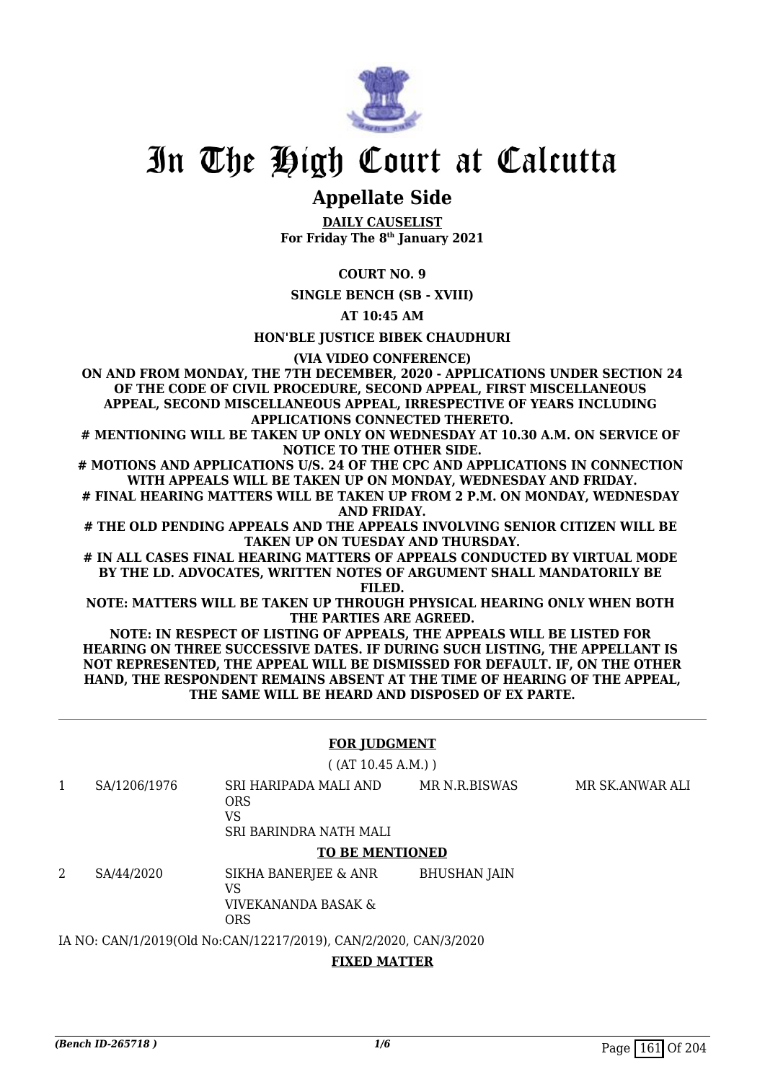

## **Appellate Side**

**DAILY CAUSELIST For Friday The 8th January 2021**

#### **COURT NO. 9**

**SINGLE BENCH (SB - XVIII)**

**AT 10:45 AM**

**HON'BLE JUSTICE BIBEK CHAUDHURI**

**(VIA VIDEO CONFERENCE)**

**ON AND FROM MONDAY, THE 7TH DECEMBER, 2020 - APPLICATIONS UNDER SECTION 24 OF THE CODE OF CIVIL PROCEDURE, SECOND APPEAL, FIRST MISCELLANEOUS APPEAL, SECOND MISCELLANEOUS APPEAL, IRRESPECTIVE OF YEARS INCLUDING APPLICATIONS CONNECTED THERETO.**

**# MENTIONING WILL BE TAKEN UP ONLY ON WEDNESDAY AT 10.30 A.M. ON SERVICE OF NOTICE TO THE OTHER SIDE.**

**# MOTIONS AND APPLICATIONS U/S. 24 OF THE CPC AND APPLICATIONS IN CONNECTION WITH APPEALS WILL BE TAKEN UP ON MONDAY, WEDNESDAY AND FRIDAY.**

**# FINAL HEARING MATTERS WILL BE TAKEN UP FROM 2 P.M. ON MONDAY, WEDNESDAY AND FRIDAY.**

**# THE OLD PENDING APPEALS AND THE APPEALS INVOLVING SENIOR CITIZEN WILL BE TAKEN UP ON TUESDAY AND THURSDAY.**

**# IN ALL CASES FINAL HEARING MATTERS OF APPEALS CONDUCTED BY VIRTUAL MODE BY THE LD. ADVOCATES, WRITTEN NOTES OF ARGUMENT SHALL MANDATORILY BE FILED.**

**NOTE: MATTERS WILL BE TAKEN UP THROUGH PHYSICAL HEARING ONLY WHEN BOTH THE PARTIES ARE AGREED.**

**NOTE: IN RESPECT OF LISTING OF APPEALS, THE APPEALS WILL BE LISTED FOR HEARING ON THREE SUCCESSIVE DATES. IF DURING SUCH LISTING, THE APPELLANT IS NOT REPRESENTED, THE APPEAL WILL BE DISMISSED FOR DEFAULT. IF, ON THE OTHER HAND, THE RESPONDENT REMAINS ABSENT AT THE TIME OF HEARING OF THE APPEAL, THE SAME WILL BE HEARD AND DISPOSED OF EX PARTE.**

#### **FOR JUDGMENT**

( (AT 10.45 A.M.) )

1 SA/1206/1976 SRI HARIPADA MALI AND ORS VS MR N.R.BISWAS MR SK.ANWAR ALI

SRI BARINDRA NATH MALI

#### **TO BE MENTIONED**

2 SA/44/2020 SIKHA BANERJEE & ANR VS VIVEKANANDA BASAK & ORS BHUSHAN JAIN

IA NO: CAN/1/2019(Old No:CAN/12217/2019), CAN/2/2020, CAN/3/2020

#### **FIXED MATTER**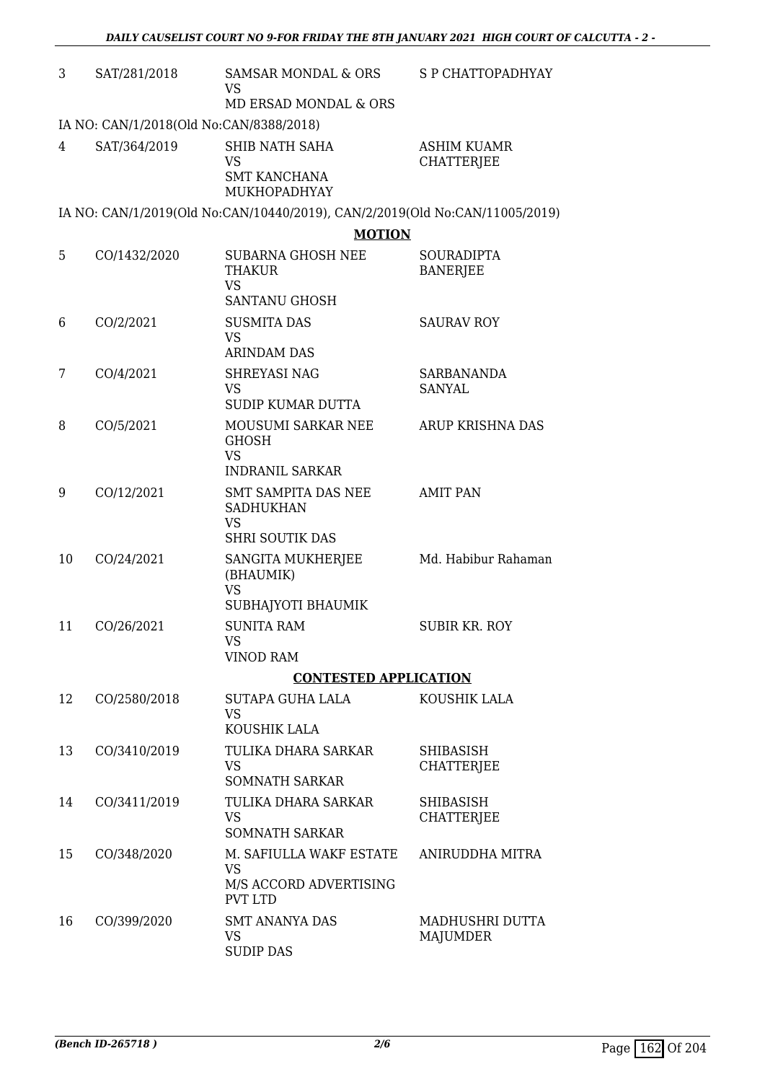| 3  | SAT/281/2018                                            | SAMSAR MONDAL & ORS<br><b>VS</b>                                                            | S P CHATTOPADHYAY                       |
|----|---------------------------------------------------------|---------------------------------------------------------------------------------------------|-----------------------------------------|
|    |                                                         | MD ERSAD MONDAL & ORS                                                                       |                                         |
| 4  | IA NO: CAN/1/2018(Old No:CAN/8388/2018)<br>SAT/364/2019 | SHIB NATH SAHA<br><b>VS</b><br><b>SMT KANCHANA</b><br>MUKHOPADHYAY                          | <b>ASHIM KUAMR</b><br><b>CHATTERJEE</b> |
|    |                                                         | IA NO: CAN/1/2019(Old No:CAN/10440/2019), CAN/2/2019(Old No:CAN/11005/2019)                 |                                         |
|    |                                                         | <b>MOTION</b>                                                                               |                                         |
| 5  | CO/1432/2020                                            | <b>SUBARNA GHOSH NEE</b><br>THAKUR<br><b>VS</b><br><b>SANTANU GHOSH</b>                     | SOURADIPTA<br><b>BANERJEE</b>           |
| 6  | CO/2/2021                                               | <b>SUSMITA DAS</b><br><b>VS</b>                                                             | <b>SAURAV ROY</b>                       |
| 7  | CO/4/2021                                               | <b>ARINDAM DAS</b><br>SHREYASI NAG<br><b>VS</b><br><b>SUDIP KUMAR DUTTA</b>                 | SARBANANDA<br><b>SANYAL</b>             |
| 8  | CO/5/2021                                               | MOUSUMI SARKAR NEE<br><b>GHOSH</b><br><b>VS</b>                                             | ARUP KRISHNA DAS                        |
| 9  | CO/12/2021                                              | <b>INDRANIL SARKAR</b><br>SMT SAMPITA DAS NEE<br><b>SADHUKHAN</b><br><b>VS</b>              | <b>AMIT PAN</b>                         |
| 10 | CO/24/2021                                              | <b>SHRI SOUTIK DAS</b><br>SANGITA MUKHERJEE<br>(BHAUMIK)<br><b>VS</b><br>SUBHAJYOTI BHAUMIK | Md. Habibur Rahaman                     |
| 11 | CO/26/2021                                              | <b>SUNITA RAM</b><br><b>VS</b><br><b>VINOD RAM</b>                                          | SUBIR KR. ROY                           |
|    |                                                         | <b>CONTESTED APPLICATION</b>                                                                |                                         |
| 12 | CO/2580/2018                                            | SUTAPA GUHA LALA<br><b>VS</b>                                                               | KOUSHIK LALA                            |
| 13 | CO/3410/2019                                            | KOUSHIK LALA<br>TULIKA DHARA SARKAR<br><b>VS</b><br><b>SOMNATH SARKAR</b>                   | SHIBASISH<br><b>CHATTERJEE</b>          |
| 14 | CO/3411/2019                                            | TULIKA DHARA SARKAR<br><b>VS</b><br><b>SOMNATH SARKAR</b>                                   | <b>SHIBASISH</b><br><b>CHATTERJEE</b>   |
| 15 | CO/348/2020                                             | M. SAFIULLA WAKF ESTATE<br><b>VS</b><br>M/S ACCORD ADVERTISING<br><b>PVT LTD</b>            | ANIRUDDHA MITRA                         |
| 16 | CO/399/2020                                             | <b>SMT ANANYA DAS</b><br><b>VS</b><br><b>SUDIP DAS</b>                                      | MADHUSHRI DUTTA<br><b>MAJUMDER</b>      |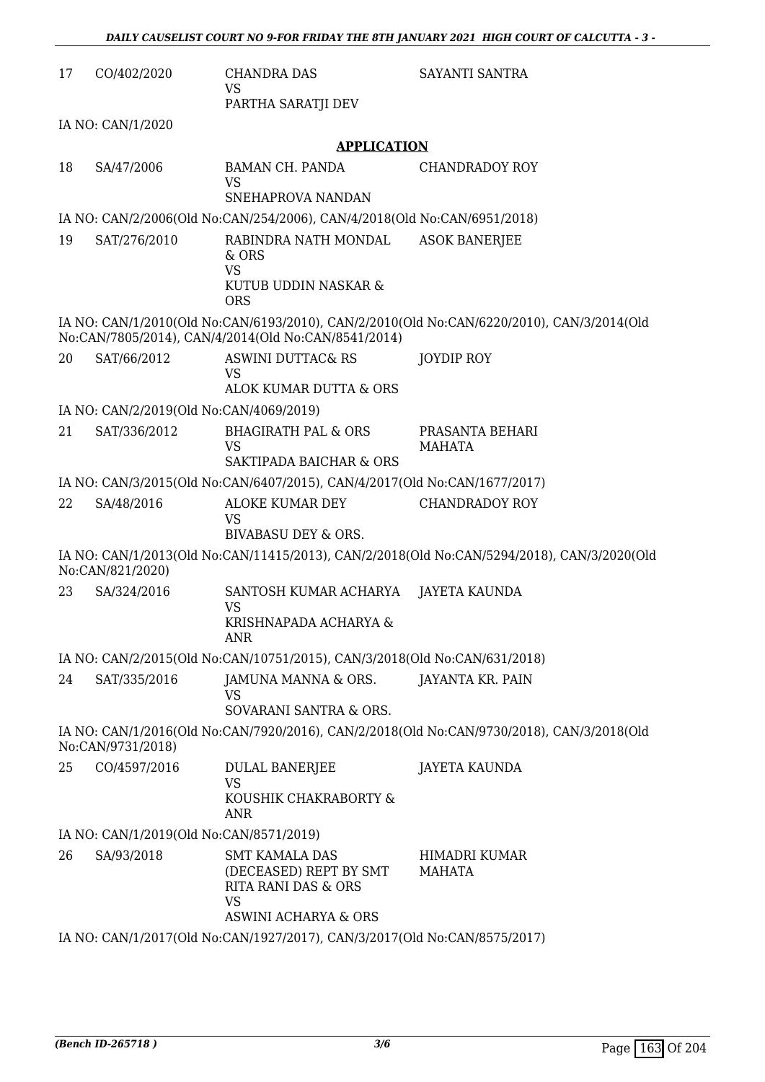| 17 | CO/402/2020                             | <b>CHANDRA DAS</b><br>VS                                                                                                   | SAYANTI SANTRA                                                                             |
|----|-----------------------------------------|----------------------------------------------------------------------------------------------------------------------------|--------------------------------------------------------------------------------------------|
|    |                                         | PARTHA SARATJI DEV                                                                                                         |                                                                                            |
|    | IA NO: CAN/1/2020                       |                                                                                                                            |                                                                                            |
|    |                                         | <b>APPLICATION</b>                                                                                                         |                                                                                            |
| 18 | SA/47/2006                              | BAMAN CH. PANDA<br><b>VS</b><br>SNEHAPROVA NANDAN                                                                          | <b>CHANDRADOY ROY</b>                                                                      |
|    |                                         |                                                                                                                            |                                                                                            |
|    |                                         | IA NO: CAN/2/2006(Old No:CAN/254/2006), CAN/4/2018(Old No:CAN/6951/2018)                                                   |                                                                                            |
| 19 | SAT/276/2010                            | RABINDRA NATH MONDAL<br>$&$ ORS<br><b>VS</b><br>KUTUB UDDIN NASKAR &                                                       | <b>ASOK BANERJEE</b>                                                                       |
|    |                                         | <b>ORS</b>                                                                                                                 |                                                                                            |
|    |                                         | No:CAN/7805/2014), CAN/4/2014(Old No:CAN/8541/2014)                                                                        | IA NO: CAN/1/2010(Old No:CAN/6193/2010), CAN/2/2010(Old No:CAN/6220/2010), CAN/3/2014(Old  |
| 20 | SAT/66/2012                             | ASWINI DUTTAC& RS<br><b>VS</b>                                                                                             | JOYDIP ROY                                                                                 |
|    |                                         | ALOK KUMAR DUTTA & ORS                                                                                                     |                                                                                            |
|    | IA NO: CAN/2/2019(Old No:CAN/4069/2019) |                                                                                                                            |                                                                                            |
| 21 | SAT/336/2012                            | <b>BHAGIRATH PAL &amp; ORS</b><br><b>VS</b>                                                                                | PRASANTA BEHARI<br>MAHATA                                                                  |
|    |                                         | SAKTIPADA BAICHAR & ORS                                                                                                    |                                                                                            |
|    |                                         | IA NO: CAN/3/2015(Old No:CAN/6407/2015), CAN/4/2017(Old No:CAN/1677/2017)                                                  |                                                                                            |
| 22 | SA/48/2016                              | ALOKE KUMAR DEY<br><b>VS</b><br>BIVABASU DEY & ORS.                                                                        | <b>CHANDRADOY ROY</b>                                                                      |
|    |                                         |                                                                                                                            |                                                                                            |
|    | No:CAN/821/2020)                        |                                                                                                                            | IA NO: CAN/1/2013(Old No:CAN/11415/2013), CAN/2/2018(Old No:CAN/5294/2018), CAN/3/2020(Old |
| 23 | SA/324/2016                             | SANTOSH KUMAR ACHARYA<br>VS<br>KRISHNAPADA ACHARYA &                                                                       | JAYETA KAUNDA                                                                              |
|    |                                         | ANR<br>IA NO: CAN/2/2015(Old No:CAN/10751/2015), CAN/3/2018(Old No:CAN/631/2018)                                           |                                                                                            |
| 24 | SAT/335/2016                            | JAMUNA MANNA & ORS.                                                                                                        | JAYANTA KR. PAIN                                                                           |
|    |                                         | <b>VS</b><br>SOVARANI SANTRA & ORS.                                                                                        |                                                                                            |
|    |                                         |                                                                                                                            | IA NO: CAN/1/2016(Old No:CAN/7920/2016), CAN/2/2018(Old No:CAN/9730/2018), CAN/3/2018(Old  |
|    | No:CAN/9731/2018)                       |                                                                                                                            |                                                                                            |
| 25 | CO/4597/2016                            | DULAL BANERJEE<br><b>VS</b>                                                                                                | <b>JAYETA KAUNDA</b>                                                                       |
|    |                                         | KOUSHIK CHAKRABORTY &<br><b>ANR</b>                                                                                        |                                                                                            |
|    | IA NO: CAN/1/2019(Old No:CAN/8571/2019) |                                                                                                                            |                                                                                            |
| 26 | SA/93/2018                              | <b>SMT KAMALA DAS</b><br>(DECEASED) REPT BY SMT<br><b>RITA RANI DAS &amp; ORS</b><br>VS<br><b>ASWINI ACHARYA &amp; ORS</b> | HIMADRI KUMAR<br>MAHATA                                                                    |
|    |                                         | IA NO: CAN/1/2017(Old No:CAN/1927/2017), CAN/3/2017(Old No:CAN/8575/2017)                                                  |                                                                                            |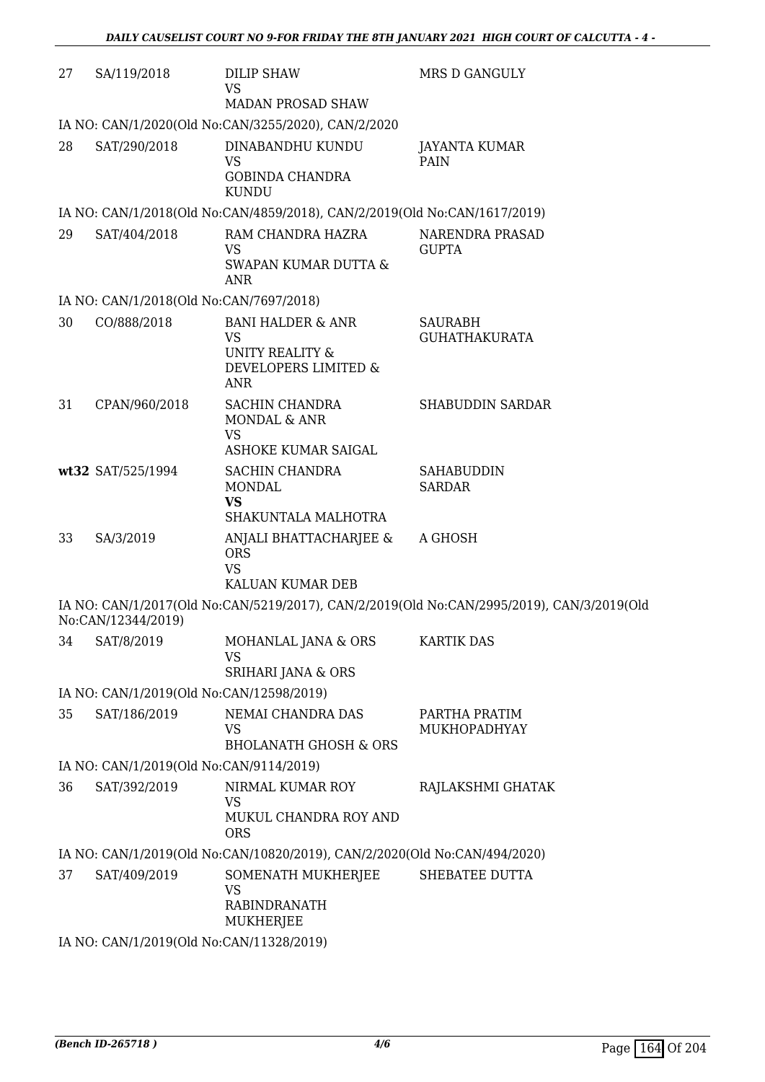| 27 | SA/119/2018                              | <b>DILIP SHAW</b><br><b>VS</b>                                            | MRS D GANGULY                                                                             |
|----|------------------------------------------|---------------------------------------------------------------------------|-------------------------------------------------------------------------------------------|
|    |                                          | <b>MADAN PROSAD SHAW</b>                                                  |                                                                                           |
|    |                                          | IA NO: CAN/1/2020(Old No:CAN/3255/2020), CAN/2/2020                       |                                                                                           |
| 28 | SAT/290/2018                             | DINABANDHU KUNDU<br><b>VS</b><br><b>GOBINDA CHANDRA</b><br><b>KUNDU</b>   | JAYANTA KUMAR<br>PAIN                                                                     |
|    |                                          | IA NO: CAN/1/2018(Old No:CAN/4859/2018), CAN/2/2019(Old No:CAN/1617/2019) |                                                                                           |
| 29 | SAT/404/2018                             | RAM CHANDRA HAZRA                                                         | NARENDRA PRASAD                                                                           |
|    |                                          | <b>VS</b><br>SWAPAN KUMAR DUTTA &<br><b>ANR</b>                           | <b>GUPTA</b>                                                                              |
|    | IA NO: CAN/1/2018(Old No:CAN/7697/2018)  |                                                                           |                                                                                           |
| 30 | CO/888/2018                              | <b>BANI HALDER &amp; ANR</b><br><b>VS</b>                                 | <b>SAURABH</b><br><b>GUHATHAKURATA</b>                                                    |
|    |                                          | <b>UNITY REALITY &amp;</b><br>DEVELOPERS LIMITED &<br><b>ANR</b>          |                                                                                           |
| 31 | CPAN/960/2018                            | SACHIN CHANDRA<br>MONDAL & ANR                                            | <b>SHABUDDIN SARDAR</b>                                                                   |
|    |                                          | <b>VS</b><br>ASHOKE KUMAR SAIGAL                                          |                                                                                           |
|    | wt32 SAT/525/1994                        | SACHIN CHANDRA<br><b>MONDAL</b>                                           | <b>SAHABUDDIN</b><br><b>SARDAR</b>                                                        |
|    |                                          | <b>VS</b><br>SHAKUNTALA MALHOTRA                                          |                                                                                           |
| 33 | SA/3/2019                                | ANJALI BHATTACHARJEE &<br><b>ORS</b><br><b>VS</b>                         | A GHOSH                                                                                   |
|    |                                          | KALUAN KUMAR DEB                                                          |                                                                                           |
|    | No:CAN/12344/2019)                       |                                                                           | IA NO: CAN/1/2017(Old No:CAN/5219/2017), CAN/2/2019(Old No:CAN/2995/2019), CAN/3/2019(Old |
| 34 | SAT/8/2019                               | MOHANLAL JANA & ORS<br><b>VS</b>                                          | <b>KARTIK DAS</b>                                                                         |
|    |                                          | SRIHARI JANA & ORS                                                        |                                                                                           |
|    | IA NO: CAN/1/2019(Old No:CAN/12598/2019) |                                                                           |                                                                                           |
| 35 | SAT/186/2019                             | NEMAI CHANDRA DAS<br>VS<br><b>BHOLANATH GHOSH &amp; ORS</b>               | PARTHA PRATIM<br>MUKHOPADHYAY                                                             |
|    |                                          |                                                                           |                                                                                           |
|    | IA NO: CAN/1/2019(Old No:CAN/9114/2019)  |                                                                           |                                                                                           |
| 36 | SAT/392/2019                             | NIRMAL KUMAR ROY<br>VS<br>MUKUL CHANDRA ROY AND                           | RAJLAKSHMI GHATAK                                                                         |
|    |                                          | <b>ORS</b>                                                                |                                                                                           |
|    |                                          | IA NO: CAN/1/2019(Old No:CAN/10820/2019), CAN/2/2020(Old No:CAN/494/2020) |                                                                                           |
| 37 | SAT/409/2019                             | SOMENATH MUKHERJEE<br><b>VS</b><br><b>RABINDRANATH</b><br>MUKHERJEE       | SHEBATEE DUTTA                                                                            |
|    | IA NO: CAN/1/2019(Old No:CAN/11328/2019) |                                                                           |                                                                                           |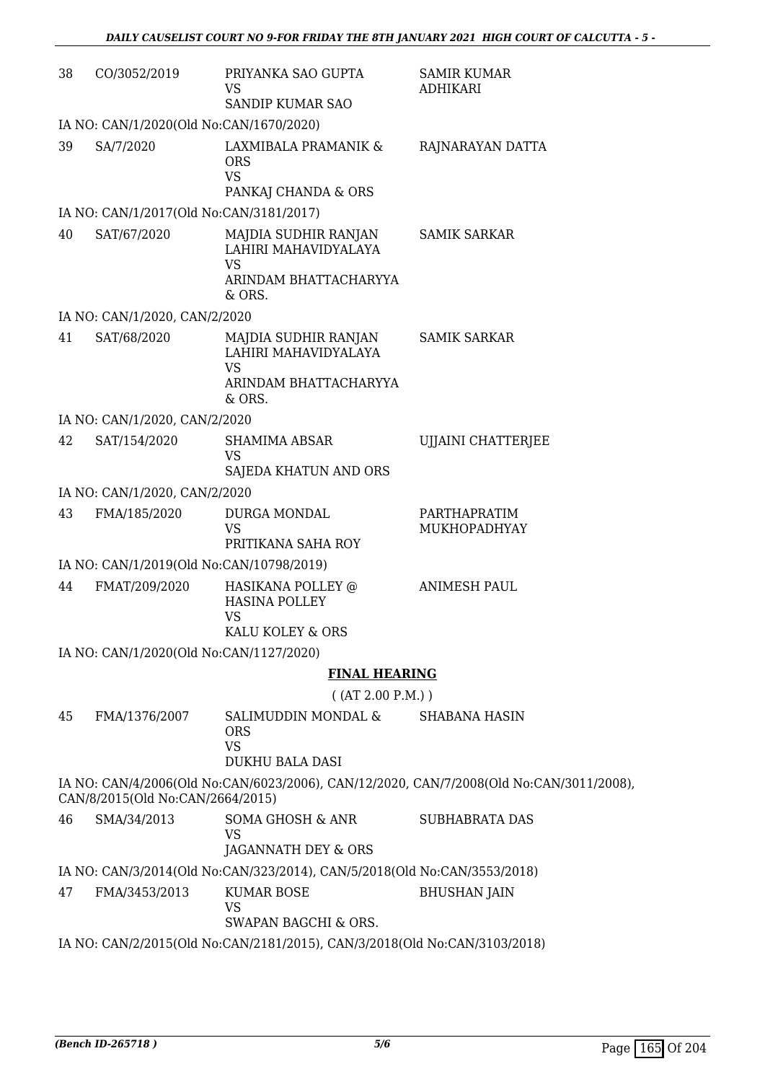| 38 | CO/3052/2019                            | PRIYANKA SAO GUPTA<br>VS<br>SANDIP KUMAR SAO                                                      | <b>SAMIR KUMAR</b><br><b>ADHIKARI</b>                                                   |
|----|-----------------------------------------|---------------------------------------------------------------------------------------------------|-----------------------------------------------------------------------------------------|
|    | IA NO: CAN/1/2020(Old No:CAN/1670/2020) |                                                                                                   |                                                                                         |
| 39 | SA/7/2020                               | LAXMIBALA PRAMANIK &<br><b>ORS</b><br><b>VS</b><br>PANKAJ CHANDA & ORS                            | RAJNARAYAN DATTA                                                                        |
|    | IA NO: CAN/1/2017(Old No:CAN/3181/2017) |                                                                                                   |                                                                                         |
| 40 | SAT/67/2020                             | MAJDIA SUDHIR RANJAN<br>LAHIRI MAHAVIDYALAYA<br><b>VS</b>                                         | <b>SAMIK SARKAR</b>                                                                     |
|    |                                         | ARINDAM BHATTACHARYYA<br>& ORS.                                                                   |                                                                                         |
|    | IA NO: CAN/1/2020, CAN/2/2020           |                                                                                                   |                                                                                         |
| 41 | SAT/68/2020                             | MAJDIA SUDHIR RANJAN<br>LAHIRI MAHAVIDYALAYA<br><b>VS</b><br>ARINDAM BHATTACHARYYA<br>& ORS.      | <b>SAMIK SARKAR</b>                                                                     |
|    | IA NO: CAN/1/2020, CAN/2/2020           |                                                                                                   |                                                                                         |
| 42 | SAT/154/2020                            | <b>SHAMIMA ABSAR</b><br>VS<br>SAJEDA KHATUN AND ORS                                               | UJJAINI CHATTERJEE                                                                      |
|    | IA NO: CAN/1/2020, CAN/2/2020           |                                                                                                   |                                                                                         |
| 43 | FMA/185/2020                            | DURGA MONDAL<br><b>VS</b><br>PRITIKANA SAHA ROY                                                   | PARTHAPRATIM<br>MUKHOPADHYAY                                                            |
|    |                                         | IA NO: CAN/1/2019(Old No:CAN/10798/2019)                                                          |                                                                                         |
| 44 | FMAT/209/2020                           | HASIKANA POLLEY @<br><b>HASINA POLLEY</b><br><b>VS</b>                                            | <b>ANIMESH PAUL</b>                                                                     |
|    |                                         | KALU KOLEY & ORS                                                                                  |                                                                                         |
|    | IA NO: CAN/1/2020(Old No:CAN/1127/2020) |                                                                                                   |                                                                                         |
|    |                                         | <b>FINAL HEARING</b>                                                                              |                                                                                         |
|    |                                         | ( (AT 2.00 P.M.) )                                                                                |                                                                                         |
| 45 | FMA/1376/2007                           | SALIMUDDIN MONDAL &<br><b>ORS</b><br><b>VS</b>                                                    | <b>SHABANA HASIN</b>                                                                    |
|    |                                         | <b>DUKHU BALA DASI</b>                                                                            |                                                                                         |
|    | CAN/8/2015(Old No:CAN/2664/2015)        |                                                                                                   | IA NO: CAN/4/2006(Old No:CAN/6023/2006), CAN/12/2020, CAN/7/2008(Old No:CAN/3011/2008), |
| 46 | SMA/34/2013                             | SOMA GHOSH & ANR<br>VS<br>JAGANNATH DEY & ORS                                                     | <b>SUBHABRATA DAS</b>                                                                   |
|    |                                         | IA NO: CAN/3/2014(Old No:CAN/323/2014), CAN/5/2018(Old No:CAN/3553/2018)                          |                                                                                         |
| 47 | FMA/3453/2013                           | <b>KUMAR BOSE</b><br><b>VS</b>                                                                    | <b>BHUSHAN JAIN</b>                                                                     |
|    |                                         | SWAPAN BAGCHI & ORS.<br>IA NO: CAN/2/2015(Old No:CAN/2181/2015), CAN/3/2018(Old No:CAN/3103/2018) |                                                                                         |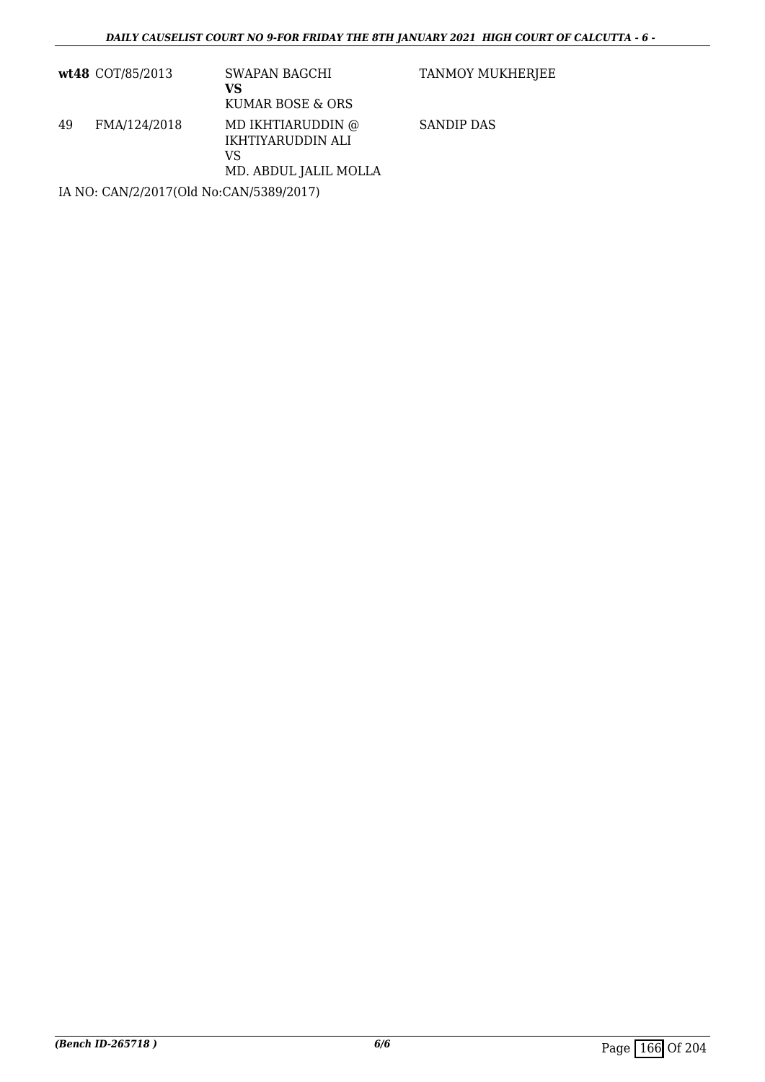|    | wt48 COT/85/2013 | SWAPAN BAGCHI<br>VS<br>KUMAR BOSE & ORS                               | TANMOY MUKHERJEE  |
|----|------------------|-----------------------------------------------------------------------|-------------------|
| 49 | FMA/124/2018     | MD IKHTIARUDDIN @<br>IKHTIYARUDDIN ALI<br>VS<br>MD. ABDUL JALIL MOLLA | <b>SANDIP DAS</b> |

IA NO: CAN/2/2017(Old No:CAN/5389/2017)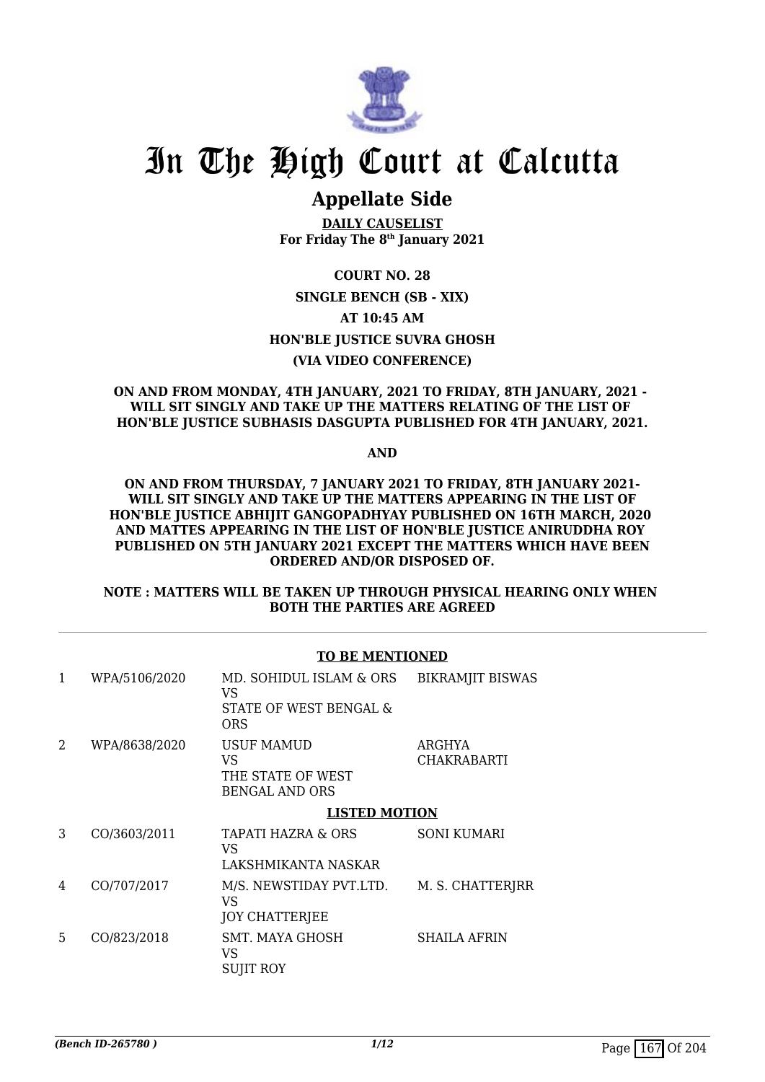

### **Appellate Side**

**DAILY CAUSELIST For Friday The 8th January 2021**

**COURT NO. 28 SINGLE BENCH (SB - XIX) AT 10:45 AM HON'BLE JUSTICE SUVRA GHOSH (VIA VIDEO CONFERENCE)**

#### **ON AND FROM MONDAY, 4TH JANUARY, 2021 TO FRIDAY, 8TH JANUARY, 2021 - WILL SIT SINGLY AND TAKE UP THE MATTERS RELATING OF THE LIST OF HON'BLE JUSTICE SUBHASIS DASGUPTA PUBLISHED FOR 4TH JANUARY, 2021.**

**AND**

#### **ON AND FROM THURSDAY, 7 JANUARY 2021 TO FRIDAY, 8TH JANUARY 2021- WILL SIT SINGLY AND TAKE UP THE MATTERS APPEARING IN THE LIST OF HON'BLE JUSTICE ABHIJIT GANGOPADHYAY PUBLISHED ON 16TH MARCH, 2020 AND MATTES APPEARING IN THE LIST OF HON'BLE JUSTICE ANIRUDDHA ROY PUBLISHED ON 5TH JANUARY 2021 EXCEPT THE MATTERS WHICH HAVE BEEN ORDERED AND/OR DISPOSED OF.**

#### **NOTE : MATTERS WILL BE TAKEN UP THROUGH PHYSICAL HEARING ONLY WHEN BOTH THE PARTIES ARE AGREED**

#### **TO BE MENTIONED**

| 1 | WPA/5106/2020 | MD. SOHIDUL ISLAM & ORS<br>VS<br>STATE OF WEST BENGAL &<br><b>ORS</b> | <b>BIKRAMJIT BISWAS</b>      |
|---|---------------|-----------------------------------------------------------------------|------------------------------|
| 2 | WPA/8638/2020 | USUF MAMUD<br>VS<br>THE STATE OF WEST<br><b>BENGAL AND ORS</b>        | ARGHYA<br><b>CHAKRABARTI</b> |
|   |               | <b>LISTED MOTION</b>                                                  |                              |
| 3 | CO/3603/2011  | TAPATI HAZRA & ORS<br>VS<br>LAKSHMIKANTA NASKAR                       | <b>SONI KUMARI</b>           |
| 4 | CO/707/2017   | M/S. NEWSTIDAY PVT.LTD.<br>VS<br><b>JOY CHATTERIEE</b>                | M. S. CHATTERJRR             |
| 5 | CO/823/2018   | SMT. MAYA GHOSH<br>VS<br><b>SUJIT ROY</b>                             | <b>SHAILA AFRIN</b>          |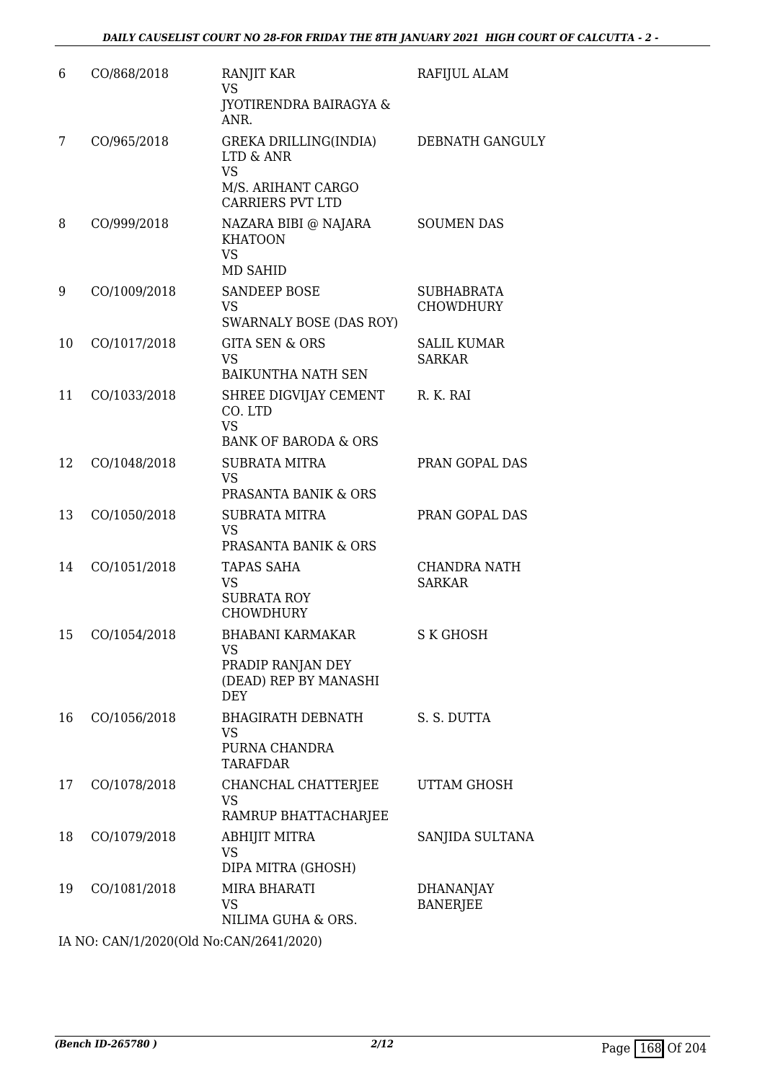| 6  | CO/868/2018                             | RANJIT KAR<br><b>VS</b>                                                                                     | RAFIJUL ALAM                          |  |  |
|----|-----------------------------------------|-------------------------------------------------------------------------------------------------------------|---------------------------------------|--|--|
|    |                                         | <b>JYOTIRENDRA BAIRAGYA &amp;</b><br>ANR.                                                                   |                                       |  |  |
| 7  | CO/965/2018                             | GREKA DRILLING(INDIA)<br><b>LTD &amp; ANR</b><br><b>VS</b><br>M/S. ARIHANT CARGO<br><b>CARRIERS PVT LTD</b> | DEBNATH GANGULY                       |  |  |
| 8  | CO/999/2018                             | NAZARA BIBI @ NAJARA<br><b>KHATOON</b><br><b>VS</b><br><b>MD SAHID</b>                                      | <b>SOUMEN DAS</b>                     |  |  |
| 9  | CO/1009/2018                            | <b>SANDEEP BOSE</b><br><b>VS</b><br>SWARNALY BOSE (DAS ROY)                                                 | <b>SUBHABRATA</b><br><b>CHOWDHURY</b> |  |  |
| 10 | CO/1017/2018                            | <b>GITA SEN &amp; ORS</b><br><b>VS</b><br><b>BAIKUNTHA NATH SEN</b>                                         | <b>SALIL KUMAR</b><br><b>SARKAR</b>   |  |  |
| 11 | CO/1033/2018                            | SHREE DIGVIJAY CEMENT<br>CO. LTD<br><b>VS</b><br><b>BANK OF BARODA &amp; ORS</b>                            | R. K. RAI                             |  |  |
| 12 | CO/1048/2018                            | <b>SUBRATA MITRA</b><br><b>VS</b><br>PRASANTA BANIK & ORS                                                   | PRAN GOPAL DAS                        |  |  |
| 13 | CO/1050/2018                            | <b>SUBRATA MITRA</b><br><b>VS</b><br>PRASANTA BANIK & ORS                                                   | PRAN GOPAL DAS                        |  |  |
| 14 | CO/1051/2018                            | <b>TAPAS SAHA</b><br><b>VS</b><br><b>SUBRATA ROY</b><br><b>CHOWDHURY</b>                                    | <b>CHANDRA NATH</b><br><b>SARKAR</b>  |  |  |
|    | 15 CO/1054/2018                         | <b>BHABANI KARMAKAR</b><br><b>VS</b><br>PRADIP RANJAN DEY<br>(DEAD) REP BY MANASHI<br><b>DEY</b>            | <b>S K GHOSH</b>                      |  |  |
| 16 | CO/1056/2018                            | <b>BHAGIRATH DEBNATH</b><br><b>VS</b><br>PURNA CHANDRA<br><b>TARAFDAR</b>                                   | S. S. DUTTA                           |  |  |
| 17 | CO/1078/2018                            | CHANCHAL CHATTERJEE<br><b>VS</b><br>RAMRUP BHATTACHARJEE                                                    | UTTAM GHOSH                           |  |  |
| 18 | CO/1079/2018                            | ABHIJIT MITRA<br><b>VS</b><br>DIPA MITRA (GHOSH)                                                            | SANJIDA SULTANA                       |  |  |
| 19 | CO/1081/2018                            | MIRA BHARATI<br><b>VS</b><br>NILIMA GUHA & ORS.                                                             | <b>DHANANJAY</b><br><b>BANERJEE</b>   |  |  |
|    | IA NO: CAN/1/2020(Old No:CAN/2641/2020) |                                                                                                             |                                       |  |  |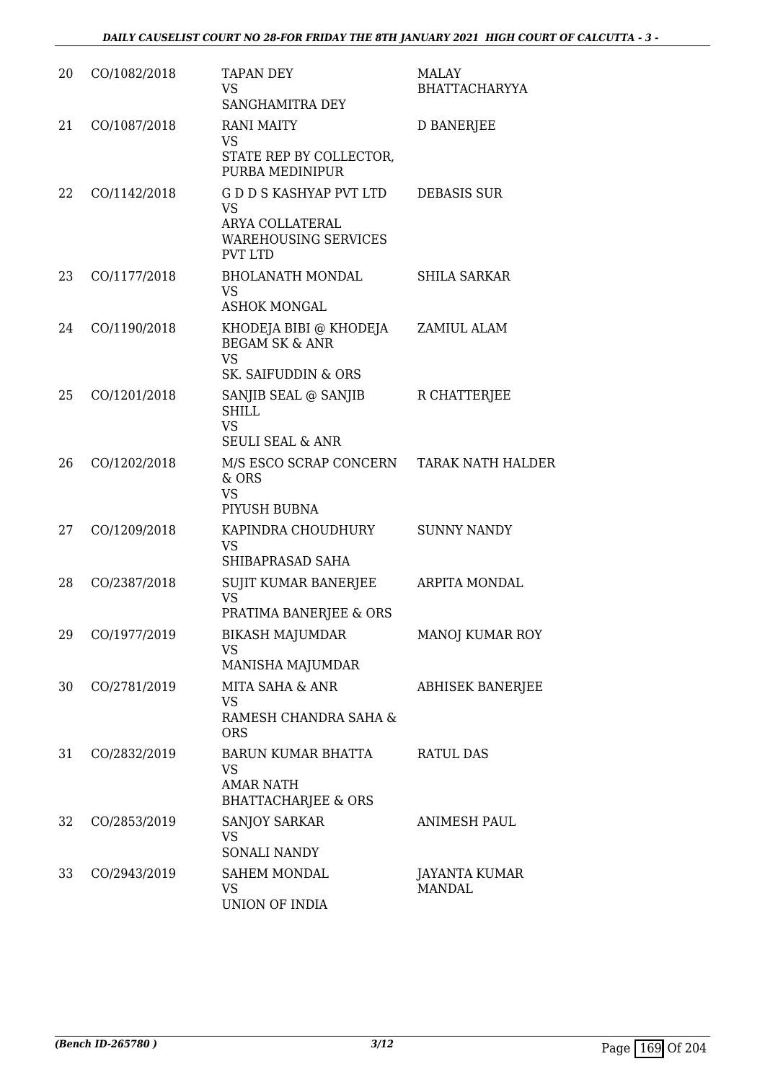| 20 | CO/1082/2018 | <b>TAPAN DEY</b><br><b>VS</b><br>SANGHAMITRA DEY                                                         | <b>MALAY</b><br><b>BHATTACHARYYA</b>  |
|----|--------------|----------------------------------------------------------------------------------------------------------|---------------------------------------|
| 21 | CO/1087/2018 | <b>RANI MAITY</b><br><b>VS</b><br>STATE REP BY COLLECTOR,<br>PURBA MEDINIPUR                             | <b>D BANERJEE</b>                     |
| 22 | CO/1142/2018 | G D D S KASHYAP PVT LTD<br><b>VS</b><br>ARYA COLLATERAL<br><b>WAREHOUSING SERVICES</b><br><b>PVT LTD</b> | <b>DEBASIS SUR</b>                    |
| 23 | CO/1177/2018 | <b>BHOLANATH MONDAL</b><br><b>VS</b><br><b>ASHOK MONGAL</b>                                              | <b>SHILA SARKAR</b>                   |
| 24 | CO/1190/2018 | KHODEJA BIBI @ KHODEJA<br><b>BEGAM SK &amp; ANR</b><br><b>VS</b><br><b>SK. SAIFUDDIN &amp; ORS</b>       | ZAMIUL ALAM                           |
| 25 | CO/1201/2018 | SANJIB SEAL @ SANJIB<br><b>SHILL</b><br><b>VS</b><br><b>SEULI SEAL &amp; ANR</b>                         | R CHATTERJEE                          |
| 26 | CO/1202/2018 | M/S ESCO SCRAP CONCERN<br>& ORS<br><b>VS</b><br>PIYUSH BUBNA                                             | <b>TARAK NATH HALDER</b>              |
| 27 | CO/1209/2018 | KAPINDRA CHOUDHURY<br><b>VS</b><br>SHIBAPRASAD SAHA                                                      | <b>SUNNY NANDY</b>                    |
| 28 | CO/2387/2018 | SUJIT KUMAR BANERJEE<br><b>VS</b><br>PRATIMA BANERJEE & ORS                                              | ARPITA MONDAL                         |
| 29 | CO/1977/2019 | BIKASH MAJUMDAR<br><b>VS</b><br>MANISHA MAJUMDAR                                                         | MANOJ KUMAR ROY                       |
| 30 | CO/2781/2019 | MITA SAHA & ANR<br><b>VS</b><br>RAMESH CHANDRA SAHA &<br><b>ORS</b>                                      | <b>ABHISEK BANERJEE</b>               |
| 31 | CO/2832/2019 | BARUN KUMAR BHATTA<br><b>VS</b><br><b>AMAR NATH</b><br><b>BHATTACHARJEE &amp; ORS</b>                    | <b>RATUL DAS</b>                      |
| 32 | CO/2853/2019 | <b>SANJOY SARKAR</b><br><b>VS</b><br><b>SONALI NANDY</b>                                                 | <b>ANIMESH PAUL</b>                   |
| 33 | CO/2943/2019 | <b>SAHEM MONDAL</b><br><b>VS</b><br>UNION OF INDIA                                                       | <b>JAYANTA KUMAR</b><br><b>MANDAL</b> |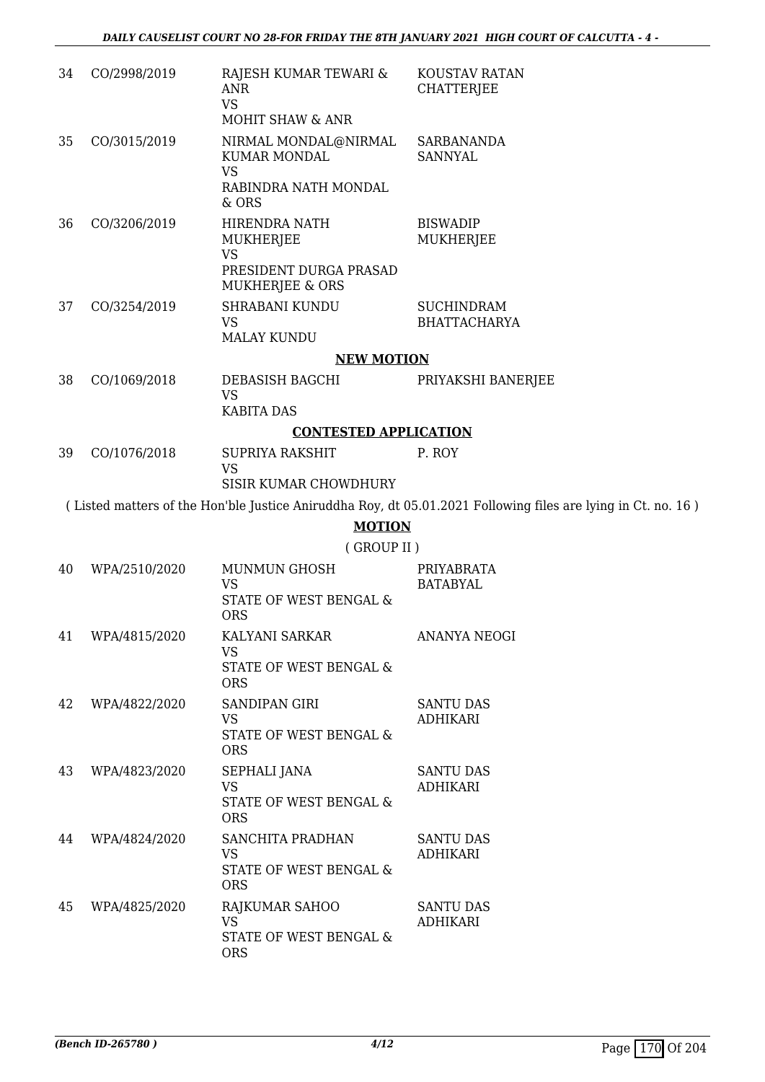| 34 | CO/2998/2019     | RAJESH KUMAR TEWARI &<br>ANR<br><b>VS</b><br><b>MOHIT SHAW &amp; ANR</b> | KOUSTAV RATAN<br><b>CHATTERJEE</b>                                                                           |
|----|------------------|--------------------------------------------------------------------------|--------------------------------------------------------------------------------------------------------------|
| 35 | CO/3015/2019     | NIRMAL MONDAL@NIRMAL<br>KUMAR MONDAL<br><b>VS</b>                        | <b>SARBANANDA</b><br><b>SANNYAL</b>                                                                          |
|    |                  | RABINDRA NATH MONDAL<br>& ORS                                            |                                                                                                              |
| 36 | CO/3206/2019     | HIRENDRA NATH<br><b>MUKHERJEE</b><br><b>VS</b><br>PRESIDENT DURGA PRASAD | <b>BISWADIP</b><br><b>MUKHERJEE</b>                                                                          |
|    |                  | MUKHERJEE & ORS                                                          |                                                                                                              |
| 37 | CO/3254/2019     | SHRABANI KUNDU<br><b>VS</b><br><b>MALAY KUNDU</b>                        | <b>SUCHINDRAM</b><br><b>BHATTACHARYA</b>                                                                     |
|    |                  | <b>NEW MOTION</b>                                                        |                                                                                                              |
| 38 | CO/1069/2018     | DEBASISH BAGCHI                                                          | PRIYAKSHI BANERJEE                                                                                           |
|    |                  | <b>VS</b><br><b>KABITA DAS</b>                                           |                                                                                                              |
|    |                  | <b>CONTESTED APPLICATION</b>                                             |                                                                                                              |
| 39 | CO/1076/2018     | SUPRIYA RAKSHIT<br><b>VS</b>                                             | P. ROY                                                                                                       |
|    |                  | <b>SISIR KUMAR CHOWDHURY</b>                                             |                                                                                                              |
|    |                  |                                                                          | (Listed matters of the Hon'ble Justice Aniruddha Roy, dt 05.01.2021 Following files are lying in Ct. no. 16) |
|    |                  | <b>MOTION</b>                                                            |                                                                                                              |
| 40 | WPA/2510/2020    | (GROUP II)<br><b>MUNMUN GHOSH</b>                                        | PRIYABRATA                                                                                                   |
|    |                  | <b>VS</b><br>STATE OF WEST BENGAL &<br><b>ORS</b>                        | <b>BATABYAL</b>                                                                                              |
|    | 41 WPA/4815/2020 | KALYANI SARKAR<br><b>VS</b><br>STATE OF WEST BENGAL &<br><b>ORS</b>      | ANANYA NEOGI                                                                                                 |
| 42 | WPA/4822/2020    | SANDIPAN GIRI<br><b>VS</b><br>STATE OF WEST BENGAL &<br><b>ORS</b>       | <b>SANTU DAS</b><br><b>ADHIKARI</b>                                                                          |
| 43 | WPA/4823/2020    | SEPHALI JANA<br><b>VS</b><br>STATE OF WEST BENGAL &<br><b>ORS</b>        | <b>SANTU DAS</b><br><b>ADHIKARI</b>                                                                          |
| 44 | WPA/4824/2020    | SANCHITA PRADHAN<br><b>VS</b><br>STATE OF WEST BENGAL &<br><b>ORS</b>    | <b>SANTU DAS</b><br><b>ADHIKARI</b>                                                                          |
| 45 | WPA/4825/2020    | RAJKUMAR SAHOO<br><b>VS</b><br>STATE OF WEST BENGAL &<br><b>ORS</b>      | <b>SANTU DAS</b><br><b>ADHIKARI</b>                                                                          |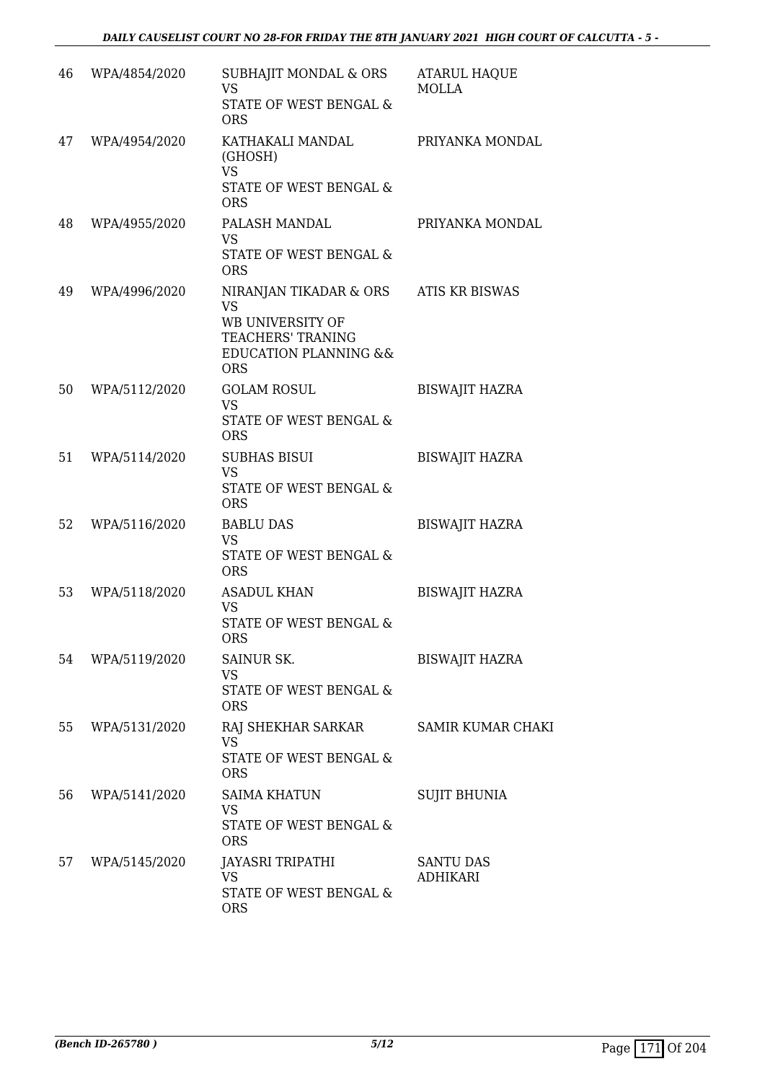| 46 | WPA/4854/2020 | SUBHAJIT MONDAL & ORS<br><b>VS</b><br>STATE OF WEST BENGAL &<br><b>ORS</b>                                                                | <b>ATARUL HAQUE</b><br><b>MOLLA</b> |
|----|---------------|-------------------------------------------------------------------------------------------------------------------------------------------|-------------------------------------|
| 47 | WPA/4954/2020 | KATHAKALI MANDAL<br>(GHOSH)<br><b>VS</b><br>STATE OF WEST BENGAL &<br><b>ORS</b>                                                          | PRIYANKA MONDAL                     |
| 48 | WPA/4955/2020 | PALASH MANDAL<br><b>VS</b><br>STATE OF WEST BENGAL &<br><b>ORS</b>                                                                        | PRIYANKA MONDAL                     |
| 49 | WPA/4996/2020 | NIRANJAN TIKADAR & ORS<br><b>VS</b><br>WB UNIVERSITY OF<br><b>TEACHERS' TRANING</b><br><b>EDUCATION PLANNING &amp;&amp;</b><br><b>ORS</b> | <b>ATIS KR BISWAS</b>               |
| 50 | WPA/5112/2020 | <b>GOLAM ROSUL</b><br><b>VS</b><br>STATE OF WEST BENGAL &<br><b>ORS</b>                                                                   | <b>BISWAJIT HAZRA</b>               |
| 51 | WPA/5114/2020 | <b>SUBHAS BISUI</b><br><b>VS</b><br>STATE OF WEST BENGAL &<br><b>ORS</b>                                                                  | <b>BISWAJIT HAZRA</b>               |
| 52 | WPA/5116/2020 | <b>BABLU DAS</b><br><b>VS</b><br>STATE OF WEST BENGAL &<br><b>ORS</b>                                                                     | <b>BISWAJIT HAZRA</b>               |
| 53 | WPA/5118/2020 | <b>ASADUL KHAN</b><br>VS<br>STATE OF WEST BENGAL &<br>ORS                                                                                 | <b>BISWAJIT HAZRA</b>               |
| 54 | WPA/5119/2020 | SAINUR SK.<br><b>VS</b><br>STATE OF WEST BENGAL &<br><b>ORS</b>                                                                           | <b>BISWAJIT HAZRA</b>               |
| 55 | WPA/5131/2020 | RAJ SHEKHAR SARKAR<br><b>VS</b><br>STATE OF WEST BENGAL &<br><b>ORS</b>                                                                   | <b>SAMIR KUMAR CHAKI</b>            |
| 56 | WPA/5141/2020 | <b>SAIMA KHATUN</b><br><b>VS</b><br>STATE OF WEST BENGAL &<br><b>ORS</b>                                                                  | <b>SUJIT BHUNIA</b>                 |
| 57 | WPA/5145/2020 | JAYASRI TRIPATHI<br>VS<br>STATE OF WEST BENGAL &<br><b>ORS</b>                                                                            | <b>SANTU DAS</b><br>ADHIKARI        |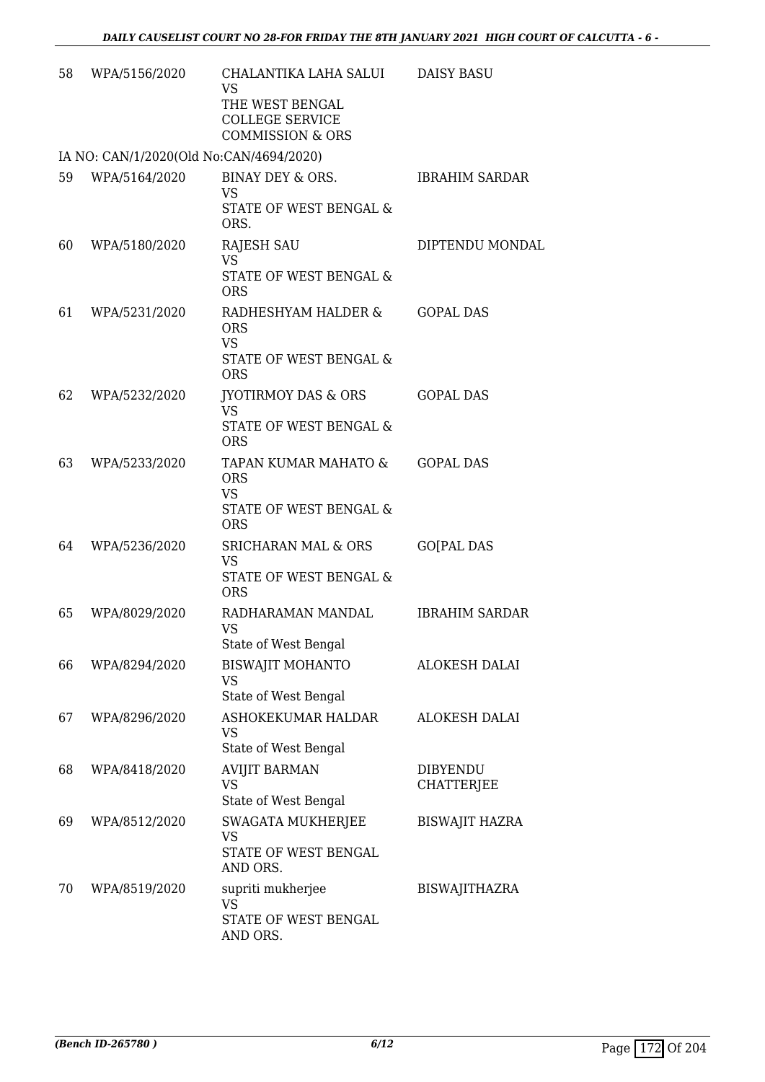| 58 | WPA/5156/2020                           | CHALANTIKA LAHA SALUI<br><b>VS</b><br>THE WEST BENGAL<br><b>COLLEGE SERVICE</b><br><b>COMMISSION &amp; ORS</b> | <b>DAISY BASU</b>             |
|----|-----------------------------------------|----------------------------------------------------------------------------------------------------------------|-------------------------------|
|    | IA NO: CAN/1/2020(Old No:CAN/4694/2020) |                                                                                                                |                               |
| 59 | WPA/5164/2020                           | BINAY DEY & ORS.<br><b>VS</b><br><b>STATE OF WEST BENGAL &amp;</b><br>ORS.                                     | <b>IBRAHIM SARDAR</b>         |
| 60 | WPA/5180/2020                           | <b>RAJESH SAU</b><br><b>VS</b><br>STATE OF WEST BENGAL &<br><b>ORS</b>                                         | DIPTENDU MONDAL               |
| 61 | WPA/5231/2020                           | RADHESHYAM HALDER &<br><b>ORS</b><br><b>VS</b><br>STATE OF WEST BENGAL &<br><b>ORS</b>                         | <b>GOPAL DAS</b>              |
| 62 | WPA/5232/2020                           | <b>JYOTIRMOY DAS &amp; ORS</b><br><b>VS</b><br>STATE OF WEST BENGAL &<br><b>ORS</b>                            | <b>GOPAL DAS</b>              |
| 63 | WPA/5233/2020                           | TAPAN KUMAR MAHATO &<br><b>ORS</b><br><b>VS</b><br>STATE OF WEST BENGAL &<br><b>ORS</b>                        | <b>GOPAL DAS</b>              |
| 64 | WPA/5236/2020                           | SRICHARAN MAL & ORS<br><b>VS</b><br>STATE OF WEST BENGAL &<br><b>ORS</b>                                       | <b>GO[PAL DAS</b>             |
| 65 | WPA/8029/2020                           | RADHARAMAN MANDAL<br>VS<br>State of West Bengal                                                                | <b>IBRAHIM SARDAR</b>         |
| 66 | WPA/8294/2020                           | <b>BISWAJIT MOHANTO</b><br><b>VS</b><br>State of West Bengal                                                   | <b>ALOKESH DALAI</b>          |
| 67 | WPA/8296/2020                           | ASHOKEKUMAR HALDAR<br>VS<br>State of West Bengal                                                               | <b>ALOKESH DALAI</b>          |
| 68 | WPA/8418/2020                           | <b>AVIJIT BARMAN</b><br>VS<br>State of West Bengal                                                             | <b>DIBYENDU</b><br>CHATTERJEE |
| 69 | WPA/8512/2020                           | SWAGATA MUKHERJEE<br><b>VS</b><br>STATE OF WEST BENGAL<br>AND ORS.                                             | <b>BISWAJIT HAZRA</b>         |
| 70 | WPA/8519/2020                           | supriti mukherjee<br>VS<br>STATE OF WEST BENGAL<br>AND ORS.                                                    | <b>BISWAJITHAZRA</b>          |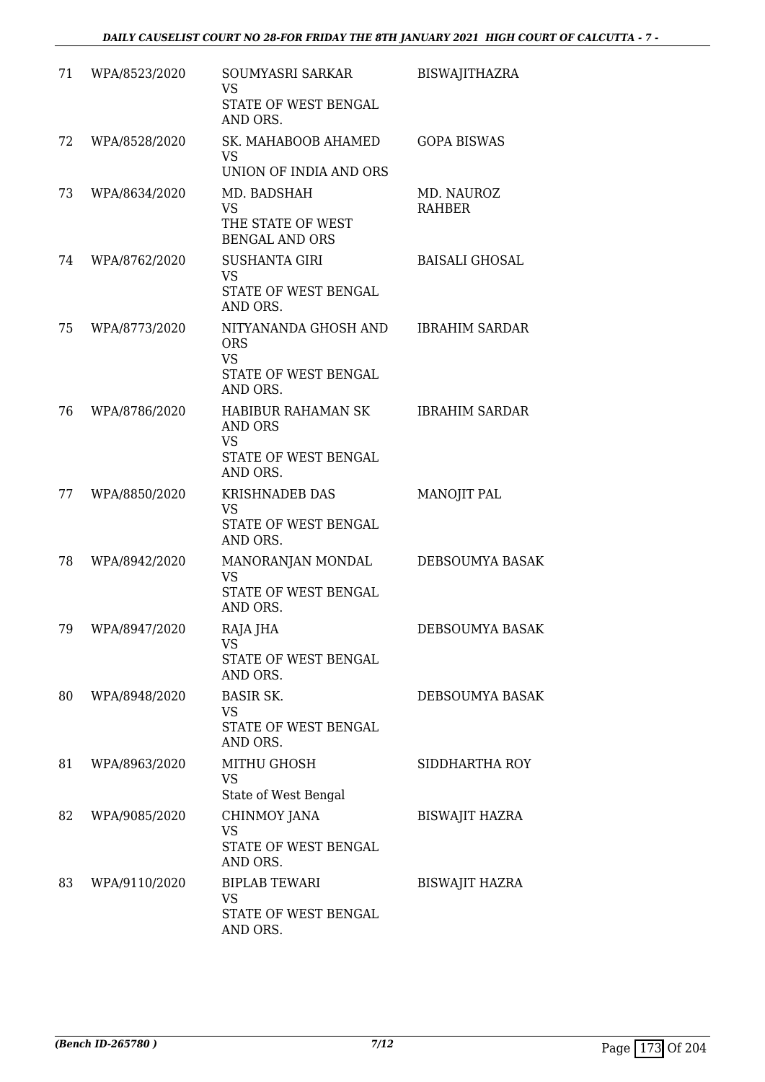| 71 | WPA/8523/2020 | SOUMYASRI SARKAR<br>VS<br>STATE OF WEST BENGAL<br>AND ORS.                            | <b>BISWAJITHAZRA</b>        |
|----|---------------|---------------------------------------------------------------------------------------|-----------------------------|
| 72 | WPA/8528/2020 | SK. MAHABOOB AHAMED<br><b>VS</b><br>UNION OF INDIA AND ORS                            | <b>GOPA BISWAS</b>          |
| 73 | WPA/8634/2020 | MD. BADSHAH<br><b>VS</b><br>THE STATE OF WEST<br><b>BENGAL AND ORS</b>                | MD. NAUROZ<br><b>RAHBER</b> |
| 74 | WPA/8762/2020 | <b>SUSHANTA GIRI</b><br><b>VS</b><br>STATE OF WEST BENGAL<br>AND ORS.                 | <b>BAISALI GHOSAL</b>       |
| 75 | WPA/8773/2020 | NITYANANDA GHOSH AND<br><b>ORS</b><br><b>VS</b><br>STATE OF WEST BENGAL<br>AND ORS.   | <b>IBRAHIM SARDAR</b>       |
| 76 | WPA/8786/2020 | HABIBUR RAHAMAN SK<br><b>AND ORS</b><br><b>VS</b><br>STATE OF WEST BENGAL<br>AND ORS. | <b>IBRAHIM SARDAR</b>       |
| 77 | WPA/8850/2020 | <b>KRISHNADEB DAS</b><br><b>VS</b><br>STATE OF WEST BENGAL<br>AND ORS.                | MANOJIT PAL                 |
| 78 | WPA/8942/2020 | MANORANJAN MONDAL<br><b>VS</b><br>STATE OF WEST BENGAL<br>AND ORS.                    | DEBSOUMYA BASAK             |
| 79 | WPA/8947/2020 | RAJA JHA<br>VS<br>STATE OF WEST BENGAL<br>AND ORS.                                    | DEBSOUMYA BASAK             |
| 80 | WPA/8948/2020 | <b>BASIR SK.</b><br>VS<br>STATE OF WEST BENGAL<br>AND ORS.                            | DEBSOUMYA BASAK             |
| 81 | WPA/8963/2020 | <b>MITHU GHOSH</b><br><b>VS</b><br>State of West Bengal                               | SIDDHARTHA ROY              |
| 82 | WPA/9085/2020 | CHINMOY JANA<br>VS<br>STATE OF WEST BENGAL<br>AND ORS.                                | <b>BISWAJIT HAZRA</b>       |
| 83 | WPA/9110/2020 | <b>BIPLAB TEWARI</b><br>VS<br>STATE OF WEST BENGAL<br>AND ORS.                        | <b>BISWAJIT HAZRA</b>       |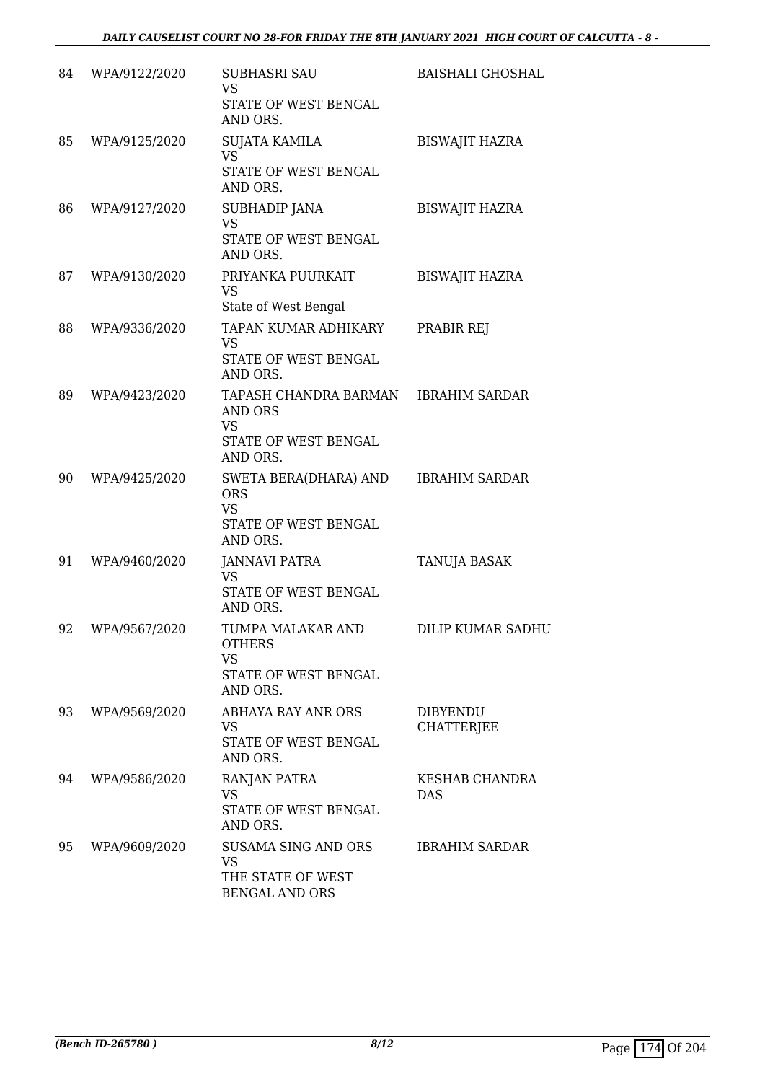| 84 | WPA/9122/2020 | <b>SUBHASRI SAU</b><br><b>VS</b>              | <b>BAISHALI GHOSHAL</b>              |
|----|---------------|-----------------------------------------------|--------------------------------------|
|    |               | STATE OF WEST BENGAL<br>AND ORS.              |                                      |
| 85 | WPA/9125/2020 | <b>SUJATA KAMILA</b><br><b>VS</b>             | <b>BISWAJIT HAZRA</b>                |
|    |               | STATE OF WEST BENGAL<br>AND ORS.              |                                      |
| 86 | WPA/9127/2020 | SUBHADIP JANA<br><b>VS</b>                    | <b>BISWAJIT HAZRA</b>                |
|    |               | STATE OF WEST BENGAL<br>AND ORS.              |                                      |
| 87 | WPA/9130/2020 | PRIYANKA PUURKAIT<br><b>VS</b>                | <b>BISWAJIT HAZRA</b>                |
|    |               | State of West Bengal                          |                                      |
| 88 | WPA/9336/2020 | TAPAN KUMAR ADHIKARY<br><b>VS</b>             | PRABIR REJ                           |
|    |               | STATE OF WEST BENGAL<br>AND ORS.              |                                      |
| 89 | WPA/9423/2020 | TAPASH CHANDRA BARMAN<br><b>AND ORS</b>       | IBRAHIM SARDAR                       |
|    |               | <b>VS</b><br>STATE OF WEST BENGAL<br>AND ORS. |                                      |
| 90 | WPA/9425/2020 | SWETA BERA(DHARA) AND<br><b>ORS</b>           | <b>IBRAHIM SARDAR</b>                |
|    |               | <b>VS</b><br>STATE OF WEST BENGAL<br>AND ORS. |                                      |
| 91 | WPA/9460/2020 | <b>JANNAVI PATRA</b><br><b>VS</b>             | TANUJA BASAK                         |
|    |               | STATE OF WEST BENGAL<br>AND ORS.              |                                      |
| 92 | WPA/9567/2020 | TUMPA MALAKAR AND<br><b>OTHERS</b>            | DILIP KUMAR SADHU                    |
|    |               | <b>VS</b><br>STATE OF WEST BENGAL             |                                      |
|    |               | AND ORS.                                      |                                      |
| 93 | WPA/9569/2020 | ABHAYA RAY ANR ORS<br><b>VS</b>               | <b>DIBYENDU</b><br><b>CHATTERJEE</b> |
|    |               | STATE OF WEST BENGAL<br>AND ORS.              |                                      |
| 94 | WPA/9586/2020 | RANJAN PATRA<br><b>VS</b>                     | <b>KESHAB CHANDRA</b><br><b>DAS</b>  |
|    |               | STATE OF WEST BENGAL<br>AND ORS.              |                                      |
| 95 | WPA/9609/2020 | SUSAMA SING AND ORS<br><b>VS</b>              | <b>IBRAHIM SARDAR</b>                |
|    |               | THE STATE OF WEST<br><b>BENGAL AND ORS</b>    |                                      |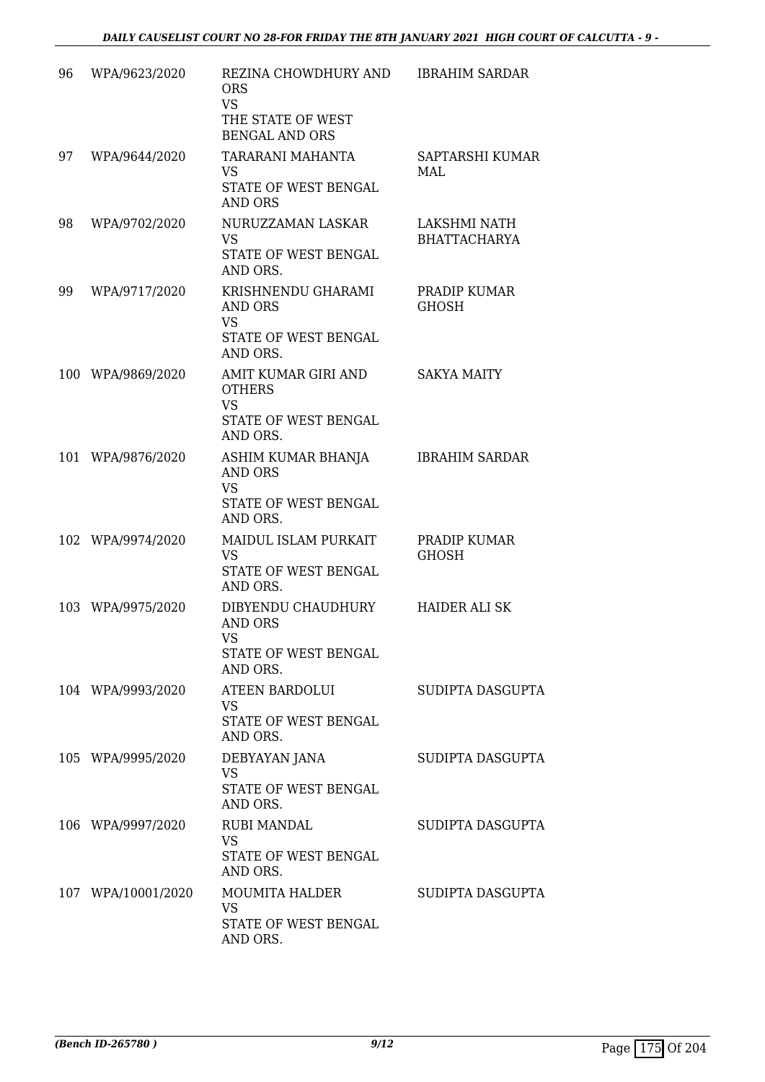| 96 | WPA/9623/2020      | REZINA CHOWDHURY AND<br><b>ORS</b><br><b>VS</b><br>THE STATE OF WEST<br><b>BENGAL AND ORS</b> | <b>IBRAHIM SARDAR</b>               |
|----|--------------------|-----------------------------------------------------------------------------------------------|-------------------------------------|
| 97 | WPA/9644/2020      | TARARANI MAHANTA<br><b>VS</b><br>STATE OF WEST BENGAL<br><b>AND ORS</b>                       | SAPTARSHI KUMAR<br>MAL              |
| 98 | WPA/9702/2020      | NURUZZAMAN LASKAR<br><b>VS</b><br>STATE OF WEST BENGAL<br>AND ORS.                            | LAKSHMI NATH<br><b>BHATTACHARYA</b> |
| 99 | WPA/9717/2020      | KRISHNENDU GHARAMI<br>AND ORS<br><b>VS</b><br>STATE OF WEST BENGAL<br>AND ORS.                | PRADIP KUMAR<br><b>GHOSH</b>        |
|    | 100 WPA/9869/2020  | AMIT KUMAR GIRI AND<br><b>OTHERS</b><br><b>VS</b><br>STATE OF WEST BENGAL<br>AND ORS.         | <b>SAKYA MAITY</b>                  |
|    | 101 WPA/9876/2020  | ASHIM KUMAR BHANJA<br><b>AND ORS</b><br><b>VS</b><br>STATE OF WEST BENGAL<br>AND ORS.         | <b>IBRAHIM SARDAR</b>               |
|    | 102 WPA/9974/2020  | MAIDUL ISLAM PURKAIT<br><b>VS</b><br>STATE OF WEST BENGAL<br>AND ORS.                         | PRADIP KUMAR<br><b>GHOSH</b>        |
|    | 103 WPA/9975/2020  | DIBYENDU CHAUDHURY<br><b>AND ORS</b><br><b>VS</b><br>STATE OF WEST BENGAL<br>AND ORS.         | <b>HAIDER ALI SK</b>                |
|    | 104 WPA/9993/2020  | <b>ATEEN BARDOLUI</b><br><b>VS</b><br>STATE OF WEST BENGAL<br>AND ORS.                        | SUDIPTA DASGUPTA                    |
|    | 105 WPA/9995/2020  | DEBYAYAN JANA<br><b>VS</b><br>STATE OF WEST BENGAL<br>AND ORS.                                | SUDIPTA DASGUPTA                    |
|    | 106 WPA/9997/2020  | <b>RUBI MANDAL</b><br><b>VS</b><br>STATE OF WEST BENGAL<br>AND ORS.                           | SUDIPTA DASGUPTA                    |
|    | 107 WPA/10001/2020 | MOUMITA HALDER<br><b>VS</b><br>STATE OF WEST BENGAL<br>AND ORS.                               | SUDIPTA DASGUPTA                    |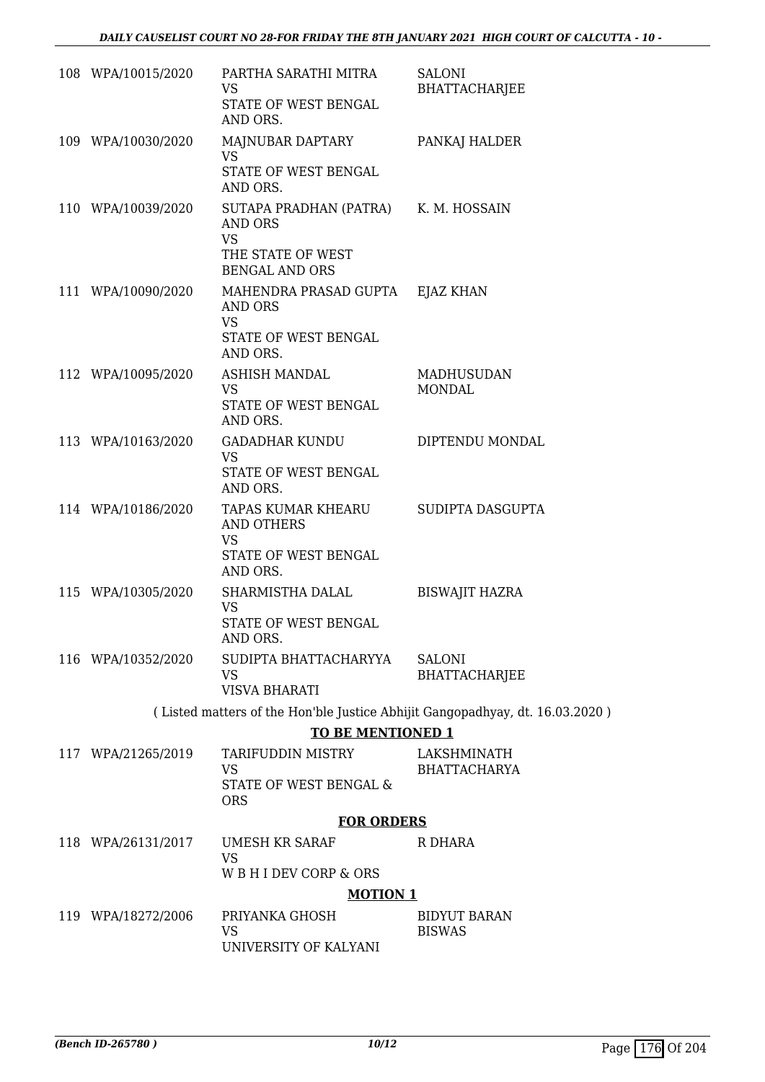| 108 WPA/10015/2020 | PARTHA SARATHI MITRA<br><b>VS</b>                              | SALONI<br><b>BHATTACHARJEE</b>                                               |
|--------------------|----------------------------------------------------------------|------------------------------------------------------------------------------|
|                    | STATE OF WEST BENGAL<br>AND ORS.                               |                                                                              |
| 109 WPA/10030/2020 | MAJNUBAR DAPTARY<br><b>VS</b>                                  | PANKAJ HALDER                                                                |
|                    | STATE OF WEST BENGAL<br>AND ORS.                               |                                                                              |
| 110 WPA/10039/2020 | SUTAPA PRADHAN (PATRA) K. M. HOSSAIN<br>AND ORS<br><b>VS</b>   |                                                                              |
|                    | THE STATE OF WEST<br><b>BENGAL AND ORS</b>                     |                                                                              |
| 111 WPA/10090/2020 | MAHENDRA PRASAD GUPTA EJAZ KHAN<br>AND ORS<br><b>VS</b>        |                                                                              |
|                    | STATE OF WEST BENGAL<br>AND ORS.                               |                                                                              |
| 112 WPA/10095/2020 | <b>ASHISH MANDAL</b><br><b>VS</b>                              | <b>MADHUSUDAN</b><br><b>MONDAL</b>                                           |
|                    | STATE OF WEST BENGAL<br>AND ORS.                               |                                                                              |
| 113 WPA/10163/2020 | GADADHAR KUNDU<br><b>VS</b>                                    | DIPTENDU MONDAL                                                              |
|                    | STATE OF WEST BENGAL<br>AND ORS.                               |                                                                              |
| 114 WPA/10186/2020 | TAPAS KUMAR KHEARU SUDIPTA DASGUPTA<br>AND OTHERS<br><b>VS</b> |                                                                              |
|                    | STATE OF WEST BENGAL<br>AND ORS.                               |                                                                              |
| 115 WPA/10305/2020 | SHARMISTHA DALAL<br>VS                                         | <b>BISWAJIT HAZRA</b>                                                        |
|                    | STATE OF WEST BENGAL<br>AND ORS.                               |                                                                              |
| 116 WPA/10352/2020 | SUDIPTA BHATTACHARYYA<br><b>VS</b>                             | <b>SALONI</b><br>BHATTACHARJEE                                               |
|                    | <b>VISVA BHARATI</b>                                           |                                                                              |
|                    |                                                                | (Listed matters of the Hon'ble Justice Abhijit Gangopadhyay, dt. 16.03.2020) |
|                    | <b>TO BE MENTIONED 1</b>                                       |                                                                              |
| 117 WPA/21265/2019 | TARIFUDDIN MISTRY<br>VS<br>STATE OF WEST BENGAL &              | LAKSHMINATH<br><b>BHATTACHARYA</b>                                           |
|                    | <b>ORS</b>                                                     |                                                                              |
|                    | <b>FOR ORDERS</b>                                              |                                                                              |
| 118 WPA/26131/2017 | <b>UMESH KR SARAF</b><br><b>VS</b>                             | R DHARA                                                                      |
|                    | W B H I DEV CORP & ORS                                         |                                                                              |
|                    | <b>MOTION 1</b>                                                |                                                                              |
| 119 WPA/18272/2006 | PRIYANKA GHOSH<br><b>VS</b>                                    | <b>BIDYUT BARAN</b><br><b>BISWAS</b>                                         |
|                    | UNIVERSITY OF KALYANI                                          |                                                                              |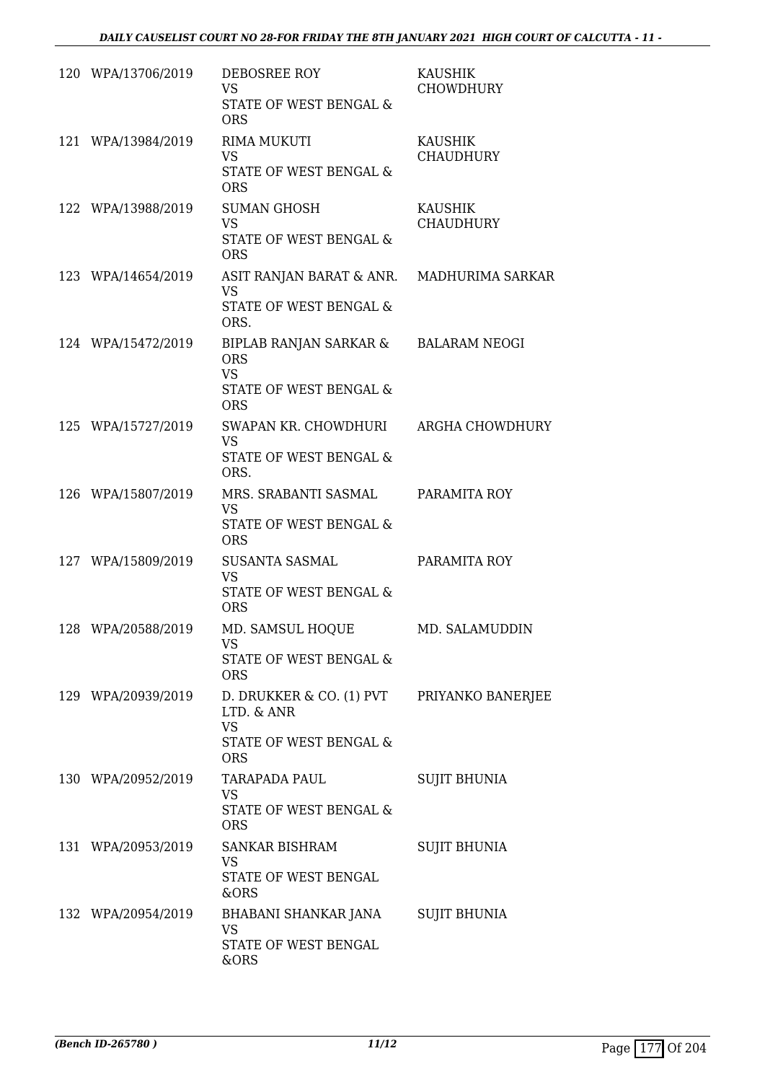| 120 WPA/13706/2019 | DEBOSREE ROY<br><b>VS</b><br>STATE OF WEST BENGAL &<br><b>ORS</b>                           | KAUSHIK<br><b>CHOWDHURY</b>        |
|--------------------|---------------------------------------------------------------------------------------------|------------------------------------|
| 121 WPA/13984/2019 | <b>RIMA MUKUTI</b><br><b>VS</b><br>STATE OF WEST BENGAL &<br><b>ORS</b>                     | <b>KAUSHIK</b><br><b>CHAUDHURY</b> |
| 122 WPA/13988/2019 | <b>SUMAN GHOSH</b><br><b>VS</b><br>STATE OF WEST BENGAL &<br><b>ORS</b>                     | KAUSHIK<br>CHAUDHURY               |
| 123 WPA/14654/2019 | ASIT RANJAN BARAT & ANR. MADHURIMA SARKAR<br><b>VS</b><br>STATE OF WEST BENGAL &<br>ORS.    |                                    |
| 124 WPA/15472/2019 | BIPLAB RANJAN SARKAR &<br><b>ORS</b><br><b>VS</b><br>STATE OF WEST BENGAL &<br><b>ORS</b>   | <b>BALARAM NEOGI</b>               |
| 125 WPA/15727/2019 | SWAPAN KR. CHOWDHURI<br><b>VS</b><br>STATE OF WEST BENGAL &<br>ORS.                         | ARGHA CHOWDHURY                    |
| 126 WPA/15807/2019 | MRS. SRABANTI SASMAL<br><b>VS</b><br>STATE OF WEST BENGAL &<br><b>ORS</b>                   | PARAMITA ROY                       |
| 127 WPA/15809/2019 | SUSANTA SASMAL<br><b>VS</b><br><b>STATE OF WEST BENGAL &amp;</b><br><b>ORS</b>              | PARAMITA ROY                       |
| 128 WPA/20588/2019 | MD. SAMSUL HOOUE<br><b>VS</b><br>STATE OF WEST BENGAL &<br><b>ORS</b>                       | MD. SALAMUDDIN                     |
| 129 WPA/20939/2019 | D. DRUKKER & CO. (1) PVT<br>LTD. & ANR<br><b>VS</b><br>STATE OF WEST BENGAL &<br><b>ORS</b> | PRIYANKO BANERJEE                  |
| 130 WPA/20952/2019 | TARAPADA PAUL<br><b>VS</b><br>STATE OF WEST BENGAL &<br><b>ORS</b>                          | <b>SUJIT BHUNIA</b>                |
| 131 WPA/20953/2019 | SANKAR BISHRAM<br><b>VS</b><br>STATE OF WEST BENGAL<br>&ORS                                 | <b>SUJIT BHUNIA</b>                |
| 132 WPA/20954/2019 | BHABANI SHANKAR JANA<br>VS<br>STATE OF WEST BENGAL<br>&ORS                                  | <b>SUJIT BHUNIA</b>                |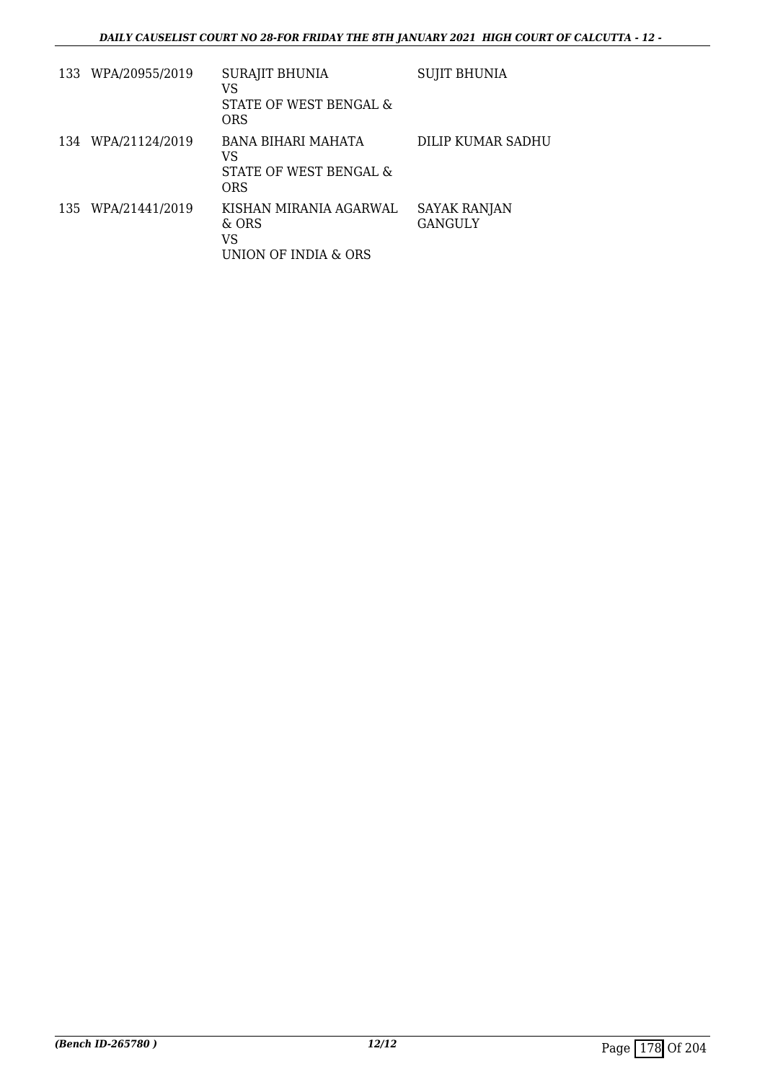|     | 133 WPA/20955/2019 | <b>SURAJIT BHUNIA</b><br>VS<br>STATE OF WEST BENGAL &<br><b>ORS</b> | <b>SUJIT BHUNIA</b>     |
|-----|--------------------|---------------------------------------------------------------------|-------------------------|
| 134 | WPA/21124/2019     | BANA BIHARI MAHATA<br>VS<br>STATE OF WEST BENGAL &<br>ORS           | DILIP KUMAR SADHU       |
| 135 | WPA/21441/2019     | KISHAN MIRANIA AGARWAL<br>& ORS<br>VS<br>UNION OF INDIA & ORS       | SAYAK RANJAN<br>GANGULY |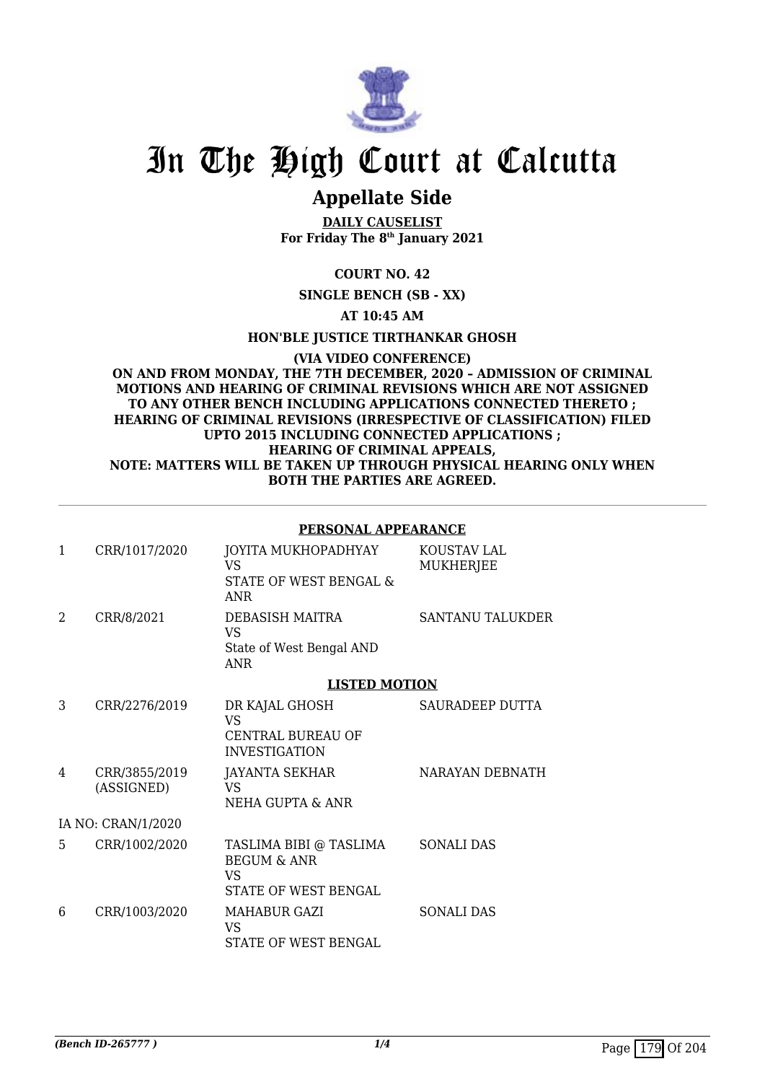

# **Appellate Side**

**DAILY CAUSELIST For Friday The 8th January 2021**

## **COURT NO. 42**

**SINGLE BENCH (SB - XX)**

**AT 10:45 AM**

**HON'BLE JUSTICE TIRTHANKAR GHOSH**

**(VIA VIDEO CONFERENCE) ON AND FROM MONDAY, THE 7TH DECEMBER, 2020 – ADMISSION OF CRIMINAL MOTIONS AND HEARING OF CRIMINAL REVISIONS WHICH ARE NOT ASSIGNED TO ANY OTHER BENCH INCLUDING APPLICATIONS CONNECTED THERETO ; HEARING OF CRIMINAL REVISIONS (IRRESPECTIVE OF CLASSIFICATION) FILED UPTO 2015 INCLUDING CONNECTED APPLICATIONS ; HEARING OF CRIMINAL APPEALS, NOTE: MATTERS WILL BE TAKEN UP THROUGH PHYSICAL HEARING ONLY WHEN BOTH THE PARTIES ARE AGREED.**

|              |                             | PERSONAL APPEARANCE                                                             |                          |
|--------------|-----------------------------|---------------------------------------------------------------------------------|--------------------------|
| $\mathbf{1}$ | CRR/1017/2020               | JOYITA MUKHOPADHYAY<br>VS.<br>STATE OF WEST BENGAL &<br><b>ANR</b>              | KOUSTAV LAL<br>MUKHERJEE |
| 2            | CRR/8/2021                  | DEBASISH MAITRA<br><b>VS</b><br>State of West Bengal AND<br><b>ANR</b>          | <b>SANTANU TALUKDER</b>  |
|              |                             | <b>LISTED MOTION</b>                                                            |                          |
| 3            | CRR/2276/2019               | DR KAJAL GHOSH<br><b>VS</b><br><b>CENTRAL BUREAU OF</b><br><b>INVESTIGATION</b> | SAURADEEP DUTTA          |
| 4            | CRR/3855/2019<br>(ASSIGNED) | JAYANTA SEKHAR<br><b>VS</b><br>NEHA GUPTA & ANR                                 | NARAYAN DEBNATH          |
|              | IA NO: CRAN/1/2020          |                                                                                 |                          |
| 5            | CRR/1002/2020               | TASLIMA BIBI @ TASLIMA<br><b>BEGUM &amp; ANR</b><br>VS.<br>STATE OF WEST BENGAL | <b>SONALI DAS</b>        |
| 6            | CRR/1003/2020               | <b>MAHABUR GAZI</b><br><b>VS</b><br>STATE OF WEST BENGAL                        | <b>SONALI DAS</b>        |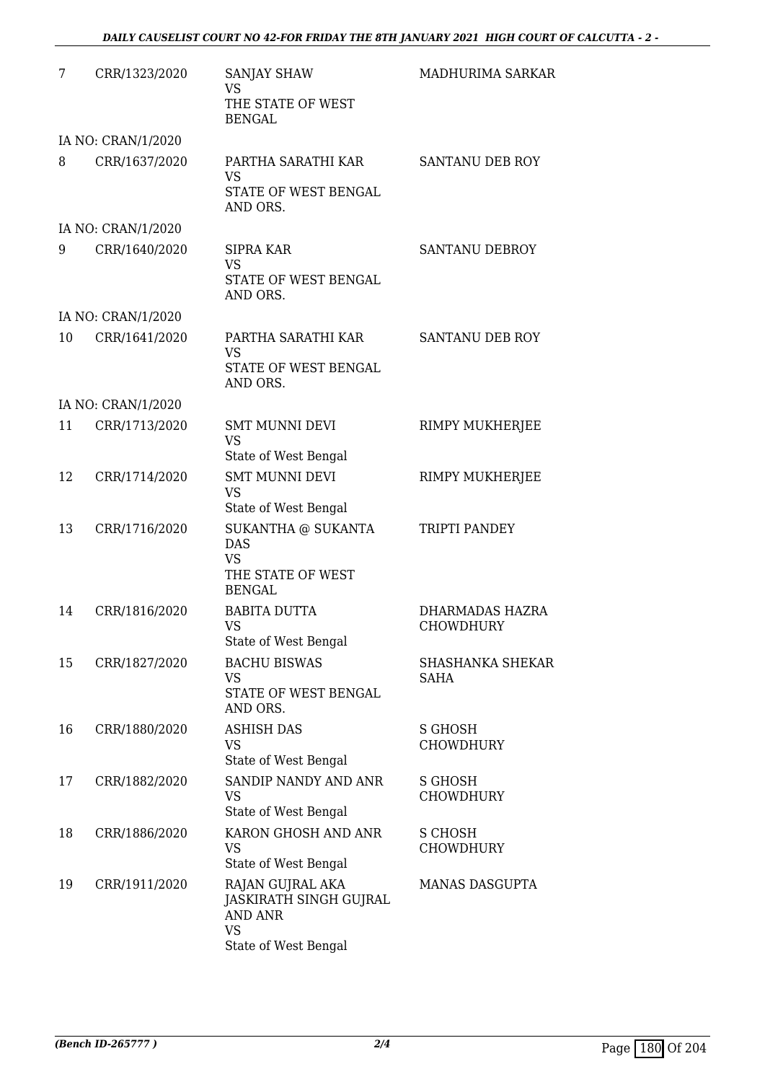| 7  | CRR/1323/2020      | <b>SANJAY SHAW</b><br><b>VS</b><br>THE STATE OF WEST<br><b>BENGAL</b>                             | MADHURIMA SARKAR                    |
|----|--------------------|---------------------------------------------------------------------------------------------------|-------------------------------------|
|    | IA NO: CRAN/1/2020 |                                                                                                   |                                     |
| 8  | CRR/1637/2020      | PARTHA SARATHI KAR<br><b>VS</b><br>STATE OF WEST BENGAL<br>AND ORS.                               | SANTANU DEB ROY                     |
|    | IA NO: CRAN/1/2020 |                                                                                                   |                                     |
| 9  | CRR/1640/2020      | <b>SIPRA KAR</b><br><b>VS</b><br>STATE OF WEST BENGAL<br>AND ORS.                                 | SANTANU DEBROY                      |
|    | IA NO: CRAN/1/2020 |                                                                                                   |                                     |
| 10 | CRR/1641/2020      | PARTHA SARATHI KAR<br><b>VS</b><br>STATE OF WEST BENGAL<br>AND ORS.                               | SANTANU DEB ROY                     |
|    | IA NO: CRAN/1/2020 |                                                                                                   |                                     |
| 11 | CRR/1713/2020      | <b>SMT MUNNI DEVI</b><br><b>VS</b><br>State of West Bengal                                        | RIMPY MUKHERJEE                     |
| 12 | CRR/1714/2020      | <b>SMT MUNNI DEVI</b><br><b>VS</b><br>State of West Bengal                                        | RIMPY MUKHERJEE                     |
| 13 | CRR/1716/2020      | SUKANTHA @ SUKANTA<br><b>DAS</b><br><b>VS</b><br>THE STATE OF WEST<br><b>BENGAL</b>               | TRIPTI PANDEY                       |
| 14 | CRR/1816/2020      | <b>BABITA DUTTA</b><br><b>VS</b><br>State of West Bengal                                          | DHARMADAS HAZRA<br><b>CHOWDHURY</b> |
| 15 | CRR/1827/2020      | <b>BACHU BISWAS</b><br><b>VS</b><br>STATE OF WEST BENGAL<br>AND ORS.                              | <b>SHASHANKA SHEKAR</b><br>SAHA     |
| 16 | CRR/1880/2020      | <b>ASHISH DAS</b><br>VS<br>State of West Bengal                                                   | <b>S GHOSH</b><br>CHOWDHURY         |
| 17 | CRR/1882/2020      | SANDIP NANDY AND ANR<br><b>VS</b><br>State of West Bengal                                         | S GHOSH<br><b>CHOWDHURY</b>         |
| 18 | CRR/1886/2020      | KARON GHOSH AND ANR<br><b>VS</b><br>State of West Bengal                                          | S CHOSH<br><b>CHOWDHURY</b>         |
| 19 | CRR/1911/2020      | RAJAN GUJRAL AKA<br>JASKIRATH SINGH GUJRAL<br><b>AND ANR</b><br><b>VS</b><br>State of West Bengal | <b>MANAS DASGUPTA</b>               |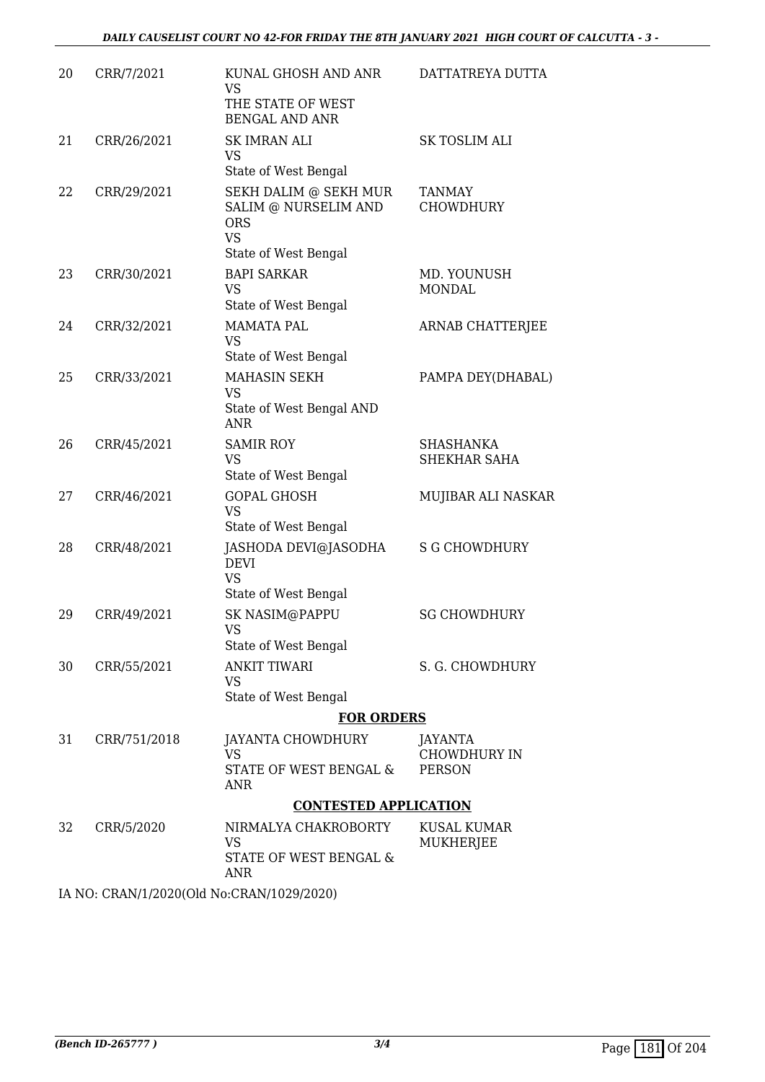| 20 | CRR/7/2021   | KUNAL GHOSH AND ANR<br>VS                                                                        | DATTATREYA DUTTA                         |
|----|--------------|--------------------------------------------------------------------------------------------------|------------------------------------------|
|    |              | THE STATE OF WEST<br><b>BENGAL AND ANR</b>                                                       |                                          |
| 21 | CRR/26/2021  | <b>SK IMRAN ALI</b><br><b>VS</b><br>State of West Bengal                                         | <b>SK TOSLIM ALI</b>                     |
| 22 | CRR/29/2021  | SEKH DALIM @ SEKH MUR<br>SALIM @ NURSELIM AND<br><b>ORS</b><br><b>VS</b><br>State of West Bengal | <b>TANMAY</b><br><b>CHOWDHURY</b>        |
| 23 | CRR/30/2021  | <b>BAPI SARKAR</b><br><b>VS</b><br>State of West Bengal                                          | MD. YOUNUSH<br><b>MONDAL</b>             |
| 24 | CRR/32/2021  | <b>MAMATA PAL</b><br><b>VS</b><br>State of West Bengal                                           | ARNAB CHATTERJEE                         |
| 25 | CRR/33/2021  | MAHASIN SEKH<br><b>VS</b><br>State of West Bengal AND<br><b>ANR</b>                              | PAMPA DEY(DHABAL)                        |
| 26 | CRR/45/2021  | <b>SAMIR ROY</b><br><b>VS</b><br>State of West Bengal                                            | <b>SHASHANKA</b><br><b>SHEKHAR SAHA</b>  |
| 27 | CRR/46/2021  | <b>GOPAL GHOSH</b><br><b>VS</b><br>State of West Bengal                                          | MUJIBAR ALI NASKAR                       |
| 28 | CRR/48/2021  | JASHODA DEVI@JASODHA<br><b>DEVI</b><br><b>VS</b><br>State of West Bengal                         | <b>S G CHOWDHURY</b>                     |
| 29 | CRR/49/2021  | SK NASIM@PAPPU<br>VS<br>State of West Bengal                                                     | <b>SG CHOWDHURY</b>                      |
| 30 | CRR/55/2021  | <b>ANKIT TIWARI</b><br>VS<br>State of West Bengal                                                | S. G. CHOWDHURY                          |
|    |              | <b>FOR ORDERS</b>                                                                                |                                          |
| 31 | CRR/751/2018 | JAYANTA CHOWDHURY<br><b>VS</b><br>STATE OF WEST BENGAL &                                         | JAYANTA<br>CHOWDHURY IN<br><b>PERSON</b> |
|    |              | ANR<br><b>CONTESTED APPLICATION</b>                                                              |                                          |
| 32 | CRR/5/2020   | NIRMALYA CHAKROBORTY<br>VS<br>STATE OF WEST BENGAL &<br><b>ANR</b>                               | KUSAL KUMAR<br>MUKHERJEE                 |

IA NO: CRAN/1/2020(Old No:CRAN/1029/2020)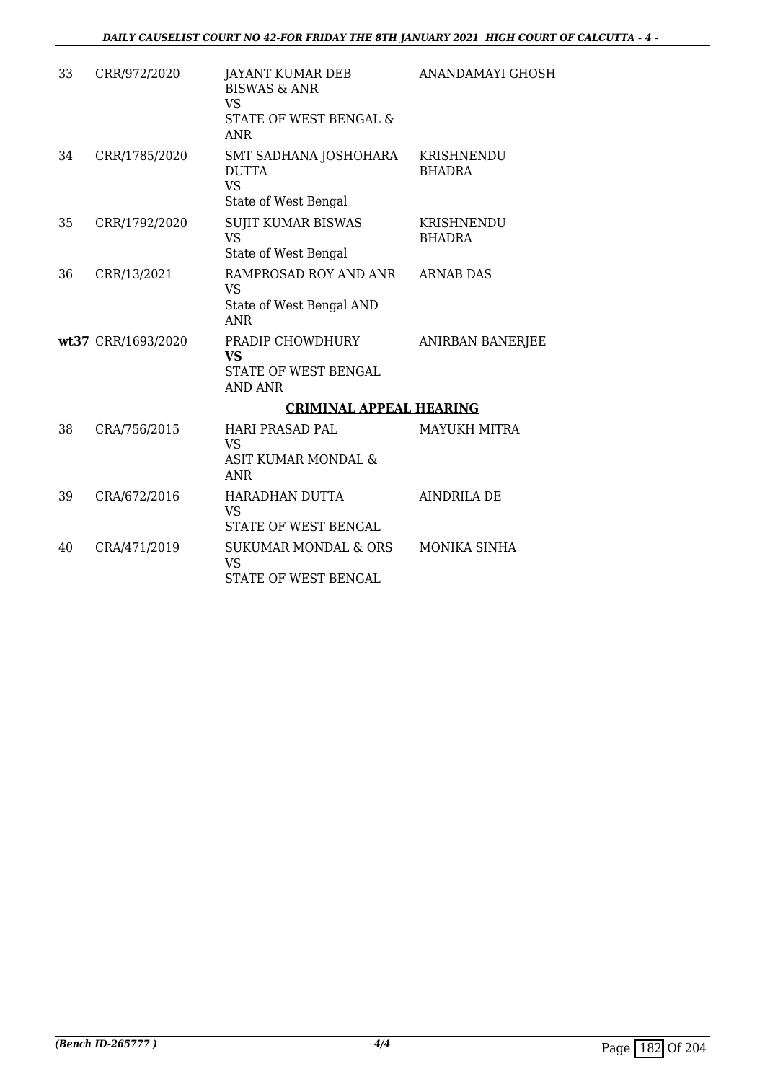| 33 | CRR/972/2020       | JAYANT KUMAR DEB<br><b>BISWAS &amp; ANR</b><br><b>VS</b><br>STATE OF WEST BENGAL &<br><b>ANR</b> | ANANDAMAYI GHOSH            |
|----|--------------------|--------------------------------------------------------------------------------------------------|-----------------------------|
| 34 | CRR/1785/2020      | SMT SADHANA JOSHOHARA<br><b>DUTTA</b><br><b>VS</b><br>State of West Bengal                       | KRISHNENDU<br><b>BHADRA</b> |
| 35 | CRR/1792/2020      | <b>SUJIT KUMAR BISWAS</b><br><b>VS</b><br>State of West Bengal                                   | KRISHNENDU<br>BHADRA        |
| 36 | CRR/13/2021        | RAMPROSAD ROY AND ANR<br><b>VS</b><br>State of West Bengal AND<br><b>ANR</b>                     | <b>ARNAB DAS</b>            |
|    | wt37 CRR/1693/2020 | PRADIP CHOWDHURY<br>VS<br>STATE OF WEST BENGAL<br>AND ANR                                        | ANIRBAN BANERJEE            |
|    |                    | <b>CRIMINAL APPEAL HEARING</b>                                                                   |                             |
| 38 | CRA/756/2015       | <b>HARI PRASAD PAL</b><br><b>VS</b><br>ASIT KUMAR MONDAL &<br><b>ANR</b>                         | <b>MAYUKH MITRA</b>         |
| 39 | CRA/672/2016       | HARADHAN DUTTA<br><b>VS</b><br>STATE OF WEST BENGAL                                              | <b>AINDRILA DE</b>          |
| 40 | CRA/471/2019       | <b>SUKUMAR MONDAL &amp; ORS</b><br><b>VS</b><br>STATE OF WEST BENGAL                             | <b>MONIKA SINHA</b>         |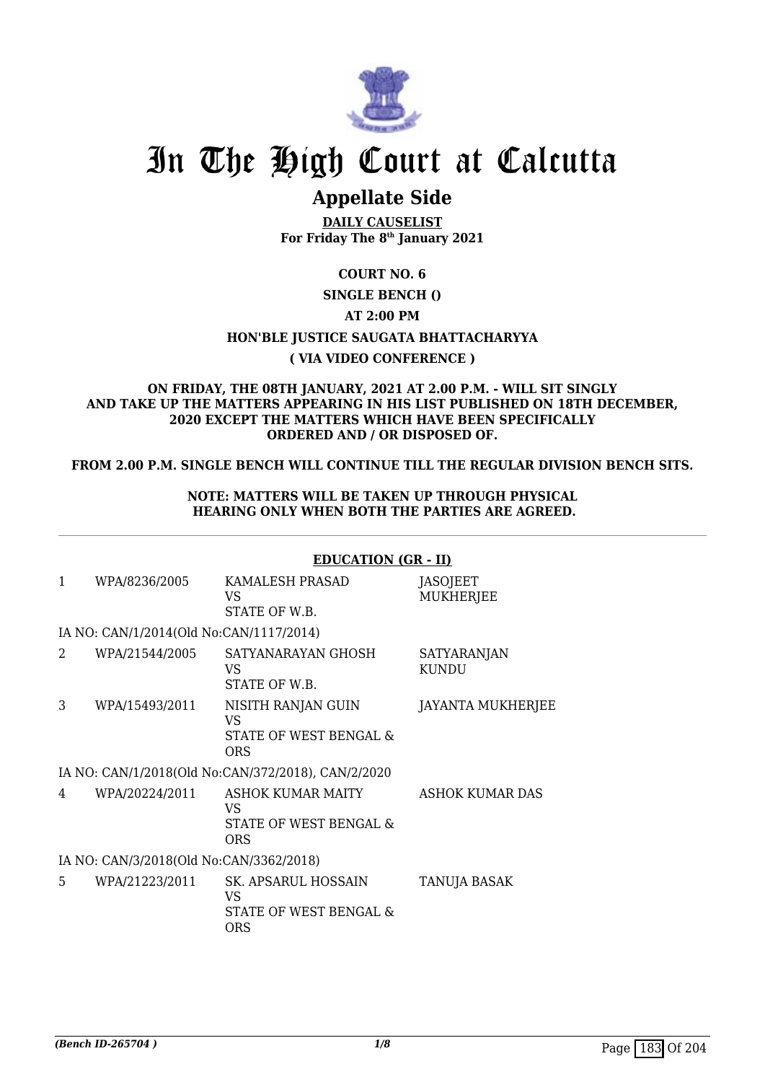

# **Appellate Side**

**DAILY CAUSELIST For Friday The 8th January 2021**

## **COURT NO. 6**

### **SINGLE BENCH ()**

### **AT 2:00 PM**

## **HON'BLE JUSTICE SAUGATA BHATTACHARYYA**

### **( VIA VIDEO CONFERENCE )**

#### **ON FRIDAY, THE 08TH JANUARY, 2021 AT 2.00 P.M. - WILL SIT SINGLY AND TAKE UP THE MATTERS APPEARING IN HIS LIST PUBLISHED ON 18TH DECEMBER, 2020 EXCEPT THE MATTERS WHICH HAVE BEEN SPECIFICALLY ORDERED AND / OR DISPOSED OF.**

### **FROM 2.00 P.M. SINGLE BENCH WILL CONTINUE TILL THE REGULAR DIVISION BENCH SITS.**

### **NOTE: MATTERS WILL BE TAKEN UP THROUGH PHYSICAL HEARING ONLY WHEN BOTH THE PARTIES ARE AGREED.**

|              |                                         | <b>EDUCATION (GR - II)</b>                                        |                                    |
|--------------|-----------------------------------------|-------------------------------------------------------------------|------------------------------------|
| $\mathbf{1}$ | WPA/8236/2005                           | KAMALESH PRASAD<br>VS<br>STATE OF W.B.                            | JASOJEET<br><b>MUKHERJEE</b>       |
|              | IA NO: CAN/1/2014(Old No:CAN/1117/2014) |                                                                   |                                    |
| 2            | WPA/21544/2005                          | SATYANARAYAN GHOSH<br>VS<br>STATE OF W.B.                         | <b>SATYARANJAN</b><br><b>KUNDU</b> |
| 3            | WPA/15493/2011                          | NISITH RANJAN GUIN<br>VS<br>STATE OF WEST BENGAL &<br><b>ORS</b>  | <b>JAYANTA MUKHERJEE</b>           |
|              |                                         | IA NO: CAN/1/2018(Old No:CAN/372/2018), CAN/2/2020                |                                    |
| 4            | WPA/20224/2011                          | ASHOK KUMAR MAITY<br>VS<br>STATE OF WEST BENGAL &<br><b>ORS</b>   | ASHOK KUMAR DAS                    |
|              | IA NO: CAN/3/2018(Old No:CAN/3362/2018) |                                                                   |                                    |
| 5            | WPA/21223/2011                          | SK. APSARUL HOSSAIN<br>VS<br>STATE OF WEST BENGAL &<br><b>ORS</b> | TANUJA BASAK                       |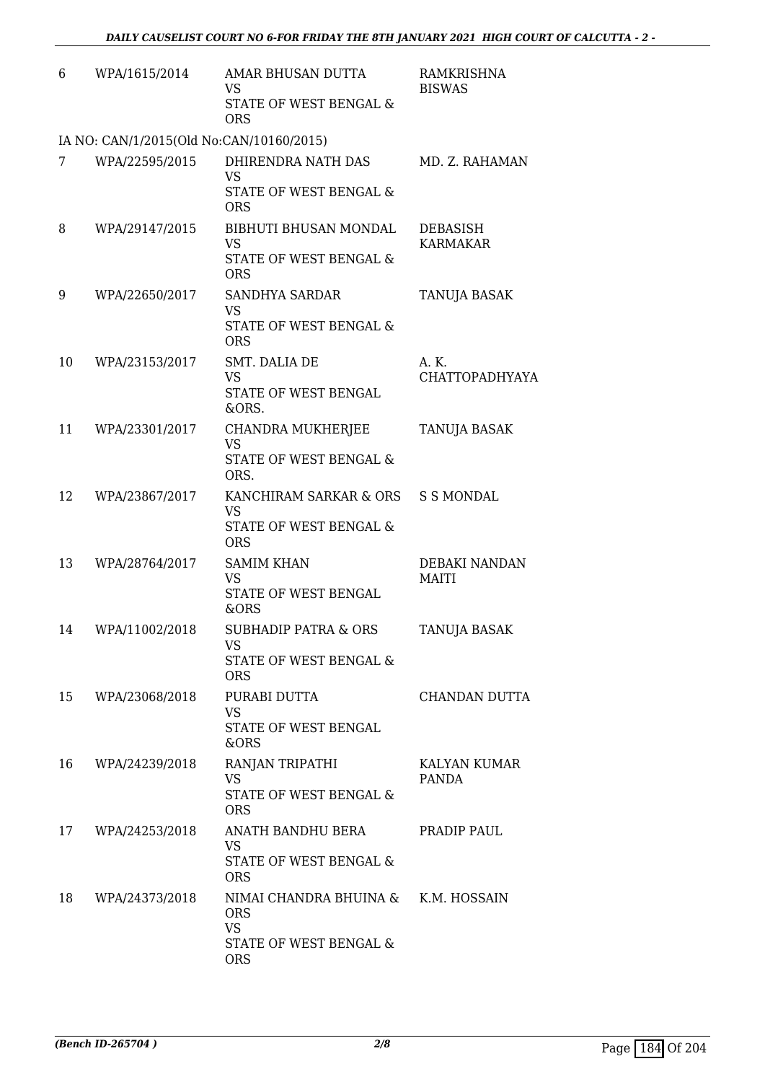| 6  | WPA/1615/2014                            | AMAR BHUSAN DUTTA<br><b>VS</b><br>STATE OF WEST BENGAL &<br><b>ORS</b>                    | RAMKRISHNA<br><b>BISWAS</b>    |
|----|------------------------------------------|-------------------------------------------------------------------------------------------|--------------------------------|
|    | IA NO: CAN/1/2015(Old No:CAN/10160/2015) |                                                                                           |                                |
| 7  | WPA/22595/2015                           | DHIRENDRA NATH DAS<br><b>VS</b><br>STATE OF WEST BENGAL &<br><b>ORS</b>                   | MD. Z. RAHAMAN                 |
| 8  | WPA/29147/2015                           | BIBHUTI BHUSAN MONDAL<br>VS<br>STATE OF WEST BENGAL &<br><b>ORS</b>                       | DEBASISH<br><b>KARMAKAR</b>    |
| 9  | WPA/22650/2017                           | <b>SANDHYA SARDAR</b><br><b>VS</b><br>STATE OF WEST BENGAL &<br><b>ORS</b>                | TANUJA BASAK                   |
| 10 | WPA/23153/2017                           | SMT. DALIA DE<br><b>VS</b><br>STATE OF WEST BENGAL<br>&ORS.                               | A. K.<br><b>CHATTOPADHYAYA</b> |
| 11 | WPA/23301/2017                           | CHANDRA MUKHERJEE<br>VS<br>STATE OF WEST BENGAL &<br>ORS.                                 | TANUJA BASAK                   |
| 12 | WPA/23867/2017                           | KANCHIRAM SARKAR & ORS<br><b>VS</b><br>STATE OF WEST BENGAL &<br><b>ORS</b>               | S S MONDAL                     |
| 13 | WPA/28764/2017                           | <b>SAMIM KHAN</b><br><b>VS</b><br>STATE OF WEST BENGAL<br>&ORS                            | DEBAKI NANDAN<br><b>MAITI</b>  |
| 14 | WPA/11002/2018                           | <b>SUBHADIP PATRA &amp; ORS</b><br>VS<br>STATE OF WEST BENGAL &<br><b>ORS</b>             | <b>TANUJA BASAK</b>            |
| 15 | WPA/23068/2018                           | PURABI DUTTA<br>VS<br>STATE OF WEST BENGAL<br>&ORS                                        | CHANDAN DUTTA                  |
| 16 | WPA/24239/2018                           | RANJAN TRIPATHI<br>VS<br>STATE OF WEST BENGAL &<br><b>ORS</b>                             | KALYAN KUMAR<br>PANDA          |
| 17 | WPA/24253/2018                           | ANATH BANDHU BERA<br><b>VS</b><br>STATE OF WEST BENGAL &<br><b>ORS</b>                    | PRADIP PAUL                    |
| 18 | WPA/24373/2018                           | NIMAI CHANDRA BHUINA &<br><b>ORS</b><br><b>VS</b><br>STATE OF WEST BENGAL &<br><b>ORS</b> | K.M. HOSSAIN                   |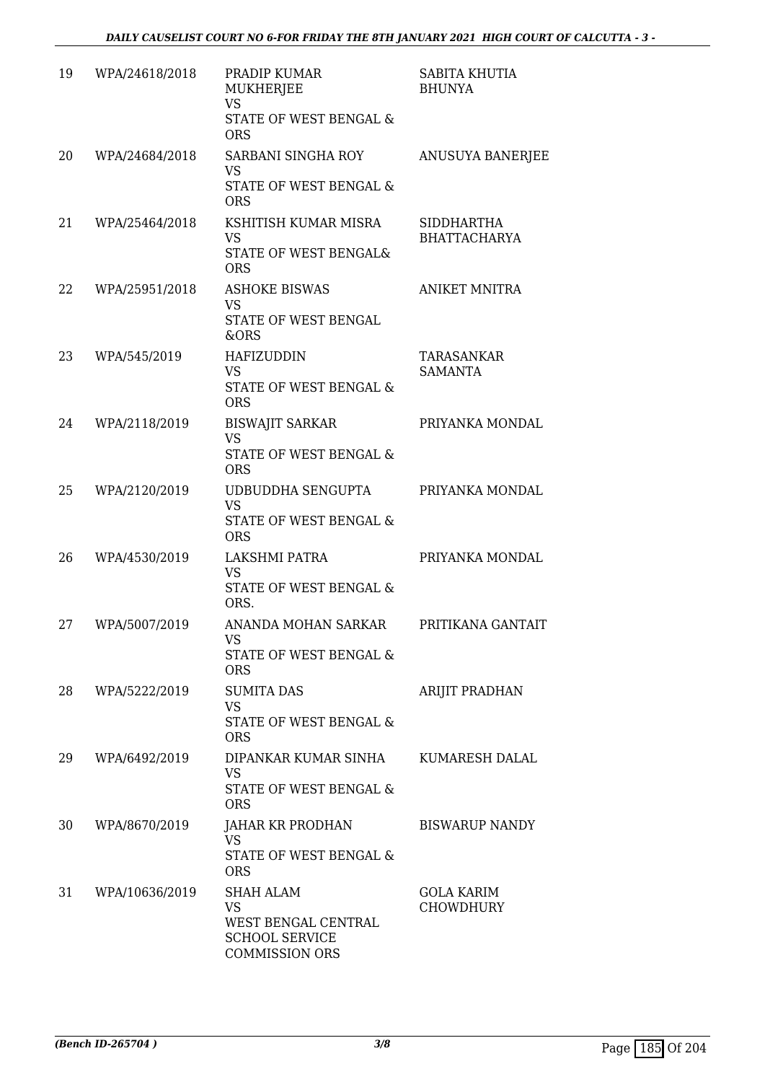| 19 | WPA/24618/2018 | PRADIP KUMAR<br><b>MUKHERJEE</b><br><b>VS</b><br>STATE OF WEST BENGAL &<br><b>ORS</b>           | SABITA KHUTIA<br><b>BHUNYA</b>        |
|----|----------------|-------------------------------------------------------------------------------------------------|---------------------------------------|
| 20 | WPA/24684/2018 | SARBANI SINGHA ROY<br><b>VS</b><br>STATE OF WEST BENGAL &<br><b>ORS</b>                         | ANUSUYA BANERJEE                      |
| 21 | WPA/25464/2018 | KSHITISH KUMAR MISRA<br><b>VS</b><br>STATE OF WEST BENGAL&<br><b>ORS</b>                        | SIDDHARTHA<br><b>BHATTACHARYA</b>     |
| 22 | WPA/25951/2018 | <b>ASHOKE BISWAS</b><br><b>VS</b><br><b>STATE OF WEST BENGAL</b><br>&ORS                        | <b>ANIKET MNITRA</b>                  |
| 23 | WPA/545/2019   | <b>HAFIZUDDIN</b><br><b>VS</b><br>STATE OF WEST BENGAL &<br><b>ORS</b>                          | TARASANKAR<br><b>SAMANTA</b>          |
| 24 | WPA/2118/2019  | <b>BISWAJIT SARKAR</b><br><b>VS</b><br>STATE OF WEST BENGAL &<br><b>ORS</b>                     | PRIYANKA MONDAL                       |
| 25 | WPA/2120/2019  | UDBUDDHA SENGUPTA<br><b>VS</b><br>STATE OF WEST BENGAL &<br><b>ORS</b>                          | PRIYANKA MONDAL                       |
| 26 | WPA/4530/2019  | LAKSHMI PATRA<br><b>VS</b><br>STATE OF WEST BENGAL &<br>ORS.                                    | PRIYANKA MONDAL                       |
| 27 | WPA/5007/2019  | ANANDA MOHAN SARKAR<br>VS<br>STATE OF WEST BENGAL &<br><b>ORS</b>                               | PRITIKANA GANTAIT                     |
| 28 | WPA/5222/2019  | <b>SUMITA DAS</b><br><b>VS</b><br>STATE OF WEST BENGAL &<br><b>ORS</b>                          | <b>ARIJIT PRADHAN</b>                 |
| 29 | WPA/6492/2019  | DIPANKAR KUMAR SINHA<br>VS.<br>STATE OF WEST BENGAL &<br><b>ORS</b>                             | KUMARESH DALAL                        |
| 30 | WPA/8670/2019  | JAHAR KR PRODHAN<br>VS<br>STATE OF WEST BENGAL &<br><b>ORS</b>                                  | <b>BISWARUP NANDY</b>                 |
| 31 | WPA/10636/2019 | SHAH ALAM<br><b>VS</b><br>WEST BENGAL CENTRAL<br><b>SCHOOL SERVICE</b><br><b>COMMISSION ORS</b> | <b>GOLA KARIM</b><br><b>CHOWDHURY</b> |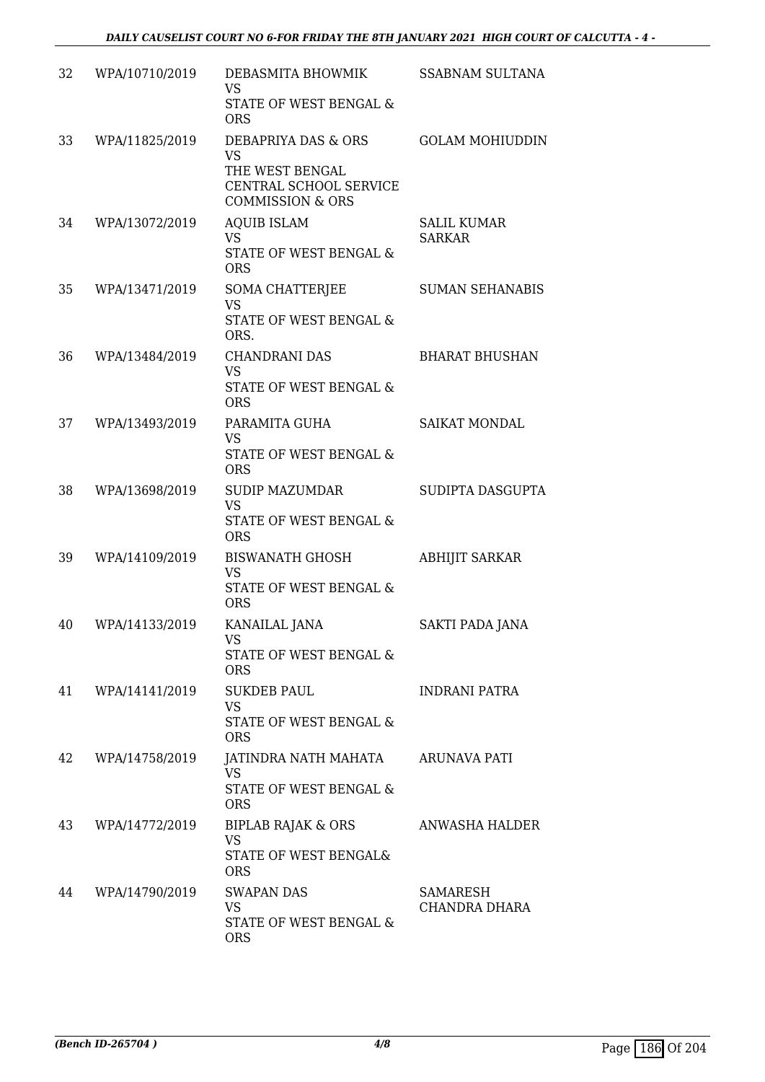| 32 | WPA/10710/2019 | DEBASMITA BHOWMIK<br><b>VS</b><br>STATE OF WEST BENGAL &<br><b>ORS</b>                                       | <b>SSABNAM SULTANA</b>              |
|----|----------------|--------------------------------------------------------------------------------------------------------------|-------------------------------------|
| 33 | WPA/11825/2019 | DEBAPRIYA DAS & ORS<br><b>VS</b><br>THE WEST BENGAL<br>CENTRAL SCHOOL SERVICE<br><b>COMMISSION &amp; ORS</b> | <b>GOLAM MOHIUDDIN</b>              |
| 34 | WPA/13072/2019 | <b>AQUIB ISLAM</b><br><b>VS</b><br>STATE OF WEST BENGAL &<br><b>ORS</b>                                      | <b>SALIL KUMAR</b><br><b>SARKAR</b> |
| 35 | WPA/13471/2019 | SOMA CHATTERJEE<br><b>VS</b><br>STATE OF WEST BENGAL &<br>ORS.                                               | <b>SUMAN SEHANABIS</b>              |
| 36 | WPA/13484/2019 | <b>CHANDRANI DAS</b><br><b>VS</b><br>STATE OF WEST BENGAL &<br><b>ORS</b>                                    | <b>BHARAT BHUSHAN</b>               |
| 37 | WPA/13493/2019 | PARAMITA GUHA<br><b>VS</b><br>STATE OF WEST BENGAL &<br><b>ORS</b>                                           | SAIKAT MONDAL                       |
| 38 | WPA/13698/2019 | <b>SUDIP MAZUMDAR</b><br><b>VS</b><br>STATE OF WEST BENGAL &<br><b>ORS</b>                                   | SUDIPTA DASGUPTA                    |
| 39 | WPA/14109/2019 | <b>BISWANATH GHOSH</b><br><b>VS</b><br><b>STATE OF WEST BENGAL &amp;</b><br><b>ORS</b>                       | <b>ABHIJIT SARKAR</b>               |
| 40 | WPA/14133/2019 | KANAILAL JANA<br>VS<br>STATE OF WEST BENGAL &<br><b>ORS</b>                                                  | SAKTI PADA JANA                     |
| 41 | WPA/14141/2019 | <b>SUKDEB PAUL</b><br><b>VS</b><br>STATE OF WEST BENGAL &<br><b>ORS</b>                                      | INDRANI PATRA                       |
| 42 | WPA/14758/2019 | JATINDRA NATH MAHATA<br><b>VS</b><br>STATE OF WEST BENGAL &<br><b>ORS</b>                                    | <b>ARUNAVA PATI</b>                 |
| 43 | WPA/14772/2019 | <b>BIPLAB RAJAK &amp; ORS</b><br><b>VS</b><br>STATE OF WEST BENGAL&<br><b>ORS</b>                            | ANWASHA HALDER                      |
| 44 | WPA/14790/2019 | <b>SWAPAN DAS</b><br><b>VS</b><br>STATE OF WEST BENGAL &<br><b>ORS</b>                                       | SAMARESH<br>CHANDRA DHARA           |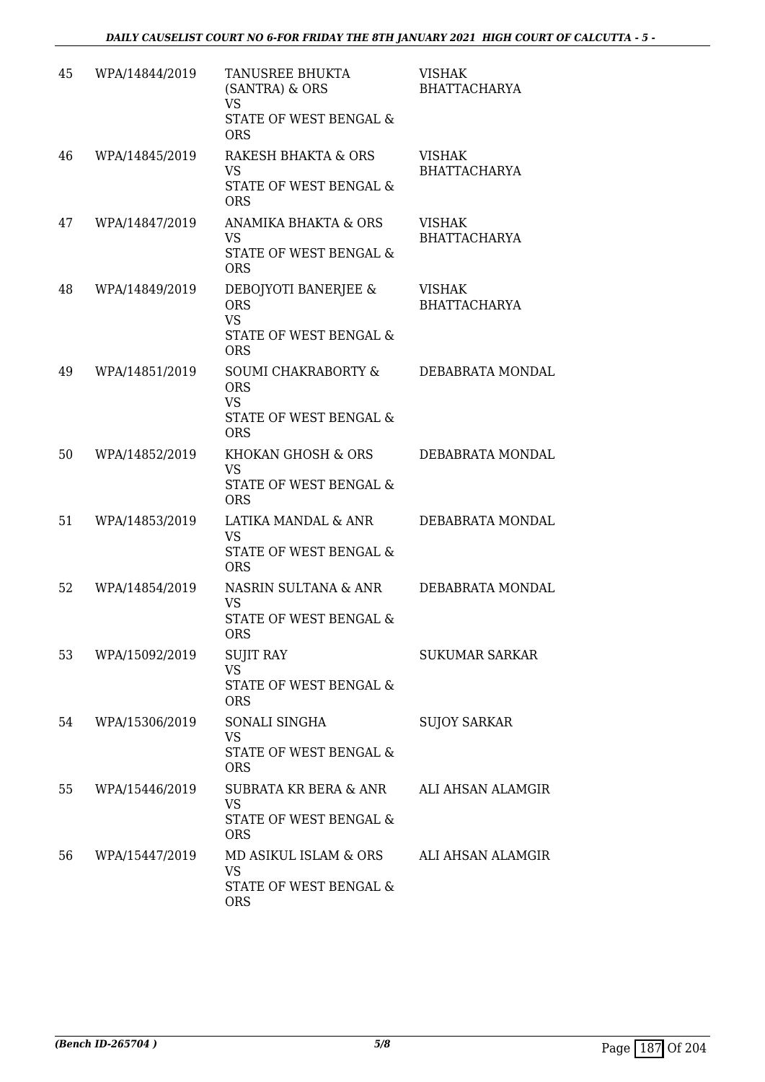| 45 | WPA/14844/2019 | TANUSREE BHUKTA<br>(SANTRA) & ORS<br><b>VS</b><br>STATE OF WEST BENGAL &<br><b>ORS</b>  | <b>VISHAK</b><br><b>BHATTACHARYA</b> |
|----|----------------|-----------------------------------------------------------------------------------------|--------------------------------------|
| 46 | WPA/14845/2019 | RAKESH BHAKTA & ORS<br><b>VS</b><br>STATE OF WEST BENGAL &<br><b>ORS</b>                | <b>VISHAK</b><br><b>BHATTACHARYA</b> |
| 47 | WPA/14847/2019 | ANAMIKA BHAKTA & ORS<br><b>VS</b><br>STATE OF WEST BENGAL &<br><b>ORS</b>               | <b>VISHAK</b><br><b>BHATTACHARYA</b> |
| 48 | WPA/14849/2019 | DEBOJYOTI BANERJEE &<br><b>ORS</b><br><b>VS</b><br>STATE OF WEST BENGAL &<br><b>ORS</b> | <b>VISHAK</b><br><b>BHATTACHARYA</b> |
| 49 | WPA/14851/2019 | SOUMI CHAKRABORTY &<br><b>ORS</b><br><b>VS</b><br>STATE OF WEST BENGAL &<br><b>ORS</b>  | DEBABRATA MONDAL                     |
| 50 | WPA/14852/2019 | KHOKAN GHOSH & ORS<br><b>VS</b><br>STATE OF WEST BENGAL &<br><b>ORS</b>                 | DEBABRATA MONDAL                     |
| 51 | WPA/14853/2019 | LATIKA MANDAL & ANR<br><b>VS</b><br>STATE OF WEST BENGAL &<br><b>ORS</b>                | DEBABRATA MONDAL                     |
| 52 | WPA/14854/2019 | NASRIN SULTANA & ANR<br><b>VS</b><br>STATE OF WEST BENGAL &<br>ORS                      | DEBABRATA MONDAL                     |
| 53 | WPA/15092/2019 | <b>SUJIT RAY</b><br><b>VS</b><br>STATE OF WEST BENGAL &<br><b>ORS</b>                   | <b>SUKUMAR SARKAR</b>                |
| 54 | WPA/15306/2019 | SONALI SINGHA<br><b>VS</b><br><b>STATE OF WEST BENGAL &amp;</b><br><b>ORS</b>           | <b>SUJOY SARKAR</b>                  |
| 55 | WPA/15446/2019 | SUBRATA KR BERA & ANR<br><b>VS</b><br>STATE OF WEST BENGAL &<br><b>ORS</b>              | ALI AHSAN ALAMGIR                    |
| 56 | WPA/15447/2019 | MD ASIKUL ISLAM & ORS<br>VS<br>STATE OF WEST BENGAL &<br><b>ORS</b>                     | ALI AHSAN ALAMGIR                    |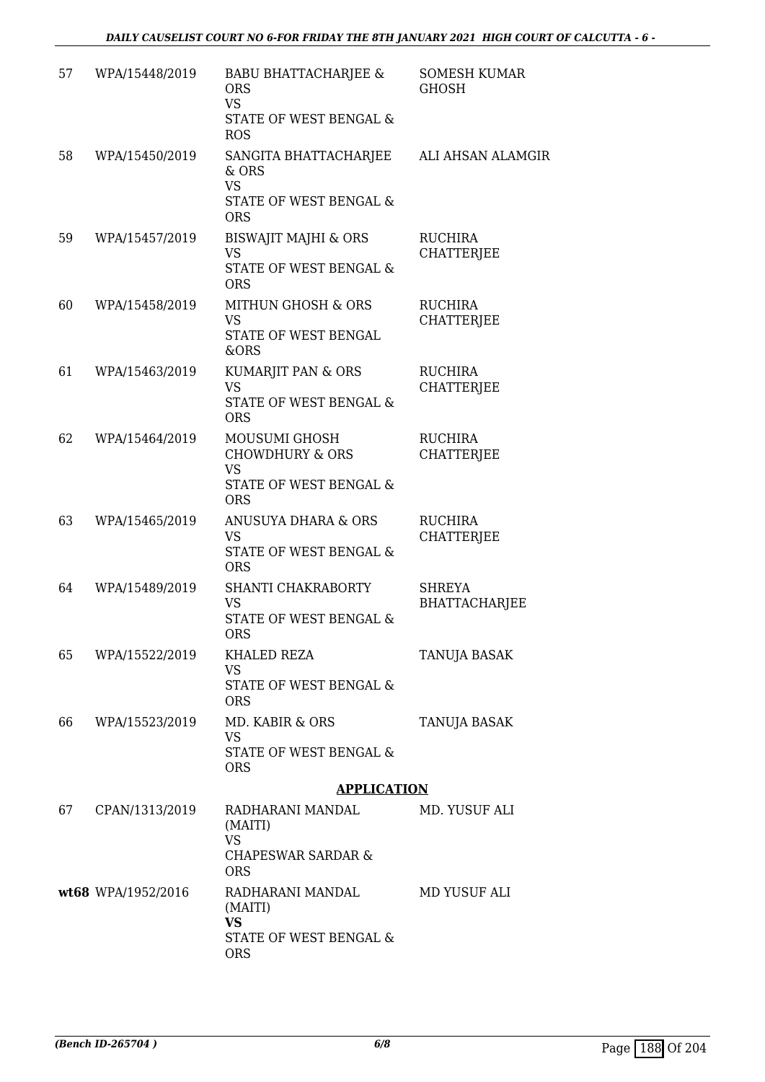| 57 | WPA/15448/2019     | <b>BABU BHATTACHARJEE &amp;</b><br><b>ORS</b><br><b>VS</b><br>STATE OF WEST BENGAL &<br><b>ROS</b> | <b>SOMESH KUMAR</b><br><b>GHOSH</b>   |
|----|--------------------|----------------------------------------------------------------------------------------------------|---------------------------------------|
| 58 | WPA/15450/2019     | SANGITA BHATTACHARJEE<br>& ORS<br><b>VS</b><br>STATE OF WEST BENGAL &<br><b>ORS</b>                | ALI AHSAN ALAMGIR                     |
| 59 | WPA/15457/2019     | <b>BISWAJIT MAJHI &amp; ORS</b><br><b>VS</b><br>STATE OF WEST BENGAL &<br><b>ORS</b>               | <b>RUCHIRA</b><br><b>CHATTERJEE</b>   |
| 60 | WPA/15458/2019     | MITHUN GHOSH & ORS<br><b>VS</b><br>STATE OF WEST BENGAL<br>&ORS                                    | <b>RUCHIRA</b><br><b>CHATTERJEE</b>   |
| 61 | WPA/15463/2019     | KUMARJIT PAN & ORS<br>VS<br><b>STATE OF WEST BENGAL &amp;</b><br><b>ORS</b>                        | <b>RUCHIRA</b><br><b>CHATTERJEE</b>   |
| 62 | WPA/15464/2019     | MOUSUMI GHOSH<br><b>CHOWDHURY &amp; ORS</b><br><b>VS</b><br>STATE OF WEST BENGAL &<br><b>ORS</b>   | <b>RUCHIRA</b><br><b>CHATTERJEE</b>   |
| 63 | WPA/15465/2019     | ANUSUYA DHARA & ORS<br><b>VS</b><br>STATE OF WEST BENGAL &<br><b>ORS</b>                           | RUCHIRA<br>CHATTERJEE                 |
| 64 | WPA/15489/2019     | SHANTI CHAKRABORTY<br><b>VS</b><br>STATE OF WEST BENGAL &<br><b>ORS</b>                            | <b>SHREYA</b><br><b>BHATTACHARJEE</b> |
| 65 | WPA/15522/2019     | KHALED REZA<br>VS<br>STATE OF WEST BENGAL &<br><b>ORS</b>                                          | TANUJA BASAK                          |
| 66 | WPA/15523/2019     | MD. KABIR & ORS<br>VS<br>STATE OF WEST BENGAL &<br><b>ORS</b>                                      | TANUJA BASAK                          |
|    |                    | <b>APPLICATION</b>                                                                                 |                                       |
| 67 | CPAN/1313/2019     | RADHARANI MANDAL<br>(MAITI)<br><b>VS</b><br><b>CHAPESWAR SARDAR &amp;</b><br><b>ORS</b>            | MD. YUSUF ALI                         |
|    | wt68 WPA/1952/2016 | RADHARANI MANDAL<br>(MAITI)<br>VS<br>STATE OF WEST BENGAL &<br><b>ORS</b>                          | MD YUSUF ALI                          |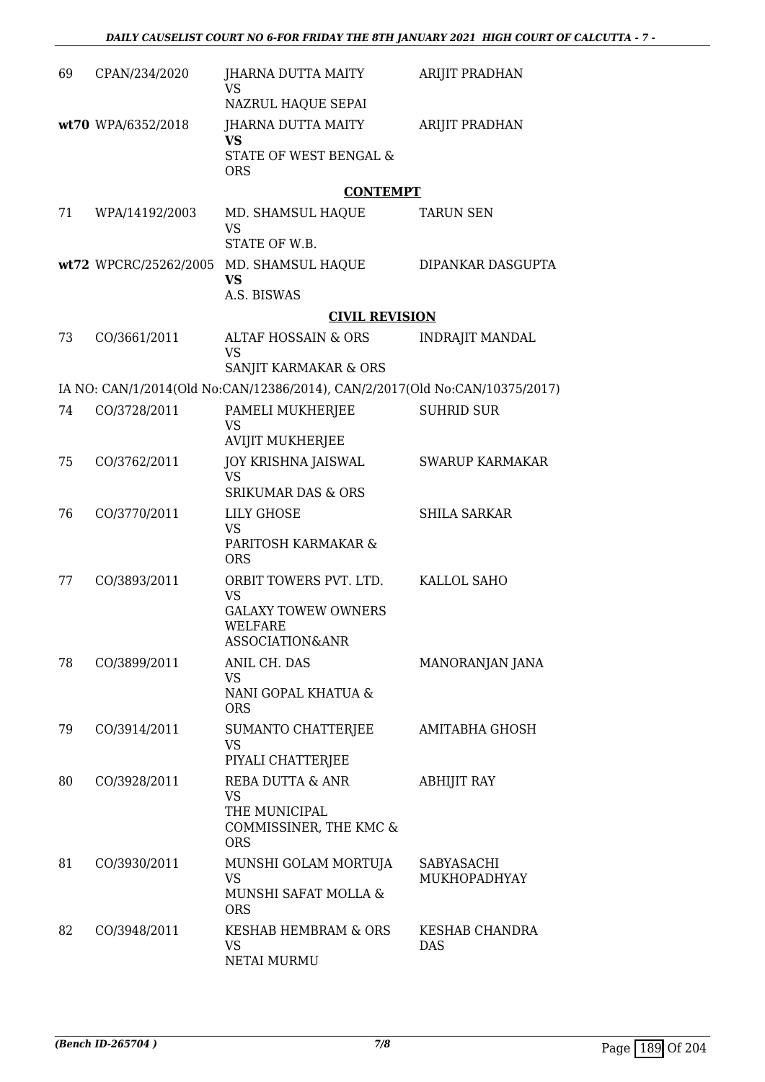| 69 | CPAN/234/2020      | JHARNA DUTTA MAITY<br>VS                                                                               | ARIJIT PRADHAN             |
|----|--------------------|--------------------------------------------------------------------------------------------------------|----------------------------|
|    | wt70 WPA/6352/2018 | NAZRUL HAQUE SEPAI<br>JHARNA DUTTA MAITY<br><b>VS</b><br>STATE OF WEST BENGAL &                        | ARIJIT PRADHAN             |
|    |                    | <b>ORS</b>                                                                                             |                            |
| 71 | WPA/14192/2003     | <b>CONTEMPT</b><br>MD. SHAMSUL HAQUE<br><b>VS</b><br>STATE OF W.B.                                     | <b>TARUN SEN</b>           |
|    |                    | wt72 WPCRC/25262/2005 MD. SHAMSUL HAQUE<br><b>VS</b><br>A.S. BISWAS                                    | DIPANKAR DASGUPTA          |
|    |                    | <b>CIVIL REVISION</b>                                                                                  |                            |
| 73 | CO/3661/2011       | ALTAF HOSSAIN & ORS<br><b>VS</b>                                                                       | <b>INDRAJIT MANDAL</b>     |
|    |                    | SANJIT KARMAKAR & ORS<br>IA NO: CAN/1/2014(Old No:CAN/12386/2014), CAN/2/2017(Old No:CAN/10375/2017)   |                            |
| 74 | CO/3728/2011       | PAMELI MUKHERJEE                                                                                       | <b>SUHRID SUR</b>          |
|    |                    | <b>VS</b><br><b>AVIJIT MUKHERJEE</b>                                                                   |                            |
| 75 | CO/3762/2011       | <b>JOY KRISHNA JAISWAL</b><br><b>VS</b><br><b>SRIKUMAR DAS &amp; ORS</b>                               | <b>SWARUP KARMAKAR</b>     |
| 76 | CO/3770/2011       | <b>LILY GHOSE</b><br><b>VS</b><br>PARITOSH KARMAKAR &<br><b>ORS</b>                                    | <b>SHILA SARKAR</b>        |
| 77 | CO/3893/2011       | ORBIT TOWERS PVT. LTD.<br><b>VS</b><br><b>GALAXY TOWEW OWNERS</b><br><b>WELFARE</b><br>ASSOCIATION&ANR | KALLOL SAHO                |
| 78 | CO/3899/2011       | ANIL CH. DAS<br><b>VS</b><br>NANI GOPAL KHATUA &<br><b>ORS</b>                                         | MANORANJAN JANA            |
| 79 | CO/3914/2011       | SUMANTO CHATTERJEE<br>VS<br>PIYALI CHATTERJEE                                                          | AMITABHA GHOSH             |
| 80 | CO/3928/2011       | REBA DUTTA & ANR<br><b>VS</b><br>THE MUNICIPAL<br>COMMISSINER, THE KMC &<br><b>ORS</b>                 | <b>ABHIJIT RAY</b>         |
| 81 | CO/3930/2011       | MUNSHI GOLAM MORTUJA<br><b>VS</b><br>MUNSHI SAFAT MOLLA &<br><b>ORS</b>                                | SABYASACHI<br>MUKHOPADHYAY |
| 82 | CO/3948/2011       | KESHAB HEMBRAM & ORS<br><b>VS</b><br>NETAI MURMU                                                       | KESHAB CHANDRA<br>DAS      |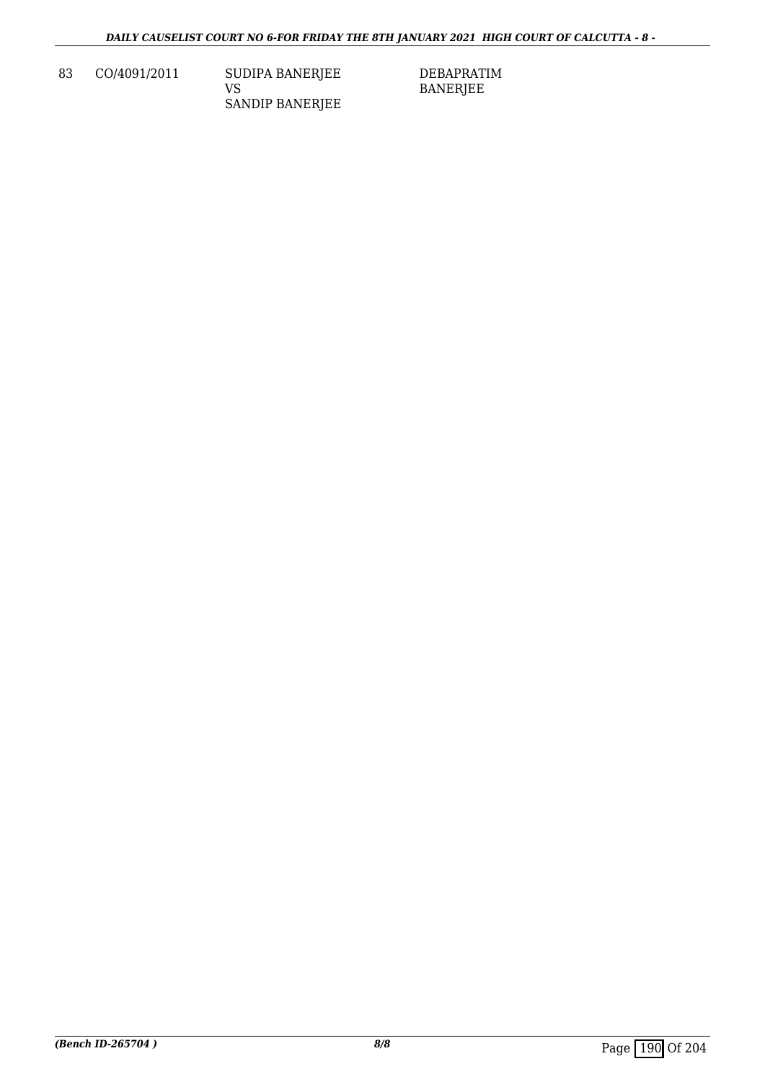83 CO/4091/2011 SUDIPA BANERJEE VS SANDIP BANERJEE DEBAPRATIM BANERJEE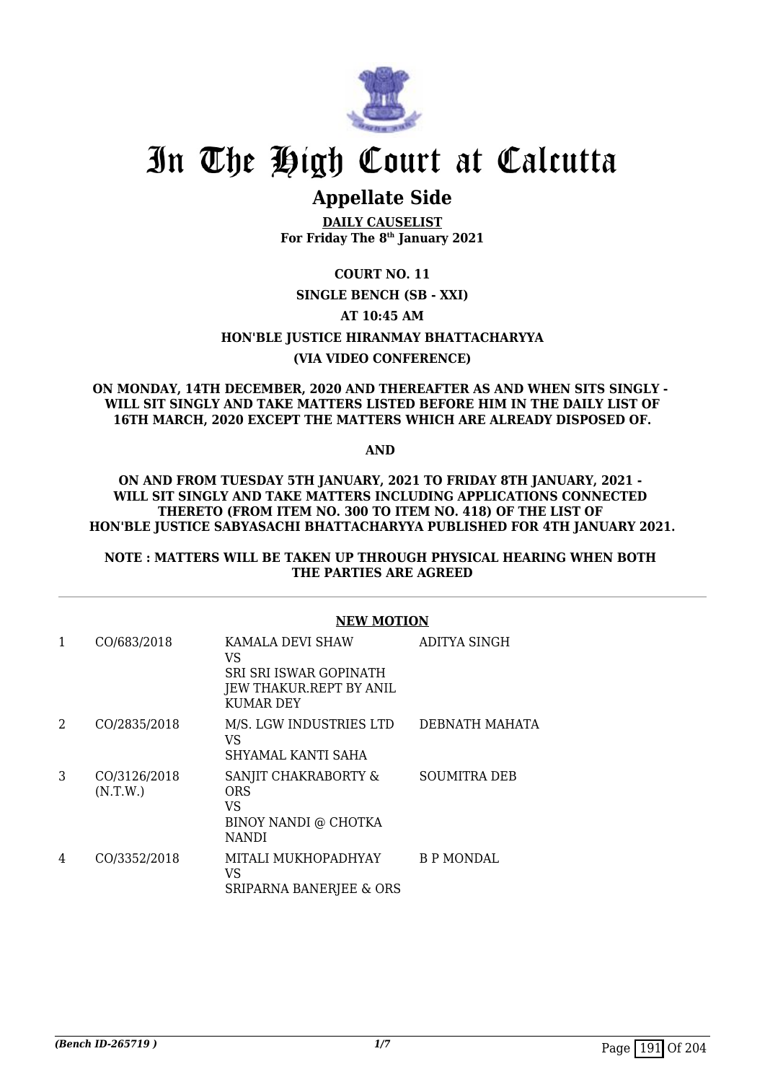

# **Appellate Side**

**DAILY CAUSELIST For Friday The 8th January 2021**

**COURT NO. 11**

## **SINGLE BENCH (SB - XXI)**

### **AT 10:45 AM**

**HON'BLE JUSTICE HIRANMAY BHATTACHARYYA**

## **(VIA VIDEO CONFERENCE)**

### **ON MONDAY, 14TH DECEMBER, 2020 AND THEREAFTER AS AND WHEN SITS SINGLY - WILL SIT SINGLY AND TAKE MATTERS LISTED BEFORE HIM IN THE DAILY LIST OF 16TH MARCH, 2020 EXCEPT THE MATTERS WHICH ARE ALREADY DISPOSED OF.**

**AND** 

#### **ON AND FROM TUESDAY 5TH JANUARY, 2021 TO FRIDAY 8TH JANUARY, 2021 - WILL SIT SINGLY AND TAKE MATTERS INCLUDING APPLICATIONS CONNECTED THERETO (FROM ITEM NO. 300 TO ITEM NO. 418) OF THE LIST OF HON'BLE JUSTICE SABYASACHI BHATTACHARYYA PUBLISHED FOR 4TH JANUARY 2021.**

### **NOTE : MATTERS WILL BE TAKEN UP THROUGH PHYSICAL HEARING WHEN BOTH THE PARTIES ARE AGREED**

|   |                          | <b>NEW MOTION</b>                                                                               |                     |  |
|---|--------------------------|-------------------------------------------------------------------------------------------------|---------------------|--|
| 1 | CO/683/2018              | KAMALA DEVI SHAW<br>VS<br>SRI SRI ISWAR GOPINATH<br>JEW THAKUR.REPT BY ANIL<br><b>KUMAR DEY</b> | ADITYA SINGH        |  |
| 2 | CO/2835/2018             | M/S. LGW INDUSTRIES LTD<br>VS<br>SHYAMAL KANTI SAHA                                             | DEBNATH MAHATA      |  |
| 3 | CO/3126/2018<br>(N.T.W.) | SANJIT CHAKRABORTY &<br><b>ORS</b><br>VS<br>BINOY NANDI @ CHOTKA<br>NANDI                       | <b>SOUMITRA DEB</b> |  |
| 4 | CO/3352/2018             | MITALI MUKHOPADHYAY<br>VS<br>SRIPARNA BANERJEE & ORS                                            | B P MONDAL          |  |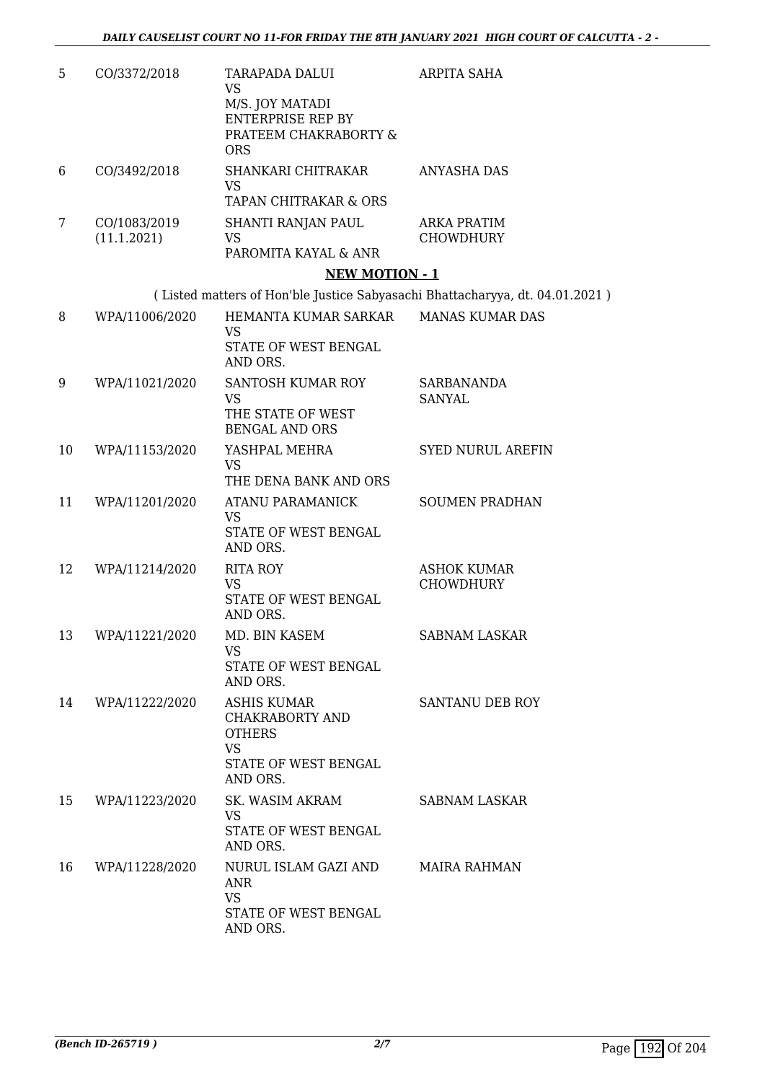| 5  | CO/3372/2018                | TARAPADA DALUI<br><b>VS</b>                                         | ARPITA SAHA                                                                  |
|----|-----------------------------|---------------------------------------------------------------------|------------------------------------------------------------------------------|
|    |                             | M/S. JOY MATADI<br><b>ENTERPRISE REP BY</b>                         |                                                                              |
|    |                             | PRATEEM CHAKRABORTY &<br><b>ORS</b>                                 |                                                                              |
| 6  | CO/3492/2018                | SHANKARI CHITRAKAR<br><b>VS</b>                                     | ANYASHA DAS                                                                  |
|    |                             | TAPAN CHITRAKAR & ORS                                               |                                                                              |
| 7  | CO/1083/2019<br>(11.1.2021) | SHANTI RANJAN PAUL<br>VS                                            | ARKA PRATIM<br><b>CHOWDHURY</b>                                              |
|    |                             | PAROMITA KAYAL & ANR                                                |                                                                              |
|    |                             | <b>NEW MOTION - 1</b>                                               |                                                                              |
|    |                             |                                                                     | (Listed matters of Hon'ble Justice Sabyasachi Bhattacharyya, dt. 04.01.2021) |
| 8  | WPA/11006/2020              | HEMANTA KUMAR SARKAR<br><b>VS</b>                                   | <b>MANAS KUMAR DAS</b>                                                       |
|    |                             | STATE OF WEST BENGAL<br>AND ORS.                                    |                                                                              |
| 9  | WPA/11021/2020              | SANTOSH KUMAR ROY<br><b>VS</b>                                      | <b>SARBANANDA</b><br><b>SANYAL</b>                                           |
|    |                             | THE STATE OF WEST<br><b>BENGAL AND ORS</b>                          |                                                                              |
| 10 | WPA/11153/2020              | YASHPAL MEHRA<br><b>VS</b>                                          | <b>SYED NURUL AREFIN</b>                                                     |
|    |                             | THE DENA BANK AND ORS                                               |                                                                              |
| 11 | WPA/11201/2020              | ATANU PARAMANICK<br><b>VS</b>                                       | <b>SOUMEN PRADHAN</b>                                                        |
|    |                             | STATE OF WEST BENGAL<br>AND ORS.                                    |                                                                              |
| 12 | WPA/11214/2020              | <b>RITA ROY</b><br><b>VS</b>                                        | <b>ASHOK KUMAR</b><br>CHOWDHURY                                              |
|    |                             | STATE OF WEST BENGAL<br>AND ORS.                                    |                                                                              |
| 13 | WPA/11221/2020              | MD. BIN KASEM<br><b>VS</b>                                          | <b>SABNAM LASKAR</b>                                                         |
|    |                             | STATE OF WEST BENGAL<br>AND ORS.                                    |                                                                              |
| 14 | WPA/11222/2020              | <b>ASHIS KUMAR</b><br>CHAKRABORTY AND<br><b>OTHERS</b><br><b>VS</b> | SANTANU DEB ROY                                                              |
|    |                             | STATE OF WEST BENGAL<br>AND ORS.                                    |                                                                              |
| 15 | WPA/11223/2020              | SK. WASIM AKRAM<br><b>VS</b>                                        | SABNAM LASKAR                                                                |
|    |                             | STATE OF WEST BENGAL<br>AND ORS.                                    |                                                                              |
| 16 | WPA/11228/2020              | NURUL ISLAM GAZI AND<br>ANR                                         | <b>MAIRA RAHMAN</b>                                                          |
|    |                             | <b>VS</b><br>STATE OF WEST BENGAL<br>AND ORS.                       |                                                                              |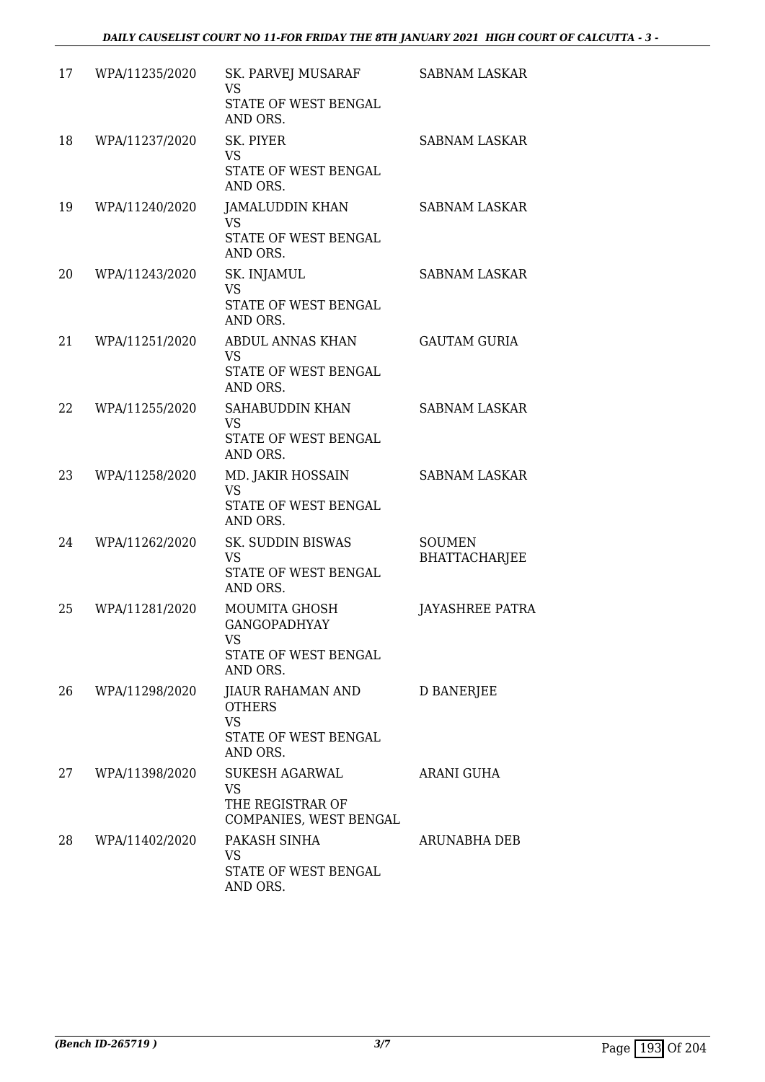| 17 | WPA/11235/2020 | SK. PARVEJ MUSARAF<br>VS<br>STATE OF WEST BENGAL<br>AND ORS.                        | <b>SABNAM LASKAR</b>                  |
|----|----------------|-------------------------------------------------------------------------------------|---------------------------------------|
| 18 | WPA/11237/2020 | SK. PIYER<br><b>VS</b><br>STATE OF WEST BENGAL<br>AND ORS.                          | <b>SABNAM LASKAR</b>                  |
| 19 | WPA/11240/2020 | JAMALUDDIN KHAN<br><b>VS</b><br>STATE OF WEST BENGAL<br>AND ORS.                    | <b>SABNAM LASKAR</b>                  |
| 20 | WPA/11243/2020 | SK. INJAMUL<br><b>VS</b><br>STATE OF WEST BENGAL<br>AND ORS.                        | <b>SABNAM LASKAR</b>                  |
| 21 | WPA/11251/2020 | ABDUL ANNAS KHAN<br><b>VS</b><br>STATE OF WEST BENGAL<br>AND ORS.                   | <b>GAUTAM GURIA</b>                   |
| 22 | WPA/11255/2020 | SAHABUDDIN KHAN<br><b>VS</b><br>STATE OF WEST BENGAL<br>AND ORS.                    | <b>SABNAM LASKAR</b>                  |
| 23 | WPA/11258/2020 | MD. JAKIR HOSSAIN<br><b>VS</b><br>STATE OF WEST BENGAL<br>AND ORS.                  | <b>SABNAM LASKAR</b>                  |
| 24 | WPA/11262/2020 | SK. SUDDIN BISWAS<br><b>VS</b><br>STATE OF WEST BENGAL<br>AND ORS.                  | <b>SOUMEN</b><br><b>BHATTACHARJEE</b> |
| 25 | WPA/11281/2020 | MOUMITA GHOSH<br><b>GANGOPADHYAY</b><br>VS<br>STATE OF WEST BENGAL<br>AND ORS.      | JAYASHREE PATRA                       |
| 26 | WPA/11298/2020 | JIAUR RAHAMAN AND<br><b>OTHERS</b><br><b>VS</b><br>STATE OF WEST BENGAL<br>AND ORS. | D BANERJEE                            |
| 27 | WPA/11398/2020 | <b>SUKESH AGARWAL</b><br>VS.<br>THE REGISTRAR OF<br>COMPANIES, WEST BENGAL          | <b>ARANI GUHA</b>                     |
| 28 | WPA/11402/2020 | PAKASH SINHA<br>VS<br>STATE OF WEST BENGAL<br>AND ORS.                              | ARUNABHA DEB                          |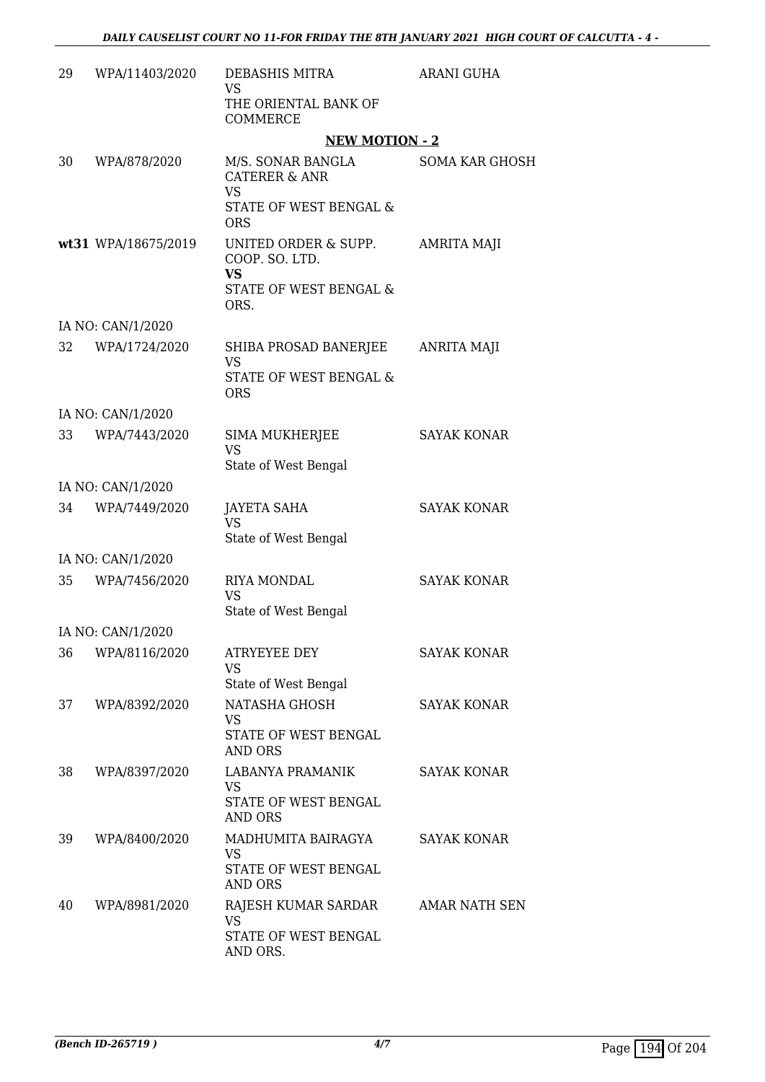| 29 | WPA/11403/2020      | DEBASHIS MITRA<br><b>VS</b>                                                           | ARANI GUHA            |
|----|---------------------|---------------------------------------------------------------------------------------|-----------------------|
|    |                     | THE ORIENTAL BANK OF<br>COMMERCE                                                      |                       |
|    |                     | <b>NEW MOTION - 2</b>                                                                 |                       |
| 30 | WPA/878/2020        | M/S. SONAR BANGLA<br><b>CATERER &amp; ANR</b><br><b>VS</b>                            | <b>SOMA KAR GHOSH</b> |
|    |                     | STATE OF WEST BENGAL &<br><b>ORS</b>                                                  |                       |
|    | wt31 WPA/18675/2019 | UNITED ORDER & SUPP.<br>COOP. SO. LTD.<br><b>VS</b><br>STATE OF WEST BENGAL &<br>ORS. | AMRITA MAJI           |
|    | IA NO: CAN/1/2020   |                                                                                       |                       |
| 32 | WPA/1724/2020       | SHIBA PROSAD BANERJEE<br><b>VS</b><br>STATE OF WEST BENGAL &                          | <b>ANRITA MAJI</b>    |
|    |                     | <b>ORS</b>                                                                            |                       |
|    | IA NO: CAN/1/2020   |                                                                                       |                       |
| 33 | WPA/7443/2020       | SIMA MUKHERJEE<br><b>VS</b><br>State of West Bengal                                   | <b>SAYAK KONAR</b>    |
|    | IA NO: CAN/1/2020   |                                                                                       |                       |
| 34 | WPA/7449/2020       | JAYETA SAHA<br><b>VS</b>                                                              | <b>SAYAK KONAR</b>    |
|    |                     | State of West Bengal                                                                  |                       |
|    | IA NO: CAN/1/2020   |                                                                                       | <b>SAYAK KONAR</b>    |
| 35 | WPA/7456/2020       | RIYA MONDAL<br>VS<br>State of West Bengal                                             |                       |
|    | IA NO: CAN/1/2020   |                                                                                       |                       |
| 36 | WPA/8116/2020       | <b>ATRYEYEE DEY</b><br>VS                                                             | <b>SAYAK KONAR</b>    |
| 37 | WPA/8392/2020       | State of West Bengal<br>NATASHA GHOSH                                                 | <b>SAYAK KONAR</b>    |
|    |                     | VS.<br>STATE OF WEST BENGAL<br><b>AND ORS</b>                                         |                       |
| 38 | WPA/8397/2020       | LABANYA PRAMANIK<br><b>VS</b>                                                         | <b>SAYAK KONAR</b>    |
|    |                     | STATE OF WEST BENGAL<br><b>AND ORS</b>                                                |                       |
| 39 | WPA/8400/2020       | MADHUMITA BAIRAGYA<br>VS<br>STATE OF WEST BENGAL                                      | <b>SAYAK KONAR</b>    |
| 40 | WPA/8981/2020       | AND ORS<br>RAJESH KUMAR SARDAR                                                        | AMAR NATH SEN         |
|    |                     | <b>VS</b><br>STATE OF WEST BENGAL<br>AND ORS.                                         |                       |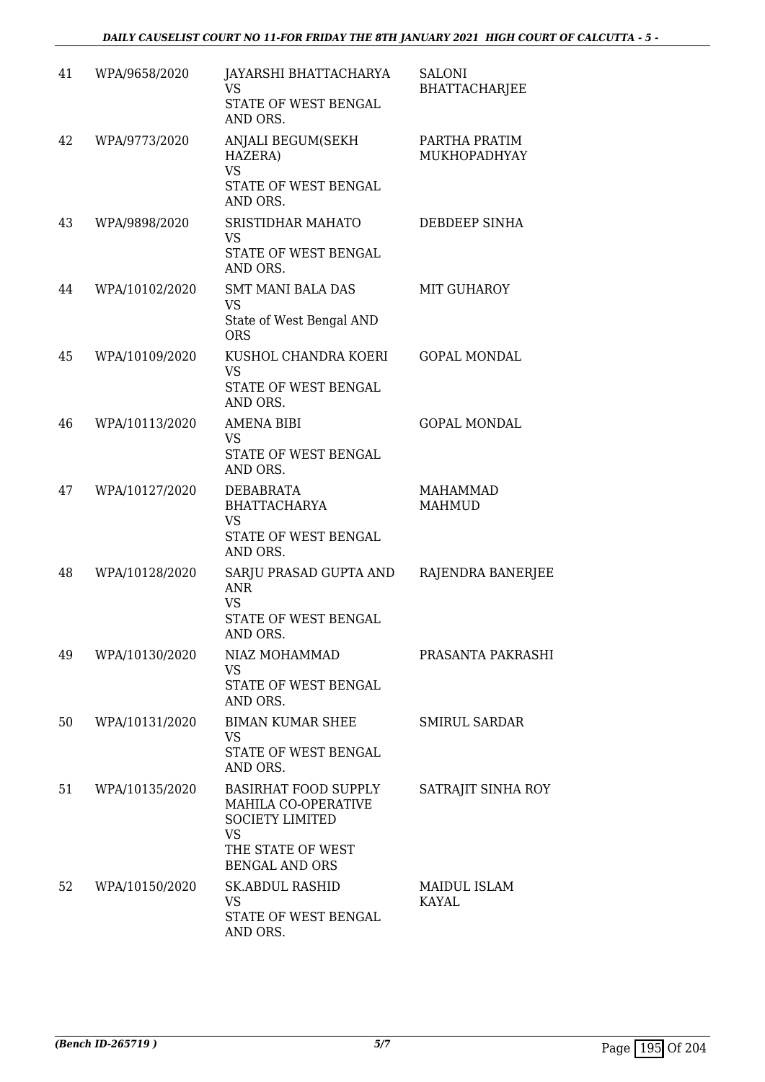| 41 | WPA/9658/2020  | JAYARSHI BHATTACHARYA<br><b>VS</b><br>STATE OF WEST BENGAL<br>AND ORS.                                                                  | <b>SALONI</b><br><b>BHATTACHARJEE</b> |
|----|----------------|-----------------------------------------------------------------------------------------------------------------------------------------|---------------------------------------|
| 42 | WPA/9773/2020  | ANJALI BEGUM(SEKH<br>HAZERA)<br><b>VS</b><br>STATE OF WEST BENGAL<br>AND ORS.                                                           | PARTHA PRATIM<br>MUKHOPADHYAY         |
| 43 | WPA/9898/2020  | SRISTIDHAR MAHATO<br><b>VS</b><br>STATE OF WEST BENGAL<br>AND ORS.                                                                      | DEBDEEP SINHA                         |
| 44 | WPA/10102/2020 | <b>SMT MANI BALA DAS</b><br><b>VS</b><br>State of West Bengal AND<br><b>ORS</b>                                                         | MIT GUHAROY                           |
| 45 | WPA/10109/2020 | KUSHOL CHANDRA KOERI<br><b>VS</b><br>STATE OF WEST BENGAL<br>AND ORS.                                                                   | <b>GOPAL MONDAL</b>                   |
| 46 | WPA/10113/2020 | <b>AMENA BIBI</b><br>VS<br>STATE OF WEST BENGAL<br>AND ORS.                                                                             | <b>GOPAL MONDAL</b>                   |
| 47 | WPA/10127/2020 | <b>DEBABRATA</b><br><b>BHATTACHARYA</b><br><b>VS</b><br>STATE OF WEST BENGAL<br>AND ORS.                                                | <b>MAHAMMAD</b><br><b>MAHMUD</b>      |
| 48 | WPA/10128/2020 | SARJU PRASAD GUPTA AND<br><b>ANR</b><br><b>VS</b><br>STATE OF WEST BENGAL<br>AND ORS.                                                   | RAJENDRA BANERJEE                     |
| 49 | WPA/10130/2020 | NIAZ MOHAMMAD<br>VS<br>STATE OF WEST BENGAL<br>AND ORS.                                                                                 | PRASANTA PAKRASHI                     |
| 50 | WPA/10131/2020 | <b>BIMAN KUMAR SHEE</b><br><b>VS</b><br>STATE OF WEST BENGAL<br>AND ORS.                                                                | SMIRUL SARDAR                         |
| 51 | WPA/10135/2020 | <b>BASIRHAT FOOD SUPPLY</b><br>MAHILA CO-OPERATIVE<br><b>SOCIETY LIMITED</b><br><b>VS</b><br>THE STATE OF WEST<br><b>BENGAL AND ORS</b> | SATRAJIT SINHA ROY                    |
| 52 | WPA/10150/2020 | <b>SK.ABDUL RASHID</b><br>VS<br>STATE OF WEST BENGAL<br>AND ORS.                                                                        | MAIDUL ISLAM<br>KAYAL                 |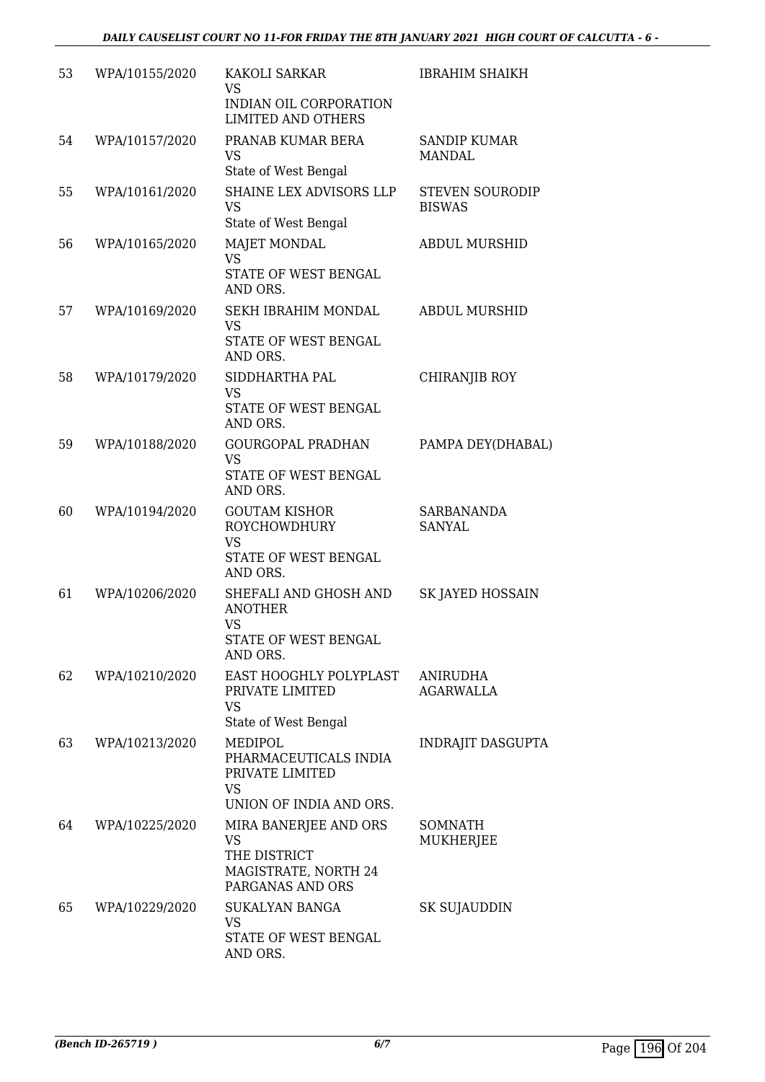| 53 | WPA/10155/2020 | <b>KAKOLI SARKAR</b><br><b>VS</b><br>INDIAN OIL CORPORATION<br><b>LIMITED AND OTHERS</b>       | <b>IBRAHIM SHAIKH</b>                   |
|----|----------------|------------------------------------------------------------------------------------------------|-----------------------------------------|
| 54 | WPA/10157/2020 | PRANAB KUMAR BERA<br><b>VS</b><br>State of West Bengal                                         | <b>SANDIP KUMAR</b><br><b>MANDAL</b>    |
| 55 | WPA/10161/2020 | SHAINE LEX ADVISORS LLP<br><b>VS</b><br>State of West Bengal                                   | <b>STEVEN SOURODIP</b><br><b>BISWAS</b> |
| 56 | WPA/10165/2020 | <b>MAJET MONDAL</b><br><b>VS</b><br>STATE OF WEST BENGAL<br>AND ORS.                           | <b>ABDUL MURSHID</b>                    |
| 57 | WPA/10169/2020 | SEKH IBRAHIM MONDAL<br><b>VS</b><br>STATE OF WEST BENGAL<br>AND ORS.                           | <b>ABDUL MURSHID</b>                    |
| 58 | WPA/10179/2020 | SIDDHARTHA PAL<br><b>VS</b><br>STATE OF WEST BENGAL<br>AND ORS.                                | <b>CHIRANJIB ROY</b>                    |
| 59 | WPA/10188/2020 | <b>GOURGOPAL PRADHAN</b><br><b>VS</b><br>STATE OF WEST BENGAL<br>AND ORS.                      | PAMPA DEY(DHABAL)                       |
| 60 | WPA/10194/2020 | <b>GOUTAM KISHOR</b><br><b>ROYCHOWDHURY</b><br><b>VS</b><br>STATE OF WEST BENGAL<br>AND ORS.   | SARBANANDA<br><b>SANYAL</b>             |
| 61 | WPA/10206/2020 | SHEFALI AND GHOSH AND<br><b>ANOTHER</b><br><b>VS</b><br>STATE OF WEST BENGAL<br>AND ORS.       | SK JAYED HOSSAIN                        |
| 62 | WPA/10210/2020 | EAST HOOGHLY POLYPLAST<br>PRIVATE LIMITED<br><b>VS</b><br>State of West Bengal                 | <b>ANIRUDHA</b><br><b>AGARWALLA</b>     |
| 63 | WPA/10213/2020 | MEDIPOL<br>PHARMACEUTICALS INDIA<br>PRIVATE LIMITED<br><b>VS</b><br>UNION OF INDIA AND ORS.    | <b>INDRAJIT DASGUPTA</b>                |
| 64 | WPA/10225/2020 | MIRA BANERJEE AND ORS<br><b>VS</b><br>THE DISTRICT<br>MAGISTRATE, NORTH 24<br>PARGANAS AND ORS | <b>SOMNATH</b><br>MUKHERJEE             |
| 65 | WPA/10229/2020 | <b>SUKALYAN BANGA</b><br><b>VS</b><br>STATE OF WEST BENGAL<br>AND ORS.                         | SK SUJAUDDIN                            |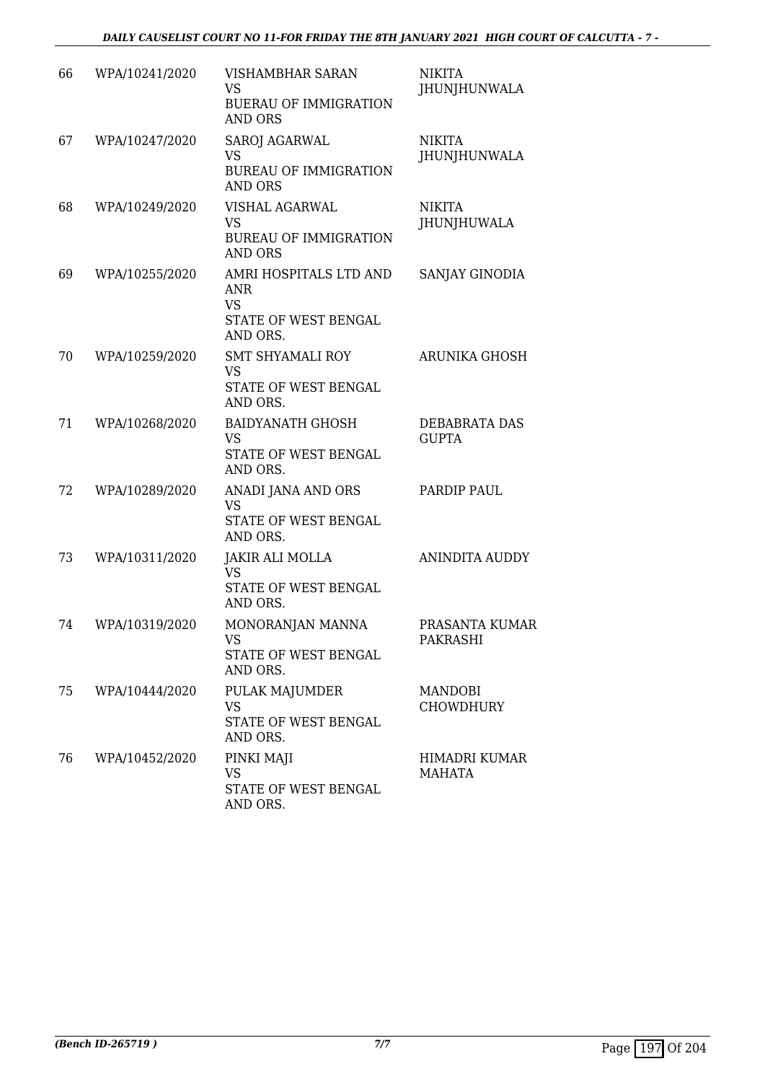| 66 | WPA/10241/2020 | VISHAMBHAR SARAN<br>VS<br><b>BUERAU OF IMMIGRATION</b><br><b>AND ORS</b>              | <b>NIKITA</b><br>JHUNJHUNWALA       |
|----|----------------|---------------------------------------------------------------------------------------|-------------------------------------|
| 67 | WPA/10247/2020 | <b>SAROJ AGARWAL</b><br><b>VS</b><br><b>BUREAU OF IMMIGRATION</b><br><b>AND ORS</b>   | <b>NIKITA</b><br>JHUNJHUNWALA       |
| 68 | WPA/10249/2020 | VISHAL AGARWAL<br><b>VS</b><br><b>BUREAU OF IMMIGRATION</b><br><b>AND ORS</b>         | <b>NIKITA</b><br><b>JHUNJHUWALA</b> |
| 69 | WPA/10255/2020 | AMRI HOSPITALS LTD AND<br><b>ANR</b><br><b>VS</b><br>STATE OF WEST BENGAL<br>AND ORS. | SANJAY GINODIA                      |
| 70 | WPA/10259/2020 | <b>SMT SHYAMALI ROY</b><br><b>VS</b><br>STATE OF WEST BENGAL<br>AND ORS.              | <b>ARUNIKA GHOSH</b>                |
| 71 | WPA/10268/2020 | <b>BAIDYANATH GHOSH</b><br><b>VS</b><br>STATE OF WEST BENGAL<br>AND ORS.              | DEBABRATA DAS<br><b>GUPTA</b>       |
| 72 | WPA/10289/2020 | ANADI JANA AND ORS<br><b>VS</b><br>STATE OF WEST BENGAL<br>AND ORS.                   | PARDIP PAUL                         |
| 73 | WPA/10311/2020 | JAKIR ALI MOLLA<br><b>VS</b><br>STATE OF WEST BENGAL<br>AND ORS.                      | <b>ANINDITA AUDDY</b>               |
| 74 | WPA/10319/2020 | MONORANJAN MANNA<br>VS<br>STATE OF WEST BENGAL<br>AND ORS.                            | PRASANTA KUMAR<br><b>PAKRASHI</b>   |
| 75 | WPA/10444/2020 | PULAK MAJUMDER<br><b>VS</b><br>STATE OF WEST BENGAL<br>AND ORS.                       | MANDOBI<br><b>CHOWDHURY</b>         |
| 76 | WPA/10452/2020 | PINKI MAJI<br>VS<br>STATE OF WEST BENGAL<br>AND ORS.                                  | HIMADRI KUMAR<br>MAHATA             |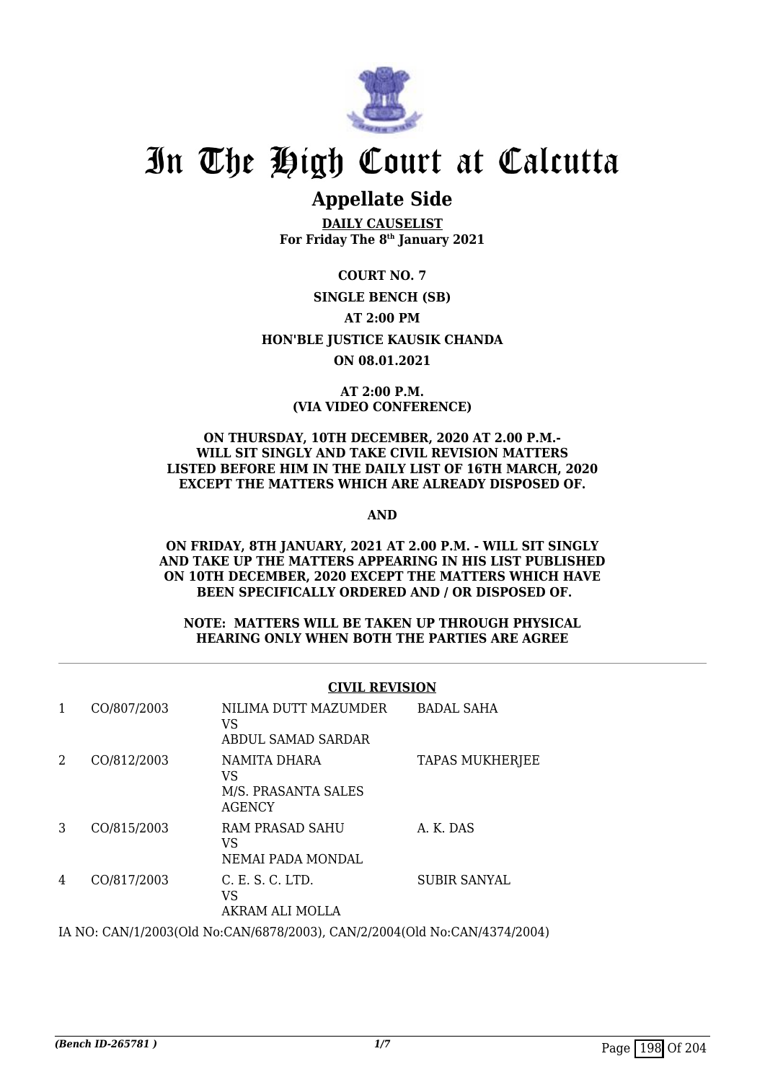

# **Appellate Side**

**DAILY CAUSELIST For Friday The 8th January 2021**

**COURT NO. 7 SINGLE BENCH (SB) AT 2:00 PM HON'BLE JUSTICE KAUSIK CHANDA ON 08.01.2021**

# **AT 2:00 P.M. (VIA VIDEO CONFERENCE)**

#### **ON THURSDAY, 10TH DECEMBER, 2020 AT 2.00 P.M.- WILL SIT SINGLY AND TAKE CIVIL REVISION MATTERS LISTED BEFORE HIM IN THE DAILY LIST OF 16TH MARCH, 2020 EXCEPT THE MATTERS WHICH ARE ALREADY DISPOSED OF.**

**AND**

**ON FRIDAY, 8TH JANUARY, 2021 AT 2.00 P.M. - WILL SIT SINGLY AND TAKE UP THE MATTERS APPEARING IN HIS LIST PUBLISHED ON 10TH DECEMBER, 2020 EXCEPT THE MATTERS WHICH HAVE BEEN SPECIFICALLY ORDERED AND / OR DISPOSED OF.**

### **NOTE: MATTERS WILL BE TAKEN UP THROUGH PHYSICAL HEARING ONLY WHEN BOTH THE PARTIES ARE AGREE**

### **CIVIL REVISION**

| 1 | CO/807/2003 | NILIMA DUTT MAZUMDER<br>VS<br>ABDUL SAMAD SARDAR           | <b>BADAL SAHA</b>      |
|---|-------------|------------------------------------------------------------|------------------------|
| 2 | CO/812/2003 | NAMITA DHARA<br>VS<br>M/S. PRASANTA SALES<br><b>AGENCY</b> | <b>TAPAS MUKHERJEE</b> |
| 3 | CO/815/2003 | RAM PRASAD SAHU<br>VS<br>NEMAI PADA MONDAL                 | A. K. DAS              |
| 4 | CO/817/2003 | C. E. S. C. LTD.<br>VS<br>AKRAM ALI MOLLA                  | <b>SUBIR SANYAL</b>    |

IA NO: CAN/1/2003(Old No:CAN/6878/2003), CAN/2/2004(Old No:CAN/4374/2004)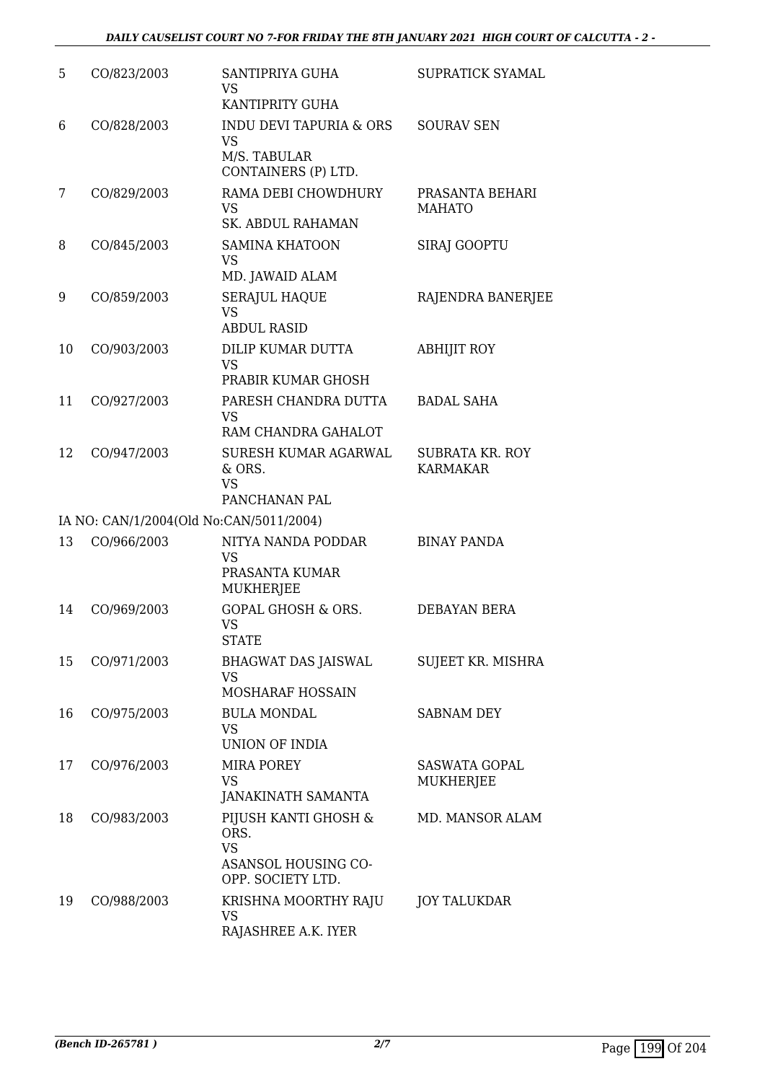| 5  | CO/823/2003 | SANTIPRIYA GUHA<br>VS<br>KANTIPRITY GUHA                                               | SUPRATICK SYAMAL                          |
|----|-------------|----------------------------------------------------------------------------------------|-------------------------------------------|
| 6  | CO/828/2003 | <b>INDU DEVI TAPURIA &amp; ORS</b><br><b>VS</b><br>M/S. TABULAR<br>CONTAINERS (P) LTD. | <b>SOURAV SEN</b>                         |
| 7  | CO/829/2003 | RAMA DEBI CHOWDHURY<br><b>VS</b><br><b>SK. ABDUL RAHAMAN</b>                           | PRASANTA BEHARI<br><b>MAHATO</b>          |
| 8  | CO/845/2003 | <b>SAMINA KHATOON</b><br><b>VS</b><br>MD. JAWAID ALAM                                  | SIRAJ GOOPTU                              |
| 9  | CO/859/2003 | <b>SERAJUL HAQUE</b><br><b>VS</b><br><b>ABDUL RASID</b>                                | RAJENDRA BANERJEE                         |
| 10 | CO/903/2003 | DILIP KUMAR DUTTA<br><b>VS</b><br>PRABIR KUMAR GHOSH                                   | <b>ABHIJIT ROY</b>                        |
| 11 | CO/927/2003 | PARESH CHANDRA DUTTA<br><b>VS</b><br>RAM CHANDRA GAHALOT                               | <b>BADAL SAHA</b>                         |
| 12 | CO/947/2003 | SURESH KUMAR AGARWAL<br>& ORS.<br><b>VS</b><br>PANCHANAN PAL                           | <b>SUBRATA KR. ROY</b><br><b>KARMAKAR</b> |
|    |             | IA NO: CAN/1/2004(Old No:CAN/5011/2004)                                                |                                           |
| 13 | CO/966/2003 | NITYA NANDA PODDAR<br><b>VS</b><br>PRASANTA KUMAR<br>MUKHERJEE                         | <b>BINAY PANDA</b>                        |
| 14 | CO/969/2003 | <b>GOPAL GHOSH &amp; ORS.</b><br><b>VS</b><br>STATE                                    | DEBAYAN BERA                              |
| 15 | CO/971/2003 | BHAGWAT DAS JAISWAL<br><b>VS</b><br>MOSHARAF HOSSAIN                                   | SUJEET KR. MISHRA                         |
| 16 | CO/975/2003 | <b>BULA MONDAL</b><br><b>VS</b><br><b>UNION OF INDIA</b>                               | <b>SABNAM DEY</b>                         |
| 17 | CO/976/2003 | <b>MIRA POREY</b><br><b>VS</b><br><b>JANAKINATH SAMANTA</b>                            | <b>SASWATA GOPAL</b><br><b>MUKHERJEE</b>  |
| 18 | CO/983/2003 | PIJUSH KANTI GHOSH &<br>ORS.<br><b>VS</b><br>ASANSOL HOUSING CO-<br>OPP. SOCIETY LTD.  | MD. MANSOR ALAM                           |
| 19 | CO/988/2003 | KRISHNA MOORTHY RAJU<br>VS<br>RAJASHREE A.K. IYER                                      | <b>JOY TALUKDAR</b>                       |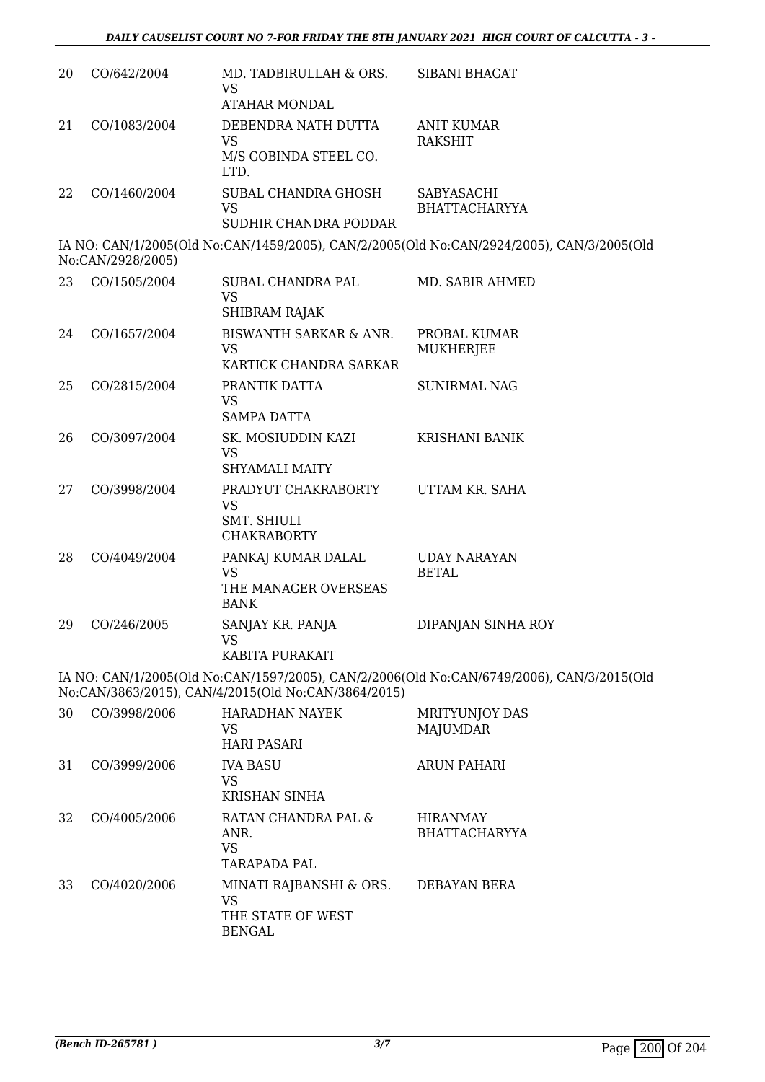| 20 | CO/642/2004       | MD. TADBIRULLAH & ORS.<br><b>VS</b><br><b>ATAHAR MONDAL</b>                  | <b>SIBANI BHAGAT</b>                                                                      |
|----|-------------------|------------------------------------------------------------------------------|-------------------------------------------------------------------------------------------|
| 21 | CO/1083/2004      | DEBENDRA NATH DUTTA<br><b>VS</b><br>M/S GOBINDA STEEL CO.<br>LTD.            | <b>ANIT KUMAR</b><br><b>RAKSHIT</b>                                                       |
| 22 | CO/1460/2004      | SUBAL CHANDRA GHOSH<br><b>VS</b><br>SUDHIR CHANDRA PODDAR                    | SABYASACHI<br><b>BHATTACHARYYA</b>                                                        |
|    | No:CAN/2928/2005) |                                                                              | IA NO: CAN/1/2005(Old No:CAN/1459/2005), CAN/2/2005(Old No:CAN/2924/2005), CAN/3/2005(Old |
| 23 | CO/1505/2004      | SUBAL CHANDRA PAL<br><b>VS</b><br>SHIBRAM RAJAK                              | MD. SABIR AHMED                                                                           |
| 24 | CO/1657/2004      | <b>BISWANTH SARKAR &amp; ANR.</b><br><b>VS</b><br>KARTICK CHANDRA SARKAR     | PROBAL KUMAR<br><b>MUKHERJEE</b>                                                          |
| 25 | CO/2815/2004      | PRANTIK DATTA<br><b>VS</b><br><b>SAMPA DATTA</b>                             | <b>SUNIRMAL NAG</b>                                                                       |
| 26 | CO/3097/2004      | SK. MOSIUDDIN KAZI<br>VS<br><b>SHYAMALI MAITY</b>                            | <b>KRISHANI BANIK</b>                                                                     |
| 27 | CO/3998/2004      | PRADYUT CHAKRABORTY<br><b>VS</b><br><b>SMT. SHIULI</b><br><b>CHAKRABORTY</b> | UTTAM KR. SAHA                                                                            |
| 28 | CO/4049/2004      | PANKAJ KUMAR DALAL<br><b>VS</b><br>THE MANAGER OVERSEAS<br><b>BANK</b>       | <b>UDAY NARAYAN</b><br><b>BETAL</b>                                                       |
| 29 | CO/246/2005       | SANJAY KR. PANJA<br>VS<br>KABITA PURAKAIT                                    | DIPANJAN SINHA ROY                                                                        |

IA NO: CAN/1/2005(Old No:CAN/1597/2005), CAN/2/2006(Old No:CAN/6749/2006), CAN/3/2015(Old No:CAN/3863/2015), CAN/4/2015(Old No:CAN/3864/2015)

| 30 | CO/3998/2006 | <b>HARADHAN NAYEK</b><br>VS<br><b>HARI PASARI</b>               | <b>MRITYUNJOY DAS</b><br><b>MAJUMDAR</b> |
|----|--------------|-----------------------------------------------------------------|------------------------------------------|
| 31 | CO/3999/2006 | <b>IVA BASU</b><br>VS<br><b>KRISHAN SINHA</b>                   | <b>ARUN PAHARI</b>                       |
| 32 | CO/4005/2006 | RATAN CHANDRA PAL &<br>ANR.<br><b>VS</b><br><b>TARAPADA PAL</b> | <b>HIRANMAY</b><br><b>BHATTACHARYYA</b>  |
| 33 | CO/4020/2006 | MINATI RAJBANSHI & ORS.<br>VS<br>THE STATE OF WEST<br>BENGAL    | DEBAYAN BERA                             |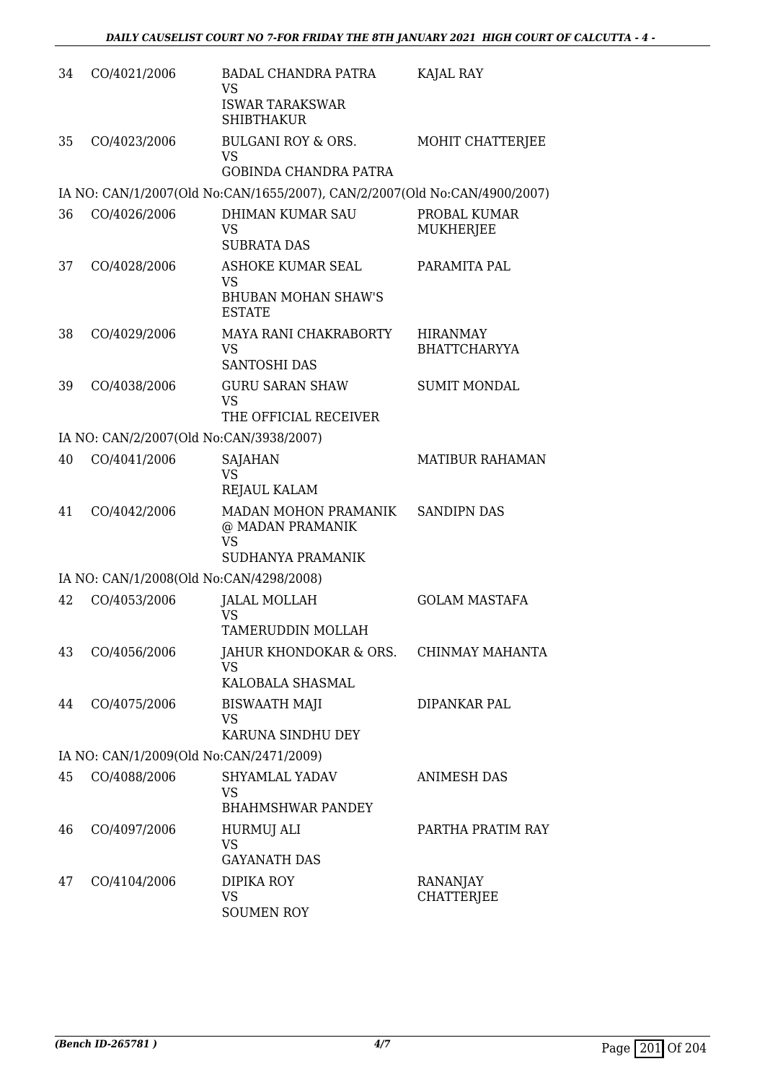| 34 | CO/4021/2006                            | <b>BADAL CHANDRA PATRA</b><br><b>VS</b><br><b>ISWAR TARAKSWAR</b><br><b>SHIBTHAKUR</b>       | KAJAL RAY                              |
|----|-----------------------------------------|----------------------------------------------------------------------------------------------|----------------------------------------|
| 35 | CO/4023/2006                            | <b>BULGANI ROY &amp; ORS.</b><br><b>VS</b><br><b>GOBINDA CHANDRA PATRA</b>                   | MOHIT CHATTERJEE                       |
|    |                                         | IA NO: CAN/1/2007(Old No:CAN/1655/2007), CAN/2/2007(Old No:CAN/4900/2007)                    |                                        |
| 36 | CO/4026/2006                            | <b>DHIMAN KUMAR SAU</b><br><b>VS</b><br><b>SUBRATA DAS</b>                                   | PROBAL KUMAR<br><b>MUKHERJEE</b>       |
| 37 | CO/4028/2006                            | <b>ASHOKE KUMAR SEAL</b><br><b>VS</b><br><b>BHUBAN MOHAN SHAW'S</b><br><b>ESTATE</b>         | PARAMITA PAL                           |
| 38 | CO/4029/2006                            | MAYA RANI CHAKRABORTY<br>VS.<br><b>SANTOSHI DAS</b>                                          | <b>HIRANMAY</b><br><b>BHATTCHARYYA</b> |
| 39 | CO/4038/2006                            | <b>GURU SARAN SHAW</b><br><b>VS</b><br>THE OFFICIAL RECEIVER                                 | <b>SUMIT MONDAL</b>                    |
|    | IA NO: CAN/2/2007(Old No:CAN/3938/2007) |                                                                                              |                                        |
| 40 | CO/4041/2006                            | SAJAHAN<br><b>VS</b><br><b>REJAUL KALAM</b>                                                  | <b>MATIBUR RAHAMAN</b>                 |
| 41 | CO/4042/2006                            | MADAN MOHON PRAMANIK<br>@ MADAN PRAMANIK<br><b>VS</b><br>SUDHANYA PRAMANIK                   | <b>SANDIPN DAS</b>                     |
|    | IA NO: CAN/1/2008(Old No:CAN/4298/2008) |                                                                                              |                                        |
| 42 | CO/4053/2006                            | <b>JALAL MOLLAH</b><br><b>VS</b>                                                             | <b>GOLAM MASTAFA</b>                   |
| 43 | CO/4056/2006                            | TAMERUDDIN MOLLAH<br>JAHUR KHONDOKAR & ORS. CHINMAY MAHANTA<br><b>VS</b><br>KALOBALA SHASMAL |                                        |
| 44 | CO/4075/2006                            | <b>BISWAATH MAJI</b><br><b>VS</b><br>KARUNA SINDHU DEY                                       | <b>DIPANKAR PAL</b>                    |
|    | IA NO: CAN/1/2009(Old No:CAN/2471/2009) |                                                                                              |                                        |
| 45 | CO/4088/2006                            | SHYAMLAL YADAV<br><b>VS</b><br><b>BHAHMSHWAR PANDEY</b>                                      | <b>ANIMESH DAS</b>                     |
| 46 | CO/4097/2006                            | HURMUJ ALI<br><b>VS</b><br><b>GAYANATH DAS</b>                                               | PARTHA PRATIM RAY                      |
| 47 | CO/4104/2006                            | DIPIKA ROY<br><b>VS</b><br><b>SOUMEN ROY</b>                                                 | RANANJAY<br><b>CHATTERJEE</b>          |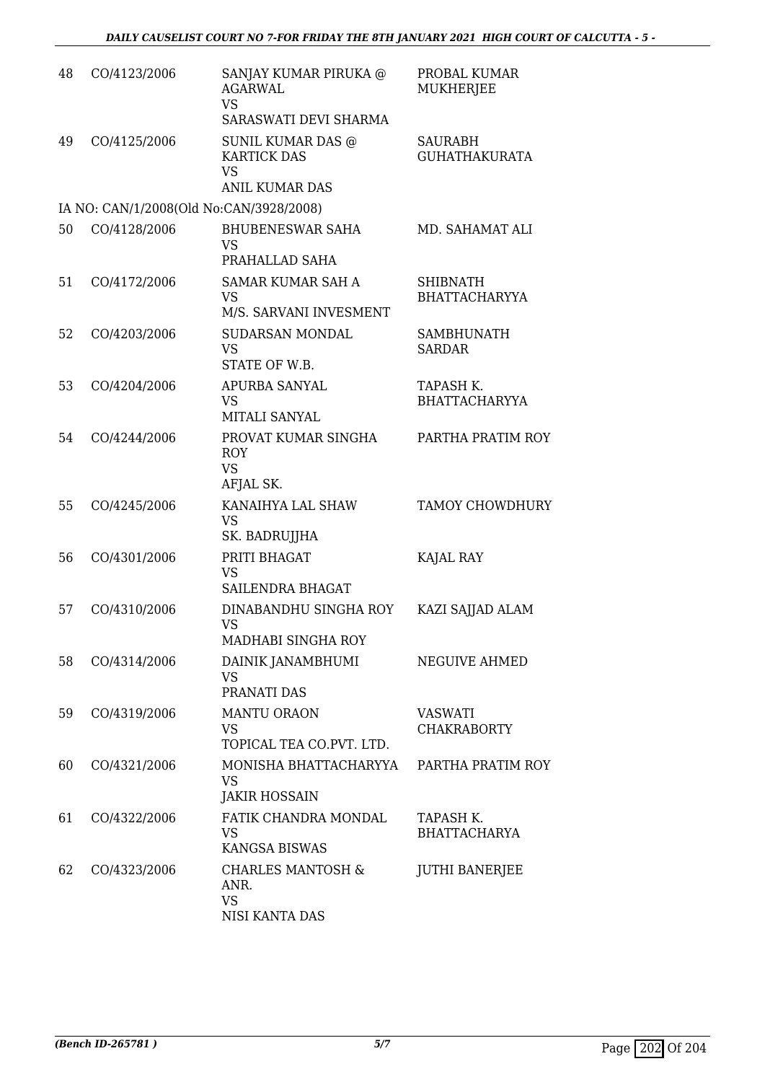| 48 | CO/4123/2006                            | SANJAY KUMAR PIRUKA @<br><b>AGARWAL</b><br><b>VS</b><br>SARASWATI DEVI SHARMA | PROBAL KUMAR<br><b>MUKHERJEE</b>        |
|----|-----------------------------------------|-------------------------------------------------------------------------------|-----------------------------------------|
| 49 | CO/4125/2006                            | SUNIL KUMAR DAS @<br><b>KARTICK DAS</b><br><b>VS</b><br><b>ANIL KUMAR DAS</b> | SAURABH<br><b>GUHATHAKURATA</b>         |
|    | IA NO: CAN/1/2008(Old No:CAN/3928/2008) |                                                                               |                                         |
| 50 | CO/4128/2006                            | <b>BHUBENESWAR SAHA</b><br>VS<br>PRAHALLAD SAHA                               | MD. SAHAMAT ALI                         |
| 51 | CO/4172/2006                            | SAMAR KUMAR SAH A<br><b>VS</b><br>M/S. SARVANI INVESMENT                      | <b>SHIBNATH</b><br><b>BHATTACHARYYA</b> |
| 52 | CO/4203/2006                            | SUDARSAN MONDAL<br><b>VS</b><br>STATE OF W.B.                                 | <b>SAMBHUNATH</b><br><b>SARDAR</b>      |
| 53 | CO/4204/2006                            | APURBA SANYAL<br><b>VS</b><br>MITALI SANYAL                                   | TAPASH K.<br><b>BHATTACHARYYA</b>       |
| 54 | CO/4244/2006                            | PROVAT KUMAR SINGHA<br><b>ROY</b><br><b>VS</b><br>AFJAL SK.                   | PARTHA PRATIM ROY                       |
| 55 | CO/4245/2006                            | KANAIHYA LAL SHAW<br><b>VS</b><br>SK. BADRUJJHA                               | <b>TAMOY CHOWDHURY</b>                  |
| 56 | CO/4301/2006                            | PRITI BHAGAT<br><b>VS</b><br><b>SAILENDRA BHAGAT</b>                          | KAJAL RAY                               |
| 57 | CO/4310/2006                            | DINABANDHU SINGHA ROY<br><b>VS</b><br>MADHABI SINGHA ROY                      | KAZI SAJJAD ALAM                        |
| 58 | CO/4314/2006                            | DAINIK JANAMBHUMI<br><b>VS</b><br>PRANATI DAS                                 | NEGUIVE AHMED                           |
| 59 | CO/4319/2006                            | <b>MANTU ORAON</b><br>VS<br>TOPICAL TEA CO.PVT. LTD.                          | <b>VASWATI</b><br><b>CHAKRABORTY</b>    |
| 60 | CO/4321/2006                            | MONISHA BHATTACHARYYA<br><b>VS</b><br><b>JAKIR HOSSAIN</b>                    | PARTHA PRATIM ROY                       |
| 61 | CO/4322/2006                            | FATIK CHANDRA MONDAL<br><b>VS</b><br><b>KANGSA BISWAS</b>                     | TAPASH K.<br><b>BHATTACHARYA</b>        |
| 62 | CO/4323/2006                            | <b>CHARLES MANTOSH &amp;</b><br>ANR.<br><b>VS</b><br>NISI KANTA DAS           | <b>JUTHI BANERJEE</b>                   |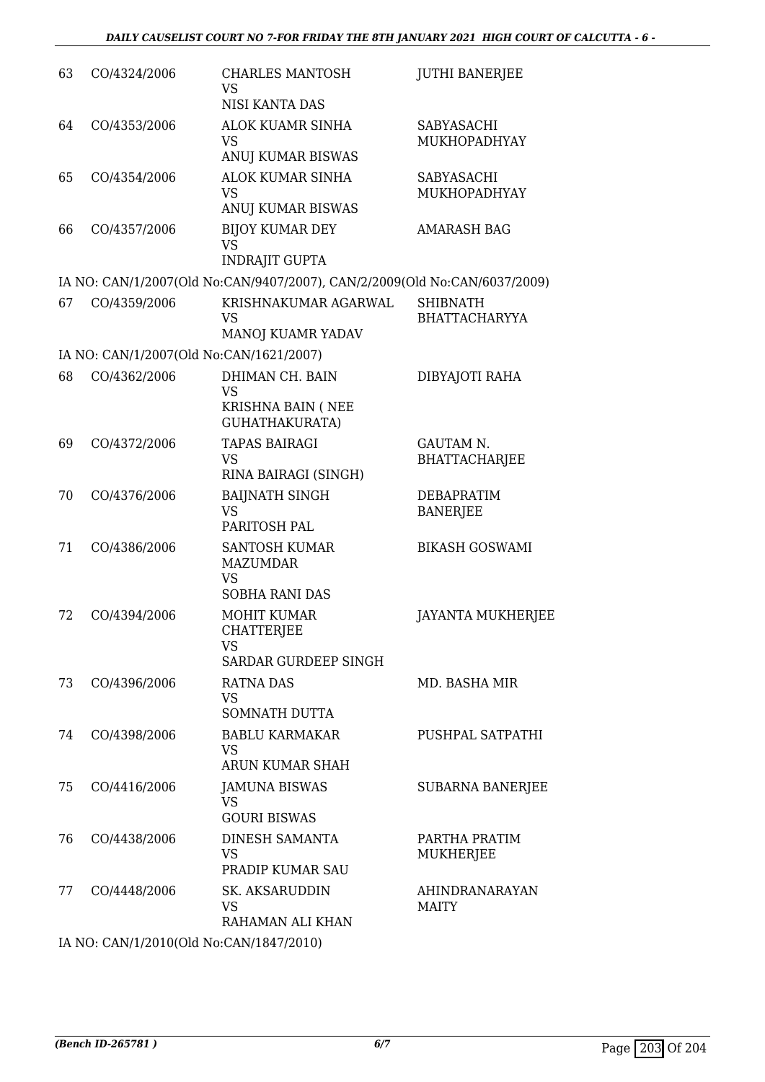| 63 | CO/4324/2006 | <b>CHARLES MANTOSH</b><br><b>VS</b><br>NISI KANTA DAS                         | <b>JUTHI BANERJEE</b>                    |
|----|--------------|-------------------------------------------------------------------------------|------------------------------------------|
| 64 | CO/4353/2006 | <b>ALOK KUAMR SINHA</b><br><b>VS</b><br>ANUJ KUMAR BISWAS                     | SABYASACHI<br>MUKHOPADHYAY               |
| 65 | CO/4354/2006 | ALOK KUMAR SINHA<br><b>VS</b><br>ANUJ KUMAR BISWAS                            | SABYASACHI<br>MUKHOPADHYAY               |
| 66 | CO/4357/2006 | <b>BIJOY KUMAR DEY</b><br><b>VS</b><br><b>INDRAJIT GUPTA</b>                  | <b>AMARASH BAG</b>                       |
|    |              | IA NO: CAN/1/2007(Old No:CAN/9407/2007), CAN/2/2009(Old No:CAN/6037/2009)     |                                          |
| 67 | CO/4359/2006 | KRISHNAKUMAR AGARWAL<br><b>VS</b><br>MANOJ KUAMR YADAV                        | <b>SHIBNATH</b><br><b>BHATTACHARYYA</b>  |
|    |              | IA NO: CAN/1/2007(Old No:CAN/1621/2007)                                       |                                          |
| 68 | CO/4362/2006 | DHIMAN CH. BAIN<br><b>VS</b><br>KRISHNA BAIN (NEE<br>GUHATHAKURATA)           | DIBYAJOTI RAHA                           |
| 69 | CO/4372/2006 | <b>TAPAS BAIRAGI</b><br><b>VS</b><br>RINA BAIRAGI (SINGH)                     | <b>GAUTAM N.</b><br><b>BHATTACHARJEE</b> |
| 70 | CO/4376/2006 | <b>BAIJNATH SINGH</b><br><b>VS</b><br>PARITOSH PAL                            | <b>DEBAPRATIM</b><br><b>BANERJEE</b>     |
| 71 | CO/4386/2006 | <b>SANTOSH KUMAR</b><br><b>MAZUMDAR</b><br><b>VS</b><br><b>SOBHA RANI DAS</b> | <b>BIKASH GOSWAMI</b>                    |
| 72 | CO/4394/2006 | <b>MOHIT KUMAR</b><br>CHATTERJEE<br>VS<br>SARDAR GURDEEP SINGH                | <b>JAYANTA MUKHERJEE</b>                 |
| 73 | CO/4396/2006 | <b>RATNA DAS</b><br><b>VS</b><br>SOMNATH DUTTA                                | MD. BASHA MIR                            |
| 74 | CO/4398/2006 | <b>BABLU KARMAKAR</b><br><b>VS</b><br>ARUN KUMAR SHAH                         | PUSHPAL SATPATHI                         |
| 75 | CO/4416/2006 | <b>JAMUNA BISWAS</b><br><b>VS</b><br><b>GOURI BISWAS</b>                      | <b>SUBARNA BANERJEE</b>                  |
| 76 | CO/4438/2006 | <b>DINESH SAMANTA</b><br><b>VS</b><br>PRADIP KUMAR SAU                        | PARTHA PRATIM<br>MUKHERJEE               |
| 77 | CO/4448/2006 | <b>SK. AKSARUDDIN</b><br><b>VS</b><br>RAHAMAN ALI KHAN                        | <b>AHINDRANARAYAN</b><br><b>MAITY</b>    |
|    |              | IA NO: CAN/1/2010(Old No:CAN/1847/2010)                                       |                                          |